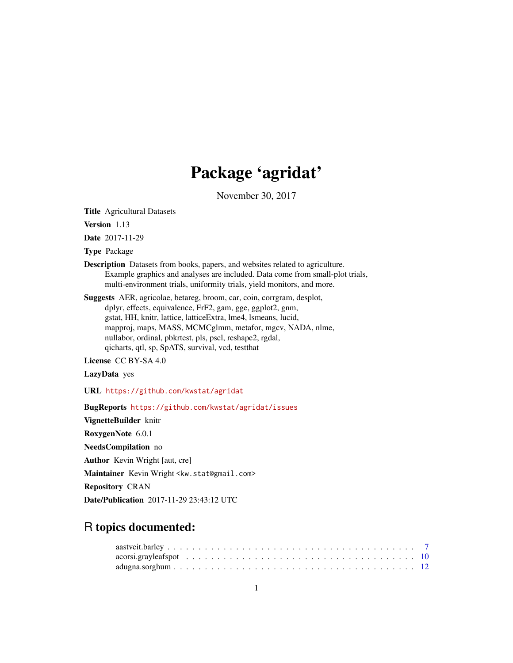# Package 'agridat'

November 30, 2017

Title Agricultural Datasets

Version 1.13

Date 2017-11-29

Type Package

- Description Datasets from books, papers, and websites related to agriculture. Example graphics and analyses are included. Data come from small-plot trials, multi-environment trials, uniformity trials, yield monitors, and more.
- Suggests AER, agricolae, betareg, broom, car, coin, corrgram, desplot, dplyr, effects, equivalence, FrF2, gam, gge, ggplot2, gnm, gstat, HH, knitr, lattice, latticeExtra, lme4, lsmeans, lucid, mapproj, maps, MASS, MCMCglmm, metafor, mgcv, NADA, nlme, nullabor, ordinal, pbkrtest, pls, pscl, reshape2, rgdal, qicharts, qtl, sp, SpATS, survival, vcd, testthat

License CC BY-SA 4.0

LazyData yes

URL <https://github.com/kwstat/agridat>

BugReports <https://github.com/kwstat/agridat/issues>

VignetteBuilder knitr RoxygenNote 6.0.1 NeedsCompilation no Author Kevin Wright [aut, cre] Maintainer Kevin Wright <kw.stat@gmail.com> Repository CRAN

Date/Publication 2017-11-29 23:43:12 UTC

# R topics documented: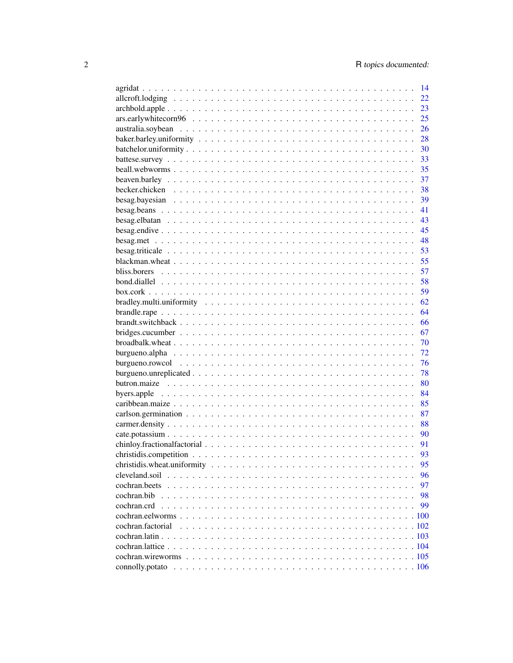|                   | 14 |
|-------------------|----|
|                   | 22 |
|                   | 23 |
|                   | 25 |
|                   | 26 |
|                   | 28 |
|                   | 30 |
|                   | 33 |
|                   | 35 |
|                   | 37 |
|                   | 38 |
|                   | 39 |
|                   | 41 |
|                   | 43 |
|                   | 45 |
|                   | 48 |
|                   | 53 |
|                   |    |
|                   | 55 |
|                   | 57 |
|                   | 58 |
|                   | 59 |
|                   | 62 |
|                   | 64 |
|                   | 66 |
|                   | 67 |
|                   | 70 |
|                   | 72 |
|                   | 76 |
|                   | 78 |
|                   | 80 |
|                   | 84 |
|                   | 85 |
|                   | 87 |
|                   | 88 |
|                   | 90 |
|                   | 91 |
|                   | 93 |
|                   | 95 |
|                   | 96 |
|                   | 97 |
| cochran.bib       | 98 |
| cochran.crd       | 99 |
|                   |    |
| cochran.factorial |    |
|                   |    |
|                   |    |
|                   |    |
|                   |    |
|                   |    |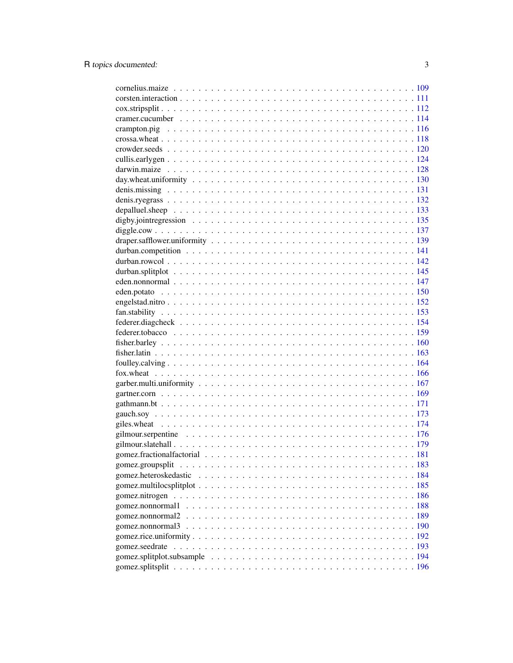| gomez.nonnormal2 |  |
|------------------|--|
| gomez.nonnormal3 |  |
|                  |  |
|                  |  |
|                  |  |
|                  |  |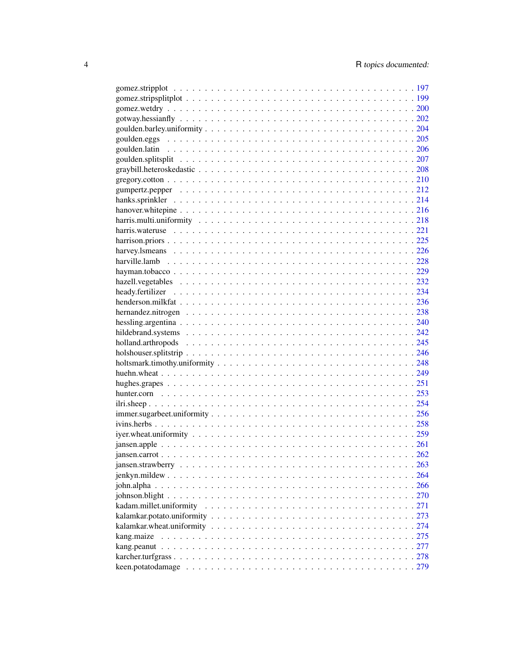| kang.maize |  |
|------------|--|
|            |  |
|            |  |
|            |  |
|            |  |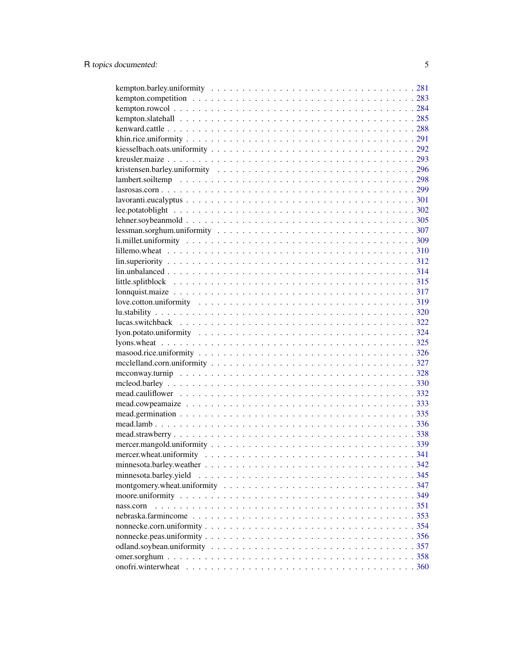| $lin. unbalanced \dots \dots \dots \dots \dots \dots \dots \dots \dots \dots \dots \dots \dots \dots \dots \dots \dots 314$ |  |
|-----------------------------------------------------------------------------------------------------------------------------|--|
|                                                                                                                             |  |
|                                                                                                                             |  |
|                                                                                                                             |  |
|                                                                                                                             |  |
|                                                                                                                             |  |
|                                                                                                                             |  |
|                                                                                                                             |  |
|                                                                                                                             |  |
|                                                                                                                             |  |
|                                                                                                                             |  |
|                                                                                                                             |  |
|                                                                                                                             |  |
|                                                                                                                             |  |
|                                                                                                                             |  |
|                                                                                                                             |  |
|                                                                                                                             |  |
|                                                                                                                             |  |
|                                                                                                                             |  |
|                                                                                                                             |  |
| minnesota.barley.yield                                                                                                      |  |
|                                                                                                                             |  |
|                                                                                                                             |  |
| nass.corn                                                                                                                   |  |
|                                                                                                                             |  |
|                                                                                                                             |  |
|                                                                                                                             |  |
|                                                                                                                             |  |
|                                                                                                                             |  |
|                                                                                                                             |  |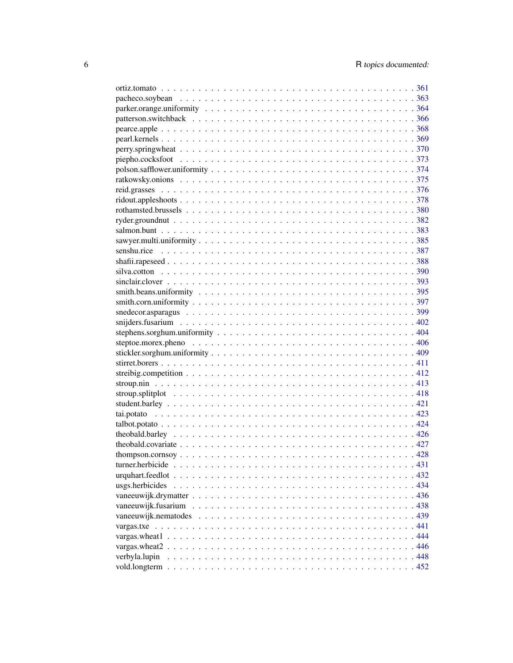| verbyla.lupin |  |
|---------------|--|
|               |  |
|               |  |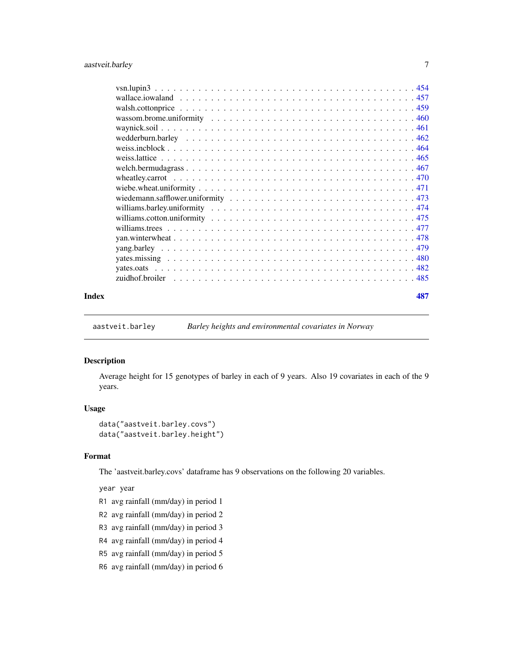<span id="page-6-0"></span>

### **Index Example 287**

<span id="page-6-1"></span>aastveit.barley *Barley heights and environmental covariates in Norway*

#### Description

Average height for 15 genotypes of barley in each of 9 years. Also 19 covariates in each of the 9 years.

#### Usage

```
data("aastveit.barley.covs")
data("aastveit.barley.height")
```
#### Format

The 'aastveit.barley.covs' dataframe has 9 observations on the following 20 variables.

year year

- R1 avg rainfall (mm/day) in period 1
- R2 avg rainfall (mm/day) in period 2
- R3 avg rainfall (mm/day) in period 3
- R4 avg rainfall (mm/day) in period 4
- R5 avg rainfall (mm/day) in period 5
- R6 avg rainfall (mm/day) in period 6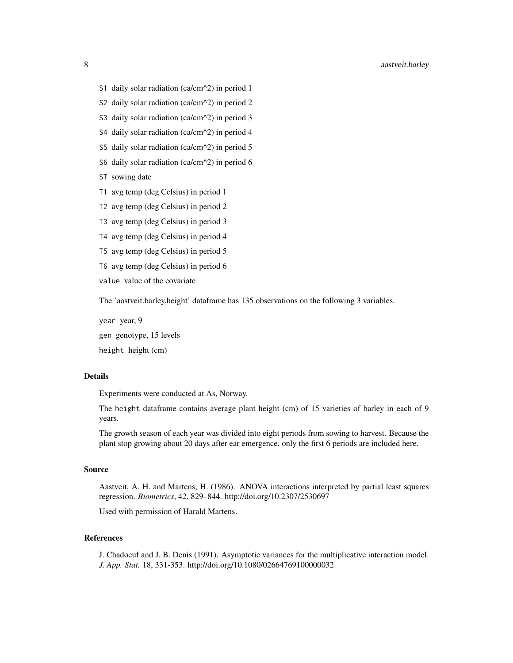- S2 daily solar radiation (ca/cm^2) in period 2
- S3 daily solar radiation (ca/cm^2) in period 3
- S4 daily solar radiation (ca/cm^2) in period 4
- S5 daily solar radiation (ca/cm^2) in period 5
- S6 daily solar radiation (ca/cm^2) in period 6
- ST sowing date
- T1 avg temp (deg Celsius) in period 1
- T2 avg temp (deg Celsius) in period 2
- T3 avg temp (deg Celsius) in period 3
- T4 avg temp (deg Celsius) in period 4
- T5 avg temp (deg Celsius) in period 5
- T6 avg temp (deg Celsius) in period 6

value value of the covariate

The 'aastveit.barley.height' dataframe has 135 observations on the following 3 variables.

year year, 9 gen genotype, 15 levels height height (cm)

#### Details

Experiments were conducted at As, Norway.

The height dataframe contains average plant height (cm) of 15 varieties of barley in each of 9 years.

The growth season of each year was divided into eight periods from sowing to harvest. Because the plant stop growing about 20 days after ear emergence, only the first 6 periods are included here.

#### Source

Aastveit, A. H. and Martens, H. (1986). ANOVA interactions interpreted by partial least squares regression. *Biometrics*, 42, 829–844. http://doi.org/10.2307/2530697

Used with permission of Harald Martens.

# References

J. Chadoeuf and J. B. Denis (1991). Asymptotic variances for the multiplicative interaction model. *J. App. Stat.* 18, 331-353. http://doi.org/10.1080/02664769100000032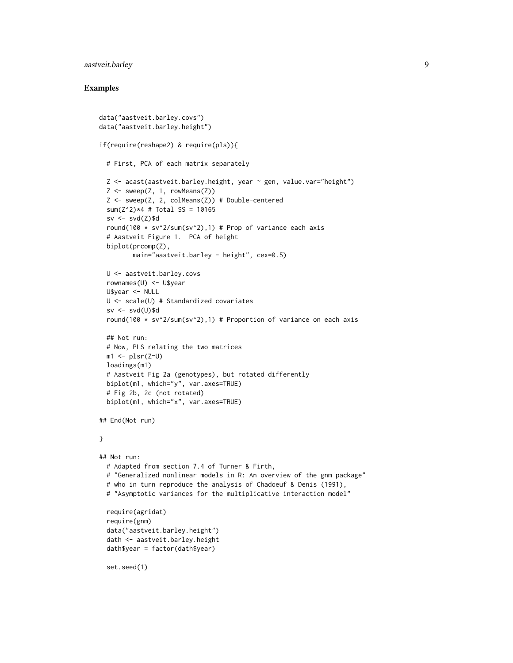# aastveit.barley 9

```
data("aastveit.barley.covs")
data("aastveit.barley.height")
if(require(reshape2) & require(pls)){
  # First, PCA of each matrix separately
  Z <- acast(aastveit.barley.height, year ~ gen, value.var="height")
  Z \leftarrow sweep(Z, 1, rowMeans(Z))
  Z \le - sweep(Z, 2, colMeans(Z)) # Double-centered
  sum(Z^2)*4 # Total SS = 10165
  sv \leftarrow svd(Z)\$d
  round(100 * sv^2/sum(sv^2),1) # Prop of variance each axis
  # Aastveit Figure 1. PCA of height
  biplot(prcomp(Z),
         main="aastveit.barley - height", cex=0.5)
  U <- aastveit.barley.covs
  rownames(U) <- U$year
  U$year <- NULL
  U <- scale(U) # Standardized covariates
  sv \leftarrow svd(U)\$d
  round(100 * sv^2/sum(sv^2),1) # Proportion of variance on each axis
  ## Not run:
  # Now, PLS relating the two matrices
  ml \leftarrow plsr(Z\sim U)loadings(m1)
  # Aastveit Fig 2a (genotypes), but rotated differently
  biplot(m1, which="y", var.axes=TRUE)
  # Fig 2b, 2c (not rotated)
  biplot(m1, which="x", var.axes=TRUE)
## End(Not run)
}
## Not run:
  # Adapted from section 7.4 of Turner & Firth,
  # "Generalized nonlinear models in R: An overview of the gnm package"
  # who in turn reproduce the analysis of Chadoeuf & Denis (1991),
  # "Asymptotic variances for the multiplicative interaction model"
  require(agridat)
  require(gnm)
  data("aastveit.barley.height")
  dath <- aastveit.barley.height
  dath$year = factor(dath$year)
  set.seed(1)
```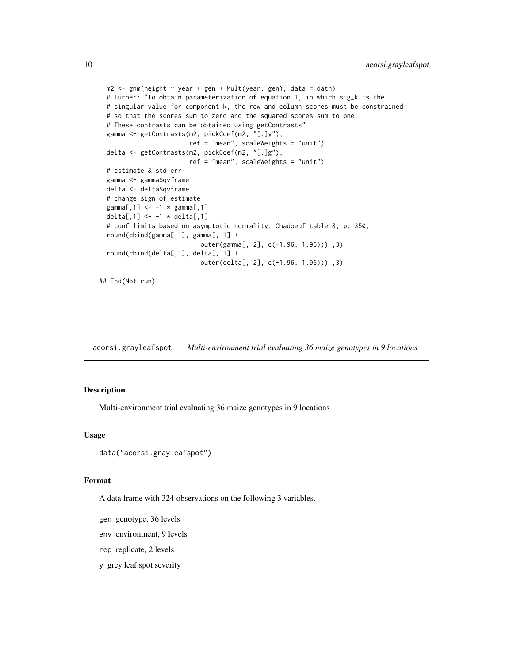```
m2 \leq 2 gnm(height \sim year + gen + Mult(year, gen), data = dath)
# Turner: "To obtain parameterization of equation 1, in which sig_k is the
# singular value for component k, the row and column scores must be constrained
# so that the scores sum to zero and the squared scores sum to one.
# These contrasts can be obtained using getContrasts"
gamma <- getContrasts(m2, pickCoef(m2, "[.]y"),
                      ref = "mean", scaleWeights = "unit")
delta <- getContrasts(m2, pickCoef(m2, "[.]g"),
                      ref = "mean", scaleWeights = "unit")
# estimate & std err
gamma <- gamma$qvframe
delta <- delta$qvframe
# change sign of estimate
gamma[, 1] <- -1 * gamma[, 1]delta[,1] <- -1 * delta[,1]
# conf limits based on asymptotic normality, Chadoeuf table 8, p. 350,
round(cbind(gamma[,1], gamma[, 1] +
                         outer(gamma[, 2], c(-1.96, 1.96))) ,3)
round(cbind(delta[,1], delta[, 1] +
                         outer(delta[, 2], c(-1.96, 1.96))) ,3)
```
## End(Not run)

<span id="page-9-1"></span>acorsi.grayleafspot *Multi-environment trial evaluating 36 maize genotypes in 9 locations*

#### Description

Multi-environment trial evaluating 36 maize genotypes in 9 locations

#### Usage

```
data("acorsi.grayleafspot")
```
#### Format

A data frame with 324 observations on the following 3 variables.

- gen genotype, 36 levels
- env environment, 9 levels
- rep replicate, 2 levels
- y grey leaf spot severity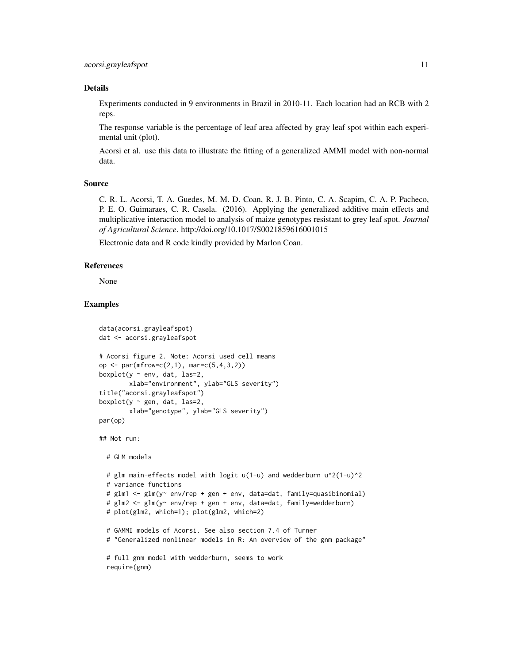# Details

Experiments conducted in 9 environments in Brazil in 2010-11. Each location had an RCB with 2 reps.

The response variable is the percentage of leaf area affected by gray leaf spot within each experimental unit (plot).

Acorsi et al. use this data to illustrate the fitting of a generalized AMMI model with non-normal data.

# Source

C. R. L. Acorsi, T. A. Guedes, M. M. D. Coan, R. J. B. Pinto, C. A. Scapim, C. A. P. Pacheco, P. E. O. Guimaraes, C. R. Casela. (2016). Applying the generalized additive main effects and multiplicative interaction model to analysis of maize genotypes resistant to grey leaf spot. *Journal of Agricultural Science*. http://doi.org/10.1017/S0021859616001015

Electronic data and R code kindly provided by Marlon Coan.

#### References

None

```
data(acorsi.grayleafspot)
dat <- acorsi.grayleafspot
# Acorsi figure 2. Note: Acorsi used cell means
op <- par(mfrow=c(2,1), mar=c(5,4,3,2))
boxplot(y \sim env, dat, las=2,
       xlab="environment", ylab="GLS severity")
title("acorsi.grayleafspot")
boxplot(y \sim gen, dat, las=2,
        xlab="genotype", ylab="GLS severity")
par(op)
## Not run:
 # GLM models
 # glm main-effects model with logit u(1-u) and wedderburn u^2(1-u)^2
 # variance functions
 # glm1 <- glm(y~ env/rep + gen + env, data=dat, family=quasibinomial)
 # glm2 <- glm(y~ env/rep + gen + env, data=dat, family=wedderburn)
 # plot(glm2, which=1); plot(glm2, which=2)
 # GAMMI models of Acorsi. See also section 7.4 of Turner
  # "Generalized nonlinear models in R: An overview of the gnm package"
 # full gnm model with wedderburn, seems to work
 require(gnm)
```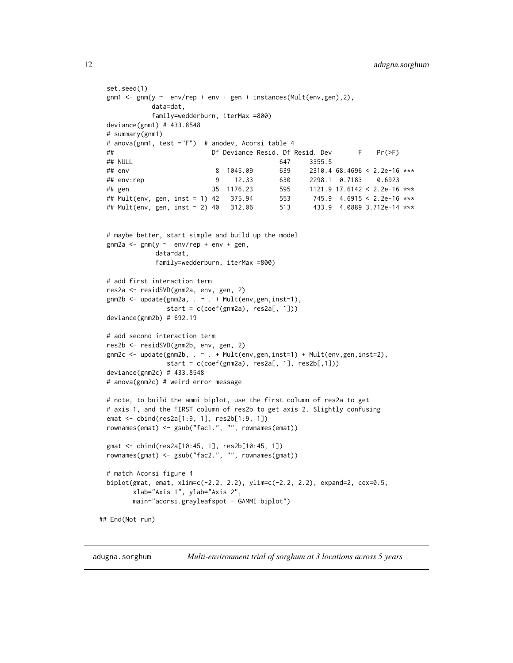```
set.seed(1)
 gnm1 <- gnm(y \sim env/rep + env + gen + instances(Multenv,gen), 2),
            data=dat,
            family=wedderburn, iterMax =800)
 deviance(gnm1) # 433.8548
 # summary(gnm1)
 # anova(gnm1, test ="F") # anodev, Acorsi table 4
 ## Df Deviance Resid. Df Resid. Dev F Pr(>F)
 ## NULL 647 3355.5
 ## env 8 1045.09 639 2310.4 68.4696 < 2.2e-16 ***
 ## env:rep 9 12.33 630 2298.1 0.7183 0.6923
 ## gen 35 1176.23 595 1121.9 17.6142 < 2.2e-16 ***
 ## Mult(env, gen, inst = 1) 42 375.94 553 745.9 4.6915 < 2.2e-16 ***
 ## Mult(env, gen, inst = 2) 40 312.06 513 433.9 4.0889 3.712e-14 ***
 # maybe better, start simple and build up the model
 gnm2a <- gnm(y \sim env/rep + env + gen,data=dat,
             family=wedderburn, iterMax =800)
 # add first interaction term
 res2a <- residSVD(gnm2a, env, gen, 2)
 gnm2b <- update(gnm2a, . ~ . + Mult(env,gen,inst=1),
               start = c(coef(gnm2a), res2a[, 1]))
 deviance(gnm2b) # 692.19
 # add second interaction term
 res2b <- residSVD(gnm2b, env, gen, 2)
 gnm2c <- update(gnm2b, . ~ . + Mult(env,gen,inst=1) + Mult(env,gen,inst=2),
               start = c(coef(gnm2a), res2a[, 1], res2b[,1]))
 deviance(gnm2c) # 433.8548
 # anova(gnm2c) # weird error message
 # note, to build the ammi biplot, use the first column of res2a to get
 # axis 1, and the FIRST column of res2b to get axis 2. Slightly confusing
 emat <- cbind(res2a[1:9, 1], res2b[1:9, 1])
 rownames(emat) <- gsub("fac1.", "", rownames(emat))
 gmat <- cbind(res2a[10:45, 1], res2b[10:45, 1])
 rownames(gmat) <- gsub("fac2.", "", rownames(gmat))
 # match Acorsi figure 4
 biplot(gmat, emat, xlim=c(-2.2, 2.2), ylim=c(-2.2, 2.2), expand=2, cex=0.5,
       xlab="Axis 1", ylab="Axis 2",
       main="acorsi.grayleafspot - GAMMI biplot")
## End(Not run)
```
<span id="page-11-1"></span>adugna.sorghum *Multi-environment trial of sorghum at 3 locations across 5 years*

<span id="page-11-0"></span>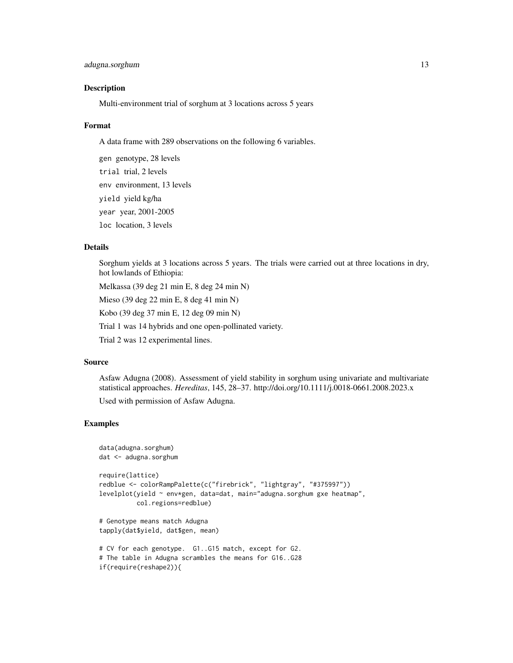# adugna.sorghum 13

#### Description

Multi-environment trial of sorghum at 3 locations across 5 years

#### Format

A data frame with 289 observations on the following 6 variables.

gen genotype, 28 levels trial trial, 2 levels env environment, 13 levels yield yield kg/ha year year, 2001-2005 loc location, 3 levels

#### Details

Sorghum yields at 3 locations across 5 years. The trials were carried out at three locations in dry, hot lowlands of Ethiopia:

Melkassa (39 deg 21 min E, 8 deg 24 min N)

Mieso (39 deg 22 min E, 8 deg 41 min N)

Kobo (39 deg 37 min E, 12 deg 09 min N)

Trial 1 was 14 hybrids and one open-pollinated variety.

Trial 2 was 12 experimental lines.

#### Source

Asfaw Adugna (2008). Assessment of yield stability in sorghum using univariate and multivariate statistical approaches. *Hereditas*, 145, 28–37. http://doi.org/10.1111/j.0018-0661.2008.2023.x Used with permission of Asfaw Adugna.

```
data(adugna.sorghum)
dat <- adugna.sorghum
require(lattice)
redblue <- colorRampPalette(c("firebrick", "lightgray", "#375997"))
levelplot(yield ~ env*gen, data=dat, main="adugna.sorghum gxe heatmap",
          col.regions=redblue)
# Genotype means match Adugna
tapply(dat$yield, dat$gen, mean)
# CV for each genotype. G1..G15 match, except for G2.
# The table in Adugna scrambles the means for G16..G28
```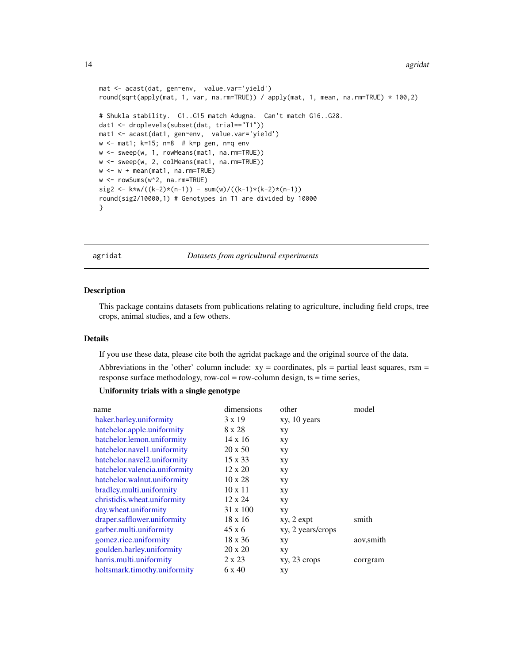```
mat <- acast(dat, gen~env, value.var='yield')
round(sqrt(apply(mat, 1, var, na.rm=TRUE)) / apply(mat, 1, mean, na.rm=TRUE) * 100,2)
# Shukla stability. G1..G15 match Adugna. Can't match G16..G28.
dat1 <- droplevels(subset(dat, trial=="T1"))
mat1 <- acast(dat1, gen~env, value.var='yield')
w <- mat1; k=15; n=8 # k=p gen, n=q env
w <- sweep(w, 1, rowMeans(mat1, na.rm=TRUE))
w <- sweep(w, 2, colMeans(mat1, na.rm=TRUE))
w <- w + mean(mat1, na.rm=TRUE)
w <- rowSums(w^2, na.rm=TRUE)
sig2 <- k*w/((k-2)*(n-1)) - sum(w)/((k-1)*(k-2)*(n-1))
round(sig2/10000,1) # Genotypes in T1 are divided by 10000
}
```
#### agridat *Datasets from agricultural experiments*

#### Description

This package contains datasets from publications relating to agriculture, including field crops, tree crops, animal studies, and a few others.

# Details

If you use these data, please cite both the agridat package and the original source of the data.

Abbreviations in the 'other' column include:  $xy =$  coordinates,  $pls =$  partial least squares, rsm = response surface methodology, row-col = row-column design, ts = time series,

# Uniformity trials with a single genotype

| dimensions      | other             | model      |
|-----------------|-------------------|------------|
| $3 \times 19$   | xy, 10 years      |            |
| 8 x 28          | xy                |            |
| $14 \times 16$  | xy                |            |
| $20 \times 50$  | xy                |            |
| 15 x 33         | xу                |            |
| $12 \times 20$  | xу                |            |
| $10 \times 28$  | xy                |            |
| $10 \times 11$  | xy                |            |
| 12 x 24         | xy                |            |
| $31 \times 100$ | xy                |            |
| $18 \times 16$  | $xy, 2 \exp t$    | smith      |
| 45 x 6          | xy, 2 years/crops |            |
| $18 \times 36$  | xy                | aov, smith |
| 20 x 20         | XY                |            |
| 2 x 23          | $xy, 23$ crops    | corrgram   |
| 6 x 40          | xy                |            |
|                 |                   |            |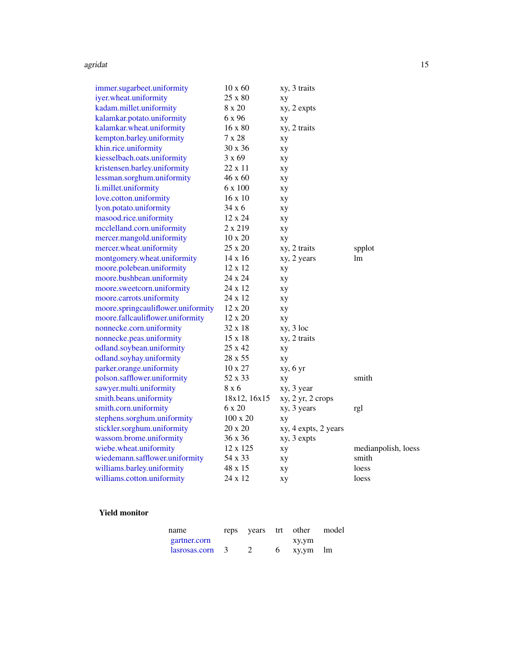#### agridat 15 metal 15 metal 15 metal 16 metal 16 metal 16 metal 16 metal 16 metal 16 metal 16 metal 16 metal 16 m

| immer.sugarbeet.uniformity         | $10 \times 60$ | xy, 3 traits         |                     |
|------------------------------------|----------------|----------------------|---------------------|
| iyer.wheat.uniformity              | 25 x 80        | xy                   |                     |
| kadam.millet.uniformity            | 8 x 20         | xy, 2 expts          |                     |
| kalamkar.potato.uniformity         | 6 x 96         | xy                   |                     |
| kalamkar.wheat.uniformity          | 16 x 80        | xy, 2 traits         |                     |
| kempton.barley.uniformity          | 7 x 28         | xy                   |                     |
| khin.rice.uniformity               | $30 \times 36$ | xy                   |                     |
| kiesselbach.oats.uniformity        | 3 x 69         | xy                   |                     |
| kristensen.barley.uniformity       | 22 x 11        | xу                   |                     |
| lessman.sorghum.uniformity         | 46 x 60        | xy                   |                     |
| li.millet.uniformity               | 6 x 100        | xy                   |                     |
| love.cotton.uniformity             | 16 x 10        | xy                   |                     |
| lyon.potato.uniformity             | 34 x 6         | xу                   |                     |
| masood.rice.uniformity             | 12 x 24        | xу                   |                     |
| mcclelland.corn.uniformity         | 2 x 219        | xу                   |                     |
| mercer.mangold.uniformity          | $10 \times 20$ | xу                   |                     |
| mercer.wheat.uniformity            | 25 x 20        | xy, 2 traits         | spplot              |
| montgomery.wheat.uniformity        | 14 x 16        | xy, 2 years          | lm                  |
| moore.polebean.uniformity          | 12 x 12        | xy                   |                     |
| moore.bushbean.uniformity          | 24 x 24        | xy                   |                     |
| moore.sweetcorn.uniformity         | 24 x 12        | xy                   |                     |
| moore.carrots.uniformity           | 24 x 12        | xy                   |                     |
| moore.springcauliflower.uniformity | 12 x 20        | xy                   |                     |
| moore.fallcauliflower.uniformity   | 12 x 20        | xy                   |                     |
| nonnecke.corn.uniformity           | 32 x 18        | $xy, 3$ loc          |                     |
| nonnecke.peas.uniformity           | 15 x 18        | xy, 2 traits         |                     |
| odland.soybean.uniformity          | 25 x 42        | xy                   |                     |
| odland.soyhay.uniformity           | 28 x 55        | xy                   |                     |
| parker.orange.uniformity           | $10 \times 27$ | xy, 6 yr             |                     |
| polson.safflower.uniformity        | 52 x 33        | xy                   | smith               |
| sawyer.multi.uniformity            | 8 x 6          | xy, 3 year           |                     |
| smith.beans.uniformity             | 18x12, 16x15   | xy, 2 yr, 2 crops    |                     |
| smith.corn.uniformity              | 6 x 20         | xy, 3 years          | rgl                 |
| stephens.sorghum.uniformity        | 100 x 20       | xy                   |                     |
| stickler.sorghum.uniformity        | 20 x 20        | xy, 4 expts, 2 years |                     |
| wassom.brome.uniformity            | 36 x 36        | xy, 3 expts          |                     |
| wiebe.wheat.uniformity             | 12 x 125       | xy                   | medianpolish, loess |
| wiedemann.safflower.uniformity     | 54 x 33        | xy                   | smith               |
| williams.barley.uniformity         | 48 x 15        | xy                   | loess               |
| williams.cotton.uniformity         | 24 x 12        | xу                   | loess               |

# Yield monitor

| name           | reps | years | trt | other    | model |
|----------------|------|-------|-----|----------|-------|
| gartner.corn   |      |       |     | xy,ym    |       |
| lassosas.com 3 |      |       | h   | xy,ym lm |       |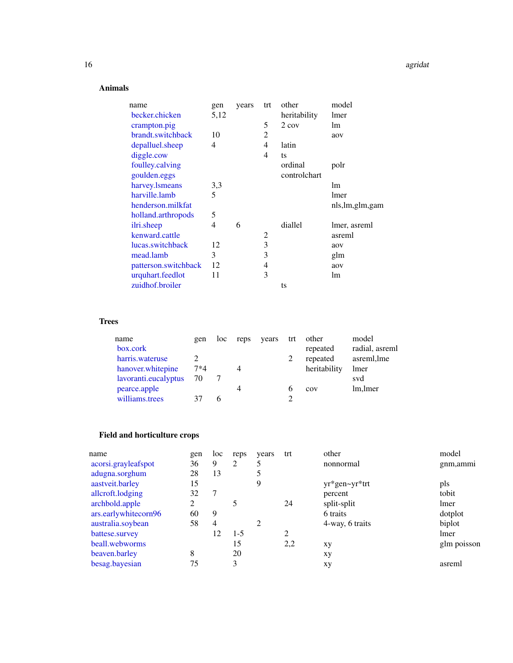# Animals

| name                 | gen  | years | trt            | other        | model             |
|----------------------|------|-------|----------------|--------------|-------------------|
| becker.chicken       | 5,12 |       |                | heritability | lmer              |
| crampton.pig         |      |       | 5              | $2 \cos$     | lm                |
| brandt.switchback    | 10   |       | $\overline{c}$ |              | aov               |
| depalluel.sheep      | 4    |       | 4              | latin        |                   |
| diggle.cow           |      |       | 4              | ts           |                   |
| foulley.calving      |      |       |                | ordinal      | polr              |
| goulden.eggs         |      |       |                | controlchart |                   |
| harvey.lsmeans       | 3,3  |       |                |              | lm                |
| harville.lamb        | 5    |       |                |              | lmer              |
| henderson.milkfat    |      |       |                |              | nls, lm, glm, gam |
| holland.arthropods   | 5    |       |                |              |                   |
| ilri.sheep           | 4    | 6     |                | diallel      | lmer, asreml      |
| kenward.cattle       |      |       | 2              |              | asreml            |
| lucas.switchback     | 12   |       | 3              |              | aov               |
| mead.lamb            | 3    |       | 3              |              | glm               |
| patterson.switchback | 12   |       | 4              |              | aov               |
| urquhart.feedlot     | 11   |       | 3              |              | lm                |
| zuidhof.broiler      |      |       |                | ts           |                   |

# Trees

| name                 | gen   | loc | reps | years | trt | other        | model          |
|----------------------|-------|-----|------|-------|-----|--------------|----------------|
| box.cork             |       |     |      |       |     | repeated     | radial, asreml |
| harris.wateruse      |       |     |      |       |     | repeated     | asreml, lme    |
| hanover, white pine  | $7*4$ |     |      |       |     | heritability | lmer           |
| lavoranti.eucalyptus | 70    |     |      |       |     |              | svd            |
| pearce.apple         |       |     | 4    |       |     | COV          | lm, lmer       |
| williams.trees       |       |     |      |       |     |              |                |

# Field and horticulture crops

| name                 | gen | loc            | reps    | years | trt | other           | model       |
|----------------------|-----|----------------|---------|-------|-----|-----------------|-------------|
| acorsi.grayleafspot  | 36  | 9              | 2       |       |     | nonnormal       | gnm, ammi   |
| adugna.sorghum       | 28  | 13             |         |       |     |                 |             |
| aastveit.barley      | 15  |                |         | 9     |     | yr*gen~yr*trt   | pls         |
| allcroft.lodging     | 32  |                |         |       |     | percent         | tobit       |
| archbold.apple       | ∍   |                |         |       | 24  | split-split     | lmer        |
| ars.earlywhitecorn96 | 60  | 9              |         |       |     | 6 traits        | dotplot     |
| australia.soybean    | 58  | $\overline{4}$ |         | 2     |     | 4-way, 6 traits | biplot      |
| battese.survey       |     | 12             | $1 - 5$ |       | 2   |                 | lmer        |
| beall.webworms       |     |                | 15      |       | 2,2 | xy              | glm poisson |
| beaven.barley        | 8   |                | 20      |       |     | xу              |             |
| besag.bayesian       | 75  |                | 3       |       |     | xу              | asreml      |
|                      |     |                |         |       |     |                 |             |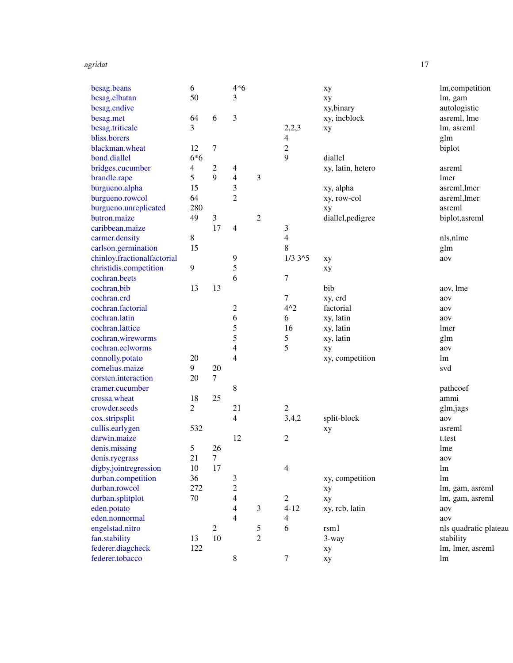#### agridat til 17. mars 17. mars 17. mars 17. mars 17. mars 17. mars 17. mars 17. mars 17. mars 17. mars 17. mars

| besag.beans                 | $\sqrt{6}$       |                | $4*6$          |                |                | xy                | lm,competition        |
|-----------------------------|------------------|----------------|----------------|----------------|----------------|-------------------|-----------------------|
| besag.elbatan               | 50               |                | 3              |                |                | xy                | lm, gam               |
| besag.endive                |                  |                |                |                |                | xy,binary         | autologistic          |
| besag.met                   | 64               | 6              | 3              |                |                | xy, incblock      | asreml, lme           |
| besag.triticale             | 3                |                |                |                | 2,2,3          | xy                | lm, asreml            |
| bliss.borers                |                  |                |                |                | 4              |                   | glm                   |
| blackman.wheat              | 12               | $\tau$         |                |                | $\overline{c}$ |                   | biplot                |
| bond.diallel                | $6*6$            |                |                |                | 9              | diallel           |                       |
| bridges.cucumber            | 4                | $\overline{c}$ | 4              |                |                | xy, latin, hetero | asreml                |
| brandle.rape                | 5                | 9              | 4              | 3              |                |                   | lmer                  |
| burgueno.alpha              | 15               |                | 3              |                |                | xy, alpha         | asreml, lmer          |
| burgueno.rowcol             | 64               |                | 2              |                |                | xy, row-col       | asreml, lmer          |
| burgueno.unreplicated       | 280              |                |                |                |                | xy                | asreml                |
| butron.maize                | 49               | $\mathfrak{Z}$ |                | $\mathfrak 2$  |                | diallel, pedigree | biplot, asreml        |
| caribbean.maize             |                  | 17             | 4              |                | 3              |                   |                       |
| carmer.density              | 8                |                |                |                | 4              |                   | nls,nlme              |
| carlson.germination         | 15               |                |                |                | 8              |                   | glm                   |
| chinloy.fractionalfactorial |                  |                | 9              |                | $1/3$ $3^{5}$  | xy                | aov                   |
| christidis.competition      | $\boldsymbol{9}$ |                | 5              |                |                | xy                |                       |
| cochran.beets               |                  |                | 6              |                | 7              |                   |                       |
| cochran.bib                 | 13               | 13             |                |                |                | bib               | aov, lme              |
| cochran.crd                 |                  |                |                |                | $\tau$         | xy, crd           | aov                   |
| cochran.factorial           |                  |                | $\overline{c}$ |                | $4^{\wedge}2$  | factorial         | aov                   |
| cochran.latin               |                  |                | 6              |                | 6              | xy, latin         | aov                   |
| cochran.lattice             |                  |                | 5              |                | 16             | xy, latin         | lmer                  |
| cochran.wireworms           |                  |                | 5              |                | 5              | xy, latin         | glm                   |
| cochran.eelworms            |                  |                | 4              |                | 5              | xy                | aov                   |
| connolly.potato             | 20               |                | 4              |                |                | xy, competition   | lm                    |
| cornelius.maize             | 9                | 20             |                |                |                |                   | svd                   |
| corsten.interaction         | 20               | $\tau$         |                |                |                |                   |                       |
| cramer.cucumber             |                  |                | 8              |                |                |                   | pathcoef              |
| crossa.wheat                | 18               | 25             |                |                |                |                   | ammi                  |
| crowder.seeds               | 2                |                | 21             |                | $\sqrt{2}$     |                   | glm, jags             |
| cox.stripsplit              |                  |                | 4              |                | 3,4,2          | split-block       | aov                   |
| cullis.earlygen             | 532              |                |                |                |                | xy                | asreml                |
| darwin.maize                |                  |                | 12             |                | 2              |                   | t.test                |
| denis.missing               | 5                | 26             |                |                |                |                   | lme                   |
| denis.ryegrass              | 21               | $\tau$         |                |                |                |                   | aov                   |
| digby.jointregression       | 10               | 17             |                |                | 4              |                   | lm                    |
| durban.competition          | 36               |                | 3              |                |                | xy, competition   | lm                    |
| durban.rowcol               | 272              |                | $\overline{c}$ |                |                | xy                | lm, gam, asreml       |
| durban.splitplot            | 70               |                | 4              |                | 2              | xy                | lm, gam, asreml       |
| eden.potato                 |                  |                | 4              | 3              | $4 - 12$       | xy, rcb, latin    | aov                   |
| eden.nonnormal              |                  |                | 4              |                | 4              |                   | aov                   |
| engelstad.nitro             |                  | $\overline{c}$ |                | 5              | 6              | rsm1              | nls quadratic plateau |
| fan.stability               | 13               | 10             |                | $\overline{c}$ |                | $3$ -way          | stability             |
| federer.diagcheck           | 122              |                |                |                |                | xy                | lm, lmer, asreml      |
| federer.tobacco             |                  |                | 8              |                | 7              | xy                | lm                    |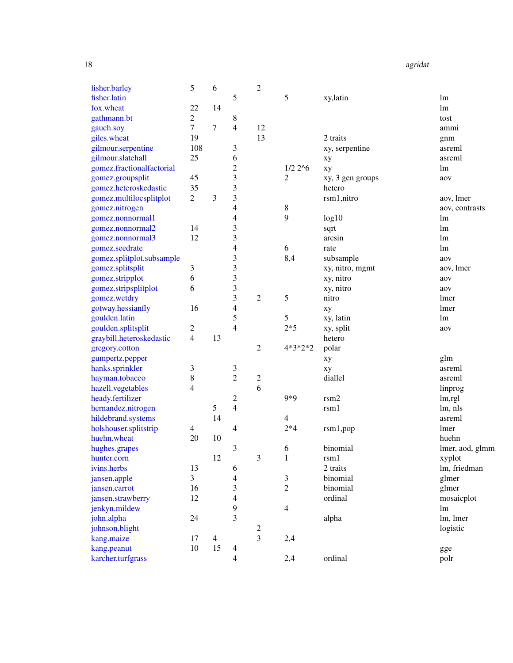18 agridat and the set of the set of the set of the set of the set of the set of the set of the set of the set of the set of the set of the set of the set of the set of the set of the set of the set of the set of the set o

| fisher.barley             | 5              | 6              |                | $\overline{c}$          |                |                  |                 |
|---------------------------|----------------|----------------|----------------|-------------------------|----------------|------------------|-----------------|
| fisher.latin              |                |                | 5              |                         | 5              | xy,latin         | lm              |
| fox.wheat                 | 22             | 14             |                |                         |                |                  | lm              |
| gathmann.bt               | $\overline{c}$ |                | 8              |                         |                |                  | tost            |
| gauch.soy                 | 7              | 7              | 4              | 12                      |                |                  | ammi            |
| giles.wheat               | 19             |                |                | 13                      |                | 2 traits         | gnm             |
| gilmour.serpentine        | 108            |                | 3              |                         |                | xy, serpentine   | asreml          |
| gilmour.slatehall         | 25             |                | 6              |                         |                | xy               | asreml          |
| gomez.fractionalfactorial |                |                | 2              |                         | $1/2$ $2^6$    | xy               | lm              |
| gomez.groupsplit          | 45             |                | 3              |                         | 2              | xy, 3 gen groups | aov             |
| gomez.heteroskedastic     | 35             |                | 3              |                         |                | hetero           |                 |
| gomez.multilocsplitplot   | $\overline{2}$ | 3              | 3              |                         |                | rsm1,nitro       | aov, lmer       |
| gomez.nitrogen            |                |                | 4              |                         | 8              |                  | aov, contrasts  |
| gomez.nonnormal1          |                |                | 4              |                         | 9              | log10            | lm              |
| gomez.nonnormal2          | 14             |                | 3              |                         |                |                  | lm              |
|                           | 12             |                | 3              |                         |                | sqrt<br>arcsin   | lm              |
| gomez.nonnormal3          |                |                |                |                         |                |                  |                 |
| gomez.seedrate            |                |                | 4              |                         | 6              | rate             | lm              |
| gomez.splitplot.subsample |                |                | 3              |                         | 8,4            | subsample        | aov             |
| gomez.splitsplit          | 3              |                | 3              |                         |                | xy, nitro, mgmt  | aov, lmer       |
| gomez.stripplot           | 6              |                | 3              |                         |                | xy, nitro        | aov             |
| gomez.stripsplitplot      | 6              |                | 3              |                         |                | xy, nitro        | aov             |
| gomez.wetdry              |                |                | 3              | $\mathfrak{2}$          | 5              | nitro            | lmer            |
| gotway.hessianfly         | 16             |                | 4              |                         |                | xy               | lmer            |
| goulden.latin             |                |                | 5              |                         | 5              | xy, latin        | lm              |
| goulden.splitsplit        | 2              |                | 4              |                         | $2*5$          | xy, split        | aov             |
| graybill.heteroskedastic  | 4              | 13             |                |                         |                | hetero           |                 |
| gregory.cotton            |                |                |                | 2                       | 4*3*2*2        | polar            |                 |
| gumpertz.pepper           |                |                |                |                         |                | xy               | glm             |
| hanks.sprinkler           | 3              |                | 3              |                         |                | xy               | asreml          |
| hayman.tobacco            | 8              |                | $\overline{c}$ | $\overline{\mathbf{c}}$ |                | diallel          | asreml          |
| hazell.vegetables         | 4              |                |                | 6                       |                |                  | linprog         |
| heady.fertilizer          |                |                | 2              |                         | $9*9$          | rsm2             | lm,rgl          |
| hernandez.nitrogen        |                | 5              | $\overline{4}$ |                         |                | r s m 1          | lm, nls         |
| hildebrand.systems        |                | 14             |                |                         | 4              |                  | asreml          |
| holshouser.splitstrip     | 4              |                | 4              |                         | $2*4$          | rsm1, pop        | lmer            |
| huehn.wheat               | 20             | 10             |                |                         |                |                  | huehn           |
| hughes.grapes             |                |                | 3              |                         | 6              | binomial         | lmer, aod, glmm |
| hunter.corn               |                | 12             |                | 3                       | 1              | r s m 1          | xyplot          |
| ivins.herbs               | 13             |                | 6              |                         |                | 2 traits         | lm, friedman    |
| jansen.apple              | 3              |                | 4              |                         | 3              | binomial         | glmer           |
| jansen.carrot             | 16             |                | 3              |                         | $\overline{2}$ | binomial         | glmer           |
| jansen.strawberry         | 12             |                | 4              |                         |                | ordinal          |                 |
|                           |                |                | 9              |                         |                |                  | mosaicplot      |
| jenkyn.mildew             |                |                |                |                         | 4              |                  | lm              |
| john.alpha                | 24             |                | 3              |                         |                | alpha            | lm, lmer        |
| johnson.blight            |                |                |                | 2                       |                |                  | logistic        |
| kang.maize                | 17             | $\overline{4}$ |                | $\overline{3}$          | 2,4            |                  |                 |
| kang.peanut               | 10             | 15             | 4              |                         |                |                  | gge             |
| karcher.turfgrass         |                |                | 4              |                         | 2,4            | ordinal          | polr            |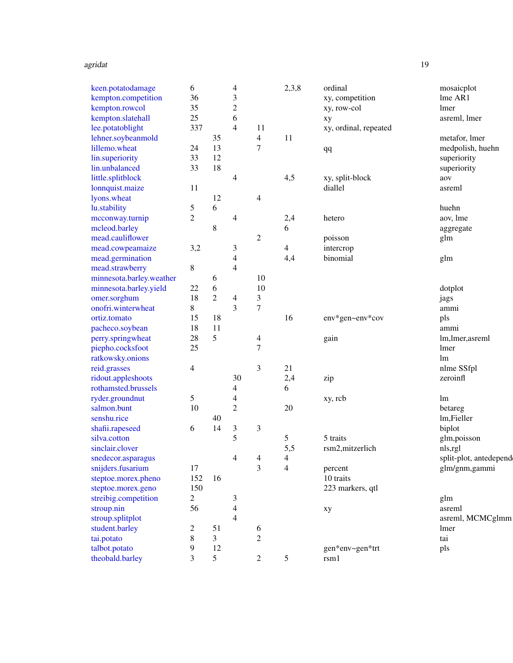#### agridat til 1900-tallet som står stora som står stora som står stora som står som står som står som står som s

| keen.potatodamage        | 6              |                | 4              |                | 2,3,8          | ordinal               | mosaicplot             |
|--------------------------|----------------|----------------|----------------|----------------|----------------|-----------------------|------------------------|
| kempton.competition      | 36             |                | 3              |                |                | xy, competition       | lme AR1                |
| kempton.rowcol           | 35             |                | $\overline{c}$ |                |                | xy, row-col           | lmer                   |
| kempton.slatehall        | 25             |                | 6              |                |                | xy                    | asreml, lmer           |
| lee.potatoblight         | 337            |                | $\overline{4}$ | 11             |                | xy, ordinal, repeated |                        |
| lehner.soybeanmold       |                | 35             |                | $\overline{4}$ | 11             |                       | metafor, lmer          |
| lillemo.wheat            | 24             | 13             |                | 7              |                | qq                    | medpolish, huehn       |
| lin.superiority          | 33             | 12             |                |                |                |                       | superiority            |
| lin.unbalanced           | 33             | 18             |                |                |                |                       | superiority            |
| little.splitblock        |                |                | 4              |                | 4,5            | xy, split-block       | aov                    |
| lonnquist.maize          | 11             |                |                |                |                | diallel               | asreml                 |
| lyons.wheat              |                | 12             |                | 4              |                |                       |                        |
| lu.stability             | 5              | 6              |                |                |                |                       | huehn                  |
| mcconway.turnip          | $\overline{c}$ |                | 4              |                | 2,4            | hetero                | aov, lme               |
| mcleod.barley            |                | 8              |                |                | 6              |                       | aggregate              |
| mead.cauliflower         |                |                |                | 2              |                | poisson               | glm                    |
| mead.cowpeamaize         | 3,2            |                | 3              |                | $\overline{4}$ | intercrop             |                        |
| mead.germination         |                |                | 4              |                | 4,4            | binomial              | glm                    |
| mead.strawberry          | 8              |                | 4              |                |                |                       |                        |
| minnesota.barley.weather |                | 6              |                | 10             |                |                       |                        |
| minnesota.barley.yield   | 22             | 6              |                | 10             |                |                       | dotplot                |
| omer.sorghum             | 18             | $\overline{c}$ | 4              | 3              |                |                       | jags                   |
| onofri.winterwheat       | 8              |                | 3              | 7              |                |                       | ammi                   |
| ortiz.tomato             | 15             | 18             |                |                | 16             | env*gen~env*cov       | pls                    |
| pacheco.soybean          | 18             | 11             |                |                |                |                       | ammi                   |
|                          | 28             | 5              |                |                |                |                       |                        |
| perry.springwheat        |                |                |                | 4<br>7         |                | gain                  | lm, lmer, asreml       |
| piepho.cocksfoot         | 25             |                |                |                |                |                       | lmer                   |
| ratkowsky.onions         |                |                |                |                |                |                       | lm                     |
| reid.grasses             | 4              |                |                | 3              | 21             |                       | nlme SSfpl             |
| ridout.appleshoots       |                |                | 30             |                | 2,4            | zip                   | zeroinfl               |
| rothamsted.brussels      |                |                | 4              |                | 6              |                       |                        |
| ryder.groundnut          | 5              |                | 4              |                |                | xy, rcb               | lm                     |
| salmon.bunt              | 10             |                | $\overline{c}$ |                | 20             |                       | betareg                |
| senshu.rice              |                | 40             |                |                |                |                       | lm, Fieller            |
| shafii.rapeseed          | 6              | 14             | 3              | 3              |                |                       | biplot                 |
| silva.cotton             |                |                | 5              |                | 5              | 5 traits              | glm,poisson            |
| sinclair.clover          |                |                |                |                | 5,5            | rsm2,mitzerlich       | nls,rgl                |
| snedecor.asparagus       |                |                | Δ              | $\Lambda$      | 4              |                       | split-plot, antedepend |
| snijders.fusarium        | 17             |                |                | 3              | 4              | percent               | glm/gnm,gammi          |
| steptoe.morex.pheno      | 152            | 16             |                |                |                | 10 traits             |                        |
| steptoe.morex.geno       | 150            |                |                |                |                | 223 markers, qtl      |                        |
| streibig.competition     | $\overline{c}$ |                | 3              |                |                |                       | glm                    |
| stroup.nin               | 56             |                | 4              |                |                | xy                    | asreml                 |
| stroup.splitplot         |                |                | 4              |                |                |                       | asreml, MCMCglmm       |
| student.barley           | 2              | 51             |                | 6              |                |                       | lmer                   |
| tai.potato               | 8              | 3              |                | $\overline{c}$ |                |                       | tai                    |
| talbot.potato            | 9              | 12             |                |                |                | gen*env~gen*trt       | pls                    |
| theobald.barley          | 3              | 5              |                | $\overline{c}$ | 5              | rsm1                  |                        |
|                          |                |                |                |                |                |                       |                        |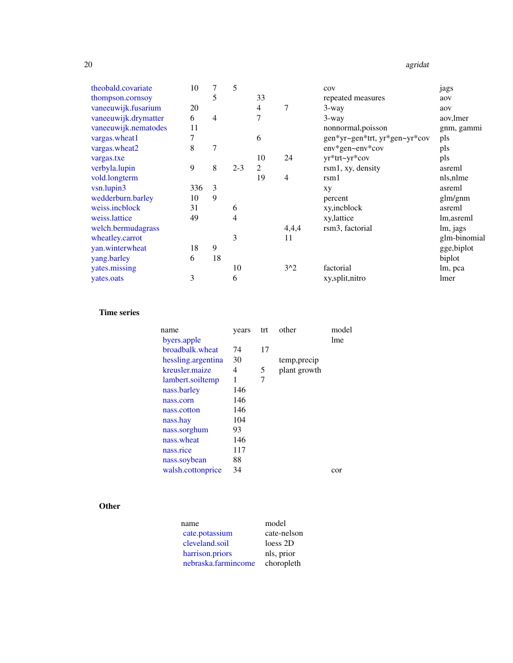#### 20 agridation and the contract of the contract of the contract of the contract of the contract of the contract of the contract of the contract of the contract of the contract of the contract of the contract of the contract

| theobald.covariate   | 10  | 7              | 5       |                |                | cov                           | jags         |
|----------------------|-----|----------------|---------|----------------|----------------|-------------------------------|--------------|
| thompson.cornsoy     |     | 5              |         | 33             |                | repeated measures             | aov          |
| vaneeuwijk.fusarium  | 20  |                |         | 4              | 7              | 3-way                         | aov          |
| vaneeuwijk.drymatter | 6   | $\overline{4}$ |         | 7              |                | 3-way                         | aov, lmer    |
| vaneeuwijk.nematodes | 11  |                |         |                |                | nonnormal, poisson            | gnm, gammi   |
| vargas.wheat1        | 7   |                |         | 6              |                | gen*yr~gen*trt, yr*gen~yr*cov | pls          |
| vargas.wheat2        | 8   | 7              |         |                |                | env*gen~env*cov               | pls          |
| vargas.txe           |     |                |         | 10             | 24             | yr*trt~yr*cov                 | pls          |
| verbyla.lupin        | 9   | 8              | $2 - 3$ | $\overline{2}$ |                | rsm1, xy, density             | asreml       |
| vold.longterm        |     |                |         | 19             | $\overline{4}$ | rm1                           | nls, nlme    |
| vsn.lupin3           | 336 | 3              |         |                |                | xy                            | asreml       |
| wedderburn.barley    | 10  | 9              |         |                |                | percent                       | glm/gnm      |
| weiss.incblock       | 31  |                | 6       |                |                | xy,incblock                   | asreml       |
| weiss.lattice        | 49  |                | 4       |                |                | xy, lattice                   | lm, asreml   |
| welch.bermudagrass   |     |                |         |                | 4,4,4          | rsm <sub>3</sub> , factorial  | lm, jags     |
| wheatley.carrot      |     |                | 3       |                | 11             |                               | glm-binomial |
| yan.winterwheat      | 18  | 9              |         |                |                |                               | gge, biplot  |
| yang.barley          | 6   | 18             |         |                |                |                               | biplot       |
| yates.missing        |     |                | 10      |                | $3^2$          | factorial                     | lm, pca      |
| yates.oats           | 3   |                | 6       |                |                | xy,split,nitro                | lmer         |

# Time series

| name               | years | trt | other        | model |
|--------------------|-------|-----|--------------|-------|
| byers.apple        |       |     |              | lme   |
| broadbalk, wheat   | 74    | 17  |              |       |
| hessling.argentina | 30    |     | temp, precip |       |
| kreusler, maize    | 4     | 5   | plant growth |       |
| lambert.soiltemp   | 1     | 7   |              |       |
| nass.barley        | 146   |     |              |       |
| nass.corn          | 146   |     |              |       |
| nass.cotton        | 146   |     |              |       |
| nass.hay           | 104   |     |              |       |
| nass.sorghum       | 93    |     |              |       |
| nass.wheat         | 146   |     |              |       |
| nass.rice          | 117   |     |              |       |
| nass.soybean       | 88    |     |              |       |
| walsh.cottonprice  | 34    |     |              | cor   |

# **Other**

| name                | model       |
|---------------------|-------------|
| cate.potassium      | cate-nelson |
| cleveland.soil      | loess 2D    |
| harrison.priors     | nls, prior  |
| nebraska.farmincome | choropleth  |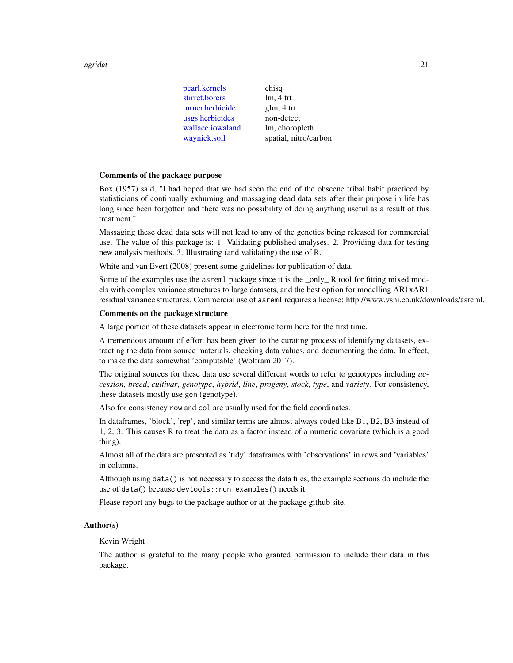agridat 21

| pearl.kernels    | chisq                 |
|------------------|-----------------------|
| stirret.borers   | $lm, 4$ trt           |
| turner.herbicide | glm, 4 trt            |
| usgs.herbicides  | non-detect            |
| wallace.iowaland | lm, choropleth        |
| waynick.soil     | spatial, nitro/carbon |
|                  |                       |

#### Comments of the package purpose

Box (1957) said, "I had hoped that we had seen the end of the obscene tribal habit practiced by statisticians of continually exhuming and massaging dead data sets after their purpose in life has long since been forgotten and there was no possibility of doing anything useful as a result of this treatment."

Massaging these dead data sets will not lead to any of the genetics being released for commercial use. The value of this package is: 1. Validating published analyses. 2. Providing data for testing new analysis methods. 3. Illustrating (and validating) the use of R.

White and van Evert (2008) present some guidelines for publication of data.

Some of the examples use the asreml package since it is the \_only\_ R tool for fitting mixed models with complex variance structures to large datasets, and the best option for modelling AR1xAR1 residual variance structures. Commercial use of asreml requires a license: http://www.vsni.co.uk/downloads/asreml.

#### Comments on the package structure

A large portion of these datasets appear in electronic form here for the first time.

A tremendous amount of effort has been given to the curating process of identifying datasets, extracting the data from source materials, checking data values, and documenting the data. In effect, to make the data somewhat 'computable' (Wolfram 2017).

The original sources for these data use several different words to refer to genotypes including *accession*, *breed*, *cultivar*, *genotype*, *hybrid*, *line*, *progeny*, *stock*, *type*, and *variety*. For consistency, these datasets mostly use gen (genotype).

Also for consistency row and col are usually used for the field coordinates.

In dataframes, 'block', 'rep', and similar terms are almost always coded like B1, B2, B3 instead of 1, 2, 3. This causes R to treat the data as a factor instead of a numeric covariate (which is a good thing).

Almost all of the data are presented as 'tidy' dataframes with 'observations' in rows and 'variables' in columns.

Although using data() is not necessary to access the data files, the example sections do include the use of data() because devtools::run\_examples() needs it.

Please report any bugs to the package author or at the package github site.

#### Author(s)

## Kevin Wright

The author is grateful to the many people who granted permission to include their data in this package.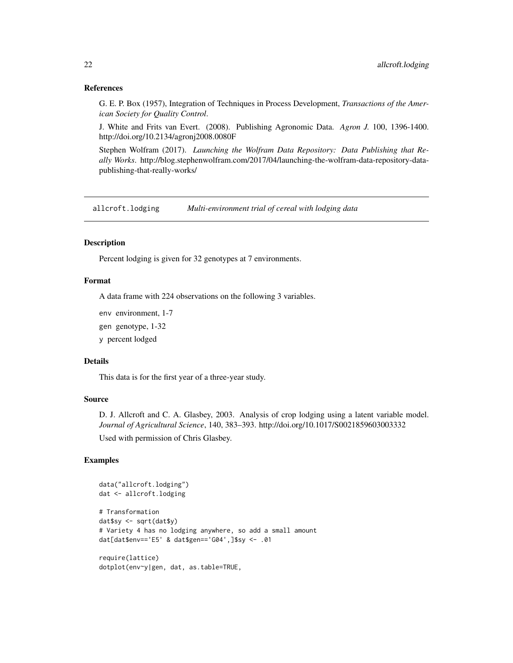#### References

G. E. P. Box (1957), Integration of Techniques in Process Development, *Transactions of the American Society for Quality Control*.

J. White and Frits van Evert. (2008). Publishing Agronomic Data. *Agron J.* 100, 1396-1400. http://doi.org/10.2134/agronj2008.0080F

Stephen Wolfram (2017). *Launching the Wolfram Data Repository: Data Publishing that Really Works*. http://blog.stephenwolfram.com/2017/04/launching-the-wolfram-data-repository-datapublishing-that-really-works/

<span id="page-21-1"></span>allcroft.lodging *Multi-environment trial of cereal with lodging data*

#### **Description**

Percent lodging is given for 32 genotypes at 7 environments.

# Format

A data frame with 224 observations on the following 3 variables.

env environment, 1-7

gen genotype, 1-32

y percent lodged

#### Details

This data is for the first year of a three-year study.

#### Source

D. J. Allcroft and C. A. Glasbey, 2003. Analysis of crop lodging using a latent variable model. *Journal of Agricultural Science*, 140, 383–393. http://doi.org/10.1017/S0021859603003332

Used with permission of Chris Glasbey.

```
data("allcroft.lodging")
dat <- allcroft.lodging
# Transformation
dat$sy <- sqrt(dat$y)
# Variety 4 has no lodging anywhere, so add a small amount
dat[dat$env=='E5' & dat$gen=='G04',]$sy <- .01
require(lattice)
dotplot(env~y|gen, dat, as.table=TRUE,
```
<span id="page-21-0"></span>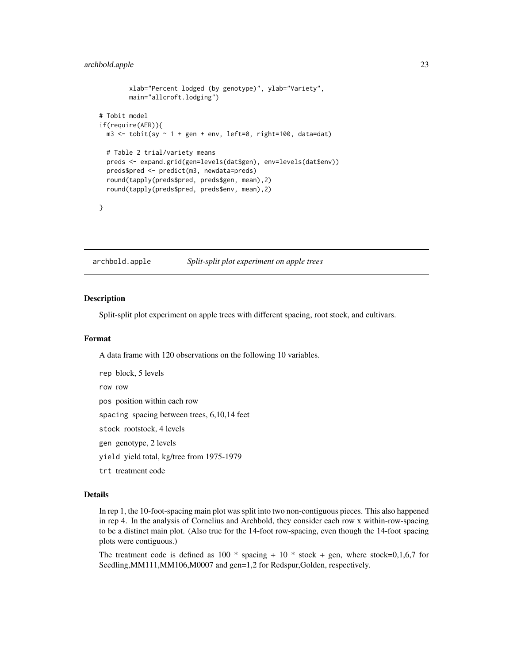```
xlab="Percent lodged (by genotype)", ylab="Variety",
        main="allcroft.lodging")
# Tobit model
if(require(AER)){
 m3 <- tobit(sy \sim 1 + gen + env, left=0, right=100, data=dat)
 # Table 2 trial/variety means
 preds <- expand.grid(gen=levels(dat$gen), env=levels(dat$env))
 preds$pred <- predict(m3, newdata=preds)
 round(tapply(preds$pred, preds$gen, mean),2)
 round(tapply(preds$pred, preds$env, mean),2)
}
```
<span id="page-22-1"></span>archbold.apple *Split-split plot experiment on apple trees*

#### Description

Split-split plot experiment on apple trees with different spacing, root stock, and cultivars.

#### Format

A data frame with 120 observations on the following 10 variables.

rep block, 5 levels row row pos position within each row

spacing spacing between trees, 6,10,14 feet

stock rootstock, 4 levels

gen genotype, 2 levels

yield yield total, kg/tree from 1975-1979

trt treatment code

# Details

In rep 1, the 10-foot-spacing main plot was split into two non-contiguous pieces. This also happened in rep 4. In the analysis of Cornelius and Archbold, they consider each row x within-row-spacing to be a distinct main plot. (Also true for the 14-foot row-spacing, even though the 14-foot spacing plots were contiguous.)

The treatment code is defined as 100  $*$  spacing + 10  $*$  stock + gen, where stock=0,1,6,7 for Seedling,MM111,MM106,M0007 and gen=1,2 for Redspur,Golden, respectively.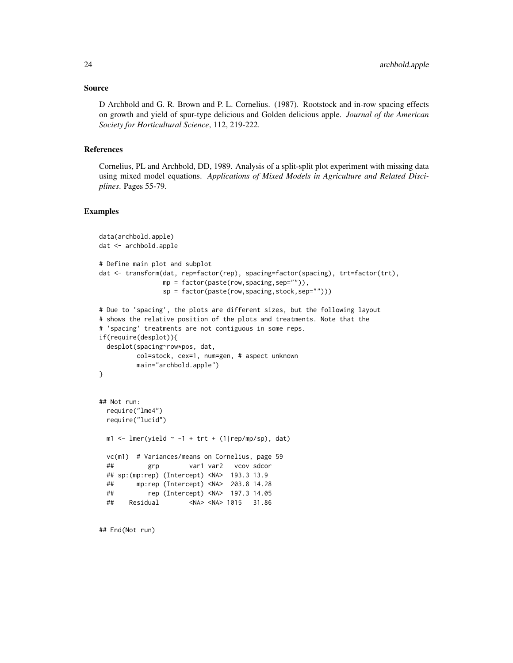#### Source

D Archbold and G. R. Brown and P. L. Cornelius. (1987). Rootstock and in-row spacing effects on growth and yield of spur-type delicious and Golden delicious apple. *Journal of the American Society for Horticultural Science*, 112, 219-222.

#### References

Cornelius, PL and Archbold, DD, 1989. Analysis of a split-split plot experiment with missing data using mixed model equations. *Applications of Mixed Models in Agriculture and Related Disciplines*. Pages 55-79.

#### Examples

```
data(archbold.apple)
dat <- archbold.apple
# Define main plot and subplot
dat <- transform(dat, rep=factor(rep), spacing=factor(spacing), trt=factor(trt),
                mp = factor(paste(row,spacing,sep="")),
                sp = factor(paste(row,spacing,stock,sep="")))
# Due to 'spacing', the plots are different sizes, but the following layout
# shows the relative position of the plots and treatments. Note that the
# 'spacing' treatments are not contiguous in some reps.
if(require(desplot)){
 desplot(spacing~row*pos, dat,
         col=stock, cex=1, num=gen, # aspect unknown
         main="archbold.apple")
}
## Not run:
 require("lme4")
 require("lucid")
 m1 <- lmer(yield \sim -1 + trt + (1|rep/mp/sp), dat)
 vc(m1) # Variances/means on Cornelius, page 59
 ## grp var1 var2 vcov sdcor
 ## sp:(mp:rep) (Intercept) <NA> 193.3 13.9
 ## mp:rep (Intercept) <NA> 203.8 14.28
 ## rep (Intercept) <NA> 197.3 14.05
 ## Residual <NA> <NA> 1015 31.86
```
## End(Not run)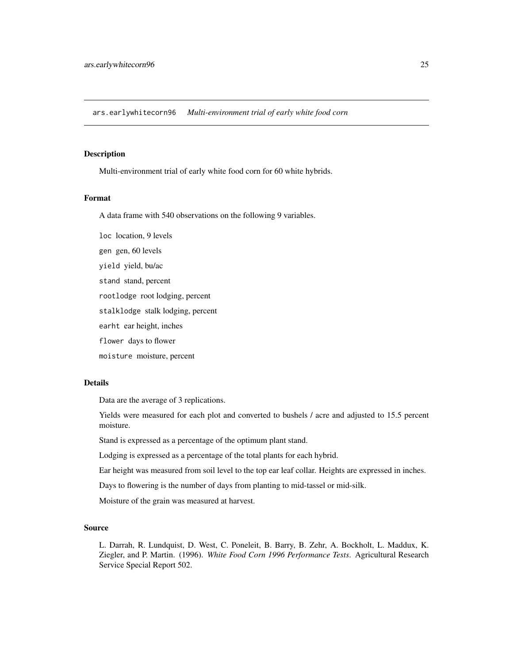<span id="page-24-1"></span><span id="page-24-0"></span>ars.earlywhitecorn96 *Multi-environment trial of early white food corn*

#### Description

Multi-environment trial of early white food corn for 60 white hybrids.

### Format

A data frame with 540 observations on the following 9 variables.

loc location, 9 levels

gen gen, 60 levels

yield yield, bu/ac

stand stand, percent

rootlodge root lodging, percent

stalklodge stalk lodging, percent

earht ear height, inches

flower days to flower

moisture moisture, percent

# Details

Data are the average of 3 replications.

Yields were measured for each plot and converted to bushels / acre and adjusted to 15.5 percent moisture.

Stand is expressed as a percentage of the optimum plant stand.

Lodging is expressed as a percentage of the total plants for each hybrid.

Ear height was measured from soil level to the top ear leaf collar. Heights are expressed in inches.

Days to flowering is the number of days from planting to mid-tassel or mid-silk.

Moisture of the grain was measured at harvest.

#### Source

L. Darrah, R. Lundquist, D. West, C. Poneleit, B. Barry, B. Zehr, A. Bockholt, L. Maddux, K. Ziegler, and P. Martin. (1996). *White Food Corn 1996 Performance Tests*. Agricultural Research Service Special Report 502.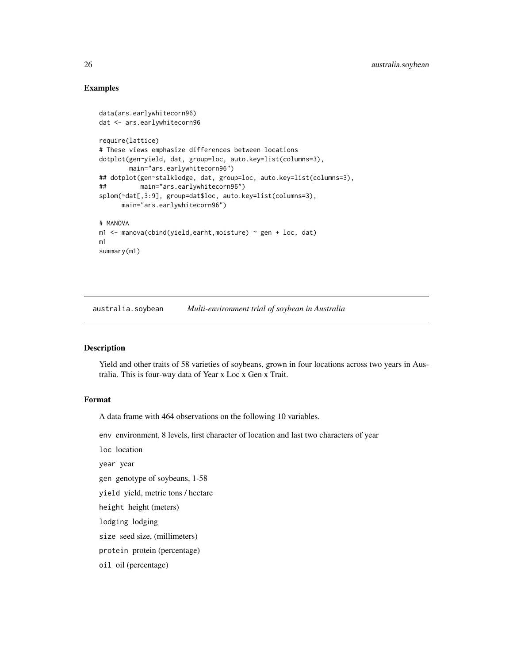# Examples

```
data(ars.earlywhitecorn96)
dat <- ars.earlywhitecorn96
require(lattice)
# These views emphasize differences between locations
dotplot(gen~yield, dat, group=loc, auto.key=list(columns=3),
        main="ars.earlywhitecorn96")
## dotplot(gen~stalklodge, dat, group=loc, auto.key=list(columns=3),
## main="ars.earlywhitecorn96")
splom(~dat[,3:9], group=dat$loc, auto.key=list(columns=3),
     main="ars.earlywhitecorn96")
# MANOVA
m1 <- manova(cbind(yield,earht,moisture) ~ gen + loc, dat)
m1
summary(m1)
```
<span id="page-25-1"></span>australia.soybean *Multi-environment trial of soybean in Australia*

#### Description

Yield and other traits of 58 varieties of soybeans, grown in four locations across two years in Australia. This is four-way data of Year x Loc x Gen x Trait.

#### Format

A data frame with 464 observations on the following 10 variables.

env environment, 8 levels, first character of location and last two characters of year

loc location

year year

gen genotype of soybeans, 1-58

yield yield, metric tons / hectare

height height (meters)

lodging lodging

size seed size, (millimeters)

protein protein (percentage)

oil oil (percentage)

<span id="page-25-0"></span>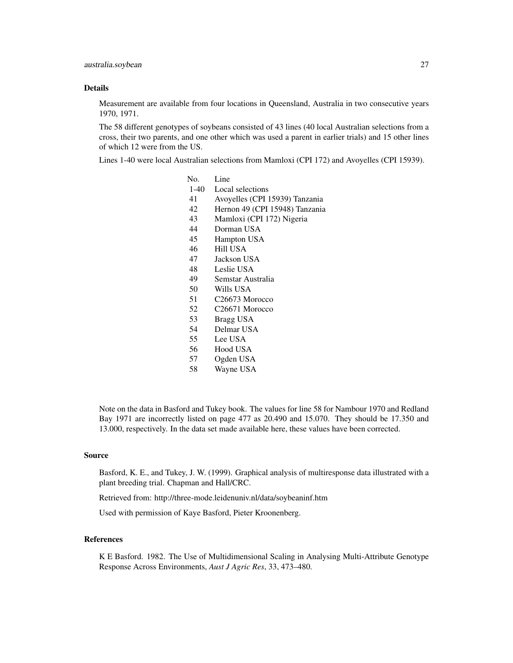#### Details

Measurement are available from four locations in Queensland, Australia in two consecutive years 1970, 1971.

The 58 different genotypes of soybeans consisted of 43 lines (40 local Australian selections from a cross, their two parents, and one other which was used a parent in earlier trials) and 15 other lines of which 12 were from the US.

Lines 1-40 were local Australian selections from Mamloxi (CPI 172) and Avoyelles (CPI 15939).

- No. Line
- 1-40 Local selections
- 41 Avoyelles (CPI 15939) Tanzania
- 42 Hernon 49 (CPI 15948) Tanzania
- 43 Mamloxi (CPI 172) Nigeria
- 44 Dorman USA
- 45 Hampton USA
- 46 Hill USA
- 47 Jackson USA
- 48 Leslie USA
- 49 Semstar Australia
- 50 Wills USA
- 51 C26673 Morocco
- 52 C26671 Morocco
- 53 Bragg USA
- 54 Delmar USA
- 55 Lee USA
- 56 Hood USA
- 57 Ogden USA
- 58 Wayne USA

Note on the data in Basford and Tukey book. The values for line 58 for Nambour 1970 and Redland Bay 1971 are incorrectly listed on page 477 as 20.490 and 15.070. They should be 17.350 and 13.000, respectively. In the data set made available here, these values have been corrected.

#### Source

Basford, K. E., and Tukey, J. W. (1999). Graphical analysis of multiresponse data illustrated with a plant breeding trial. Chapman and Hall/CRC.

Retrieved from: http://three-mode.leidenuniv.nl/data/soybeaninf.htm

Used with permission of Kaye Basford, Pieter Kroonenberg.

# References

K E Basford. 1982. The Use of Multidimensional Scaling in Analysing Multi-Attribute Genotype Response Across Environments, *Aust J Agric Res*, 33, 473–480.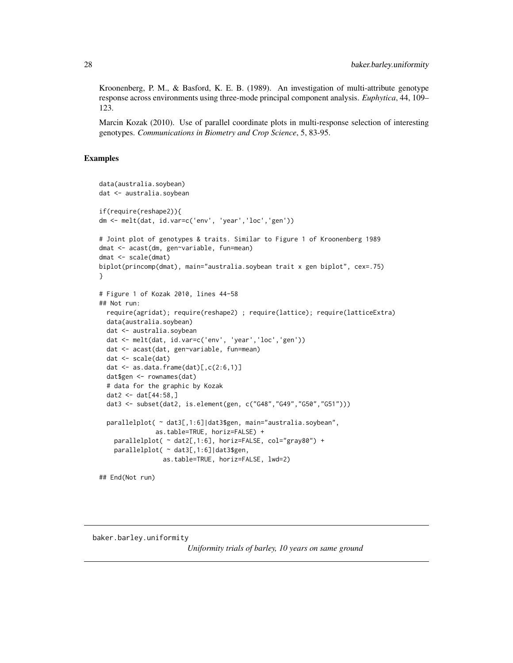<span id="page-27-0"></span>Kroonenberg, P. M., & Basford, K. E. B. (1989). An investigation of multi-attribute genotype response across environments using three-mode principal component analysis. *Euphytica*, 44, 109– 123.

Marcin Kozak (2010). Use of parallel coordinate plots in multi-response selection of interesting genotypes. *Communications in Biometry and Crop Science*, 5, 83-95.

#### Examples

```
data(australia.soybean)
dat <- australia.soybean
if(require(reshape2)){
dm <- melt(dat, id.var=c('env', 'year','loc','gen'))
# Joint plot of genotypes & traits. Similar to Figure 1 of Kroonenberg 1989
dmat <- acast(dm, gen~variable, fun=mean)
dmat <- scale(dmat)
biplot(princomp(dmat), main="australia.soybean trait x gen biplot", cex=.75)
}
# Figure 1 of Kozak 2010, lines 44-58
## Not run:
  require(agridat); require(reshape2) ; require(lattice); require(latticeExtra)
  data(australia.soybean)
  dat <- australia.soybean
  dat <- melt(dat, id.var=c('env', 'year','loc','gen'))
  dat <- acast(dat, gen~variable, fun=mean)
  dat <- scale(dat)
  dat \leq as.data.frame(dat)[,c(2:6,1)]
  dat$gen <- rownames(dat)
  # data for the graphic by Kozak
  dat2 <- dat[44:58,]
  dat3 <- subset(dat2, is.element(gen, c("G48","G49","G50","G51")))
  parallelplot( ~ dat3[,1:6]|dat3$gen, main="australia.soybean",
               as.table=TRUE, horiz=FALSE) +
    parallelplot( ~ dat2[,1:6], horiz=FALSE, col="gray80") +
    parallelplot( ~ dat3[,1:6]|dat3$gen,
                 as.table=TRUE, horiz=FALSE, lwd=2)
## End(Not run)
```
<span id="page-27-1"></span>baker.barley.uniformity

*Uniformity trials of barley, 10 years on same ground*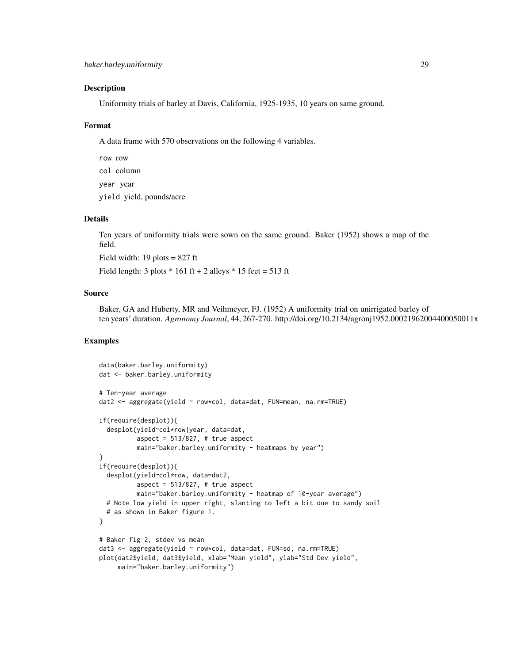#### Description

Uniformity trials of barley at Davis, California, 1925-1935, 10 years on same ground.

#### Format

A data frame with 570 observations on the following 4 variables.

row row col column year year yield yield, pounds/acre

#### Details

Ten years of uniformity trials were sown on the same ground. Baker (1952) shows a map of the field.

Field width: 19 plots = 827 ft

Field length:  $3$  plots  $*$  161 ft + 2 alleys  $*$  15 feet = 513 ft

#### Source

Baker, GA and Huberty, MR and Veihmeyer, FJ. (1952) A uniformity trial on unirrigated barley of ten years' duration. *Agronomy Journal*, 44, 267-270. http://doi.org/10.2134/agronj1952.00021962004400050011x

```
data(baker.barley.uniformity)
dat <- baker.barley.uniformity
# Ten-year average
dat2 <- aggregate(yield ~ row*col, data=dat, FUN=mean, na.rm=TRUE)
if(require(desplot)){
 desplot(yield~col*row|year, data=dat,
          aspect = 513/827, # true aspect
         main="baker.barley.uniformity - heatmaps by year")
}
if(require(desplot)){
 desplot(yield~col*row, data=dat2,
          aspect = 513/827, # true aspect
         main="baker.barley.uniformity - heatmap of 10-year average")
 # Note low yield in upper right, slanting to left a bit due to sandy soil
 # as shown in Baker figure 1.
}
# Baker fig 2, stdev vs mean
dat3 <- aggregate(yield ~ row*col, data=dat, FUN=sd, na.rm=TRUE)
plot(dat2$yield, dat3$yield, xlab="Mean yield", ylab="Std Dev yield",
    main="baker.barley.uniformity")
```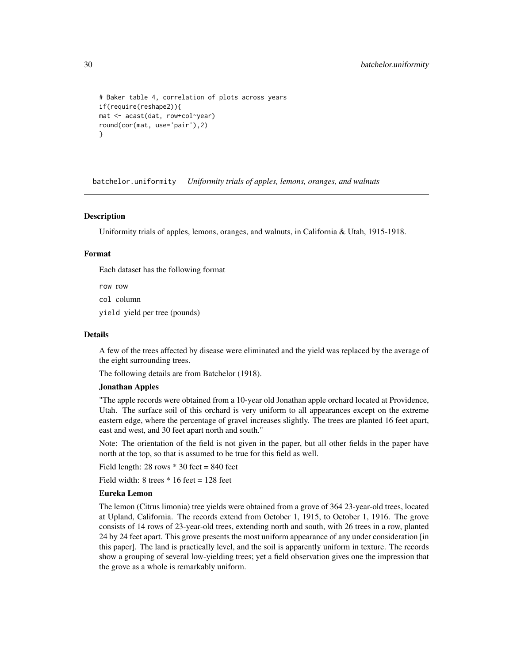```
# Baker table 4, correlation of plots across years
if(require(reshape2)){
mat <- acast(dat, row+col~year)
round(cor(mat, use='pair'),2)
}
```
batchelor.uniformity *Uniformity trials of apples, lemons, oranges, and walnuts*

#### <span id="page-29-1"></span>**Description**

Uniformity trials of apples, lemons, oranges, and walnuts, in California & Utah, 1915-1918.

#### Format

Each dataset has the following format

row row

col column

yield yield per tree (pounds)

#### Details

A few of the trees affected by disease were eliminated and the yield was replaced by the average of the eight surrounding trees.

The following details are from Batchelor (1918).

# Jonathan Apples

"The apple records were obtained from a 10-year old Jonathan apple orchard located at Providence, Utah. The surface soil of this orchard is very uniform to all appearances except on the extreme eastern edge, where the percentage of gravel increases slightly. The trees are planted 16 feet apart, east and west, and 30 feet apart north and south."

Note: The orientation of the field is not given in the paper, but all other fields in the paper have north at the top, so that is assumed to be true for this field as well.

Field length:  $28$  rows  $*$  30 feet = 840 feet

Field width:  $8$  trees  $*$  16 feet = 128 feet

#### Eureka Lemon

The lemon (Citrus limonia) tree yields were obtained from a grove of 364 23-year-old trees, located at Upland, California. The records extend from October 1, 1915, to October 1, 1916. The grove consists of 14 rows of 23-year-old trees, extending north and south, with 26 trees in a row, planted 24 by 24 feet apart. This grove presents the most uniform appearance of any under consideration [in this paper]. The land is practically level, and the soil is apparently uniform in texture. The records show a grouping of several low-yielding trees; yet a field observation gives one the impression that the grove as a whole is remarkably uniform.

<span id="page-29-0"></span>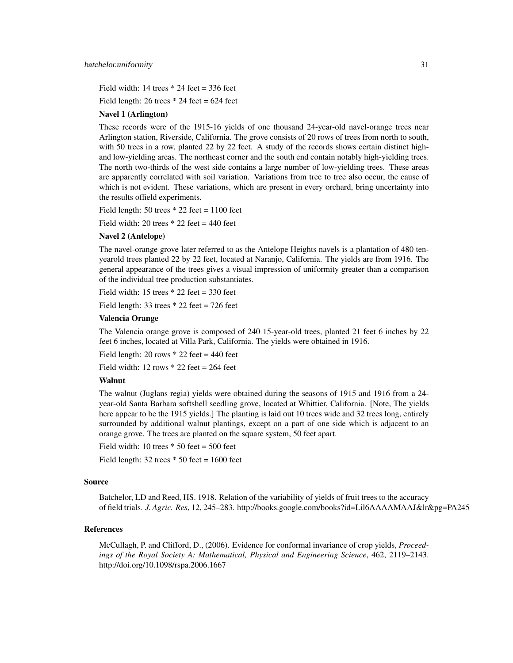Field width: 14 trees  $* 24$  feet = 336 feet

Field length: 26 trees  $*$  24 feet = 624 feet

#### Navel 1 (Arlington)

These records were of the 1915-16 yields of one thousand 24-year-old navel-orange trees near Arlington station, Riverside, California. The grove consists of 20 rows of trees from north to south, with 50 trees in a row, planted 22 by 22 feet. A study of the records shows certain distinct highand low-yielding areas. The northeast corner and the south end contain notably high-yielding trees. The north two-thirds of the west side contains a large number of low-yielding trees. These areas are apparently correlated with soil variation. Variations from tree to tree also occur, the cause of which is not evident. These variations, which are present in every orchard, bring uncertainty into the results offield experiments.

Field length:  $50$  trees  $* 22$  feet = 1100 feet

Field width: 20 trees  $*$  22 feet = 440 feet

#### Navel 2 (Antelope)

The navel-orange grove later referred to as the Antelope Heights navels is a plantation of 480 tenyearold trees planted 22 by 22 feet, located at Naranjo, California. The yields are from 1916. The general appearance of the trees gives a visual impression of uniformity greater than a comparison of the individual tree production substantiates.

Field width: 15 trees  $* 22$  feet = 330 feet

Field length: 33 trees  $* 22$  feet = 726 feet

#### Valencia Orange

The Valencia orange grove is composed of 240 15-year-old trees, planted 21 feet 6 inches by 22 feet 6 inches, located at Villa Park, California. The yields were obtained in 1916.

Field length:  $20$  rows  $*$  22 feet = 440 feet

Field width: 12 rows  $*$  22 feet = 264 feet

#### Walnut

The walnut (Juglans regia) yields were obtained during the seasons of 1915 and 1916 from a 24 year-old Santa Barbara softshell seedling grove, located at Whittier, California. [Note, The yields here appear to be the 1915 yields.] The planting is laid out 10 trees wide and 32 trees long, entirely surrounded by additional walnut plantings, except on a part of one side which is adjacent to an orange grove. The trees are planted on the square system, 50 feet apart.

Field width: 10 trees  $*$  50 feet = 500 feet

Field length:  $32$  trees  $*$  50 feet = 1600 feet

#### Source

Batchelor, LD and Reed, HS. 1918. Relation of the variability of yields of fruit trees to the accuracy of field trials. *J. Agric. Res*, 12, 245–283. http://books.google.com/books?id=Lil6AAAAMAAJ&lr&pg=PA245

#### References

McCullagh, P. and Clifford, D., (2006). Evidence for conformal invariance of crop yields, *Proceedings of the Royal Society A: Mathematical, Physical and Engineering Science*, 462, 2119–2143. http://doi.org/10.1098/rspa.2006.1667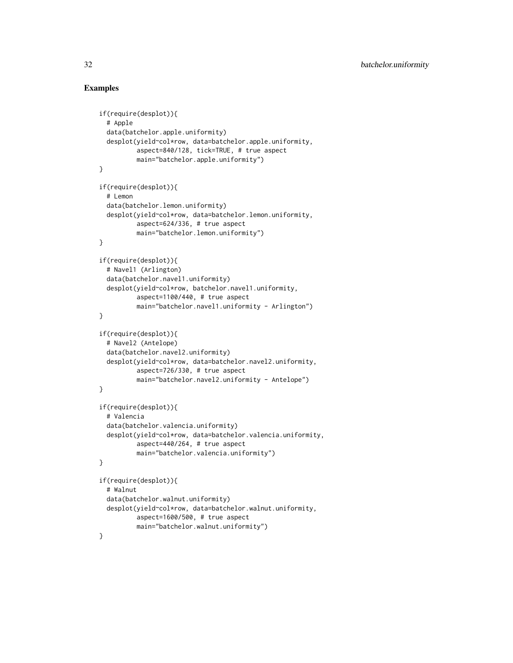```
if(require(desplot)){
 # Apple
 data(batchelor.apple.uniformity)
 desplot(yield~col*row, data=batchelor.apple.uniformity,
          aspect=840/128, tick=TRUE, # true aspect
          main="batchelor.apple.uniformity")
}
if(require(desplot)){
 # Lemon
 data(batchelor.lemon.uniformity)
 desplot(yield~col*row, data=batchelor.lemon.uniformity,
          aspect=624/336, # true aspect
         main="batchelor.lemon.uniformity")
}
if(require(desplot)){
 # Navel1 (Arlington)
 data(batchelor.navel1.uniformity)
 desplot(yield~col*row, batchelor.navel1.uniformity,
          aspect=1100/440, # true aspect
         main="batchelor.navel1.uniformity - Arlington")
}
if(require(desplot)){
 # Navel2 (Antelope)
 data(batchelor.navel2.uniformity)
 desplot(yield~col*row, data=batchelor.navel2.uniformity,
          aspect=726/330, # true aspect
          main="batchelor.navel2.uniformity - Antelope")
}
if(require(desplot)){
 # Valencia
 data(batchelor.valencia.uniformity)
 desplot(yield~col*row, data=batchelor.valencia.uniformity,
          aspect=440/264, # true aspect
         main="batchelor.valencia.uniformity")
}
if(require(desplot)){
 # Walnut
 data(batchelor.walnut.uniformity)
 desplot(yield~col*row, data=batchelor.walnut.uniformity,
          aspect=1600/500, # true aspect
         main="batchelor.walnut.uniformity")
}
```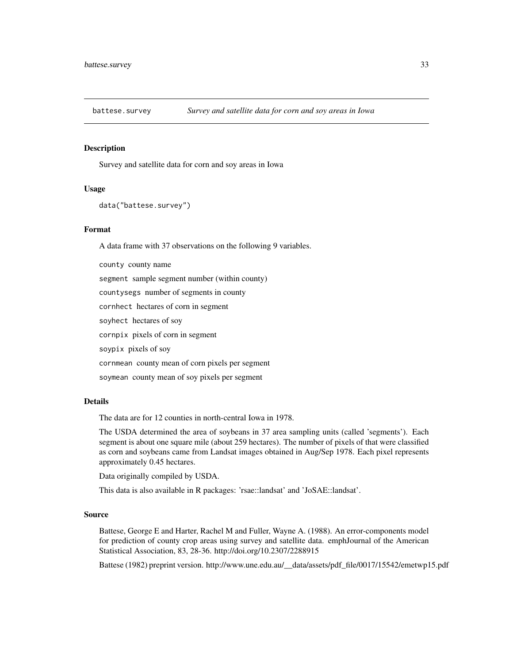<span id="page-32-1"></span><span id="page-32-0"></span>

#### Description

Survey and satellite data for corn and soy areas in Iowa

#### Usage

```
data("battese.survey")
```
#### Format

A data frame with 37 observations on the following 9 variables.

county county name segment sample segment number (within county) countysegs number of segments in county cornhect hectares of corn in segment soyhect hectares of soy cornpix pixels of corn in segment soypix pixels of soy cornmean county mean of corn pixels per segment soymean county mean of soy pixels per segment

#### Details

The data are for 12 counties in north-central Iowa in 1978.

The USDA determined the area of soybeans in 37 area sampling units (called 'segments'). Each segment is about one square mile (about 259 hectares). The number of pixels of that were classified as corn and soybeans came from Landsat images obtained in Aug/Sep 1978. Each pixel represents approximately 0.45 hectares.

Data originally compiled by USDA.

This data is also available in R packages: 'rsae::landsat' and 'JoSAE::landsat'.

#### Source

Battese, George E and Harter, Rachel M and Fuller, Wayne A. (1988). An error-components model for prediction of county crop areas using survey and satellite data. emphJournal of the American Statistical Association, 83, 28-36. http://doi.org/10.2307/2288915

Battese (1982) preprint version. http://www.une.edu.au/\_\_data/assets/pdf\_file/0017/15542/emetwp15.pdf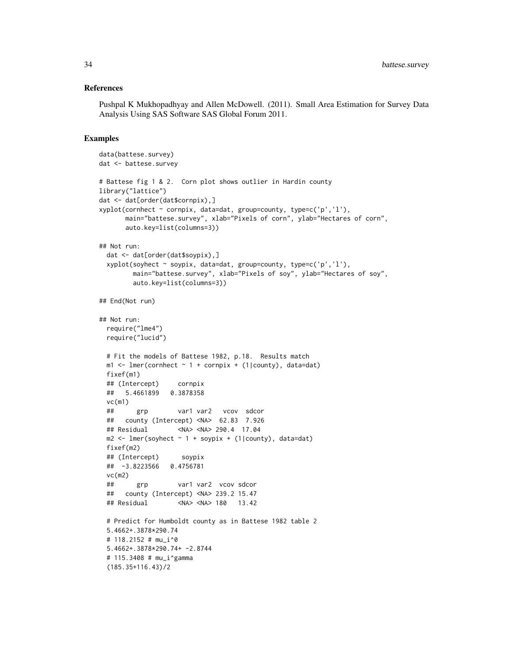#### References

Pushpal K Mukhopadhyay and Allen McDowell. (2011). Small Area Estimation for Survey Data Analysis Using SAS Software SAS Global Forum 2011.

```
data(battese.survey)
dat <- battese.survey
# Battese fig 1 & 2. Corn plot shows outlier in Hardin county
library("lattice")
dat <- dat[order(dat$cornpix),]
xyplot(cornhect ~ cornpix, data=dat, group=county, type=c('p','l'),
      main="battese.survey", xlab="Pixels of corn", ylab="Hectares of corn",
      auto.key=list(columns=3))
## Not run:
 dat <- dat[order(dat$soypix),]
 xyplot(soyhect ~ soypix, data=dat, group=county, type=c('p','l'),
        main="battese.survey", xlab="Pixels of soy", ylab="Hectares of soy",
        auto.key=list(columns=3))
## End(Not run)
## Not run:
 require("lme4")
 require("lucid")
 # Fit the models of Battese 1982, p.18. Results match
 m1 \leq 1mer(cornhect \sim 1 + cornpix + (1|county), data=dat)
 fixef(m1)
 ## (Intercept) cornpix
 ## 5.4661899 0.3878358
 vc(m1)## grp var1 var2 vcov sdcor
 ## county (Intercept) <NA> 62.83 7.926
 ## Residual <NA> <NA> 290.4 17.04
 m2 \leq Imer(soyhect \sim 1 + soypix + (1|county), data=dat)fixef(m2)
 ## (Intercept) soypix
 ## -3.8223566 0.4756781
 vc(m2)
 ## grp var1 var2 vcov sdcor
 ## county (Intercept) <NA> 239.2 15.47
 ## Residual <NA> <NA> 180 13.42
 # Predict for Humboldt county as in Battese 1982 table 2
 5.4662+.3878*290.74
 # 118.2152 # mu_i^0
 5.4662+.3878*290.74+ -2.8744
 # 115.3408 # mu_i^gamma
 (185.35+116.43)/2
```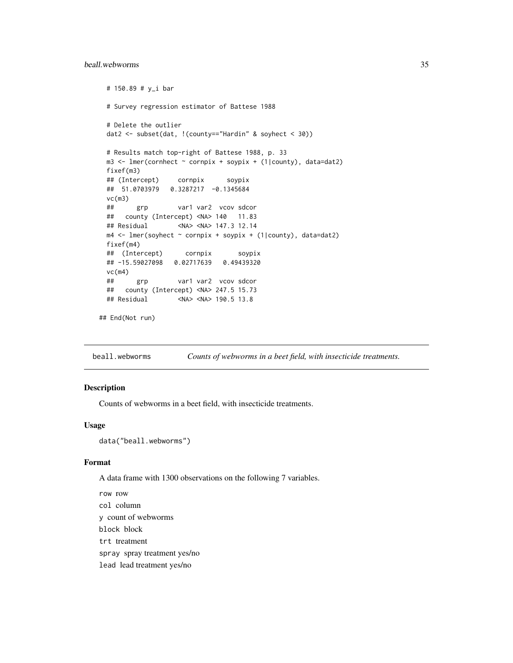# <span id="page-34-0"></span>beall.webworms 35

```
# 150.89 # y_i bar
 # Survey regression estimator of Battese 1988
 # Delete the outlier
 dat2 <- subset(dat, !(county=="Hardin" & soyhect < 30))
 # Results match top-right of Battese 1988, p. 33
 m3 \leq \text{Imer}(\text{complete} \leq \text{cornpix} + \text{soypix} + (1|\text{county}), \text{data}= \text{data})fixef(m3)
 ## (Intercept) cornpix soypix
 ## 51.0703979 0.3287217 -0.1345684
 vc(m3)
 ## grp var1 var2 vcov sdcor
 ## county (Intercept) <NA> 140 11.83
 ## Residual <NA> <NA> 147.3 12.14
 m4 <- lmer(soyhect ~ cornpix + soypix + (1|county), data=dat2)
 fixef(m4)
 ## (Intercept) cornpix soypix
 ## -15.59027098 0.02717639 0.49439320
 vc(m4)
 ## grp var1 var2 vcov sdcor
 ## county (Intercept) <NA> 247.5 15.73
 ## Residual <NA> <NA> 190.5 13.8
## End(Not run)
```
<span id="page-34-1"></span>beall.webworms *Counts of webworms in a beet field, with insecticide treatments.*

#### Description

Counts of webworms in a beet field, with insecticide treatments.

#### Usage

```
data("beall.webworms")
```
#### Format

A data frame with 1300 observations on the following 7 variables.

row row col column y count of webworms block block trt treatment spray spray treatment yes/no lead lead treatment yes/no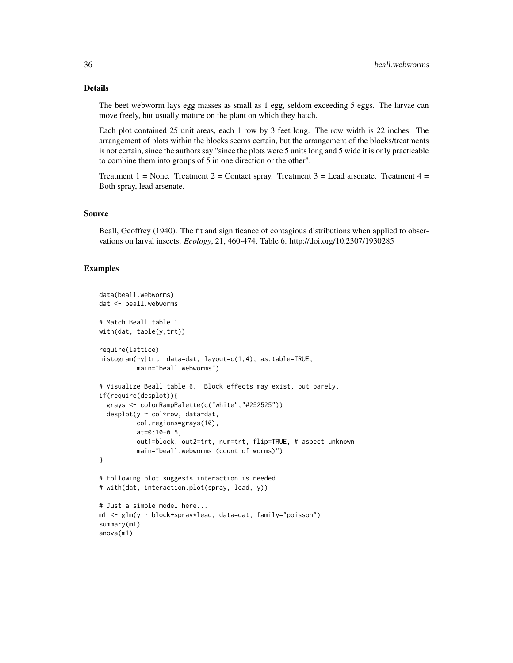# Details

The beet webworm lays egg masses as small as 1 egg, seldom exceeding 5 eggs. The larvae can move freely, but usually mature on the plant on which they hatch.

Each plot contained 25 unit areas, each 1 row by 3 feet long. The row width is 22 inches. The arrangement of plots within the blocks seems certain, but the arrangement of the blocks/treatments is not certain, since the authors say "since the plots were 5 units long and 5 wide it is only practicable to combine them into groups of 5 in one direction or the other".

Treatment 1 = None. Treatment 2 = Contact spray. Treatment 3 = Lead arsenate. Treatment 4 = Both spray, lead arsenate.

#### Source

Beall, Geoffrey (1940). The fit and significance of contagious distributions when applied to observations on larval insects. *Ecology*, 21, 460-474. Table 6. http://doi.org/10.2307/1930285

```
data(beall.webworms)
dat <- beall.webworms
# Match Beall table 1
with(dat, table(y,trt))
require(lattice)
histogram(~y|trt, data=dat, layout=c(1,4), as.table=TRUE,
         main="beall.webworms")
# Visualize Beall table 6. Block effects may exist, but barely.
if(require(desplot)){
 grays <- colorRampPalette(c("white","#252525"))
 desplot(y ~ col*row, data=dat,
         col.regions=grays(10),
          at=0:10-0.5,
          out1=block, out2=trt, num=trt, flip=TRUE, # aspect unknown
          main="beall.webworms (count of worms)")
}
# Following plot suggests interaction is needed
# with(dat, interaction.plot(spray, lead, y))
# Just a simple model here...
m1 <- glm(y ~ block+spray*lead, data=dat, family="poisson")
summary(m1)
anova(m1)
```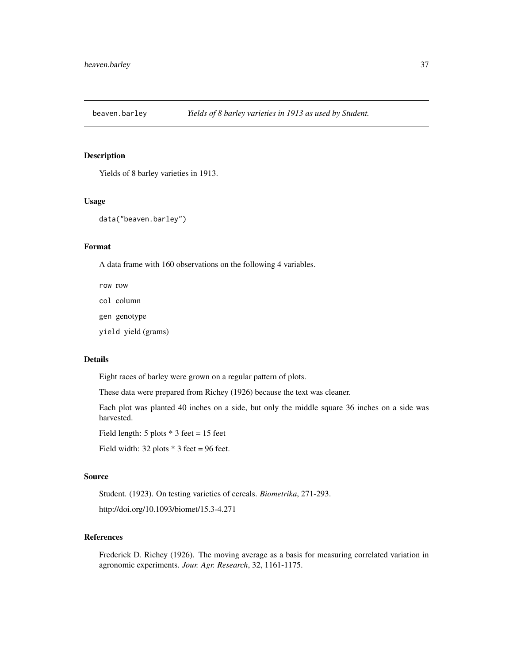# Description

Yields of 8 barley varieties in 1913.

#### Usage

data("beaven.barley")

# Format

A data frame with 160 observations on the following 4 variables.

row row

col column

gen genotype

yield yield (grams)

# Details

Eight races of barley were grown on a regular pattern of plots.

These data were prepared from Richey (1926) because the text was cleaner.

Each plot was planted 40 inches on a side, but only the middle square 36 inches on a side was harvested.

Field length:  $5$  plots  $*$  3 feet = 15 feet

Field width:  $32$  plots  $*$  3 feet = 96 feet.

#### Source

Student. (1923). On testing varieties of cereals. *Biometrika*, 271-293.

http://doi.org/10.1093/biomet/15.3-4.271

#### References

Frederick D. Richey (1926). The moving average as a basis for measuring correlated variation in agronomic experiments. *Jour. Agr. Research*, 32, 1161-1175.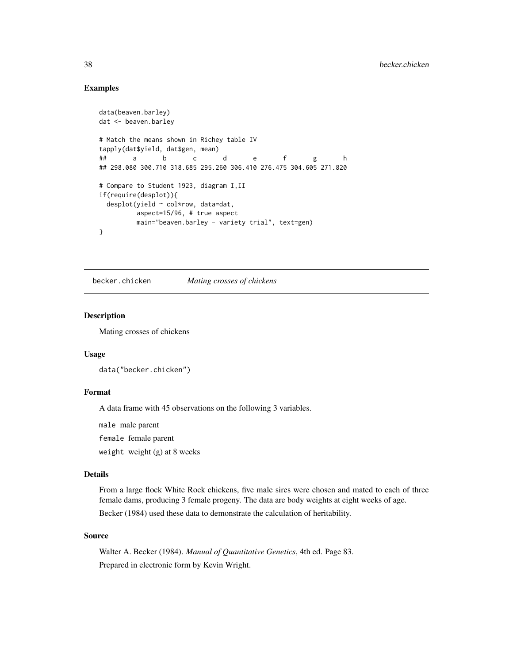# Examples

```
data(beaven.barley)
dat <- beaven.barley
# Match the means shown in Richey table IV
tapply(dat$yield, dat$gen, mean)
## a b c d e f g h
## 298.080 300.710 318.685 295.260 306.410 276.475 304.605 271.820
# Compare to Student 1923, diagram I,II
if(require(desplot)){
 desplot(yield ~ col*row, data=dat,
        aspect=15/96, # true aspect
        main="beaven.barley - variety trial", text=gen)
}
```
becker.chicken *Mating crosses of chickens*

## Description

Mating crosses of chickens

## Usage

data("becker.chicken")

# Format

A data frame with 45 observations on the following 3 variables.

male male parent

female female parent

weight weight (g) at 8 weeks

# Details

From a large flock White Rock chickens, five male sires were chosen and mated to each of three female dams, producing 3 female progeny. The data are body weights at eight weeks of age. Becker (1984) used these data to demonstrate the calculation of heritability.

# Source

Walter A. Becker (1984). *Manual of Quantitative Genetics*, 4th ed. Page 83. Prepared in electronic form by Kevin Wright.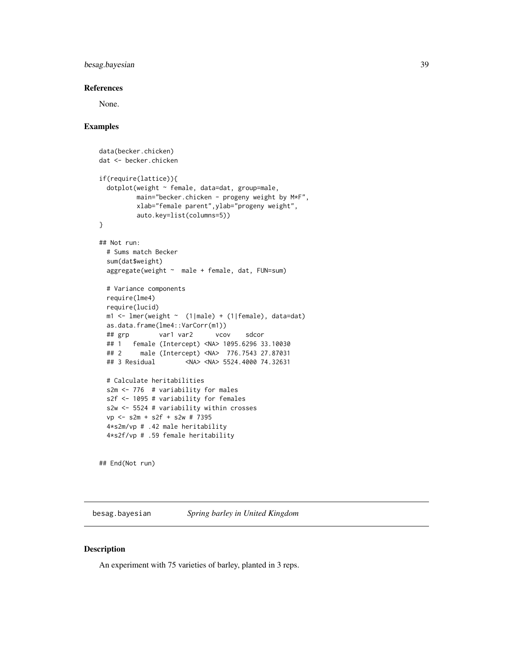# besag.bayesian 39

# References

None.

## Examples

```
data(becker.chicken)
dat <- becker.chicken
if(require(lattice)){
 dotplot(weight ~ female, data=dat, group=male,
         main="becker.chicken - progeny weight by M*F",
         xlab="female parent",ylab="progeny weight",
         auto.key=list(columns=5))
}
## Not run:
 # Sums match Becker
 sum(dat$weight)
 aggregate(weight ~ male + female, dat, FUN=sum)
 # Variance components
 require(lme4)
 require(lucid)
 m1 <- lmer(weight ~ (1|male) + (1|female), data=dat)
 as.data.frame(lme4::VarCorr(m1))
 ## grp var1 var2 vcov sdcor
 ## 1 female (Intercept) <NA> 1095.6296 33.10030
 ## 2 male (Intercept) <NA> 776.7543 27.87031
 ## 3 Residual <NA> <NA> 5524.4000 74.32631
 # Calculate heritabilities
 s2m <- 776 # variability for males
 s2f <- 1095 # variability for females
 s2w <- 5524 # variability within crosses
 vp <- s2m + s2f + s2w # 7395
 4*s2m/vp # .42 male heritability
 4*s2f/vp # .59 female heritability
```
## End(Not run)

besag.bayesian *Spring barley in United Kingdom*

# Description

An experiment with 75 varieties of barley, planted in 3 reps.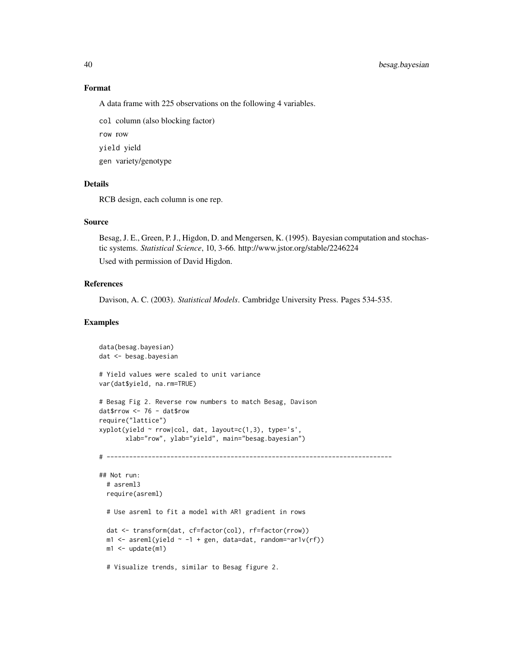#### Format

A data frame with 225 observations on the following 4 variables.

col column (also blocking factor)

row row

yield yield

gen variety/genotype

# Details

RCB design, each column is one rep.

# Source

Besag, J. E., Green, P. J., Higdon, D. and Mengersen, K. (1995). Bayesian computation and stochastic systems. *Statistical Science*, 10, 3-66. http://www.jstor.org/stable/2246224

Used with permission of David Higdon.

## References

Davison, A. C. (2003). *Statistical Models*. Cambridge University Press. Pages 534-535.

```
data(besag.bayesian)
dat <- besag.bayesian
# Yield values were scaled to unit variance
var(dat$yield, na.rm=TRUE)
# Besag Fig 2. Reverse row numbers to match Besag, Davison
dat$rrow <- 76 - dat$row
require("lattice")
xyplot(yield \sim rrow|col, dat, layout=c(1,3), type='s',xlab="row", ylab="yield", main="besag.bayesian")
# ----------------------------------------------------------------------------
## Not run:
  # asreml3
  require(asreml)
  # Use asreml to fit a model with AR1 gradient in rows
  dat <- transform(dat, cf=factor(col), rf=factor(rrow))
  m1 \leq -\text{asreml}(\text{yield} \sim -1 + \text{gen}, \text{ data=dat}, \text{ random=varl}(\text{rf}))m1 < - update(m1)
  # Visualize trends, similar to Besag figure 2.
```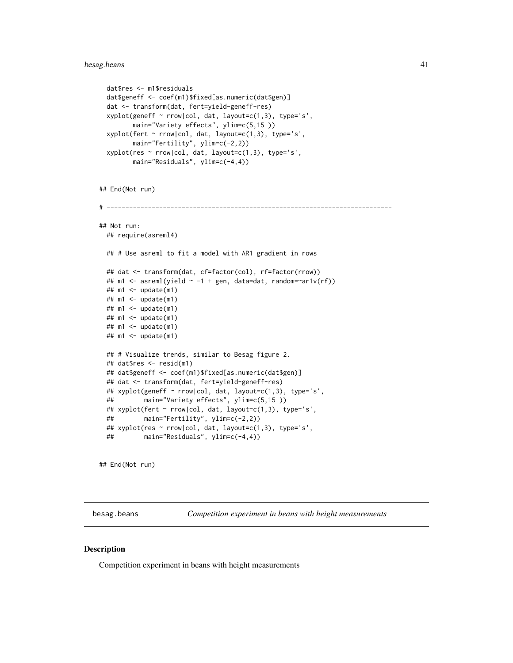# besag.beans 41

```
dat$res <- m1$residuals
 dat$geneff <- coef(m1)$fixed[as.numeric(dat$gen)]
 dat <- transform(dat, fert=yield-geneff-res)
 xyplot(geneff ~ rrow|col, dat, layout=c(1,3), type='s',
        main="Variety effects", ylim=c(5,15 ))
 xyplot(fert ~ rrow|col, dat, layout=c(1,3), type='s',
        main="Fertility", ylim=c(-2,2))
 xyplot(res ~ rrow|col, dat, layout=c(1,3), type='s',
        main="Residuals", ylim=c(-4,4))
## End(Not run)
# ----------------------------------------------------------------------------
## Not run:
 ## require(asreml4)
 ## # Use asreml to fit a model with AR1 gradient in rows
 ## dat <- transform(dat, cf=factor(col), rf=factor(rrow))
 ## m1 <- asreml(yield \sim -1 + gen, data=dat, random=\simar1v(rf))
 ## m1 <- update(m1)
 ## m1 <- update(m1)
 ## m1 <- update(m1)
 ## m1 <- update(m1)
 ## m1 <- update(m1)
 ## m1 <- update(m1)
 ## # Visualize trends, similar to Besag figure 2.
 ## dat$res <- resid(m1)
 ## dat$geneff <- coef(m1)$fixed[as.numeric(dat$gen)]
 ## dat <- transform(dat, fert=yield-geneff-res)
 ## xyplot(geneff ~ rrow|col, dat, layout=c(1,3), type='s',
 ## main="Variety effects", ylim=c(5,15 ))
 ## xyplot(fert ~ rrow|col, dat, layout=c(1,3), type='s',
 ## main="Fertility", ylim=c(-2,2))
 ## xyplot(res ~ rrow|col, dat, layout=c(1,3), type='s',
 ## main="Residuals", ylim=c(-4,4))
```
## End(Not run)

besag.beans *Competition experiment in beans with height measurements*

#### **Description**

Competition experiment in beans with height measurements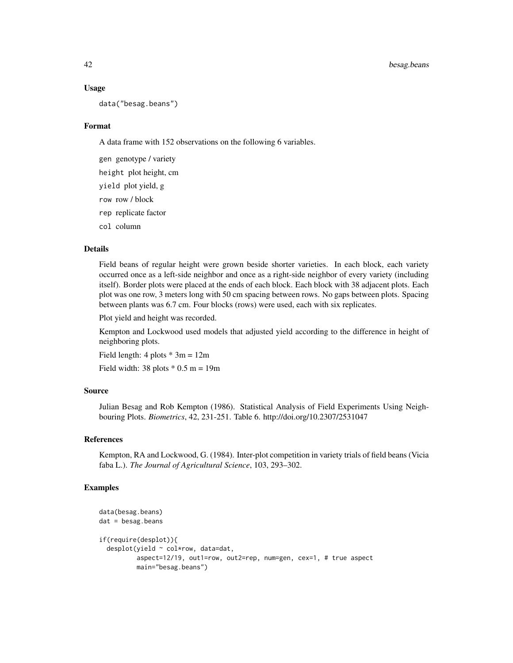#### Usage

data("besag.beans")

#### Format

A data frame with 152 observations on the following 6 variables.

gen genotype / variety

height plot height, cm

yield plot yield, g

row row / block

rep replicate factor

col column

# Details

Field beans of regular height were grown beside shorter varieties. In each block, each variety occurred once as a left-side neighbor and once as a right-side neighbor of every variety (including itself). Border plots were placed at the ends of each block. Each block with 38 adjacent plots. Each plot was one row, 3 meters long with 50 cm spacing between rows. No gaps between plots. Spacing between plants was 6.7 cm. Four blocks (rows) were used, each with six replicates.

Plot yield and height was recorded.

Kempton and Lockwood used models that adjusted yield according to the difference in height of neighboring plots.

Field length:  $4$  plots  $*$  3m = 12m

Field width: 38 plots  $*$  0.5 m = 19m

# Source

Julian Besag and Rob Kempton (1986). Statistical Analysis of Field Experiments Using Neighbouring Plots. *Biometrics*, 42, 231-251. Table 6. http://doi.org/10.2307/2531047

## References

Kempton, RA and Lockwood, G. (1984). Inter-plot competition in variety trials of field beans (Vicia faba L.). *The Journal of Agricultural Science*, 103, 293–302.

```
data(besag.beans)
dat = besag.beansif(require(desplot)){
 desplot(yield ~ col*row, data=dat,
         aspect=12/19, out1=row, out2=rep, num=gen, cex=1, # true aspect
         main="besag.beans")
```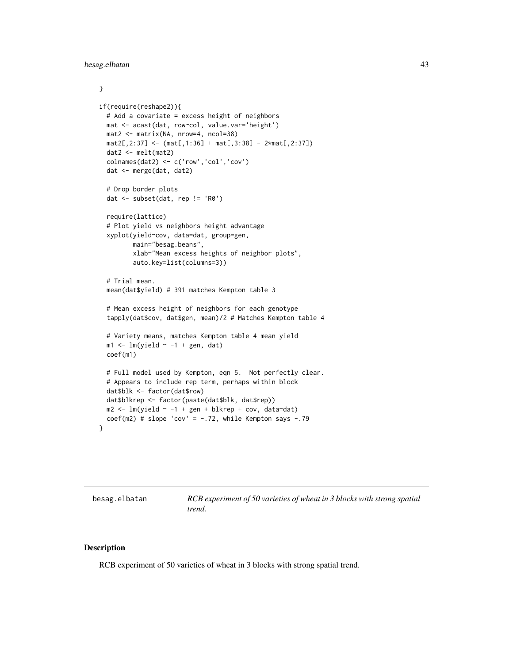```
}
if(require(reshape2)){
 # Add a covariate = excess height of neighbors
 mat <- acast(dat, row~col, value.var='height')
 mat2 <- matrix(NA, nrow=4, ncol=38)
 mat2[, 2:37] < - \left( mat[, 1:36] + mat[, 3:38] - 2*mat[, 2:37]dat2 <- melt(mat2)
 colnames(dat2) <- c('row','col','cov')
 dat <- merge(dat, dat2)
 # Drop border plots
 dat <- subset(dat, rep != 'R0')
 require(lattice)
 # Plot yield vs neighbors height advantage
 xyplot(yield~cov, data=dat, group=gen,
        main="besag.beans",
         xlab="Mean excess heights of neighbor plots",
         auto.key=list(columns=3))
 # Trial mean.
 mean(dat$yield) # 391 matches Kempton table 3
 # Mean excess height of neighbors for each genotype
 tapply(dat$cov, dat$gen, mean)/2 # Matches Kempton table 4
 # Variety means, matches Kempton table 4 mean yield
 m1 \leftarrow lm(yield \sim -1 + gen, dat)coef(m1)
 # Full model used by Kempton, eqn 5. Not perfectly clear.
 # Appears to include rep term, perhaps within block
 dat$blk <- factor(dat$row)
 dat$blkrep <- factor(paste(dat$blk, dat$rep))
 m2 \leq Im(yield \sim -1 + gen + blkrep + cov, data=dat)coef(m2) # slope 'cov' = -.72, while Kempton says -.79
}
```
besag.elbatan *RCB experiment of 50 varieties of wheat in 3 blocks with strong spatial trend.*

#### Description

RCB experiment of 50 varieties of wheat in 3 blocks with strong spatial trend.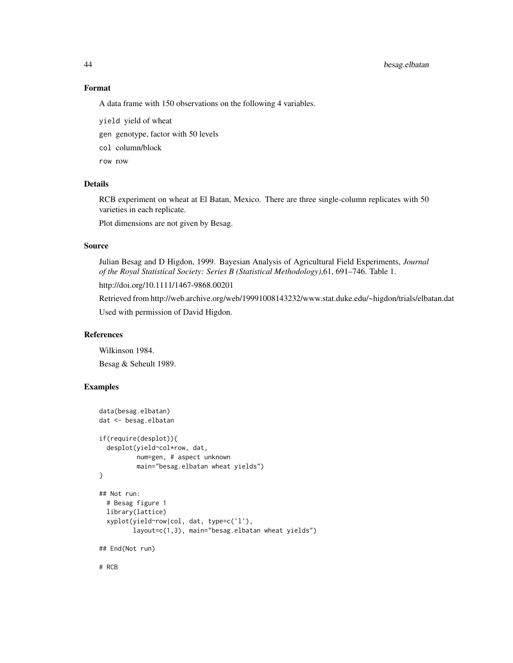# 44 besag.elbatan

## Format

A data frame with 150 observations on the following 4 variables.

yield yield of wheat

gen genotype, factor with 50 levels

col column/block

row row

# Details

RCB experiment on wheat at El Batan, Mexico. There are three single-column replicates with 50 varieties in each replicate.

Plot dimensions are not given by Besag.

## Source

Julian Besag and D Higdon, 1999. Bayesian Analysis of Agricultural Field Experiments, *Journal of the Royal Statistical Society: Series B (Statistical Methodology)*,61, 691–746. Table 1. http://doi.org/10.1111/1467-9868.00201

Retrieved from http://web.archive.org/web/19991008143232/www.stat.duke.edu/~higdon/trials/elbatan.dat

Used with permission of David Higdon.

#### References

Wilkinson 1984.

Besag & Seheult 1989.

## Examples

```
data(besag.elbatan)
dat <- besag.elbatan
if(require(desplot)){
 desplot(yield~col*row, dat,
          num=gen, # aspect unknown
         main="besag.elbatan wheat yields")
}
## Not run:
 # Besag figure 1
 library(lattice)
 xyplot(yield~row|col, dat, type=c('l'),
         layout=c(1,3), main="besag.elbatan wheat yields")
## End(Not run)
```
# RCB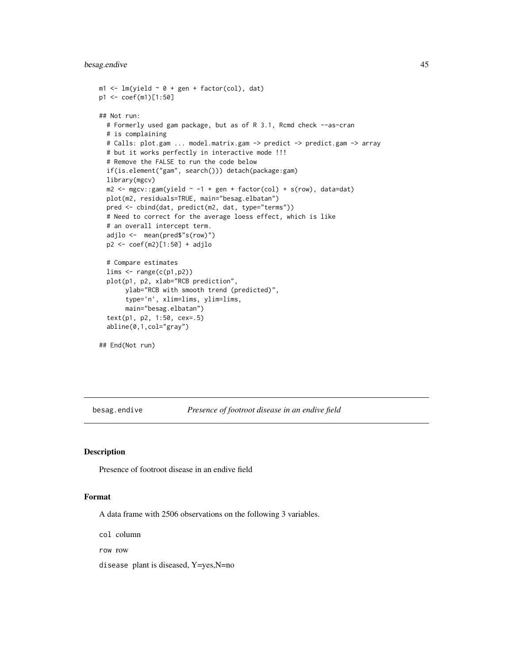# besag.endive 45

```
m1 < - \text{lm}(yield \sim 0 + gen + factor(col), dat)p1 <- coef(m1)[1:50]
## Not run:
  # Formerly used gam package, but as of R 3.1, Rcmd check --as-cran
  # is complaining
  # Calls: plot.gam ... model.matrix.gam -> predict -> predict.gam -> array
  # but it works perfectly in interactive mode !!!
  # Remove the FALSE to run the code below
  if(is.element("gam", search())) detach(package:gam)
  library(mgcv)
  m2 \leq -mgcv: :gam(yield \sim -1 + gen + factor(col) + s(row), data=dat)
  plot(m2, residuals=TRUE, main="besag.elbatan")
  pred <- cbind(dat, predict(m2, dat, type="terms"))
  # Need to correct for the average loess effect, which is like
  # an overall intercept term.
  adjlo <- mean(pred$"s(row)")
  p2 <- coef(m2)[1:50] + adjlo
  # Compare estimates
  lims < -range(c(p1,p2))plot(p1, p2, xlab="RCB prediction",
       ylab="RCB with smooth trend (predicted)",
       type='n', xlim=lims, ylim=lims,
       main="besag.elbatan")
  text(p1, p2, 1:50, cex=.5)
  abline(0,1,col="gray")
## End(Not run)
```
besag.endive *Presence of footroot disease in an endive field*

# Description

Presence of footroot disease in an endive field

### Format

A data frame with 2506 observations on the following 3 variables.

col column

row row

disease plant is diseased, Y=yes,N=no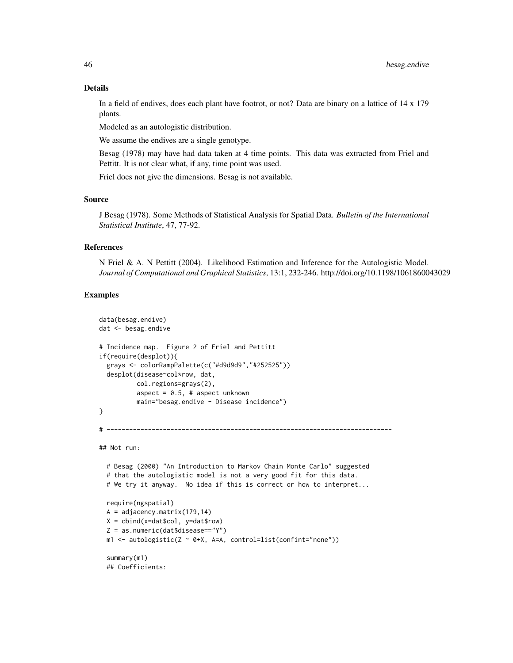#### Details

In a field of endives, does each plant have footrot, or not? Data are binary on a lattice of 14 x 179 plants.

Modeled as an autologistic distribution.

We assume the endives are a single genotype.

Besag (1978) may have had data taken at 4 time points. This data was extracted from Friel and Pettitt. It is not clear what, if any, time point was used.

Friel does not give the dimensions. Besag is not available.

# Source

J Besag (1978). Some Methods of Statistical Analysis for Spatial Data. *Bulletin of the International Statistical Institute*, 47, 77-92.

#### References

N Friel & A. N Pettitt (2004). Likelihood Estimation and Inference for the Autologistic Model. *Journal of Computational and Graphical Statistics*, 13:1, 232-246. http://doi.org/10.1198/1061860043029

```
data(besag.endive)
dat <- besag.endive
# Incidence map. Figure 2 of Friel and Pettitt
if(require(desplot)){
 grays <- colorRampPalette(c("#d9d9d9","#252525"))
 desplot(disease~col*row, dat,
         col.regions=grays(2),
         aspect = 0.5, # aspect unknown
         main="besag.endive - Disease incidence")
}
# ----------------------------------------------------------------------------
## Not run:
 # Besag (2000) "An Introduction to Markov Chain Monte Carlo" suggested
 # that the autologistic model is not a very good fit for this data.
 # We try it anyway. No idea if this is correct or how to interpret...
```

```
require(ngspatial)
A = adjacency.matrix(179,14)
X = \text{cbind}(x = \text{dat}\col, y = \text{dat}\row)
Z = as.numeric(dat$disease=="Y")
m1 \le autologistic(Z \sim 0+X, A=A, control=list(confint="none"))
summary(m1)
## Coefficients:
```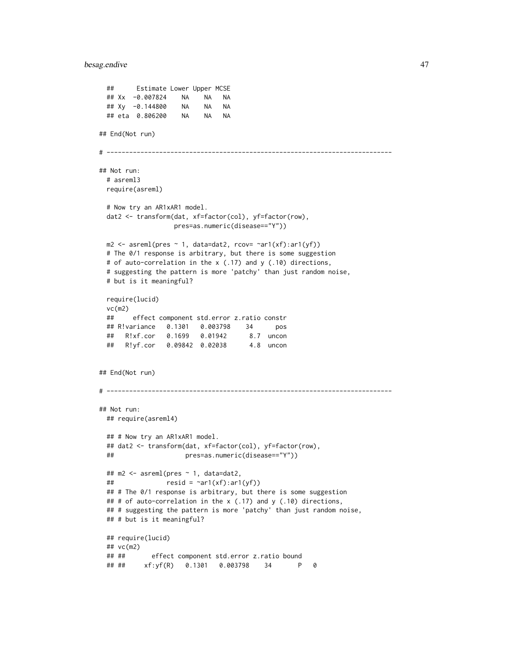## besag.endive 47

```
## Estimate Lower Upper MCSE
 ## Xx -0.007824 NA NA NA
 ## Xy -0.144800 NA NA NA
 ## eta 0.806200 NA NA NA
## End(Not run)
# ----------------------------------------------------------------------------
## Not run:
 # asreml3
 require(asreml)
 # Now try an AR1xAR1 model.
 dat2 <- transform(dat, xf=factor(col), yf=factor(row),
                  pres=as.numeric(disease=="Y"))
 m2 \leq -\text{asreml(pres } \sim 1, \text{ data}= \text{data}; \text{roov} = \text{varl(xf)}:\text{arl(yf)})# The 0/1 response is arbitrary, but there is some suggestion
 # of auto-correlation in the x (.17) and y (.10) directions,
 # suggesting the pattern is more 'patchy' than just random noise,
 # but is it meaningful?
 require(lucid)
 vc(m2)
 ## effect component std.error z.ratio constr
 ## R!variance 0.1301 0.003798 34 pos
 ## R!xf.cor 0.1699 0.01942 8.7 uncon
 ## R!yf.cor 0.09842 0.02038 4.8 uncon
## End(Not run)
# ----------------------------------------------------------------------------
## Not run:
 ## require(asreml4)
 ## # Now try an AR1xAR1 model.
 ## dat2 <- transform(dat, xf=factor(col), yf=factor(row),
 ## pres=as.numeric(disease=="Y"))
 ## m2 <- asreml(pres ~ 1, data=dat2,
 ## resid = \text{var1}(xf):ar1(yf))## # The 0/1 response is arbitrary, but there is some suggestion
 ## # of auto-correlation in the x (.17) and y (.10) directions,
 ## # suggesting the pattern is more 'patchy' than just random noise,
 ## # but is it meaningful?
 ## require(lucid)
 ## vc(m2)
 ## ## effect component std.error z.ratio bound
 ## ## xf:yf(R) 0.1301 0.003798 34 P 0
```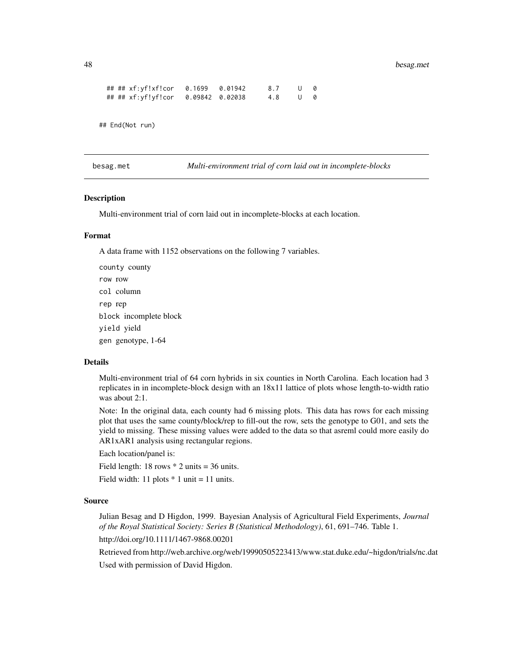```
## ## xf:yf!xf!cor 0.1699 0.01942 8.7 U 0
## ## xf:yf!yf!cor 0.09842 0.02038 4.8 U 0
```

```
## End(Not run)
```
besag.met *Multi-environment trial of corn laid out in incomplete-blocks*

## **Description**

Multi-environment trial of corn laid out in incomplete-blocks at each location.

# Format

A data frame with 1152 observations on the following 7 variables.

county county row row col column rep rep block incomplete block yield yield gen genotype, 1-64

## Details

Multi-environment trial of 64 corn hybrids in six counties in North Carolina. Each location had 3 replicates in in incomplete-block design with an 18x11 lattice of plots whose length-to-width ratio was about 2:1.

Note: In the original data, each county had 6 missing plots. This data has rows for each missing plot that uses the same county/block/rep to fill-out the row, sets the genotype to G01, and sets the yield to missing. These missing values were added to the data so that asreml could more easily do AR1xAR1 analysis using rectangular regions.

Each location/panel is:

Field length: 18 rows  $*$  2 units = 36 units.

Field width: 11 plots  $*$  1 unit = 11 units.

#### Source

Julian Besag and D Higdon, 1999. Bayesian Analysis of Agricultural Field Experiments, *Journal of the Royal Statistical Society: Series B (Statistical Methodology)*, 61, 691–746. Table 1.

http://doi.org/10.1111/1467-9868.00201

Retrieved from http://web.archive.org/web/19990505223413/www.stat.duke.edu/~higdon/trials/nc.dat Used with permission of David Higdon.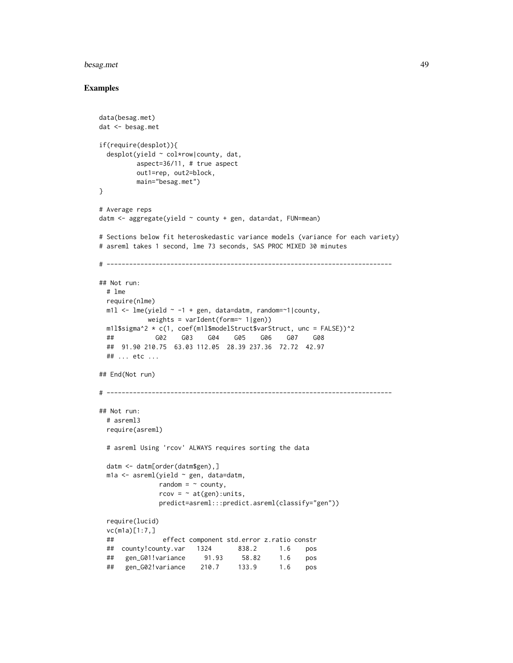#### besag.met 49

```
data(besag.met)
dat <- besag.met
if(require(desplot)){
 desplot(yield ~ col*row|county, dat,
         aspect=36/11, # true aspect
         out1=rep, out2=block,
         main="besag.met")
}
# Average reps
datm <- aggregate(yield ~ county + gen, data=dat, FUN=mean)
# Sections below fit heteroskedastic variance models (variance for each variety)
# asreml takes 1 second, lme 73 seconds, SAS PROC MIXED 30 minutes
# ----------------------------------------------------------------------------
## Not run:
 # lme
 require(nlme)
 m11 < -1me(yield \sim -1 + gen, data=datm, random=\sim 1|county,
            weights = varIdent(form=\sim 1|gen))
 m1l$sigma^2 * c(1, coef(m1l$modelStruct$varStruct, unc = FALSE))^2
 ## G02 G03 G04 G05 G06 G07 G08
 ## 91.90 210.75 63.03 112.05 28.39 237.36 72.72 42.97
 ## ... etc ...
## End(Not run)
# ----------------------------------------------------------------------------
## Not run:
 # asreml3
 require(asreml)
 # asreml Using 'rcov' ALWAYS requires sorting the data
 datm <- datm[order(datm$gen),]
 m1a \leq asreml(yield \sim gen, data=datm,
              random = \sim county,
               rcov = ~ \sim at(gen): units,predict=asreml:::predict.asreml(classify="gen"))
 require(lucid)
 vc(m1a)[1:7,]
 ## effect component std.error z.ratio constr
 ## county!county.var 1324 838.2 1.6 pos
 ## gen_G01!variance 91.93 58.82 1.6 pos
 ## gen_G02!variance 210.7 133.9 1.6 pos
```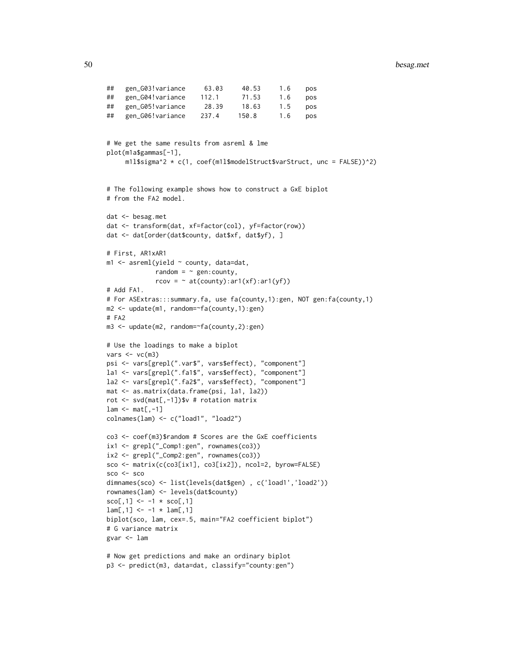```
## gen_G03!variance 63.03 40.53 1.6 pos
## gen_G04!variance 112.1 71.53 1.6 pos
## gen_G05!variance 28.39 18.63 1.5 pos
## gen_G06!variance 237.4 150.8 1.6 pos
# We get the same results from asreml & lme
plot(m1a$gammas[-1],
    m1l$sigma^2 \star c(1, coef(m1l$modelStruct$varStruct, unc = FALSE))^2)
# The following example shows how to construct a GxE biplot
# from the FA2 model.
dat <- besag.met
dat <- transform(dat, xf=factor(col), yf=factor(row))
dat <- dat[order(dat$county, dat$xf, dat$yf), ]
# First, AR1xAR1
m1 <- asreml(yield ~ county, data=dat,
            random = \sim gen: county,
            rcov = \sim at(county):ar1(xf):ar1(yf))# Add FA1.
# For ASExtras:::summary.fa, use fa(county,1):gen, NOT gen:fa(county,1)
m2 <- update(m1, random=~fa(county,1):gen)
# FA2
m3 <- update(m2, random=~fa(county,2):gen)
# Use the loadings to make a biplot
vars < - vcc(m3)psi <- vars[grepl(".var$", vars$effect), "component"]
la1 <- vars[grepl(".fa1$", vars$effect), "component"]
la2 <- vars[grepl(".fa2$", vars$effect), "component"]
mat <- as.matrix(data.frame(psi, la1, la2))
rot <- svd(mat[,-1])$v # rotation matrix
lam \leftarrow mat[, -1]colnames(lam) <- c("load1", "load2")
co3 <- coef(m3)$random # Scores are the GxE coefficients
ix1 <- grepl("_Comp1:gen", rownames(co3))
ix2 <- grepl("_Comp2:gen", rownames(co3))
sco <- matrix(c(co3[ix1], co3[ix2]), ncol=2, byrow=FALSE)
sco <- sco
dimnames(sco) <- list(levels(dat$gen) , c('load1','load2'))
rownames(lam) <- levels(dat$county)
sco[, 1] <- -1 * sco[, 1]lam[, 1] <- -1 * lam[, 1]biplot(sco, lam, cex=.5, main="FA2 coefficient biplot")
# G variance matrix
gvar <- lam
```

```
# Now get predictions and make an ordinary biplot
p3 <- predict(m3, data=dat, classify="county:gen")
```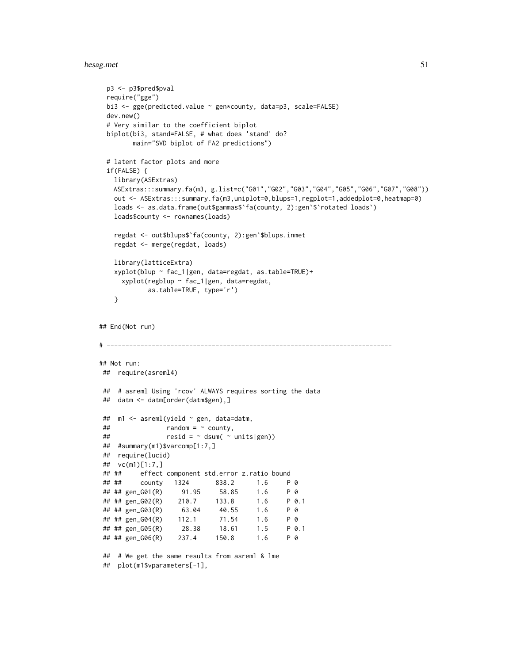#### besag.met 51

```
p3 <- p3$pred$pval
 require("gge")
 bi3 <- gge(predicted.value ~ gen*county, data=p3, scale=FALSE)
 dev.new()
 # Very similar to the coefficient biplot
 biplot(bi3, stand=FALSE, # what does 'stand' do?
       main="SVD biplot of FA2 predictions")
 # latent factor plots and more
 if(FALSE) {
   library(ASExtras)
   ASExtras:::summary.fa(m3, g.list=c("G01","G02","G03","G04","G05","G06","G07","G08"))
   out <- ASExtras:::summary.fa(m3,uniplot=0,blups=1,regplot=1,addedplot=0,heatmap=0)
   loads <- as.data.frame(out$gammas$`fa(county, 2):gen`$`rotated loads`)
   loads$county <- rownames(loads)
   regdat <- out$blups$`fa(county, 2):gen`$blups.inmet
   regdat <- merge(regdat, loads)
   library(latticeExtra)
   xyplot(blup ~ fac_1|gen, data=regdat, as.table=TRUE)+
     xyplot(regblup ~ fac_1|gen, data=regdat,
           as.table=TRUE, type='r')
   }
## End(Not run)
# ----------------------------------------------------------------------------
## Not run:
## require(asreml4)
## # asreml Using 'rcov' ALWAYS requires sorting the data
## datm <- datm[order(datm$gen),]
## m1 <- asreml(yield ~ gen, data=datm,
\# \# random = \sim county,
## resid = \sim dsum( \sim units |gen)## #summary(m1)$varcomp[1:7,]
## require(lucid)
## vc(m1)[1:7,]
## ## effect component std.error z.ratio bound
## ## county 1324 838.2 1.6 P 0
## ## gen_G01(R) 91.95 58.85 1.6 P 0
## ## gen_G02(R) 210.7 133.8 1.6 P 0.1
## ## gen_G03(R) 63.04 40.55 1.6 P 0
## ## gen_G04(R) 112.1 71.54 1.6 P 0
## ## gen_G05(R) 28.38 18.61 1.5 P 0.1
## ## gen_G06(R) 237.4 150.8 1.6 P 0
## # We get the same results from asreml & lme
```
## plot(m1\$vparameters[-1],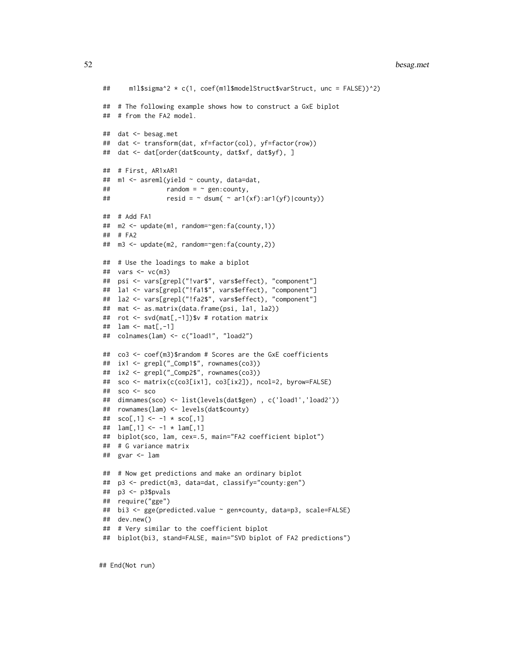```
## m1l$sigma^2 * c(1, coef(m1l$modelStruct$varStruct, unc = FALSE))^2)
## # The following example shows how to construct a GxE biplot
## # from the FA2 model.
## dat <- besag.met
## dat <- transform(dat, xf=factor(col), yf=factor(row))
## dat <- dat[order(dat$county, dat$xf, dat$yf), ]
## # First, AR1xAR1
## m1 <- asreml(yield ~ county, data=dat,
## random = ~ gen:county,
## resid = \sim dsum( \sim ar1(xf):ar1(yf)|county)## # Add FA1
## m2 <- update(m1, random=~gen:fa(county,1))
## # FA2
## m3 <- update(m2, random=~gen:fa(county,2))
## # Use the loadings to make a biplot
## vars <- vc(m3)
## psi <- vars[grepl("!var$", vars$effect), "component"]
## la1 <- vars[grepl("!fa1$", vars$effect), "component"]
## la2 <- vars[grepl("!fa2$", vars$effect), "component"]
## mat <- as.matrix(data.frame(psi, la1, la2))
## rot <- svd(mat[,-1])$v # rotation matrix
## lam <- mat[,-1]
## colnames(lam) <- c("load1", "load2")
## co3 <- coef(m3)$random # Scores are the GxE coefficients
## ix1 <- grepl("_Comp1$", rownames(co3))
## ix2 <- grepl("_Comp2$", rownames(co3))
## sco <- matrix(c(co3[ix1], co3[ix2]), ncol=2, byrow=FALSE)
## sco <- sco
## dimnames(sco) <- list(levels(dat$gen) , c('load1','load2'))
## rownames(lam) <- levels(dat$county)
## \text{sco}[1] \le -1 \times \text{sco}[1]## lam[,1] <- -1 * lam[,1]
## biplot(sco, lam, cex=.5, main="FA2 coefficient biplot")
## # G variance matrix
## gvar <- lam
## # Now get predictions and make an ordinary biplot
## p3 <- predict(m3, data=dat, classify="county:gen")
## p3 <- p3$pvals
## require("gge")
## bi3 <- gge(predicted.value ~ gen*county, data=p3, scale=FALSE)
## dev.new()
## # Very similar to the coefficient biplot
## biplot(bi3, stand=FALSE, main="SVD biplot of FA2 predictions")
```
## End(Not run)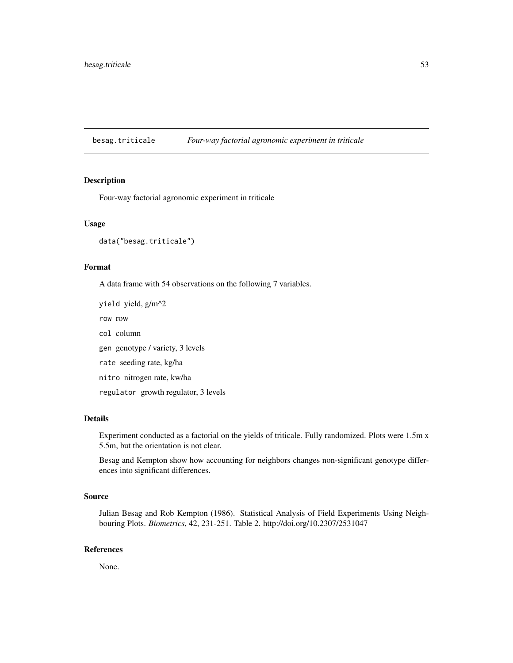besag.triticale *Four-way factorial agronomic experiment in triticale*

# Description

Four-way factorial agronomic experiment in triticale

#### Usage

data("besag.triticale")

# Format

A data frame with 54 observations on the following 7 variables.

yield yield, g/m^2

row row

col column

gen genotype / variety, 3 levels

rate seeding rate, kg/ha

nitro nitrogen rate, kw/ha

regulator growth regulator, 3 levels

# Details

Experiment conducted as a factorial on the yields of triticale. Fully randomized. Plots were 1.5m x 5.5m, but the orientation is not clear.

Besag and Kempton show how accounting for neighbors changes non-significant genotype differences into significant differences.

#### Source

Julian Besag and Rob Kempton (1986). Statistical Analysis of Field Experiments Using Neighbouring Plots. *Biometrics*, 42, 231-251. Table 2. http://doi.org/10.2307/2531047

## References

None.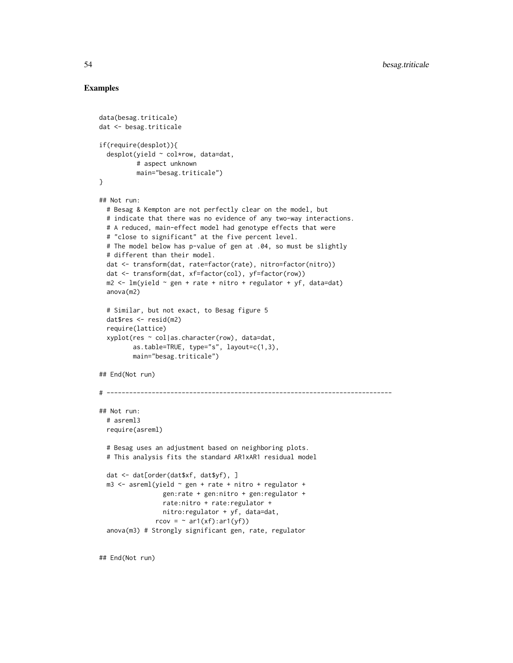# Examples

```
data(besag.triticale)
dat <- besag.triticale
if(require(desplot)){
 desplot(yield ~ col*row, data=dat,# aspect unknown
         main="besag.triticale")
}
## Not run:
 # Besag & Kempton are not perfectly clear on the model, but
 # indicate that there was no evidence of any two-way interactions.
 # A reduced, main-effect model had genotype effects that were
 # "close to significant" at the five percent level.
 # The model below has p-value of gen at .04, so must be slightly
 # different than their model.
 dat <- transform(dat, rate=factor(rate), nitro=factor(nitro))
 dat <- transform(dat, xf=factor(col), yf=factor(row))
 m2 \leq Im(yield \sim gen + rate + nitro + regular)anova(m2)
 # Similar, but not exact, to Besag figure 5
 dat$res <- resid(m2)
 require(lattice)
 xyplot(res ~ col|as.character(row), data=dat,
        as.table=TRUE, type="s", layout=c(1,3),
        main="besag.triticale")
## End(Not run)
# ----------------------------------------------------------------------------
## Not run:
 # asreml3
 require(asreml)
 # Besag uses an adjustment based on neighboring plots.
 # This analysis fits the standard AR1xAR1 residual model
 dat <- dat[order(dat$xf, dat$yf), ]
 m3 <- asreml(yield ~ gen + rate + nitro + regulator +
                gen:rate + gen:nitro + gen:regulator +
                rate:nitro + rate:regulator +
                nitro:regulator + yf, data=dat,
              rcov = \sim ar1(xf):ar1(yf)anova(m3) # Strongly significant gen, rate, regulator
```
## End(Not run)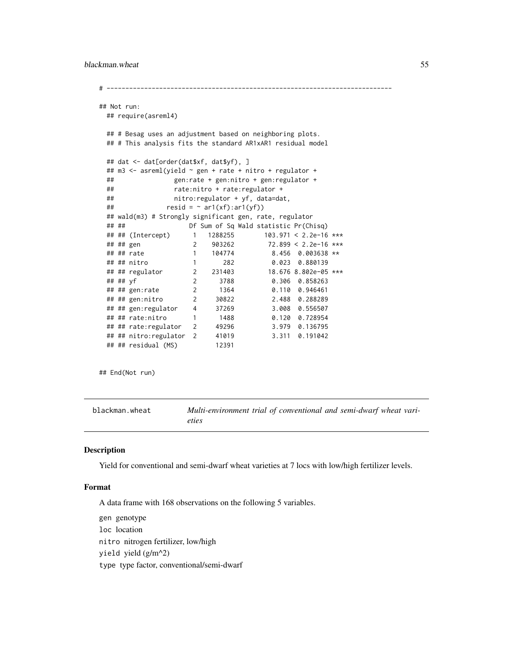```
# ----------------------------------------------------------------------------
## Not run:
 ## require(asreml4)
 ## # Besag uses an adjustment based on neighboring plots.
 ## # This analysis fits the standard AR1xAR1 residual model
 ## dat <- dat[order(dat$xf, dat$yf), ]
 ## m3 <- asreml(yield ~ gen + rate + nitro + regulator +
 ## gen:rate + gen:nitro + gen:regulator +
 ## rate:nitro + rate:regulator +
 ## nitro:regulator + yf, data=dat,
 ## resid = \gamma ar1(xf):ar1(yf)## wald(m3) # Strongly significant gen, rate, regulator
 ## ## Df Sum of Sq Wald statistic Pr(Chisq)
 ## ## (Intercept) 1 1288255 103.971 < 2.2e-16 ***
 ## ## gen 2 903262<br>## ## rate 1 104774
 ## ## rate 1 104774 8.456 0.003638 **
 ## ## nitro 1 282 0.023 0.880139
 ## ## regulator 2 231403 18.676 8.802e-05 ***
 ## ## yf 2 3788 0.306 0.858263
 ## ## gen:rate 2 1364 0.110 0.946461
 ## ## gen:nitro 2 30822 2.488 0.288289
 ## ## gen:regulator 4 37269 3.008 0.556507
 ## ## rate:nitro 1 1488 0.120 0.728954
 ## ## rate:regulator 2 49296 3.979 0.136795
 ## ## nitro:regulator 2 41019 3.311 0.191042
 ## ## residual (MS) 12391
```
## End(Not run)

blackman.wheat *Multi-environment trial of conventional and semi-dwarf wheat varieties*

## Description

Yield for conventional and semi-dwarf wheat varieties at 7 locs with low/high fertilizer levels.

## Format

A data frame with 168 observations on the following 5 variables.

gen genotype loc location nitro nitrogen fertilizer, low/high yield yield (g/m^2) type type factor, conventional/semi-dwarf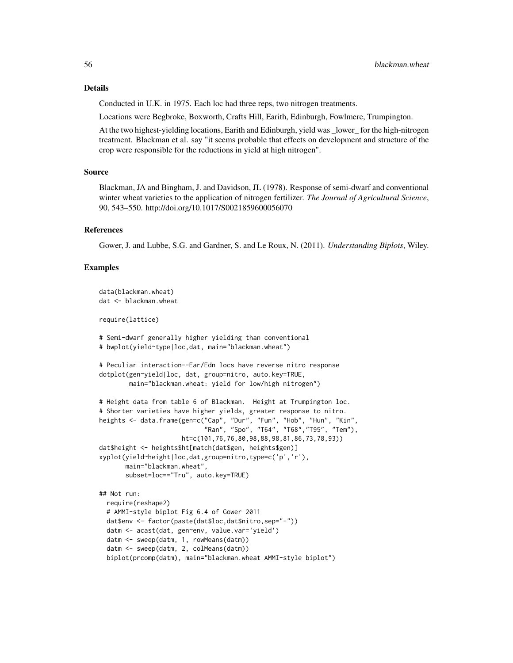Conducted in U.K. in 1975. Each loc had three reps, two nitrogen treatments.

Locations were Begbroke, Boxworth, Crafts Hill, Earith, Edinburgh, Fowlmere, Trumpington.

At the two highest-yielding locations, Earith and Edinburgh, yield was lower for the high-nitrogen treatment. Blackman et al. say "it seems probable that effects on development and structure of the crop were responsible for the reductions in yield at high nitrogen".

#### Source

Blackman, JA and Bingham, J. and Davidson, JL (1978). Response of semi-dwarf and conventional winter wheat varieties to the application of nitrogen fertilizer. *The Journal of Agricultural Science*, 90, 543–550. http://doi.org/10.1017/S0021859600056070

#### References

Gower, J. and Lubbe, S.G. and Gardner, S. and Le Roux, N. (2011). *Understanding Biplots*, Wiley.

```
data(blackman.wheat)
dat <- blackman.wheat
require(lattice)
# Semi-dwarf generally higher yielding than conventional
# bwplot(yield~type|loc,dat, main="blackman.wheat")
# Peculiar interaction--Ear/Edn locs have reverse nitro response
dotplot(gen~yield|loc, dat, group=nitro, auto.key=TRUE,
       main="blackman.wheat: yield for low/high nitrogen")
# Height data from table 6 of Blackman. Height at Trumpington loc.
# Shorter varieties have higher yields, greater response to nitro.
heights <- data.frame(gen=c("Cap", "Dur", "Fun", "Hob", "Hun", "Kin",
                            "Ran", "Spo", "T64", "T68","T95", "Tem"),
                      ht=c(101,76,76,80,98,88,98,81,86,73,78,93))
dat$height <- heights$ht[match(dat$gen, heights$gen)]
xyplot(yield~height|loc,dat,group=nitro,type=c('p','r'),
      main="blackman.wheat",
      subset=loc=="Tru", auto.key=TRUE)
## Not run:
 require(reshape2)
 # AMMI-style biplot Fig 6.4 of Gower 2011
 dat$env <- factor(paste(dat$loc,dat$nitro,sep="-"))
 datm <- acast(dat, gen~env, value.var='yield')
 datm <- sweep(datm, 1, rowMeans(datm))
 datm <- sweep(datm, 2, colMeans(datm))
 biplot(prcomp(datm), main="blackman.wheat AMMI-style biplot")
```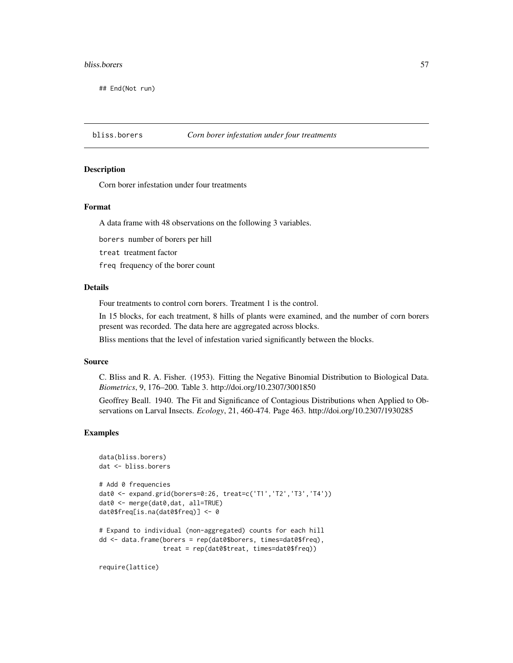#### bliss.borers 57

## End(Not run)

## bliss.borers *Corn borer infestation under four treatments*

#### Description

Corn borer infestation under four treatments

## Format

A data frame with 48 observations on the following 3 variables.

borers number of borers per hill

treat treatment factor

freq frequency of the borer count

#### Details

Four treatments to control corn borers. Treatment 1 is the control.

In 15 blocks, for each treatment, 8 hills of plants were examined, and the number of corn borers present was recorded. The data here are aggregated across blocks.

Bliss mentions that the level of infestation varied significantly between the blocks.

#### Source

C. Bliss and R. A. Fisher. (1953). Fitting the Negative Binomial Distribution to Biological Data. *Biometrics*, 9, 176–200. Table 3. http://doi.org/10.2307/3001850

Geoffrey Beall. 1940. The Fit and Significance of Contagious Distributions when Applied to Observations on Larval Insects. *Ecology*, 21, 460-474. Page 463. http://doi.org/10.2307/1930285

## Examples

```
data(bliss.borers)
dat <- bliss.borers
# Add 0 frequencies
dat0 <- expand.grid(borers=0:26, treat=c('T1','T2','T3','T4'))
dat0 <- merge(dat0,dat, all=TRUE)
dat0$freq[is.na(dat0$freq)] <- 0
# Expand to individual (non-aggregated) counts for each hill
dd <- data.frame(borers = rep(dat0$borers, times=dat0$freq),
                 treat = rep(dat0$treat, times=dat0$freq))
```
require(lattice)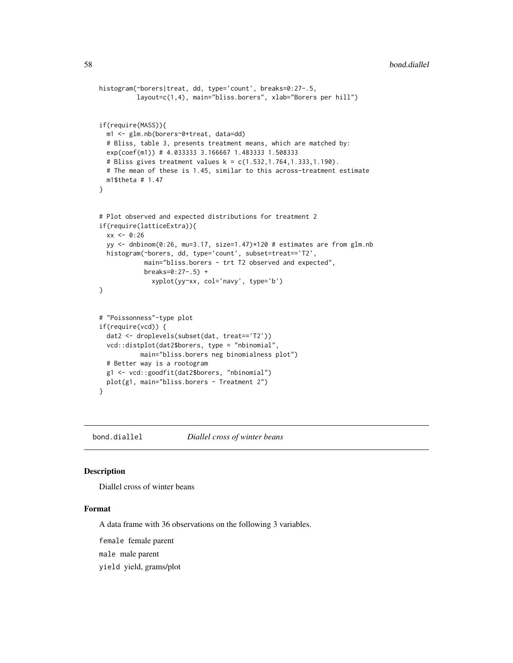```
histogram(~borers|treat, dd, type='count', breaks=0:27-.5,
         layout=c(1,4), main="bliss.borers", xlab="Borers per hill")
if(require(MASS)){
 m1 <- glm.nb(borers~0+treat, data=dd)
 # Bliss, table 3, presents treatment means, which are matched by:
 exp(coef(m1)) # 4.033333 3.166667 1.483333 1.508333
 # Bliss gives treatment values k = c(1.532,1.764,1.333,1.190).
 # The mean of these is 1.45, similar to this across-treatment estimate
 m1$theta # 1.47
}
# Plot observed and expected distributions for treatment 2
if(require(latticeExtra)){
 xx < -0:26yy <- dnbinom(0:26, mu=3.17, size=1.47)*120 # estimates are from glm.nb
 histogram(~borers, dd, type='count', subset=treat=='T2',
            main="bliss.borers - trt T2 observed and expected",
            breaks=0:27-.5) +
             xyplot(yy~xx, col='navy', type='b')
}
# "Poissonness"-type plot
if(require(vcd)) {
 dat2 <- droplevels(subset(dat, treat=='T2'))
 vcd::distplot(dat2$borers, type = "nbinomial",
           main="bliss.borers neg binomialness plot")
 # Better way is a rootogram
 g1 <- vcd::goodfit(dat2$borers, "nbinomial")
 plot(g1, main="bliss.borers - Treatment 2")
}
```
bond.diallel *Diallel cross of winter beans*

#### Description

Diallel cross of winter beans

#### Format

A data frame with 36 observations on the following 3 variables.

female female parent

male male parent

yield yield, grams/plot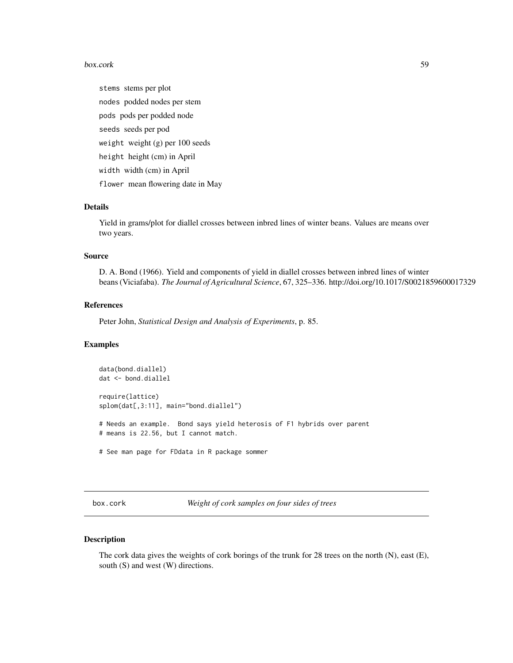#### box.cork 59

stems stems per plot nodes podded nodes per stem pods pods per podded node seeds seeds per pod weight weight (g) per 100 seeds height height (cm) in April width width (cm) in April flower mean flowering date in May

# Details

Yield in grams/plot for diallel crosses between inbred lines of winter beans. Values are means over two years.

#### Source

D. A. Bond (1966). Yield and components of yield in diallel crosses between inbred lines of winter beans (Viciafaba). *The Journal of Agricultural Science*, 67, 325–336. http://doi.org/10.1017/S0021859600017329

# References

Peter John, *Statistical Design and Analysis of Experiments*, p. 85.

# Examples

```
data(bond.diallel)
dat <- bond.diallel
require(lattice)
splom(dat[,3:11], main="bond.diallel")
# Needs an example. Bond says yield heterosis of F1 hybrids over parent
# means is 22.56, but I cannot match.
# See man page for FDdata in R package sommer
```
box.cork *Weight of cork samples on four sides of trees*

# **Description**

The cork data gives the weights of cork borings of the trunk for 28 trees on the north (N), east (E), south (S) and west (W) directions.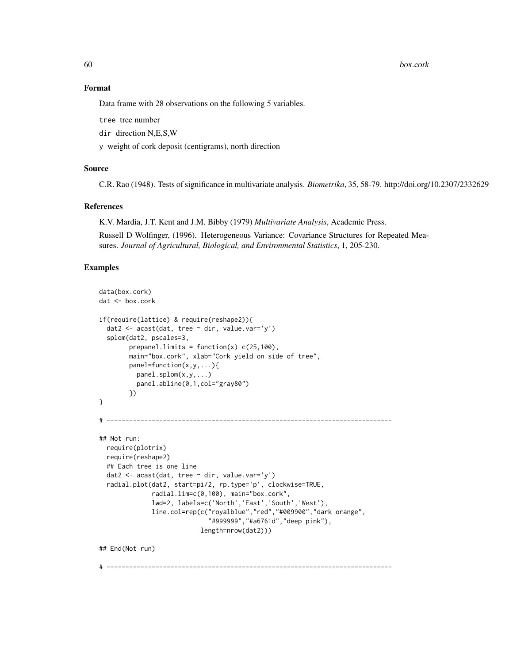#### 60 box.cork

## Format

Data frame with 28 observations on the following 5 variables.

tree tree number

dir direction N,E,S,W

y weight of cork deposit (centigrams), north direction

# Source

C.R. Rao (1948). Tests of significance in multivariate analysis. *Biometrika*, 35, 58-79. http://doi.org/10.2307/2332629

# References

K.V. Mardia, J.T. Kent and J.M. Bibby (1979) *Multivariate Analysis*, Academic Press.

Russell D Wolfinger, (1996). Heterogeneous Variance: Covariance Structures for Repeated Measures. *Journal of Agricultural, Biological, and Environmental Statistics*, 1, 205-230.

```
data(box.cork)
dat <- box.cork
if(require(lattice) & require(reshape2)){
 dat2 <- acast(dat, tree ~ dir, value.var='y')
 splom(dat2, pscales=3,
        prepanel.limits = function(x) c(25,100),
        main="box.cork", xlab="Cork yield on side of tree",
        panel=function(x,y,...){
         panel.splom(x,y,...)
         panel.abline(0,1,col="gray80")
        })
}
# ----------------------------------------------------------------------------
## Not run:
 require(plotrix)
 require(reshape2)
 ## Each tree is one line
 dat2 <- acast(dat, tree ~ dir, value.var='y')
 radial.plot(dat2, start=pi/2, rp.type='p', clockwise=TRUE,
              radial.lim=c(0,100), main="box.cork",
              lwd=2, labels=c('North','East','South','West'),
              line.col=rep(c("royalblue","red","#009900","dark orange",
                             "#999999","#a6761d","deep pink"),
                           length=nrow(dat2)))
## End(Not run)
# ----------------------------------------------------------------------------
```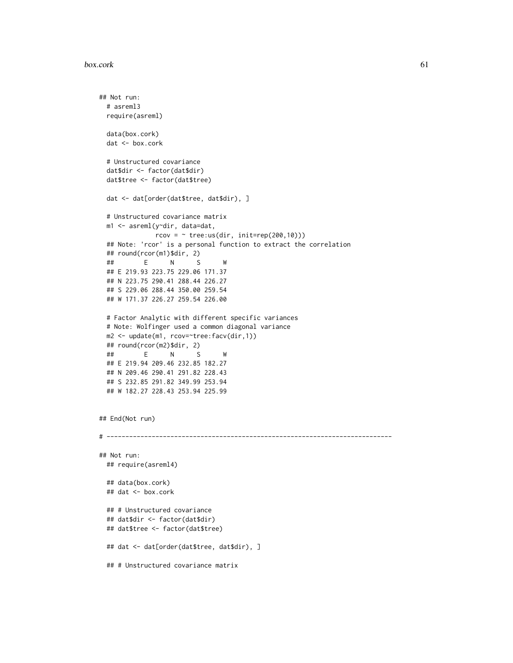```
## Not run:
 # asreml3
 require(asreml)
 data(box.cork)
 dat <- box.cork
 # Unstructured covariance
 dat$dir <- factor(dat$dir)
 dat$tree <- factor(dat$tree)
 dat <- dat[order(dat$tree, dat$dir), ]
 # Unstructured covariance matrix
 m1 <- asreml(y~dir, data=dat,
              rcov = ~ true:us(dir, init=rep(200, 10)))## Note: 'rcor' is a personal function to extract the correlation
 ## round(rcor(m1)$dir, 2)
 ## E N S W
 ## E 219.93 223.75 229.06 171.37
 ## N 223.75 290.41 288.44 226.27
 ## S 229.06 288.44 350.00 259.54
 ## W 171.37 226.27 259.54 226.00
 # Factor Analytic with different specific variances
 # Note: Wolfinger used a common diagonal variance
 m2 <- update(m1, rcov=~tree:facv(dir,1))
 ## round(rcor(m2)$dir, 2)
  ## E N S W
 ## E 219.94 209.46 232.85 182.27
 ## N 209.46 290.41 291.82 228.43
 ## S 232.85 291.82 349.99 253.94
 ## W 182.27 228.43 253.94 225.99
## End(Not run)
# ----------------------------------------------------------------------------
## Not run:
 ## require(asreml4)
 ## data(box.cork)
 ## dat <- box.cork
 ## # Unstructured covariance
 ## dat$dir <- factor(dat$dir)
 ## dat$tree <- factor(dat$tree)
 ## dat <- dat[order(dat$tree, dat$dir), ]
 ## # Unstructured covariance matrix
```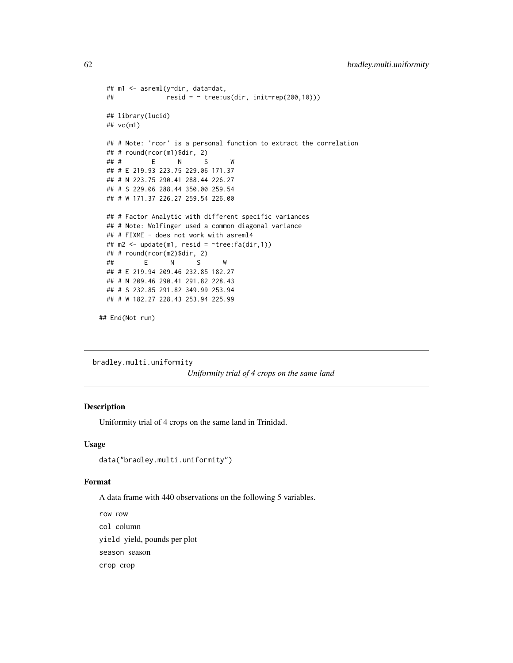```
## m1 <- asreml(y~dir, data=dat,
 ## resid = \sim tree:us(dim, init=rep(200,10)))## library(lucid)
 ## vc(m1)
 ## # Note: 'rcor' is a personal function to extract the correlation
 ## # round(rcor(m1)$dir, 2)
 ## # E N S W
 ## # E 219.93 223.75 229.06 171.37
 ## # N 223.75 290.41 288.44 226.27
 ## # S 229.06 288.44 350.00 259.54
 ## # W 171.37 226.27 259.54 226.00
 ## # Factor Analytic with different specific variances
 ## # Note: Wolfinger used a common diagonal variance
 ## # FIXME - does not work with asreml4
 ## m2 <- update(m1, resid = ~tree:fa(dir,1))
 ## # round(rcor(m2)$dir, 2)
  ## E N S W
 ## # E 219.94 209.46 232.85 182.27
 ## # N 209.46 290.41 291.82 228.43
 ## # S 232.85 291.82 349.99 253.94
 ## # W 182.27 228.43 253.94 225.99
## End(Not run)
```
bradley.multi.uniformity

*Uniformity trial of 4 crops on the same land*

## Description

Uniformity trial of 4 crops on the same land in Trinidad.

#### Usage

```
data("bradley.multi.uniformity")
```
## Format

A data frame with 440 observations on the following 5 variables.

row row col column yield yield, pounds per plot season season crop crop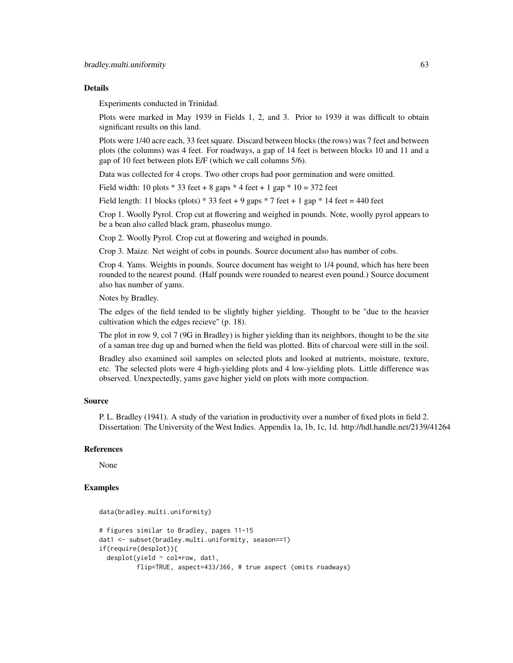#### Details

Experiments conducted in Trinidad.

Plots were marked in May 1939 in Fields 1, 2, and 3. Prior to 1939 it was difficult to obtain significant results on this land.

Plots were 1/40 acre each, 33 feet square. Discard between blocks (the rows) was 7 feet and between plots (the columns) was 4 feet. For roadways, a gap of 14 feet is between blocks 10 and 11 and a gap of 10 feet between plots E/F (which we call columns 5/6).

Data was collected for 4 crops. Two other crops had poor germination and were omitted.

Field width: 10 plots  $*$  33 feet + 8 gaps  $*$  4 feet + 1 gap  $*$  10 = 372 feet

Field length: 11 blocks (plots)  $*$  33 feet + 9 gaps  $*$  7 feet + 1 gap  $*$  14 feet = 440 feet

Crop 1. Woolly Pyrol. Crop cut at flowering and weighed in pounds. Note, woolly pyrol appears to be a bean also called black gram, phaseolus mungo.

Crop 2. Woolly Pyrol. Crop cut at flowering and weighed in pounds.

Crop 3. Maize. Net weight of cobs in pounds. Source document also has number of cobs.

Crop 4. Yams. Weights in pounds. Source document has weight to 1/4 pound, which has here been rounded to the nearest pound. (Half pounds were rounded to nearest even pound.) Source document also has number of yams.

Notes by Bradley.

The edges of the field tended to be slightly higher yielding. Thought to be "due to the heavier cultivation which the edges recieve" (p. 18).

The plot in row 9, col 7 (9G in Bradley) is higher yielding than its neighbors, thought to be the site of a saman tree dug up and burned when the field was plotted. Bits of charcoal were still in the soil.

Bradley also examined soil samples on selected plots and looked at nutrients, moisture, texture, etc. The selected plots were 4 high-yielding plots and 4 low-yielding plots. Little difference was observed. Unexpectedly, yams gave higher yield on plots with more compaction.

## Source

P. L. Bradley (1941). A study of the variation in productivity over a number of fixed plots in field 2. Dissertation: The University of the West Indies. Appendix 1a, 1b, 1c, 1d. http://hdl.handle.net/2139/41264

#### References

None

```
data(bradley.multi.uniformity)
# figures similar to Bradley, pages 11-15
dat1 <- subset(bradley.multi.uniformity, season==1)
if(require(desplot)){
 desplot(yield ~ col*row, dat1,
          flip=TRUE, aspect=433/366, # true aspect (omits roadways)
```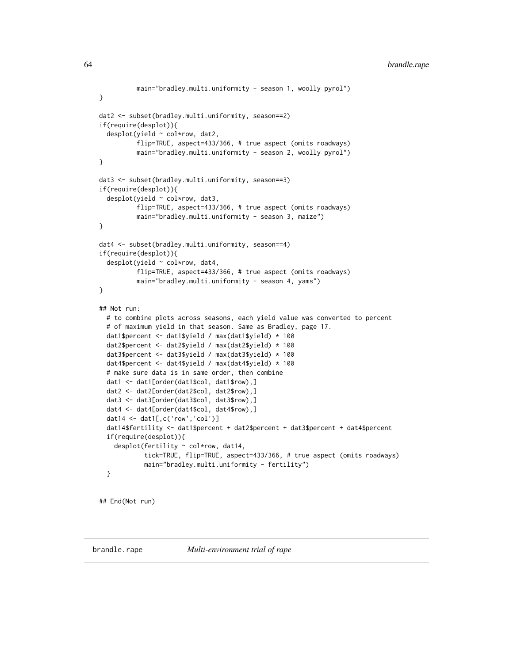```
main="bradley.multi.uniformity - season 1, woolly pyrol")
}
dat2 <- subset(bradley.multi.uniformity, season==2)
if(require(desplot)){
 desplot(yield ~ col*row, dat2,
         flip=TRUE, aspect=433/366, # true aspect (omits roadways)
          main="bradley.multi.uniformity - season 2, woolly pyrol")
}
dat3 <- subset(bradley.multi.uniformity, season==3)
if(require(desplot)){
 desplot(yield ~ col*row, dat3,
          flip=TRUE, aspect=433/366, # true aspect (omits roadways)
         main="bradley.multi.uniformity - season 3, maize")
}
dat4 <- subset(bradley.multi.uniformity, season==4)
if(require(desplot)){
 desplot(yield ~ col*row, dat4,
         flip=TRUE, aspect=433/366, # true aspect (omits roadways)
         main="bradley.multi.uniformity - season 4, yams")
}
## Not run:
 # to combine plots across seasons, each yield value was converted to percent
 # of maximum yield in that season. Same as Bradley, page 17.
 dat1$percent <- dat1$yield / max(dat1$yield) * 100
 dat2$percent <- dat2$yield / max(dat2$yield) * 100
 dat3$percent <- dat3$yield / max(dat3$yield) * 100
 dat4$percent <- dat4$yield / max(dat4$yield) * 100
 # make sure data is in same order, then combine
 dat1 <- dat1[order(dat1$col, dat1$row),]
 dat2 <- dat2[order(dat2$col, dat2$row),]
 dat3 <- dat3[order(dat3$col, dat3$row),]
 dat4 <- dat4[order(dat4$col, dat4$row),]
 dat14 <- dat1[,c('row','col')]
 dat14$fertility <- dat1$percent + dat2$percent + dat3$percent + dat4$percent
 if(require(desplot)){
    desplot(fertility ~ col*row, dat14,
            tick=TRUE, flip=TRUE, aspect=433/366, # true aspect (omits roadways)
            main="bradley.multi.uniformity - fertility")
 }
```
## End(Not run)

brandle.rape *Multi-environment trial of rape*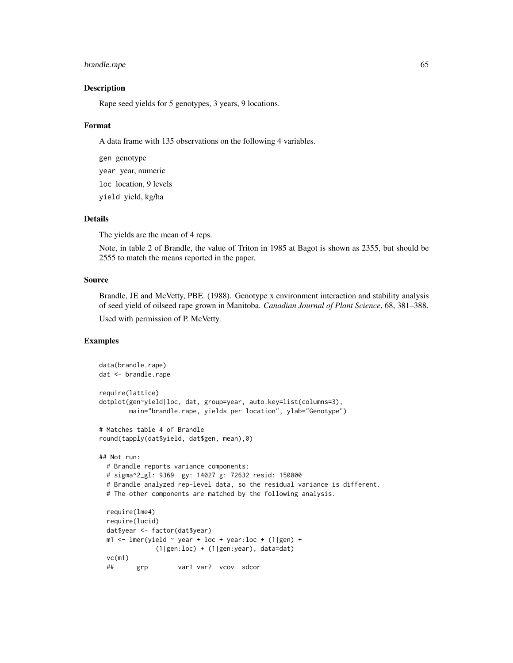# brandle.rape 65

## Description

Rape seed yields for 5 genotypes, 3 years, 9 locations.

#### Format

A data frame with 135 observations on the following 4 variables.

gen genotype year year, numeric loc location, 9 levels yield yield, kg/ha

## Details

The yields are the mean of 4 reps.

Note, in table 2 of Brandle, the value of Triton in 1985 at Bagot is shown as 2355, but should be 2555 to match the means reported in the paper.

## Source

Brandle, JE and McVetty, PBE. (1988). Genotype x environment interaction and stability analysis of seed yield of oilseed rape grown in Manitoba. *Canadian Journal of Plant Science*, 68, 381–388. Used with permission of P. McVetty.

```
data(brandle.rape)
dat <- brandle.rape
require(lattice)
dotplot(gen~yield|loc, dat, group=year, auto.key=list(columns=3),
       main="brandle.rape, yields per location", ylab="Genotype")
# Matches table 4 of Brandle
round(tapply(dat$yield, dat$gen, mean),0)
## Not run:
 # Brandle reports variance components:
 # sigma^2_gl: 9369 gy: 14027 g: 72632 resid: 150000
 # Brandle analyzed rep-level data, so the residual variance is different.
 # The other components are matched by the following analysis.
 require(lme4)
 require(lucid)
 dat$year <- factor(dat$year)
 m1 <- lmer(yield \sim year + loc + year:loc + (1|gen) +
               (1|gen:loc) + (1|gen:year), data=dat)
 vc(m1)
 ## grp var1 var2 vcov sdcor
```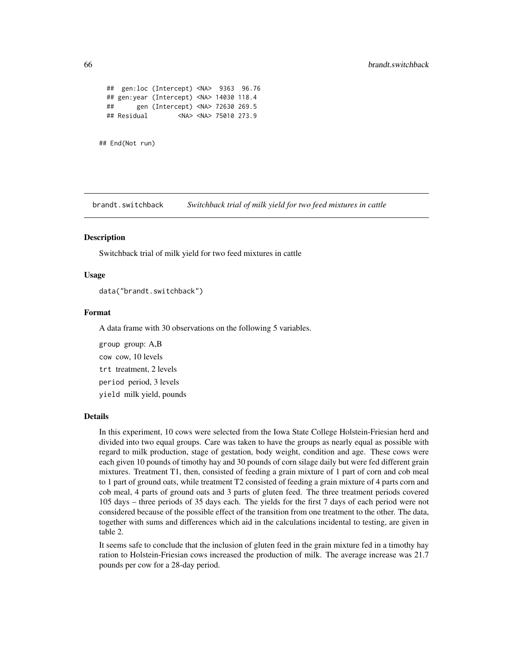```
## gen:loc (Intercept) <NA> 9363 96.76
 ## gen:year (Intercept) <NA> 14030 118.4
 ## gen (Intercept) <NA> 72630 269.5
 ## Residual <NA> <NA> 75010 273.9
## End(Not run)
```
brandt.switchback *Switchback trial of milk yield for two feed mixtures in cattle*

### **Description**

Switchback trial of milk yield for two feed mixtures in cattle

## Usage

data("brandt.switchback")

## Format

A data frame with 30 observations on the following 5 variables.

group group: A,B cow cow, 10 levels trt treatment, 2 levels period period, 3 levels yield milk yield, pounds

#### Details

In this experiment, 10 cows were selected from the Iowa State College Holstein-Friesian herd and divided into two equal groups. Care was taken to have the groups as nearly equal as possible with regard to milk production, stage of gestation, body weight, condition and age. These cows were each given 10 pounds of timothy hay and 30 pounds of corn silage daily but were fed different grain mixtures. Treatment T1, then, consisted of feeding a grain mixture of 1 part of corn and cob meal to 1 part of ground oats, while treatment T2 consisted of feeding a grain mixture of 4 parts corn and cob meal, 4 parts of ground oats and 3 parts of gluten feed. The three treatment periods covered 105 days – three periods of 35 days each. The yields for the first 7 days of each period were not considered because of the possible effect of the transition from one treatment to the other. The data, together with sums and differences which aid in the calculations incidental to testing, are given in table 2.

It seems safe to conclude that the inclusion of gluten feed in the grain mixture fed in a timothy hay ration to Holstein-Friesian cows increased the production of milk. The average increase was 21.7 pounds per cow for a 28-day period.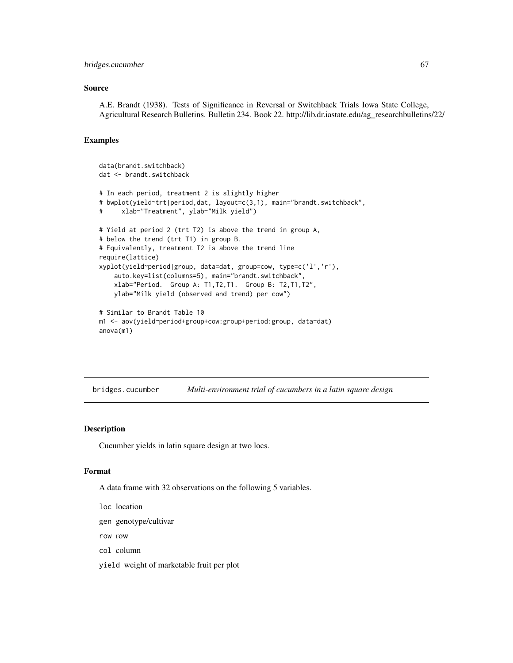#### bridges.cucumber 67

### Source

A.E. Brandt (1938). Tests of Significance in Reversal or Switchback Trials Iowa State College, Agricultural Research Bulletins. Bulletin 234. Book 22. http://lib.dr.iastate.edu/ag\_researchbulletins/22/

## Examples

```
data(brandt.switchback)
dat <- brandt.switchback
# In each period, treatment 2 is slightly higher
# bwplot(yield~trt|period,dat, layout=c(3,1), main="brandt.switchback",
# xlab="Treatment", ylab="Milk yield")
# Yield at period 2 (trt T2) is above the trend in group A,
# below the trend (trt T1) in group B.
# Equivalently, treatment T2 is above the trend line
require(lattice)
xyplot(yield~period|group, data=dat, group=cow, type=c('l','r'),
    auto.key=list(columns=5), main="brandt.switchback",
   xlab="Period. Group A: T1,T2,T1. Group B: T2,T1,T2",
   ylab="Milk yield (observed and trend) per cow")
# Similar to Brandt Table 10
m1 <- aov(yield~period+group+cow:group+period:group, data=dat)
```

```
anova(m1)
```
bridges.cucumber *Multi-environment trial of cucumbers in a latin square design*

# Description

Cucumber yields in latin square design at two locs.

#### Format

A data frame with 32 observations on the following 5 variables.

- loc location
- gen genotype/cultivar
- row row
- col column
- yield weight of marketable fruit per plot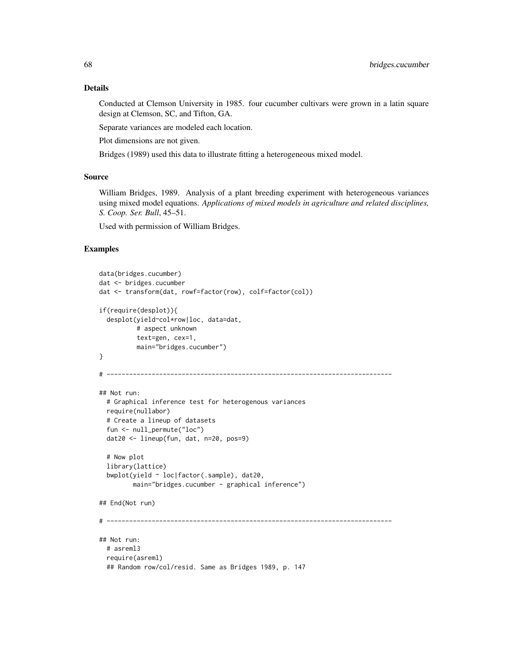Conducted at Clemson University in 1985. four cucumber cultivars were grown in a latin square design at Clemson, SC, and Tifton, GA.

Separate variances are modeled each location.

Plot dimensions are not given.

Bridges (1989) used this data to illustrate fitting a heterogeneous mixed model.

## Source

William Bridges, 1989. Analysis of a plant breeding experiment with heterogeneous variances using mixed model equations. *Applications of mixed models in agriculture and related disciplines, S. Coop. Ser. Bull*, 45–51.

Used with permission of William Bridges.

```
data(bridges.cucumber)
dat <- bridges.cucumber
dat <- transform(dat, rowf=factor(row), colf=factor(col))
if(require(desplot)){
 desplot(yield~col*row|loc, data=dat,
         # aspect unknown
         text=gen, cex=1,
         main="bridges.cucumber")
}
# ----------------------------------------------------------------------------
## Not run:
 # Graphical inference test for heterogenous variances
 require(nullabor)
 # Create a lineup of datasets
 fun <- null_permute("loc")
 dat20 <- lineup(fun, dat, n=20, pos=9)
 # Now plot
 library(lattice)
 bwplot(yield ~ loc|factor(.sample), dat20,
        main="bridges.cucumber - graphical inference")
## End(Not run)
# ----------------------------------------------------------------------------
## Not run:
 # asreml3
 require(asreml)
 ## Random row/col/resid. Same as Bridges 1989, p. 147
```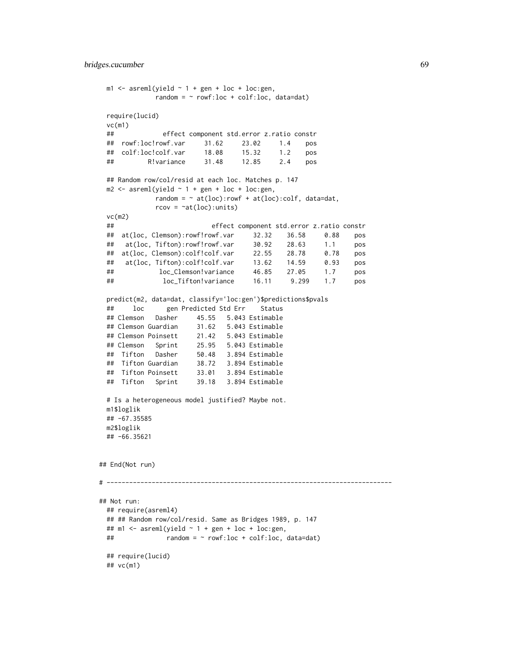```
m1 \leq -\text{asreml}(\text{yield} \sim 1 + \text{gen} + \text{loc} + \text{loc} : \text{gen},random = \sim rowf:loc + colf:loc, data=dat)
 require(lucid)
 vc(m1)
 ## effect component std.error z.ratio constr
 ## rowf:loc!rowf.var 31.62 23.02 1.4 pos
 ## colf:loc!colf.var 18.08 15.32 1.2 pos
 ## R!variance 31.48 12.85 2.4 pos
 ## Random row/col/resid at each loc. Matches p. 147
 m2 < - asreml(yield \sim 1 + gen + loc + loc:gen,
            random = \sim at(loc):rowf + at(loc):colf, data=dat,
            rcov = \text{at}(loc): units)vc(m2)
 ## effect component std.error z.ratio constr
 ## at(loc, Clemson):rowf!rowf.var 32.32 36.58 0.88 pos
 ## at(loc, Tifton):rowf!rowf.var 30.92 28.63 1.1 pos
 ## at(loc, Clemson):colf!colf.var 22.55 28.78 0.78 pos
 ## at(loc, Tifton):colf!colf.var 13.62 14.59 0.93 pos
 ## loc_Clemson!variance 46.85 27.05 1.7 pos
 ## loc_Tifton!variance 16.11 9.299 1.7 pos
 predict(m2, data=dat, classify='loc:gen')$predictions$pvals
 ## loc gen Predicted Std Err Status
 ## Clemson Dasher 45.55 5.043 Estimable
 ## Clemson Guardian 31.62 5.043 Estimable
 ## Clemson Poinsett 21.42 5.043 Estimable
 ## Clemson Sprint 25.95 5.043 Estimable
 ## Tifton Dasher 50.48 3.894 Estimable
 ## Tifton Guardian 38.72 3.894 Estimable
 ## Tifton Poinsett 33.01 3.894 Estimable
 ## Tifton Sprint 39.18 3.894 Estimable
 # Is a heterogeneous model justified? Maybe not.
 m1$loglik
 ## -67.35585
 m2$loglik
 ## -66.35621
## End(Not run)
# ----------------------------------------------------------------------------
## Not run:
 ## require(asreml4)
 ## ## Random row/col/resid. Same as Bridges 1989, p. 147
 ## m1 <- asreml(yield \sim 1 + gen + loc + loc:gen,
 ## random = ~ rowf:loc + colf:loc, data=dat)
 ## require(lucid)
 ## vc(m1)
```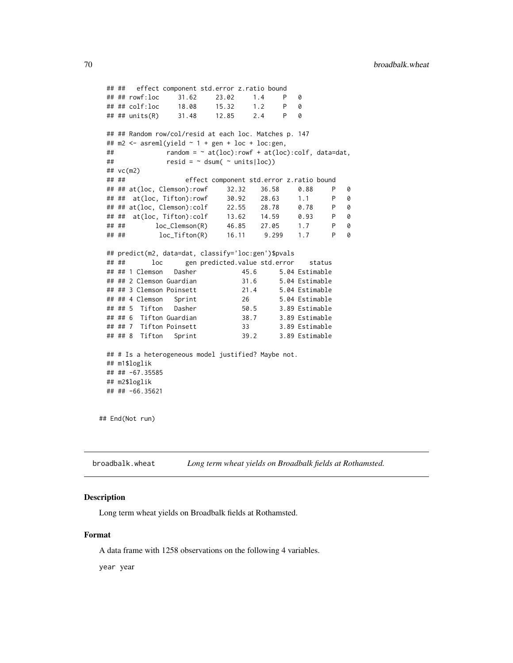```
## ## effect component std.error z.ratio bound
 ## ## rowf:loc 31.62 23.02 1.4 P 0
 ## ## colf:loc 18.08 15.32 1.2 P 0
 ## ## units(R) 31.48 12.85 2.4 P 0
 ## ## Random row/col/resid at each loc. Matches p. 147
 ## m2 < - asreml(yield \sim 1 + gen + loc + loc:gen,
 ## r random = \sim at(loc):rowf + at(loc):colf, data=dat,
 \# \# resid = \sim dsum( \sim units \vertloc))
 ## vc(m2)
 ## ## effect component std.error z.ratio bound
 ## ## at(loc, Clemson):rowf 32.32 36.58 0.88 P 0
 ## ## at(loc, Tifton):rowf 30.92 28.63 1.1 P 0
 ## ## at(loc, Clemson):colf 22.55 28.78 0.78 P 0
 ## ## at(loc, Tifton):colf 13.62 14.59 0.93 P 0
 ## ## loc_Clemson(R) 46.85 27.05 1.7 P 0
 ## ## loc_Tifton(R) 16.11 9.299 1.7 P 0
 ## predict(m2, data=dat, classify='loc:gen')$pvals
 ## ## loc gen predicted.value std.error status
 ## ## 1 Clemson Dasher 45.6 5.04 Estimable
 ## ## 2 Clemson Guardian 31.6 5.04 Estimable
 ## ## 3 Clemson Poinsett 21.4 5.04 Estimable
 ## ## 4 Clemson Sprint 26 5.04 Estimable
 ## ## 5 Tifton Dasher 50.5 3.89 Estimable
 ## ## 6 Tifton Guardian 38.7 3.89 Estimable
 ## ## 7 Tifton Poinsett 33 3.89 Estimable
 ## ## 8 Tifton Sprint 39.2 3.89 Estimable
 ## # Is a heterogeneous model justified? Maybe not.
 ## m1$loglik
 ## ## -67.35585
 ## m2$loglik
 ## ## -66.35621
## End(Not run)
```
broadbalk.wheat *Long term wheat yields on Broadbalk fields at Rothamsted.*

## Description

Long term wheat yields on Broadbalk fields at Rothamsted.

#### Format

A data frame with 1258 observations on the following 4 variables.

year year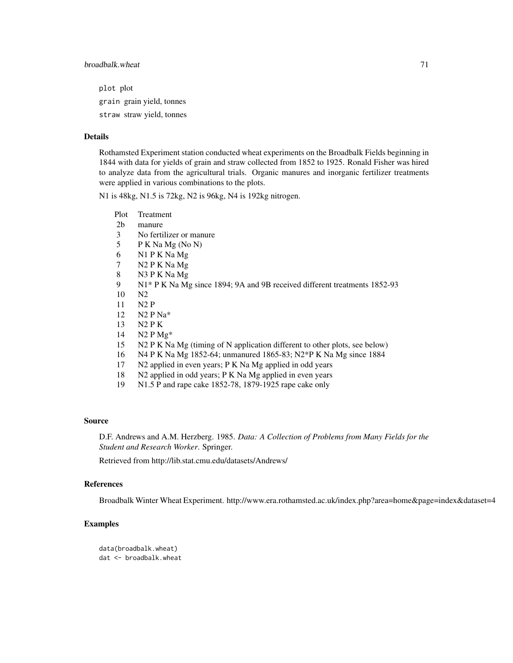plot plot grain grain yield, tonnes straw straw yield, tonnes

#### Details

Rothamsted Experiment station conducted wheat experiments on the Broadbalk Fields beginning in 1844 with data for yields of grain and straw collected from 1852 to 1925. Ronald Fisher was hired to analyze data from the agricultural trials. Organic manures and inorganic fertilizer treatments were applied in various combinations to the plots.

N1 is 48kg, N1.5 is 72kg, N2 is 96kg, N4 is 192kg nitrogen.

- Plot Treatment
- 2b manure
- 3 No fertilizer or manure
- 5 P K Na Mg (No N)
- 6 N1 P K Na Mg
- 7 N2 P K Na Mg
- 8 N3 P K Na Mg
- 9 N1\* P K Na Mg since 1894; 9A and 9B received different treatments 1852-93
- 10 N2
- 11 N2 P
- 12 N2 P Na\*
- 13 N2 P K
- 14 N2 P Mg\*
- 15 N2 P K Na Mg (timing of N application different to other plots, see below)
- 16 N4 P K Na Mg 1852-64; unmanured 1865-83; N2\*P K Na Mg since 1884
- 17 N2 applied in even years; P K Na Mg applied in odd years
- 18 N2 applied in odd years; P K Na Mg applied in even years
- 19 N1.5 P and rape cake 1852-78, 1879-1925 rape cake only

#### Source

D.F. Andrews and A.M. Herzberg. 1985. *Data: A Collection of Problems from Many Fields for the Student and Research Worker*. Springer.

Retrieved from http://lib.stat.cmu.edu/datasets/Andrews/

# References

Broadbalk Winter Wheat Experiment. http://www.era.rothamsted.ac.uk/index.php?area=home&page=index&dataset=4

# Examples

data(broadbalk.wheat) dat <- broadbalk.wheat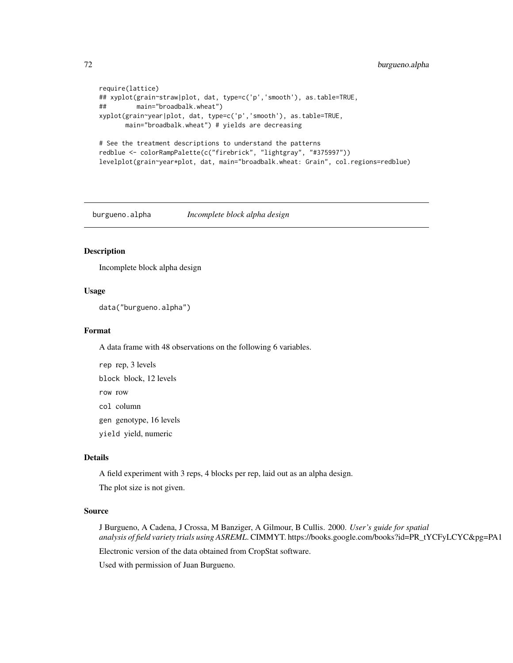```
require(lattice)
## xyplot(grain~straw|plot, dat, type=c('p','smooth'), as.table=TRUE,
## main="broadbalk.wheat")
xyplot(grain~year|plot, dat, type=c('p','smooth'), as.table=TRUE,
      main="broadbalk.wheat") # yields are decreasing
# See the treatment descriptions to understand the patterns
redblue <- colorRampPalette(c("firebrick", "lightgray", "#375997"))
levelplot(grain~year*plot, dat, main="broadbalk.wheat: Grain", col.regions=redblue)
```
burgueno.alpha *Incomplete block alpha design*

#### Description

Incomplete block alpha design

## Usage

```
data("burgueno.alpha")
```
#### Format

A data frame with 48 observations on the following 6 variables.

rep rep, 3 levels block block, 12 levels row row col column

gen genotype, 16 levels

yield yield, numeric

#### Details

A field experiment with 3 reps, 4 blocks per rep, laid out as an alpha design.

The plot size is not given.

# Source

J Burgueno, A Cadena, J Crossa, M Banziger, A Gilmour, B Cullis. 2000. *User's guide for spatial analysis of field variety trials using ASREML*. CIMMYT. https://books.google.com/books?id=PR\_tYCFyLCYC&pg=PA1

Electronic version of the data obtained from CropStat software.

Used with permission of Juan Burgueno.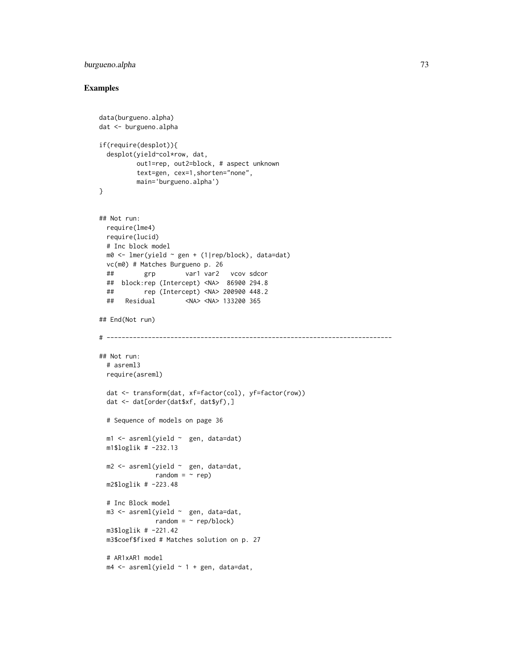# burgueno.alpha 73

```
data(burgueno.alpha)
dat <- burgueno.alpha
if(require(desplot)){
 desplot(yield~col*row, dat,
         out1=rep, out2=block, # aspect unknown
         text=gen, cex=1,shorten="none",
         main='burgueno.alpha')
}
## Not run:
 require(lme4)
 require(lucid)
 # Inc block model
 m0 <- lmer(yield ~ gen + (1|rep/block), data=dat)
 vc(m0) # Matches Burgueno p. 26
 ## grp var1 var2 vcov sdcor
 ## block:rep (Intercept) <NA> 86900 294.8
 ## rep (Intercept) <NA> 200900 448.2
 ## Residual <NA> <NA> 133200 365
## End(Not run)
# ----------------------------------------------------------------------------
## Not run:
 # asreml3
 require(asreml)
 dat <- transform(dat, xf=factor(col), yf=factor(row))
 dat <- dat[order(dat$xf, dat$yf),]
 # Sequence of models on page 36
 m1 <- asreml(yield ~ gen, data=dat)
 m1$loglik # -232.13
 m2 \leq -\text{asreml}(\text{yield} \sim \text{gen}, \text{data=dat},random = ~ rep)
 m2$loglik # -223.48
 # Inc Block model
 m3 <- asreml(yield ~ gen, data=dat,
              random = \sim rep/block)
 m3$loglik # -221.42
 m3$coef$fixed # Matches solution on p. 27
 # AR1xAR1 model
 m4 \leq asreml(yield \sim 1 + gen, data=dat,
```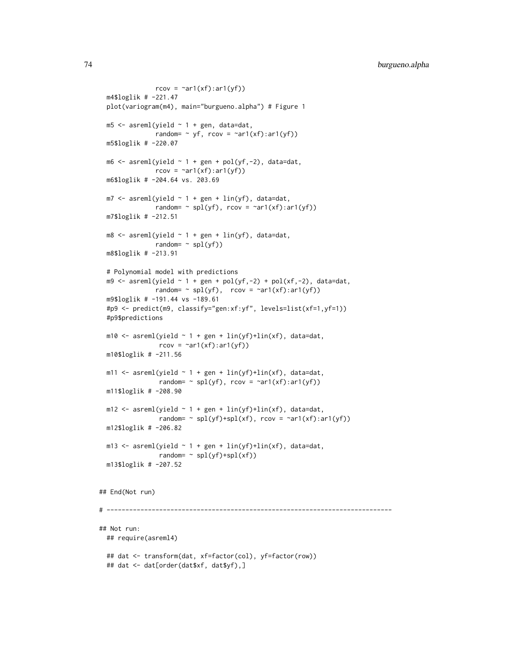```
rcov = \text{var1}(xf):ar1(yf))m4$loglik # -221.47
 plot(variogram(m4), main="burgueno.alpha") # Figure 1
 m5 <- asreml(yield \sim 1 + gen, data=dat,
               random= \sim yf, rcov = \simar1(xf):ar1(yf))
 m5$loglik # -220.07
 m6 \leq asreml(yield \sim 1 + gen + pol(yf,-2), data=dat,
               rcov = \text{var1}(xf):ar1(yf))m6$loglik # -204.64 vs. 203.69
 m7 < - asreml(yield \sim 1 + gen + lin(yf), data=dat,
               random= \sim spl(yf), rcov = \simar1(xf):ar1(yf))
 m7$loglik # -212.51
 m8 \leq asreml(yield \sim 1 + gen + lin(yf), data=dat,
               random= \sim spl(yf))
 m8$loglik # -213.91
 # Polynomial model with predictions
 m9 \le - asreml(yield \sim 1 + gen + pol(yf,-2) + pol(xf,-2), data=dat,
               random= \sim spl(yf), rcov = \simar1(xf):ar1(yf))
 m9$loglik # -191.44 vs -189.61
 #p9 <- predict(m9, classify="gen:xf:yf", levels=list(xf=1,yf=1))
 #p9$predictions
 m10 <- asreml(yield \sim 1 + gen + lin(yf)+lin(xf), data=dat,
                rcov = \text{var1}(xf):ar1(yf))m10$loglik # -211.56
 m11 <- asreml(yield \sim 1 + gen + lin(yf)+lin(xf), data=dat,
                random= \sim spl(yf), rcov = \simar1(xf):ar1(yf))
 m11$loglik # -208.90
 m12 <- asreml(yield \sim 1 + gen + lin(yf)+lin(xf), data=dat,
                random= \sim spl(yf)+spl(xf), rcov = \simar1(xf):ar1(yf))
 m12$loglik # -206.82
 m13 <- asreml(yield \sim 1 + gen + lin(yf)+lin(xf), data=dat,
                random= ~\sim spl(yf)+spl(xf))
 m13$loglik # -207.52
## End(Not run)
# ----------------------------------------------------------------------------
## Not run:
 ## require(asreml4)
 ## dat <- transform(dat, xf=factor(col), yf=factor(row))
 ## dat <- dat[order(dat$xf, dat$yf),]
```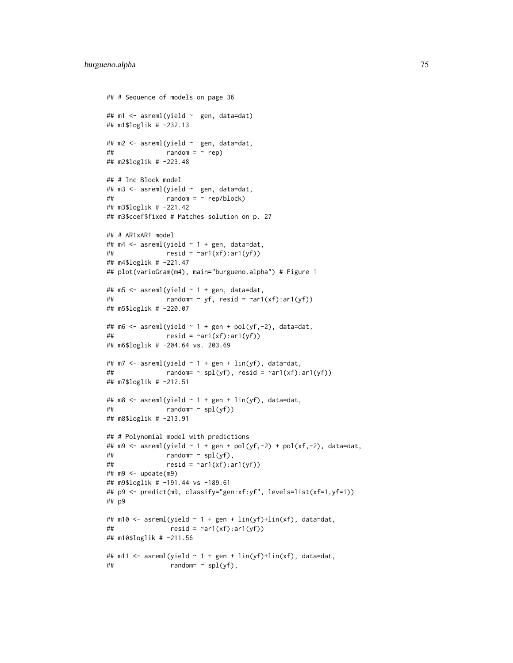```
## # Sequence of models on page 36
## m1 <- asreml(yield ~ gen, data=dat)
## m1$loglik # -232.13
## m2 <- asreml(yield ~ gen, data=dat,
\# \# random = \sim rep)
## m2$loglik # -223.48
## # Inc Block model
## m3 <- asreml(yield ~ gen, data=dat,
\# \# \qquad \qquad \qquad \qquad \qquad \qquad \qquad \qquad \qquad \qquad \qquad \qquad \qquad \qquad \qquad \qquad \qquad \qquad \qquad \qquad \qquad \qquad \qquad \qquad \qquad \qquad \qquad \qquad \qquad \qquad \qquad \qquad \qquad \qquad \qquad ## m3$loglik # -221.42
## m3$coef$fixed # Matches solution on p. 27
## # AR1xAR1 model
## m4 <- asreml(yield ~ 1 + gen, data=dat,
## resid = \text{var1}(xf):ar1(yf))## m4$loglik # -221.47
## plot(varioGram(m4), main="burgueno.alpha") # Figure 1
## m5 <- asreml(yield ~ 1 + gen, data=dat,
## random= \sim yf, resid = \simar1(xf):ar1(yf))
## m5$loglik # -220.07
## m6 <- asreml(yield \sim 1 + gen + pol(yf,-2), data=dat,
## resid = \text{var1}(xf):ar1(yf))## m6$loglik # -204.64 vs. 203.69
## m7 <- asreml(yield ~ 1 + gen + lin(yf), data=dat,
## random= \sim spl(yf), resid = \simar1(xf):ar1(yf))
## m7$loglik # -212.51
## m8 <- asreml(yield \sim 1 + gen + lin(yf), data=dat,
\# \# \qquad \qquad \qquad \qquad \qquad \qquad \qquad \qquad \qquad \qquad \qquad \qquad \qquad \qquad \qquad \qquad \qquad \qquad \qquad \qquad \qquad \qquad \qquad \qquad \qquad \qquad \qquad \qquad \qquad \qquad \qquad \qquad \qquad \qquad \qquad ## m8$loglik # -213.91
## # Polynomial model with predictions
## m9 <- asreml(yield \sim 1 + gen + pol(yf,-2) + pol(xf,-2), data=dat,
\# \# \qquad \qquad \qquad \qquad \qquad \qquad \qquad \qquad \qquad \qquad \qquad \qquad \qquad \qquad \qquad \qquad \qquad \qquad \qquad \qquad \qquad \qquad \qquad \qquad \qquad \qquad \qquad \qquad \qquad \qquad \qquad \qquad \qquad \qquad \qquad ## resid = \text{var1}(xf):ar1(yf))## m9 <- update(m9)
## m9$loglik # -191.44 vs -189.61
## p9 <- predict(m9, classify="gen:xf:yf", levels=list(xf=1,yf=1))
## p9
## m10 <- asreml(yield \sim 1 + gen + lin(yf)+lin(xf), data=dat,
\# \qquad resid = \text{var1}(xf):\text{ar1}(yf))## m10$loglik # -211.56
## m11 <- asreml(yield ~ 1 + gen + lin(yf)+lin(xf), data=dat,
\# \# random= \sim spl(yf),
```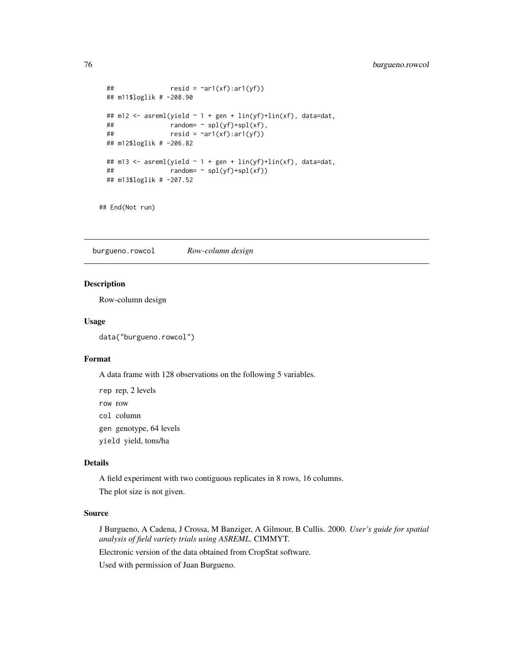```
## resid = \text{var1}(xf):ar1(yf))## m11$loglik # -208.90
## m12 <- asreml(yield ~ 1 + gen + lin(yf)+lin(xf), data=dat,
\# \# \qquad \qquad \qquad \qquad \qquad \qquad \qquad \qquad \qquad \qquad \qquad \qquad \qquad \qquad \qquad \qquad \qquad \qquad \qquad \qquad \qquad \qquad \qquad \qquad \qquad \qquad \qquad \qquad \qquad \qquad \qquad \qquad \qquad \qquad \qquad ## resid = \text{var1}(xf):ar1(yf))## m12$loglik # -206.82
## m13 <- asreml(yield \sim 1 + gen + lin(yf)+lin(xf), data=dat,
\# \# \qquad \qquad \qquad \qquad \qquad \qquad \qquad \qquad \qquad \qquad \qquad \qquad \qquad \qquad \qquad \qquad \qquad \qquad \qquad \qquad \qquad \qquad \qquad \qquad \qquad \qquad \qquad \qquad \qquad \qquad \qquad \qquad \qquad \qquad \qquad ## m13$loglik # -207.52
```
## End(Not run)

burgueno.rowcol *Row-column design*

## Description

Row-column design

## Usage

data("burgueno.rowcol")

# Format

A data frame with 128 observations on the following 5 variables.

rep rep, 2 levels row row col column gen genotype, 64 levels yield yield, tons/ha

# Details

A field experiment with two contiguous replicates in 8 rows, 16 columns. The plot size is not given.

## Source

J Burgueno, A Cadena, J Crossa, M Banziger, A Gilmour, B Cullis. 2000. *User's guide for spatial analysis of field variety trials using ASREML*. CIMMYT.

Electronic version of the data obtained from CropStat software.

Used with permission of Juan Burgueno.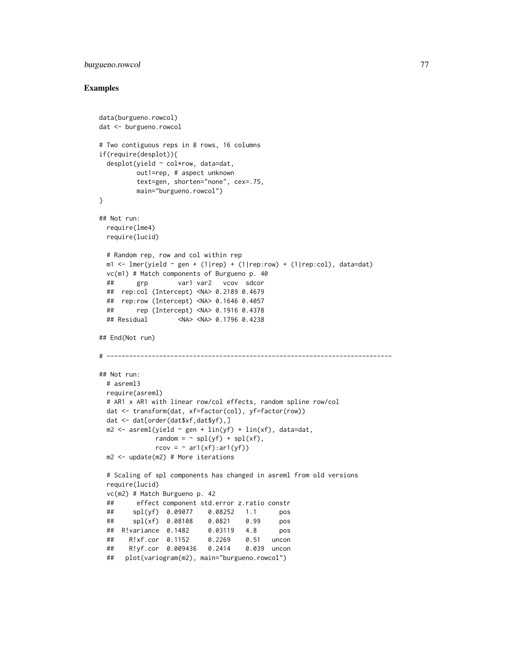# burgueno.rowcol 77

```
data(burgueno.rowcol)
dat <- burgueno.rowcol
# Two contiguous reps in 8 rows, 16 columns
if(require(desplot)){
 desplot(yield ~ col*row, data=dat,
         out1=rep, # aspect unknown
         text=gen, shorten="none", cex=.75,
         main="burgueno.rowcol")
}
## Not run:
 require(lme4)
 require(lucid)
 # Random rep, row and col within rep
 m1 <- lmer(yield \sim gen + (1|rep) + (1|rep:row) + (1|rep:col), data=dat)
 vc(m1) # Match components of Burgueno p. 40
 ## grp var1 var2 vcov sdcor
 ## rep:col (Intercept) <NA> 0.2189 0.4679
 ## rep:row (Intercept) <NA> 0.1646 0.4057
 ## rep (Intercept) <NA> 0.1916 0.4378
 ## Residual <NA> <NA> 0.1796 0.4238
## End(Not run)
# ----------------------------------------------------------------------------
## Not run:
 # asreml3
 require(asreml)
 # AR1 x AR1 with linear row/col effects, random spline row/col
 dat <- transform(dat, xf=factor(col), yf=factor(row))
 dat <- dat[order(dat$xf,dat$yf),]
 m2 \leq -\text{asreml}(\text{yield} \sim \text{gen} + \text{lin}(\text{yf}) + \text{lin}(\text{xf}), \text{data}= \text{dat},random = \sim spl(yf) + spl(xf),
              rcov = \sim ar1(xf):ar1(yf)m2 <- update(m2) # More iterations
 # Scaling of spl components has changed in asreml from old versions
 require(lucid)
 vc(m2) # Match Burgueno p. 42
 ## effect component std.error z.ratio constr
 ## spl(yf) 0.09077 0.08252 1.1 pos
 ## spl(xf) 0.08108 0.0821 0.99 pos
 ## R!variance 0.1482 0.03119 4.8 pos
 ## R!xf.cor 0.1152 0.2269 0.51 uncon
 ## R!yf.cor 0.009436 0.2414 0.039 uncon
 ## plot(variogram(m2), main="burgueno.rowcol")
```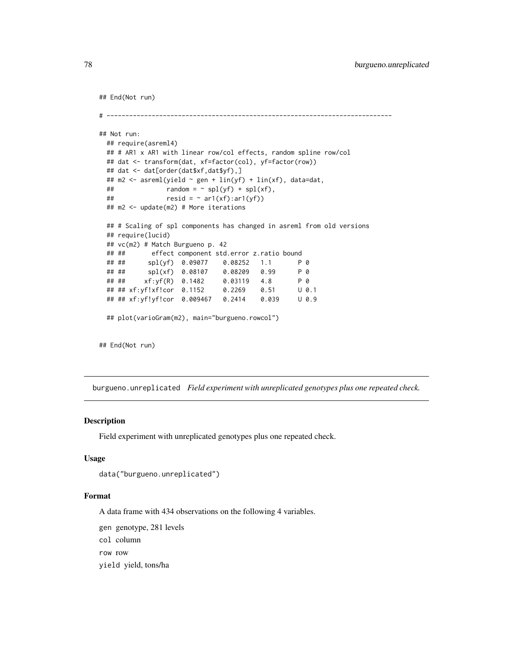```
## End(Not run)
# ----------------------------------------------------------------------------
## Not run:
 ## require(asreml4)
 ## # AR1 x AR1 with linear row/col effects, random spline row/col
 ## dat <- transform(dat, xf=factor(col), yf=factor(row))
 ## dat <- dat[order(dat$xf,dat$yf),]
 ## m2 <- asreml(yield ~ gen + lin(yf) + lin(xf), data=dat,
 ## \text{random} = \text{N} \cdot \text{spl(yf)} + \text{spl(xf)},## resid = \sim ar1(xf):ar1(yf)## m2 <- update(m2) # More iterations
 ## # Scaling of spl components has changed in asreml from old versions
 ## require(lucid)
 ## vc(m2) # Match Burgueno p. 42
 ## ## effect component std.error z.ratio bound
 ## ## spl(yf) 0.09077 0.08252 1.1 P 0
 ## ## spl(xf) 0.08107 0.08209 0.99 P 0
 ## ## xf:yf(R) 0.1482 0.03119 4.8 P 0
 ## ## xf:yf!xf!cor 0.1152 0.2269 0.51 U 0.1
 ## ## xf:yf!yf!cor 0.009467 0.2414 0.039 U 0.9
 ## plot(varioGram(m2), main="burgueno.rowcol")
## End(Not run)
```
burgueno.unreplicated *Field experiment with unreplicated genotypes plus one repeated check.*

## Description

Field experiment with unreplicated genotypes plus one repeated check.

# Usage

```
data("burgueno.unreplicated")
```
## Format

A data frame with 434 observations on the following 4 variables.

gen genotype, 281 levels

col column

row row

yield yield, tons/ha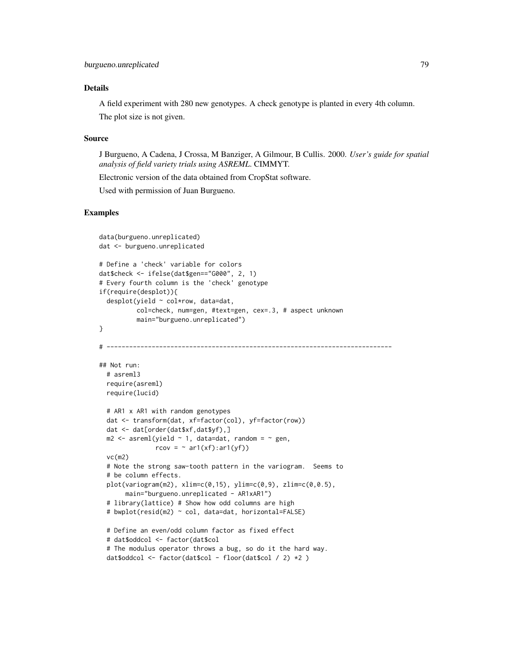# Details

A field experiment with 280 new genotypes. A check genotype is planted in every 4th column. The plot size is not given.

## Source

J Burgueno, A Cadena, J Crossa, M Banziger, A Gilmour, B Cullis. 2000. *User's guide for spatial analysis of field variety trials using ASREML*. CIMMYT.

Electronic version of the data obtained from CropStat software.

Used with permission of Juan Burgueno.

```
data(burgueno.unreplicated)
dat <- burgueno.unreplicated
# Define a 'check' variable for colors
dat$check <- ifelse(dat$gen=="G000", 2, 1)
# Every fourth column is the 'check' genotype
if(require(desplot)){
 desplot(yield ~ col*row, data=dat,
          col=check, num=gen, #text=gen, cex=.3, # aspect unknown
          main="burgueno.unreplicated")
}
# ----------------------------------------------------------------------------
## Not run:
 # asreml3
 require(asreml)
 require(lucid)
 # AR1 x AR1 with random genotypes
 dat <- transform(dat, xf=factor(col), yf=factor(row))
 dat <- dat[order(dat$xf,dat$yf),]
 m2 \leq -\text{asreml}(\text{yield} \sim 1, \text{ data}= \text{dat}, \text{ random} = \sim \text{gen},rcov = \sim ar1(xf):ar1(yf)vc(m2)
 # Note the strong saw-tooth pattern in the variogram. Seems to
 # be column effects.
 plot(variogram(m2), xlim=c(0,15), ylim=c(0,9), zlim=c(0,0.5),
       main="burgueno.unreplicated - AR1xAR1")
 # library(lattice) # Show how odd columns are high
 # bwplot(resid(m2) ~ col, data=dat, horizontal=FALSE)
 # Define an even/odd column factor as fixed effect
 # dat$oddcol <- factor(dat$col
 # The modulus operator throws a bug, so do it the hard way.
 dat$oddcol <- factor(dat$col - floor(dat$col / 2) *2 )
```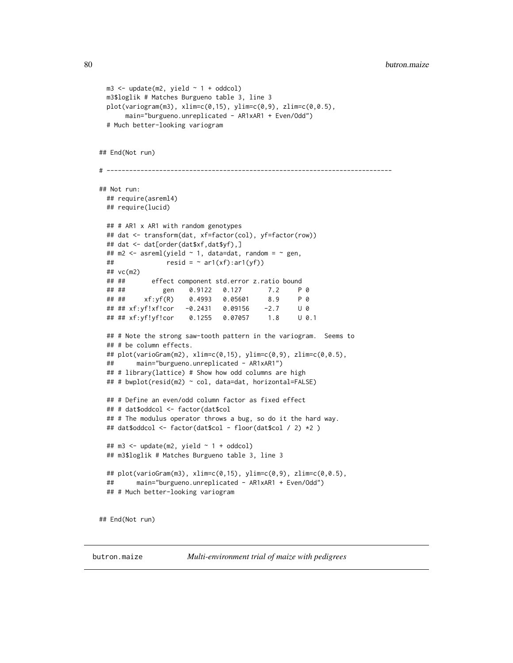```
m3 \le update(m2, yield \sim 1 + oddcol)
 m3$loglik # Matches Burgueno table 3, line 3
 plot(variogram(m3), xlim=c(0,15), ylim=c(0,9), zlim=c(0,0.5),
      main="burgueno.unreplicated - AR1xAR1 + Even/Odd")
 # Much better-looking variogram
## End(Not run)
# ----------------------------------------------------------------------------
## Not run:
 ## require(asreml4)
 ## require(lucid)
 ## # AR1 x AR1 with random genotypes
 ## dat <- transform(dat, xf=factor(col), yf=factor(row))
 ## dat <- dat[order(dat$xf,dat$yf),]
 ## m2 <- asreml(yield \sim 1, data=dat, random = \sim gen,
 ## resid = \sim ar1(xf):ar1(yf))## vc(m2)
 ## ## effect component std.error z.ratio bound
 ## ## gen 0.9122 0.127 7.2 P 0
 ## ## xf:yf(R) 0.4993 0.05601 8.9 P 0
 ## ## xf:yf!xf!cor -0.2431 0.09156 -2.7 U 0
 ## ## xf:yf!yf!cor 0.1255 0.07057 1.8 U 0.1
 ## # Note the strong saw-tooth pattern in the variogram. Seems to
 ## # be column effects.
 ## plot(varioGram(m2), xlim=c(0,15), ylim=c(0,9), zlim=c(0,0.5),
 ## main="burgueno.unreplicated - AR1xAR1")
 ## # library(lattice) # Show how odd columns are high
 ## # bwplot(resid(m2) ~ col, data=dat, horizontal=FALSE)
 ## # Define an even/odd column factor as fixed effect
 ## # dat$oddcol <- factor(dat$col
 ## # The modulus operator throws a bug, so do it the hard way.
 ## dat$oddcol <- factor(dat$col - floor(dat$col / 2) *2 )
 ## m3 \leq update(m2, yield \sim 1 + oddcol)
 ## m3$loglik # Matches Burgueno table 3, line 3
 ## plot(varioGram(m3), xlim=c(0,15), ylim=c(0,9), zlim=c(0,0.5),
 ## main="burgueno.unreplicated - AR1xAR1 + Even/Odd")
 ## # Much better-looking variogram
## End(Not run)
```
butron.maize *Multi-environment trial of maize with pedigrees*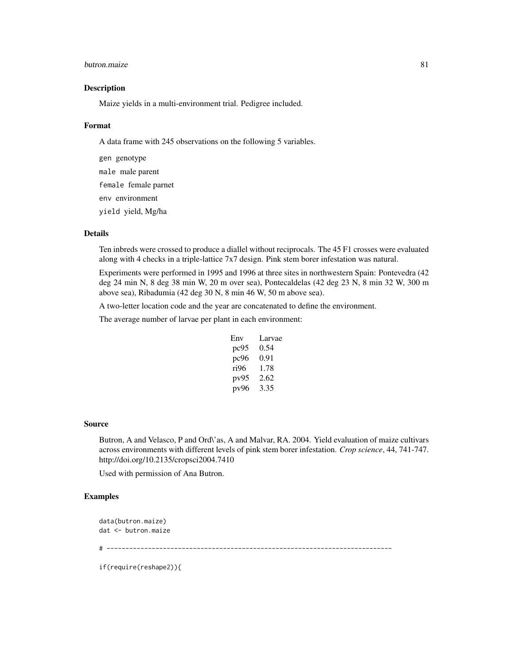#### butron.maize 81

## Description

Maize yields in a multi-environment trial. Pedigree included.

#### Format

A data frame with 245 observations on the following 5 variables.

gen genotype male male parent female female parnet env environment yield yield, Mg/ha

# Details

Ten inbreds were crossed to produce a diallel without reciprocals. The 45 F1 crosses were evaluated along with 4 checks in a triple-lattice 7x7 design. Pink stem borer infestation was natural.

Experiments were performed in 1995 and 1996 at three sites in northwestern Spain: Pontevedra (42 deg 24 min N, 8 deg 38 min W, 20 m over sea), Pontecaldelas (42 deg 23 N, 8 min 32 W, 300 m above sea), Ribadumia (42 deg 30 N, 8 min 46 W, 50 m above sea).

A two-letter location code and the year are concatenated to define the environment.

The average number of larvae per plant in each environment:

| Env  | Larvae |
|------|--------|
| pc95 | 0.54   |
| pc96 | 0.91   |
| ri96 | 1.78   |
| pv95 | 2.62   |
| pv96 | 3.35   |

#### Source

Butron, A and Velasco, P and Ord\'as, A and Malvar, RA. 2004. Yield evaluation of maize cultivars across environments with different levels of pink stem borer infestation. *Crop science*, 44, 741-747. http://doi.org/10.2135/cropsci2004.7410

Used with permission of Ana Butron.

## Examples

```
data(butron.maize)
dat <- butron.maize
# ----------------------------------------------------------------------------
```
if(require(reshape2)){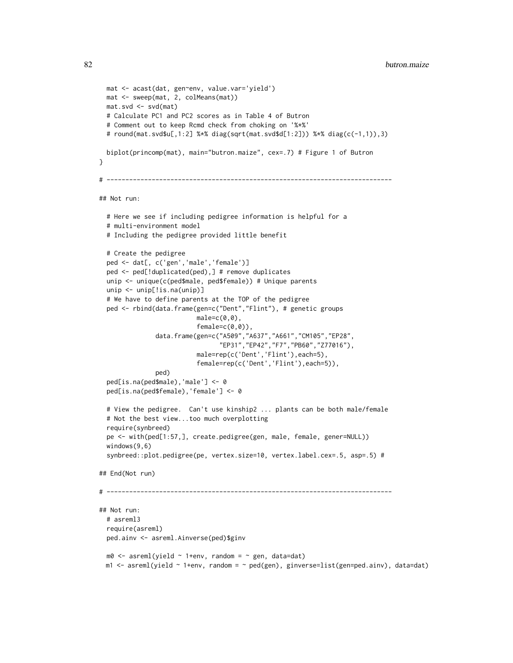```
mat <- acast(dat, gen~env, value.var='yield')
 mat <- sweep(mat, 2, colMeans(mat))
 mat.svd <- svd(mat)
 # Calculate PC1 and PC2 scores as in Table 4 of Butron
 # Comment out to keep Rcmd check from choking on '%*%'
 # round(mat.svd$u[,1:2] %*% diag(sqrt(mat.svd$d[1:2])) %*% diag(c(-1,1)),3)
 biplot(princomp(mat), main="butron.maize", cex=.7) # Figure 1 of Butron
}
# ----------------------------------------------------------------------------
## Not run:
 # Here we see if including pedigree information is helpful for a
 # multi-environment model
 # Including the pedigree provided little benefit
 # Create the pedigree
 ped <- dat[, c('gen','male','female')]
 ped <- ped[!duplicated(ped),] # remove duplicates
 unip <- unique(c(ped$male, ped$female)) # Unique parents
 unip <- unip[!is.na(unip)]
 # We have to define parents at the TOP of the pedigree
 ped <- rbind(data.frame(gen=c("Dent","Flint"), # genetic groups
                           male=c(0,0),
                           female=c(0,0)),
               data.frame(gen=c("A509","A637","A661","CM105","EP28",
                                 "EP31","EP42","F7","PB60","Z77016"),
                           male=rep(c('Dent','Flint'),each=5),
                           female=rep(c('Dent','Flint'),each=5)),
               ped)
 ped[is.na(ped$male),'male'] <- 0
 ped[is.na(ped$female),'female'] <- 0
 # View the pedigree. Can't use kinship2 ... plants can be both male/female
 # Not the best view...too much overplotting
 require(synbreed)
 pe <- with(ped[1:57,], create.pedigree(gen, male, female, gener=NULL))
 windows(9,6)
 synbreed::plot.pedigree(pe, vertex.size=10, vertex.label.cex=.5, asp=.5) #
## End(Not run)
# ----------------------------------------------------------------------------
## Not run:
 # asreml3
 require(asreml)
 ped.ainv <- asreml.Ainverse(ped)$ginv
 m0 \leq -\text{asreml}(\text{yield} \sim 1+\text{env}, \text{random} = \sim \text{gen}, \text{data}=dat)m1 < - asreml(yield \sim 1+env, random = \sim ped(gen), ginverse=list(gen=ped.ainv), data=dat)
```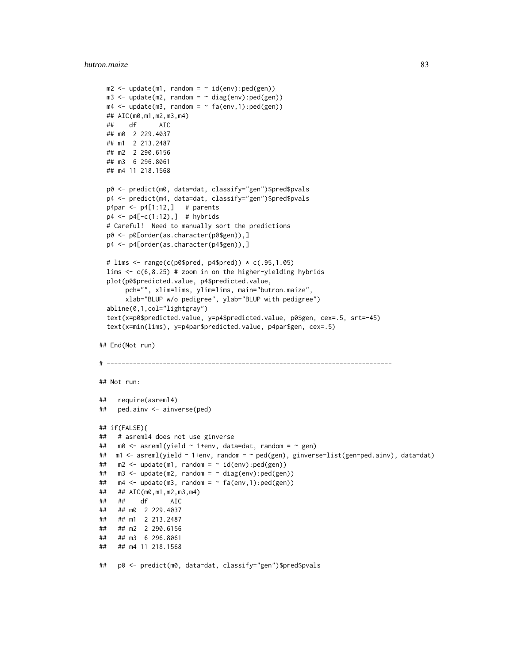#### butron.maize 83

```
m2 \leq update(m1, random = \sim id(env):ped(gen))
 m3 <- update(m2, random = \sim diag(env):ped(gen))
 m4 \leq update(m3, random = \sim fa(env,1):ped(gen))
 ## AIC(m0,m1,m2,m3,m4)
 ## df AIC
 ## m0 2 229.4037
 ## m1 2 213.2487
 ## m2 2 290.6156
 ## m3 6 296.8061
 ## m4 11 218.1568
 p0 <- predict(m0, data=dat, classify="gen")$pred$pvals
 p4 <- predict(m4, data=dat, classify="gen")$pred$pvals
 p4par \leftarrow p4[1:12, ] # parents
 p4 \leq p4[-c(1:12),] # hybrids
 # Careful! Need to manually sort the predictions
 p0 <- p0[order(as.character(p0$gen)),]
 p4 <- p4[order(as.character(p4$gen)),]
 # lims <- range(c(p0$pred, p4$pred)) * c(.95,1.05)
 lims \leq c(6, 8.25) # zoom in on the higher-yielding hybrids
 plot(p0$predicted.value, p4$predicted.value,
      pch="", xlim=lims, ylim=lims, main="butron.maize",
      xlab="BLUP w/o pedigree", ylab="BLUP with pedigree")
 abline(0,1,col="lightgray")
  text(x=p0$predicted.value, y=p4$predicted.value, p0$gen, cex=.5, srt=-45)
  text(x=min(lims), y=p4par$predicted.value, p4par$gen, cex=.5)
## End(Not run)
# ----------------------------------------------------------------------------
## Not run:
## require(asreml4)
## ped.ainv <- ainverse(ped)
## if(FALSE){
## # asreml4 does not use ginverse
## m0 <- asreml(yield ~ 1+env, data=dat, random = ~ gen)
## m1 <- asreml(yield ~ 1+env, random = ~ ped(gen), ginverse=list(gen=ped.ainv), data=dat)
## m2 < - update(m1, random = \sim id(env):ped(gen))
## m3 <- update(m2, random = ~ diag(env):ped(gen))
## m4 \leq m update(m3, random = \sim fa(env,1):ped(gen))
## ## AIC(m0,m1,m2,m3,m4)
## ## df AIC
## ## m0 2 229.4037
## ## m1 2 213.2487
## ## m2 2 290.6156
## ## m3 6 296.8061
## ## m4 11 218.1568
## p0 <- predict(m0, data=dat, classify="gen")$pred$pvals
```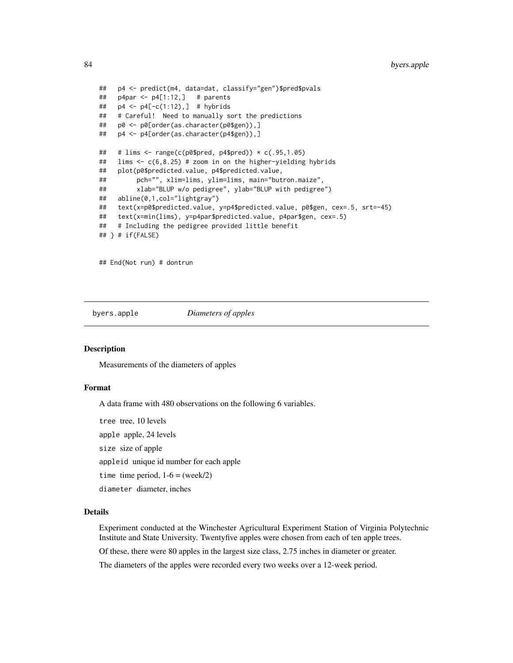```
## p4 <- predict(m4, data=dat, classify="gen")$pred$pvals
## p4par <- p4[1:12,] # parents
## p4 <- p4[-c(1:12),] # hybrids
## # Careful! Need to manually sort the predictions
## p0 <- p0[order(as.character(p0$gen)),]
## p4 <- p4[order(as.character(p4$gen)),]
## # lims <- range(c(p0$pred, p4$pred)) * c(.95,1.05)
## lims <- c(6,8.25) # zoom in on the higher-yielding hybrids
## plot(p0$predicted.value, p4$predicted.value,
## pch="", xlim=lims, ylim=lims, main="butron.maize",
## xlab="BLUP w/o pedigree", ylab="BLUP with pedigree")
## abline(0,1,col="lightgray")
## text(x=p0$predicted.value, y=p4$predicted.value, p0$gen, cex=.5, srt=-45)
## text(x=min(lims), y=p4par$predicted.value, p4par$gen, cex=.5)
## # Including the pedigree provided little benefit
## } # if(FALSE)
```
## End(Not run) # dontrun

byers.apple *Diameters of apples*

### **Description**

Measurements of the diameters of apples

# Format

A data frame with 480 observations on the following 6 variables.

tree tree, 10 levels

apple apple, 24 levels

size size of apple

appleid unique id number for each apple

time time period,  $1-6 = (week/2)$ 

diameter diameter, inches

# Details

Experiment conducted at the Winchester Agricultural Experiment Station of Virginia Polytechnic Institute and State University. Twentyfive apples were chosen from each of ten apple trees.

Of these, there were 80 apples in the largest size class, 2.75 inches in diameter or greater.

The diameters of the apples were recorded every two weeks over a 12-week period.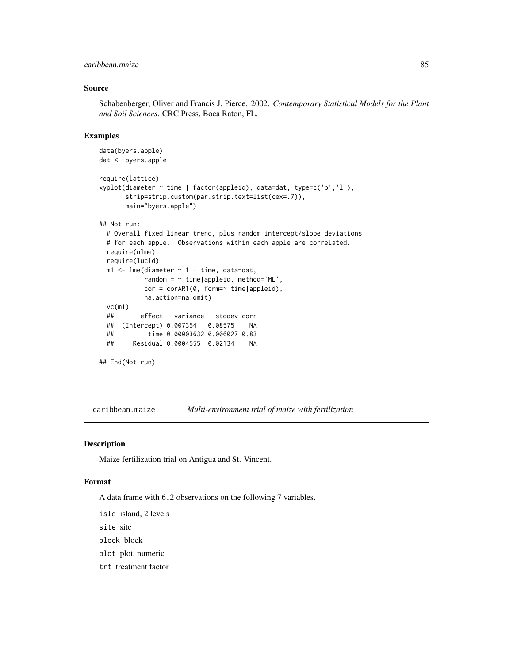# caribbean.maize 85

## Source

Schabenberger, Oliver and Francis J. Pierce. 2002. *Contemporary Statistical Models for the Plant and Soil Sciences*. CRC Press, Boca Raton, FL.

## Examples

```
data(byers.apple)
dat <- byers.apple
require(lattice)
xyplot(diameter ~ time | factor(appleid), data=dat, type=c('p','l'),
      strip=strip.custom(par.strip.text=list(cex=.7)),
      main="byers.apple")
## Not run:
 # Overall fixed linear trend, plus random intercept/slope deviations
 # for each apple. Observations within each apple are correlated.
 require(nlme)
 require(lucid)
 m1 <- lme(diameter \sim 1 + time, data=dat,
           random = \sim time|appleid, method='ML',
           cor = corAR1(0, form=' time| applied),na.action=na.omit)
 vc(m1)
 ## effect variance stddev corr
 ## (Intercept) 0.007354 0.08575 NA
 ## time 0.00003632 0.006027 0.83
 ## Residual 0.0004555 0.02134 NA
## End(Not run)
```
caribbean.maize *Multi-environment trial of maize with fertilization*

#### Description

Maize fertilization trial on Antigua and St. Vincent.

#### Format

A data frame with 612 observations on the following 7 variables.

isle island, 2 levels

site site

block block

plot plot, numeric

trt treatment factor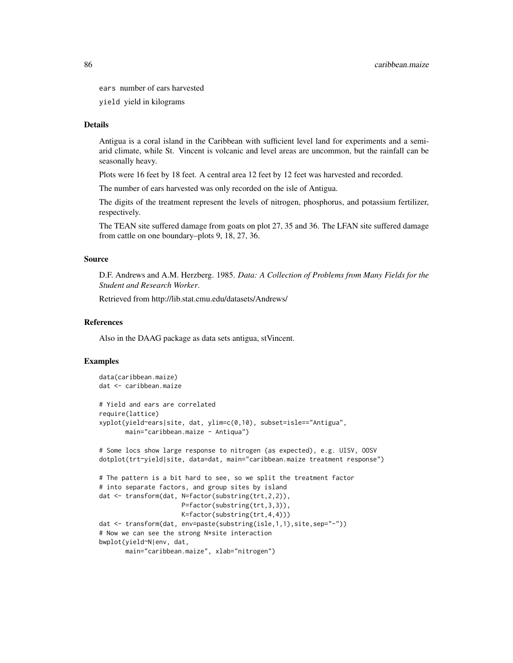ears number of ears harvested

yield yield in kilograms

# Details

Antigua is a coral island in the Caribbean with sufficient level land for experiments and a semiarid climate, while St. Vincent is volcanic and level areas are uncommon, but the rainfall can be seasonally heavy.

Plots were 16 feet by 18 feet. A central area 12 feet by 12 feet was harvested and recorded.

The number of ears harvested was only recorded on the isle of Antigua.

The digits of the treatment represent the levels of nitrogen, phosphorus, and potassium fertilizer, respectively.

The TEAN site suffered damage from goats on plot 27, 35 and 36. The LFAN site suffered damage from cattle on one boundary–plots 9, 18, 27, 36.

## Source

D.F. Andrews and A.M. Herzberg. 1985. *Data: A Collection of Problems from Many Fields for the Student and Research Worker*.

Retrieved from http://lib.stat.cmu.edu/datasets/Andrews/

## References

Also in the DAAG package as data sets antigua, stVincent.

```
data(caribbean.maize)
dat <- caribbean.maize
# Yield and ears are correlated
require(lattice)
xyplot(yield~ears|site, dat, ylim=c(0,10), subset=isle=="Antigua",
      main="caribbean.maize - Antiqua")
# Some locs show large response to nitrogen (as expected), e.g. UISV, OOSV
dotplot(trt~yield|site, data=dat, main="caribbean.maize treatment response")
# The pattern is a bit hard to see, so we split the treatment factor
# into separate factors, and group sites by island
dat <- transform(dat, N=factor(substring(trt,2,2)),
                     P=factor(substring(trt,3,3)),
                      K=factor(substring(trt,4,4)))
dat <- transform(dat, env=paste(substring(isle,1,1),site,sep="-"))
# Now we can see the strong N*site interaction
bwplot(yield~N|env, dat,
      main="caribbean.maize", xlab="nitrogen")
```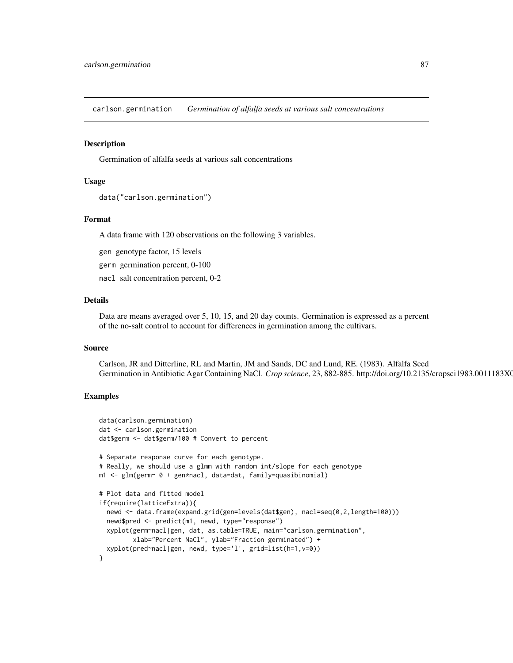carlson.germination *Germination of alfalfa seeds at various salt concentrations*

## **Description**

Germination of alfalfa seeds at various salt concentrations

## Usage

```
data("carlson.germination")
```
## Format

A data frame with 120 observations on the following 3 variables.

gen genotype factor, 15 levels

germ germination percent, 0-100

nacl salt concentration percent, 0-2

## Details

Data are means averaged over 5, 10, 15, and 20 day counts. Germination is expressed as a percent of the no-salt control to account for differences in germination among the cultivars.

#### Source

Carlson, JR and Ditterline, RL and Martin, JM and Sands, DC and Lund, RE. (1983). Alfalfa Seed Germination in Antibiotic Agar Containing NaCl. *Crop science*, 23, 882-885. http://doi.org/10.2135/cropsci1983.0011183X0

```
data(carlson.germination)
dat <- carlson.germination
dat$germ <- dat$germ/100 # Convert to percent
# Separate response curve for each genotype.
# Really, we should use a glmm with random int/slope for each genotype
m1 <- glm(germ~ 0 + gen*nacl, data=dat, family=quasibinomial)
# Plot data and fitted model
if(require(latticeExtra)){
  newd <- data.frame(expand.grid(gen=levels(dat$gen), nacl=seq(0,2,length=100)))
  newd$pred <- predict(m1, newd, type="response")
  xyplot(germ~nacl|gen, dat, as.table=TRUE, main="carlson.germination",
         xlab="Percent NaCl", ylab="Fraction germinated") +
  xyplot(pred~nacl|gen, newd, type='l', grid=list(h=1,v=0))
}
```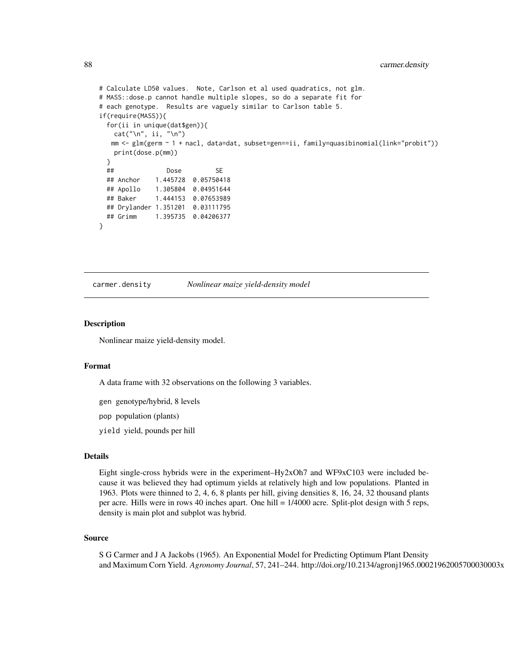```
# Calculate LD50 values. Note, Carlson et al used quadratics, not glm.
# MASS::dose.p cannot handle multiple slopes, so do a separate fit for
# each genotype. Results are vaguely similar to Carlson table 5.
if(require(MASS)){
 for(ii in unique(dat$gen)){
   cat("\n', ii, "n")mm <- glm(germ ~ 1 + nacl, data=dat, subset=gen==ii, family=quasibinomial(link="probit"))
   print(dose.p(mm))
 }
 ## Dose SE
 ## Anchor 1.445728 0.05750418
 ## Apollo 1.305804 0.04951644
 ## Baker 1.444153 0.07653989
 ## Drylander 1.351201 0.03111795
 ## Grimm 1.395735 0.04206377
}
```
carmer.density *Nonlinear maize yield-density model*

#### **Description**

Nonlinear maize yield-density model.

#### Format

A data frame with 32 observations on the following 3 variables.

gen genotype/hybrid, 8 levels

pop population (plants)

yield yield, pounds per hill

## Details

Eight single-cross hybrids were in the experiment–Hy2xOh7 and WF9xC103 were included because it was believed they had optimum yields at relatively high and low populations. Planted in 1963. Plots were thinned to 2, 4, 6, 8 plants per hill, giving densities 8, 16, 24, 32 thousand plants per acre. Hills were in rows 40 inches apart. One hill = 1/4000 acre. Split-plot design with 5 reps, density is main plot and subplot was hybrid.

#### Source

S G Carmer and J A Jackobs (1965). An Exponential Model for Predicting Optimum Plant Density and Maximum Corn Yield. *Agronomy Journal*, 57, 241–244. http://doi.org/10.2134/agronj1965.00021962005700030003x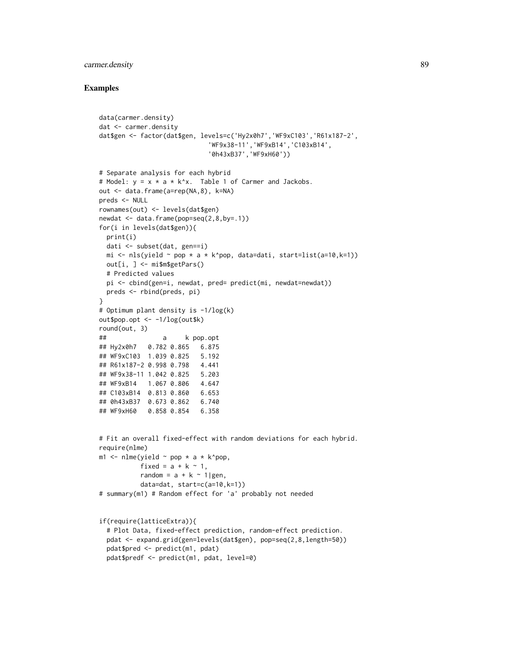# carmer.density 89

```
data(carmer.density)
dat <- carmer.density
dat$gen <- factor(dat$gen, levels=c('Hy2x0h7','WF9xC103','R61x187-2',
                             'WF9x38-11','WF9xB14','C103xB14',
                             '0h43xB37','WF9xH60'))
# Separate analysis for each hybrid
# Model: y = x * a * k^x. Table 1 of Carmer and Jackobs.
out <- data.frame(a=rep(NA,8), k=NA)
preds <- NULL
rownames(out) <- levels(dat$gen)
newdat <- data.frame(pop=seq(2,8,by=.1))
for(i in levels(dat$gen)){
 print(i)
 dati <- subset(dat, gen==i)
 mi \leq nls(yield \sim pop \star a \star k^pop, data=dati, start=list(a=10,k=1))
  out[i, ] <- mi$m$getPars()
  # Predicted values
  pi <- cbind(gen=i, newdat, pred= predict(mi, newdat=newdat))
  preds <- rbind(preds, pi)
}
# Optimum plant density is -1/log(k)
out$pop.opt <- -1/log(out$k)
round(out, 3)
## a k pop.opt
## Hy2x0h7 0.782 0.865 6.875
## WF9xC103 1.039 0.825 5.192
## R61x187-2 0.998 0.798 4.441
## WF9x38-11 1.042 0.825 5.203
## WF9xB14 1.067 0.806 4.647
## C103xB14 0.813 0.860 6.653
## 0h43xB37 0.673 0.862 6.740
## WF9xH60 0.858 0.854 6.358
# Fit an overall fixed-effect with random deviations for each hybrid.
require(nlme)
m1 \le nlme(yield \sim pop \star a \star k^pop,
          fixed = a + k \approx 1,
          random = a + k \approx 1|gen,
          data=dat, start=c(a=10,k=1))
# summary(m1) # Random effect for 'a' probably not needed
if(require(latticeExtra)){
  # Plot Data, fixed-effect prediction, random-effect prediction.
  pdat <- expand.grid(gen=levels(dat$gen), pop=seq(2,8,length=50))
  pdat$pred <- predict(m1, pdat)
  pdat$predf <- predict(m1, pdat, level=0)
```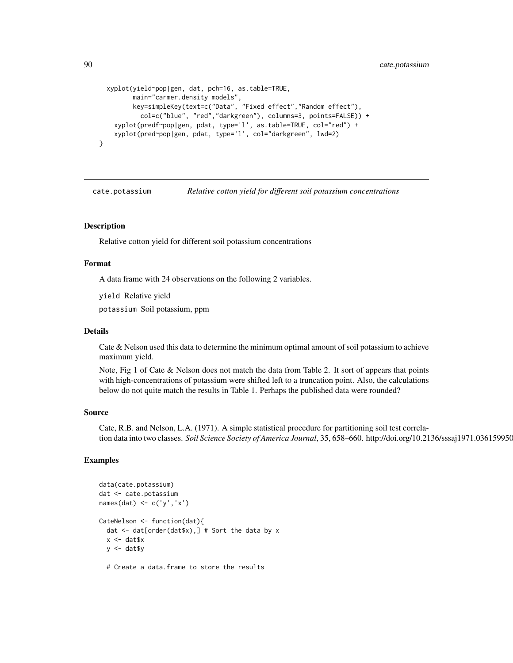```
xyplot(yield~pop|gen, dat, pch=16, as.table=TRUE,
      main="carmer.density models",
      key=simpleKey(text=c("Data", "Fixed effect","Random effect"),
         col=c("blue", "red","darkgreen"), columns=3, points=FALSE)) +
  xyplot(predf~pop|gen, pdat, type='l', as.table=TRUE, col="red") +
  xyplot(pred~pop|gen, pdat, type='l', col="darkgreen", lwd=2)
```
cate.potassium *Relative cotton yield for different soil potassium concentrations*

## Description

}

Relative cotton yield for different soil potassium concentrations

#### Format

A data frame with 24 observations on the following 2 variables.

yield Relative yield

potassium Soil potassium, ppm

#### Details

Cate & Nelson used this data to determine the minimum optimal amount of soil potassium to achieve maximum yield.

Note, Fig 1 of Cate & Nelson does not match the data from Table 2. It sort of appears that points with high-concentrations of potassium were shifted left to a truncation point. Also, the calculations below do not quite match the results in Table 1. Perhaps the published data were rounded?

## Source

Cate, R.B. and Nelson, L.A. (1971). A simple statistical procedure for partitioning soil test correlation data into two classes. *Soil Science Society of America Journal*, 35, 658–660. http://doi.org/10.2136/sssaj1971.036159950

```
data(cate.potassium)
dat <- cate.potassium
names(dat) <- c('y','x')
CateNelson <- function(dat){
 dat <- dat[order(dat$x),] # Sort the data by x
 x <- dat$x
 y \le - dat$y
 # Create a data.frame to store the results
```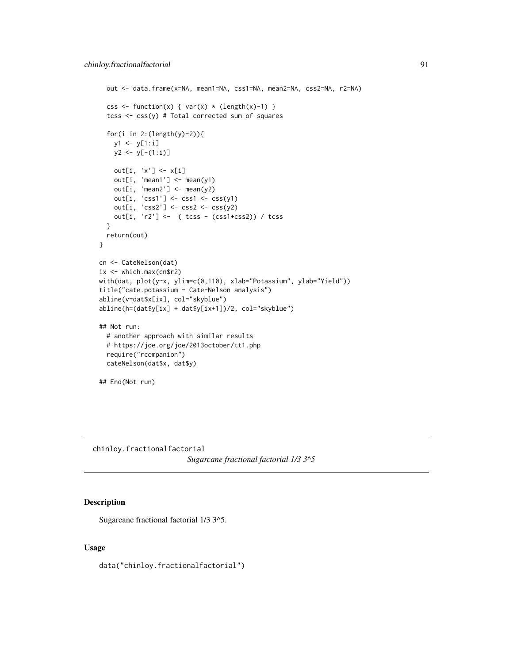```
out <- data.frame(x=NA, mean1=NA, css1=NA, mean2=NA, css2=NA, r2=NA)
  css <- function(x) { var(x) * (length(x)-1) }
  tcss <- css(y) # Total corrected sum of squares
  for(i in 2:(length(y)-2)){
    y1 <- y[1:i]
    y2 \leftarrow y[-(1:i)]out[i, 'x'] <- x[i]
    out[i, 'mean1'] \leftarrow mean(y1)out[i, 'mean2'] \leftarrow mean(y2)out[i, 'css1'] <- css1 <- css(y1)
    out[i, 'css2'] <- css2 <- css(y2)
    out[i, 'r2'] <- ( tcss - (css1+css2)) / tcss
  }
  return(out)
}
cn <- CateNelson(dat)
ix <- which.max(cn$r2)
with(dat, plot(y~x, ylim=c(0,110), xlab="Potassium", ylab="Yield"))
title("cate.potassium - Cate-Nelson analysis")
abline(v=dat$x[ix], col="skyblue")
abline(h=(dat$y[ix] + dat$y[ix+1])/2, col="skyblue")
## Not run:
  # another approach with similar results
  # https://joe.org/joe/2013october/tt1.php
  require("rcompanion")
  cateNelson(dat$x, dat$y)
## End(Not run)
```
chinloy.fractionalfactorial *Sugarcane fractional factorial 1/3 3^5*

# Description

Sugarcane fractional factorial 1/3 3^5.

## Usage

data("chinloy.fractionalfactorial")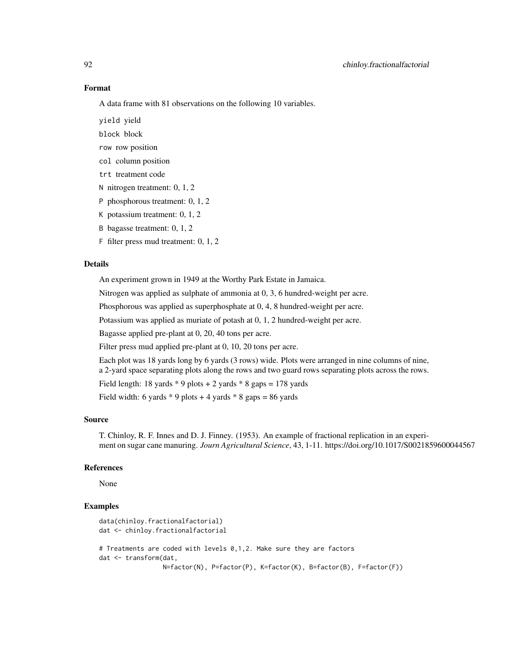## Format

A data frame with 81 observations on the following 10 variables.

yield yield

block block

row row position

col column position

trt treatment code

N nitrogen treatment: 0, 1, 2

P phosphorous treatment: 0, 1, 2

- K potassium treatment: 0, 1, 2
- B bagasse treatment: 0, 1, 2
- F filter press mud treatment: 0, 1, 2

#### Details

An experiment grown in 1949 at the Worthy Park Estate in Jamaica.

Nitrogen was applied as sulphate of ammonia at 0, 3, 6 hundred-weight per acre.

Phosphorous was applied as superphosphate at 0, 4, 8 hundred-weight per acre.

Potassium was applied as muriate of potash at 0, 1, 2 hundred-weight per acre.

Bagasse applied pre-plant at 0, 20, 40 tons per acre.

Filter press mud applied pre-plant at 0, 10, 20 tons per acre.

Each plot was 18 yards long by 6 yards (3 rows) wide. Plots were arranged in nine columns of nine, a 2-yard space separating plots along the rows and two guard rows separating plots across the rows.

Field length: 18 yards  $*$  9 plots  $+$  2 yards  $*$  8 gaps  $=$  178 yards

Field width: 6 yards  $*$  9 plots + 4 yards  $*$  8 gaps = 86 yards

## Source

T. Chinloy, R. F. Innes and D. J. Finney. (1953). An example of fractional replication in an experiment on sugar cane manuring. *Journ Agricultural Science*, 43, 1-11. https://doi.org/10.1017/S0021859600044567

# References

None

```
data(chinloy.fractionalfactorial)
dat <- chinloy.fractionalfactorial
# Treatments are coded with levels 0,1,2. Make sure they are factors
dat <- transform(dat,
                 N=factor(N), P=factor(P), K=factor(K), B=factor(B), F=factor(F))
```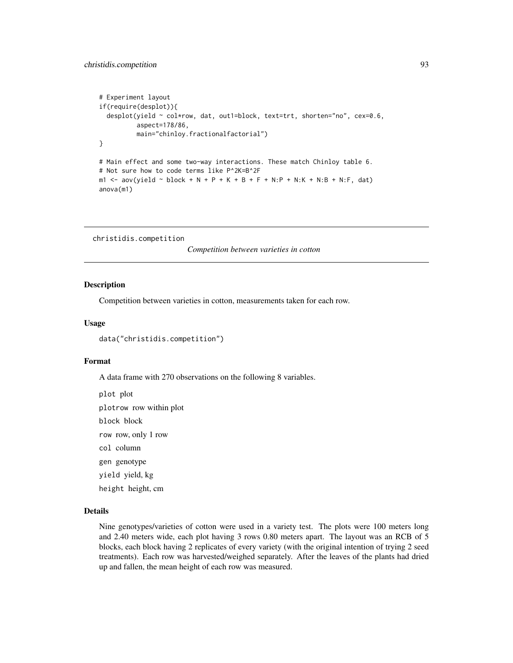```
# Experiment layout
if(require(desplot)){
  desplot(yield ~ col*row, dat, out1=block, text=trt, shorten="no", cex=0.6,
          aspect=178/86,
          main="chinloy.fractionalfactorial")
}
# Main effect and some two-way interactions. These match Chinloy table 6.
# Not sure how to code terms like P^2K=B^2F
m1 <- aov(yield ~ block + N + P + K + B + F + N:P + N:K + N:B + N:F, dat)
anova(m1)
```
christidis.competition

*Competition between varieties in cotton*

#### Description

Competition between varieties in cotton, measurements taken for each row.

#### Usage

data("christidis.competition")

## Format

A data frame with 270 observations on the following 8 variables.

plot plot plotrow row within plot block block row row, only 1 row col column gen genotype yield yield, kg height height, cm

# Details

Nine genotypes/varieties of cotton were used in a variety test. The plots were 100 meters long and 2.40 meters wide, each plot having 3 rows 0.80 meters apart. The layout was an RCB of 5 blocks, each block having 2 replicates of every variety (with the original intention of trying 2 seed treatments). Each row was harvested/weighed separately. After the leaves of the plants had dried up and fallen, the mean height of each row was measured.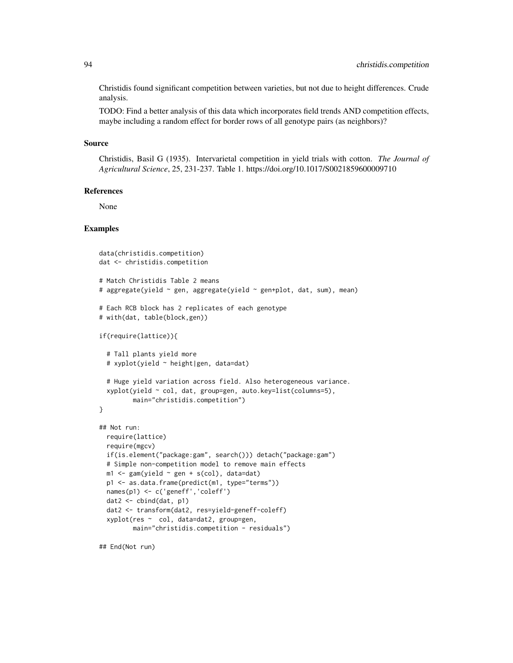Christidis found significant competition between varieties, but not due to height differences. Crude analysis.

TODO: Find a better analysis of this data which incorporates field trends AND competition effects, maybe including a random effect for border rows of all genotype pairs (as neighbors)?

## Source

Christidis, Basil G (1935). Intervarietal competition in yield trials with cotton. *The Journal of Agricultural Science*, 25, 231-237. Table 1. https://doi.org/10.1017/S0021859600009710

## References

None

## Examples

```
data(christidis.competition)
dat <- christidis.competition
# Match Christidis Table 2 means
# aggregate(yield ~ gen, aggregate(yield ~ gen+plot, dat, sum), mean)
# Each RCB block has 2 replicates of each genotype
# with(dat, table(block,gen))
if(require(lattice)){
 # Tall plants yield more
 # xyplot(yield ~ height|gen, data=dat)
 # Huge yield variation across field. Also heterogeneous variance.
 xyplot(yield ~ col, dat, group=gen, auto.key=list(columns=5),
        main="christidis.competition")
}
## Not run:
 require(lattice)
 require(mgcv)
 if(is.element("package:gam", search())) detach("package:gam")
 # Simple non-competition model to remove main effects
 m1 <- gam(yield ~ gen + s(col), data=dat)
 p1 <- as.data.frame(predict(m1, type="terms"))
 names(p1) <- c('geneff','coleff')
 dat2 <- cbind(dat, p1)
 dat2 <- transform(dat2, res=yield-geneff-coleff)
 xyplot(res ~ col, data=dat2, group=gen,
        main="christidis.competition - residuals")
```
## End(Not run)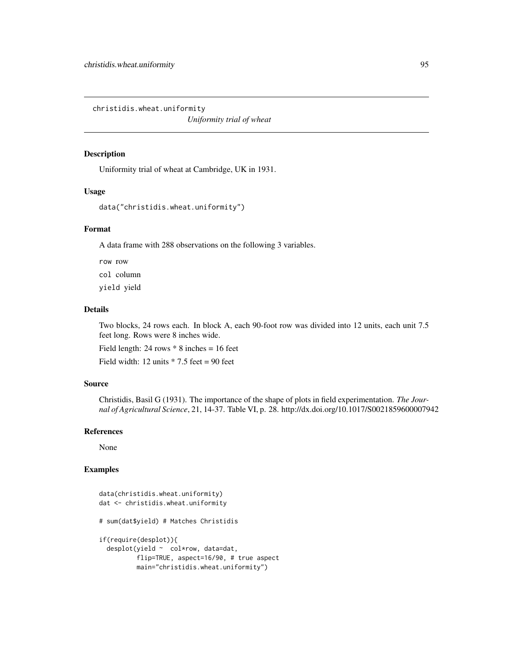christidis.wheat.uniformity

*Uniformity trial of wheat*

# Description

Uniformity trial of wheat at Cambridge, UK in 1931.

#### Usage

```
data("christidis.wheat.uniformity")
```
# Format

A data frame with 288 observations on the following 3 variables.

row row col column yield yield

## Details

Two blocks, 24 rows each. In block A, each 90-foot row was divided into 12 units, each unit 7.5 feet long. Rows were 8 inches wide.

Field length:  $24$  rows  $*$  8 inches = 16 feet

Field width: 12 units  $* 7.5$  feet = 90 feet

#### Source

Christidis, Basil G (1931). The importance of the shape of plots in field experimentation. *The Journal of Agricultural Science*, 21, 14-37. Table VI, p. 28. http://dx.doi.org/10.1017/S0021859600007942

#### References

None

```
data(christidis.wheat.uniformity)
dat <- christidis.wheat.uniformity
# sum(dat$yield) # Matches Christidis
if(require(desplot)){
 desplot(yield ~ col*row, data=dat,
         flip=TRUE, aspect=16/90, # true aspect
         main="christidis.wheat.uniformity")
```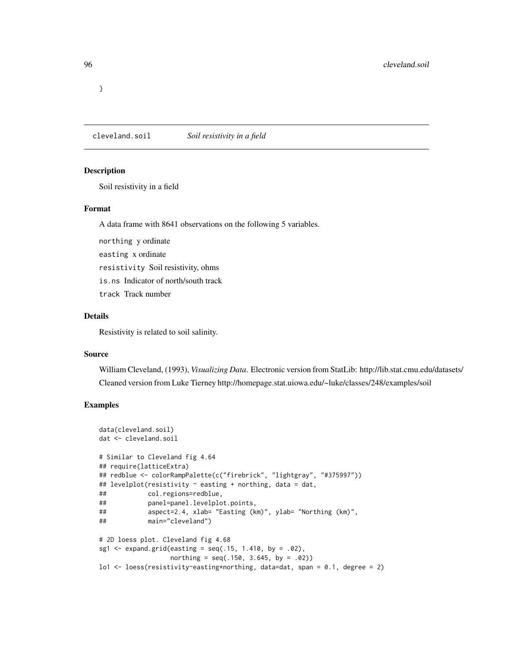}

cleveland.soil *Soil resistivity in a field*

# Description

Soil resistivity in a field

#### Format

A data frame with 8641 observations on the following 5 variables.

northing y ordinate

easting x ordinate

resistivity Soil resistivity, ohms

is.ns Indicator of north/south track

track Track number

## Details

Resistivity is related to soil salinity.

# Source

William Cleveland, (1993), *Visualizing Data*. Electronic version from StatLib: http://lib.stat.cmu.edu/datasets/ Cleaned version from Luke Tierney http://homepage.stat.uiowa.edu/~luke/classes/248/examples/soil

```
data(cleveland.soil)
dat <- cleveland.soil
# Similar to Cleveland fig 4.64
## require(latticeExtra)
## redblue <- colorRampPalette(c("firebrick", "lightgray", "#375997"))
## levelplot(resistivity ~ easting + northing, data = dat,
## col.regions=redblue,
## panel=panel.levelplot.points,
## aspect=2.4, xlab= "Easting (km)", ylab= "Northing (km)",
## main="cleveland")
# 2D loess plot. Cleveland fig 4.68
sg1 \le expand.grid(easting = seq(.15, 1.410, by = .02),
                 northing = seq(.150, 3.645, by = .02)lo1 <- loess(resistivity~easting*northing, data=dat, span = 0.1, degree = 2)
```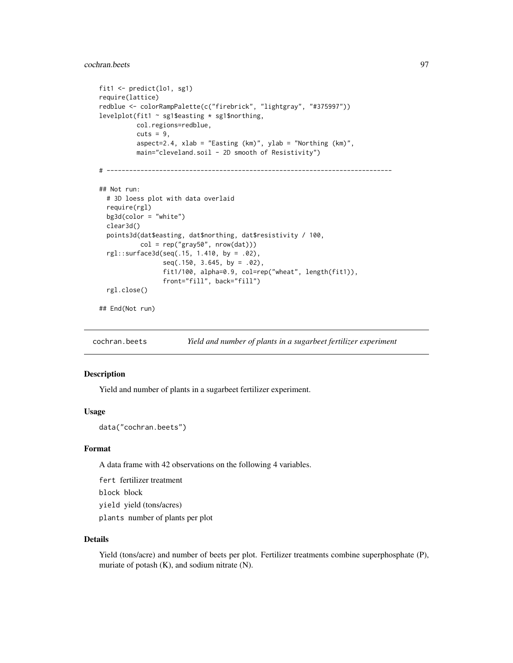# cochran.beets 97

```
fit1 <- predict(lo1, sg1)
require(lattice)
redblue <- colorRampPalette(c("firebrick", "lightgray", "#375997"))
levelplot(fit1 \sim sg1$easting * sg1$northing,
          col.regions=redblue,
          cuts = 9,aspect=2.4, xlab = "Easting (km)", ylab = "Northing (km)",
          main="cleveland.soil - 2D smooth of Resistivity")
# ----------------------------------------------------------------------------
## Not run:
  # 3D loess plot with data overlaid
  require(rgl)
  bg3d(color = "white")
  clear3d()
  points3d(dat$easting, dat$northing, dat$resistivity / 100,
           col = rep("gray50", nrow(dat)))
  rgl::surface3d(seq(.15, 1.410, by = .02),
                 seq(.150, 3.645, by = .02),
                 fit1/100, alpha=0.9, col=rep("wheat", length(fit1)),
                 front="fill", back="fill")
  rgl.close()
```
## End(Not run)

cochran.beets *Yield and number of plants in a sugarbeet fertilizer experiment*

## Description

Yield and number of plants in a sugarbeet fertilizer experiment.

## Usage

data("cochran.beets")

#### Format

A data frame with 42 observations on the following 4 variables.

fert fertilizer treatment

block block

yield yield (tons/acres)

plants number of plants per plot

## Details

Yield (tons/acre) and number of beets per plot. Fertilizer treatments combine superphosphate (P), muriate of potash (K), and sodium nitrate (N).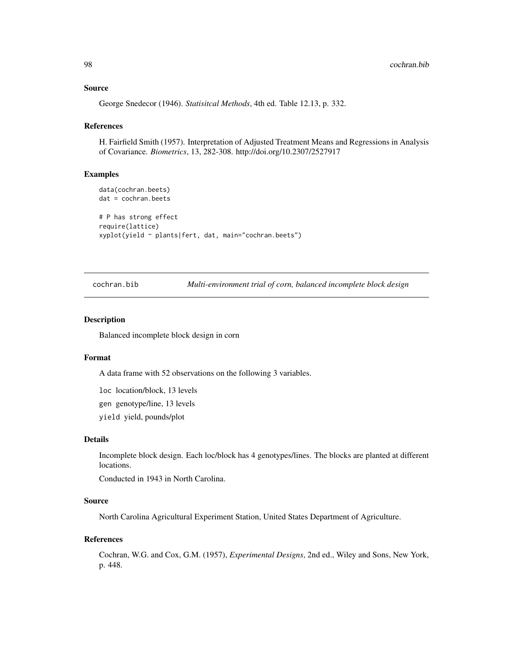## Source

George Snedecor (1946). *Statisitcal Methods*, 4th ed. Table 12.13, p. 332.

#### References

H. Fairfield Smith (1957). Interpretation of Adjusted Treatment Means and Regressions in Analysis of Covariance. *Biometrics*, 13, 282-308. http://doi.org/10.2307/2527917

# Examples

```
data(cochran.beets)
dat = cochran.beets
# P has strong effect
require(lattice)
xyplot(yield ~ plants|fert, dat, main="cochran.beets")
```
cochran.bib *Multi-environment trial of corn, balanced incomplete block design*

#### Description

Balanced incomplete block design in corn

#### Format

A data frame with 52 observations on the following 3 variables.

loc location/block, 13 levels

gen genotype/line, 13 levels

yield yield, pounds/plot

#### Details

Incomplete block design. Each loc/block has 4 genotypes/lines. The blocks are planted at different locations.

Conducted in 1943 in North Carolina.

## Source

North Carolina Agricultural Experiment Station, United States Department of Agriculture.

#### References

Cochran, W.G. and Cox, G.M. (1957), *Experimental Designs*, 2nd ed., Wiley and Sons, New York, p. 448.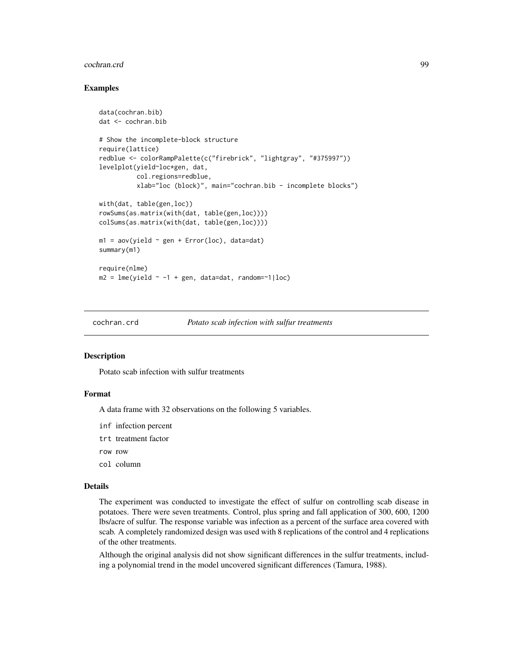#### cochran.crd 99

## Examples

```
data(cochran.bib)
dat <- cochran.bib
# Show the incomplete-block structure
require(lattice)
redblue <- colorRampPalette(c("firebrick", "lightgray", "#375997"))
levelplot(yield~loc*gen, dat,
          col.regions=redblue,
          xlab="loc (block)", main="cochran.bib - incomplete blocks")
with(dat, table(gen,loc))
rowSums(as.matrix(with(dat, table(gen,loc))))
colSums(as.matrix(with(dat, table(gen,loc))))
m1 = av(yield \sim gen + Error(loc)), data=dat)
summary(m1)
require(nlme)
m2 = Im[(yield ~ -1 ~ + gen, data=dat, random=~1|loc)]
```
cochran.crd *Potato scab infection with sulfur treatments*

#### Description

Potato scab infection with sulfur treatments

# Format

A data frame with 32 observations on the following 5 variables.

- inf infection percent
- trt treatment factor
- row row
- col column

## Details

The experiment was conducted to investigate the effect of sulfur on controlling scab disease in potatoes. There were seven treatments. Control, plus spring and fall application of 300, 600, 1200 lbs/acre of sulfur. The response variable was infection as a percent of the surface area covered with scab. A completely randomized design was used with 8 replications of the control and 4 replications of the other treatments.

Although the original analysis did not show significant differences in the sulfur treatments, including a polynomial trend in the model uncovered significant differences (Tamura, 1988).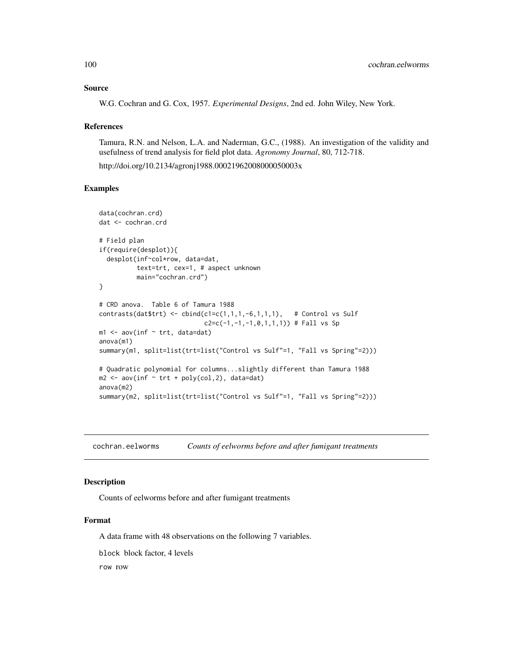## Source

W.G. Cochran and G. Cox, 1957. *Experimental Designs*, 2nd ed. John Wiley, New York.

## References

Tamura, R.N. and Nelson, L.A. and Naderman, G.C., (1988). An investigation of the validity and usefulness of trend analysis for field plot data. *Agronomy Journal*, 80, 712-718.

http://doi.org/10.2134/agronj1988.00021962008000050003x

## Examples

```
data(cochran.crd)
dat <- cochran.crd
# Field plan
if(require(desplot)){
 desplot(inf~col*row, data=dat,
          text=trt, cex=1, # aspect unknown
          main="cochran.crd")
}
# CRD anova. Table 6 of Tamura 1988
contrasts(dat$trt) <- cbind(c1=c(1,1,1,-6,1,1,1), # Control vs Sulf
                             c2=c(-1,-1,-1,0,1,1,1)) # Fall vs Sp
m1 <- aov(inf \sim trt, data=dat)
anova(m1)
summary(m1, split=list(trt=list("Control vs Sulf"=1, "Fall vs Spring"=2)))
# Quadratic polynomial for columns...slightly different than Tamura 1988
m2 \leq -\text{ aov}(inf \sim trt + \text{poly}(col, 2)), data=dat)
anova(m2)
summary(m2, split=list(trt=list("Control vs Sulf"=1, "Fall vs Spring"=2)))
```
cochran.eelworms *Counts of eelworms before and after fumigant treatments*

#### Description

Counts of eelworms before and after fumigant treatments

# Format

A data frame with 48 observations on the following 7 variables.

block block factor, 4 levels

row row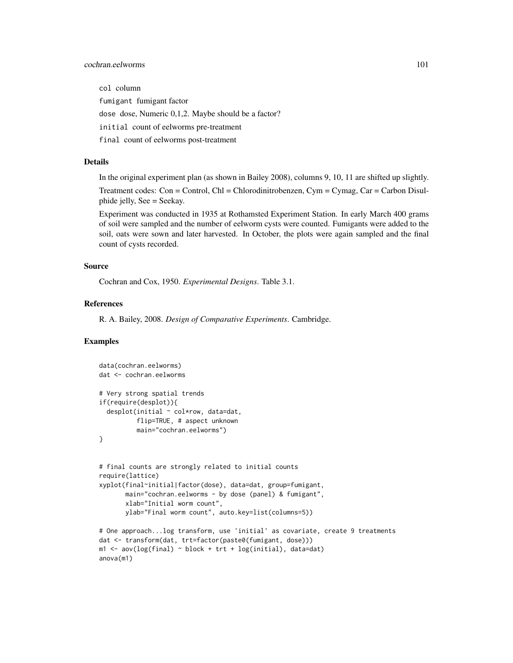# cochran.eelworms 101

col column fumigant fumigant factor dose dose, Numeric 0,1,2. Maybe should be a factor? initial count of eelworms pre-treatment final count of eelworms post-treatment

# Details

In the original experiment plan (as shown in Bailey 2008), columns 9, 10, 11 are shifted up slightly. Treatment codes: Con = Control, Chl = Chlorodinitrobenzen, Cym = Cymag, Car = Carbon Disulphide jelly, See = Seekay.

Experiment was conducted in 1935 at Rothamsted Experiment Station. In early March 400 grams of soil were sampled and the number of eelworm cysts were counted. Fumigants were added to the soil, oats were sown and later harvested. In October, the plots were again sampled and the final count of cysts recorded.

## Source

Cochran and Cox, 1950. *Experimental Designs*. Table 3.1.

# References

R. A. Bailey, 2008. *Design of Comparative Experiments*. Cambridge.

```
data(cochran.eelworms)
dat <- cochran.eelworms
# Very strong spatial trends
if(require(desplot)){
 desplot(initial ~ col*row, data=dat,
          flip=TRUE, # aspect unknown
          main="cochran.eelworms")
}
# final counts are strongly related to initial counts
require(lattice)
xyplot(final~initial|factor(dose), data=dat, group=fumigant,
       main="cochran.eelworms - by dose (panel) & fumigant",
       xlab="Initial worm count",
       ylab="Final worm count", auto.key=list(columns=5))
# One approach...log transform, use 'initial' as covariate, create 9 treatments
dat <- transform(dat, trt=factor(paste0(fumigant, dose)))
m1 \leq -aov(\log(\text{final}) \leq block + trt + \log(\text{initial}), \text{data}=dat)anova(m1)
```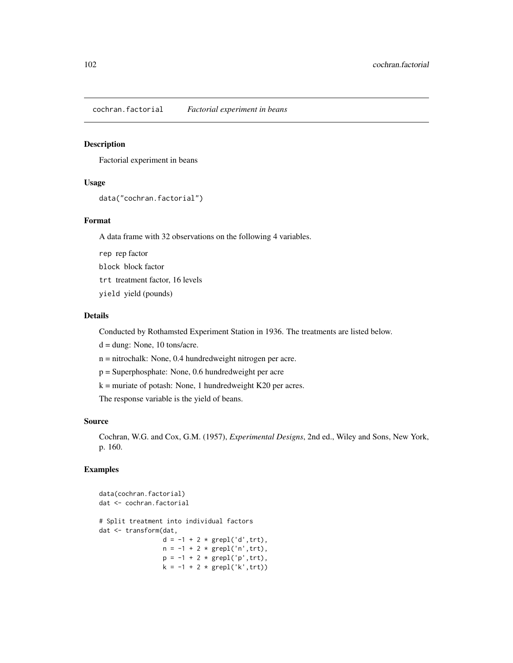cochran.factorial *Factorial experiment in beans*

# Description

Factorial experiment in beans

# Usage

```
data("cochran.factorial")
```
# Format

A data frame with 32 observations on the following 4 variables.

rep rep factor block block factor trt treatment factor, 16 levels yield yield (pounds)

#### Details

Conducted by Rothamsted Experiment Station in 1936. The treatments are listed below.

d = dung: None, 10 tons/acre.

n = nitrochalk: None, 0.4 hundredweight nitrogen per acre.

p = Superphosphate: None, 0.6 hundredweight per acre

 $k =$  muriate of potash: None, 1 hundredweight K20 per acres.

The response variable is the yield of beans.

#### Source

Cochran, W.G. and Cox, G.M. (1957), *Experimental Designs*, 2nd ed., Wiley and Sons, New York, p. 160.

```
data(cochran.factorial)
dat <- cochran.factorial
# Split treatment into individual factors
dat <- transform(dat,
                   d = -1 + 2 * \text{grepl}('d', trt),n = -1 + 2 * \text{grepl('n', trt)},p = -1 + 2 * \text{grepl}('p', trt),k = -1 + 2 * \text{grepl}('k', \text{trt}))
```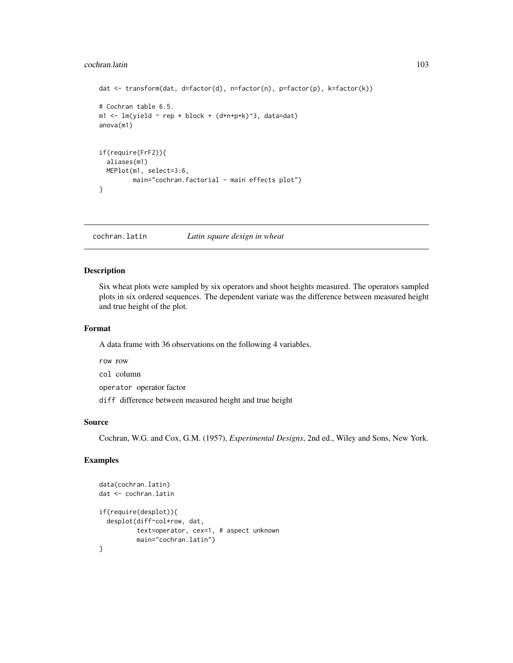#### cochran.latin 103

```
dat <- transform(dat, d=factor(d), n=factor(n), p=factor(p), k=factor(k))
# Cochran table 6.5.
m1 <- lm(yield \sim rep * block + (d+n+p+k)^3, data=dat)anova(m1)
if(require(FrF2)){
 aliases(m1)
 MEPlot(m1, select=3:6,
        main="cochran.factorial - main effects plot")
}
```
cochran.latin *Latin square design in wheat*

# Description

Six wheat plots were sampled by six operators and shoot heights measured. The operators sampled plots in six ordered sequences. The dependent variate was the difference between measured height and true height of the plot.

#### Format

A data frame with 36 observations on the following 4 variables.

row row col column

operator operator factor

diff difference between measured height and true height

## Source

Cochran, W.G. and Cox, G.M. (1957), *Experimental Designs*, 2nd ed., Wiley and Sons, New York.

```
data(cochran.latin)
dat <- cochran.latin
if(require(desplot)){
  desplot(diff~col*row, dat,
          text=operator, cex=1, # aspect unknown
          main="cochran.latin")
}
```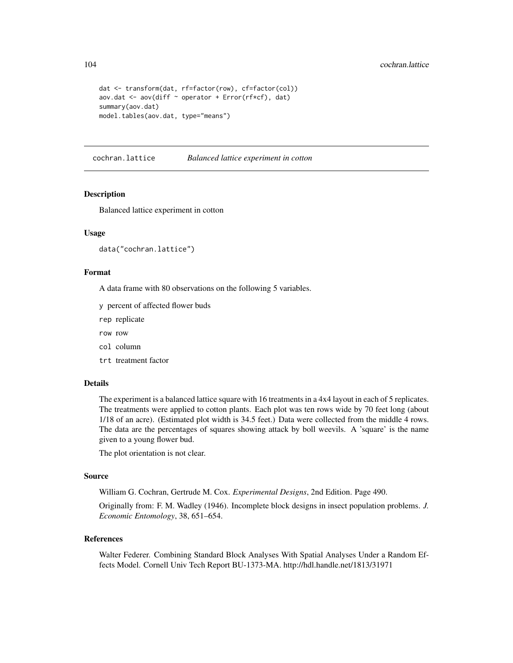```
dat <- transform(dat, rf=factor(row), cf=factor(col))
aov.dat <- aov(diff \sim operator + Error(rf*cf), dat)
summary(aov.dat)
model.tables(aov.dat, type="means")
```
cochran.lattice *Balanced lattice experiment in cotton*

## Description

Balanced lattice experiment in cotton

## Usage

```
data("cochran.lattice")
```
# Format

A data frame with 80 observations on the following 5 variables.

y percent of affected flower buds

rep replicate

row row

col column

trt treatment factor

#### Details

The experiment is a balanced lattice square with 16 treatments in a 4x4 layout in each of 5 replicates. The treatments were applied to cotton plants. Each plot was ten rows wide by 70 feet long (about 1/18 of an acre). (Estimated plot width is 34.5 feet.) Data were collected from the middle 4 rows. The data are the percentages of squares showing attack by boll weevils. A 'square' is the name given to a young flower bud.

The plot orientation is not clear.

#### Source

William G. Cochran, Gertrude M. Cox. *Experimental Designs*, 2nd Edition. Page 490.

Originally from: F. M. Wadley (1946). Incomplete block designs in insect population problems. *J. Economic Entomology*, 38, 651–654.

## References

Walter Federer. Combining Standard Block Analyses With Spatial Analyses Under a Random Effects Model. Cornell Univ Tech Report BU-1373-MA. http://hdl.handle.net/1813/31971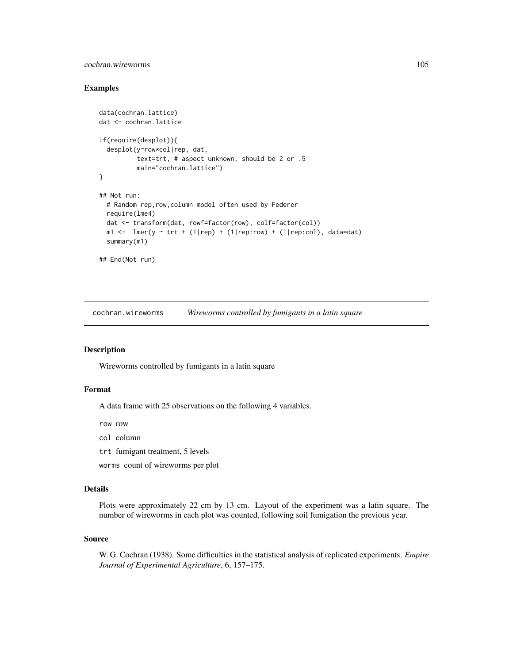# cochran.wireworms 105

## Examples

```
data(cochran.lattice)
dat <- cochran.lattice
if(require(desplot)){
  desplot(y~row*col|rep, dat,
           text=trt, # aspect unknown, should be 2 or .5
           main="cochran.lattice")
}
## Not run:
  # Random rep,row,column model often used by Federer
  require(lme4)
  dat <- transform(dat, rowf=factor(row), colf=factor(col))
  m1 \leftarrow \text{Imer}(y \sim \text{trt} + (1|\text{rep}) + (1|\text{rep:row}) + (1|\text{rep:col}), \text{data=dat})summary(m1)
## End(Not run)
```
cochran.wireworms *Wireworms controlled by fumigants in a latin square*

# Description

Wireworms controlled by fumigants in a latin square

# Format

A data frame with 25 observations on the following 4 variables.

row row

- col column
- trt fumigant treatment, 5 levels
- worms count of wireworms per plot

# Details

Plots were approximately 22 cm by 13 cm. Layout of the experiment was a latin square. The number of wireworms in each plot was counted, following soil fumigation the previous year.

#### Source

W. G. Cochran (1938). Some difficulties in the statistical analysis of replicated experiments. *Empire Journal of Experimental Agriculture*, 6, 157–175.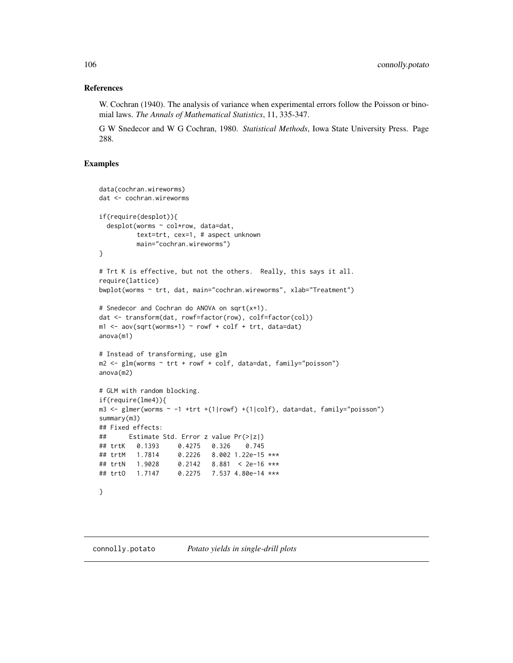# References

W. Cochran (1940). The analysis of variance when experimental errors follow the Poisson or binomial laws. *The Annals of Mathematical Statistics*, 11, 335-347.

G W Snedecor and W G Cochran, 1980. *Statistical Methods*, Iowa State University Press. Page 288.

```
data(cochran.wireworms)
dat <- cochran.wireworms
if(require(desplot)){
 desplot(worms ~ col*row, data=dat,
         text=trt, cex=1, # aspect unknown
         main="cochran.wireworms")
}
# Trt K is effective, but not the others. Really, this says it all.
require(lattice)
bwplot(worms ~ trt, dat, main="cochran.wireworms", xlab="Treatment")
# Snedecor and Cochran do ANOVA on sqrt(x+1).
dat <- transform(dat, rowf=factor(row), colf=factor(col))
ml \leq -aov(sqrt(wordm s+1) \sim rowf + colf + trt, data=dat)anova(m1)
# Instead of transforming, use glm
m2 <- glm(worms ~ trt + rowf + colf, data=dat, family="poisson")
anova(m2)
# GLM with random blocking.
if(require(lme4)){
m3 <- glmer(worms ~ -1 +trt +(1|rowf) +(1|colf), data=dat, family="poisson")
summary(m3)
## Fixed effects:
## Estimate Std. Error z value Pr(>|z|)
## trtK 0.1393 0.4275 0.326 0.745
## trtM 1.7814 0.2226 8.002 1.22e-15 ***
## trtN 1.9028 0.2142 8.881 < 2e-16 ***
## trtO 1.7147 0.2275 7.537 4.80e-14 ***
}
```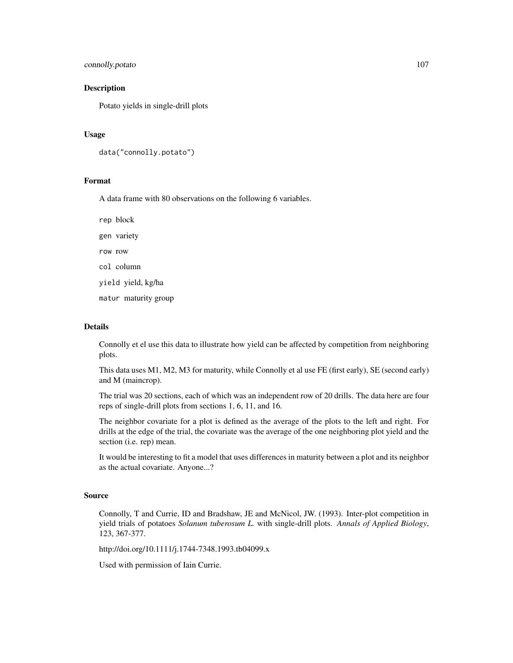# connolly.potato 107

## Description

Potato yields in single-drill plots

## Usage

```
data("connolly.potato")
```
# Format

A data frame with 80 observations on the following 6 variables.

rep block

gen variety

row row

col column

yield yield, kg/ha

matur maturity group

# Details

Connolly et el use this data to illustrate how yield can be affected by competition from neighboring plots.

This data uses M1, M2, M3 for maturity, while Connolly et al use FE (first early), SE (second early) and M (maincrop).

The trial was 20 sections, each of which was an independent row of 20 drills. The data here are four reps of single-drill plots from sections 1, 6, 11, and 16.

The neighbor covariate for a plot is defined as the average of the plots to the left and right. For drills at the edge of the trial, the covariate was the average of the one neighboring plot yield and the section (i.e. rep) mean.

It would be interesting to fit a model that uses differences in maturity between a plot and its neighbor as the actual covariate. Anyone...?

#### Source

Connolly, T and Currie, ID and Bradshaw, JE and McNicol, JW. (1993). Inter-plot competition in yield trials of potatoes *Solanum tuberosum L.* with single-drill plots. *Annals of Applied Biology*, 123, 367-377.

http://doi.org/10.1111/j.1744-7348.1993.tb04099.x

Used with permission of Iain Currie.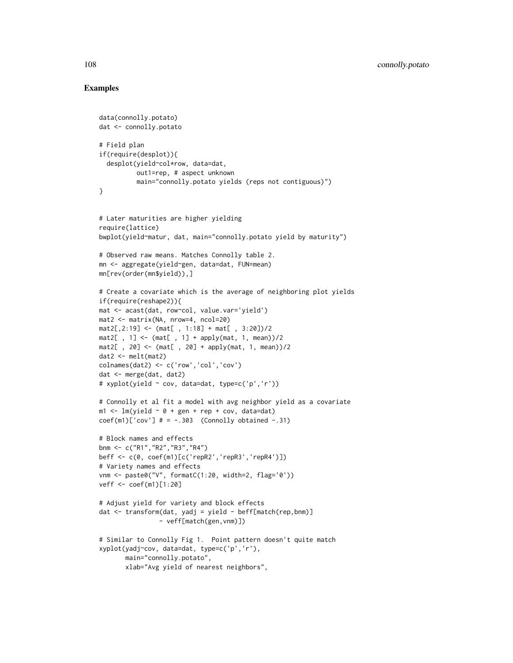```
data(connolly.potato)
dat <- connolly.potato
# Field plan
if(require(desplot)){
  desplot(yield~col*row, data=dat,
          out1=rep, # aspect unknown
          main="connolly.potato yields (reps not contiguous)")
}
# Later maturities are higher yielding
require(lattice)
bwplot(yield~matur, dat, main="connolly.potato yield by maturity")
# Observed raw means. Matches Connolly table 2.
mn <- aggregate(yield~gen, data=dat, FUN=mean)
mn[rev(order(mn$yield)),]
# Create a covariate which is the average of neighboring plot yields
if(require(reshape2)){
mat <- acast(dat, row~col, value.var='yield')
mat2 <- matrix(NA, nrow=4, ncol=20)
mat2[, 2:19] < - \text{(mat[, 1:18] + mat[, 3:20]}/2\text{mat2}[, 1] <- \text{mat}[, 1] + apply(mat, 1, mean))/2
\text{mat2} [, 20] \leq \leq (\text{mat} [, 20] + apply(mat, 1, mean))/2
dat2 <- melt(mat2)
colnames(dat2) <- c('row','col','cov')
dat <- merge(dat, dat2)
# xyplot(yield ~ cov, data=dat, type=c('p','r'))
# Connolly et al fit a model with avg neighbor yield as a covariate
m1 < -1m(yield ~ o + gen + rep + cov, data=dat)coef(m1)['cov'] # = -.303 (Connolly obtained -.31)
# Block names and effects
bnm <- c("R1","R2","R3","R4")
beff <- c(0, coef(m1)[c('repR2','repR3','repR4')])
# Variety names and effects
vnm <- paste0("V", formatC(1:20, width=2, flag='0'))
veff <- coef(m1)[1:20]
# Adjust yield for variety and block effects
dat <- transform(dat, yadj = yield - beff[match(rep,bnm)]
                - veff[match(gen,vnm)])
# Similar to Connolly Fig 1. Point pattern doesn't quite match
xyplot(yadj~cov, data=dat, type=c('p','r'),
       main="connolly.potato",
       xlab="Avg yield of nearest neighbors",
```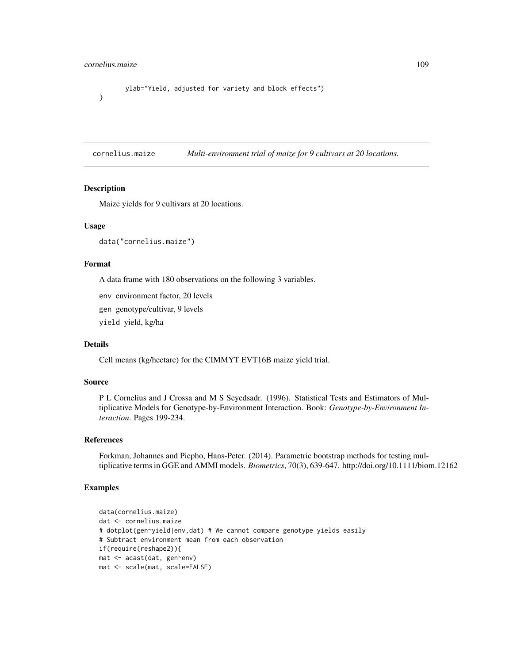# cornelius.maize 109

}

```
ylab="Yield, adjusted for variety and block effects")
```
cornelius.maize *Multi-environment trial of maize for 9 cultivars at 20 locations.*

## Description

Maize yields for 9 cultivars at 20 locations.

### Usage

data("cornelius.maize")

## Format

A data frame with 180 observations on the following 3 variables.

env environment factor, 20 levels

gen genotype/cultivar, 9 levels

yield yield, kg/ha

# Details

Cell means (kg/hectare) for the CIMMYT EVT16B maize yield trial.

### Source

P L Cornelius and J Crossa and M S Seyedsadr. (1996). Statistical Tests and Estimators of Multiplicative Models for Genotype-by-Environment Interaction. Book: *Genotype-by-Environment Interaction*. Pages 199-234.

## References

Forkman, Johannes and Piepho, Hans-Peter. (2014). Parametric bootstrap methods for testing multiplicative terms in GGE and AMMI models. *Biometrics*, 70(3), 639-647. http://doi.org/10.1111/biom.12162

```
data(cornelius.maize)
dat <- cornelius.maize
# dotplot(gen~yield|env,dat) # We cannot compare genotype yields easily
# Subtract environment mean from each observation
if(require(reshape2)){
mat <- acast(dat, gen~env)
mat <- scale(mat, scale=FALSE)
```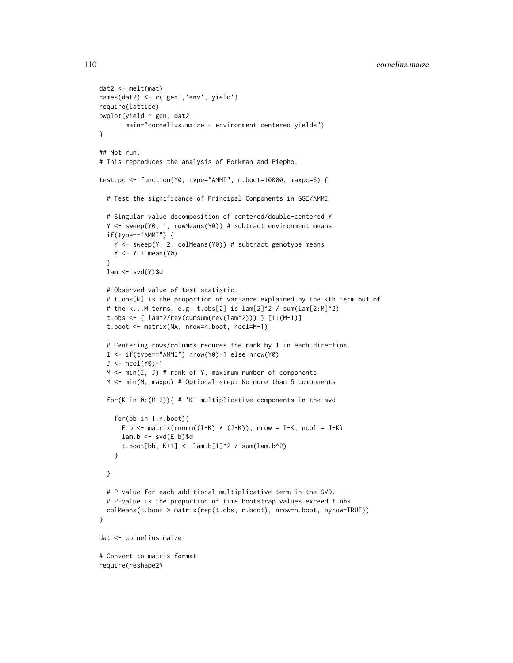```
dat2 <- melt(mat)
names(dat2) <- c('gen','env','yield')
require(lattice)
bwplot(yield \sim gen, dat2,
       main="cornelius.maize - environment centered yields")
}
## Not run:
# This reproduces the analysis of Forkman and Piepho.
test.pc <- function(Y0, type="AMMI", n.boot=10000, maxpc=6) {
  # Test the significance of Principal Components in GGE/AMMI
  # Singular value decomposition of centered/double-centered Y
  Y <- sweep(Y0, 1, rowMeans(Y0)) # subtract environment means
  if(type=="AMMI") {
    Y <- sweep(Y, 2, colMeans(Y0)) # subtract genotype means
    Y \leftarrow Y + \text{mean}(Y\emptyset)}
  lam \leftarrow svd(Y)\$d
  # Observed value of test statistic.
  # t.obs[k] is the proportion of variance explained by the kth term out of
  # the k...M terms, e.g. t.obs[2] is lam[2]^2 / sum(lam[2:M]^2)
  t.obs <- { lam^2/rev(cumsum(rev(lam^2))) } [1:(M-1)]
  t.boot <- matrix(NA, nrow=n.boot, ncol=M-1)
  # Centering rows/columns reduces the rank by 1 in each direction.
  I <- if(type=="AMMI") nrow(Y0)-1 else nrow(Y0)
  J \leftarrow \text{ncol}(Y0)-1M \le - \min(I, J) # rank of Y, maximum number of components
  M <- min(M, maxpc) # Optional step: No more than 5 components
  for(K in 0:(M-2)){ # 'K' multiplicative components in the svd
    for(bb in 1:n.boot){
      E.b \le matrix(rnorm((I-K) \star (J-K)), nrow = I-K, ncol = J-K)
      lam.b \leftarrow svd(E.b)$d
      t.boot[bb, K+1] <- lam.b[1]^2 / 2 / sum(lam.b^2)
    }
  }
  # P-value for each additional multiplicative term in the SVD.
  # P-value is the proportion of time bootstrap values exceed t.obs
  colMeans(t.boot > matrix(rep(t.obs, n.boot), nrow=n.boot, byrow=TRUE))
}
dat <- cornelius.maize
# Convert to matrix format
require(reshape2)
```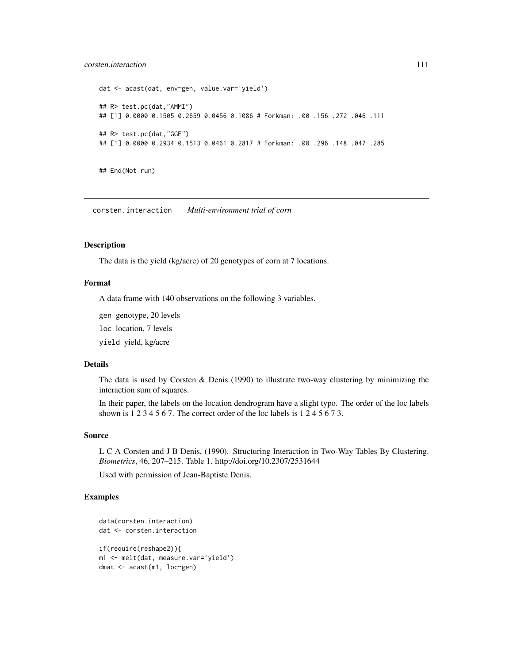# corsten.interaction 111

```
dat <- acast(dat, env~gen, value.var='yield')
## R> test.pc(dat,"AMMI")
## [1] 0.0000 0.1505 0.2659 0.0456 0.1086 # Forkman: .00 .156 .272 .046 .111
## R> test.pc(dat,"GGE")
## [1] 0.0000 0.2934 0.1513 0.0461 0.2817 # Forkman: .00 .296 .148 .047 .285
```
## End(Not run)

corsten.interaction *Multi-environment trial of corn*

### Description

The data is the yield (kg/acre) of 20 genotypes of corn at 7 locations.

### Format

A data frame with 140 observations on the following 3 variables.

gen genotype, 20 levels

loc location, 7 levels

yield yield, kg/acre

### Details

The data is used by Corsten & Denis (1990) to illustrate two-way clustering by minimizing the interaction sum of squares.

In their paper, the labels on the location dendrogram have a slight typo. The order of the loc labels shown is 1 2 3 4 5 6 7. The correct order of the loc labels is 1 2 4 5 6 7 3.

### Source

L C A Corsten and J B Denis, (1990). Structuring Interaction in Two-Way Tables By Clustering. *Biometrics*, 46, 207–215. Table 1. http://doi.org/10.2307/2531644

Used with permission of Jean-Baptiste Denis.

```
data(corsten.interaction)
dat <- corsten.interaction
if(require(reshape2)){
m1 <- melt(dat, measure.var='yield')
dmat <- acast(m1, loc~gen)
```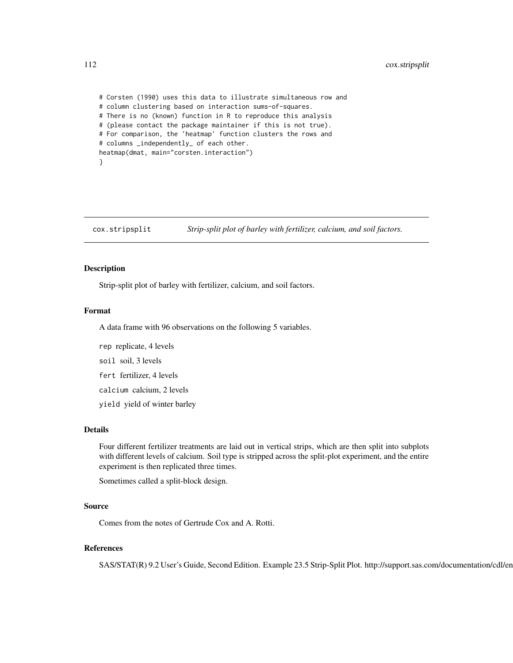# Corsten (1990) uses this data to illustrate simultaneous row and # column clustering based on interaction sums-of-squares. # There is no (known) function in R to reproduce this analysis # (please contact the package maintainer if this is not true). # For comparison, the 'heatmap' function clusters the rows and # columns \_independently\_ of each other. heatmap(dmat, main="corsten.interaction") }

cox.stripsplit *Strip-split plot of barley with fertilizer, calcium, and soil factors.*

## **Description**

Strip-split plot of barley with fertilizer, calcium, and soil factors.

## Format

A data frame with 96 observations on the following 5 variables.

rep replicate, 4 levels soil soil, 3 levels fert fertilizer, 4 levels calcium calcium, 2 levels yield yield of winter barley

# Details

Four different fertilizer treatments are laid out in vertical strips, which are then split into subplots with different levels of calcium. Soil type is stripped across the split-plot experiment, and the entire experiment is then replicated three times.

Sometimes called a split-block design.

## Source

Comes from the notes of Gertrude Cox and A. Rotti.

# References

SAS/STAT(R) 9.2 User's Guide, Second Edition. Example 23.5 Strip-Split Plot. http://support.sas.com/documentation/cdl/en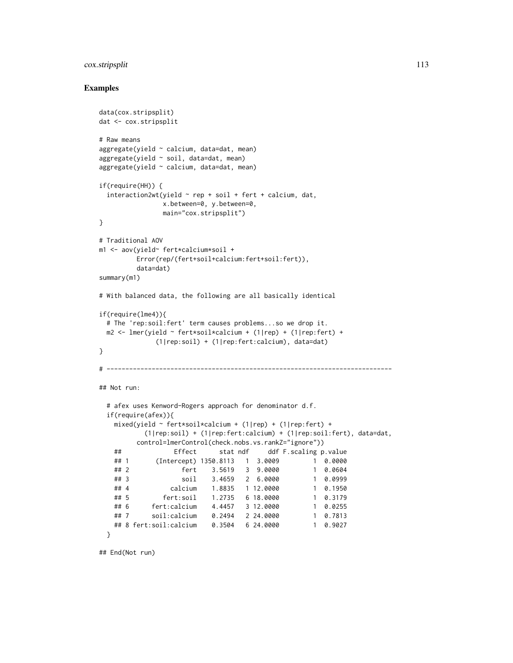# cox.stripsplit 113

## Examples

```
data(cox.stripsplit)
dat <- cox.stripsplit
# Raw means
aggregate(yield ~ calcium, data=dat, mean)
aggregate(yield ~ soil, data=dat, mean)
aggregate(yield ~ calcium, data=dat, mean)
if(require(HH)) {
 interaction2wt(yield ~ rep + soil + fert + calcium, dat,x.between=0, y.between=0,
               main="cox.stripsplit")
}
# Traditional AOV
m1 <- aov(yield~ fert*calcium*soil +
        Error(rep/(fert+soil+calcium:fert+soil:fert)),
         data=dat)
summary(m1)
# With balanced data, the following are all basically identical
if(require(lme4)){
 # The 'rep:soil:fert' term causes problems...so we drop it.
 m2 <- lmer(yield ~ fert*soil*calcium + (1|rep) + (1|rep:fert) +
             (1|rep:soil) + (1|rep:fert:calcium), data=dat)
}
# ----------------------------------------------------------------------------
## Not run:
 # afex uses Kenword-Rogers approach for denominator d.f.
 if(require(afex)){
   mixed(yield ~ fert*soil*calcium + (1|rep) + (1|rep:fert) +
          (1|rep:soil) + (1|rep:fert:calcium) + (1|rep:soil:fert), data=dat,
         control=lmerControl(check.nobs.vs.rankZ="ignore"))
   ## Effect stat ndf ddf F.scaling p.value
   ## 1 (Intercept) 1350.8113 1 3.0009 1 0.0000
   ## 2 fert 3.5619 3 9.0000 1 0.0604
   ## 3 soil 3.4659 2 6.0000 1 0.0999
   ## 4 calcium 1.8835 1 12.0000 1 0.1950
   ## 5 fert:soil 1.2735 6 18.0000 1 0.3179
   ## 6 fert:calcium 4.4457 3 12.0000 1 0.0255
   ## 7 soil:calcium 0.2494 2 24.0000 1 0.7813
   ## 8 fert:soil:calcium 0.3504 6 24.0000 1 0.9027
 }
```
## End(Not run)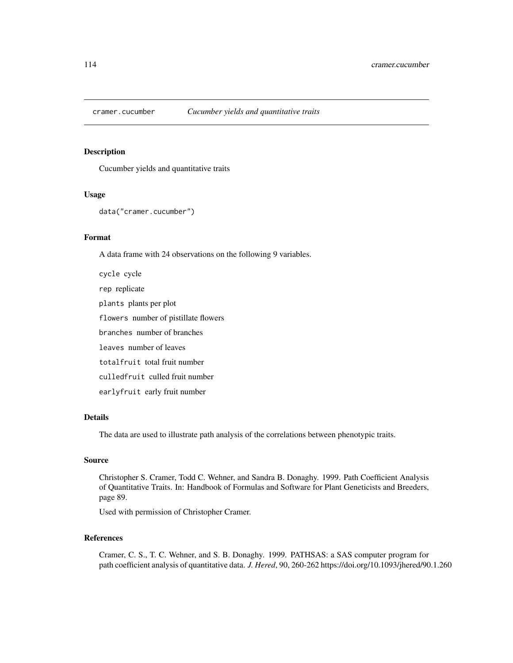# Description

Cucumber yields and quantitative traits

#### Usage

```
data("cramer.cucumber")
```
# Format

A data frame with 24 observations on the following 9 variables.

cycle cycle rep replicate plants plants per plot flowers number of pistillate flowers branches number of branches leaves number of leaves totalfruit total fruit number culledfruit culled fruit number earlyfruit early fruit number

## Details

The data are used to illustrate path analysis of the correlations between phenotypic traits.

# Source

Christopher S. Cramer, Todd C. Wehner, and Sandra B. Donaghy. 1999. Path Coefficient Analysis of Quantitative Traits. In: Handbook of Formulas and Software for Plant Geneticists and Breeders, page 89.

Used with permission of Christopher Cramer.

# References

Cramer, C. S., T. C. Wehner, and S. B. Donaghy. 1999. PATHSAS: a SAS computer program for path coefficient analysis of quantitative data. *J. Hered*, 90, 260-262 https://doi.org/10.1093/jhered/90.1.260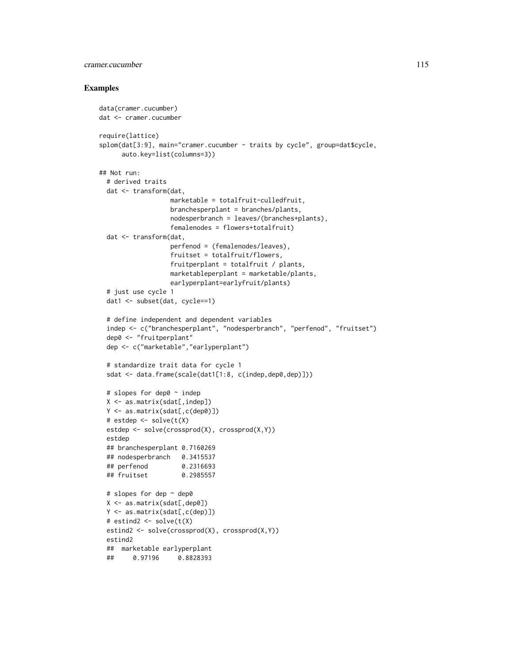# cramer.cucumber 115

```
data(cramer.cucumber)
dat <- cramer.cucumber
require(lattice)
splom(dat[3:9], main="cramer.cucumber - traits by cycle", group=dat$cycle,
      auto.key=list(columns=3))
## Not run:
 # derived traits
 dat <- transform(dat,
                   marketable = totalfruit-culledfruit,
                   branchesperplant = branches/plants,
                   nodesperbranch = leaves/(branches+plants),
                   femalenodes = flowers+totalfruit)
 dat <- transform(dat,
                   perfenod = (femalenodes/leaves),
                   fruitset = totalfruit/flowers,
                   fruitperplant = totalfruit / plants,
                   marketableperplant = marketable/plants,
                   earlyperplant=earlyfruit/plants)
 # just use cycle 1
 dat1 <- subset(dat, cycle==1)
 # define independent and dependent variables
 indep <- c("branchesperplant", "nodesperbranch", "perfenod", "fruitset")
 dep0 <- "fruitperplant"
 dep <- c("marketable","earlyperplant")
 # standardize trait data for cycle 1
 sdat <- data.frame(scale(dat1[1:8, c(indep,dep0,dep)]))
 # slopes for dep0 ~ indep
 X \leftarrow \text{as_matrix}(\text{sdat}[, \text{indep}])Y <- as.matrix(sdat[,c(dep0)])
 # estdep <- solve(t(X)
 estdep <- solve(crossprod(X), crossprod(X,Y))
 estdep
 ## branchesperplant 0.7160269
 ## nodesperbranch 0.3415537
 ## perfenod 0.2316693
 ## fruitset 0.2985557
 # slopes for dep ~ dep0
 X <- as.matrix(sdat[,dep0])
 Y <- as.matrix(sdat[,c(dep)])
 # estind2 <- solve(t(X)
 estind2 <- solve(crossprod(X), crossprod(X,Y))
 estind2
 ## marketable earlyperplant
 ## 0.97196 0.8828393
```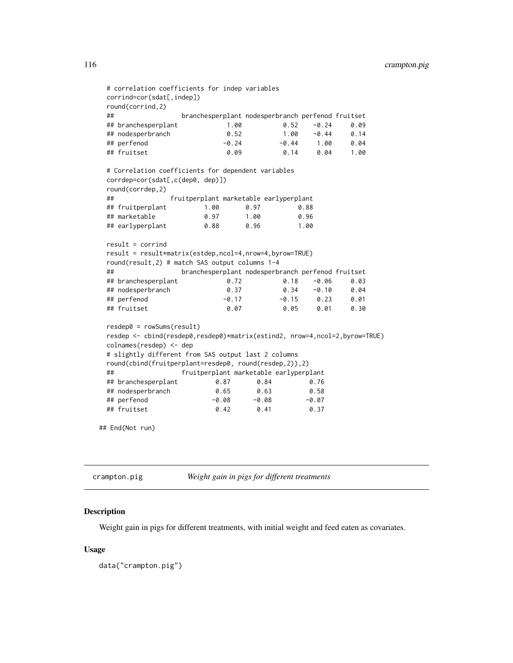```
# correlation coefficients for indep variables
 corrind=cor(sdat[,indep])
 round(corrind,2)
 ## branchesperplant nodesperbranch perfenod fruitset
 ## branchesperplant 1.00 0.52 -0.24 0.09
 ## nodesperbranch 0.52 1.00 -0.44 0.14
 ## perfenod -0.24 -0.44 1.00 0.04
 ## fruitset 0.09 0.14 0.04 1.00
 # Correlation coefficients for dependent variables
 corrdep=cor(sdat[,c(dep0, dep)])
 round(corrdep,2)
 ## fruitperplant marketable earlyperplant
 ## fruitperplant 1.00 0.97 0.88
 ## marketable 0.97 1.00 0.96
 ## earlyperplant 0.88 0.96 1.00
 result = corrind
 result = result*matrix(estdep,ncol=4,nrow=4,byrow=TRUE)
 round(result,2) # match SAS output columns 1-4
 ## branchesperplant nodesperbranch perfenod fruitset
 ## branchesperplant 0.72 0.18 -0.06 0.03
 ## nodesperbranch 0.37 0.34 -0.10 0.04
 ## perfenod -0.17 -0.15 0.23 0.01
 ## fruitset 0.07 0.05 0.01 0.30
 resdep0 = rowSums(result)
 resdep <- cbind(resdep0,resdep0)*matrix(estind2, nrow=4,ncol=2,byrow=TRUE)
 colnames(resdep) <- dep
 # slightly different from SAS output last 2 columns
 round(cbind(fruitperplant=resdep0, round(resdep,2)),2)
 ## fruitperplant marketable earlyperplant
 ## branchesperplant 0.87 0.84 0.76
 ## nodesperbranch 0.65 0.63 0.58
 ## perfenod -0.08 -0.08 -0.07
 ## fruitset 0.42 0.41 0.37
## End(Not run)
```

| crampton.pig | Weight gain in pigs for different treatments |
|--------------|----------------------------------------------|
|--------------|----------------------------------------------|

### Description

Weight gain in pigs for different treatments, with initial weight and feed eaten as covariates.

### Usage

data("crampton.pig")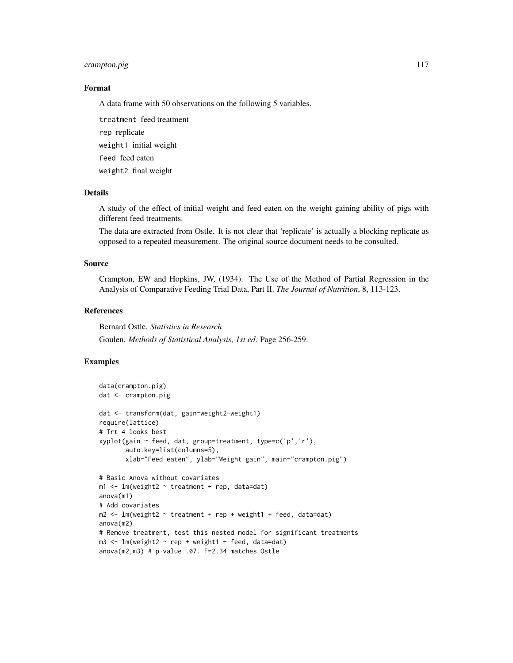# crampton.pig 117

### Format

A data frame with 50 observations on the following 5 variables.

treatment feed treatment rep replicate weight1 initial weight feed feed eaten weight2 final weight

# Details

A study of the effect of initial weight and feed eaten on the weight gaining ability of pigs with different feed treatments.

The data are extracted from Ostle. It is not clear that 'replicate' is actually a blocking replicate as opposed to a repeated measurement. The original source document needs to be consulted.

### Source

Crampton, EW and Hopkins, JW. (1934). The Use of the Method of Partial Regression in the Analysis of Comparative Feeding Trial Data, Part II. *The Journal of Nutrition*, 8, 113-123.

#### References

Bernard Ostle. *Statistics in Research* Goulen. *Methods of Statistical Analysis, 1st ed*. Page 256-259.

```
data(crampton.pig)
dat <- crampton.pig
dat <- transform(dat, gain=weight2-weight1)
require(lattice)
# Trt 4 looks best
xyplot(gain ~ feed, dat, group=treatment, type=c('p','r'),
       auto.key=list(columns=5),
       xlab="Feed eaten", ylab="Weight gain", main="crampton.pig")
# Basic Anova without covariates
m1 <- lm(weight2 ~ treatment + rep, data=dat)
anova(m1)
# Add covariates
m2 <- lm(weight2 ~ treatment + rep + weight1 + feed, data=dat)
anova(m2)
# Remove treatment, test this nested model for significant treatments
m3 \leq \text{Im}(weight2 \approx rep + weight1 + feed, data = dat)anova(m2,m3) # p-value .07. F=2.34 matches Ostle
```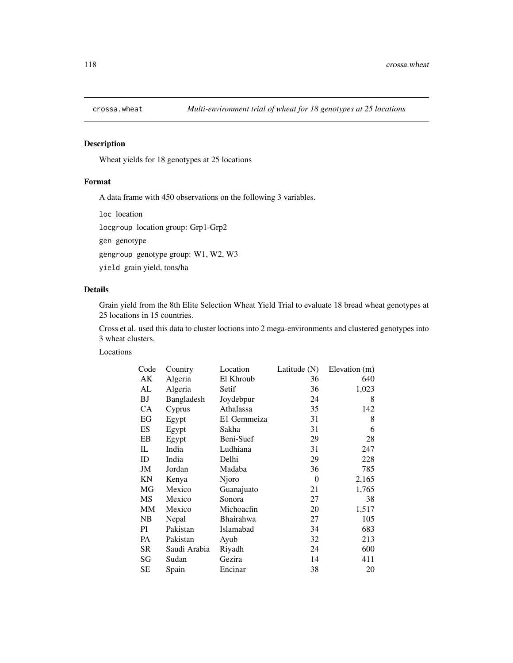# Description

Wheat yields for 18 genotypes at 25 locations

# Format

A data frame with 450 observations on the following 3 variables.

loc location

locgroup location group: Grp1-Grp2

gen genotype

gengroup genotype group: W1, W2, W3

yield grain yield, tons/ha

# Details

Grain yield from the 8th Elite Selection Wheat Yield Trial to evaluate 18 bread wheat genotypes at 25 locations in 15 countries.

Cross et al. used this data to cluster loctions into 2 mega-environments and clustered genotypes into 3 wheat clusters.

Locations

| Code | Country      | Location    | Latitude $(N)$ | Elevation (m) |
|------|--------------|-------------|----------------|---------------|
| АK   | Algeria      | El Khroub   | 36             | 640           |
| AL   | Algeria      | Setif       | 36             | 1,023         |
| BJ   | Bangladesh   | Joydebpur   | 24             | 8             |
| CA   | Cyprus       | Athalassa   | 35             | 142           |
| EG   | Egypt        | E1 Gemmeiza | 31             | 8             |
| ES   | Egypt        | Sakha       | 31             | 6             |
| EB   | Egypt        | Beni-Suef   | 29             | 28            |
| IL   | India        | Ludhiana    | 31             | 247           |
| ID   | India        | Delhi       | 29             | 228           |
| JM   | Jordan       | Madaba      | 36             | 785           |
| ΚN   | Kenya        | Njoro       | $\theta$       | 2,165         |
| MG   | Mexico       | Guanajuato  | 21             | 1,765         |
| MS   | Mexico       | Sonora      | 27             | 38            |
| MM   | Mexico       | Michoacfin  | 20             | 1,517         |
| NB   | Nepal        | Bhairahwa   | 27             | 105           |
| РI   | Pakistan     | Islamabad   | 34             | 683           |
| PA   | Pakistan     | Ayub        | 32             | 213           |
| SR   | Saudi Arabia | Riyadh      | 24             | 600           |
| SG   | Sudan        | Gezira      | 14             | 411           |
| SЕ   | Spain        | Encinar     | 38             | 20            |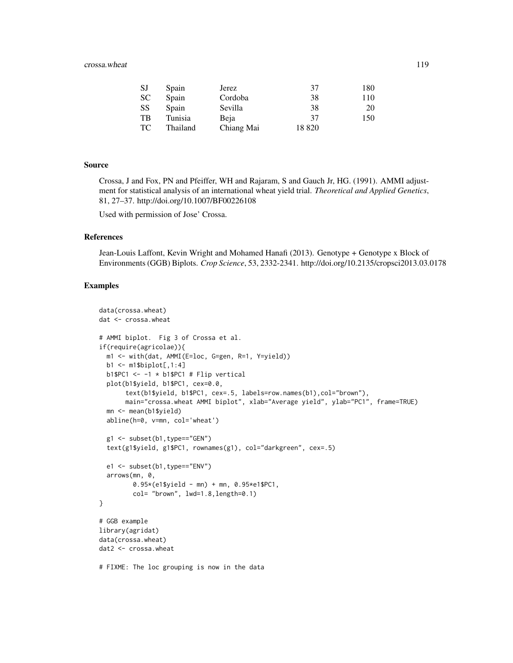### crossa.wheat 119

| SJ | Spain    | Jerez      | 37    | 180 |
|----|----------|------------|-------|-----|
| SС | Spain    | Cordoba    | 38    | 110 |
| SS | Spain    | Sevilla    | 38    | 20  |
| TВ | Tunisia  | Beja       | 37    | 150 |
| ТC | Thailand | Chiang Mai | 18820 |     |

# Source

Crossa, J and Fox, PN and Pfeiffer, WH and Rajaram, S and Gauch Jr, HG. (1991). AMMI adjustment for statistical analysis of an international wheat yield trial. *Theoretical and Applied Genetics*, 81, 27–37. http://doi.org/10.1007/BF00226108

Used with permission of Jose' Crossa.

# References

Jean-Louis Laffont, Kevin Wright and Mohamed Hanafi (2013). Genotype + Genotype x Block of Environments (GGB) Biplots. *Crop Science*, 53, 2332-2341. http://doi.org/10.2135/cropsci2013.03.0178

```
data(crossa.wheat)
dat <- crossa.wheat
# AMMI biplot. Fig 3 of Crossa et al.
if(require(agricolae)){
  m1 <- with(dat, AMMI(E=loc, G=gen, R=1, Y=yield))
  b1 <- m1$biplot[,1:4]
  b1$PC1 \leftarrow -1 \times b1$PC1 # Flip vertical
  plot(b1$yield, b1$PC1, cex=0.0,
       text(b1$yield, b1$PC1, cex=.5, labels=row.names(b1),col="brown"),
       main="crossa.wheat AMMI biplot", xlab="Average yield", ylab="PC1", frame=TRUE)
  mn <- mean(b1$yield)
  abline(h=0, v=mn, col='wheat')
  g1 <- subset(b1,type=="GEN")
  text(g1$yield, g1$PC1, rownames(g1), col="darkgreen", cex=.5)
  e1 <- subset(b1,type=="ENV")
  arrows(mn, 0,
         0.95*(e1$yield - mn) + mn, 0.95*e1$PC1,
         col= "brown", lwd=1.8,length=0.1)
}
# GGB example
library(agridat)
data(crossa.wheat)
dat2 <- crossa.wheat
# FIXME: The loc grouping is now in the data
```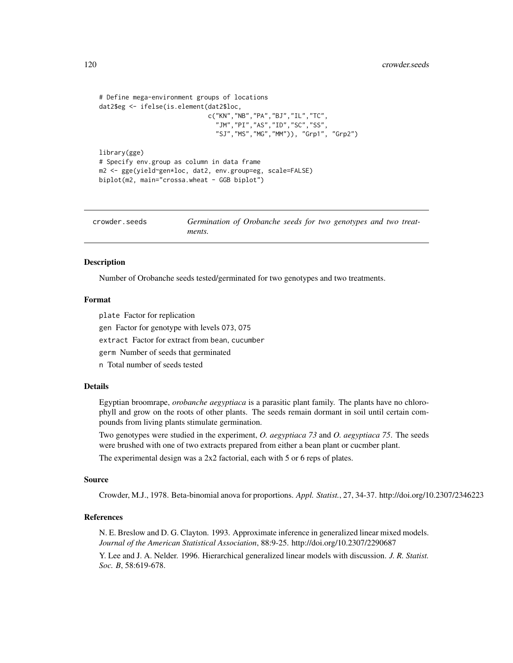```
# Define mega-environment groups of locations
dat2$eg <- ifelse(is.element(dat2$loc,
                             c("KN","NB","PA","BJ","IL","TC",
                               "JM","PI","AS","ID","SC","SS",
                               "SJ","MS","MG","MM")), "Grp1", "Grp2")
library(gge)
# Specify env.group as column in data frame
m2 <- gge(yield~gen*loc, dat2, env.group=eg, scale=FALSE)
biplot(m2, main="crossa.wheat - GGB biplot")
```
crowder.seeds *Germination of Orobanche seeds for two genotypes and two treatments.*

### Description

Number of Orobanche seeds tested/germinated for two genotypes and two treatments.

### Format

plate Factor for replication

gen Factor for genotype with levels O73, O75

extract Factor for extract from bean, cucumber

germ Number of seeds that germinated

n Total number of seeds tested

# Details

Egyptian broomrape, *orobanche aegyptiaca* is a parasitic plant family. The plants have no chlorophyll and grow on the roots of other plants. The seeds remain dormant in soil until certain compounds from living plants stimulate germination.

Two genotypes were studied in the experiment, *O. aegyptiaca 73* and *O. aegyptiaca 75*. The seeds were brushed with one of two extracts prepared from either a bean plant or cucmber plant.

The experimental design was a 2x2 factorial, each with 5 or 6 reps of plates.

### Source

Crowder, M.J., 1978. Beta-binomial anova for proportions. *Appl. Statist.*, 27, 34-37. http://doi.org/10.2307/2346223

## References

N. E. Breslow and D. G. Clayton. 1993. Approximate inference in generalized linear mixed models. *Journal of the American Statistical Association*, 88:9-25. http://doi.org/10.2307/2290687

Y. Lee and J. A. Nelder. 1996. Hierarchical generalized linear models with discussion. *J. R. Statist. Soc. B*, 58:619-678.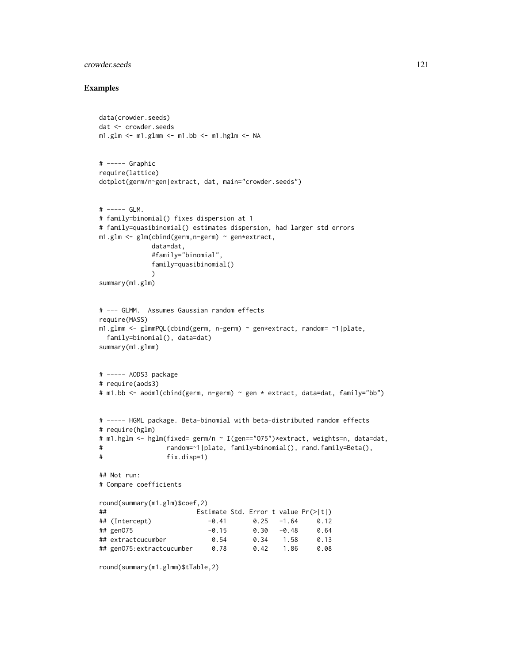# crowder.seeds 121

```
data(crowder.seeds)
dat <- crowder.seeds
m1.glm \leq -m1.glmm \leq -m1.bb \leq -m1.hglm \leq -NA# ----- Graphic
require(lattice)
dotplot(germ/n~gen|extract, dat, main="crowder.seeds")
# ----- GLM.
# family=binomial() fixes dispersion at 1
# family=quasibinomial() estimates dispersion, had larger std errors
m1.glm <- glm(cbind(germ,n-germ) ~ gen*extract,
            data=dat,
            #family="binomial",
            family=quasibinomial()
             )
summary(m1.glm)
# --- GLMM. Assumes Gaussian random effects
require(MASS)
m1.glmm <- glmmPQL(cbind(germ, n-germ) ~ gen*extract, random= ~1|plate,
 family=binomial(), data=dat)
summary(m1.glmm)
# ----- AODS3 package
# require(aods3)
# m1.bb <- aodml(cbind(germ, n-germ) ~ gen * extract, data=dat, family="bb")
# ----- HGML package. Beta-binomial with beta-distributed random effects
# require(hglm)
# m1.hglm <- hglm(fixed= germ/n ~ I(gen=="O75")*extract, weights=n, data=dat,
# random=~1|plate, family=binomial(), rand.family=Beta(),
# fix.disp=1)
## Not run:
# Compare coefficients
round(summary(m1.glm)$coef,2)
## Estimate Std. Error t value Pr(>|t|)
## (Intercept) -0.41 0.25 -1.64 0.12
## genO75 -0.15 0.30 -0.48 0.64
## extractcucumber 0.54 0.34 1.58 0.13
## genO75:extractcucumber 0.78 0.42 1.86 0.08
round(summary(m1.glmm)$tTable,2)
```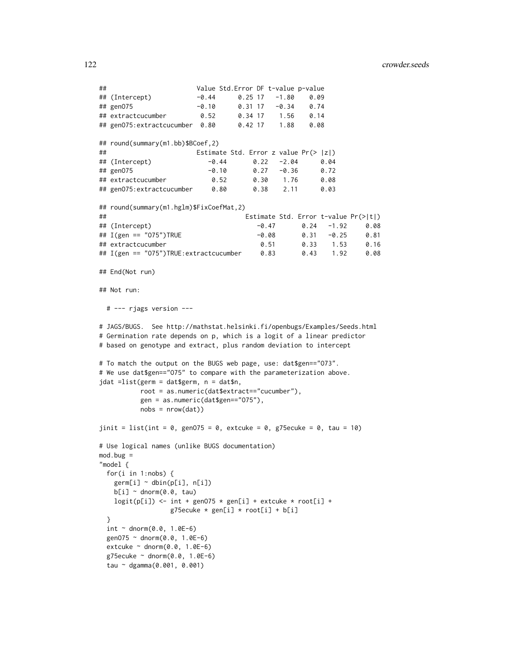```
## Value Std.Error DF t-value p-value
## (Intercept) -0.44 0.25 17 -1.80 0.09
## genO75 -0.10 0.31 17 -0.34 0.74
## extractcucumber 0.52 0.34 17 1.56 0.14
## genO75:extractcucumber 0.80 0.42 17 1.88 0.08
## round(summary(m1.bb)$BCoef,2)
## Estimate Std. Error z value Pr(> |z|)
## (Intercept) -0.44 0.22 -2.04 0.04
## genO75 -0.10 0.27 -0.36 0.72
## extractcucumber 0.52 0.30 1.76 0.08
## genO75:extractcucumber 0.80 0.38 2.11 0.03
## round(summary(m1.hglm)$FixCoefMat,2)
## Estimate Std. Error t-value Pr(>|t|)
## (Intercept) -0.47 0.24 -1.92 0.08
## I(gen == "O75")TRUE -0.08 0.31 -0.25 0.81
## extractcucumber 0.51 0.33 1.53 0.16
## I(gen == "O75")TRUE:extractcucumber 0.83 0.43 1.92 0.08
## End(Not run)
## Not run:
 # --- rjags version ---
# JAGS/BUGS. See http://mathstat.helsinki.fi/openbugs/Examples/Seeds.html
# Germination rate depends on p, which is a logit of a linear predictor
# based on genotype and extract, plus random deviation to intercept
# To match the output on the BUGS web page, use: dat$gen=="O73".
# We use dat$gen=="O75" to compare with the parameterization above.
jdat =list(germ = dat$germ, n = dat$n,
         root = as.numeric(dat$extract=="cucumber"),
         gen = as.numeric(dat$gen=="O75"),
         nobs = nrow(dat))
jinit = list(int = 0, genO75 = 0, extcuke = 0, g75ecuke = 0, tau = 10)
# Use logical names (unlike BUGS documentation)
mod.bug ="model {
 for(i in 1:nobs) {
   germ[i] ~\sim dbin(p[i], n[i])
   b[i] ~ dnorm(0.0, \text{tau})logit(p[i]) \leq int + gen075 * gen[i] + extcube * root[i] +g75ecuke * gen[i] * root[i] + b[i]
 }
 int ~ ~ ~ dnorm(0.0, 1.0E-6)
 genO75 ~ dnorm(0.0, 1.0E-6)
 extcuke \sim dnorm(0.0, 1.0E-6)
 g75ecuke ~ dnorm(0.0, 1.0E-6)
 tau ~ dgamma(0.001, 0.001)
```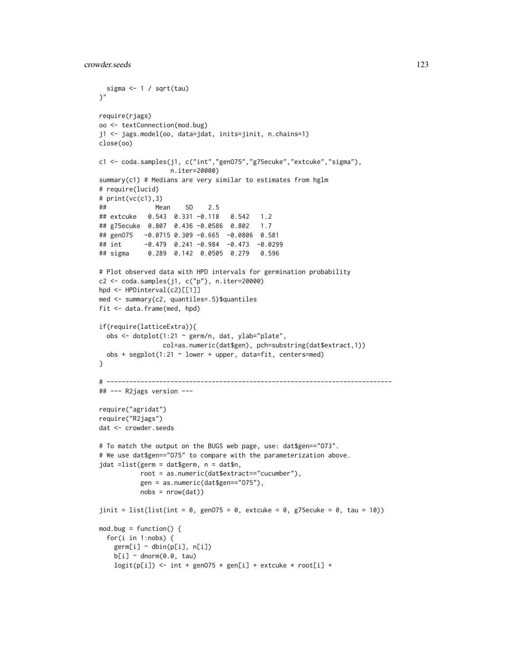```
sigma <- 1 / sqrt(tau)
\gamma"
require(rjags)
oo <- textConnection(mod.bug)
j1 <- jags.model(oo, data=jdat, inits=jinit, n.chains=1)
close(oo)
c1 <- coda.samples(j1, c("int","genO75","g75ecuke","extcuke","sigma"),
                  n.iter=20000)
summary(c1) # Medians are very similar to estimates from hglm
# require(lucid)
# print(vc(c1),3)
## Mean SD 2.5
## extcuke 0.543 0.331 -0.118 0.542 1.2
## g75ecuke 0.807 0.436 -0.0586 0.802 1.7
## genO75 -0.0715 0.309 -0.665 -0.0806 0.581
## int -0.479 0.241 -0.984 -0.473 -0.0299
## sigma 0.289 0.142 0.0505 0.279 0.596
# Plot observed data with HPD intervals for germination probability
c2 <- coda.samples(j1, c("p"), n.iter=20000)
hpd <- HPDinterval(c2)[[1]]
med <- summary(c2, quantiles=.5)$quantiles
fit <- data.frame(med, hpd)
if(require(latticeExtra)){
 obs <- dotplot(1:21 ~ germ/n, dat, ylab="plate",
                col=as.numeric(dat$gen), pch=substring(dat$extract,1))
 obs + segplot(1:21 ~ ~ lower ~ + upper, data=fit, centers=med)}
# ----------------------------------------------------------------------------
## --- R2jags version ---
require("agridat")
require("R2jags")
dat <- crowder.seeds
# To match the output on the BUGS web page, use: dat$gen=="O73".
# We use dat$gen=="O75" to compare with the parameterization above.
jdat =list(germ = dat$germ, n = dat$n,
          root = as.numeric(dat$extract=="cucumber"),
          gen = as.numeric(dat$gen=="O75"),
          nobs = nrow(data)jinit = list(list(int = 0, genO75 = 0, extcuke = 0, g75ecuke = 0, tau = 10))
mod.bug = function() {
 for(i in 1:nobs) {
   germ[i] ~\sim dbin(p[i], n[i])
   b[i] ~ dnorm(0.0, \text{tau})logit(p[i]) \leq int + gen075 * gen[i] + extcube * root[i] +
```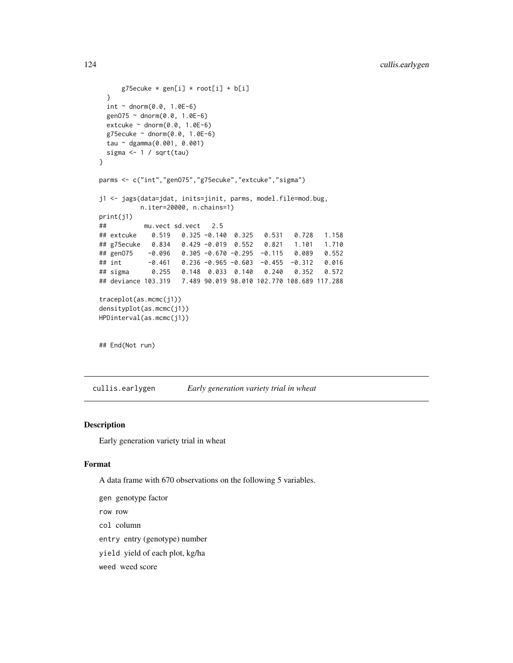```
g75ecuke * gen[i] * root[i] + b[i]}
 int ~ ~ ~ dnorm(0.0, 1.0E-6)
 genO75 ~ dnorm(0.0, 1.0E-6)
 extcuke \sim dnorm(0.0, 1.0E-6)
 g75ecuke ~ dnorm(0.0, 1.0E-6)
 tau ~ dgamma(0.001, 0.001)
 sigma <- 1 / sqrt(tau)
}
parms <- c("int","genO75","g75ecuke","extcuke","sigma")
j1 <- jags(data=jdat, inits=jinit, parms, model.file=mod.bug,
          n.iter=20000, n.chains=1)
print(j1)
## mu.vect sd.vect 2.5
## extcuke 0.519 0.325 -0.140 0.325 0.531 0.728 1.158
## g75ecuke 0.834 0.429 -0.019 0.552 0.821 1.101 1.710
## genO75 -0.096 0.305 -0.670 -0.295 -0.115 0.089 0.552
## int -0.461 0.236 -0.965 -0.603 -0.455 -0.312 0.016
## sigma 0.255 0.148 0.033 0.140 0.240 0.352 0.572
## deviance 103.319 7.489 90.019 98.010 102.770 108.689 117.288
traceplot(as.mcmc(j1))
densityplot(as.mcmc(j1))
HPDinterval(as.mcmc(j1))
## End(Not run)
```
cullis.earlygen *Early generation variety trial in wheat*

## Description

Early generation variety trial in wheat

# Format

A data frame with 670 observations on the following 5 variables.

gen genotype factor row row col column entry entry (genotype) number yield yield of each plot, kg/ha weed weed score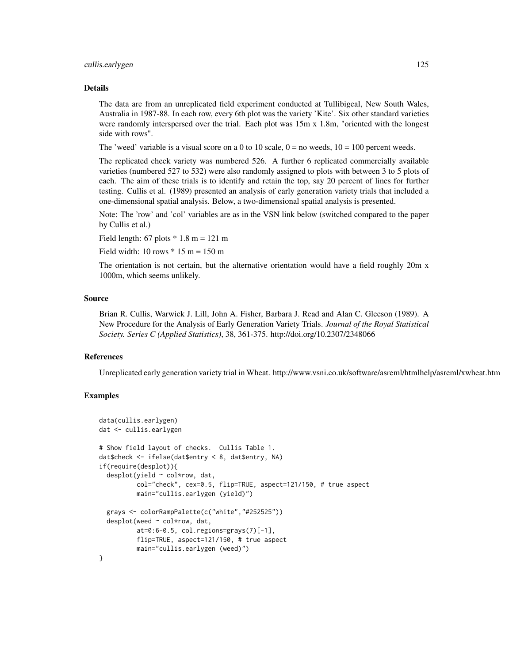### cullis.earlygen 125

#### Details

The data are from an unreplicated field experiment conducted at Tullibigeal, New South Wales, Australia in 1987-88. In each row, every 6th plot was the variety 'Kite'. Six other standard varieties were randomly interspersed over the trial. Each plot was 15m x 1.8m, "oriented with the longest side with rows".

The 'weed' variable is a visual score on a 0 to 10 scale,  $0 =$  no weeds,  $10 = 100$  percent weeds.

The replicated check variety was numbered 526. A further 6 replicated commercially available varieties (numbered 527 to 532) were also randomly assigned to plots with between 3 to 5 plots of each. The aim of these trials is to identify and retain the top, say 20 percent of lines for further testing. Cullis et al. (1989) presented an analysis of early generation variety trials that included a one-dimensional spatial analysis. Below, a two-dimensional spatial analysis is presented.

Note: The 'row' and 'col' variables are as in the VSN link below (switched compared to the paper by Cullis et al.)

Field length:  $67$  plots  $*$  1.8 m = 121 m

Field width: 10 rows  $*$  15 m = 150 m

The orientation is not certain, but the alternative orientation would have a field roughly 20m x 1000m, which seems unlikely.

## Source

Brian R. Cullis, Warwick J. Lill, John A. Fisher, Barbara J. Read and Alan C. Gleeson (1989). A New Procedure for the Analysis of Early Generation Variety Trials. *Journal of the Royal Statistical Society. Series C (Applied Statistics)*, 38, 361-375. http://doi.org/10.2307/2348066

# References

Unreplicated early generation variety trial in Wheat. http://www.vsni.co.uk/software/asreml/htmlhelp/asreml/xwheat.htm

```
data(cullis.earlygen)
dat <- cullis.earlygen
# Show field layout of checks. Cullis Table 1.
dat$check <- ifelse(dat$entry < 8, dat$entry, NA)
if(require(desplot)){
 desplot(yield \sim col*row, dat,
          col="check", cex=0.5, flip=TRUE, aspect=121/150, # true aspect
          main="cullis.earlygen (yield)")
 grays <- colorRampPalette(c("white","#252525"))
 desplot(weed ~ col*row, dat,
          at=0:6-0.5, col.regions=grays(7)[-1],
          flip=TRUE, aspect=121/150, # true aspect
         main="cullis.earlygen (weed)")
}
```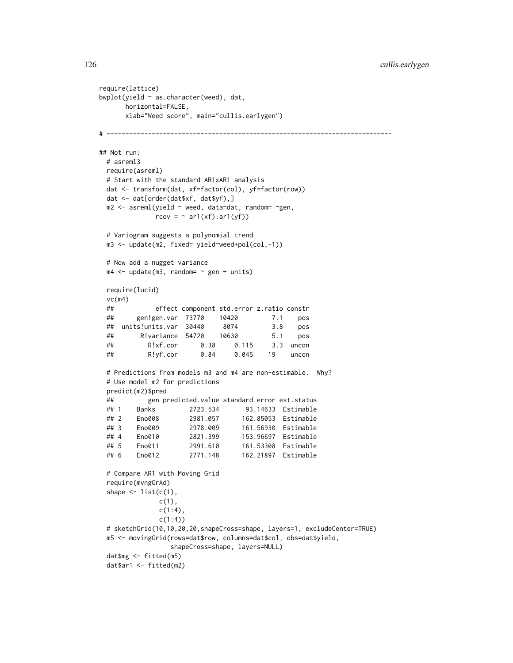```
require(lattice)
bwplot(yield ~ as.character(weed), dat,
     horizontal=FALSE,
     xlab="Weed score", main="cullis.earlygen")
# ----------------------------------------------------------------------------
## Not run:
 # asreml3
 require(asreml)
 # Start with the standard AR1xAR1 analysis
 dat <- transform(dat, xf=factor(col), yf=factor(row))
 dat <- dat[order(dat$xf, dat$yf),]
 m2 <- asreml(yield ~ weed, data=dat, random= ~gen,
             rcov = ~ ar1(xf):ar1(yf))# Variogram suggests a polynomial trend
 m3 <- update(m2, fixed= yield~weed+pol(col,-1))
 # Now add a nugget variance
 m4 \leq update(m3, random= \sim gen + units)
 require(lucid)
 vc(m4)
 ## effect component std.error z.ratio constr
 ## gen!gen.var 73770 10420 7.1 pos
 ## units!units.var 30440 8074 3.8 pos
 ## R!variance 54720 10630 5.1 pos
 ## R!xf.cor 0.38 0.115 3.3 uncon
 ## R!yf.cor 0.84 0.045 19 uncon
 # Predictions from models m3 and m4 are non-estimable. Why?
 # Use model m2 for predictions
 predict(m2)$pred
 ## gen predicted.value standard.error est.status
 ## 1 Banks 2723.534 93.14633 Estimable
 ## 2 Eno008 2981.057 162.85053 Estimable
 ## 3 Eno009 2978.009 161.56930 Estimable
 ## 4 Eno010 2821.399 153.96697 Estimable
 ## 5 Eno011 2991.610 161.53308 Estimable
 ## 6 Eno012 2771.148 162.21897 Estimable
 # Compare AR1 with Moving Grid
 require(mvngGrAd)
 shape \leq list(c(1),
             c(1),
             c(1:4),
             c(1:4)# sketchGrid(10,10,20,20,shapeCross=shape, layers=1, excludeCenter=TRUE)
 m5 <- movingGrid(rows=dat$row, columns=dat$col, obs=dat$yield,
                shapeCross=shape, layers=NULL)
 dat$mg <- fitted(m5)
 dat$ar1 <- fitted(m2)
```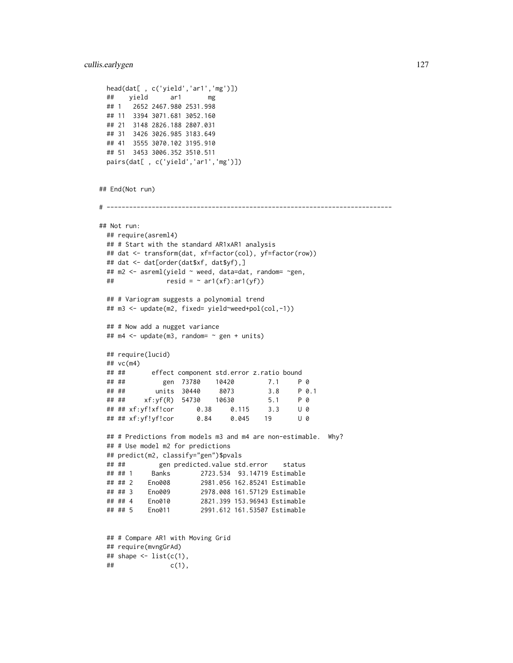```
head(dat[ , c('yield','ar1','mg')])
 ## yield ar1 mg
 ## 1 2652 2467.980 2531.998
 ## 11 3394 3071.681 3052.160
 ## 21 3148 2826.188 2807.031
 ## 31 3426 3026.985 3183.649
 ## 41 3555 3070.102 3195.910
 ## 51 3453 3006.352 3510.511
 pairs(dat[ , c('yield','ar1','mg')])
## End(Not run)
# ----------------------------------------------------------------------------
## Not run:
 ## require(asreml4)
 ## # Start with the standard AR1xAR1 analysis
 ## dat <- transform(dat, xf=factor(col), yf=factor(row))
 ## dat <- dat[order(dat$xf, dat$yf),]
 ## m2 <- asreml(yield ~ weed, data=dat, random= ~gen,
 ## resid = \sim ar1(xf):ar1(yf)## # Variogram suggests a polynomial trend
 ## m3 <- update(m2, fixed= yield~weed+pol(col,-1))
 ## # Now add a nugget variance
 ## m4 <- update(m3, random= ~ gen + units)
 ## require(lucid)
 ## vc(m4)
 ## ## effect component std.error z.ratio bound
 ## ## gen 73780 10420 7.1 P 0
 ## ## units 30440 8073 3.8 P 0.1
 ## ## xf:yf(R) 54730 10630 5.1 P 0
 ## ## xf:yf!xf!cor 0.38 0.115 3.3 U 0
 ## ## xf:yf!yf!cor 0.84 0.045 19 U 0
 ## # Predictions from models m3 and m4 are non-estimable. Why?
 ## # Use model m2 for predictions
 ## predict(m2, classify="gen")$pvals
 ## ## gen predicted.value std.error status
 ## ## 1 Banks 2723.534 93.14719 Estimable
 ## ## 2 Eno008 2981.056 162.85241 Estimable
 ## ## 3 Eno009 2978.008 161.57129 Estimable
 ## ## 4 Eno010 2821.399 153.96943 Estimable
 ## ## 5 Eno011 2991.612 161.53507 Estimable
 ## # Compare AR1 with Moving Grid
 ## require(mvngGrAd)
 ## shape \leq list(c(1),
 \# # c(1),
```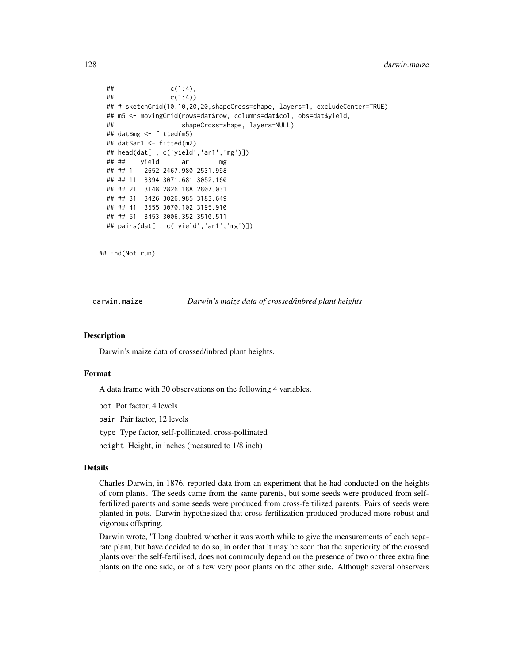```
\## c(1:4),
\# \# \{C(1:4)\}\)## # sketchGrid(10,10,20,20,shapeCross=shape, layers=1, excludeCenter=TRUE)
## m5 <- movingGrid(rows=dat$row, columns=dat$col, obs=dat$yield,
## shapeCross=shape, layers=NULL)
## dat$mg <- fitted(m5)
## dat$ar1 <- fitted(m2)
## head(dat[ , c('yield','ar1','mg')])
## ## yield ar1 mg
## ## 1 2652 2467.980 2531.998
## ## 11 3394 3071.681 3052.160
## ## 21 3148 2826.188 2807.031
## ## 31 3426 3026.985 3183.649
## ## 41 3555 3070.102 3195.910
## ## 51 3453 3006.352 3510.511
## pairs(dat[ , c('yield','ar1','mg')])
```
## End(Not run)

darwin.maize *Darwin's maize data of crossed/inbred plant heights*

### **Description**

Darwin's maize data of crossed/inbred plant heights.

### Format

A data frame with 30 observations on the following 4 variables.

pot Pot factor, 4 levels

pair Pair factor, 12 levels

type Type factor, self-pollinated, cross-pollinated

height Height, in inches (measured to 1/8 inch)

# Details

Charles Darwin, in 1876, reported data from an experiment that he had conducted on the heights of corn plants. The seeds came from the same parents, but some seeds were produced from selffertilized parents and some seeds were produced from cross-fertilized parents. Pairs of seeds were planted in pots. Darwin hypothesized that cross-fertilization produced produced more robust and vigorous offspring.

Darwin wrote, "I long doubted whether it was worth while to give the measurements of each separate plant, but have decided to do so, in order that it may be seen that the superiority of the crossed plants over the self-fertilised, does not commonly depend on the presence of two or three extra fine plants on the one side, or of a few very poor plants on the other side. Although several observers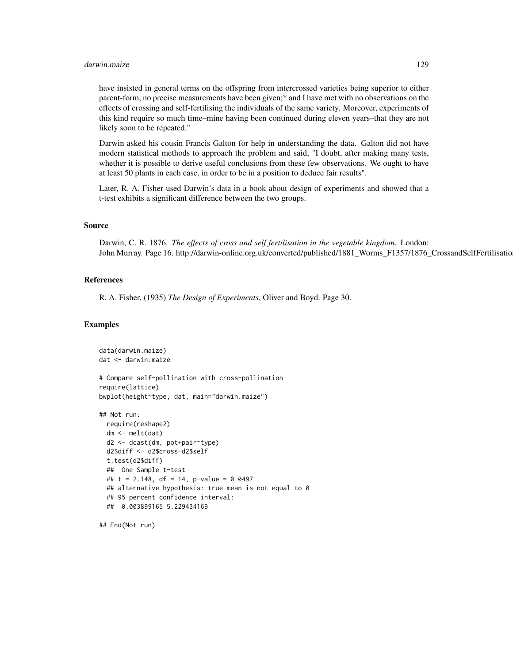### darwin.maize 129

have insisted in general terms on the offspring from intercrossed varieties being superior to either parent-form, no precise measurements have been given;\* and I have met with no observations on the effects of crossing and self-fertilising the individuals of the same variety. Moreover, experiments of this kind require so much time–mine having been continued during eleven years–that they are not likely soon to be repeated."

Darwin asked his cousin Francis Galton for help in understanding the data. Galton did not have modern statistical methods to approach the problem and said, "I doubt, after making many tests, whether it is possible to derive useful conclusions from these few observations. We ought to have at least 50 plants in each case, in order to be in a position to deduce fair results".

Later, R. A. Fisher used Darwin's data in a book about design of experiments and showed that a t-test exhibits a significant difference between the two groups.

## Source

Darwin, C. R. 1876. *The effects of cross and self fertilisation in the vegetable kingdom*. London: John Murray. Page 16. http://darwin-online.org.uk/converted/published/1881\_Worms\_F1357/1876\_CrossandSelfFertilisatio

### References

R. A. Fisher, (1935) *The Design of Experiments*, Oliver and Boyd. Page 30.

# Examples

```
data(darwin.maize)
dat <- darwin.maize
# Compare self-pollination with cross-pollination
require(lattice)
bwplot(height~type, dat, main="darwin.maize")
## Not run:
 require(reshape2)
 dm <- melt(dat)
 d2 <- dcast(dm, pot+pair~type)
 d2$diff <- d2$cross-d2$self
 t.test(d2$diff)
 ## One Sample t-test
 ## t = 2.148, df = 14, p-value = 0.0497
 ## alternative hypothesis: true mean is not equal to 0
 ## 95 percent confidence interval:
 ## 0.003899165 5.229434169
```
## End(Not run)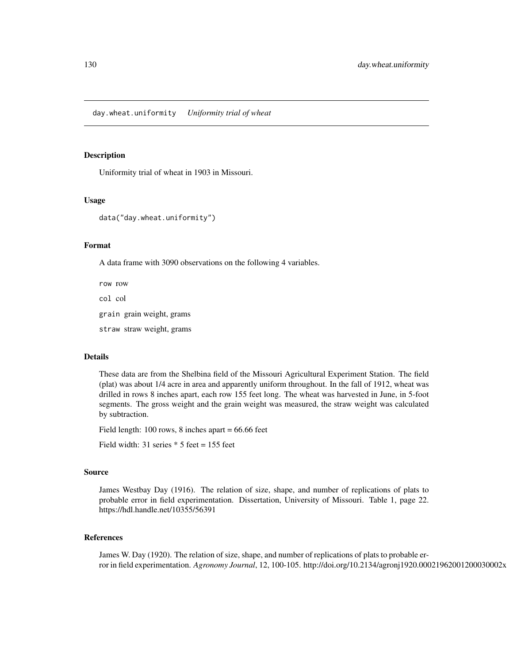### Description

Uniformity trial of wheat in 1903 in Missouri.

### Usage

data("day.wheat.uniformity")

## Format

A data frame with 3090 observations on the following 4 variables.

row row col col grain grain weight, grams straw straw weight, grams

## Details

These data are from the Shelbina field of the Missouri Agricultural Experiment Station. The field (plat) was about 1/4 acre in area and apparently uniform throughout. In the fall of 1912, wheat was drilled in rows 8 inches apart, each row 155 feet long. The wheat was harvested in June, in 5-foot segments. The gross weight and the grain weight was measured, the straw weight was calculated by subtraction.

Field length: 100 rows, 8 inches apart = 66.66 feet

Field width: 31 series  $*$  5 feet = 155 feet

#### Source

James Westbay Day (1916). The relation of size, shape, and number of replications of plats to probable error in field experimentation. Dissertation, University of Missouri. Table 1, page 22. https://hdl.handle.net/10355/56391

## References

James W. Day (1920). The relation of size, shape, and number of replications of plats to probable error in field experimentation. *Agronomy Journal*, 12, 100-105. http://doi.org/10.2134/agronj1920.00021962001200030002x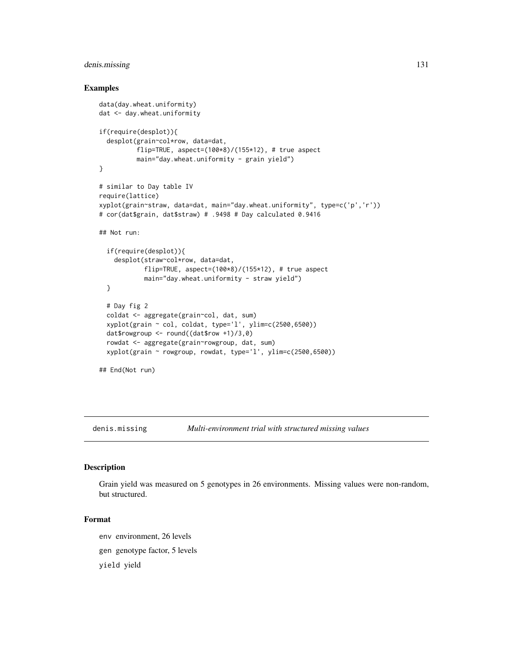# denis.missing 131

## Examples

```
data(day.wheat.uniformity)
dat <- day.wheat.uniformity
if(require(desplot)){
 desplot(grain~col*row, data=dat,
          flip=TRUE, aspect=(100*8)/(155*12), # true aspect
         main="day.wheat.uniformity - grain yield")
}
# similar to Day table IV
require(lattice)
xyplot(grain~straw, data=dat, main="day.wheat.uniformity", type=c('p','r'))
# cor(dat$grain, dat$straw) # .9498 # Day calculated 0.9416
## Not run:
 if(require(desplot)){
    desplot(straw~col*row, data=dat,
            flip=TRUE, aspect=(100*8)/(155*12), # true aspect
            main="day.wheat.uniformity - straw yield")
 }
 # Day fig 2
 coldat <- aggregate(grain~col, dat, sum)
 xyplot(grain ~ col, coldat, type='l', ylim=c(2500, 6500))dat$rowgroup <- round((dat$row +1)/3,0)
 rowdat <- aggregate(grain~rowgroup, dat, sum)
 xyplot(grain ~ rowgroup, rowdat, type='l', ylim=c(2500,6500))
## End(Not run)
```
denis.missing *Multi-environment trial with structured missing values*

### Description

Grain yield was measured on 5 genotypes in 26 environments. Missing values were non-random, but structured.

# Format

env environment, 26 levels

gen genotype factor, 5 levels

yield yield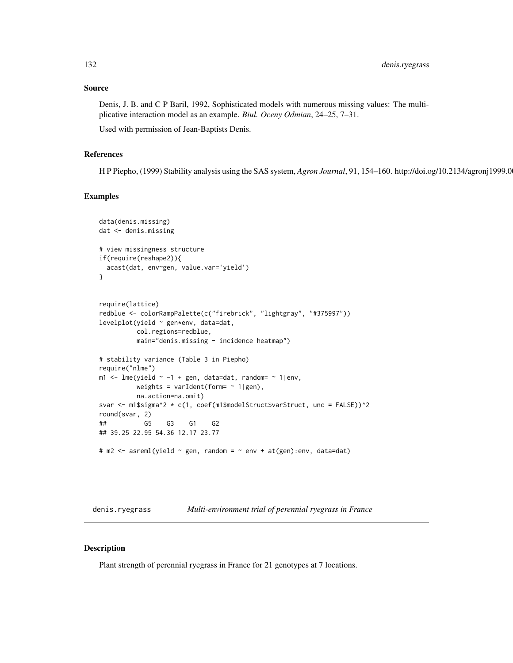## Source

Denis, J. B. and C P Baril, 1992, Sophisticated models with numerous missing values: The multiplicative interaction model as an example. *Biul. Oceny Odmian*, 24–25, 7–31.

Used with permission of Jean-Baptists Denis.

## References

H P Piepho, (1999) Stability analysis using the SAS system, *Agron Journal*, 91, 154–160. http://doi.og/10.2134/agronj1999.0

### Examples

```
data(denis.missing)
dat <- denis.missing
# view missingness structure
if(require(reshape2)){
  acast(dat, env~gen, value.var='yield')
}
require(lattice)
redblue <- colorRampPalette(c("firebrick", "lightgray", "#375997"))
levelplot(yield ~ gen*env, data=dat,
         col.regions=redblue,
         main="denis.missing - incidence heatmap")
# stability variance (Table 3 in Piepho)
require("nlme")
m1 <- lme(yield \sim -1 + gen, data=dat, random= \sim 1|env,
         weights = varIdent(form= \sim 1|gen),
         na.action=na.omit)
svar <- m1$sigma^2 * c(1, coef(m1$modelStruct$varStruct, unc = FALSE))^2
round(svar, 2)
## G5 G3 G1 G2
## 39.25 22.95 54.36 12.17 23.77
# m2 <- asreml(yield ~ gen, random = ~ env + at(gen):env, data=dat)
```
denis.ryegrass *Multi-environment trial of perennial ryegrass in France*

# Description

Plant strength of perennial ryegrass in France for 21 genotypes at 7 locations.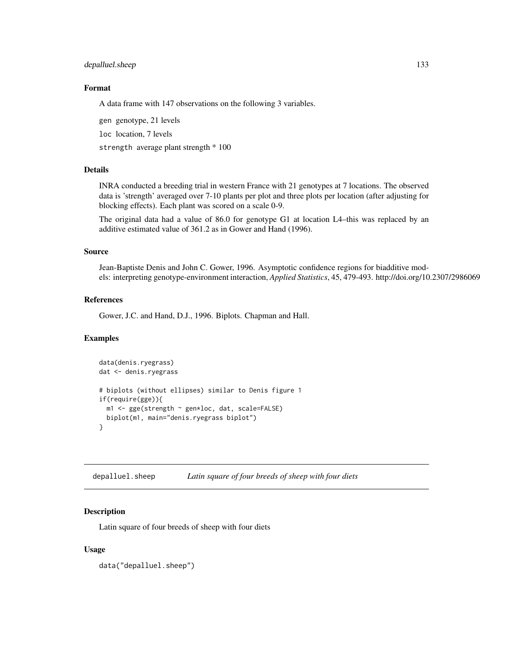# depalluel.sheep 133

# Format

A data frame with 147 observations on the following 3 variables.

gen genotype, 21 levels

loc location, 7 levels

strength average plant strength \* 100

# Details

INRA conducted a breeding trial in western France with 21 genotypes at 7 locations. The observed data is 'strength' averaged over 7-10 plants per plot and three plots per location (after adjusting for blocking effects). Each plant was scored on a scale 0-9.

The original data had a value of 86.0 for genotype G1 at location L4–this was replaced by an additive estimated value of 361.2 as in Gower and Hand (1996).

### Source

Jean-Baptiste Denis and John C. Gower, 1996. Asymptotic confidence regions for biadditive models: interpreting genotype-environment interaction, *Applied Statistics*, 45, 479-493. http://doi.org/10.2307/2986069

## References

Gower, J.C. and Hand, D.J., 1996. Biplots. Chapman and Hall.

### Examples

```
data(denis.ryegrass)
dat <- denis.ryegrass
# biplots (without ellipses) similar to Denis figure 1
if(require(gge)){
 m1 <- gge(strength ~ gen*loc, dat, scale=FALSE)
 biplot(m1, main="denis.ryegrass biplot")
}
```
depalluel.sheep *Latin square of four breeds of sheep with four diets*

## **Description**

Latin square of four breeds of sheep with four diets

## Usage

data("depalluel.sheep")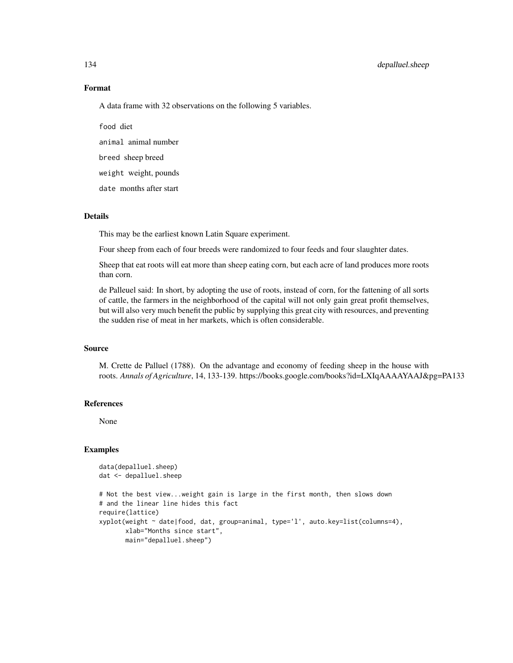# 134 depalluel.sheep

# Format

A data frame with 32 observations on the following 5 variables.

food diet animal animal number breed sheep breed weight weight, pounds date months after start

# Details

This may be the earliest known Latin Square experiment.

Four sheep from each of four breeds were randomized to four feeds and four slaughter dates.

Sheep that eat roots will eat more than sheep eating corn, but each acre of land produces more roots than corn.

de Palleuel said: In short, by adopting the use of roots, instead of corn, for the fattening of all sorts of cattle, the farmers in the neighborhood of the capital will not only gain great profit themselves, but will also very much benefit the public by supplying this great city with resources, and preventing the sudden rise of meat in her markets, which is often considerable.

#### Source

M. Crette de Palluel (1788). On the advantage and economy of feeding sheep in the house with roots. *Annals of Agriculture*, 14, 133-139. https://books.google.com/books?id=LXIqAAAAYAAJ&pg=PA133

### References

None

```
data(depalluel.sheep)
dat <- depalluel.sheep
# Not the best view...weight gain is large in the first month, then slows down
# and the linear line hides this fact
require(lattice)
xyplot(weight ~ date|food, dat, group=animal, type='l', auto.key=list(columns=4),
      xlab="Months since start",
      main="depalluel.sheep")
```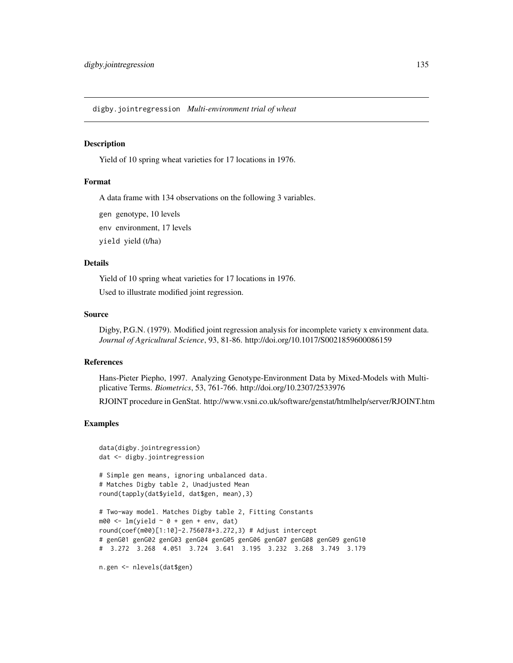digby.jointregression *Multi-environment trial of wheat*

## Description

Yield of 10 spring wheat varieties for 17 locations in 1976.

# Format

A data frame with 134 observations on the following 3 variables.

gen genotype, 10 levels

env environment, 17 levels

yield yield (t/ha)

# Details

Yield of 10 spring wheat varieties for 17 locations in 1976.

Used to illustrate modified joint regression.

### Source

Digby, P.G.N. (1979). Modified joint regression analysis for incomplete variety x environment data. *Journal of Agricultural Science*, 93, 81-86. http://doi.org/10.1017/S0021859600086159

### References

Hans-Pieter Piepho, 1997. Analyzing Genotype-Environment Data by Mixed-Models with Multiplicative Terms. *Biometrics*, 53, 761-766. http://doi.org/10.2307/2533976

RJOINT procedure in GenStat. http://www.vsni.co.uk/software/genstat/htmlhelp/server/RJOINT.htm

```
data(digby.jointregression)
dat <- digby.jointregression
# Simple gen means, ignoring unbalanced data.
# Matches Digby table 2, Unadjusted Mean
round(tapply(dat$yield, dat$gen, mean),3)
# Two-way model. Matches Digby table 2, Fitting Constants
m00 \leq Im(yield \sim 0 + gen + env, dat)round(coef(m00)[1:10]-2.756078+3.272,3) # Adjust intercept
# genG01 genG02 genG03 genG04 genG05 genG06 genG07 genG08 genG09 genG10
# 3.272 3.268 4.051 3.724 3.641 3.195 3.232 3.268 3.749 3.179
n.gen <- nlevels(dat$gen)
```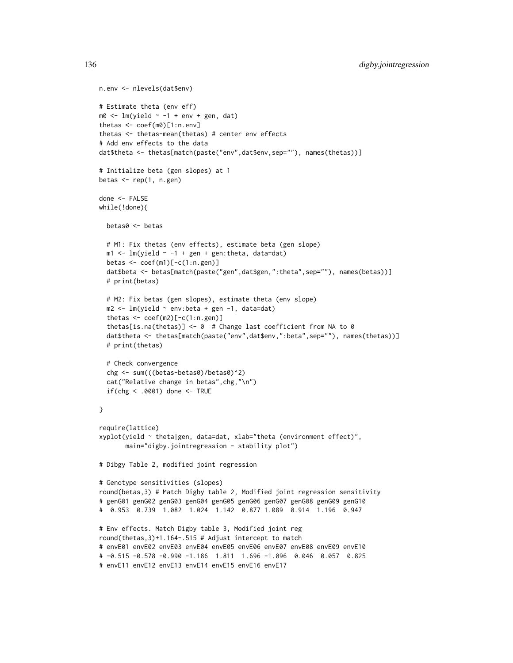```
n.env <- nlevels(dat$env)
# Estimate theta (env eff)
m0 \leq -\ln(yield \sim -1 + env + gen, dat)thetas <- coef(m0)[1:n.env]
thetas <- thetas-mean(thetas) # center env effects
# Add env effects to the data
dat$theta <- thetas[match(paste("env",dat$env,sep=""), names(thetas))]
# Initialize beta (gen slopes) at 1
betas \leq rep(1, n.gen)
done <- FALSE
while(!done){
  betas0 <- betas
  # M1: Fix thetas (env effects), estimate beta (gen slope)
  m1 < -1m(yield ~ -1 ~ + ~gen ~ + ~gen:theta, data=dat)betas <- coef(m1)[-c(1:n.gen)]
  dat$beta <- betas[match(paste("gen",dat$gen,":theta",sep=""), names(betas))]
  # print(betas)
  # M2: Fix betas (gen slopes), estimate theta (env slope)
  m2 \leq Im(yield \sim env:beta + gen -1, data=dat)thetas <- coef(m2)[-c(1:n.gen)]
  thetas[is.na(thetas)] <- 0 # Change last coefficient from NA to 0
  dat$theta <- thetas[match(paste("env",dat$env,":beta",sep=""), names(thetas))]
  # print(thetas)
  # Check convergence
  chg <- sum(((betas-betas0)/betas0)^2)
  cat("Relative change in betas",chg,"\n")
  if(chg < .0001) done <- TRUE
}
require(lattice)
xyplot(yield ~ theta|gen, data=dat, xlab="theta (environment effect)",
       main="digby.jointregression - stability plot")
# Dibgy Table 2, modified joint regression
# Genotype sensitivities (slopes)
round(betas,3) # Match Digby table 2, Modified joint regression sensitivity
# genG01 genG02 genG03 genG04 genG05 genG06 genG07 genG08 genG09 genG10
# 0.953 0.739 1.082 1.024 1.142 0.877 1.089 0.914 1.196 0.947
# Env effects. Match Digby table 3, Modified joint reg
round(thetas,3)+1.164-.515 # Adjust intercept to match
# envE01 envE02 envE03 envE04 envE05 envE06 envE07 envE08 envE09 envE10
# -0.515 -0.578 -0.990 -1.186 1.811 1.696 -1.096 0.046 0.057 0.825
# envE11 envE12 envE13 envE14 envE15 envE16 envE17
```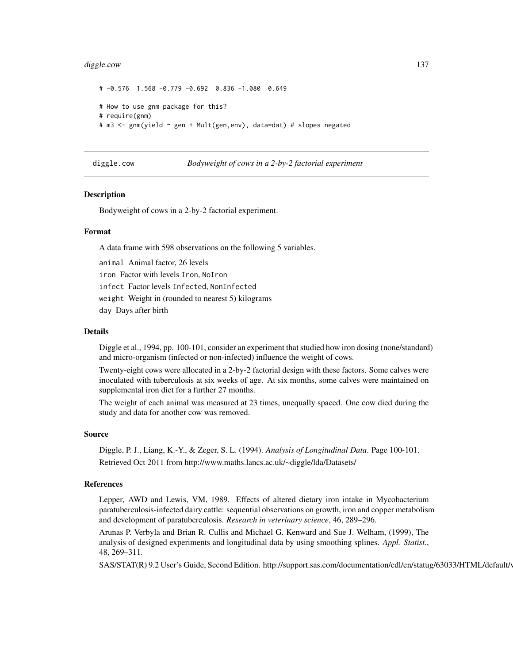### diggle.cow 137

```
# -0.576 1.568 -0.779 -0.692 0.836 -1.080 0.649
# How to use gnm package for this?
# require(gnm)
# m3 <- gnm(yield ~ gen + Mult(gen,env), data=dat) # slopes negated
```
diggle.cow *Bodyweight of cows in a 2-by-2 factorial experiment*

## **Description**

Bodyweight of cows in a 2-by-2 factorial experiment.

### Format

A data frame with 598 observations on the following 5 variables.

animal Animal factor, 26 levels

iron Factor with levels Iron, NoIron

infect Factor levels Infected, NonInfected

weight Weight in (rounded to nearest 5) kilograms

day Days after birth

## Details

Diggle et al., 1994, pp. 100-101, consider an experiment that studied how iron dosing (none/standard) and micro-organism (infected or non-infected) influence the weight of cows.

Twenty-eight cows were allocated in a 2-by-2 factorial design with these factors. Some calves were inoculated with tuberculosis at six weeks of age. At six months, some calves were maintained on supplemental iron diet for a further 27 months.

The weight of each animal was measured at 23 times, unequally spaced. One cow died during the study and data for another cow was removed.

#### Source

Diggle, P. J., Liang, K.-Y., & Zeger, S. L. (1994). *Analysis of Longitudinal Data*. Page 100-101. Retrieved Oct 2011 from http://www.maths.lancs.ac.uk/~diggle/lda/Datasets/

# References

Lepper, AWD and Lewis, VM, 1989. Effects of altered dietary iron intake in Mycobacterium paratuberculosis-infected dairy cattle: sequential observations on growth, iron and copper metabolism and development of paratuberculosis. *Research in veterinary science*, 46, 289–296.

Arunas P. Verbyla and Brian R. Cullis and Michael G. Kenward and Sue J. Welham, (1999), The analysis of designed experiments and longitudinal data by using smoothing splines. *Appl. Statist.*, 48, 269–311.

SAS/STAT(R) 9.2 User's Guide, Second Edition. http://support.sas.com/documentation/cdl/en/statug/63033/HTML/default/v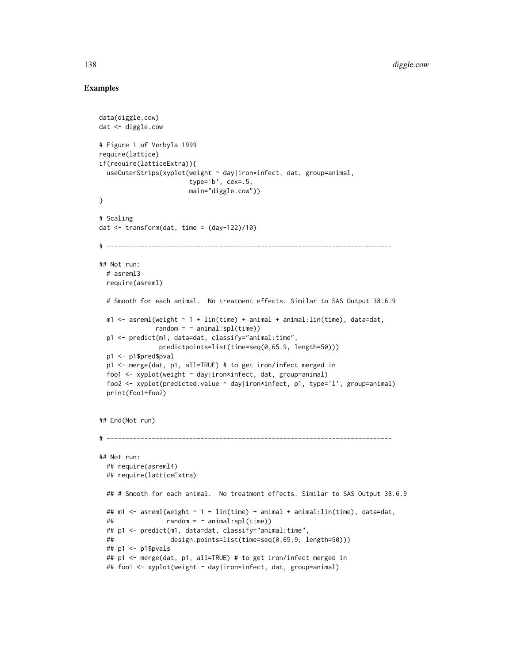```
data(diggle.cow)
dat <- diggle.cow
# Figure 1 of Verbyla 1999
require(lattice)
if(require(latticeExtra)){
  useOuterStrips(xyplot(weight ~ day|iron*infect, dat, group=animal,
                            type='b', cex=.5,
                            main="diggle.cow"))
}
# Scaling
dat \leq transform(dat, time = \frac{1}{22} (day-122)/10)
# ----------------------------------------------------------------------------
## Not run:
  # asreml3
  require(asreml)
  # Smooth for each animal. No treatment effects. Similar to SAS Output 38.6.9
  m1 < - asreml(weight \sim 1 + \text{lin}(\text{time}) + \text{animal} + \text{animal}:\text{lin}(\text{time}), data=dat,
                 random = \sim animal:spl(time))
  p1 <- predict(m1, data=dat, classify="animal:time",
                  predictpoints=list(time=seq(0,65.9, length=50)))
  p1 <- p1$pred$pval
  p1 <- merge(dat, p1, all=TRUE) # to get iron/infect merged in
  foo1 <- xyplot(weight ~ day|iron*infect, dat, group=animal)
  foo2 <- xyplot(predicted.value ~ day|iron*infect, p1, type='l', group=animal)
  print(foo1+foo2)
## End(Not run)
# ----------------------------------------------------------------------------
## Not run:
  ## require(asreml4)
  ## require(latticeExtra)
  ## # Smooth for each animal. No treatment effects. Similar to SAS Output 38.6.9
  ## m1 <- asreml(weight ~ 1 + lin(time) + animal + animal:lin(time), data=dat,
  \# \# \qquad \qquad \qquad \qquad \qquad \qquad \qquad \qquad \qquad \qquad \qquad \qquad \qquad \qquad \qquad \qquad \qquad \qquad \qquad \qquad \qquad \qquad \qquad \qquad \qquad \qquad \qquad \qquad \qquad \qquad \qquad \qquad \qquad \qquad \qquad ## p1 <- predict(m1, data=dat, classify="animal:time",
  ## design.points=list(time=seq(0,65.9, length=50)))
  ## p1 <- p1$pvals
  ## p1 <- merge(dat, p1, all=TRUE) # to get iron/infect merged in
  ## foo1 <- xyplot(weight ~ day|iron*infect, dat, group=animal)
```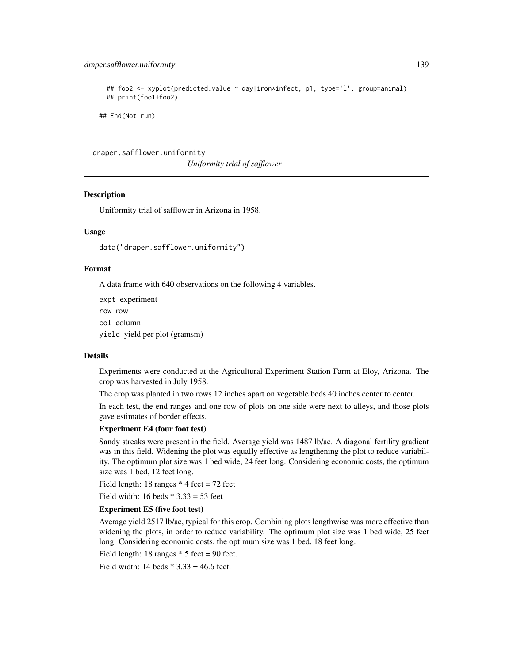# draper.safflower.uniformity 139

```
## foo2 <- xyplot(predicted.value ~ day|iron*infect, p1, type='l', group=animal)
## print(foo1+foo2)
```
## End(Not run)

draper.safflower.uniformity *Uniformity trial of safflower*

## **Description**

Uniformity trial of safflower in Arizona in 1958.

#### Usage

data("draper.safflower.uniformity")

## Format

A data frame with 640 observations on the following 4 variables.

expt experiment

row row

col column

yield yield per plot (gramsm)

#### Details

Experiments were conducted at the Agricultural Experiment Station Farm at Eloy, Arizona. The crop was harvested in July 1958.

The crop was planted in two rows 12 inches apart on vegetable beds 40 inches center to center.

In each test, the end ranges and one row of plots on one side were next to alleys, and those plots gave estimates of border effects.

# Experiment E4 (four foot test).

Sandy streaks were present in the field. Average yield was 1487 lb/ac. A diagonal fertility gradient was in this field. Widening the plot was equally effective as lengthening the plot to reduce variability. The optimum plot size was 1 bed wide, 24 feet long. Considering economic costs, the optimum size was 1 bed, 12 feet long.

Field length: 18 ranges  $*$  4 feet = 72 feet

Field width: 16 beds  $*$  3.33 = 53 feet

### Experiment E5 (five foot test)

Average yield 2517 lb/ac, typical for this crop. Combining plots lengthwise was more effective than widening the plots, in order to reduce variability. The optimum plot size was 1 bed wide, 25 feet long. Considering economic costs, the optimum size was 1 bed, 18 feet long.

Field length: 18 ranges  $*$  5 feet = 90 feet.

Field width: 14 beds  $* 3.33 = 46.6$  feet.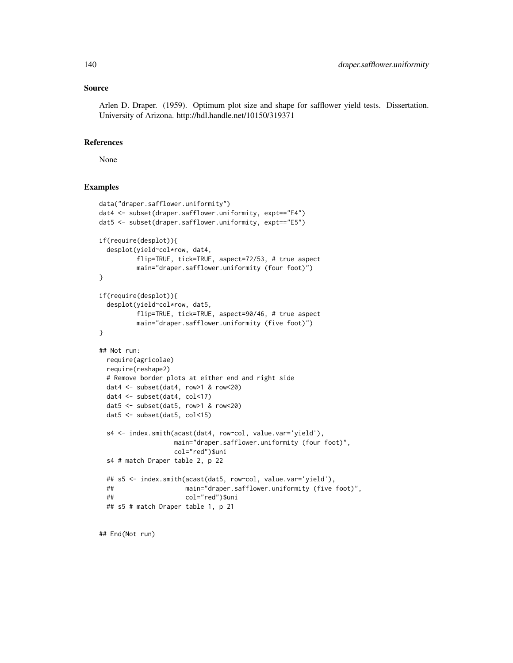### Source

Arlen D. Draper. (1959). Optimum plot size and shape for safflower yield tests. Dissertation. University of Arizona. http://hdl.handle.net/10150/319371

# References

None

## Examples

```
data("draper.safflower.uniformity")
dat4 <- subset(draper.safflower.uniformity, expt=="E4")
dat5 <- subset(draper.safflower.uniformity, expt=="E5")
if(require(desplot)){
 desplot(yield~col*row, dat4,
         flip=TRUE, tick=TRUE, aspect=72/53, # true aspect
         main="draper.safflower.uniformity (four foot)")
}
if(require(desplot)){
 desplot(yield~col*row, dat5,
         flip=TRUE, tick=TRUE, aspect=90/46, # true aspect
         main="draper.safflower.uniformity (five foot)")
}
## Not run:
 require(agricolae)
 require(reshape2)
 # Remove border plots at either end and right side
 dat4 <- subset(dat4, row>1 & row<20)
 dat4 <- subset(dat4, col<17)
 dat5 <- subset(dat5, row>1 & row<20)
 dat5 <- subset(dat5, col<15)
 s4 <- index.smith(acast(dat4, row~col, value.var='yield'),
                   main="draper.safflower.uniformity (four foot)",
                   col="red")$uni
 s4 # match Draper table 2, p 22
 ## s5 <- index.smith(acast(dat5, row~col, value.var='yield'),
 ## main="draper.safflower.uniformity (five foot)",
 ## col="red")$uni
 ## s5 # match Draper table 1, p 21
```
## End(Not run)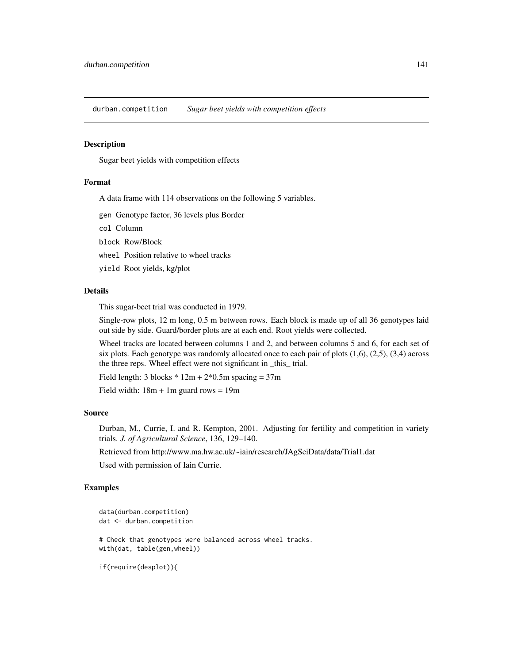durban.competition *Sugar beet yields with competition effects*

### Description

Sugar beet yields with competition effects

### Format

A data frame with 114 observations on the following 5 variables.

gen Genotype factor, 36 levels plus Border

col Column

block Row/Block

wheel Position relative to wheel tracks

yield Root yields, kg/plot

# Details

This sugar-beet trial was conducted in 1979.

Single-row plots, 12 m long, 0.5 m between rows. Each block is made up of all 36 genotypes laid out side by side. Guard/border plots are at each end. Root yields were collected.

Wheel tracks are located between columns 1 and 2, and between columns 5 and 6, for each set of six plots. Each genotype was randomly allocated once to each pair of plots  $(1,6)$ ,  $(2,5)$ ,  $(3,4)$  across the three reps. Wheel effect were not significant in \_this\_ trial.

Field length:  $3 \text{ blocks} * 12m + 2*0.5m \text{ spacing} = 37m$ 

Field width:  $18m + 1m$  guard rows = 19m

### Source

Durban, M., Currie, I. and R. Kempton, 2001. Adjusting for fertility and competition in variety trials. *J. of Agricultural Science*, 136, 129–140.

Retrieved from http://www.ma.hw.ac.uk/~iain/research/JAgSciData/data/Trial1.dat

Used with permission of Iain Currie.

```
data(durban.competition)
dat <- durban.competition
# Check that genotypes were balanced across wheel tracks.
with(dat, table(gen,wheel))
```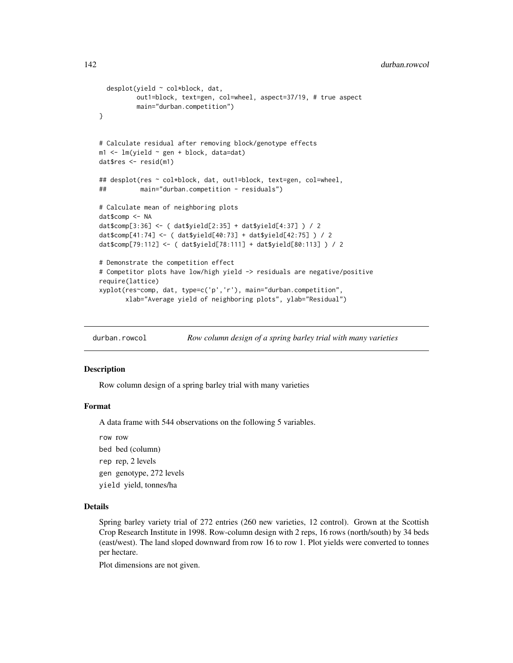```
142 durban.rowcol
```

```
desplot(yield ~ col*block, dat,
         out1=block, text=gen, col=wheel, aspect=37/19, # true aspect
         main="durban.competition")
}
# Calculate residual after removing block/genotype effects
m1 <- lm(yield ~ gen + block, data=dat)
dat$res <- resid(m1)
## desplot(res ~ col*block, dat, out1=block, text=gen, col=wheel,
## main="durban.competition - residuals")
# Calculate mean of neighboring plots
dat$comp <- NA
dat$comp[3:36] <- ( dat$yield[2:35] + dat$yield[4:37] ) / 2
dat$comp[41:74] <- ( dat$yield[40:73] + dat$yield[42:75] ) / 2
dat$comp[79:112] <- ( dat$yield[78:111] + dat$yield[80:113] ) / 2
# Demonstrate the competition effect
# Competitor plots have low/high yield -> residuals are negative/positive
require(lattice)
xyplot(res~comp, dat, type=c('p','r'), main="durban.competition",
      xlab="Average yield of neighboring plots", ylab="Residual")
```
durban.rowcol *Row column design of a spring barley trial with many varieties*

### Description

Row column design of a spring barley trial with many varieties

### Format

A data frame with 544 observations on the following 5 variables.

row row

bed bed (column)

rep rep, 2 levels

gen genotype, 272 levels

yield yield, tonnes/ha

#### Details

Spring barley variety trial of 272 entries (260 new varieties, 12 control). Grown at the Scottish Crop Research Institute in 1998. Row-column design with 2 reps, 16 rows (north/south) by 34 beds (east/west). The land sloped downward from row 16 to row 1. Plot yields were converted to tonnes per hectare.

Plot dimensions are not given.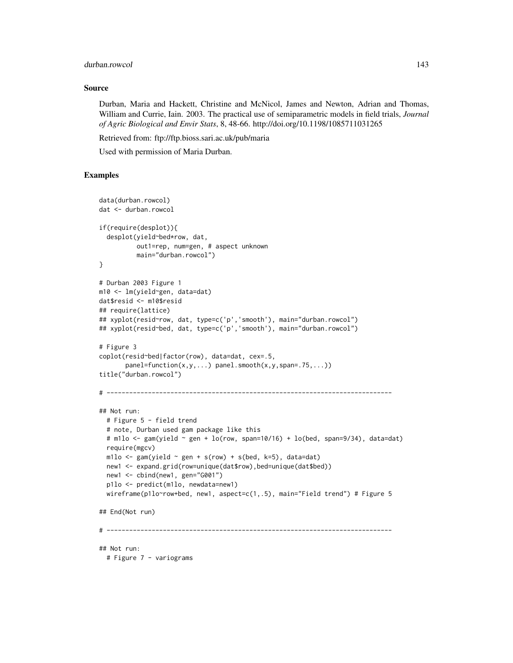# durban.rowcol 143

## Source

Durban, Maria and Hackett, Christine and McNicol, James and Newton, Adrian and Thomas, William and Currie, Iain. 2003. The practical use of semiparametric models in field trials, *Journal of Agric Biological and Envir Stats*, 8, 48-66. http://doi.org/10.1198/1085711031265

Retrieved from: ftp://ftp.bioss.sari.ac.uk/pub/maria

Used with permission of Maria Durban.

```
data(durban.rowcol)
dat <- durban.rowcol
if(require(desplot)){
 desplot(yield~bed*row, dat,
          out1=rep, num=gen, # aspect unknown
         main="durban.rowcol")
}
# Durban 2003 Figure 1
m10 <- lm(yield~gen, data=dat)
dat$resid <- m10$resid
## require(lattice)
## xyplot(resid~row, dat, type=c('p','smooth'), main="durban.rowcol")
## xyplot(resid~bed, dat, type=c('p','smooth'), main="durban.rowcol")
# Figure 3
coplot(resid~bed|factor(row), data=dat, cex=.5,
       panel=function(x,y,...) panel.smooth(x,y,span=.75,...))
title("durban.rowcol")
# ----------------------------------------------------------------------------
## Not run:
 # Figure 5 - field trend
 # note, Durban used gam package like this
 # m1lo <- gam(yield \sim gen + lo(row, span=10/16) + lo(bed, span=9/34), data=dat)
 require(mgcv)
 m1lo \leq gam(yield \sim gen + s(row) + s(bed, k=5), data=dat)
 new1 <- expand.grid(row=unique(dat$row),bed=unique(dat$bed))
 new1 <- cbind(new1, gen="G001")
 p1lo <- predict(m1lo, newdata=new1)
 wireframe(p1lo~row+bed, new1, aspect=c(1,.5), main="Field trend") # Figure 5
## End(Not run)
# ----------------------------------------------------------------------------
## Not run:
 # Figure 7 - variograms
```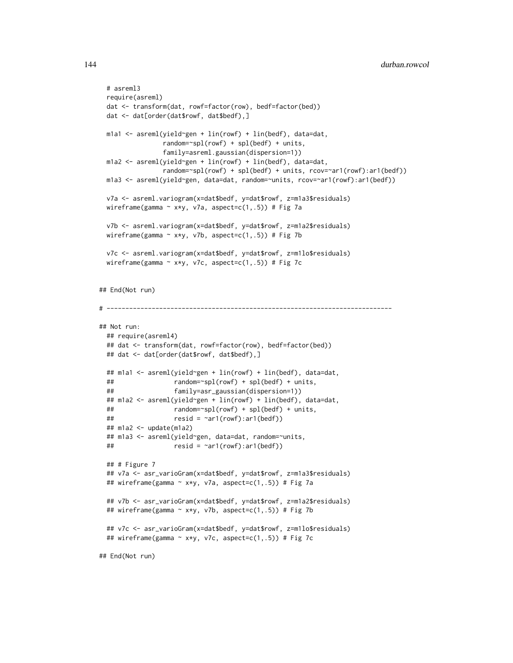```
# asreml3
 require(asreml)
 dat <- transform(dat, rowf=factor(row), bedf=factor(bed))
 dat <- dat[order(dat$rowf, dat$bedf),]
 m1a1 <- asreml(yield~gen + lin(rowf) + lin(bedf), data=dat,
                random=~spl(rowf) + spl(bedf) + units,
                family=asreml.gaussian(dispersion=1))
 m1a2 <- asreml(yield~gen + lin(rowf) + lin(bedf), data=dat,
                random=~spl(rowf) + spl(bedf) + units, rcov=~ar1(rowf):ar1(bedf))
 m1a3 <- asreml(yield~gen, data=dat, random=~units, rcov=~ar1(rowf):ar1(bedf))
 v7a <- asreml.variogram(x=dat$bedf, y=dat$rowf, z=m1a3$residuals)
 wireframe(gamma \sim x*y, v7a, aspect=c(1,.5)) # Fig 7a
 v7b <- asreml.variogram(x=dat$bedf, y=dat$rowf, z=m1a2$residuals)
 wireframe(gamma \sim x*y, v7b, aspect=c(1,.5)) # Fig 7b
 v7c <- asreml.variogram(x=dat$bedf, y=dat$rowf, z=m1lo$residuals)
 wireframe(gamma \sim x*y, v7c, aspect=c(1,.5)) # Fig 7c
## End(Not run)
# ----------------------------------------------------------------------------
## Not run:
 ## require(asreml4)
 ## dat <- transform(dat, rowf=factor(row), bedf=factor(bed))
 ## dat <- dat[order(dat$rowf, dat$bedf),]
 ## m1a1 <- asreml(yield~gen + lin(rowf) + lin(bedf), data=dat,
 ## random=~spl(rowf) + spl(bedf) + units,
 ## family=asr_gaussian(dispersion=1))
 ## m1a2 <- asreml(yield~gen + lin(rowf) + lin(bedf), data=dat,
 ## random=~spl(rowf) + spl(bedf) + units,
 ## resid = ~ar1(rowf):ar1(bedf))
 ## m1a2 <- update(m1a2)
 ## m1a3 <- asreml(yield~gen, data=dat, random=~units,
 \# \qquad \qquad resid = \text{var1}(\text{rowf}) : \text{ar1}(\text{bedf}))## # Figure 7
 ## v7a <- asr_varioGram(x=dat$bedf, y=dat$rowf, z=m1a3$residuals)
 ## wireframe(gamma ~ x*y, v7a, aspect=c(1,.5)) # Fig 7a
 ## v7b <- asr_varioGram(x=dat$bedf, y=dat$rowf, z=m1a2$residuals)
 ## wireframe(gamma \sim x*y, v7b, aspect=c(1,.5)) # Fig 7b
 ## v7c <- asr_varioGram(x=dat$bedf, y=dat$rowf, z=m1lo$residuals)
 ## wireframe(gamma ~ x*y, v7c, aspect=c(1,.5)) # Fig 7c
```
## End(Not run)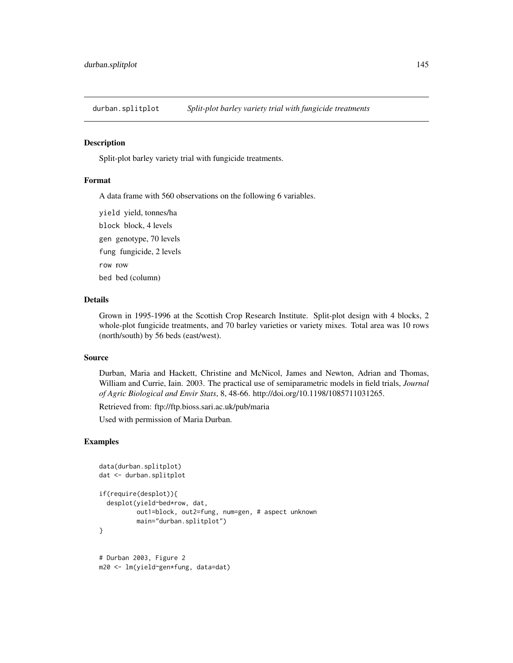### Description

Split-plot barley variety trial with fungicide treatments.

#### Format

A data frame with 560 observations on the following 6 variables.

yield yield, tonnes/ha block block, 4 levels gen genotype, 70 levels fung fungicide, 2 levels row row bed bed (column)

# Details

Grown in 1995-1996 at the Scottish Crop Research Institute. Split-plot design with 4 blocks, 2 whole-plot fungicide treatments, and 70 barley varieties or variety mixes. Total area was 10 rows (north/south) by 56 beds (east/west).

#### Source

Durban, Maria and Hackett, Christine and McNicol, James and Newton, Adrian and Thomas, William and Currie, Iain. 2003. The practical use of semiparametric models in field trials, *Journal of Agric Biological and Envir Stats*, 8, 48-66. http://doi.org/10.1198/1085711031265.

Retrieved from: ftp://ftp.bioss.sari.ac.uk/pub/maria

Used with permission of Maria Durban.

```
data(durban.splitplot)
dat <- durban.splitplot
if(require(desplot)){
 desplot(yield~bed*row, dat,
          out1=block, out2=fung, num=gen, # aspect unknown
          main="durban.splitplot")
}
# Durban 2003, Figure 2
m20 <- lm(yield~gen*fung, data=dat)
```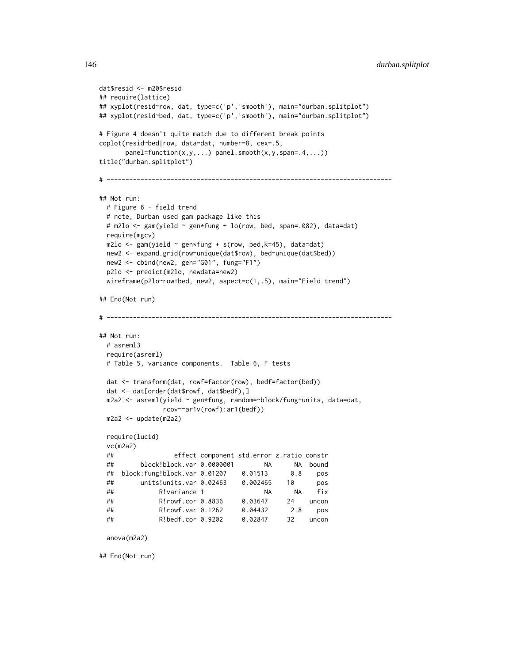```
dat$resid <- m20$resid
## require(lattice)
## xyplot(resid~row, dat, type=c('p','smooth'), main="durban.splitplot")
## xyplot(resid~bed, dat, type=c('p','smooth'), main="durban.splitplot")
# Figure 4 doesn't quite match due to different break points
coplot(resid~bed|row, data=dat, number=8, cex=.5,
      panel=function(x,y,...) panel.smooth(x,y,span=.4,...))
title("durban.splitplot")
# ----------------------------------------------------------------------------
## Not run:
 # Figure 6 - field trend
 # note, Durban used gam package like this
 # m2lo <- gam(yield ~ gen*fung + lo(row, bed, span=.082), data=dat)
 require(mgcv)
 m2lo \leq gam(yield \sim gen*fung + s(row, bed,k=45), data=dat)
 new2 <- expand.grid(row=unique(dat$row), bed=unique(dat$bed))
 new2 <- cbind(new2, gen="G01", fung="F1")
 p2lo <- predict(m2lo, newdata=new2)
 wireframe(p2lo~row+bed, new2, aspect=c(1,.5), main="Field trend")
## End(Not run)
# ----------------------------------------------------------------------------
## Not run:
 # asreml3
 require(asreml)
 # Table 5, variance components. Table 6, F tests
 dat <- transform(dat, rowf=factor(row), bedf=factor(bed))
 dat <- dat[order(dat$rowf, dat$bedf),]
 m2a2 <- asreml(yield ~ gen*fung, random=~block/fung+units, data=dat,
               rcov=~ar1v(rowf):ar1(bedf))
 m2a2 <- update(m2a2)
 require(lucid)
 vc(m2a2)
 ## effect component std.error z.ratio constr
 ## block!block.var 0.0000001 NA NA bound
 ## block:fung!block.var 0.01207 0.01513 0.8 pos
 ## units!units.var 0.02463 0.002465 10 pos
 ## R!variance 1 NA NA fix
 ## R!rowf.cor 0.8836 0.03647 24 uncon
 ## R!rowf.var 0.1262 0.04432 2.8 pos
 ## R!bedf.cor 0.9202 0.02847 32 uncon
 anova(m2a2)
## End(Not run)
```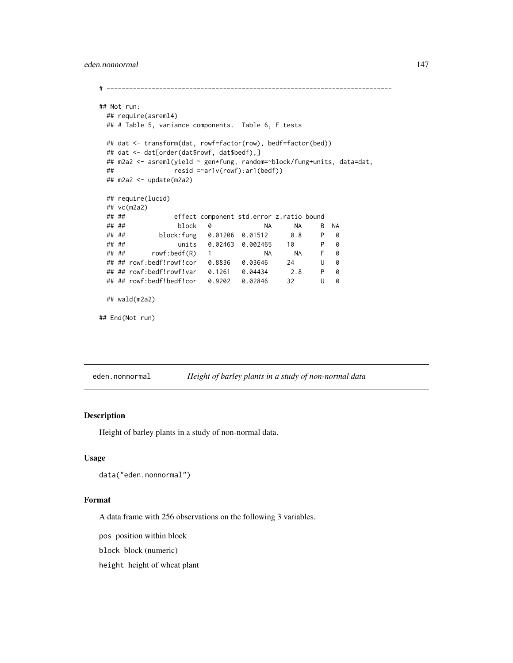### eden.nonnormal 147

```
# ----------------------------------------------------------------------------
## Not run:
  ## require(asreml4)
  ## # Table 5, variance components. Table 6, F tests
  ## dat <- transform(dat, rowf=factor(row), bedf=factor(bed))
  ## dat <- dat[order(dat$rowf, dat$bedf),]
  ## m2a2 <- asreml(yield ~ gen*fung, random=~block/fung+units, data=dat,
  ## resid =~ar1v(rowf):ar1(bedf))
  ## m2a2 <- update(m2a2)
  ## require(lucid)
  ## vc(m2a2)
  ## ## effect component std.error z.ratio bound
  ## ## block 0 NA NA B NA
  ## ## block:fung 0.01206 0.01512 0.8
  ## ## units 0.02463 0.002465 10 P 0
  \frac{m}{t} \frac{m}{t} \frac{n}{t} \frac{n}{t} \frac{n}{t} \frac{n}{t} \frac{n}{t} \frac{n}{t} \frac{n}{t} \frac{n}{t} \frac{n}{t} \frac{n}{t} \frac{n}{t} \frac{n}{t} \frac{n}{t} \frac{n}{t} \frac{n}{t} \frac{n}{t} \frac{n}{t} \frac{n}{t} \frac{n}{t} \frac{n}{t} \frac{n}{t} \frac{n}{t} \frac## ## rowf:bedf!rowf!cor 0.8836 0.03646 24 U 0
  ## ## rowf:bedf!rowf!var 0.1261 0.04434 2.8 P 0
  ## ## rowf:bedf!bedf!cor 0.9202 0.02846 32 U 0
  ## wald(m2a2)
## End(Not run)
```
eden.nonnormal *Height of barley plants in a study of non-normal data*

# Description

Height of barley plants in a study of non-normal data.

#### Usage

```
data("eden.nonnormal")
```
## Format

A data frame with 256 observations on the following 3 variables.

pos position within block

block block (numeric)

height height of wheat plant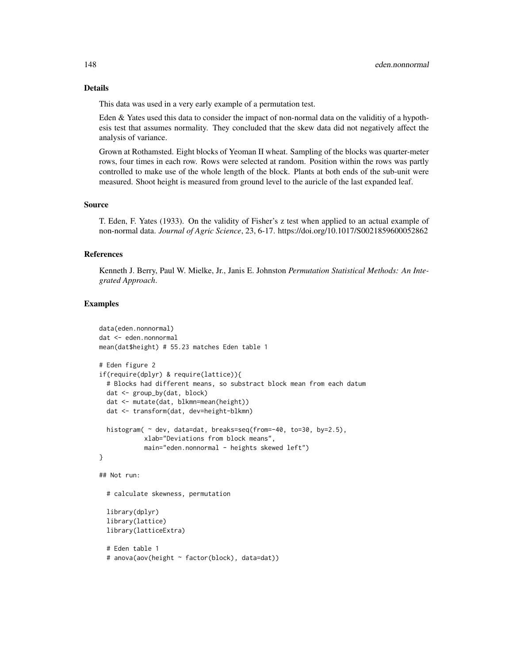### Details

This data was used in a very early example of a permutation test.

Eden & Yates used this data to consider the impact of non-normal data on the validitiy of a hypothesis test that assumes normality. They concluded that the skew data did not negatively affect the analysis of variance.

Grown at Rothamsted. Eight blocks of Yeoman II wheat. Sampling of the blocks was quarter-meter rows, four times in each row. Rows were selected at random. Position within the rows was partly controlled to make use of the whole length of the block. Plants at both ends of the sub-unit were measured. Shoot height is measured from ground level to the auricle of the last expanded leaf.

#### Source

T. Eden, F. Yates (1933). On the validity of Fisher's z test when applied to an actual example of non-normal data. *Journal of Agric Science*, 23, 6-17. https://doi.org/10.1017/S0021859600052862

# References

Kenneth J. Berry, Paul W. Mielke, Jr., Janis E. Johnston *Permutation Statistical Methods: An Integrated Approach*.

```
data(eden.nonnormal)
dat <- eden.nonnormal
mean(dat$height) # 55.23 matches Eden table 1
# Eden figure 2
if(require(dplyr) & require(lattice)){
 # Blocks had different means, so substract block mean from each datum
 dat <- group_by(dat, block)
 dat <- mutate(dat, blkmn=mean(height))
 dat <- transform(dat, dev=height-blkmn)
 histogram( ~ dev, data=dat, breaks=seq(from=-40, to=30, by=2.5),
            xlab="Deviations from block means",
            main="eden.nonnormal - heights skewed left")
}
## Not run:
 # calculate skewness, permutation
 library(dplyr)
 library(lattice)
 library(latticeExtra)
 # Eden table 1
```

```
# anova(aov(height ~ factor(block), data=dat))
```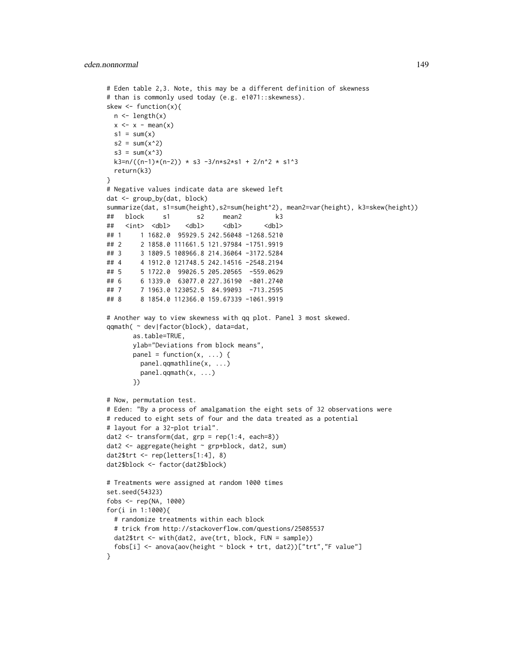```
# Eden table 2,3. Note, this may be a different definition of skewness
# than is commonly used today (e.g. e1071::skewness).
skew \le function(x){
 n \leftarrow length(x)x \leq x - \text{mean}(x)s1 = sum(x)s2 = sum(x^2)s3 = sum(x^3)k3=n/((n-1)*(n-2)) * s3 -3/n*s2*s1 + 2/n^2 * s1^3return(k3)
}
# Negative values indicate data are skewed left
dat <- group_by(dat, block)
summarize(dat, s1=sum(height),s2=sum(height^2), mean2=var(height), k3=skew(height))
## block s1 s2 mean2 k3
## <int> <dbl> <dbl> <dbl> <dbl>
## 1 1 1682.0 95929.5 242.56048 -1268.5210
## 2 2 1858.0 111661.5 121.97984 -1751.9919
## 3 3 1809.5 108966.8 214.36064 -3172.5284
## 4 4 1912.0 121748.5 242.14516 -2548.2194
## 5 5 1722.0 99026.5 205.20565 -559.0629
## 6 6 1339.0 63077.0 227.36190 -801.2740
## 7 7 1963.0 123052.5 84.99093 -713.2595
## 8 8 1854.0 112366.0 159.67339 -1061.9919
# Another way to view skewness with qq plot. Panel 3 most skewed.
qqmath( ~ dev|factor(block), data=dat,
      as.table=TRUE,
      ylab="Deviations from block means",
      panel = function(x, ...)panel.qqmathline(x, ...)
        panel.qqmath(x, ...)
      })
# Now, permutation test.
# Eden: "By a process of amalgamation the eight sets of 32 observations were
# reduced to eight sets of four and the data treated as a potential
# layout for a 32-plot trial".
dat2 <- transform(dat, grp = rep(1:4, each=8))
dat2 <- aggregate(height ~ grp+block, dat2, sum)
dat2$trt <- rep(letters[1:4], 8)
dat2$block <- factor(dat2$block)
# Treatments were assigned at random 1000 times
set.seed(54323)
fobs <- rep(NA, 1000)
for(i in 1:1000){
  # randomize treatments within each block
 # trick from http://stackoverflow.com/questions/25085537
 dat2$trt <- with(dat2, ave(trt, block, FUN = sample))
 fobs[i] <- anova(aov(height \sim block + trt, dat2))["trt","F value"]
}
```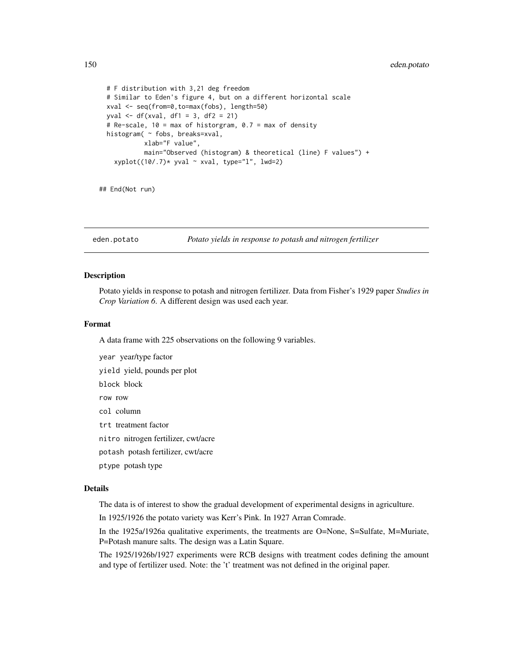```
# F distribution with 3,21 deg freedom
# Similar to Eden's figure 4, but on a different horizontal scale
xval <- seq(from=0,to=max(fobs), length=50)
yval <- df(xval, df1 = 3, df2 = 21)
# Re-scale, 10 = max of historgram, 0.7 = max of density
histogram( ~ fobs, breaks=xval,
         xlab="F value",
          main="Observed (histogram) & theoretical (line) F values") +
  xyplot((10/.7)* yval ~ xval, type='1", lwd=2)
```
## End(Not run)

eden.potato *Potato yields in response to potash and nitrogen fertilizer*

# Description

Potato yields in response to potash and nitrogen fertilizer. Data from Fisher's 1929 paper *Studies in Crop Variation 6*. A different design was used each year.

# Format

A data frame with 225 observations on the following 9 variables.

year year/type factor

yield yield, pounds per plot

block block

row row

col column

trt treatment factor

nitro nitrogen fertilizer, cwt/acre

potash potash fertilizer, cwt/acre

ptype potash type

#### Details

The data is of interest to show the gradual development of experimental designs in agriculture.

In 1925/1926 the potato variety was Kerr's Pink. In 1927 Arran Comrade.

In the 1925a/1926a qualitative experiments, the treatments are O=None, S=Sulfate, M=Muriate, P=Potash manure salts. The design was a Latin Square.

The 1925/1926b/1927 experiments were RCB designs with treatment codes defining the amount and type of fertilizer used. Note: the 't' treatment was not defined in the original paper.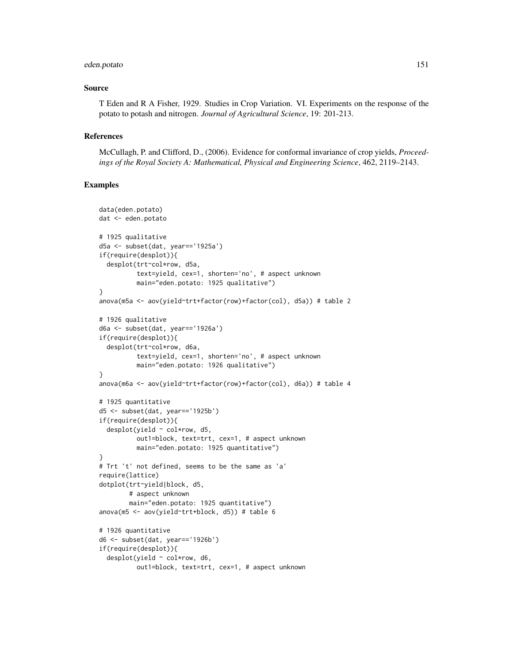#### eden.potato 151

### Source

T Eden and R A Fisher, 1929. Studies in Crop Variation. VI. Experiments on the response of the potato to potash and nitrogen. *Journal of Agricultural Science*, 19: 201-213.

#### References

McCullagh, P. and Clifford, D., (2006). Evidence for conformal invariance of crop yields, *Proceedings of the Royal Society A: Mathematical, Physical and Engineering Science*, 462, 2119–2143.

```
data(eden.potato)
dat <- eden.potato
# 1925 qualitative
d5a <- subset(dat, year=='1925a')
if(require(desplot)){
 desplot(trt~col*row, d5a,
          text=yield, cex=1, shorten='no', # aspect unknown
          main="eden.potato: 1925 qualitative")
}
anova(m5a <- aov(yield~trt+factor(row)+factor(col), d5a)) # table 2
# 1926 qualitative
d6a <- subset(dat, year=='1926a')
if(require(desplot)){
 desplot(trt~col*row, d6a,
          text=yield, cex=1, shorten='no', # aspect unknown
         main="eden.potato: 1926 qualitative")
}
anova(m6a <- aov(yield~trt+factor(row)+factor(col), d6a)) # table 4
# 1925 quantitative
d5 <- subset(dat, year=='1925b')
if(require(desplot)){
 desplot(yield ~ col*row, d5,
          out1=block, text=trt, cex=1, # aspect unknown
         main="eden.potato: 1925 quantitative")
}
# Trt 't' not defined, seems to be the same as 'a'
require(lattice)
dotplot(trt~yield|block, d5,
        # aspect unknown
       main="eden.potato: 1925 quantitative")
anova(m5 <- aov(yield~trt+block, d5)) # table 6
# 1926 quantitative
d6 <- subset(dat, year=='1926b')
if(require(desplot)){
 desplot(yield ~ col*row, d6,
         out1=block, text=trt, cex=1, # aspect unknown
```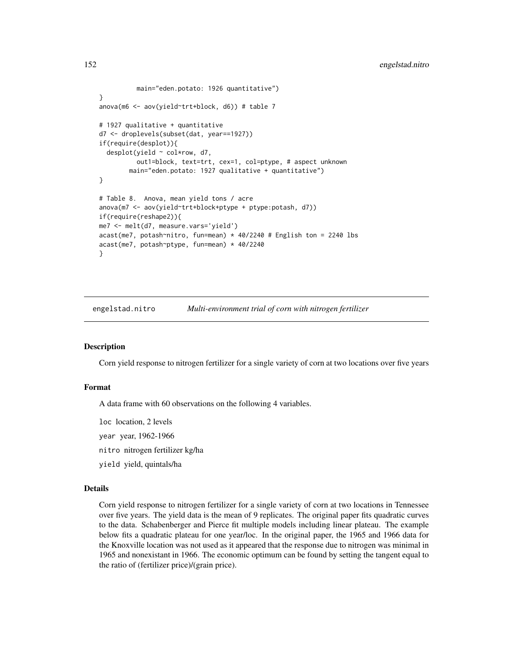```
main="eden.potato: 1926 quantitative")
}
anova(m6 <- aov(yield~trt+block, d6)) # table 7
# 1927 qualitative + quantitative
d7 <- droplevels(subset(dat, year==1927))
if(require(desplot)){
 desplot(yield ~ col*row, d7,
         out1=block, text=trt, cex=1, col=ptype, # aspect unknown
        main="eden.potato: 1927 qualitative + quantitative")
}
# Table 8. Anova, mean yield tons / acre
anova(m7 <- aov(yield~trt+block+ptype + ptype:potash, d7))
if(require(reshape2)){
me7 <- melt(d7, measure.vars='yield')
acast(me7, potash^{}nitro, fun=mean) * 40/2240 # English ton = 2240 lbs
acast(me7, potash~ptype, fun=mean) * 40/2240
}
```
engelstad.nitro *Multi-environment trial of corn with nitrogen fertilizer*

### Description

Corn yield response to nitrogen fertilizer for a single variety of corn at two locations over five years

# Format

A data frame with 60 observations on the following 4 variables.

loc location, 2 levels

year year, 1962-1966

nitro nitrogen fertilizer kg/ha

yield yield, quintals/ha

### Details

Corn yield response to nitrogen fertilizer for a single variety of corn at two locations in Tennessee over five years. The yield data is the mean of 9 replicates. The original paper fits quadratic curves to the data. Schabenberger and Pierce fit multiple models including linear plateau. The example below fits a quadratic plateau for one year/loc. In the original paper, the 1965 and 1966 data for the Knoxville location was not used as it appeared that the response due to nitrogen was minimal in 1965 and nonexistant in 1966. The economic optimum can be found by setting the tangent equal to the ratio of (fertilizer price)/(grain price).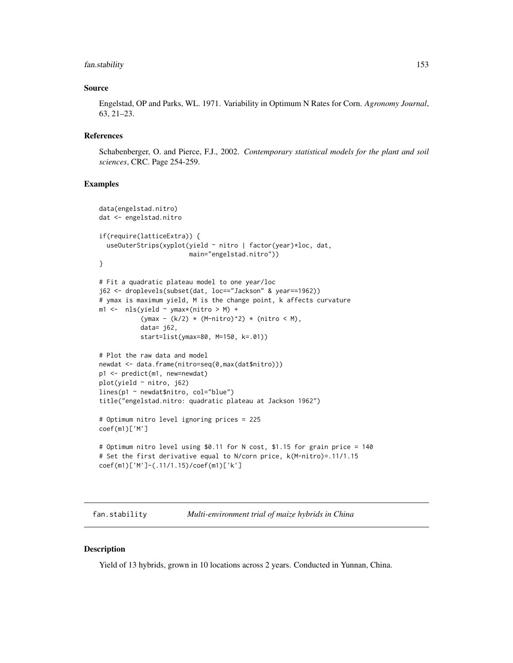# fan.stability 153

### Source

Engelstad, OP and Parks, WL. 1971. Variability in Optimum N Rates for Corn. *Agronomy Journal*, 63, 21–23.

# References

Schabenberger, O. and Pierce, F.J., 2002. *Contemporary statistical models for the plant and soil sciences*, CRC. Page 254-259.

# Examples

```
data(engelstad.nitro)
dat <- engelstad.nitro
if(require(latticeExtra)) {
  useOuterStrips(xyplot(yield ~ nitro | factor(year)*loc, dat,
                        main="engelstad.nitro"))
}
# Fit a quadratic plateau model to one year/loc
j62 <- droplevels(subset(dat, loc=="Jackson" & year==1962))
# ymax is maximum yield, M is the change point, k affects curvature
ml \leftarrow \n  <i>nls</i>(yield \n  <i>ymax</i>*(nitro \n  > M) +(ymax - (k/2) * (M-nitro)^2) * (nitro < M),
           data= j62,
           start=list(ymax=80, M=150, k=.01))
# Plot the raw data and model
newdat <- data.frame(nitro=seq(0,max(dat$nitro)))
p1 <- predict(m1, new=newdat)
plot(yield ~ nitro, j62)
lines(p1 ~ newdat$nitro, col="blue")
title("engelstad.nitro: quadratic plateau at Jackson 1962")
# Optimum nitro level ignoring prices = 225
coef(m1)['M']
# Optimum nitro level using $0.11 for N cost, $1.15 for grain price = 140
# Set the first derivative equal to N/corn price, k(M-nitro)=.11/1.15
coef(m1)['M']-(.11/1.15)/coef(m1)['k']
```
fan.stability *Multi-environment trial of maize hybrids in China*

#### **Description**

Yield of 13 hybrids, grown in 10 locations across 2 years. Conducted in Yunnan, China.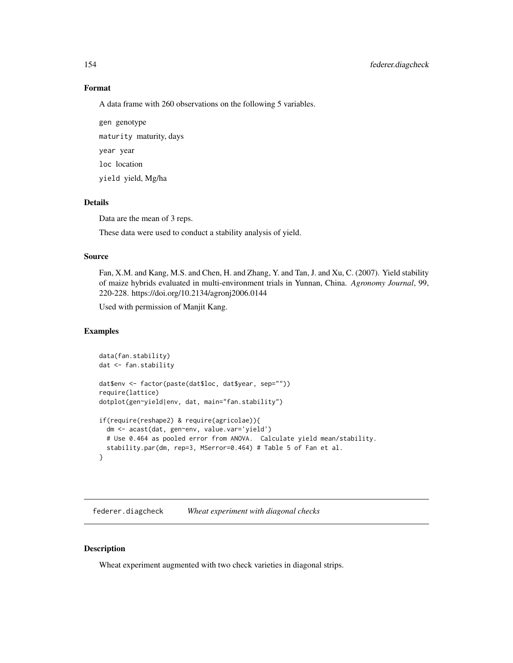# Format

A data frame with 260 observations on the following 5 variables.

gen genotype maturity maturity, days year year loc location yield yield, Mg/ha

# Details

Data are the mean of 3 reps.

These data were used to conduct a stability analysis of yield.

### Source

Fan, X.M. and Kang, M.S. and Chen, H. and Zhang, Y. and Tan, J. and Xu, C. (2007). Yield stability of maize hybrids evaluated in multi-environment trials in Yunnan, China. *Agronomy Journal*, 99, 220-228. https://doi.org/10.2134/agronj2006.0144

Used with permission of Manjit Kang.

### Examples

```
data(fan.stability)
dat <- fan.stability
dat$env <- factor(paste(dat$loc, dat$year, sep=""))
require(lattice)
dotplot(gen~yield|env, dat, main="fan.stability")
if(require(reshape2) & require(agricolae)){
 dm <- acast(dat, gen~env, value.var='yield')
 # Use 0.464 as pooled error from ANOVA. Calculate yield mean/stability.
 stability.par(dm, rep=3, MSerror=0.464) # Table 5 of Fan et al.
}
```
federer.diagcheck *Wheat experiment with diagonal checks*

# Description

Wheat experiment augmented with two check varieties in diagonal strips.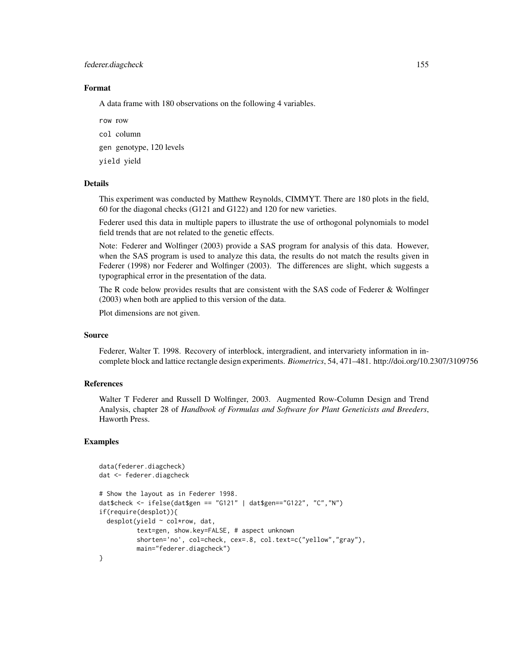#### federer.diagcheck 155

### Format

A data frame with 180 observations on the following 4 variables.

row row

col column

gen genotype, 120 levels

yield yield

### Details

This experiment was conducted by Matthew Reynolds, CIMMYT. There are 180 plots in the field, 60 for the diagonal checks (G121 and G122) and 120 for new varieties.

Federer used this data in multiple papers to illustrate the use of orthogonal polynomials to model field trends that are not related to the genetic effects.

Note: Federer and Wolfinger (2003) provide a SAS program for analysis of this data. However, when the SAS program is used to analyze this data, the results do not match the results given in Federer (1998) nor Federer and Wolfinger (2003). The differences are slight, which suggests a typographical error in the presentation of the data.

The R code below provides results that are consistent with the SAS code of Federer & Wolfinger (2003) when both are applied to this version of the data.

Plot dimensions are not given.

### Source

Federer, Walter T. 1998. Recovery of interblock, intergradient, and intervariety information in incomplete block and lattice rectangle design experiments. *Biometrics*, 54, 471–481. http://doi.org/10.2307/3109756

### References

Walter T Federer and Russell D Wolfinger, 2003. Augmented Row-Column Design and Trend Analysis, chapter 28 of *Handbook of Formulas and Software for Plant Geneticists and Breeders*, Haworth Press.

```
data(federer.diagcheck)
dat <- federer.diagcheck
# Show the layout as in Federer 1998.
dat$check <- ifelse(dat$gen == "G121" | dat$gen=="G122", "C","N")
if(require(desplot)){
 desplot(yield ~ col*row, dat,
          text=gen, show.key=FALSE, # aspect unknown
          shorten='no', col=check, cex=.8, col.text=c("yellow","gray"),
         main="federer.diagcheck")
}
```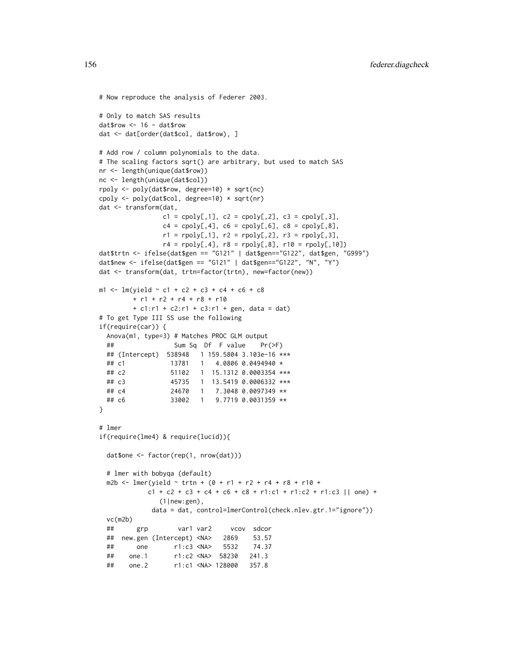```
# Now reproduce the analysis of Federer 2003.
# Only to match SAS results
dat$row <- 16 - dat$row
dat <- dat[order(dat$col, dat$row), ]
# Add row / column polynomials to the data.
# The scaling factors sqrt() are arbitrary, but used to match SAS
nr <- length(unique(dat$row))
nc <- length(unique(dat$col))
rpoly <- poly(dat$row, degree=10) * sqrt(nc)
cpoly <- poly(dat$col, degree=10) * sqrt(nr)
dat <- transform(dat,
               c1 = cpoly[, 1], c2 = cpoly[, 2], c3 = cpoly[, 3],c4 = cpoly[, 4], c6 = cpoly[, 6], c8 = cpoly[, 8],r1 = \text{rpoly}[0,1], r2 = \text{rpoly}[0,2], r3 = \text{rpoly}[0,3],r4 = rpoly[, 4], r8 = rpoly[, 8], r10 = rpoly[, 10]dat$trtn <- ifelse(dat$gen == "G121" | dat$gen=="G122", dat$gen, "G999")
dat$new <- ifelse(dat$gen == "G121" | dat$gen=="G122", "N", "Y")
dat <- transform(dat, trtn=factor(trtn), new=factor(new))
m1 < -1m(yield \sim c1 + c2 + c3 + c4 + c6 + c8+ r1 + r2 + r4 + r8 + r10+ c1: r1 + c2: r1 + c3: r1 + gen, data = dat)# To get Type III SS use the following
if(require(car)) {
 Anova(m1, type=3) # Matches PROC GLM output
 ## Sum Sq Df F value Pr(>F)
 ## (Intercept) 538948 1 159.5804 3.103e-16 ***
 ## c1 13781 1 4.0806 0.0494940 *
 ## c2 51102 1 15.1312 0.0003354 ***
 ## c3 45735 1 13.5419 0.0006332 ***
 ## c4 24670 1 7.3048 0.0097349 **
 ## c6 33002 1 9.7719 0.0031359 **
}
# lmer
if(require(lme4) & require(lucid)){
 dat$one <- factor(rep(1, nrow(dat)))
 # lmer with bobyqa (default)
 m2b <- lmer(yield \sim trtn + (0 + r1 + r2 + r4 + r8 + r10 +
            c1 + c2 + c3 + c4 + c6 + c8 + r1:c1 + r1:c2 + r1:c3 || one) +
               (1|new:gen),
             data = dat, control=lmerControl(check.nlev.gtr.1="ignore"))
 vc(m2b)
 ## grp var1 var2 vcov sdcor
 ## new.gen (Intercept) <NA> 2869 53.57
 ## one r1:c3 <NA> 5532 74.37
 ## one.1 r1:c2 <NA> 58230 241.3
 ## one.2 r1:c1 <NA> 128000 357.8
```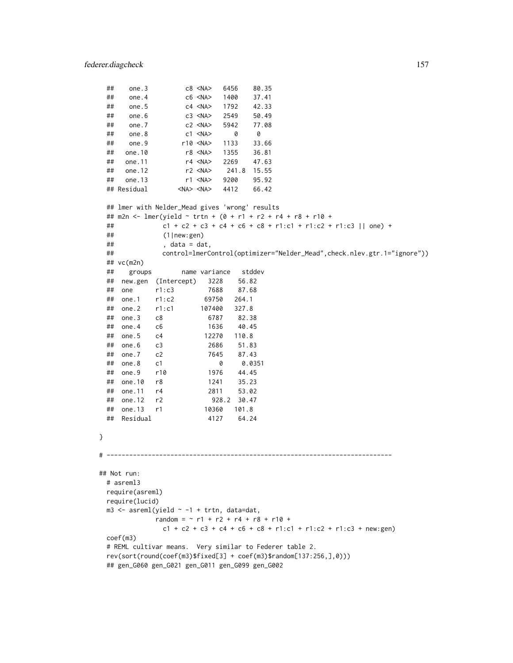}

```
## one.3 c8 <NA> 6456 80.35
 ## one.4 c6 <NA> 1400 37.41
 ## one.5 c4 <NA> 1792 42.33
 ## one.6 c3 <NA> 2549
 ## one.7 c2 <NA> 5942 77.08
 ## one.8 c1 <NA> 0 0
 ## one.9 r10 <NA> 1133 33.66
 ## one.10 r8 <NA> 1355 36.81
 ## one.11 r4 <NA> 2269 47.63
 ## one.12 r2 <NA> 241.8 15.55
 ## one.13 r1 <NA> 9200 95.92
 ## Residual <NA> <NA> 4412 66.42
 ## lmer with Nelder_Mead gives 'wrong' results
 ## m2n <- lmer(yield ~ trtn + (0 + r1 + r2 + r4 + r8 + r10 +
 ## c1 + c2 + c3 + c4 + c6 + c8 + r1:c1 + r1:c2 + r1:c3 || one) +
 ## (1|new:gen)
 \# , data = dat,
 ## control=lmerControl(optimizer="Nelder_Mead",check.nlev.gtr.1="ignore"))
 ## vc(m2n)
 ## groups name variance stddev
 ## new.gen (Intercept) 3228 56.82
 ## one r1:c3 7688 87.68
 ## one.1 r1:c2 69750 264.1
 ## one.2 r1:c1 107400 327.8<br>## one.3 c8 6787 82.3<br>## one.4 c6 1636 40.4!
 ## one.3 c8 6787 82.38
 ## one.4 c6 1636 40.45
 ## one.5 c4 12270 110.8
 ## one.6 c3 2686 51.83
 ## one.7 c2
 ## one.8 c1 0 0.0351
 ## one.9 r10 1976 44.45
 ## one.10 r8 1241 35.23
 ## one.11 r4 2811 53.02
 ## one.12 r2 928.2 30.47
 ## one.13 r1 10360 101.8
 ## Residual 4127 64.24
# ----------------------------------------------------------------------------
## Not run:
 # asreml3
 require(asreml)
 require(lucid)
 m3 \leq -\text{asreml}(\text{yield} \sim -1 + \text{trtn}, \text{ data=dat},random = \sim r1 + r2 + r4 + r8 + r10 +
             c1 + c2 + c3 + c4 + c6 + c8 + r1:c1 + r1:c2 + r1:c3 + new:gen)
 coef(m3)
 # REML cultivar means. Very similar to Federer table 2.
 rev(sort(round(coef(m3)$fixed[3] + coef(m3)$random[137:256,],0)))
 ## gen_G060 gen_G021 gen_G011 gen_G099 gen_G002
```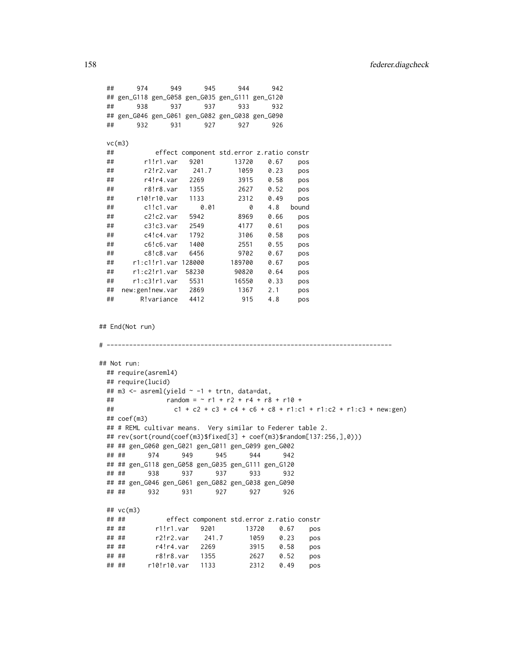```
## 974 949 945 944 942
 ## gen_G118 gen_G058 gen_G035 gen_G111 gen_G120
 ## 938 937 937 933 932
 ## gen_G046 gen_G061 gen_G082 gen_G038 gen_G090
 ## 932 931 927 927 926
 vc(m3)
 ## effect component std.error z.ratio constr
 ## r1!r1.var 9201 13720 0.67 pos
 ## r2!r2.var 241.7 1059 0.23 pos
 ## r4!r4.var 2269 3915 0.58 pos
 ## r8!r8.var 1355 2627 0.52 pos
 ## r10!r10.var 1133 2312 0.49 pos
 ## c1!c1.var 0.01 0 4.8 bound
 ## c2!c2.var 5942 8969 0.66 pos
 ## c3!c3.var 2549 4177 0.61 pos
 ## c4!c4.var 1792 3106 0.58 pos
 ## c6!c6.var 1400 2551 0.55 pos
 ## c8!c8.var 6456 9702 0.67 pos
 ## r1:c1!r1.var 128000 189700 0.67 pos
 ## r1:c2!r1.var 58230 90820 0.64 pos
 ## r1:c3!r1.var 5531 16550 0.33 pos
 ## new:gen!new.var 2869 1367 2.1 pos
 ## R!variance 4412 915 4.8 pos
## End(Not run)
# ----------------------------------------------------------------------------
## Not run:
 ## require(asreml4)
 ## require(lucid)
 ## m3 < - asreml(yield \sim -1 + trtn, data=dat,
 \# random = ~ r1 + r2 + r4 + r8 + r10 +
 ## c1 + c2 + c3 + c4 + c6 + c8 + r1:c1 + r1:c2 + r1:c3 + new:gen)
 ## coef(m3)
 ## # REML cultivar means. Very similar to Federer table 2.
 ## rev(sort(round(coef(m3)$fixed[3] + coef(m3)$random[137:256,],0)))
 ## ## gen_G060 gen_G021 gen_G011 gen_G099 gen_G002
 ## ## 974 949 945 944 942
 ## ## gen_G118 gen_G058 gen_G035 gen_G111 gen_G120
 ## ## 938 937 937 933 932
 ## ## gen_G046 gen_G061 gen_G082 gen_G038 gen_G090
 ## ## 932 931 927 927 926
 ## vc(m3)
 ## ## effect component std.error z.ratio constr
 ## ## r1!r1.var 9201 13720 0.67 pos
 ## ## r2!r2.var 241.7 1059 0.23 pos
 ## ## r4!r4.var 2269 3915 0.58 pos
 ## ## r8!r8.var 1355 2627 0.52 pos
 ## ## r10!r10.var 1133 2312 0.49 pos
```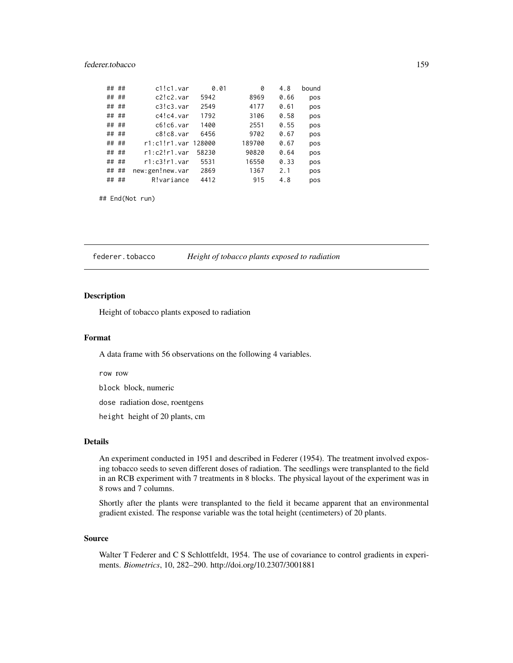# federer.tobacco 159

| ## | ## | c1!c1.var           | 0.01  | 0      | 4.8  | bound |
|----|----|---------------------|-------|--------|------|-------|
|    |    |                     |       |        |      |       |
| ## | ## | c2!c2.var           | 5942  | 8969   | 0.66 | pos   |
| ## | ## | c3!c3.var           | 2549  | 4177   | 0.61 | pos   |
| ## | ## | $c4!c4$ . var       | 1792  | 3106   | 0.58 | pos   |
| ## | ## | c6!c6.var           | 1400  | 2551   | 0.55 | pos   |
| ## | ## | c8!c8.var           | 6456  | 9702   | 0.67 | pos   |
| ## | ## | r1:c1!r1.var 128000 |       | 189700 | 0.67 | pos   |
| ## | ## | $r1: c2!r1$ . var   | 58230 | 90820  | 0.64 | pos   |
| ## | ## | $r1: c3!r1$ . var   | 5531  | 16550  | 0.33 | pos   |
| ## | ## | new:gen!new.var     | 2869  | 1367   | 2.1  | pos   |
| ## | ## | R!variance          | 4412  | 915    | 4.8  | pos   |
|    |    |                     |       |        |      |       |

## End(Not run)

federer.tobacco *Height of tobacco plants exposed to radiation*

### Description

Height of tobacco plants exposed to radiation

#### Format

A data frame with 56 observations on the following 4 variables.

row row

block block, numeric

dose radiation dose, roentgens

height height of 20 plants, cm

# Details

An experiment conducted in 1951 and described in Federer (1954). The treatment involved exposing tobacco seeds to seven different doses of radiation. The seedlings were transplanted to the field in an RCB experiment with 7 treatments in 8 blocks. The physical layout of the experiment was in 8 rows and 7 columns.

Shortly after the plants were transplanted to the field it became apparent that an environmental gradient existed. The response variable was the total height (centimeters) of 20 plants.

### Source

Walter T Federer and C S Schlottfeldt, 1954. The use of covariance to control gradients in experiments. *Biometrics*, 10, 282–290. http://doi.org/10.2307/3001881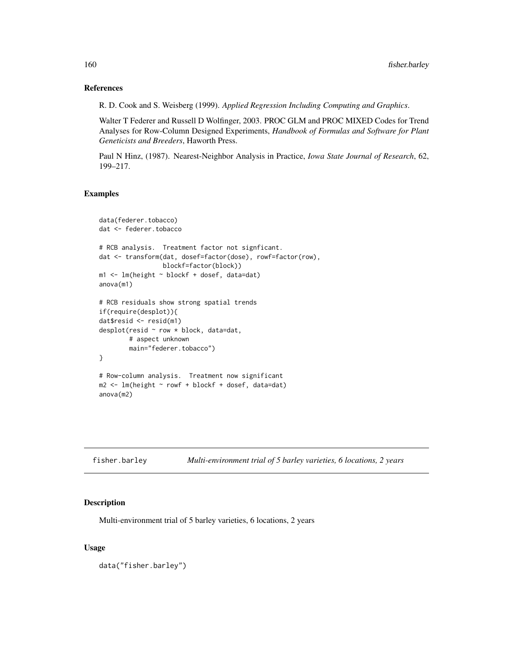# References

R. D. Cook and S. Weisberg (1999). *Applied Regression Including Computing and Graphics*.

Walter T Federer and Russell D Wolfinger, 2003. PROC GLM and PROC MIXED Codes for Trend Analyses for Row-Column Designed Experiments, *Handbook of Formulas and Software for Plant Geneticists and Breeders*, Haworth Press.

Paul N Hinz, (1987). Nearest-Neighbor Analysis in Practice, *Iowa State Journal of Research*, 62, 199–217.

# Examples

```
data(federer.tobacco)
dat <- federer.tobacco
# RCB analysis. Treatment factor not signficant.
dat <- transform(dat, dosef=factor(dose), rowf=factor(row),
                 blockf=factor(block))
m1 <- lm(height ~ blockf + dosef, data=dat)
anova(m1)
# RCB residuals show strong spatial trends
if(require(desplot)){
dat$resid <- resid(m1)
desplot(resid ~ row * block, data=dat,
       # aspect unknown
       main="federer.tobacco")
}
# Row-column analysis. Treatment now significant
m2 <- lm(height ~ rowf + blockf + dosef, data=dat)
anova(m2)
```

| fisher.barley | Multi-environment trial of 5 barley varieties, 6 locations, 2 years |  |  |
|---------------|---------------------------------------------------------------------|--|--|
|---------------|---------------------------------------------------------------------|--|--|

# Description

Multi-environment trial of 5 barley varieties, 6 locations, 2 years

### Usage

data("fisher.barley")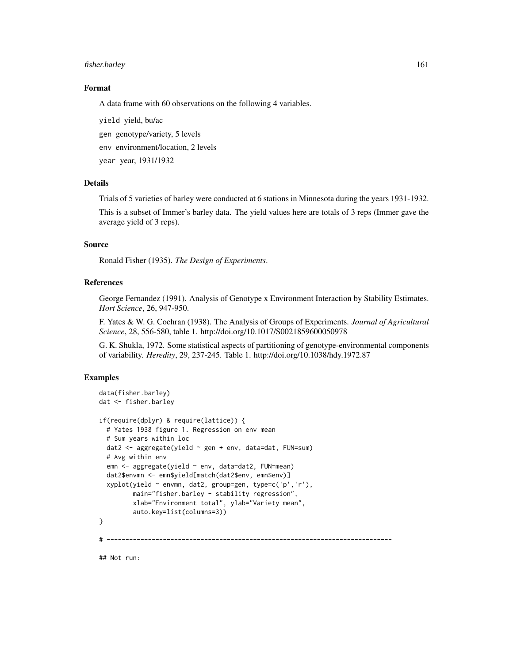# fisher.barley 161

### Format

A data frame with 60 observations on the following 4 variables.

yield yield, bu/ac

gen genotype/variety, 5 levels

env environment/location, 2 levels

year year, 1931/1932

### Details

Trials of 5 varieties of barley were conducted at 6 stations in Minnesota during the years 1931-1932.

This is a subset of Immer's barley data. The yield values here are totals of 3 reps (Immer gave the average yield of 3 reps).

# Source

Ronald Fisher (1935). *The Design of Experiments*.

# References

George Fernandez (1991). Analysis of Genotype x Environment Interaction by Stability Estimates. *Hort Science*, 26, 947-950.

F. Yates & W. G. Cochran (1938). The Analysis of Groups of Experiments. *Journal of Agricultural Science*, 28, 556-580, table 1. http://doi.org/10.1017/S0021859600050978

G. K. Shukla, 1972. Some statistical aspects of partitioning of genotype-environmental components of variability. *Heredity*, 29, 237-245. Table 1. http://doi.org/10.1038/hdy.1972.87

### Examples

```
data(fisher.barley)
dat <- fisher.barley
if(require(dplyr) & require(lattice)) {
 # Yates 1938 figure 1. Regression on env mean
 # Sum years within loc
 dat2 <- aggregate(yield ~ gen + env, data=dat, FUN=sum)
 # Avg within env
 emn <- aggregate(yield ~ env, data=dat2, FUN=mean)
 dat2$envmn <- emn$yield[match(dat2$env, emn$env)]
 xyplot(yield ~ envmn, dat2, group=gen, type=c('p','r'),
         main="fisher.barley - stability regression",
         xlab="Environment total", ylab="Variety mean",
         auto.key=list(columns=3))
}
          # ----------------------------------------------------------------------------
```
## Not run: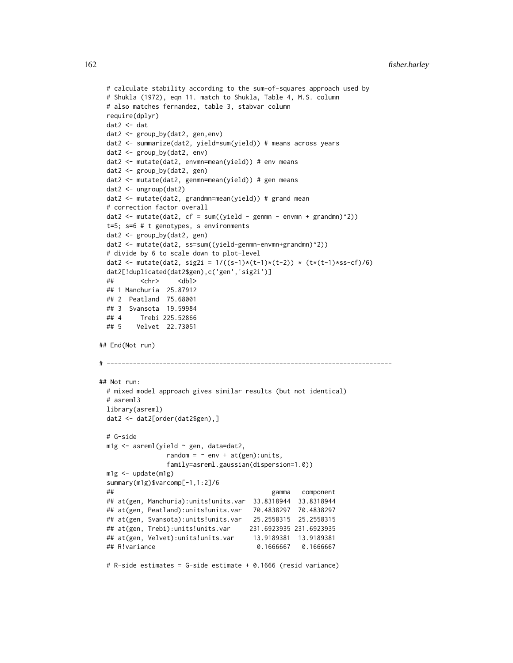```
# calculate stability according to the sum-of-squares approach used by
 # Shukla (1972), eqn 11. match to Shukla, Table 4, M.S. column
 # also matches fernandez, table 3, stabvar column
 require(dplyr)
 dat2 <- dat
 dat2 <- group_by(dat2, gen,env)
 dat2 <- summarize(dat2, yield=sum(yield)) # means across years
 dat2 <- group_by(dat2, env)
 dat2 <- mutate(dat2, envmn=mean(yield)) # env means
 dat2 <- group_by(dat2, gen)
 dat2 <- mutate(dat2, genmn=mean(yield)) # gen means
 dat2 <- ungroup(dat2)
 dat2 <- mutate(dat2, grandmn=mean(yield)) # grand mean
 # correction factor overall
 dat2 <- mutate(dat2, cf = sum((yield - genmn - envmn + grandmn)^2))
 t=5; s=6 # t genotypes, s environments
 dat2 <- group_by(dat2, gen)
 dat2 <- mutate(dat2, ss=sum((yield-genmn-envmn+grandmn)^2))
 # divide by 6 to scale down to plot-level
 dat2 <- mutate(dat2, sig2i = 1/((s-1)*(t-1)*(t-2)) * (t*(t-1)*ss-cf)/6)dat2[!duplicated(dat2$gen),c('gen','sig2i')]
 ## <chr> <dbl>
 ## 1 Manchuria 25.87912
 ## 2 Peatland 75.68001
 ## 3 Svansota 19.59984
 ## 4 Trebi 225.52866
 ## 5 Velvet 22.73051
## End(Not run)
# ----------------------------------------------------------------------------
## Not run:
 # mixed model approach gives similar results (but not identical)
 # asreml3
 library(asreml)
 dat2 <- dat2[order(dat2$gen),]
 # G-side
 m1g <- asreml(yield ~ gen, data=dat2,
                random = \sim env + at(gen): units,
                family=asreml.gaussian(dispersion=1.0))
 m1g <- update(m1g)
 summary(m1g)$varcomp[-1,1:2]/6
 ## gamma component
 ## at(gen, Manchuria):units!units.var 33.8318944 33.8318944
 ## at(gen, Peatland):units!units.var 70.4838297 70.4838297
 ## at(gen, Svansota):units!units.var 25.2558315 25.2558315
 ## at(gen, Trebi):units!units.var 231.6923935 231.6923935
 ## at(gen, Velvet):units!units.var 13.9189381 13.9189381
 ## R!variance 0.1666667 0.1666667
```
# R-side estimates = G-side estimate + 0.1666 (resid variance)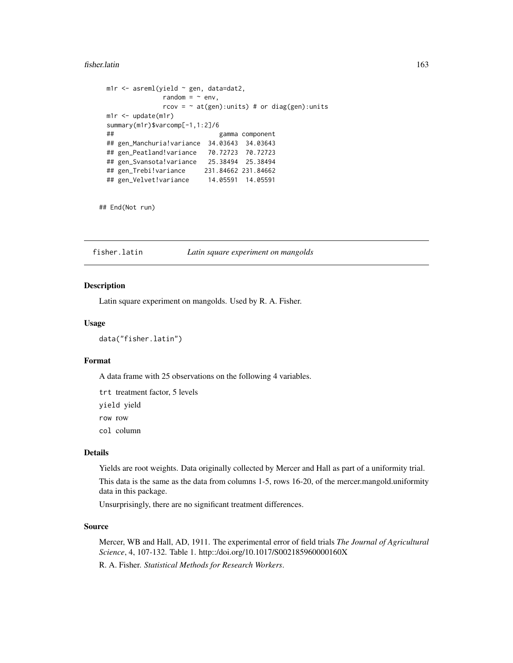#### fisher.latin 163

```
m1r <- asreml(yield ~ gen, data=dat2,
             random = \sim env,
             rcov = \sim at(gen):units) # or diag(gen):units
m1r <- update(m1r)
summary(m1r)$varcomp[-1,1:2]/6
## gamma component
## gen_Manchuria!variance 34.03643 34.03643
## gen_Peatland!variance 70.72723 70.72723
## gen_Svansota!variance 25.38494 25.38494
## gen_Trebi!variance 231.84662 231.84662
## gen_Velvet!variance 14.05591 14.05591
```
## End(Not run)

fisher.latin *Latin square experiment on mangolds*

# Description

Latin square experiment on mangolds. Used by R. A. Fisher.

### Usage

data("fisher.latin")

### Format

A data frame with 25 observations on the following 4 variables.

trt treatment factor, 5 levels

yield yield

row row

col column

#### Details

Yields are root weights. Data originally collected by Mercer and Hall as part of a uniformity trial.

This data is the same as the data from columns 1-5, rows 16-20, of the mercer.mangold.uniformity data in this package.

Unsurprisingly, there are no significant treatment differences.

### Source

Mercer, WB and Hall, AD, 1911. The experimental error of field trials *The Journal of Agricultural Science*, 4, 107-132. Table 1. http::/doi.org/10.1017/S002185960000160X

R. A. Fisher. *Statistical Methods for Research Workers*.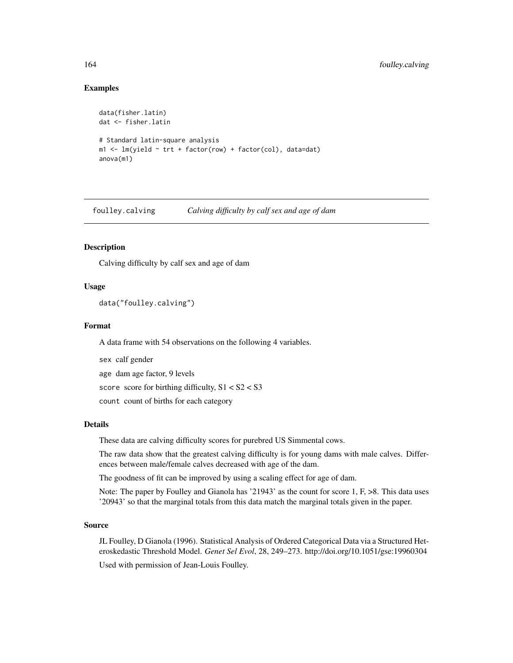## Examples

```
data(fisher.latin)
dat <- fisher.latin
# Standard latin-square analysis
m1 <- lm(yield ~ trt + factor(row) + factor(col), data=dat)
anova(m1)
```
foulley.calving *Calving difficulty by calf sex and age of dam*

# Description

Calving difficulty by calf sex and age of dam

### Usage

data("foulley.calving")

### Format

A data frame with 54 observations on the following 4 variables.

sex calf gender

age dam age factor, 9 levels

score score for birthing difficulty, S1 < S2 < S3

count count of births for each category

#### Details

These data are calving difficulty scores for purebred US Simmental cows.

The raw data show that the greatest calving difficulty is for young dams with male calves. Differences between male/female calves decreased with age of the dam.

The goodness of fit can be improved by using a scaling effect for age of dam.

Note: The paper by Foulley and Gianola has '21943' as the count for score 1, F,  $>8$ . This data uses '20943' so that the marginal totals from this data match the marginal totals given in the paper.

#### Source

JL Foulley, D Gianola (1996). Statistical Analysis of Ordered Categorical Data via a Structured Heteroskedastic Threshold Model. *Genet Sel Evol*, 28, 249–273. http://doi.org/10.1051/gse:19960304 Used with permission of Jean-Louis Foulley.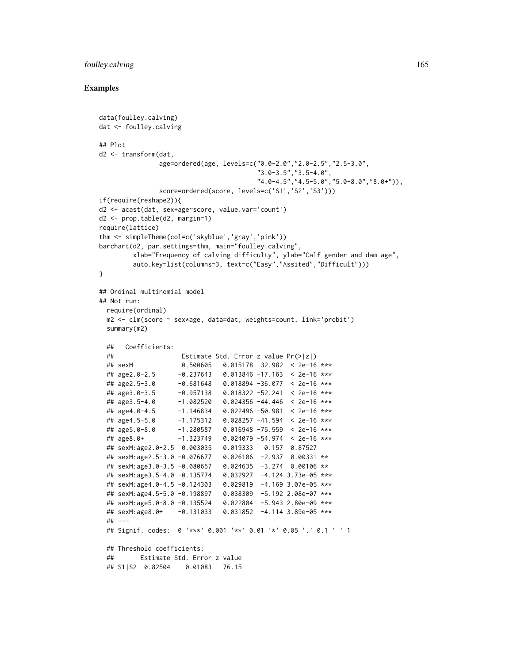# foulley.calving 165

```
data(foulley.calving)
dat <- foulley.calving
## Plot
d2 <- transform(dat,
               age=ordered(age, levels=c("0.0-2.0","2.0-2.5","2.5-3.0",
                                       "3.0-3.5","3.5-4.0",
                                       "4.0-4.5","4.5-5.0","5.0-8.0","8.0+")),
               score=ordered(score, levels=c('S1','S2','S3')))
if(require(reshape2)){
d2 <- acast(dat, sex+age~score, value.var='count')
d2 <- prop.table(d2, margin=1)
require(lattice)
thm <- simpleTheme(col=c('skyblue','gray','pink'))
barchart(d2, par.settings=thm, main="foulley.calving",
        xlab="Frequency of calving difficulty", ylab="Calf gender and dam age",
        auto.key=list(columns=3, text=c("Easy","Assited","Difficult")))
}
## Ordinal multinomial model
## Not run:
 require(ordinal)
 m2 <- clm(score ~ sex*age, data=dat, weights=count, link='probit')
 summary(m2)
 ## Coefficients:
 ## Estimate Std. Error z value Pr(>|z|)
 ## sexM 0.500605 0.015178 32.982 < 2e-16 ***
 ## age2.0-2.5 -0.237643 0.013846 -17.163 < 2e-16 ***
 ## age2.5-3.0 -0.681648 0.018894 -36.077 < 2e-16 ***
 ## age3.0-3.5 -0.957138 0.018322 -52.241 < 2e-16 ***
 ## age3.5-4.0 -1.082520 0.024356 -44.446 < 2e-16 ***
 ## age4.0-4.5 -1.146834 0.022496 -50.981 < 2e-16 ***
 ## age4.5-5.0 -1.175312 0.028257 -41.594 < 2e-16 ***
  ## age5.0-8.0 -1.280587 0.016948 -75.559 < 2e-16 ***
  ## age8.0+ -1.323749 0.024079 -54.974 < 2e-16 ***
 ## sexM:age2.0-2.5 0.003035 0.019333 0.157 0.87527
 ## sexM:age2.5-3.0 -0.076677 0.026106 -2.937 0.00331 **
 ## sexM:age3.0-3.5 -0.080657 0.024635 -3.274 0.00106 **
 ## sexM:age3.5-4.0 -0.135774 0.032927 -4.124 3.73e-05 ***
 ## sexM:age4.0-4.5 -0.124303 0.029819 -4.169 3.07e-05 ***
 ## sexM:age4.5-5.0 -0.198897 0.038309 -5.192 2.08e-07 ***
 ## sexM:age5.0-8.0 -0.135524 0.022804 -5.943 2.80e-09 ***
 ## sexM:age8.0+ -0.131033 0.031852 -4.114 3.89e-05 ***
 ## ---
 ## Signif. codes: 0 '***' 0.001 '**' 0.01 '*' 0.05 '.' 0.1 ' ' 1
 ## Threshold coefficients:
 ## Estimate Std. Error z value
 ## S1|S2 0.82504 0.01083 76.15
```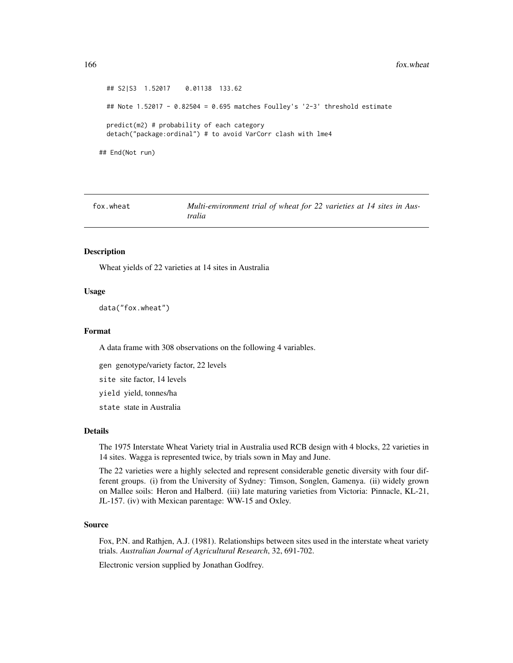166 fox.wheat the state of the state of the state of the state of the state of the state of the state of the state of the state of the state of the state of the state of the state of the state of the state of the state of

```
## S2|S3 1.52017 0.01138 133.62
 ## Note 1.52017 - 0.82504 = 0.695 matches Foulley's '2-3' threshold estimate
 predict(m2) # probability of each category
 detach("package:ordinal") # to avoid VarCorr clash with lme4
## End(Not run)
```

| fox.wheat | Multi-environment trial of wheat for 22 varieties at 14 sites in Aus- |
|-----------|-----------------------------------------------------------------------|
|           | tralia                                                                |

### Description

Wheat yields of 22 varieties at 14 sites in Australia

### Usage

```
data("fox.wheat")
```
#### Format

A data frame with 308 observations on the following 4 variables.

gen genotype/variety factor, 22 levels

site site factor, 14 levels

yield yield, tonnes/ha

state state in Australia

#### Details

The 1975 Interstate Wheat Variety trial in Australia used RCB design with 4 blocks, 22 varieties in 14 sites. Wagga is represented twice, by trials sown in May and June.

The 22 varieties were a highly selected and represent considerable genetic diversity with four different groups. (i) from the University of Sydney: Timson, Songlen, Gamenya. (ii) widely grown on Mallee soils: Heron and Halberd. (iii) late maturing varieties from Victoria: Pinnacle, KL-21, JL-157. (iv) with Mexican parentage: WW-15 and Oxley.

### Source

Fox, P.N. and Rathjen, A.J. (1981). Relationships between sites used in the interstate wheat variety trials. *Australian Journal of Agricultural Research*, 32, 691-702.

Electronic version supplied by Jonathan Godfrey.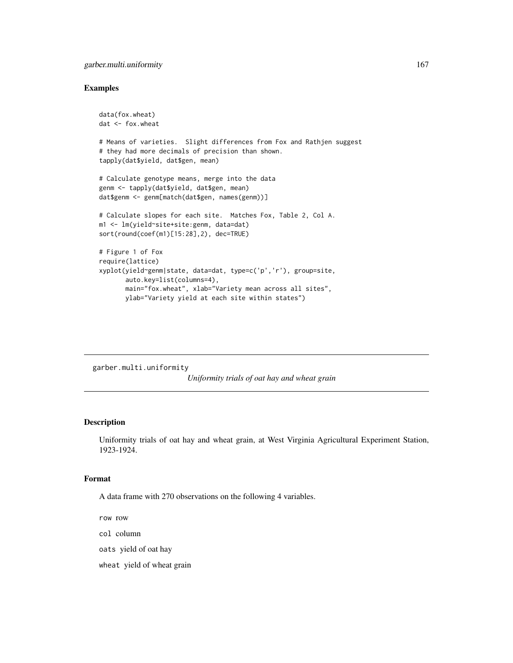# garber.multi.uniformity 167

### Examples

```
data(fox.wheat)
dat <- fox.wheat
# Means of varieties. Slight differences from Fox and Rathjen suggest
# they had more decimals of precision than shown.
tapply(dat$yield, dat$gen, mean)
# Calculate genotype means, merge into the data
genm <- tapply(dat$yield, dat$gen, mean)
dat$genm <- genm[match(dat$gen, names(genm))]
# Calculate slopes for each site. Matches Fox, Table 2, Col A.
m1 <- lm(yield~site+site:genm, data=dat)
sort(round(coef(m1)[15:28],2), dec=TRUE)
# Figure 1 of Fox
require(lattice)
xyplot(yield~genm|state, data=dat, type=c('p','r'), group=site,
       auto.key=list(columns=4),
       main="fox.wheat", xlab="Variety mean across all sites",
       ylab="Variety yield at each site within states")
```
garber.multi.uniformity

*Uniformity trials of oat hay and wheat grain*

### Description

Uniformity trials of oat hay and wheat grain, at West Virginia Agricultural Experiment Station, 1923-1924.

### Format

A data frame with 270 observations on the following 4 variables.

row row

col column

oats yield of oat hay

wheat yield of wheat grain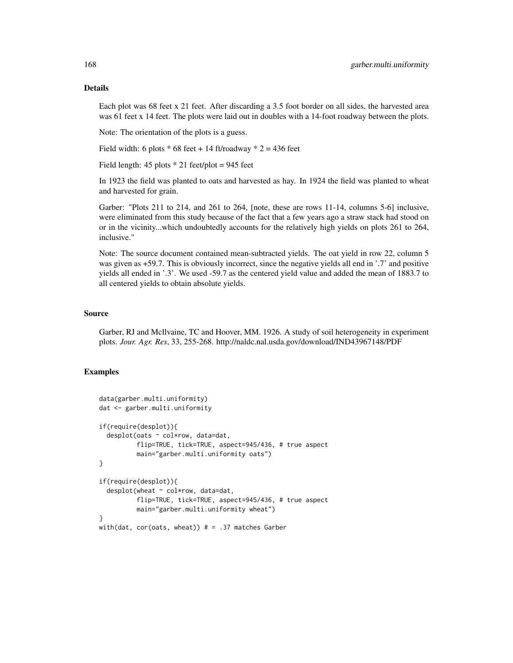# Details

Each plot was 68 feet x 21 feet. After discarding a 3.5 foot border on all sides, the harvested area was 61 feet x 14 feet. The plots were laid out in doubles with a 14-foot roadway between the plots.

Note: The orientation of the plots is a guess.

Field width: 6 plots  $*$  68 feet + 14 ft/roadway  $*$  2 = 436 feet

Field length:  $45$  plots  $*$  21 feet/plot = 945 feet

In 1923 the field was planted to oats and harvested as hay. In 1924 the field was planted to wheat and harvested for grain.

Garber: "Plots 211 to 214, and 261 to 264, [note, these are rows 11-14, columns 5-6] inclusive, were eliminated from this study because of the fact that a few years ago a straw stack had stood on or in the vicinity...which undoubtedly accounts for the relatively high yields on plots 261 to 264, inclusive."

Note: The source document contained mean-subtracted yields. The oat yield in row 22, column 5 was given as  $+59.7$ . This is obviously incorrect, since the negative yields all end in '.7' and positive yields all ended in '.3'. We used -59.7 as the centered yield value and added the mean of 1883.7 to all centered yields to obtain absolute yields.

### Source

Garber, RJ and Mcllvaine, TC and Hoover, MM. 1926. A study of soil heterogeneity in experiment plots. *Jour. Agr. Res*, 33, 255-268. http://naldc.nal.usda.gov/download/IND43967148/PDF

```
data(garber.multi.uniformity)
dat <- garber.multi.uniformity
if(require(desplot)){
 desplot(oats ~ col*row, data=dat,
         flip=TRUE, tick=TRUE, aspect=945/436, # true aspect
         main="garber.multi.uniformity oats")
}
if(require(desplot)){
 desplot(wheat ~ col*row, data=dat,
          flip=TRUE, tick=TRUE, aspect=945/436, # true aspect
         main="garber.multi.uniformity wheat")
}
with(dat, cor(oats, wheat)) # = .37 matches Garber
```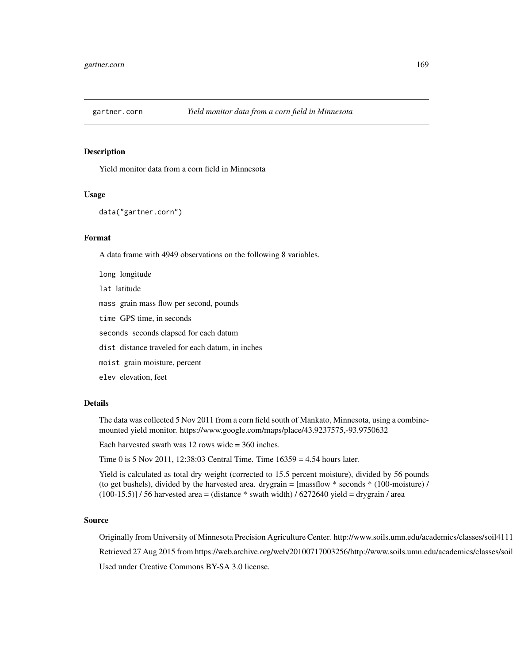# Description

Yield monitor data from a corn field in Minnesota

#### Usage

```
data("gartner.corn")
```
### Format

A data frame with 4949 observations on the following 8 variables.

long longitude lat latitude mass grain mass flow per second, pounds time GPS time, in seconds seconds seconds elapsed for each datum dist distance traveled for each datum, in inches moist grain moisture, percent elev elevation, feet

### Details

The data was collected 5 Nov 2011 from a corn field south of Mankato, Minnesota, using a combinemounted yield monitor. https://www.google.com/maps/place/43.9237575,-93.9750632

Each harvested swath was 12 rows wide = 360 inches.

Time 0 is 5 Nov 2011, 12:38:03 Central Time. Time 16359 = 4.54 hours later.

Yield is calculated as total dry weight (corrected to 15.5 percent moisture), divided by 56 pounds (to get bushels), divided by the harvested area. drygrain =  $[massflow * seconds * (100-moisture) /$  $(100-15.5)$ ] / 56 harvested area = (distance  $*$  swath width) / 6272640 yield = drygrain / area

### Source

Originally from University of Minnesota Precision Agriculture Center. http://www.soils.umn.edu/academics/classes/soil4111 Retrieved 27 Aug 2015 from https://web.archive.org/web/20100717003256/http://www.soils.umn.edu/academics/classes/soil Used under Creative Commons BY-SA 3.0 license.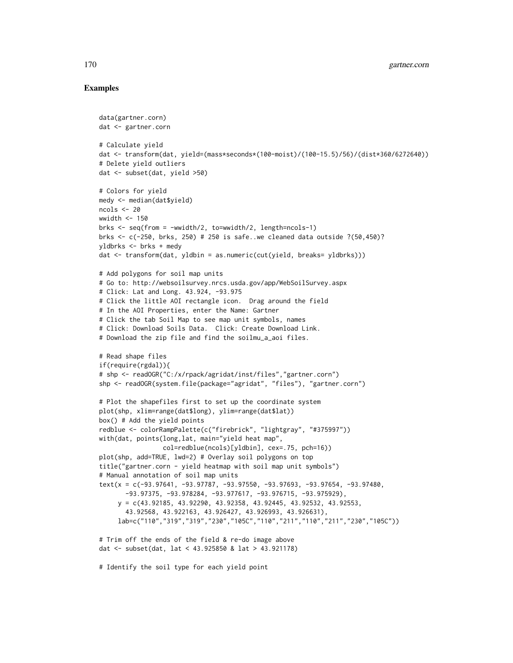```
data(gartner.corn)
dat <- gartner.corn
# Calculate yield
dat <- transform(dat, yield=(mass*seconds*(100-moist)/(100-15.5)/56)/(dist*360/6272640))
# Delete yield outliers
dat <- subset(dat, yield >50)
# Colors for yield
medy <- median(dat$yield)
ncols <-20wwidth <-150brks \leq seq(from = -wwidth/2, to=wwidth/2, length=ncols-1)
brks <- c(-250, brks, 250) # 250 is safe..we cleaned data outside ?(50,450)?
yldbrks <- brks + medy
dat <- transform(dat, yldbin = as.numeric(cut(yield, breaks= yldbrks)))
# Add polygons for soil map units
# Go to: http://websoilsurvey.nrcs.usda.gov/app/WebSoilSurvey.aspx
# Click: Lat and Long. 43.924, -93.975
# Click the little AOI rectangle icon. Drag around the field
# In the AOI Properties, enter the Name: Gartner
# Click the tab Soil Map to see map unit symbols, names
# Click: Download Soils Data. Click: Create Download Link.
# Download the zip file and find the soilmu_a_aoi files.
# Read shape files
if(require(rgdal)){
# shp <- readOGR("C:/x/rpack/agridat/inst/files","gartner.corn")
shp <- readOGR(system.file(package="agridat", "files"), "gartner.corn")
# Plot the shapefiles first to set up the coordinate system
plot(shp, xlim=range(dat$long), ylim=range(dat$lat))
box() # Add the yield points
redblue <- colorRampPalette(c("firebrick", "lightgray", "#375997"))
with(dat, points(long,lat, main="yield heat map",
                 col=redblue(ncols)[yldbin], cex=.75, pch=16))
plot(shp, add=TRUE, lwd=2) # Overlay soil polygons on top
title("gartner.corn - yield heatmap with soil map unit symbols")
# Manual annotation of soil map units
text(x = c(-93.97641, -93.97787, -93.97550, -93.97693, -93.97654, -93.97480,
       -93.97375, -93.978284, -93.977617, -93.976715, -93.975929),
     y = c(43.92185, 43.92290, 43.92358, 43.92445, 43.92532, 43.92553,
       43.92568, 43.922163, 43.926427, 43.926993, 43.926631),
     lab=c("110","319","319","230","105C","110","211","110","211","230","105C"))
# Trim off the ends of the field & re-do image above
dat <- subset(dat, lat < 43.925850 & lat > 43.921178)
# Identify the soil type for each yield point
```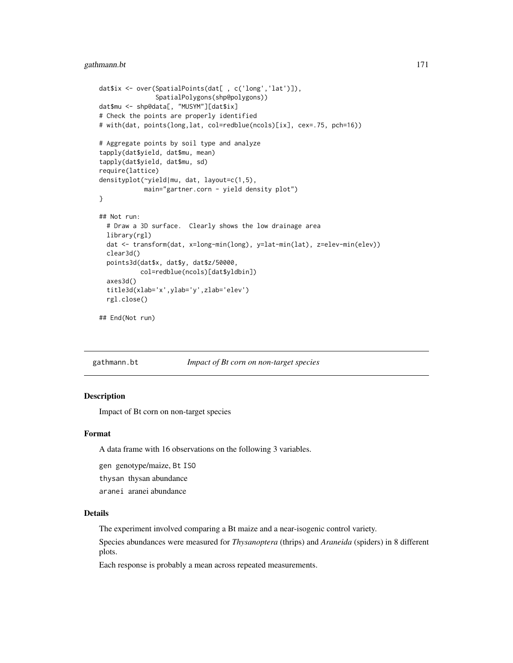# gathmann.bt 171

```
dat$ix <- over(SpatialPoints(dat[ , c('long','lat')]),
               SpatialPolygons(shp@polygons))
dat$mu <- shp@data[, "MUSYM"][dat$ix]
# Check the points are properly identified
# with(dat, points(long,lat, col=redblue(ncols)[ix], cex=.75, pch=16))
# Aggregate points by soil type and analyze
tapply(dat$yield, dat$mu, mean)
tapply(dat$yield, dat$mu, sd)
require(lattice)
densityplot(~yield|mu, dat, layout=c(1,5),
            main="gartner.corn - yield density plot")
}
## Not run:
 # Draw a 3D surface. Clearly shows the low drainage area
 library(rgl)
 dat <- transform(dat, x=long-min(long), y=lat-min(lat), z=elev-min(elev))
 clear3d()
 points3d(dat$x, dat$y, dat$z/50000,
           col=redblue(ncols)[dat$yldbin])
 axes3d()
 title3d(xlab='x',ylab='y',zlab='elev')
 rgl.close()
```

```
## End(Not run)
```
gathmann.bt *Impact of Bt corn on non-target species*

# Description

Impact of Bt corn on non-target species

# Format

A data frame with 16 observations on the following 3 variables.

gen genotype/maize, Bt ISO

thysan thysan abundance

aranei aranei abundance

# Details

The experiment involved comparing a Bt maize and a near-isogenic control variety.

Species abundances were measured for *Thysanoptera* (thrips) and *Araneida* (spiders) in 8 different plots.

Each response is probably a mean across repeated measurements.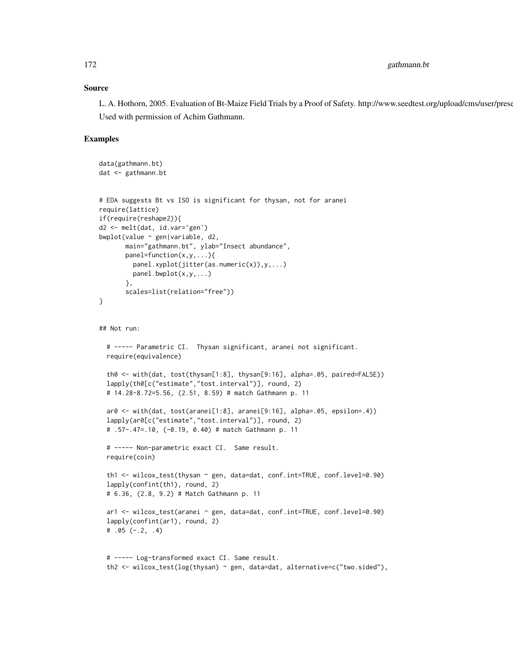### Source

L. A. Hothorn, 2005. Evaluation of Bt-Maize Field Trials by a Proof of Safety. http://www.seedtest.org/upload/cms/user/prese Used with permission of Achim Gathmann.

```
data(gathmann.bt)
dat <- gathmann.bt
# EDA suggests Bt vs ISO is significant for thysan, not for aranei
require(lattice)
if(require(reshape2)){
d2 <- melt(dat, id.var='gen')
bwplot(value ~ gen|variable, d2,
      main="gathmann.bt", ylab="Insect abundance",
      panel=function(x,y,...){
        panel.xyplot(jitter(as.numeric(x)),y,...)
        panel.bwplot(x,y,...)
      },
      scales=list(relation="free"))
}
## Not run:
 # ----- Parametric CI. Thysan significant, aranei not significant.
 require(equivalence)
 th0 <- with(dat, tost(thysan[1:8], thysan[9:16], alpha=.05, paired=FALSE))
 lapply(th0[c("estimate","tost.interval")], round, 2)
 # 14.28-8.72=5.56, (2.51, 8.59) # match Gathmann p. 11
 ar0 <- with(dat, tost(aranei[1:8], aranei[9:16], alpha=.05, epsilon=.4))
 lapply(ar0[c("estimate","tost.interval")], round, 2)
 # .57-.47=.10, (-0.19, 0.40) # match Gathmann p. 11
 # ----- Non-parametric exact CI. Same result.
 require(coin)
 th1 <- wilcox_test(thysan ~ gen, data=dat, conf.int=TRUE, conf.level=0.90)
 lapply(confint(th1), round, 2)
 # 6.36, (2.8, 9.2) # Match Gathmann p. 11
 ar1 <- wilcox_test(aranei ~ gen, data=dat, conf.int=TRUE, conf.level=0.90)
 lapply(confint(ar1), round, 2)
 # .05 (-.2, .4)
 # ----- Log-transformed exact CI. Same result.
 th2 <- wilcox_test(log(thysan) ~ gen, data=dat, alternative=c("two.sided"),
```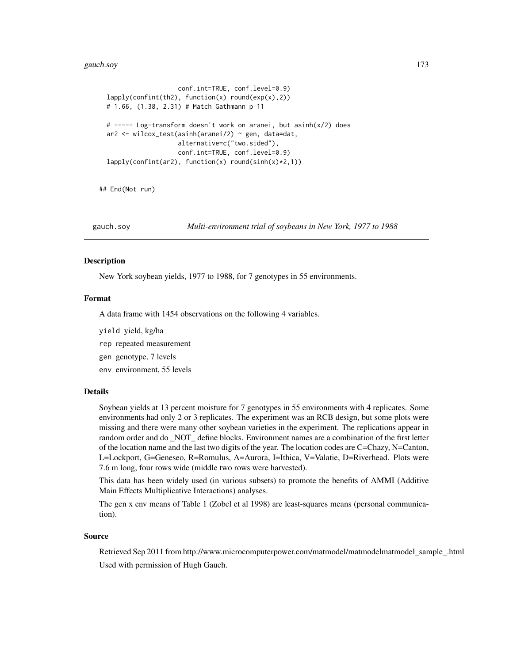#### gauch.soy 173

```
conf.int=TRUE, conf.level=0.9)
lapply(confint(th2), function(x) round(exp(x),2))
# 1.66, (1.38, 2.31) # Match Gathmann p 11
# ----- Log-transform doesn't work on aranei, but asinh(x/2) does
ar2 <- wilcox_test(asinh(aranei/2) ~ gen, data=dat,
                   alternative=c("two.sided"),
                   conf.int=TRUE, conf.level=0.9)
lapply(confint(ar2), function(x) round(sinh(x)*2,1))
```
## End(Not run)

gauch.soy *Multi-environment trial of soybeans in New York, 1977 to 1988*

### Description

New York soybean yields, 1977 to 1988, for 7 genotypes in 55 environments.

### Format

A data frame with 1454 observations on the following 4 variables.

- yield yield, kg/ha
- rep repeated measurement
- gen genotype, 7 levels
- env environment, 55 levels

# Details

Soybean yields at 13 percent moisture for 7 genotypes in 55 environments with 4 replicates. Some environments had only 2 or 3 replicates. The experiment was an RCB design, but some plots were missing and there were many other soybean varieties in the experiment. The replications appear in random order and do \_NOT\_ define blocks. Environment names are a combination of the first letter of the location name and the last two digits of the year. The location codes are C=Chazy, N=Canton, L=Lockport, G=Geneseo, R=Romulus, A=Aurora, I=Ithica, V=Valatie, D=Riverhead. Plots were 7.6 m long, four rows wide (middle two rows were harvested).

This data has been widely used (in various subsets) to promote the benefits of AMMI (Additive Main Effects Multiplicative Interactions) analyses.

The gen x env means of Table 1 (Zobel et al 1998) are least-squares means (personal communication).

### Source

Retrieved Sep 2011 from http://www.microcomputerpower.com/matmodel/matmodelmatmodel\_sample\_.html Used with permission of Hugh Gauch.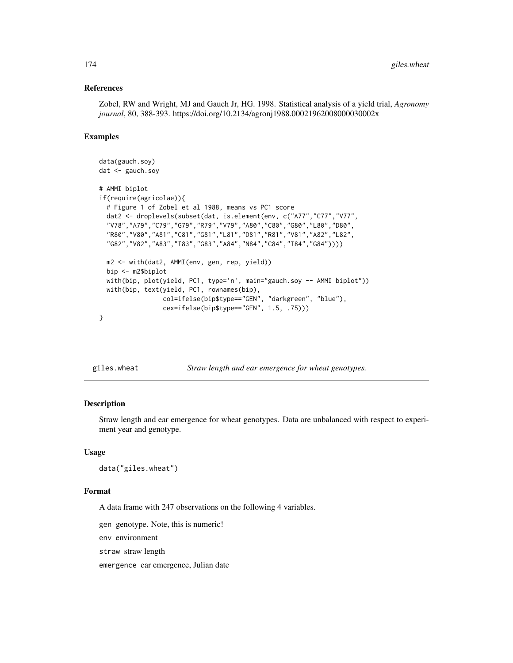### References

Zobel, RW and Wright, MJ and Gauch Jr, HG. 1998. Statistical analysis of a yield trial, *Agronomy journal*, 80, 388-393. https://doi.org/10.2134/agronj1988.00021962008000030002x

## Examples

```
data(gauch.soy)
dat <- gauch.soy
# AMMI biplot
if(require(agricolae)){
 # Figure 1 of Zobel et al 1988, means vs PC1 score
 dat2 <- droplevels(subset(dat, is.element(env, c("A77","C77","V77",
 "V78","A79","C79","G79","R79","V79","A80","C80","G80","L80","D80",
  "R80","V80","A81","C81","G81","L81","D81","R81","V81","A82","L82",
  "G82","V82","A83","I83","G83","A84","N84","C84","I84","G84"))))
 m2 <- with(dat2, AMMI(env, gen, rep, yield))
 bip <- m2$biplot
 with(bip, plot(yield, PC1, type='n', main="gauch.soy -- AMMI biplot"))
 with(bip, text(yield, PC1, rownames(bip),
                 col=ifelse(bip$type=="GEN", "darkgreen", "blue"),
                 cex=ifelse(bip$type=="GEN", 1.5, .75)))
}
```

```
giles.wheat Straw length and ear emergence for wheat genotypes.
```
### Description

Straw length and ear emergence for wheat genotypes. Data are unbalanced with respect to experiment year and genotype.

#### Usage

```
data("giles.wheat")
```
#### Format

A data frame with 247 observations on the following 4 variables.

gen genotype. Note, this is numeric!

env environment

straw straw length

emergence ear emergence, Julian date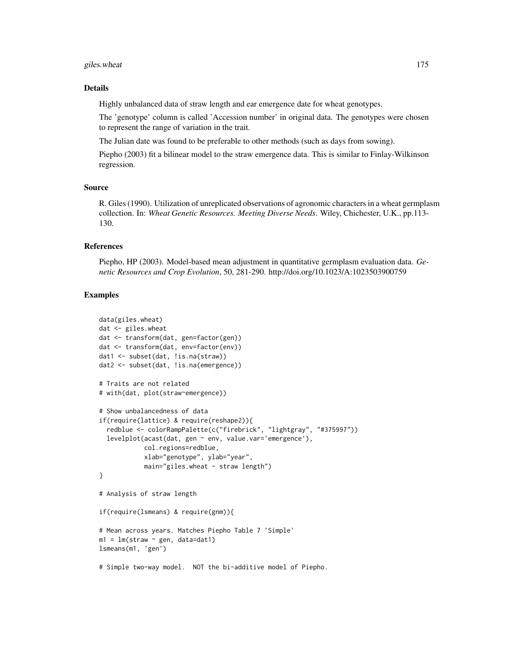# giles.wheat 175

#### Details

Highly unbalanced data of straw length and ear emergence date for wheat genotypes.

The 'genotype' column is called 'Accession number' in original data. The genotypes were chosen to represent the range of variation in the trait.

The Julian date was found to be preferable to other methods (such as days from sowing).

Piepho (2003) fit a bilinear model to the straw emergence data. This is similar to Finlay-Wilkinson regression.

### Source

R. Giles (1990). Utilization of unreplicated observations of agronomic characters in a wheat germplasm collection. In: *Wheat Genetic Resources. Meeting Diverse Needs*. Wiley, Chichester, U.K., pp.113- 130.

#### References

Piepho, HP (2003). Model-based mean adjustment in quantitative germplasm evaluation data. *Genetic Resources and Crop Evolution*, 50, 281-290. http://doi.org/10.1023/A:1023503900759

```
data(giles.wheat)
dat <- giles.wheat
dat <- transform(dat, gen=factor(gen))
dat <- transform(dat, env=factor(env))
dat1 <- subset(dat, !is.na(straw))
dat2 <- subset(dat, !is.na(emergence))
# Traits are not related
# with(dat, plot(straw~emergence))
# Show unbalancedness of data
if(require(lattice) & require(reshape2)){
  redblue <- colorRampPalette(c("firebrick", "lightgray", "#375997"))
  levelplot(acast(dat, gen ~ env, value.var='emergence'),
            col.regions=redblue,
            xlab="genotype", ylab="year",
            main="giles.wheat - straw length")
}
# Analysis of straw length
if(require(lsmeans) & require(gnm)){
# Mean across years. Matches Piepho Table 7 'Simple'
m1 = lm(straw \sim gen, data=dat1)lsmeans(m1, 'gen')
# Simple two-way model. NOT the bi-additive model of Piepho.
```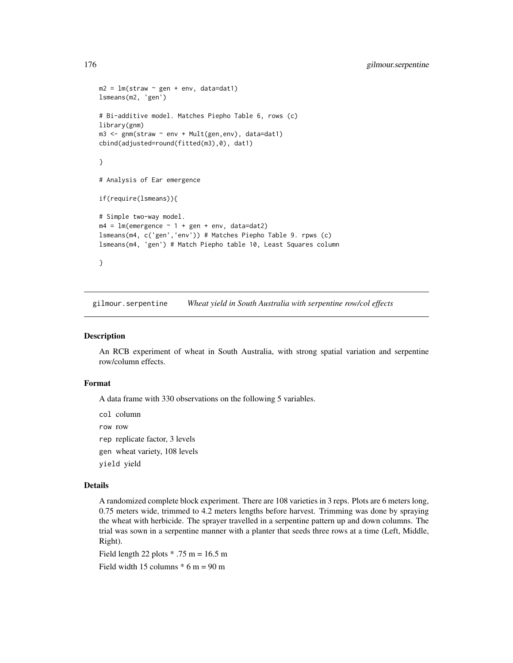```
m2 = Im(straw \sim gen + env, data=dat1)lsmeans(m2, 'gen')
# Bi-additive model. Matches Piepho Table 6, rows (c)
library(gnm)
m3 <- gnm(straw ~ env + Mult(gen,env), data=dat1)
cbind(adjusted=round(fitted(m3),0), dat1)
}
# Analysis of Ear emergence
if(require(lsmeans)){
# Simple two-way model.
m4 = Im(emergence ~ 1 + gen + env, data=data2)lsmeans(m4, c('gen','env')) # Matches Piepho Table 9. rpws (c)
lsmeans(m4, 'gen') # Match Piepho table 10, Least Squares column
}
```
gilmour.serpentine *Wheat yield in South Australia with serpentine row/col effects*

#### Description

An RCB experiment of wheat in South Australia, with strong spatial variation and serpentine row/column effects.

### Format

A data frame with 330 observations on the following 5 variables.

col column

row row

- rep replicate factor, 3 levels
- gen wheat variety, 108 levels

yield yield

# Details

A randomized complete block experiment. There are 108 varieties in 3 reps. Plots are 6 meters long, 0.75 meters wide, trimmed to 4.2 meters lengths before harvest. Trimming was done by spraying the wheat with herbicide. The sprayer travelled in a serpentine pattern up and down columns. The trial was sown in a serpentine manner with a planter that seeds three rows at a time (Left, Middle, Right).

Field length 22 plots  $* .75$  m = 16.5 m

Field width 15 columns  $* 6$  m = 90 m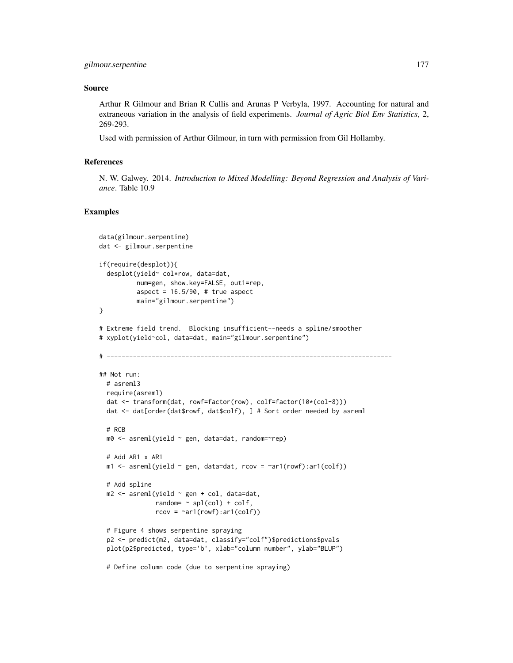### Source

Arthur R Gilmour and Brian R Cullis and Arunas P Verbyla, 1997. Accounting for natural and extraneous variation in the analysis of field experiments. *Journal of Agric Biol Env Statistics*, 2, 269-293.

Used with permission of Arthur Gilmour, in turn with permission from Gil Hollamby.

# References

N. W. Galwey. 2014. *Introduction to Mixed Modelling: Beyond Regression and Analysis of Variance*. Table 10.9

```
data(gilmour.serpentine)
dat <- gilmour.serpentine
if(require(desplot)){
  desplot(yield~ col*row, data=dat,
          num=gen, show.key=FALSE, out1=rep,
          aspect = 16.5/90, # true aspect
          main="gilmour.serpentine")
}
# Extreme field trend. Blocking insufficient--needs a spline/smoother
# xyplot(yield~col, data=dat, main="gilmour.serpentine")
# ----------------------------------------------------------------------------
## Not run:
  # asreml3
  require(asreml)
  dat <- transform(dat, rowf=factor(row), colf=factor(10*(col-8)))
  dat <- dat[order(dat$rowf, dat$colf), ] # Sort order needed by asreml
  # RCB
  m0 <- asreml(yield ~ gen, data=dat, random=~rep)
  # Add AR1 x AR1
  m1 \leq -\text{asreml}(\text{yield} \leq \text{gen}, \text{ data=dat}, \text{rcov} = \text{var1}(\text{rowf}) : \text{ar1}(\text{colf}))# Add spline
  m2 <- asreml(yield ~ gen + col, data=dat,
               random= ~\sim spl(col) + colf,
                rcov = \text{var1}(rowf):ar1(colf))# Figure 4 shows serpentine spraying
  p2 <- predict(m2, data=dat, classify="colf")$predictions$pvals
  plot(p2$predicted, type='b', xlab="column number", ylab="BLUP")
  # Define column code (due to serpentine spraying)
```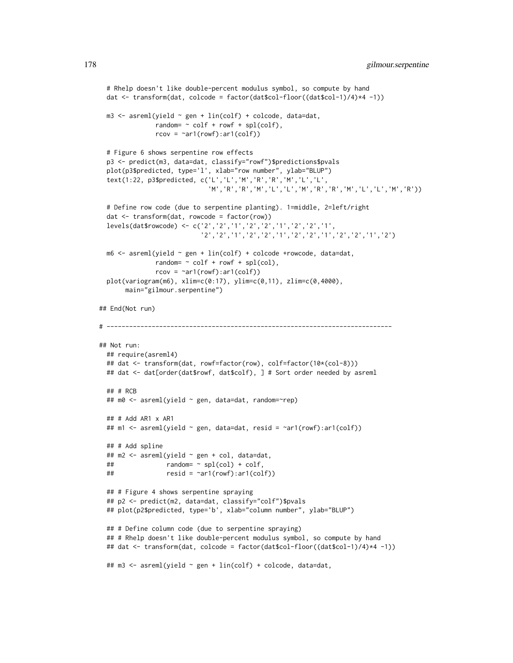```
# Rhelp doesn't like double-percent modulus symbol, so compute by hand
 dat <- transform(dat, colcode = factor(dat$col-floor((dat$col-1)/4)*4 -1))
 m3 <- asreml(yield ~ gen + lin(colf) + colcode, data=dat,
              random= \sim colf + rowf + spl(colf),
              rcov = \text{var1}(rowf):ar1(colf))# Figure 6 shows serpentine row effects
 p3 <- predict(m3, data=dat, classify="rowf")$predictions$pvals
 plot(p3$predicted, type='l', xlab="row number", ylab="BLUP")
 text(1:22, p3$predicted, c('L','L','M','R','R','M','L','L',
                             'M','R','R','M','L','L','M','R','R','M','L','L','M','R'))
 # Define row code (due to serpentine planting). 1=middle, 2=left/right
 dat <- transform(dat, rowcode = factor(row))
 levels(dat$rowcode) <- c('2','2','1','2','2','1','2','2','1',
                           '2','2','1','2','2','1','2','2','1','2','2','1','2')
 m6 \leq asreml(yield \sim gen + lin(colf) + colcode +rowcode, data=dat,
               random= \sim colf + rowf + spl(col),
               rcov = \text{var1}(rowf):ar1(colf))plot(variogram(m6), xlim=c(0:17), ylim=c(0,11), zlim=c(0,4000),
      main="gilmour.serpentine")
## End(Not run)
# ----------------------------------------------------------------------------
## Not run:
 ## require(asreml4)
 ## dat <- transform(dat, rowf=factor(row), colf=factor(10*(col-8)))
 ## dat <- dat[order(dat$rowf, dat$colf), ] # Sort order needed by asreml
 ## # RCB
 ## m0 <- asreml(yield ~ gen, data=dat, random=~rep)
 ## # Add AR1 x AR1
 ## m1 <- asreml(yield ~ gen, data=dat, resid = ~ar1(rowf):ar1(colf))
 ## # Add spline
 ## m2 <- asreml(yield ~ gen + col, data=dat,
 ## random= ~ spl(col) + colf,
 ## resid = ~ar1(rowf):ar1(colf))
 ## # Figure 4 shows serpentine spraying
 ## p2 <- predict(m2, data=dat, classify="colf")$pvals
 ## plot(p2$predicted, type='b', xlab="column number", ylab="BLUP")
 ## # Define column code (due to serpentine spraying)
 ## # Rhelp doesn't like double-percent modulus symbol, so compute by hand
 ## dat <- transform(dat, colcode = factor(dat$col-floor((dat$col-1)/4)*4 -1))
 ## m3 <- asreml(yield ~ gen + lin(colf) + colcode, data=dat,
```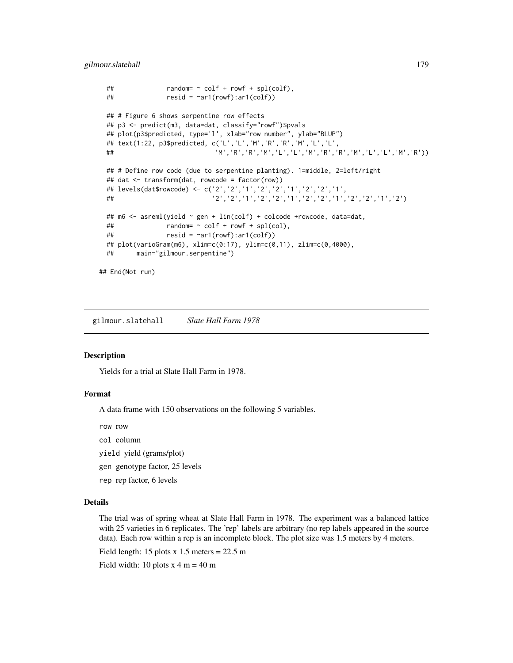gilmour.slatehall 179

```
\# random= \sim colf + rowf + spl(colf),
 ## resid = \text{var1}(rowf):ar1(colf))## # Figure 6 shows serpentine row effects
 ## p3 <- predict(m3, data=dat, classify="rowf")$pvals
 ## plot(p3$predicted, type='l', xlab="row number", ylab="BLUP")
 ## text(1:22, p3$predicted, c('L','L','M','R','R','M','L','L',
 ## 'M','R','R','M','L','L','M','R','R','M','L','L','M','R'))
 ## # Define row code (due to serpentine planting). 1=middle, 2=left/right
 ## dat <- transform(dat, rowcode = factor(row))
 ## levels(dat$rowcode) <- c('2','2','1','2','2','1','2','2','1',
 ## '2','2','1','2','2','1','2','2','1','2','2','1','2')
 ## m6 <- asreml(yield ~ gen + lin(colf) + colcode +rowcode, data=dat,
 ## random= \sim colf + rowf + spl(col),
 ## resid = \text{var1}(rowf):ar1(colf))## plot(varioGram(m6), xlim=c(0:17), ylim=c(0,11), zlim=c(0,4000),
 ## main="gilmour.serpentine")
## End(Not run)
```
gilmour.slatehall *Slate Hall Farm 1978*

#### **Description**

Yields for a trial at Slate Hall Farm in 1978.

### Format

A data frame with 150 observations on the following 5 variables.

row row

- col column
- yield yield (grams/plot)
- gen genotype factor, 25 levels
- rep rep factor, 6 levels

# Details

The trial was of spring wheat at Slate Hall Farm in 1978. The experiment was a balanced lattice with 25 varieties in 6 replicates. The 'rep' labels are arbitrary (no rep labels appeared in the source data). Each row within a rep is an incomplete block. The plot size was 1.5 meters by 4 meters.

Field length: 15 plots  $x$  1.5 meters = 22.5 m

Field width: 10 plots  $x \cdot 4$  m = 40 m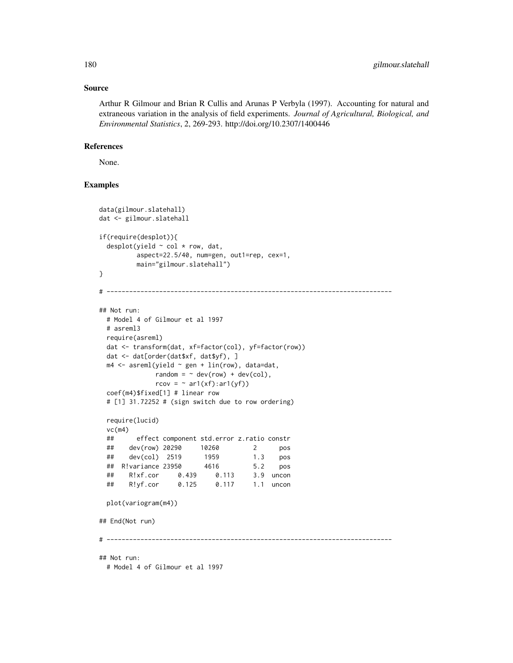#### Source

Arthur R Gilmour and Brian R Cullis and Arunas P Verbyla (1997). Accounting for natural and extraneous variation in the analysis of field experiments. *Journal of Agricultural, Biological, and Environmental Statistics*, 2, 269-293. http://doi.org/10.2307/1400446

# References

None.

```
data(gilmour.slatehall)
dat <- gilmour.slatehall
if(require(desplot)){
 desplot(yield ~ col * row, dat,
         aspect=22.5/40, num=gen, out1=rep, cex=1,
         main="gilmour.slatehall")
}
# ----------------------------------------------------------------------------
## Not run:
 # Model 4 of Gilmour et al 1997
 # asreml3
 require(asreml)
 dat <- transform(dat, xf=factor(col), yf=factor(row))
 dat <- dat[order(dat$xf, dat$yf), ]
 m4 <- asreml(yield ~ gen + lin(row), data=dat,
             random = \sim dev(row) + dev(col),
              rcov = \sim ar1(xf):ar1(yf))coef(m4)$fixed[1] # linear row
 # [1] 31.72252 # (sign switch due to row ordering)
 require(lucid)
 vc(m4)
 ## effect component std.error z.ratio constr
 ## dev(row) 20290 10260 2 pos
 ## dev(col) 2519 1959 1.3 pos
 ## R!variance 23950 4616 5.2 pos
 ## R!xf.cor 0.439 0.113 3.9 uncon
 ## R!yf.cor 0.125 0.117 1.1 uncon
 plot(variogram(m4))
## End(Not run)
# ----------------------------------------------------------------------------
## Not run:
 # Model 4 of Gilmour et al 1997
```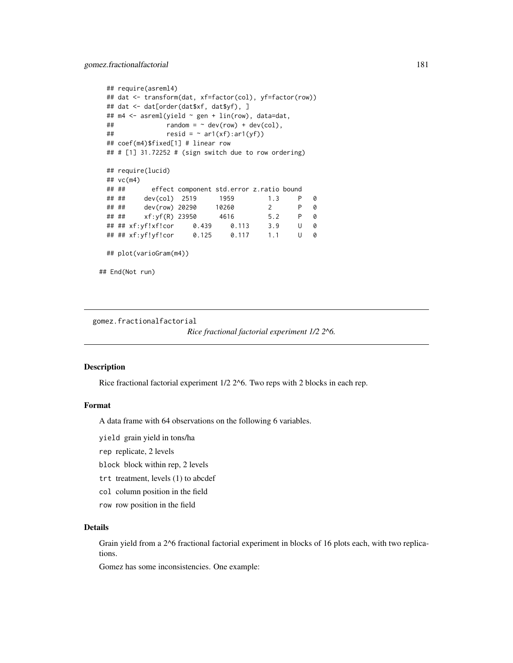```
## require(asreml4)
 ## dat <- transform(dat, xf=factor(col), yf=factor(row))
 ## dat <- dat[order(dat$xf, dat$yf), ]
 ## m4 <- asreml(yield ~ gen + lin(row), data=dat,
 \# random = \sim dev(row) + dev(col),
 ## resid = \sim ar1(xf):ar1(yf)## coef(m4)$fixed[1] # linear row
 ## # [1] 31.72252 # (sign switch due to row ordering)
 ## require(lucid)
 ## vc(m4)
 ## ## effect component std.error z.ratio bound
 ## ## dev(col) 2519 1959 1.3 P 0
 ## ## dev(row) 20290 10260 2 P 0
 ## ## xf:yf(R) 23950 4616 5.2 P 0
 ## ## xf:yf!xf!cor 0.439 0.113 3.9 U 0
 ## ## xf:yf!yf!cor 0.125 0.117 1.1 U 0
 ## plot(varioGram(m4))
## End(Not run)
```
gomez.fractionalfactorial

*Rice fractional factorial experiment 1/2 2^6.*

#### Description

Rice fractional factorial experiment 1/2 2^6. Two reps with 2 blocks in each rep.

## Format

A data frame with 64 observations on the following 6 variables.

yield grain yield in tons/ha

rep replicate, 2 levels

block block within rep, 2 levels

trt treatment, levels (1) to abcdef

col column position in the field

row row position in the field

#### Details

Grain yield from a 2^6 fractional factorial experiment in blocks of 16 plots each, with two replications.

Gomez has some inconsistencies. One example: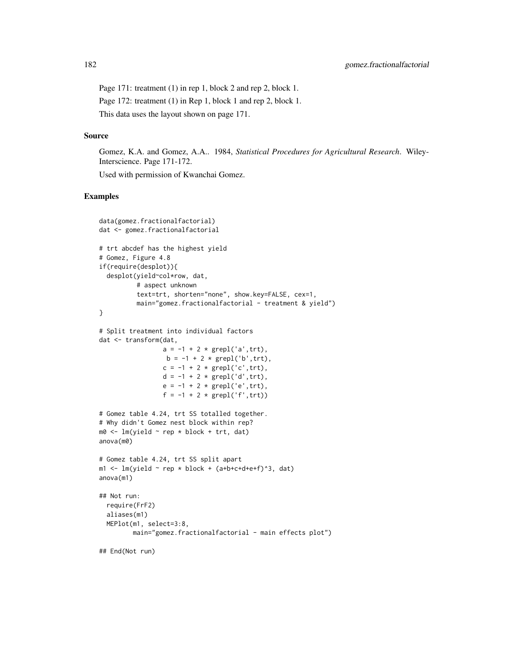Page 171: treatment (1) in rep 1, block 2 and rep 2, block 1. Page 172: treatment (1) in Rep 1, block 1 and rep 2, block 1. This data uses the layout shown on page 171.

#### Source

Gomez, K.A. and Gomez, A.A.. 1984, *Statistical Procedures for Agricultural Research*. Wiley-Interscience. Page 171-172.

Used with permission of Kwanchai Gomez.

```
data(gomez.fractionalfactorial)
dat <- gomez.fractionalfactorial
# trt abcdef has the highest yield
# Gomez, Figure 4.8
if(require(desplot)){
  desplot(yield~col*row, dat,
          # aspect unknown
          text=trt, shorten="none", show.key=FALSE, cex=1,
          main="gomez.fractionalfactorial - treatment & yield")
}
# Split treatment into individual factors
dat <- transform(dat,
                  a = -1 + 2 * \text{grepl}('a', \text{trt}),b = -1 + 2 * \text{grepl('b', trt)},c = -1 + 2 * \text{grepl}('c', trt),d = -1 + 2 * \text{grepl}('d', trt),e = -1 + 2 * \text{grepl}('e', trt),f = -1 + 2 * grepl('f',trt))
# Gomez table 4.24, trt SS totalled together.
# Why didn't Gomez nest block within rep?
m0 <- lm(yield ~ rep * block + trt, dat)
anova(m0)
# Gomez table 4.24, trt SS split apart
m1 <- lm(yield \sim rep * block + (a+bt-c+d+ef)^3, dat)anova(m1)
## Not run:
  require(FrF2)
  aliases(m1)
  MEPlot(m1, select=3:8,
         main="gomez.fractionalfactorial - main effects plot")
## End(Not run)
```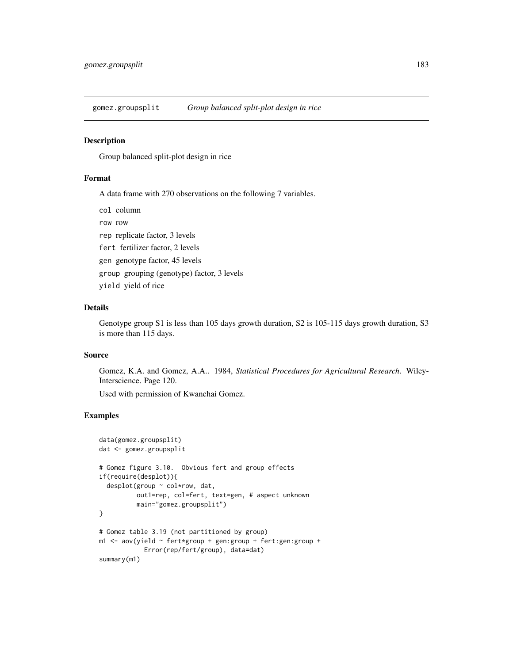gomez.groupsplit *Group balanced split-plot design in rice*

#### Description

Group balanced split-plot design in rice

#### Format

A data frame with 270 observations on the following 7 variables.

col column

row row rep replicate factor, 3 levels fert fertilizer factor, 2 levels gen genotype factor, 45 levels group grouping (genotype) factor, 3 levels yield yield of rice

#### Details

Genotype group S1 is less than 105 days growth duration, S2 is 105-115 days growth duration, S3 is more than 115 days.

## Source

Gomez, K.A. and Gomez, A.A.. 1984, *Statistical Procedures for Agricultural Research*. Wiley-Interscience. Page 120.

Used with permission of Kwanchai Gomez.

```
data(gomez.groupsplit)
dat <- gomez.groupsplit
# Gomez figure 3.10. Obvious fert and group effects
if(require(desplot)){
 desplot(group ~ col*row, dat,
          out1=rep, col=fert, text=gen, # aspect unknown
         main="gomez.groupsplit")
}
# Gomez table 3.19 (not partitioned by group)
m1 <- aov(yield \sim fert*group + gen:group + fert:gen:group +
            Error(rep/fert/group), data=dat)
summary(m1)
```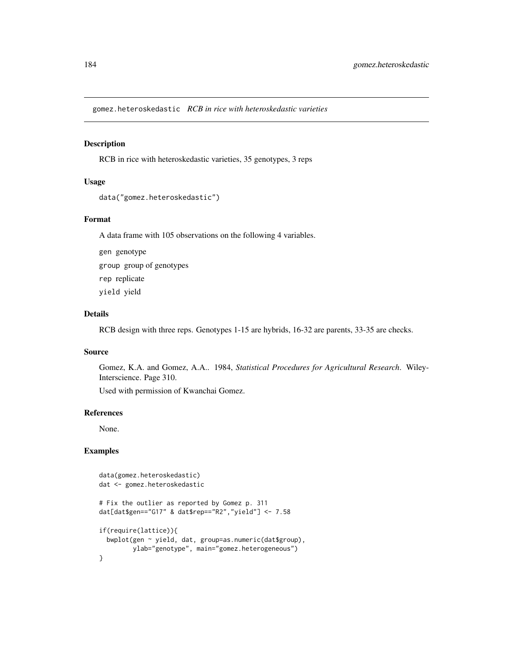gomez.heteroskedastic *RCB in rice with heteroskedastic varieties*

#### Description

RCB in rice with heteroskedastic varieties, 35 genotypes, 3 reps

#### Usage

```
data("gomez.heteroskedastic")
```
# Format

A data frame with 105 observations on the following 4 variables.

gen genotype group group of genotypes rep replicate yield yield

## Details

RCB design with three reps. Genotypes 1-15 are hybrids, 16-32 are parents, 33-35 are checks.

# Source

Gomez, K.A. and Gomez, A.A.. 1984, *Statistical Procedures for Agricultural Research*. Wiley-Interscience. Page 310.

Used with permission of Kwanchai Gomez.

## References

None.

```
data(gomez.heteroskedastic)
dat <- gomez.heteroskedastic
# Fix the outlier as reported by Gomez p. 311
dat[dat$gen=="G17" & dat$rep=="R2","yield"] <- 7.58
if(require(lattice)){
  bwplot(gen ~ yield, dat, group=as.numeric(dat$group),
        ylab="genotype", main="gomez.heterogeneous")
}
```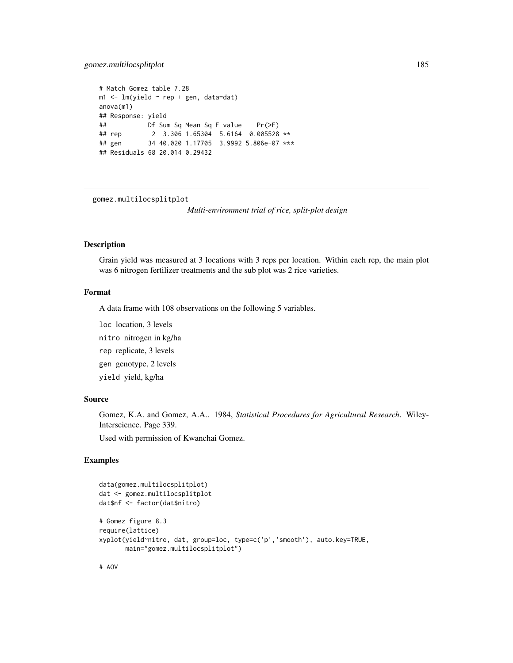# gomez.multilocsplitplot 185

```
# Match Gomez table 7.28
m1 < -1m(yield \sim rep + gen, data=dat)anova(m1)
## Response: yield
## Df Sum Sq Mean Sq F value Pr(>F)
## rep 2 3.306 1.65304 5.6164 0.005528 **
## gen 34 40.020 1.17705 3.9992 5.806e-07 ***
## Residuals 68 20.014 0.29432
```
gomez.multilocsplitplot

*Multi-environment trial of rice, split-plot design*

# Description

Grain yield was measured at 3 locations with 3 reps per location. Within each rep, the main plot was 6 nitrogen fertilizer treatments and the sub plot was 2 rice varieties.

# Format

A data frame with 108 observations on the following 5 variables.

loc location, 3 levels

nitro nitrogen in kg/ha

rep replicate, 3 levels

gen genotype, 2 levels

yield yield, kg/ha

## Source

Gomez, K.A. and Gomez, A.A.. 1984, *Statistical Procedures for Agricultural Research*. Wiley-Interscience. Page 339.

Used with permission of Kwanchai Gomez.

```
data(gomez.multilocsplitplot)
dat <- gomez.multilocsplitplot
dat$nf <- factor(dat$nitro)
# Gomez figure 8.3
require(lattice)
xyplot(yield~nitro, dat, group=loc, type=c('p','smooth'), auto.key=TRUE,
      main="gomez.multilocsplitplot")
```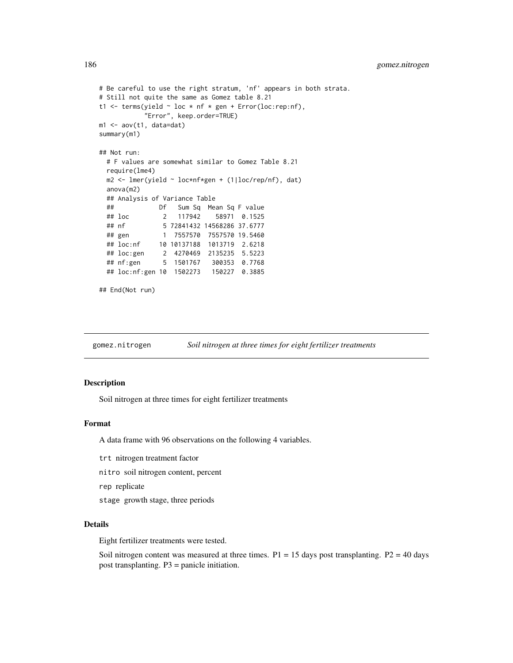```
# Be careful to use the right stratum, 'nf' appears in both strata.
# Still not quite the same as Gomez table 8.21
t1 <- terms(yield \sim loc \star nf \star gen + Error(loc:rep:nf),
           "Error", keep.order=TRUE)
m1 <- aov(t1, data=dat)
summary(m1)
## Not run:
 # F values are somewhat similar to Gomez Table 8.21
 require(lme4)
 m2 <- lmer(yield ~ loc*nf*gen + (1|loc/rep/nf), dat)
 anova(m2)
 ## Analysis of Variance Table
 ## Df Sum Sq Mean Sq F value
 ## loc 2 117942 58971 0.1525
 ## nf 5 72841432 14568286 37.6777
              1 7557570 7557570 19.5460
 ## loc:nf 10 10137188 1013719 2.6218
 ## loc:gen 2 4270469 2135235 5.5223
 ## nf:gen 5 1501767 300353 0.7768
 ## loc:nf:gen 10 1502273 150227 0.3885
## End(Not run)
```
gomez.nitrogen *Soil nitrogen at three times for eight fertilizer treatments*

## Description

Soil nitrogen at three times for eight fertilizer treatments

#### Format

A data frame with 96 observations on the following 4 variables.

- trt nitrogen treatment factor
- nitro soil nitrogen content, percent

rep replicate

stage growth stage, three periods

# Details

Eight fertilizer treatments were tested.

Soil nitrogen content was measured at three times.  $P1 = 15$  days post transplanting.  $P2 = 40$  days post transplanting. P3 = panicle initiation.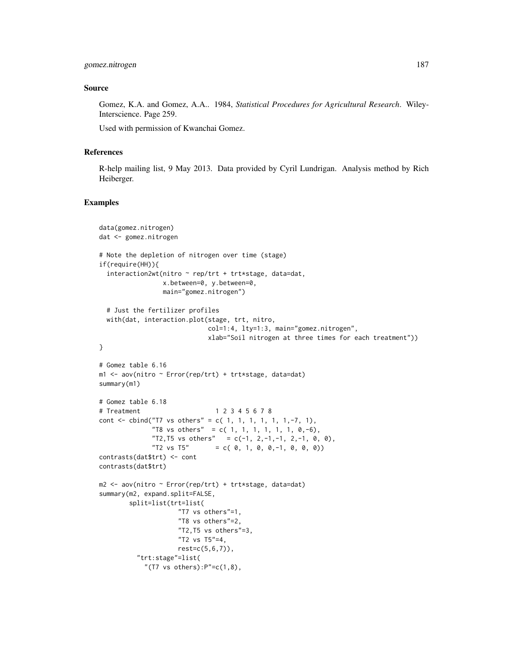#### Source

Gomez, K.A. and Gomez, A.A.. 1984, *Statistical Procedures for Agricultural Research*. Wiley-Interscience. Page 259.

Used with permission of Kwanchai Gomez.

#### References

R-help mailing list, 9 May 2013. Data provided by Cyril Lundrigan. Analysis method by Rich Heiberger.

```
data(gomez.nitrogen)
dat <- gomez.nitrogen
# Note the depletion of nitrogen over time (stage)
if(require(HH)){
  interaction2wt(nitro ~ rep/trt + trt*stage, data=dat,
                 x.between=0, y.between=0,
                 main="gomez.nitrogen")
  # Just the fertilizer profiles
  with(dat, interaction.plot(stage, trt, nitro,
                            col=1:4, lty=1:3, main="gomez.nitrogen",
                            xlab="Soil nitrogen at three times for each treatment"))
}
# Gomez table 6.16
m1 <- aov(nitro ~ Error(rep/trt) + trt*stage, data=dat)
summary(m1)
# Gomez table 6.18
# Treatment 1 2 3 4 5 6 7 8
cont <- cbind("T7 vs others" = c( 1, 1, 1, 1, 1, 1, -7, 1),
              "T8 vs others" = c( 1, 1, 1, 1, 1, 1, 0, -6),
              "T2, T5 vs others" = c(-1, 2, -1, -1, 2, -1, 0, 0),
              "T2 vs T5" = c( 0, 1, 0, 0, -1, 0, 0, 0))
contrasts(dat$trt) <- cont
contrasts(dat$trt)
m2 <- aov(nitro ~ Error(rep/trt) + trt*stage, data=dat)
summary(m2, expand.split=FALSE,
        split=list(trt=list(
                     "T7 vs others"=1,
                     "T8 vs others"=2,
                     "T2,T5 vs others"=3,
                     "T2 vs T5"=4,
                    rest=c(5,6,7)),
          "trt:stage"=list(
            "(T7 vs others):P" = c(1,8),
```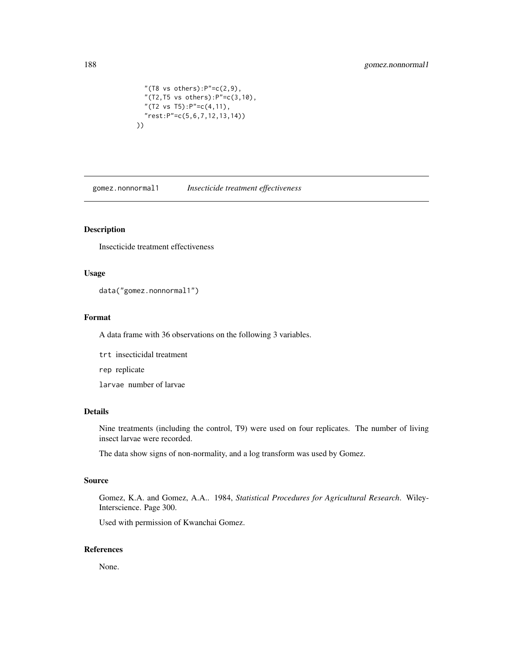```
"(T8 vs others):P" = c(2, 9),
 "(T2,T5 vs others):P"=c(3,10),
 "(T2 vs T5):P"=c(4,11),
 "rest:P"=c(5,6,7,12,13,14))
))
```
gomez.nonnormal1 *Insecticide treatment effectiveness*

# Description

Insecticide treatment effectiveness

#### Usage

data("gomez.nonnormal1")

# Format

A data frame with 36 observations on the following 3 variables.

trt insecticidal treatment

rep replicate

larvae number of larvae

## Details

Nine treatments (including the control, T9) were used on four replicates. The number of living insect larvae were recorded.

The data show signs of non-normality, and a log transform was used by Gomez.

## Source

Gomez, K.A. and Gomez, A.A.. 1984, *Statistical Procedures for Agricultural Research*. Wiley-Interscience. Page 300.

Used with permission of Kwanchai Gomez.

#### References

None.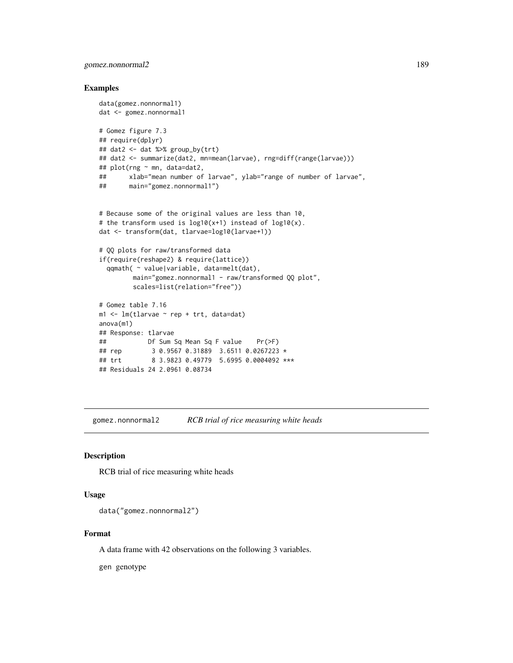# gomez.nonnormal2 189

## Examples

```
data(gomez.nonnormal1)
dat <- gomez.nonnormal1
# Gomez figure 7.3
## require(dplyr)
## dat2 <- dat %>% group_by(trt)
## dat2 <- summarize(dat2, mn=mean(larvae), rng=diff(range(larvae)))
## plot(rng ~ mn, data=dat2,
## xlab="mean number of larvae", ylab="range of number of larvae",
## main="gomez.nonnormal1")
# Because some of the original values are less than 10,
# the transform used is log10(x+1) instead of log10(x).
dat <- transform(dat, tlarvae=log10(larvae+1))
# QQ plots for raw/transformed data
if(require(reshape2) & require(lattice))
 qqmath( ~ value|variable, data=melt(dat),
        main="gomez.nonnormal1 - raw/transformed QQ plot",
        scales=list(relation="free"))
# Gomez table 7.16
m1 <- lm(tlarvae \sim rep + trt, data=dat)
anova(m1)
## Response: tlarvae
## Df Sum Sq Mean Sq F value Pr(>F)
## rep 3 0.9567 0.31889 3.6511 0.0267223 *
## trt 8 3.9823 0.49779 5.6995 0.0004092 ***
## Residuals 24 2.0961 0.08734
```
gomez.nonnormal2 *RCB trial of rice measuring white heads*

# Description

RCB trial of rice measuring white heads

## Usage

```
data("gomez.nonnormal2")
```
## Format

A data frame with 42 observations on the following 3 variables.

gen genotype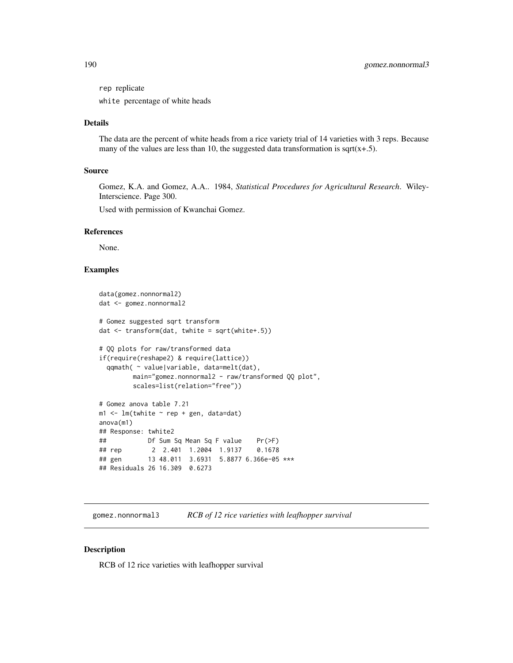rep replicate

white percentage of white heads

# Details

The data are the percent of white heads from a rice variety trial of 14 varieties with 3 reps. Because many of the values are less than 10, the suggested data transformation is sqrt $(x+.5)$ .

## Source

Gomez, K.A. and Gomez, A.A.. 1984, *Statistical Procedures for Agricultural Research*. Wiley-Interscience. Page 300.

Used with permission of Kwanchai Gomez.

#### References

None.

## Examples

```
data(gomez.nonnormal2)
dat <- gomez.nonnormal2
# Gomez suggested sqrt transform
dat <- transform(dat, twhite = sqrt(white+.5))
# QQ plots for raw/transformed data
if(require(reshape2) & require(lattice))
 qqmath( ~ value|variable, data=melt(dat),
        main="gomez.nonnormal2 - raw/transformed QQ plot",
        scales=list(relation="free"))
# Gomez anova table 7.21
m1 < -1m(twhite - rep + gen, data=dat)anova(m1)
## Response: twhite2
## Df Sum Sq Mean Sq F value Pr(>F)
## rep 2 2.401 1.2004 1.9137 0.1678
## gen 13 48.011 3.6931 5.8877 6.366e-05 ***
## Residuals 26 16.309 0.6273
```
gomez.nonnormal3 *RCB of 12 rice varieties with leafhopper survival*

## Description

RCB of 12 rice varieties with leafhopper survival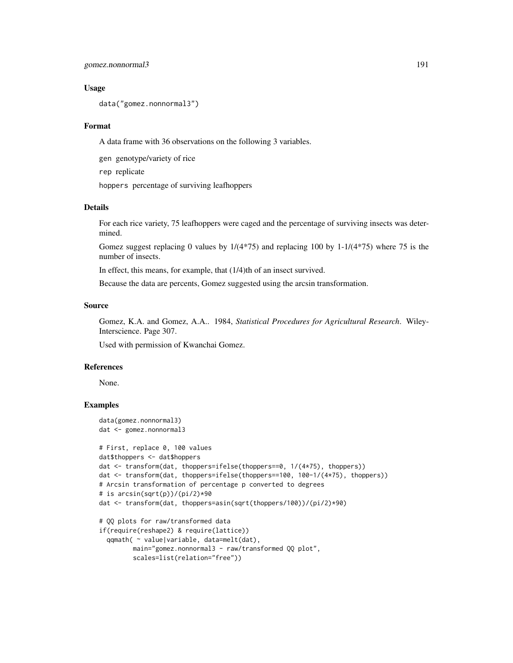## gomez.nonnormal3 191

#### Usage

data("gomez.nonnormal3")

#### Format

A data frame with 36 observations on the following 3 variables.

gen genotype/variety of rice

rep replicate

hoppers percentage of surviving leafhoppers

#### Details

For each rice variety, 75 leafhoppers were caged and the percentage of surviving insects was determined.

Gomez suggest replacing 0 values by  $1/(4*75)$  and replacing 100 by  $1-1/(4*75)$  where 75 is the number of insects.

In effect, this means, for example, that (1/4)th of an insect survived.

Because the data are percents, Gomez suggested using the arcsin transformation.

# Source

Gomez, K.A. and Gomez, A.A.. 1984, *Statistical Procedures for Agricultural Research*. Wiley-Interscience. Page 307.

Used with permission of Kwanchai Gomez.

#### References

None.

```
data(gomez.nonnormal3)
dat <- gomez.nonnormal3
```

```
# First, replace 0, 100 values
dat$thoppers <- dat$hoppers
dat <- transform(dat, thoppers=ifelse(thoppers==0, 1/(4*75), thoppers))
dat <- transform(dat, thoppers=ifelse(thoppers==100, 100-1/(4*75), thoppers))
# Arcsin transformation of percentage p converted to degrees
# is arcsin(sqrt(p))/(pi/2)*90
dat <- transform(dat, thoppers=asin(sqrt(thoppers/100))/(pi/2)*90)
# QQ plots for raw/transformed data
if(require(reshape2) & require(lattice))
```

```
qqmath( ~ value|variable, data=melt(dat),
      main="gomez.nonnormal3 - raw/transformed QQ plot",
      scales=list(relation="free"))
```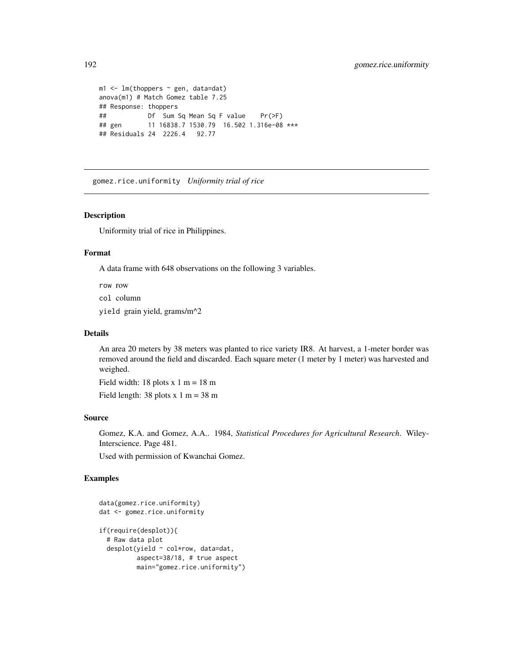```
m1 \leq -\ln(\text{thoppers} \sim \text{gen}, \text{data=dat})anova(m1) # Match Gomez table 7.25
## Response: thoppers
## Df Sum Sq Mean Sq F value Pr(>F)
## gen 11 16838.7 1530.79 16.502 1.316e-08 ***
## Residuals 24 2226.4 92.77
```
gomez.rice.uniformity *Uniformity trial of rice*

#### Description

Uniformity trial of rice in Philippines.

## Format

A data frame with 648 observations on the following 3 variables.

row row

col column

yield grain yield, grams/m^2

#### Details

An area 20 meters by 38 meters was planted to rice variety IR8. At harvest, a 1-meter border was removed around the field and discarded. Each square meter (1 meter by 1 meter) was harvested and weighed.

Field width: 18 plots  $x 1 m = 18 m$ 

Field length:  $38$  plots x 1 m =  $38$  m

#### Source

Gomez, K.A. and Gomez, A.A.. 1984, *Statistical Procedures for Agricultural Research*. Wiley-Interscience. Page 481.

Used with permission of Kwanchai Gomez.

```
data(gomez.rice.uniformity)
dat <- gomez.rice.uniformity
if(require(desplot)){
 # Raw data plot
 desplot(yield ~ col*row, data=dat,
         aspect=38/18, # true aspect
         main="gomez.rice.uniformity")
```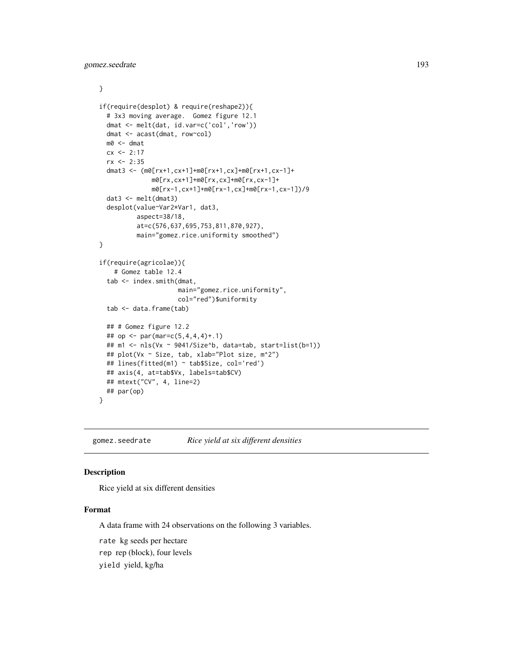```
}
if(require(desplot) & require(reshape2)){
 # 3x3 moving average. Gomez figure 12.1
 dmat <- melt(dat, id.var=c('col','row'))
 dmat <- acast(dmat, row~col)
 m0 <- dmat
 cx < -2:17rx <- 2:35
 dmat3 <- (m0[rx+1,cx+1]+m0[rx+1,cx]+m0[rx+1,cx-1]+
             m0[rx,cx+1]+m0[rx,cx]+m0[rx,cx-1]+
             m0[rx-1,cx+1]+m0[rx-1,cx]+m0[rx-1,cx-1])/9
 dat3 <- melt(dmat3)
 desplot(value~Var2*Var1, dat3,
          aspect=38/18,
          at=c(576,637,695,753,811,870,927),
         main="gomez.rice.uniformity smoothed")
}
if(require(agricolae)){
    # Gomez table 12.4
 tab <- index.smith(dmat,
                     main="gomez.rice.uniformity",
                     col="red")$uniformity
 tab <- data.frame(tab)
 ## # Gomez figure 12.2
 ## op <- par(mar=c(5,4,4,4)+.1)
 ## m1 <- nls(Vx ~ 9041/Size^b, data=tab, start=list(b=1))
 ## plot(Vx ~ Size, tab, xlab="Plot size, m^2")
 ## lines(fitted(m1) ~ tab$Size, col='red')
 ## axis(4, at=tab$Vx, labels=tab$CV)
 ## mtext("CV", 4, line=2)
 ## par(op)
}
```
gomez.seedrate *Rice yield at six different densities*

# Description

Rice yield at six different densities

## Format

A data frame with 24 observations on the following 3 variables.

rate kg seeds per hectare

rep rep (block), four levels

yield yield, kg/ha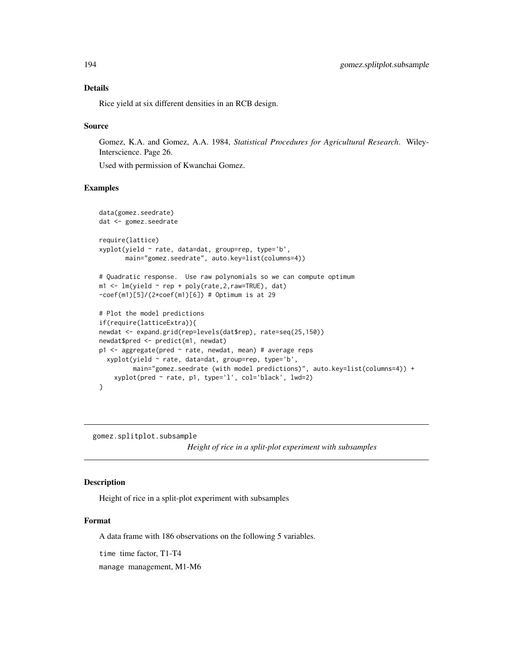## Details

Rice yield at six different densities in an RCB design.

#### Source

Gomez, K.A. and Gomez, A.A. 1984, *Statistical Procedures for Agricultural Research*. Wiley-Interscience. Page 26.

Used with permission of Kwanchai Gomez.

# Examples

```
data(gomez.seedrate)
dat <- gomez.seedrate
require(lattice)
xyplot(yield ~ rate, data=dat, group=rep, type='b',
       main="gomez.seedrate", auto.key=list(columns=4))
# Quadratic response. Use raw polynomials so we can compute optimum
m1 \leq Im(yield \sim rep + poly(rate, 2, raw=True), dat)-coef(m1)[5]/(2*coef(m1)[6]) # Optimum is at 29
# Plot the model predictions
if(require(latticeExtra)){
newdat <- expand.grid(rep=levels(dat$rep), rate=seq(25,150))
newdat$pred <- predict(m1, newdat)
p1 <- aggregate(pred ~ rate, newdat, mean) # average reps
 xyplot(yield ~ rate, data=dat, group=rep, type='b',
        main="gomez.seedrate (with model predictions)", auto.key=list(columns=4)) +
    xyplot(pred ~ rate, p1, type='l', col='black', lwd=2)
}
```
gomez.splitplot.subsample

*Height of rice in a split-plot experiment with subsamples*

# **Description**

Height of rice in a split-plot experiment with subsamples

#### Format

A data frame with 186 observations on the following 5 variables.

time time factor, T1-T4

manage management, M1-M6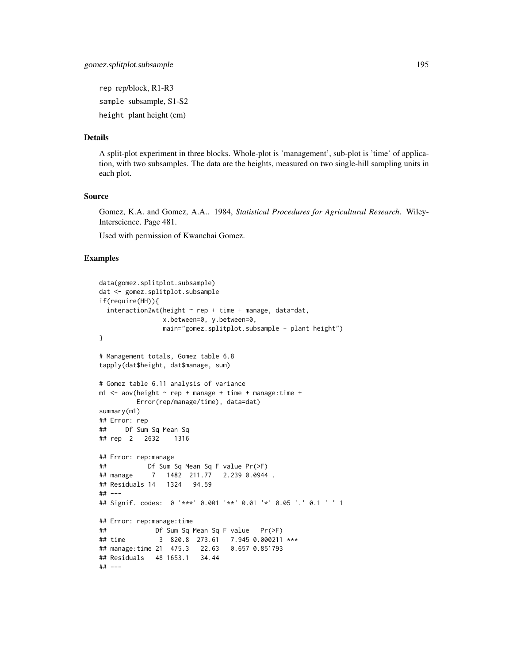rep rep/block, R1-R3 sample subsample, S1-S2 height plant height (cm)

# Details

A split-plot experiment in three blocks. Whole-plot is 'management', sub-plot is 'time' of application, with two subsamples. The data are the heights, measured on two single-hill sampling units in each plot.

#### Source

Gomez, K.A. and Gomez, A.A.. 1984, *Statistical Procedures for Agricultural Research*. Wiley-Interscience. Page 481.

Used with permission of Kwanchai Gomez.

```
data(gomez.splitplot.subsample)
dat <- gomez.splitplot.subsample
if(require(HH)){
 interaction2wt(height ~ rep + time + manage, data=dat,x.between=0, y.between=0,
                main="gomez.splitplot.subsample - plant height")
}
# Management totals, Gomez table 6.8
tapply(dat$height, dat$manage, sum)
# Gomez table 6.11 analysis of variance
m1 <- aov(height \sim rep + manage + time + manage:time +
         Error(rep/manage/time), data=dat)
summary(m1)
## Error: rep
## Df Sum Sq Mean Sq
## rep 2 2632 1316
## Error: rep:manage
## Df Sum Sq Mean Sq F value Pr(>F)
## manage 7 1482 211.77 2.239 0.0944 .
## Residuals 14 1324 94.59
## ---
## Signif. codes: 0 '***' 0.001 '**' 0.01 '*' 0.05 '.' 0.1 ' ' 1
## Error: rep:manage:time
## Df Sum Sq Mean Sq F value Pr(>F)
## time 3 820.8 273.61 7.945 0.000211 ***
## manage:time 21 475.3 22.63 0.657 0.851793
## Residuals 48 1653.1 34.44
## ---
```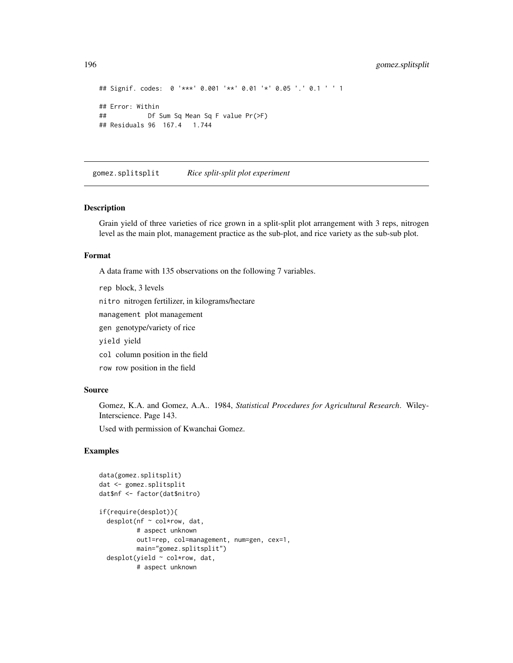```
## Signif. codes: 0 '***' 0.001 '**' 0.01 '*' 0.05 '.' 0.1 ' ' 1
## Error: Within
## Df Sum Sq Mean Sq F value Pr(>F)
## Residuals 96 167.4 1.744
```
gomez.splitsplit *Rice split-split plot experiment*

## Description

Grain yield of three varieties of rice grown in a split-split plot arrangement with 3 reps, nitrogen level as the main plot, management practice as the sub-plot, and rice variety as the sub-sub plot.

## Format

A data frame with 135 observations on the following 7 variables.

rep block, 3 levels nitro nitrogen fertilizer, in kilograms/hectare management plot management gen genotype/variety of rice yield yield col column position in the field row row position in the field

# Source

Gomez, K.A. and Gomez, A.A.. 1984, *Statistical Procedures for Agricultural Research*. Wiley-Interscience. Page 143.

Used with permission of Kwanchai Gomez.

```
data(gomez.splitsplit)
dat <- gomez.splitsplit
dat$nf <- factor(dat$nitro)
if(require(desplot)){
  desplot(nf ~ col*row, dat,
          # aspect unknown
         out1=rep, col=management, num=gen, cex=1,
         main="gomez.splitsplit")
  desplot(yield ~ col*row, dat,
         # aspect unknown
```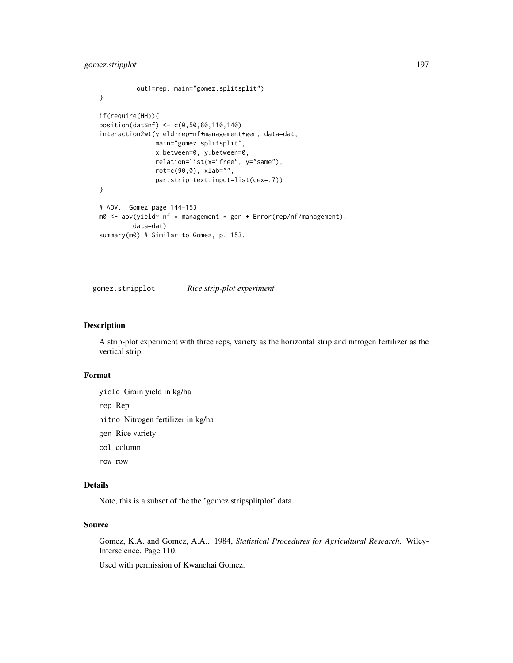# gomez.stripplot 197

```
out1=rep, main="gomez.splitsplit")
}
if(require(HH)){
position(dat$nf) <- c(0,50,80,110,140)
interaction2wt(yield~rep+nf+management+gen, data=dat,
              main="gomez.splitsplit",
              x.between=0, y.between=0,
              relation=list(x="free", y="same"),
              rot=c(90,0), xlab="",
              par.strip.text.input=list(cex=.7))
}
# AOV. Gomez page 144-153
m0 <- aov(yield~ nf * management * gen + Error(rep/nf/management),
        data=dat)
summary(m0) # Similar to Gomez, p. 153.
```
gomez.stripplot *Rice strip-plot experiment*

## Description

A strip-plot experiment with three reps, variety as the horizontal strip and nitrogen fertilizer as the vertical strip.

#### Format

yield Grain yield in kg/ha

rep Rep

- nitro Nitrogen fertilizer in kg/ha
- gen Rice variety
- col column
- row row

## Details

Note, this is a subset of the the 'gomez.stripsplitplot' data.

# Source

Gomez, K.A. and Gomez, A.A.. 1984, *Statistical Procedures for Agricultural Research*. Wiley-Interscience. Page 110.

Used with permission of Kwanchai Gomez.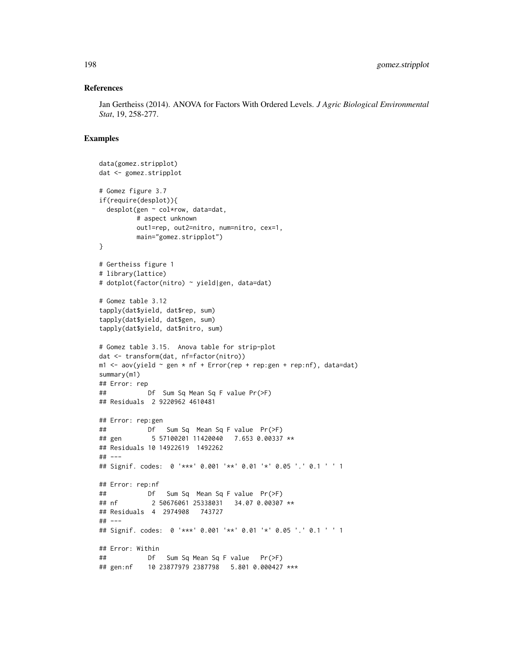### References

Jan Gertheiss (2014). ANOVA for Factors With Ordered Levels. *J Agric Biological Environmental Stat*, 19, 258-277.

```
data(gomez.stripplot)
dat <- gomez.stripplot
# Gomez figure 3.7
if(require(desplot)){
 desplot(gen ~ col*row, data=dat,
         # aspect unknown
         out1=rep, out2=nitro, num=nitro, cex=1,
         main="gomez.stripplot")
}
# Gertheiss figure 1
# library(lattice)
# dotplot(factor(nitro) ~ yield|gen, data=dat)
# Gomez table 3.12
tapply(dat$yield, dat$rep, sum)
tapply(dat$yield, dat$gen, sum)
tapply(dat$yield, dat$nitro, sum)
# Gomez table 3.15. Anova table for strip-plot
dat <- transform(dat, nf=factor(nitro))
m1 <- aov(yield ~ gen * nf + Error(rep + rep:gen + rep:nf), data=dat)
summary(m1)
## Error: rep
## Df Sum Sq Mean Sq F value Pr(>F)
## Residuals 2 9220962 4610481
## Error: rep:gen
## Df Sum Sq Mean Sq F value Pr(>F)
## gen 5 57100201 11420040 7.653 0.00337 **
## Residuals 10 14922619 1492262
## ---
## Signif. codes: 0 '***' 0.001 '**' 0.01 '*' 0.05 '.' 0.1 ' ' 1
## Error: rep:nf
## Df Sum Sq Mean Sq F value Pr(>F)
## nf 2 50676061 25338031 34.07 0.00307 **
## Residuals 4 2974908 743727
## ---
## Signif. codes: 0 '***' 0.001 '**' 0.01 '*' 0.05 '.' 0.1 ' ' 1
## Error: Within
## Df Sum Sq Mean Sq F value Pr(>F)
## gen:nf 10 23877979 2387798 5.801 0.000427 ***
```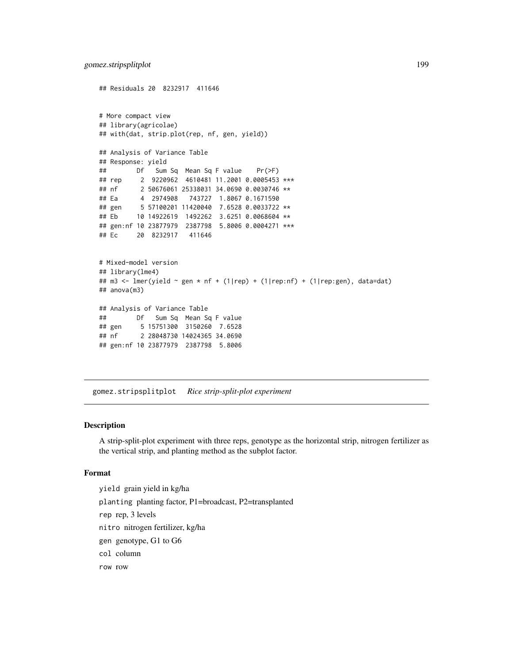```
## Residuals 20 8232917 411646
# More compact view
## library(agricolae)
## with(dat, strip.plot(rep, nf, gen, yield))
## Analysis of Variance Table
## Response: yield
## Df Sum Sq Mean Sq F value Pr(>F)
## rep 2 9220962 4610481 11.2001 0.0005453 ***
## nf 2 50676061 25338031 34.0690 0.0030746 **
## Ea 4 2974908 743727 1.8067 0.1671590
## gen 5 57100201 11420040 7.6528 0.0033722 **
## Eb 10 14922619 1492262 3.6251 0.0068604 **
## gen:nf 10 23877979 2387798 5.8006 0.0004271 ***
## Ec 20 8232917 411646
# Mixed-model version
## library(lme4)
## m3 <- lmer(yield ~ gen * nf + (1|rep) + (1|rep:nf) + (1|rep:gen), data=dat)
## anova(m3)
## Analysis of Variance Table
## Df Sum Sq Mean Sq F value
## gen 5 15751300 3150260 7.6528
## nf 2 28048730 14024365 34.0690
## gen:nf 10 23877979 2387798 5.8006
```
gomez.stripsplitplot *Rice strip-split-plot experiment*

## Description

A strip-split-plot experiment with three reps, genotype as the horizontal strip, nitrogen fertilizer as the vertical strip, and planting method as the subplot factor.

#### Format

yield grain yield in kg/ha planting planting factor, P1=broadcast, P2=transplanted rep rep, 3 levels nitro nitrogen fertilizer, kg/ha gen genotype, G1 to G6 col column row row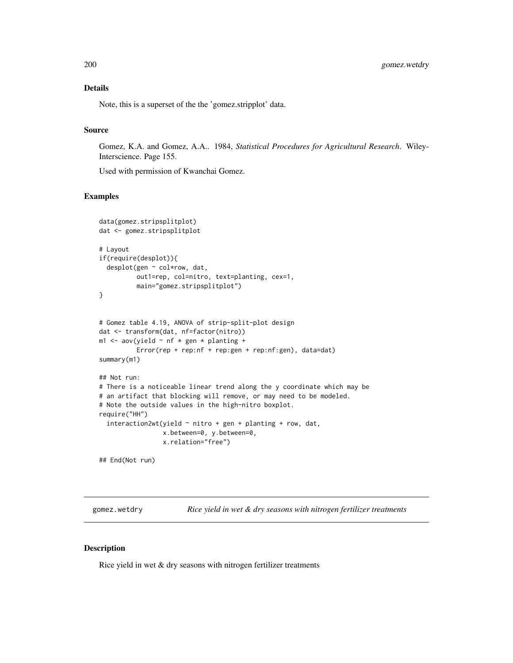# Details

Note, this is a superset of the the 'gomez.stripplot' data.

#### Source

Gomez, K.A. and Gomez, A.A.. 1984, *Statistical Procedures for Agricultural Research*. Wiley-Interscience. Page 155.

Used with permission of Kwanchai Gomez.

## Examples

```
data(gomez.stripsplitplot)
dat <- gomez.stripsplitplot
# Layout
if(require(desplot)){
 desplot(gen ~ col*row, dat,
         out1=rep, col=nitro, text=planting, cex=1,
         main="gomez.stripsplitplot")
}
# Gomez table 4.19, ANOVA of strip-split-plot design
dat <- transform(dat, nf=factor(nitro))
m1 <- aov(yield \sim nf * gen * planting +
          Error(rep + rep:nf + rep:gen + rep:nf:gen), data=dat)
summary(m1)
## Not run:
# There is a noticeable linear trend along the y coordinate which may be
# an artifact that blocking will remove, or may need to be modeled.
# Note the outside values in the high-nitro boxplot.
require("HH")
 interaction2wt(yield ~ nitro + gen + planning + row, dat,x.between=0, y.between=0,
                 x.relation="free")
```
## End(Not run)

gomez.wetdry *Rice yield in wet & dry seasons with nitrogen fertilizer treatments*

# Description

Rice yield in wet & dry seasons with nitrogen fertilizer treatments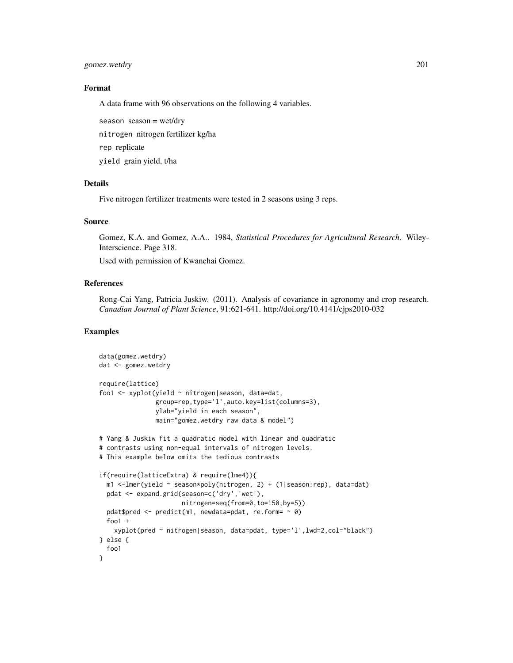gomez.wetdry 201

# Format

A data frame with 96 observations on the following 4 variables.

season season = wet/dry

nitrogen nitrogen fertilizer kg/ha

rep replicate

yield grain yield, t/ha

# Details

Five nitrogen fertilizer treatments were tested in 2 seasons using 3 reps.

# Source

Gomez, K.A. and Gomez, A.A.. 1984, *Statistical Procedures for Agricultural Research*. Wiley-Interscience. Page 318.

Used with permission of Kwanchai Gomez.

## References

Rong-Cai Yang, Patricia Juskiw. (2011). Analysis of covariance in agronomy and crop research. *Canadian Journal of Plant Science*, 91:621-641. http://doi.org/10.4141/cjps2010-032

```
data(gomez.wetdry)
dat <- gomez.wetdry
require(lattice)
foo1 <- xyplot(yield ~ nitrogen|season, data=dat,
               group=rep,type='l',auto.key=list(columns=3),
              ylab="yield in each season",
              main="gomez.wetdry raw data & model")
# Yang & Juskiw fit a quadratic model with linear and quadratic
# contrasts using non-equal intervals of nitrogen levels.
# This example below omits the tedious contrasts
if(require(latticeExtra) & require(lme4)){
 m1 <-lmer(yield ~ season*poly(nitrogen, 2) + (1|season:rep), data=dat)
 pdat <- expand.grid(season=c('dry','wet'),
                      nitrogen=seq(from=0,to=150,by=5))
 pdat$pred <- predict(m1, newdata=pdat, re.form= ~ 0)
 foo1 +
   xyplot(pred ~ nitrogen|season, data=pdat, type='l',lwd=2,col="black")
} else {
 foo1
}
```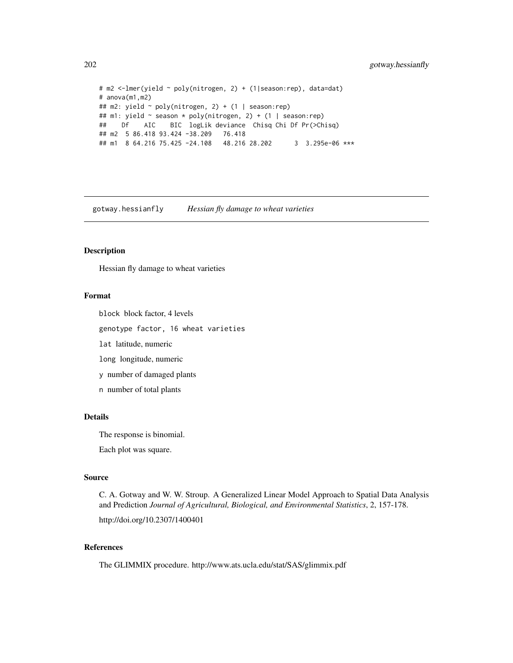```
# m2 <-lmer(yield ~ poly(nitrogen, 2) + (1|season:rep), data=dat)
# anova(m1,m2)
## m2: yield ~ poly(nitrogen, 2) + (1 | season:rep)
## m1: yield ~ season * poly(nitrogen, 2) + (1 | season:rep)
## Df AIC BIC logLik deviance Chisq Chi Df Pr(>Chisq)
## m2 5 86.418 93.424 -38.209 76.418
## m1 8 64.216 75.425 -24.108 48.216 28.202 3 3.295e-06 ***
```
gotway.hessianfly *Hessian fly damage to wheat varieties*

#### Description

Hessian fly damage to wheat varieties

## Format

block block factor, 4 levels

genotype factor, 16 wheat varieties

lat latitude, numeric

long longitude, numeric

y number of damaged plants

n number of total plants

#### Details

The response is binomial.

Each plot was square.

#### Source

C. A. Gotway and W. W. Stroup. A Generalized Linear Model Approach to Spatial Data Analysis and Prediction *Journal of Agricultural, Biological, and Environmental Statistics*, 2, 157-178.

http://doi.org/10.2307/1400401

# References

The GLIMMIX procedure. http://www.ats.ucla.edu/stat/SAS/glimmix.pdf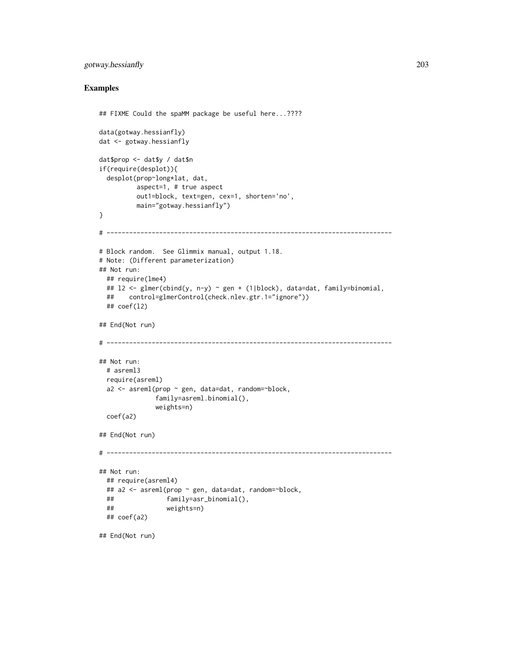# gotway.hessianfly 203

```
## FIXME Could the spaMM package be useful here...????
data(gotway.hessianfly)
dat <- gotway.hessianfly
dat$prop <- dat$y / dat$n
if(require(desplot)){
 desplot(prop~long*lat, dat,
         aspect=1, # true aspect
         out1=block, text=gen, cex=1, shorten='no',
         main="gotway.hessianfly")
}
# ----------------------------------------------------------------------------
# Block random. See Glimmix manual, output 1.18.
# Note: (Different parameterization)
## Not run:
 ## require(lme4)
 ## l2 <- glmer(cbind(y, n-y) ~ gen + (1|block), data=dat, family=binomial,
 ## control=glmerControl(check.nlev.gtr.1="ignore"))
 ## coef(l2)
## End(Not run)
# ----------------------------------------------------------------------------
## Not run:
 # asreml3
 require(asreml)
 a2 \leq -\text{asreml}(\text{prop} \leq \text{gen}, \text{data=dat}, \text{random=+block},family=asreml.binomial(),
               weights=n)
 coef(a2)
## End(Not run)
# ----------------------------------------------------------------------------
## Not run:
 ## require(asreml4)
 ## a2 <- asreml(prop ~ gen, data=dat, random=~block,
 ## family=asr_binomial(),
 ## weights=n)
 ## coef(a2)
## End(Not run)
```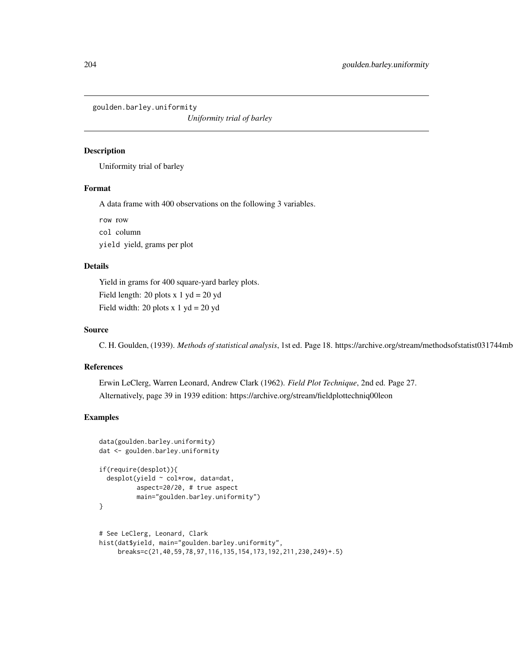goulden.barley.uniformity

*Uniformity trial of barley*

# Description

Uniformity trial of barley

# Format

A data frame with 400 observations on the following 3 variables.

row row col column yield yield, grams per plot

# Details

Yield in grams for 400 square-yard barley plots. Field length: 20 plots  $x 1 yd = 20 yd$ Field width: 20 plots  $x 1 yd = 20 yd$ 

# Source

C. H. Goulden, (1939). *Methods of statistical analysis*, 1st ed. Page 18. https://archive.org/stream/methodsofstatist031744mbp

#### References

Erwin LeClerg, Warren Leonard, Andrew Clark (1962). *Field Plot Technique*, 2nd ed. Page 27. Alternatively, page 39 in 1939 edition: https://archive.org/stream/fieldplottechniq00leon

```
data(goulden.barley.uniformity)
dat <- goulden.barley.uniformity
```

```
if(require(desplot)){
 desplot(yield ~ col*row, data=dat,
         aspect=20/20, # true aspect
         main="goulden.barley.uniformity")
}
```

```
# See LeClerg, Leonard, Clark
hist(dat$yield, main="goulden.barley.uniformity",
     breaks=c(21,40,59,78,97,116,135,154,173,192,211,230,249)+.5)
```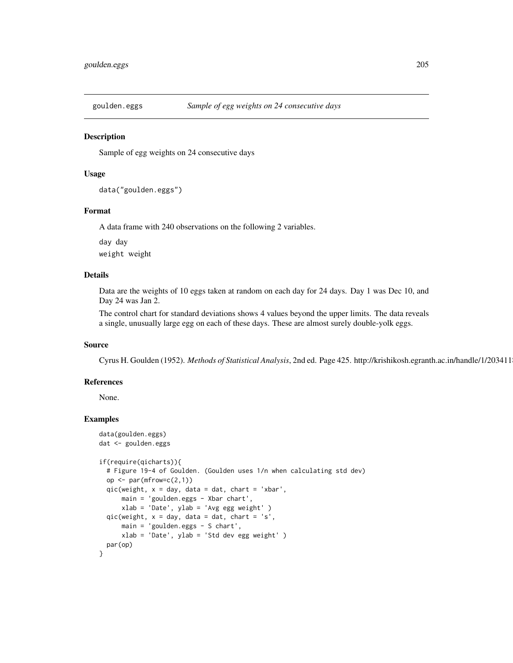#### Description

Sample of egg weights on 24 consecutive days

## Usage

```
data("goulden.eggs")
```
#### Format

A data frame with 240 observations on the following 2 variables.

day day weight weight

# Details

Data are the weights of 10 eggs taken at random on each day for 24 days. Day 1 was Dec 10, and Day 24 was Jan 2.

The control chart for standard deviations shows 4 values beyond the upper limits. The data reveals a single, unusually large egg on each of these days. These are almost surely double-yolk eggs.

## Source

Cyrus H. Goulden (1952). *Methods of Statistical Analysis*, 2nd ed. Page 425. http://krishikosh.egranth.ac.in/handle/1/2034118

## References

None.

```
data(goulden.eggs)
dat <- goulden.eggs
if(require(qicharts)){
  # Figure 19-4 of Goulden. (Goulden uses 1/n when calculating std dev)
  op \leq par(mfrow=c(2,1))
  qic(weight, x = day, data = dat, chart = 'xbar',main = 'goulden.eggs - Xbar chart',
      xlab = 'Date', ylab = 'Avg egg weight' )
  qic(weight, x = day, data = dat, chart = 's',
      main = 'goulden.eggs - S chart',
      xlab = 'Date', ylab = 'Std dev egg weight' )
  par(op)
}
```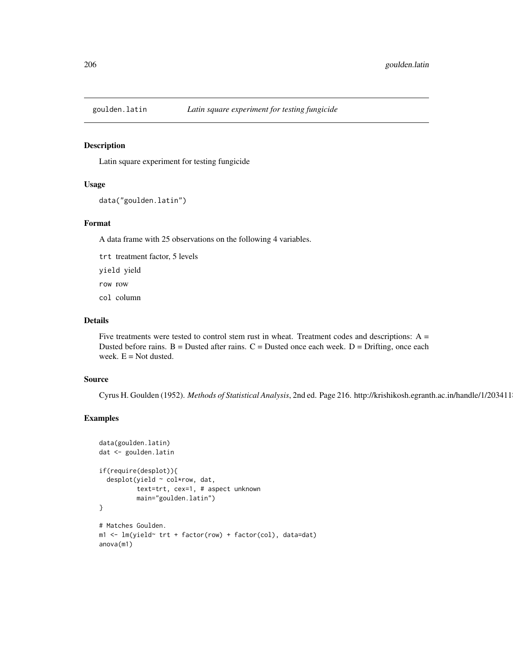## Description

Latin square experiment for testing fungicide

# Usage

```
data("goulden.latin")
```
#### Format

A data frame with 25 observations on the following 4 variables.

trt treatment factor, 5 levels

yield yield

row row

col column

## Details

Five treatments were tested to control stem rust in wheat. Treatment codes and descriptions:  $A =$ Dusted before rains.  $B =$  Dusted after rains.  $C =$  Dusted once each week.  $D =$  Drifting, once each week.  $E = Not$  dusted.

#### Source

Cyrus H. Goulden (1952). *Methods of Statistical Analysis*, 2nd ed. Page 216. http://krishikosh.egranth.ac.in/handle/1/2034118

```
data(goulden.latin)
dat <- goulden.latin
if(require(desplot)){
 desplot(yield ~ col*row, dat,
         text=trt, cex=1, # aspect unknown
         main="goulden.latin")
}
# Matches Goulden.
m1 <- lm(yield~ trt + factor(row) + factor(col), data=dat)
anova(m1)
```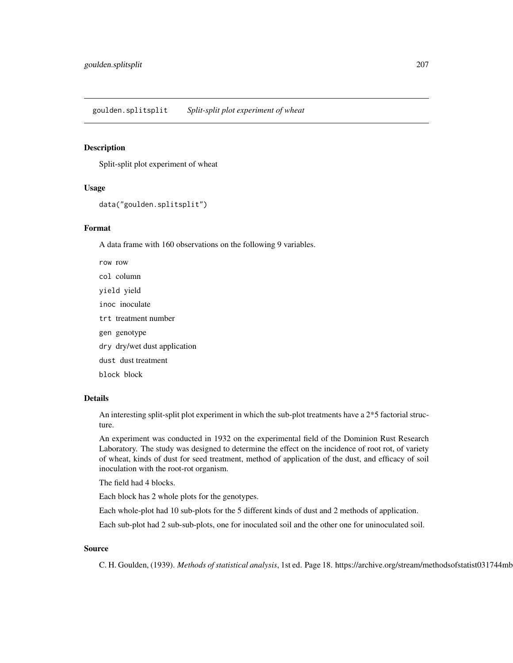goulden.splitsplit *Split-split plot experiment of wheat*

#### Description

Split-split plot experiment of wheat

# Usage

```
data("goulden.splitsplit")
```
## Format

A data frame with 160 observations on the following 9 variables.

row row col column yield yield inoc inoculate trt treatment number gen genotype dry dry/wet dust application dust dust treatment block block

# Details

An interesting split-split plot experiment in which the sub-plot treatments have a 2\*5 factorial structure.

An experiment was conducted in 1932 on the experimental field of the Dominion Rust Research Laboratory. The study was designed to determine the effect on the incidence of root rot, of variety of wheat, kinds of dust for seed treatment, method of application of the dust, and efficacy of soil inoculation with the root-rot organism.

The field had 4 blocks.

Each block has 2 whole plots for the genotypes.

Each whole-plot had 10 sub-plots for the 5 different kinds of dust and 2 methods of application.

Each sub-plot had 2 sub-sub-plots, one for inoculated soil and the other one for uninoculated soil.

# Source

C. H. Goulden, (1939). *Methods of statistical analysis*, 1st ed. Page 18. https://archive.org/stream/methodsofstatist031744mbp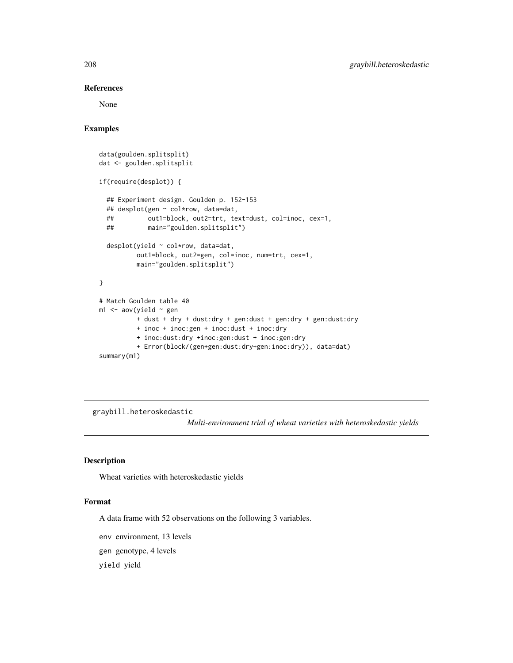## References

None

# Examples

```
data(goulden.splitsplit)
dat <- goulden.splitsplit
if(require(desplot)) {
  ## Experiment design. Goulden p. 152-153
  ## desplot(gen ~ col*row, data=dat,
  ## out1=block, out2=trt, text=dust, col=inoc, cex=1,
  ## main="goulden.splitsplit")
  desplot(yield ~ col*row, data=dat,
         out1=block, out2=gen, col=inoc, num=trt, cex=1,
         main="goulden.splitsplit")
}
# Match Goulden table 40
m1 < -\text{av}(yield \sim gen+ dust + dry + dust:dry + gen:dust + gen:dry + gen:dust:dry
         + inoc + inoc:gen + inoc:dust + inoc:dry
         + inoc:dust:dry +inoc:gen:dust + inoc:gen:dry
          + Error(block/(gen+gen:dust:dry+gen:inoc:dry)), data=dat)
summary(m1)
```
graybill.heteroskedastic

*Multi-environment trial of wheat varieties with heteroskedastic yields*

# Description

Wheat varieties with heteroskedastic yields

#### Format

A data frame with 52 observations on the following 3 variables.

env environment, 13 levels

gen genotype, 4 levels

yield yield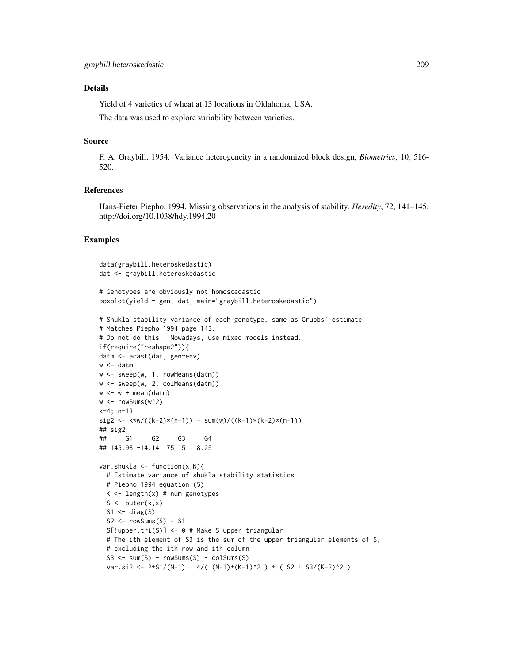# Details

Yield of 4 varieties of wheat at 13 locations in Oklahoma, USA.

The data was used to explore variability between varieties.

#### Source

F. A. Graybill, 1954. Variance heterogeneity in a randomized block design, *Biometrics*, 10, 516- 520.

#### References

Hans-Pieter Piepho, 1994. Missing observations in the analysis of stability. *Heredity*, 72, 141–145. http://doi.org/10.1038/hdy.1994.20

```
data(graybill.heteroskedastic)
dat <- graybill.heteroskedastic
# Genotypes are obviously not homoscedastic
boxplot(yield ~ gen, dat, main="graybill.heteroskedastic")
# Shukla stability variance of each genotype, same as Grubbs' estimate
# Matches Piepho 1994 page 143.
# Do not do this! Nowadays, use mixed models instead.
if(require("reshape2")){
datm <- acast(dat, gen~env)
w <- datm
w <- sweep(w, 1, rowMeans(datm))
w <- sweep(w, 2, colMeans(datm))
w < -w + \text{mean}(\text{datum})w < - rowSums(w^2)
k=4; n=13
sig2 \leq k \cdot k \cdot (k-2) \cdot (n-1) - sum(w)/((k-1)*(k-2) \cdot (n-1))
## sig2
## G1 G2 G3 G4
## 145.98 -14.14 75.15 18.25
var.shukla \leq function(x,N){
  # Estimate variance of shukla stability statistics
  # Piepho 1994 equation (5)
  K \leq -\text{length}(x) \# \text{ num} genotypes
  S \leftarrow outer(x, x)S1 \leftarrow diag(S)S2 \leq -\text{rowSums}(S) - S1S[!upper.tri(S)] <- 0 # Make S upper triangular
  # The ith element of S3 is the sum of the upper triangular elements of S,
  # excluding the ith row and ith column
  S3 \le -\text{sum}(S) - \text{rowsums}(S) - \text{colSums}(S)var.si2 <- 2*S1/(N-1) + 4/( (N-1)*(K-1)^2 ) * ( S2 + S3/(K-2)^2 )
```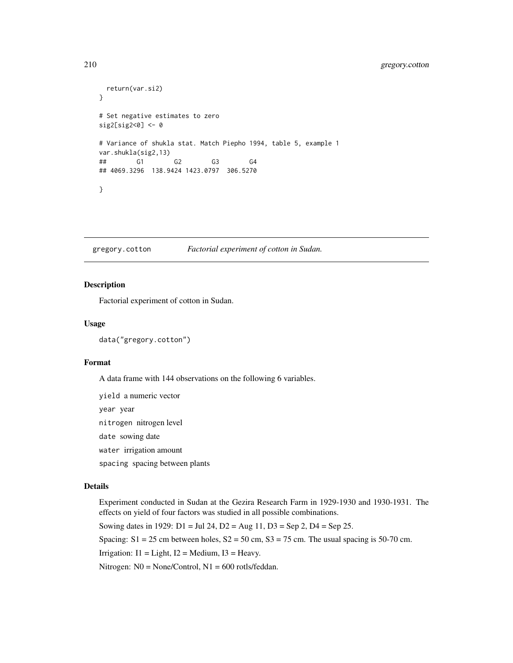# 210 gregory.cotton

```
return(var.si2)
}
# Set negative estimates to zero
sig2[sig2<0] <- 0
# Variance of shukla stat. Match Piepho 1994, table 5, example 1
var.shukla(sig2,13)
## G1 G2 G3 G4
## 4069.3296 138.9424 1423.0797 306.5270
}
```
gregory.cotton *Factorial experiment of cotton in Sudan.*

## **Description**

Factorial experiment of cotton in Sudan.

#### Usage

data("gregory.cotton")

## Format

A data frame with 144 observations on the following 6 variables.

yield a numeric vector

year year

nitrogen nitrogen level

date sowing date

water irrigation amount

spacing spacing between plants

## Details

Experiment conducted in Sudan at the Gezira Research Farm in 1929-1930 and 1930-1931. The effects on yield of four factors was studied in all possible combinations.

Sowing dates in 1929:  $D1 = \text{Jul } 24$ ,  $D2 = \text{Aug } 11$ ,  $D3 = \text{Sep } 2$ ,  $D4 = \text{Sep } 25$ .

Spacing:  $S1 = 25$  cm between holes,  $S2 = 50$  cm,  $S3 = 75$  cm. The usual spacing is 50-70 cm.

Irrigation:  $I1 = Light$ ,  $I2 = Medium$ ,  $I3 = Heavy$ .

Nitrogen: N0 = None/Control, N1 = 600 rotls/feddan.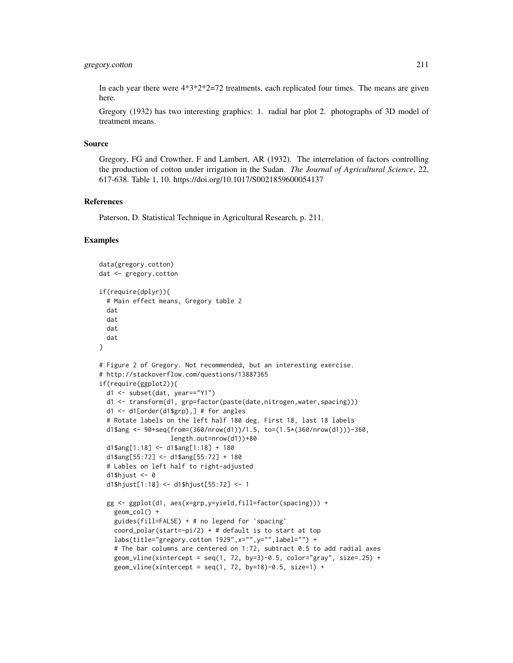## gregory.cotton 211

In each year there were  $4*3*2*2=72$  treatments, each replicated four times. The means are given here.

Gregory (1932) has two interesting graphics: 1. radial bar plot 2. photographs of 3D model of treatment means.

## Source

Gregory, FG and Crowther, F and Lambert, AR (1932). The interrelation of factors controlling the production of cotton under irrigation in the Sudan. *The Journal of Agricultural Science*, 22, 617-638. Table 1, 10. https://doi.org/10.1017/S0021859600054137

## References

Paterson, D. Statistical Technique in Agricultural Research, p. 211.

```
data(gregory.cotton)
dat <- gregory.cotton
if(require(dplyr)){
 # Main effect means, Gregory table 2
 dat
 dat
 dat
 dat
}
# Figure 2 of Gregory. Not recommended, but an interesting exercise.
# http://stackoverflow.com/questions/13887365
if(require(ggplot2)){
 d1 <- subset(dat, year=="Y1")
 d1 <- transform(d1, grp=factor(paste(date,nitrogen,water,spacing)))
 d1 <- d1[order(d1$grp),] # for angles
 # Rotate labels on the left half 180 deg. First 18, last 18 labels
 d1$ang <- 90+seq(from=(360/nrow(d1))/1.5, to=(1.5*(360/nrow(d1)))-360,
                   length.out=nrow(d1))+80
 d1$ang[1:18] \le d1$ang[1:18] + 180
 d1$ang[55:72] <- d1$ang[55:72] + 180
 # Lables on left half to right-adjusted
 d1$hjust <-0d1$hjust[1:18] <- d1$hjust[55:72] <- 1
 gg <- ggplot(d1, aes(x=grp,y=yield,fill=factor(spacing))) +
   geom_col() +
    guides(fill=FALSE) + # no legend for 'spacing'
    coord\_polar(start=-pi/2) + # default is to start at top
   labs(title="gregory.cotton 1929",x="",y="",label="") +
    # The bar columns are centered on 1:72, subtract 0.5 to add radial axes
   geom_vline(xintercept = seq(1, 72, by=3)-0.5, color="gray", size=.25) +
   geom_vline(xintercept = seq(1, 72, by=18)-0.5, size=1) +
```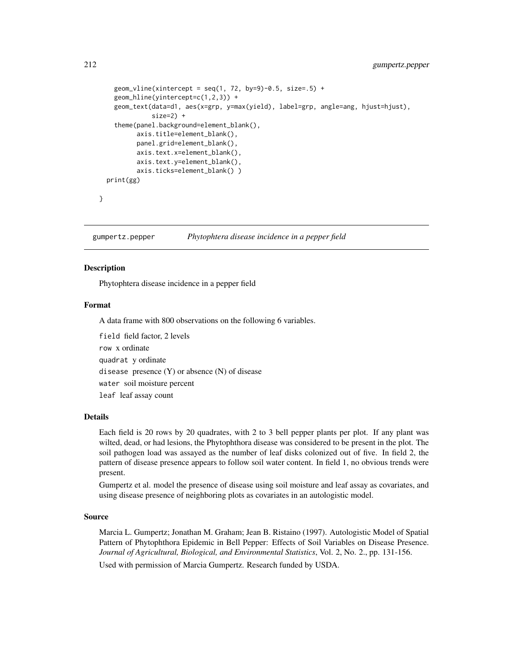```
geom_vline(xintercept = seq(1, 72, by=9)-0.5, size=.5) +
    geom_hline(yintercept=c(1,2,3)) +
    geom_text(data=d1, aes(x=grp, y=max(yield), label=grp, angle=ang, hjust=hjust),
              size=2) +
    theme(panel.background=element_blank(),
         axis.title=element_blank(),
          panel.grid=element_blank(),
          axis.text.x=element_blank(),
          axis.text.y=element_blank(),
          axis.ticks=element_blank() )
 print(gg)
}
```
gumpertz.pepper *Phytophtera disease incidence in a pepper field*

## **Description**

Phytophtera disease incidence in a pepper field

#### Format

A data frame with 800 observations on the following 6 variables.

field field factor, 2 levels row x ordinate quadrat y ordinate disease presence  $(Y)$  or absence  $(N)$  of disease water soil moisture percent leaf leaf assay count

#### Details

Each field is 20 rows by 20 quadrates, with 2 to 3 bell pepper plants per plot. If any plant was wilted, dead, or had lesions, the Phytophthora disease was considered to be present in the plot. The soil pathogen load was assayed as the number of leaf disks colonized out of five. In field 2, the pattern of disease presence appears to follow soil water content. In field 1, no obvious trends were present.

Gumpertz et al. model the presence of disease using soil moisture and leaf assay as covariates, and using disease presence of neighboring plots as covariates in an autologistic model.

#### Source

Marcia L. Gumpertz; Jonathan M. Graham; Jean B. Ristaino (1997). Autologistic Model of Spatial Pattern of Phytophthora Epidemic in Bell Pepper: Effects of Soil Variables on Disease Presence. *Journal of Agricultural, Biological, and Environmental Statistics*, Vol. 2, No. 2., pp. 131-156.

Used with permission of Marcia Gumpertz. Research funded by USDA.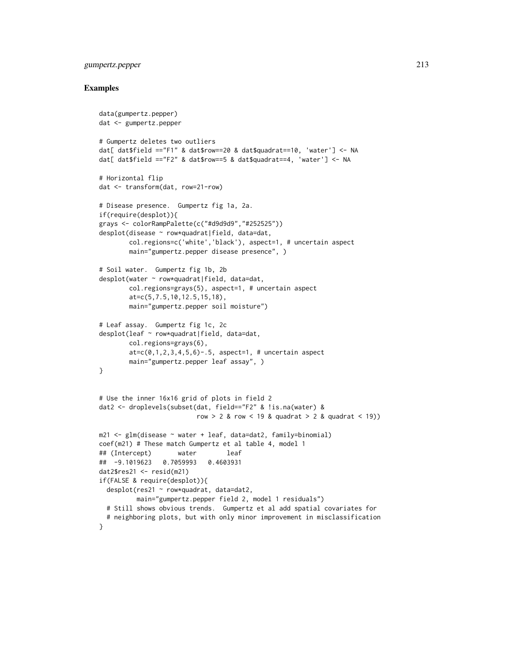# gumpertz.pepper 213

```
data(gumpertz.pepper)
dat <- gumpertz.pepper
# Gumpertz deletes two outliers
dat[ dat$field =="F1" & dat$row==20 & dat$quadrat==10, 'water'] <- NA
dat[ dat$field =="F2" & dat$row==5 & dat$quadrat==4, 'water'] <- NA
# Horizontal flip
dat <- transform(dat, row=21-row)
# Disease presence. Gumpertz fig 1a, 2a.
if(require(desplot)){
grays <- colorRampPalette(c("#d9d9d9","#252525"))
desplot(disease ~ row*quadrat|field, data=dat,
        col.regions=c('white','black'), aspect=1, # uncertain aspect
        main="gumpertz.pepper disease presence", )
# Soil water. Gumpertz fig 1b, 2b
desplot(water ~ row*quadrat|field, data=dat,
        col.regions=grays(5), aspect=1, # uncertain aspect
        at=c(5,7.5,10,12.5,15,18),
        main="gumpertz.pepper soil moisture")
# Leaf assay. Gumpertz fig 1c, 2c
desplot(leaf ~ row*quadrat|field, data=dat,
       col.regions=grays(6),
        at=c(0,1,2,3,4,5,6)-.5, aspect=1, # uncertain aspect
       main="gumpertz.pepper leaf assay", )
}
# Use the inner 16x16 grid of plots in field 2
dat2 <- droplevels(subset(dat, field=="F2" & !is.na(water) &
                         row > 2 & row < 19 & quadrat > 2 & quadrat < 19))
m21 <- glm(disease ~ water + leaf, data=dat2, family=binomial)
coef(m21) # These match Gumpertz et al table 4, model 1
## (Intercept) water leaf
## -9.1019623 0.7059993 0.4603931
dat2$res21 < -</math>resid(m21)if(FALSE & require(desplot)){
  desplot(res21 ~ row*quadrat, data=dat2,
          main="gumpertz.pepper field 2, model 1 residuals")
  # Still shows obvious trends. Gumpertz et al add spatial covariates for
  # neighboring plots, but with only minor improvement in misclassification
}
```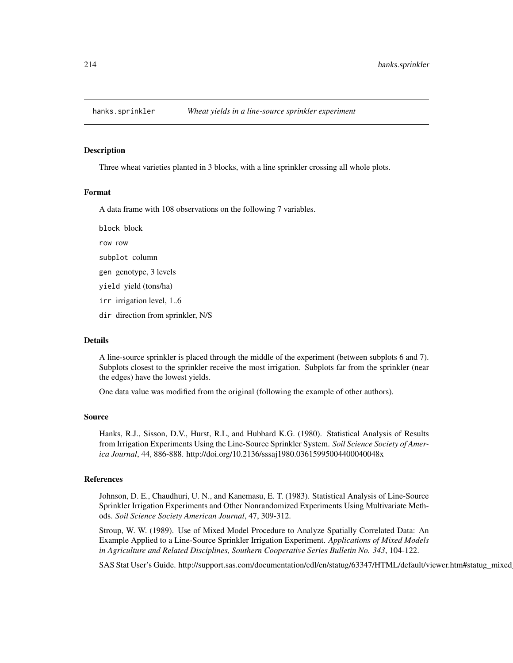#### Description

Three wheat varieties planted in 3 blocks, with a line sprinkler crossing all whole plots.

# Format

A data frame with 108 observations on the following 7 variables.

block block row row subplot column gen genotype, 3 levels yield yield (tons/ha) irr irrigation level, 1..6 dir direction from sprinkler, N/S

# Details

A line-source sprinkler is placed through the middle of the experiment (between subplots 6 and 7). Subplots closest to the sprinkler receive the most irrigation. Subplots far from the sprinkler (near the edges) have the lowest yields.

One data value was modified from the original (following the example of other authors).

#### Source

Hanks, R.J., Sisson, D.V., Hurst, R.L, and Hubbard K.G. (1980). Statistical Analysis of Results from Irrigation Experiments Using the Line-Source Sprinkler System. *Soil Science Society of America Journal*, 44, 886-888. http://doi.org/10.2136/sssaj1980.03615995004400040048x

#### References

Johnson, D. E., Chaudhuri, U. N., and Kanemasu, E. T. (1983). Statistical Analysis of Line-Source Sprinkler Irrigation Experiments and Other Nonrandomized Experiments Using Multivariate Methods. *Soil Science Society American Journal*, 47, 309-312.

Stroup, W. W. (1989). Use of Mixed Model Procedure to Analyze Spatially Correlated Data: An Example Applied to a Line-Source Sprinkler Irrigation Experiment. *Applications of Mixed Models in Agriculture and Related Disciplines, Southern Cooperative Series Bulletin No. 343*, 104-122.

SAS Stat User's Guide. http://support.sas.com/documentation/cdl/en/statug/63347/HTML/default/viewer.htm#statug\_mixed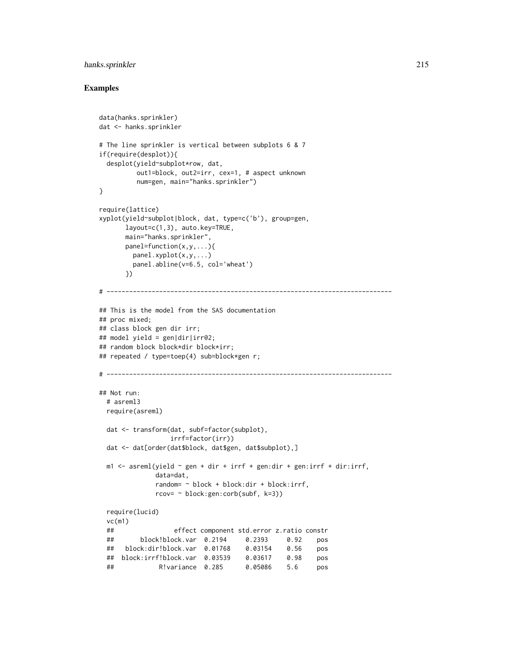# hanks.sprinkler 215

```
data(hanks.sprinkler)
dat <- hanks.sprinkler
# The line sprinkler is vertical between subplots 6 & 7
if(require(desplot)){
 desplot(yield~subplot*row, dat,
         out1=block, out2=irr, cex=1, # aspect unknown
         num=gen, main="hanks.sprinkler")
}
require(lattice)
xyplot(yield~subplot|block, dat, type=c('b'), group=gen,
      layout=c(1,3), auto.key=TRUE,
      main="hanks.sprinkler",
      panel=function(x,y,...){
        panel.xyplot(x,y,...)
        panel.abline(v=6.5, col='wheat')
      })
# ----------------------------------------------------------------------------
## This is the model from the SAS documentation
## proc mixed;
## class block gen dir irr;
## model yield = gen|dir|irr@2;
## random block block*dir block*irr;
## repeated / type=toep(4) sub=block*gen r;
# ----------------------------------------------------------------------------
## Not run:
 # asreml3
 require(asreml)
 dat <- transform(dat, subf=factor(subplot),
                  irrf=factor(irr))
 dat <- dat[order(dat$block, dat$gen, dat$subplot),]
 m1 <- asreml(yield \sim gen + dir + irrf + gen:dir + gen:irrf + dir:irrf,
              data=dat,
              random= ~ block + block:dir + block:irrf,
              rcov= ~ block:gen:corb(subf, k=3))
 require(lucid)
 vc(m1)
 ## effect component std.error z.ratio constr
 ## block!block.var 0.2194 0.2393 0.92 pos
 ## block:dir!block.var 0.01768 0.03154 0.56 pos
 ## block:irrf!block.var 0.03539 0.03617 0.98 pos
 ## R!variance 0.285 0.05086 5.6 pos
```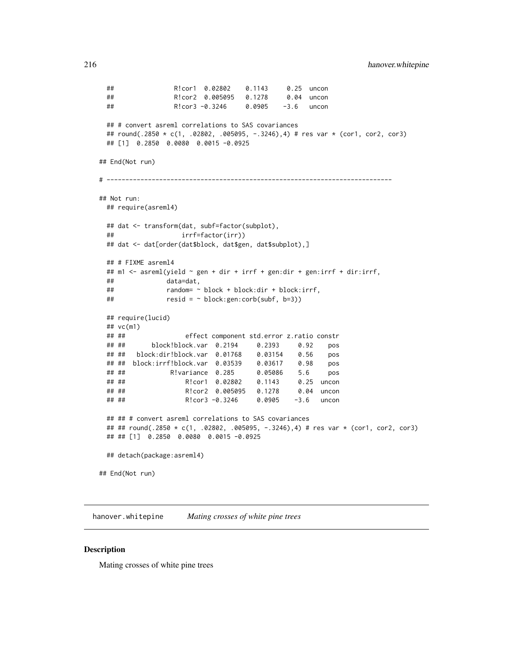```
## R!cor1 0.02802 0.1143 0.25 uncon
 ## R!cor2 0.005095 0.1278 0.04 uncon
 ## R!cor3 -0.3246 0.0905 -3.6 uncon
 ## # convert asreml correlations to SAS covariances
 ## round(.2850 * c(1, .02802, .005095, -.3246),4) # res var * (cor1, cor2, cor3)
 ## [1] 0.2850 0.0080 0.0015 -0.0925
## End(Not run)
# ----------------------------------------------------------------------------
## Not run:
 ## require(asreml4)
 ## dat <- transform(dat, subf=factor(subplot),
 ## irrf=factor(irr))
 ## dat <- dat[order(dat$block, dat$gen, dat$subplot),]
 ## # FIXME asreml4
 ## m1 <- asreml(yield ~ gen + dir + irrf + gen:dir + gen:irrf + dir:irrf,
 ## data=dat,
 ## random= ~ block + block:dir + block:irrf,
 ## resid = ~ block:gen:corb(subf, b=3))
 ## require(lucid)
 ## vc(m1)
 ## ## effect component std.error z.ratio constr
 ## ## block!block.var 0.2194 0.2393 0.92 pos
 ## ## block:dir!block.var 0.01768 0.03154 0.56 pos
 ## ## block:irrf!block.var 0.03539 0.03617 0.98 pos
 ## ## R!variance 0.285 0.05086 5.6 pos
 ## ## R!cor1 0.02802 0.1143 0.25 uncon
 ## ## R!cor2 0.005095 0.1278 0.04 uncon
 ## ## R!cor3 -0.3246 0.0905 -3.6 uncon
 ## ## # convert asreml correlations to SAS covariances
 ## ## round(.2850 * c(1, .02802, .005095, -.3246),4) # res var * (cor1, cor2, cor3)
 ## ## [1] 0.2850 0.0080 0.0015 -0.0925
 ## detach(package:asreml4)
## End(Not run)
```
hanover.whitepine *Mating crosses of white pine trees*

#### Description

Mating crosses of white pine trees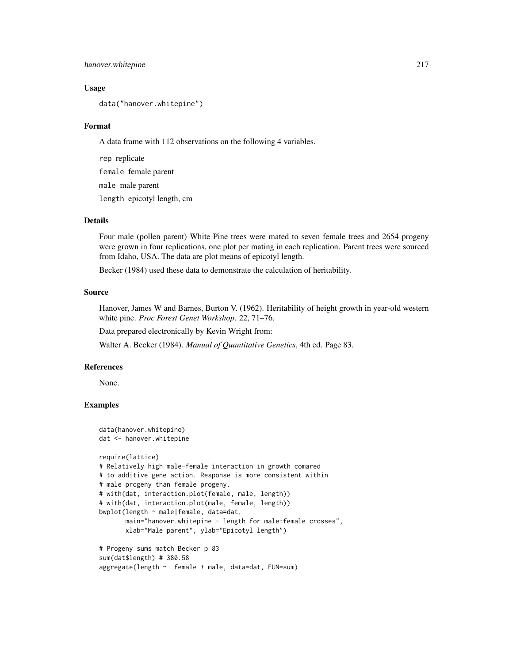# hanover.whitepine 217

## Usage

data("hanover.whitepine")

## Format

A data frame with 112 observations on the following 4 variables.

rep replicate female female parent male male parent length epicotyl length, cm

# Details

Four male (pollen parent) White Pine trees were mated to seven female trees and 2654 progeny were grown in four replications, one plot per mating in each replication. Parent trees were sourced from Idaho, USA. The data are plot means of epicotyl length.

Becker (1984) used these data to demonstrate the calculation of heritability.

# Source

Hanover, James W and Barnes, Burton V. (1962). Heritability of height growth in year-old western white pine. *Proc Forest Genet Workshop*. 22, 71–76.

Data prepared electronically by Kevin Wright from:

Walter A. Becker (1984). *Manual of Quantitative Genetics*, 4th ed. Page 83.

### References

None.

```
data(hanover.whitepine)
dat <- hanover.whitepine
require(lattice)
# Relatively high male-female interaction in growth comared
# to additive gene action. Response is more consistent within
# male progeny than female progeny.
# with(dat, interaction.plot(female, male, length))
# with(dat, interaction.plot(male, female, length))
bwplot(length ~ male|female, data=dat,
       main="hanover.whitepine - length for male:female crosses",
       xlab="Male parent", ylab="Epicotyl length")
# Progeny sums match Becker p 83
sum(dat$length) # 380.58
aggregate(length ~ female + male, data=dat, FUN=sum)
```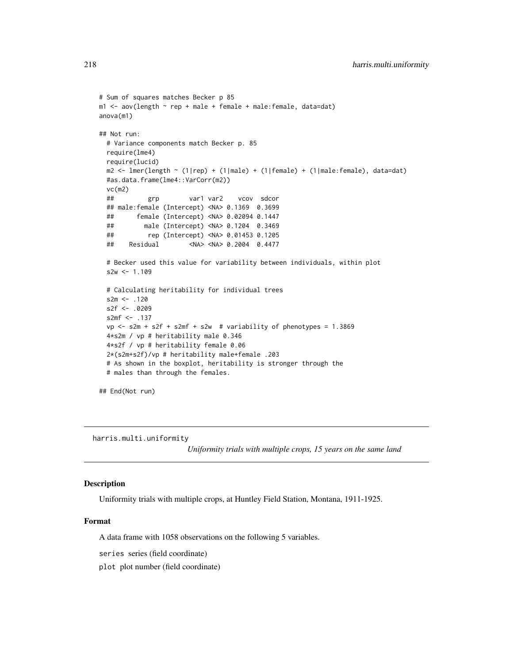```
# Sum of squares matches Becker p 85
m1 <- aov(length ~ rep + male + female + male:female, data=dat)
anova(m1)
## Not run:
 # Variance components match Becker p. 85
 require(lme4)
 require(lucid)
 m2 < - lmer(length \sim (1|rep) + (1|male) + (1|female) + (1|male:female), data=dat)
 #as.data.frame(lme4::VarCorr(m2))
 vc(m2)
 ## grp var1 var2 vcov sdcor
 ## male:female (Intercept) <NA> 0.1369 0.3699
 ## female (Intercept) <NA> 0.02094 0.1447
 ## male (Intercept) <NA> 0.1204 0.3469
 ## rep (Intercept) <NA> 0.01453 0.1205
 ## Residual <NA> <NA> 0.2004 0.4477
 # Becker used this value for variability between individuals, within plot
 s2w < -1.109# Calculating heritability for individual trees
 s2m < - .120s2f < -0.0209s2mf <- .137
 vp \leq -s2m + s2f + s2mf + s2w # variability of phenotypes = 1.3869
 4*s2m / vp # heritability male 0.346
 4*s2f / vp # heritability female 0.06
 2*(s2m+s2f)/vp # heritability male+female .203
 # As shown in the boxplot, heritability is stronger through the
 # males than through the females.
## End(Not run)
```
harris.multi.uniformity

*Uniformity trials with multiple crops, 15 years on the same land*

# Description

Uniformity trials with multiple crops, at Huntley Field Station, Montana, 1911-1925.

#### Format

A data frame with 1058 observations on the following 5 variables.

series series (field coordinate)

plot plot number (field coordinate)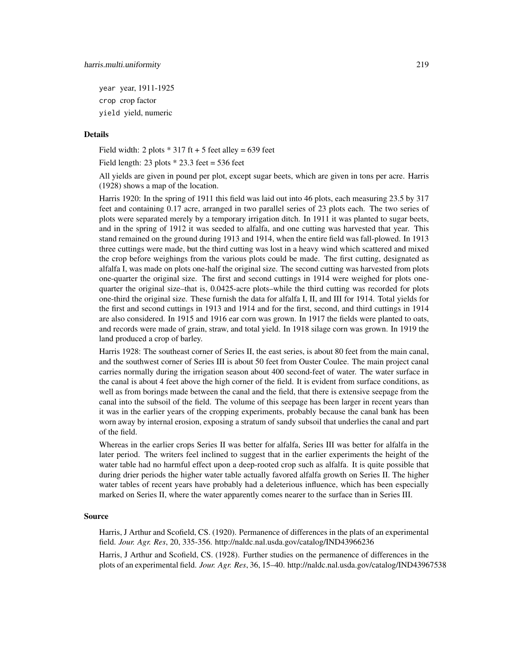year year, 1911-1925 crop crop factor yield yield, numeric

## Details

Field width: 2 plots  $*$  317 ft + 5 feet alley = 639 feet

Field length:  $23$  plots  $*$   $23.3$  feet =  $536$  feet

All yields are given in pound per plot, except sugar beets, which are given in tons per acre. Harris (1928) shows a map of the location.

Harris 1920: In the spring of 1911 this field was laid out into 46 plots, each measuring 23.5 by 317 feet and containing 0.17 acre, arranged in two parallel series of 23 plots each. The two series of plots were separated merely by a temporary irrigation ditch. In 1911 it was planted to sugar beets, and in the spring of 1912 it was seeded to alfalfa, and one cutting was harvested that year. This stand remained on the ground during 1913 and 1914, when the entire field was fall-plowed. In 1913 three cuttings were made, but the third cutting was lost in a heavy wind which scattered and mixed the crop before weighings from the various plots could be made. The first cutting, designated as alfalfa I, was made on plots one-half the original size. The second cutting was harvested from plots one-quarter the original size. The first and second cuttings in 1914 were weighed for plots onequarter the original size–that is, 0.0425-acre plots–while the third cutting was recorded for plots one-third the original size. These furnish the data for alfalfa I, II, and III for 1914. Total yields for the first and second cuttings in 1913 and 1914 and for the first, second, and third cuttings in 1914 are also considered. In 1915 and 1916 ear corn was grown. In 1917 the fields were planted to oats, and records were made of grain, straw, and total yield. In 1918 silage corn was grown. In 1919 the land produced a crop of barley.

Harris 1928: The southeast corner of Series II, the east series, is about 80 feet from the main canal, and the southwest corner of Series III is about 50 feet from Ouster Coulee. The main project canal carries normally during the irrigation season about 400 second-feet of water. The water surface in the canal is about 4 feet above the high corner of the field. It is evident from surface conditions, as well as from borings made between the canal and the field, that there is extensive seepage from the canal into the subsoil of the field. The volume of this seepage has been larger in recent years than it was in the earlier years of the cropping experiments, probably because the canal bank has been worn away by internal erosion, exposing a stratum of sandy subsoil that underlies the canal and part of the field.

Whereas in the earlier crops Series II was better for alfalfa, Series III was better for alfalfa in the later period. The writers feel inclined to suggest that in the earlier experiments the height of the water table had no harmful effect upon a deep-rooted crop such as alfalfa. It is quite possible that during drier periods the higher water table actually favored alfalfa growth on Series II. The higher water tables of recent years have probably had a deleterious influence, which has been especially marked on Series II, where the water apparently comes nearer to the surface than in Series III.

#### Source

Harris, J Arthur and Scofield, CS. (1920). Permanence of differences in the plats of an experimental field. *Jour. Agr. Res*, 20, 335-356. http://naldc.nal.usda.gov/catalog/IND43966236

Harris, J Arthur and Scofield, CS. (1928). Further studies on the permanence of differences in the plots of an experimental field. *Jour. Agr. Res*, 36, 15–40. http://naldc.nal.usda.gov/catalog/IND43967538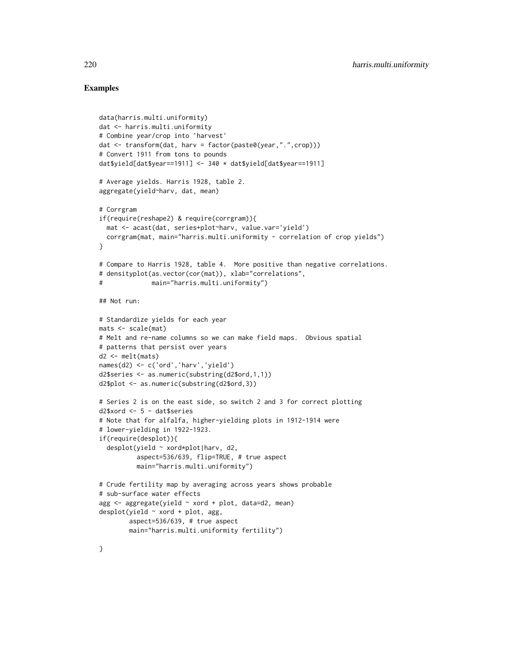```
data(harris.multi.uniformity)
dat <- harris.multi.uniformity
# Combine year/crop into 'harvest'
dat <- transform(dat, harv = factor(paste0(year,".",crop)))
# Convert 1911 from tons to pounds
dat$yield[dat$year==1911] <- 340 * dat$yield[dat$year==1911]
# Average yields. Harris 1928, table 2.
aggregate(yield~harv, dat, mean)
# Corrgram
if(require(reshape2) & require(corrgram)){
  mat <- acast(dat, series+plot~harv, value.var='yield')
  corrgram(mat, main="harris.multi.uniformity - correlation of crop yields")
}
# Compare to Harris 1928, table 4. More positive than negative correlations.
# densityplot(as.vector(cor(mat)), xlab="correlations",
# main="harris.multi.uniformity")
## Not run:
# Standardize yields for each year
mats <- scale(mat)
# Melt and re-name columns so we can make field maps. Obvious spatial
# patterns that persist over years
d2 <- melt(mats)
names(d2) <- c('ord','harv','yield')
d2$series <- as.numeric(substring(d2$ord,1,1))
d2$plot <- as.numeric(substring(d2$ord,3))
# Series 2 is on the east side, so switch 2 and 3 for correct plotting
d2$xord <- 5 - dat$series
# Note that for alfalfa, higher-yielding plots in 1912-1914 were
# lower-yielding in 1922-1923.
if(require(desplot)){
  desplot(yield ~ xord*plot|harv, d2,
          aspect=536/639, flip=TRUE, # true aspect
          main="harris.multi.uniformity")
# Crude fertility map by averaging across years shows probable
# sub-surface water effects
agg \leq -aggregate(yield \sim xord + plot, data=d2, mean)desplot(yield \sim xord + plot, agg,aspect=536/639, # true aspect
        main="harris.multi.uniformity fertility")
```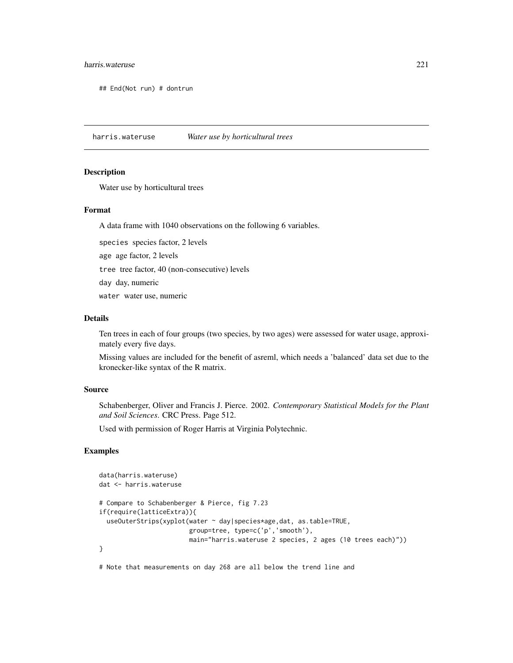# harris.wateruse 221

## End(Not run) # dontrun

harris.wateruse *Water use by horticultural trees*

## **Description**

Water use by horticultural trees

## Format

A data frame with 1040 observations on the following 6 variables.

species species factor, 2 levels

age age factor, 2 levels

tree tree factor, 40 (non-consecutive) levels

day day, numeric

water water use, numeric

# Details

Ten trees in each of four groups (two species, by two ages) were assessed for water usage, approximately every five days.

Missing values are included for the benefit of asreml, which needs a 'balanced' data set due to the kronecker-like syntax of the R matrix.

# Source

Schabenberger, Oliver and Francis J. Pierce. 2002. *Contemporary Statistical Models for the Plant and Soil Sciences*. CRC Press. Page 512.

Used with permission of Roger Harris at Virginia Polytechnic.

# Examples

```
data(harris.wateruse)
dat <- harris.wateruse
# Compare to Schabenberger & Pierce, fig 7.23
if(require(latticeExtra)){
 useOuterStrips(xyplot(water ~ day|species*age,dat, as.table=TRUE,
                        group=tree, type=c('p','smooth'),
                        main="harris.wateruse 2 species, 2 ages (10 trees each)"))
}
```
# Note that measurements on day 268 are all below the trend line and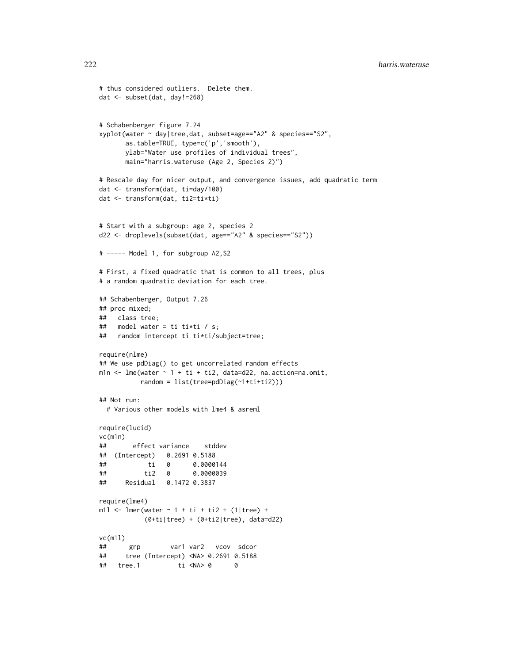```
# thus considered outliers. Delete them.
dat <- subset(dat, day!=268)
# Schabenberger figure 7.24
xyplot(water ~ day|tree,dat, subset=age=="A2" & species=="S2",
      as.table=TRUE, type=c('p','smooth'),
      ylab="Water use profiles of individual trees",
      main="harris.wateruse (Age 2, Species 2)")
# Rescale day for nicer output, and convergence issues, add quadratic term
dat <- transform(dat, ti=day/100)
dat <- transform(dat, ti2=ti*ti)
# Start with a subgroup: age 2, species 2
d22 <- droplevels(subset(dat, age=="A2" & species=="S2"))
# ----- Model 1, for subgroup A2,S2
# First, a fixed quadratic that is common to all trees, plus
# a random quadratic deviation for each tree.
## Schabenberger, Output 7.26
## proc mixed;
## class tree;
## model water = ti ti*ti / s;
## random intercept ti ti*ti/subject=tree;
require(nlme)
## We use pdDiag() to get uncorrelated random effects
m1n \le lme(water \sim 1 + ti + ti2, data=d22, na.action=na.omit,
          random = list(tree=pdDiag(~1+ti+ti2)))
## Not run:
 # Various other models with lme4 & asreml
require(lucid)
vc(m1n)
## effect variance stddev
## (Intercept) 0.2691 0.5188
## ti 0 0.0000144
## ti2 0 0.0000039
## Residual 0.1472 0.3837
require(lme4)
m11 <- lmer(water \sim 1 + ti + ti2 + (1|tree) +
           (0+ti|tree) + (0+ti2|tree), data=d22)
vc(m1l)
## grp var1 var2 vcov sdcor
## tree (Intercept) <NA> 0.2691 0.5188
## tree.1 ti <NA> 0 0
```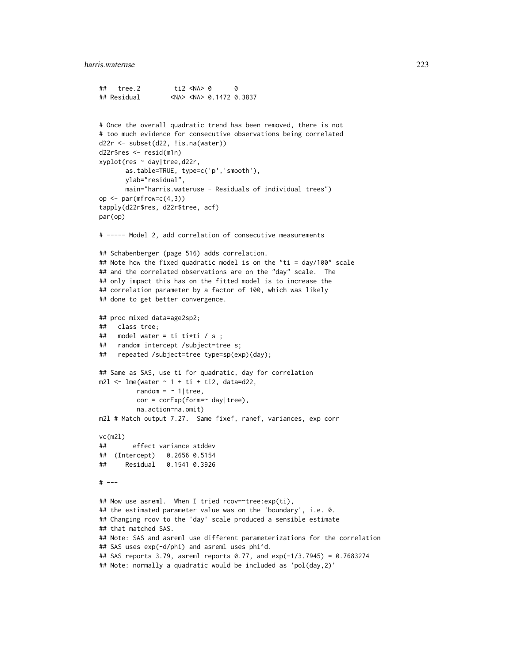```
## tree.2 ti2 <NA> 0 0
## Residual <NA> <NA> 0.1472 0.3837
```

```
# Once the overall quadratic trend has been removed, there is not
# too much evidence for consecutive observations being correlated
d22r <- subset(d22, !is.na(water))
d22r$res <- resid(m1n)
xyplot(res ~ day|tree,d22r,
       as.table=TRUE, type=c('p','smooth'),
       ylab="residual",
       main="harris.wateruse - Residuals of individual trees")
op \leq par(mfrow=c(4,3))
tapply(d22r$res, d22r$tree, acf)
par(op)
# ----- Model 2, add correlation of consecutive measurements
## Schabenberger (page 516) adds correlation.
## Note how the fixed quadratic model is on the "ti = day/100" scale
## and the correlated observations are on the "day" scale. The
## only impact this has on the fitted model is to increase the
## correlation parameter by a factor of 100, which was likely
## done to get better convergence.
## proc mixed data=age2sp2;
## class tree;
## model water = ti ti*ti / s ;
## random intercept /subject=tree s;
## repeated /subject=tree type=sp(exp)(day);
## Same as SAS, use ti for quadratic, day for correlation
m2l < -lme(water \sim 1 + ti + ti2, data=d22,
          random = \sim 1|tree,
          cor = corExp(from = ~ day | tree),na.action=na.omit)
m2l # Match output 7.27. Same fixef, ranef, variances, exp corr
vc(m2l)
## effect variance stddev
## (Intercept) 0.2656 0.5154
## Residual 0.1541 0.3926
# ---
## Now use asreml. When I tried rcov=~tree:exp(ti),
## the estimated parameter value was on the 'boundary', i.e. 0.
## Changing rcov to the 'day' scale produced a sensible estimate
## that matched SAS.
## Note: SAS and asreml use different parameterizations for the correlation
## SAS uses exp(-d/phi) and asreml uses phi^d.
## SAS reports 3.79, asreml reports 0.77, and exp(-1/3.7945) = 0.7683274
## Note: normally a quadratic would be included as 'pol(day, 2)'
```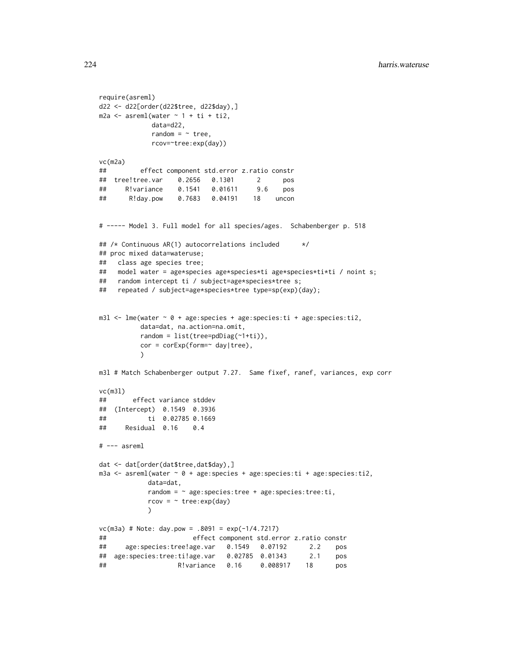```
require(asreml)
d22 <- d22[order(d22$tree, d22$day),]
m2a \leq asreml(water \sim 1 + ti + ti2,
            data=d22,
            random = ~ tree,
            rcov=~tree:exp(day))
vc(m2a)
## effect component std.error z.ratio constr
## tree!tree.var 0.2656 0.1301 2 pos
## R!variance 0.1541 0.01611 9.6 pos
## R!day.pow 0.7683 0.04191 18 uncon
# ----- Model 3. Full model for all species/ages. Schabenberger p. 518
## /* Continuous AR(1) autocorrelations included */
## proc mixed data=wateruse;
## class age species tree;
## model water = age*species age*species*ti age*species*ti*ti / noint s;
## random intercept ti / subject=age*species*tree s;
## repeated / subject=age*species*tree type=sp(exp)(day);
m31 <- lme(water \sim 0 + age: species + age: species: ti + age: species: ti2,
          data=dat, na.action=na.omit,
          random = list(tree=pdDiag(\sim 1+ti)),cor = corExp(form=~ day|tree),
          )
m3l # Match Schabenberger output 7.27. Same fixef, ranef, variances, exp corr
vc(m3l)
## effect variance stddev
## (Intercept) 0.1549 0.3936
## ti 0.02785 0.1669
## Residual 0.16 0.4
# --- asreml
dat <- dat[order(dat$tree,dat$day),]
m3a <- asreml(water ~ 0 + age:species + age:species:ti + age:species:ti2,
           data=dat,
           random = \sim age: species: tree + age: species: tree: ti,
           rcov = \gamma tree: exp(day))
vc(m3a) # Note: day.pow = .8091 = exp(-1/4.7217)
## effect component std.error z.ratio constr
## age:species:tree!age.var 0.1549 0.07192 2.2 pos
## age:species:tree:ti!age.var 0.02785 0.01343 2.1 pos
## R!variance 0.16 0.008917 18 pos
```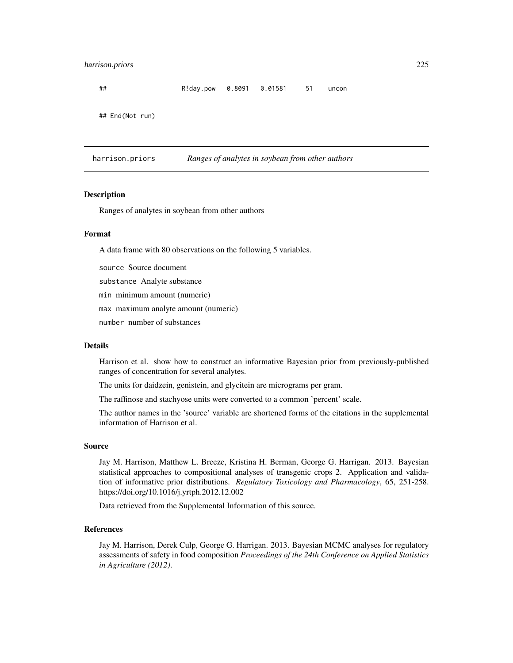# harrison.priors 225

## R!day.pow 0.8091 0.01581 51 uncon ## End(Not run)

harrison.priors *Ranges of analytes in soybean from other authors*

## **Description**

Ranges of analytes in soybean from other authors

## Format

A data frame with 80 observations on the following 5 variables.

source Source document

substance Analyte substance

min minimum amount (numeric)

max maximum analyte amount (numeric)

number number of substances

## Details

Harrison et al. show how to construct an informative Bayesian prior from previously-published ranges of concentration for several analytes.

The units for daidzein, genistein, and glycitein are micrograms per gram.

The raffinose and stachyose units were converted to a common 'percent' scale.

The author names in the 'source' variable are shortened forms of the citations in the supplemental information of Harrison et al.

## Source

Jay M. Harrison, Matthew L. Breeze, Kristina H. Berman, George G. Harrigan. 2013. Bayesian statistical approaches to compositional analyses of transgenic crops 2. Application and validation of informative prior distributions. *Regulatory Toxicology and Pharmacology*, 65, 251-258. https://doi.org/10.1016/j.yrtph.2012.12.002

Data retrieved from the Supplemental Information of this source.

# References

Jay M. Harrison, Derek Culp, George G. Harrigan. 2013. Bayesian MCMC analyses for regulatory assessments of safety in food composition *Proceedings of the 24th Conference on Applied Statistics in Agriculture (2012)*.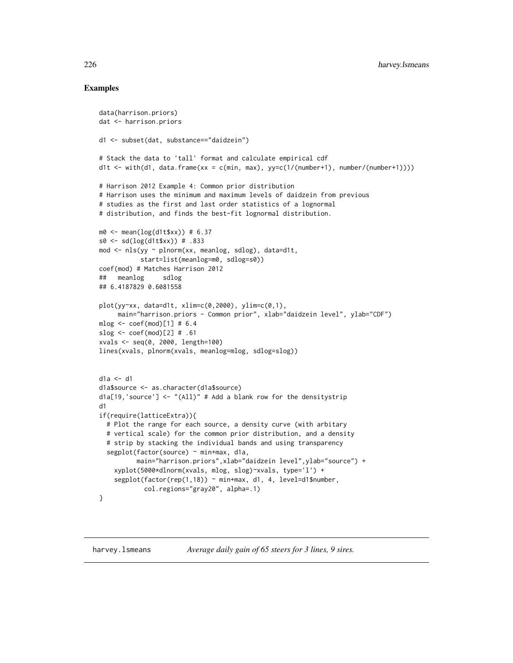```
data(harrison.priors)
dat <- harrison.priors
d1 <- subset(dat, substance=="daidzein")
# Stack the data to 'tall' format and calculate empirical cdf
d1t \le with(d1, data.frame(xx = c(min, max), yy=c(1/(number+1), number/(number+1))))
# Harrison 2012 Example 4: Common prior distribution
# Harrison uses the minimum and maximum levels of daidzein from previous
# studies as the first and last order statistics of a lognormal
# distribution, and finds the best-fit lognormal distribution.
m0 \le - mean(\log(d1t$xx)) # 6.37
s0 <- sd(log(d1t$xx)) # .833
mod <- nls(yy ~ plnorm(xx, meanlog, sdlog), data=d1t,
           start=list(meanlog=m0, sdlog=s0))
coef(mod) # Matches Harrison 2012
## meanlog sdlog
## 6.4187829 0.6081558
plot(yy~xx, data=d1t, xlim=c(0,2000), ylim=c(0,1),
     main="harrison.priors - Common prior", xlab="daidzein level", ylab="CDF")
mlog < - \text{coeff}(mod)[1] # 6.4
slog \leq coef(mod)[2] # .61
xvals <- seq(0, 2000, length=100)
lines(xvals, plnorm(xvals, meanlog=mlog, sdlog=slog))
d1a <- d1
d1a$source <- as.character(d1a$source)
d1a[19, 'source'] \leftarrow ''(A11)'' # Add a blank row for the density stripd1
if(require(latticeExtra)){
  # Plot the range for each source, a density curve (with arbitary
  # vertical scale) for the common prior distribution, and a density
  # strip by stacking the individual bands and using transparency
  segplot(factor(source) ~ min+max, d1a,
          main="harrison.priors",xlab="daidzein level",ylab="source") +
    xyplot(5000*dlnorm(xvals, mlog, slog)~xvals, type='l') +
    segplot(factor(rep(1,18)) ~ min+max, d1, 4, level=d1$number,
            col.regions="gray20", alpha=.1)
}
```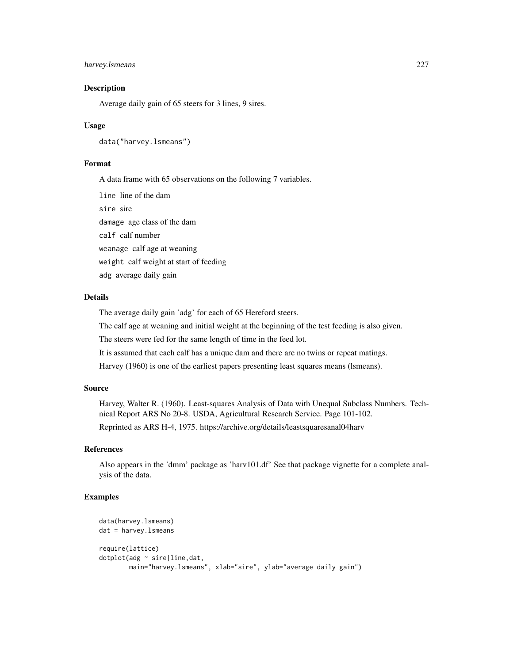# harvey.Ismeans 227

## **Description**

Average daily gain of 65 steers for 3 lines, 9 sires.

## Usage

data("harvey.lsmeans")

# Format

A data frame with 65 observations on the following 7 variables.

line line of the dam sire sire damage age class of the dam calf calf number weanage calf age at weaning weight calf weight at start of feeding adg average daily gain

## Details

The average daily gain 'adg' for each of 65 Hereford steers.

The calf age at weaning and initial weight at the beginning of the test feeding is also given.

The steers were fed for the same length of time in the feed lot.

It is assumed that each calf has a unique dam and there are no twins or repeat matings.

Harvey (1960) is one of the earliest papers presenting least squares means (lsmeans).

# Source

Harvey, Walter R. (1960). Least-squares Analysis of Data with Unequal Subclass Numbers. Technical Report ARS No 20-8. USDA, Agricultural Research Service. Page 101-102.

Reprinted as ARS H-4, 1975. https://archive.org/details/leastsquaresanal04harv

# References

Also appears in the 'dmm' package as 'harv101.df' See that package vignette for a complete analysis of the data.

```
data(harvey.lsmeans)
dat = harvey.lsmeans
require(lattice)
dotplot(adg ~ sire|line,dat,
       main="harvey.lsmeans", xlab="sire", ylab="average daily gain")
```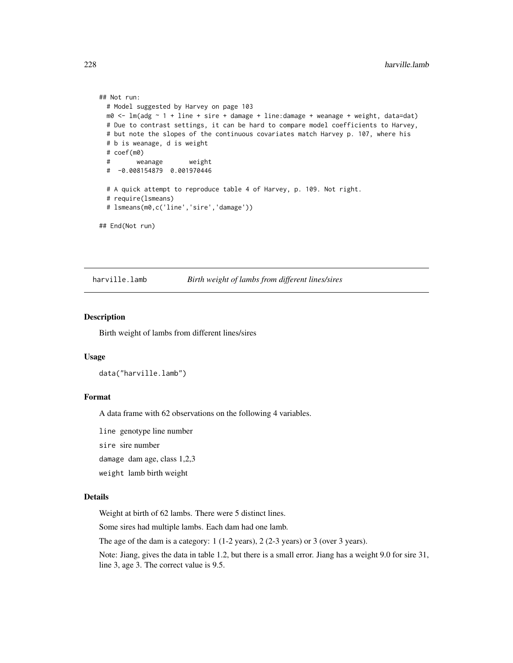```
## Not run:
  # Model suggested by Harvey on page 103
  m\theta <- \ln(\text{adg} \sim 1 + \text{line} + \text{sire} + \text{damage} + \text{line:} \text{damage} + \text{weanage} + \text{weight}, \text{data=dat})# Due to contrast settings, it can be hard to compare model coefficients to Harvey,
  # but note the slopes of the continuous covariates match Harvey p. 107, where his
  # b is weanage, d is weight
  # coef(m0)
  # weanage weight
  # -0.008154879 0.001970446
  # A quick attempt to reproduce table 4 of Harvey, p. 109. Not right.
  # require(lsmeans)
  # lsmeans(m0,c('line','sire','damage'))
## End(Not run)
```
harville.lamb *Birth weight of lambs from different lines/sires*

# Description

Birth weight of lambs from different lines/sires

# Usage

```
data("harville.lamb")
```
#### Format

A data frame with 62 observations on the following 4 variables.

line genotype line number

sire sire number

damage dam age, class 1,2,3

weight lamb birth weight

# Details

Weight at birth of 62 lambs. There were 5 distinct lines.

Some sires had multiple lambs. Each dam had one lamb.

The age of the dam is a category: 1 (1-2 years), 2 (2-3 years) or 3 (over 3 years).

Note: Jiang, gives the data in table 1.2, but there is a small error. Jiang has a weight 9.0 for sire 31, line 3, age 3. The correct value is 9.5.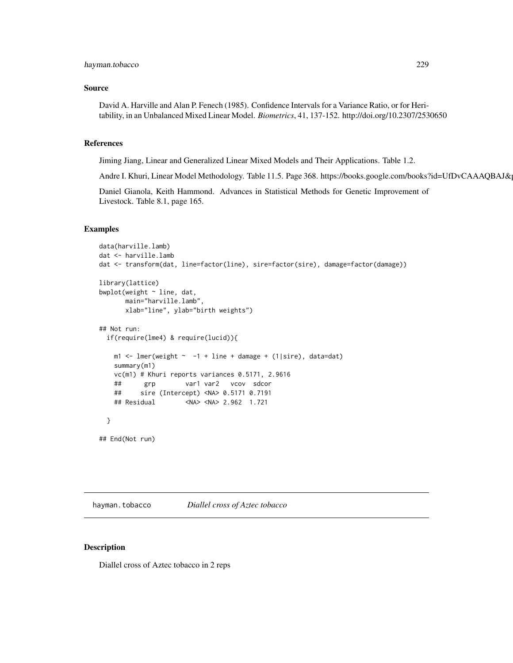## Source

David A. Harville and Alan P. Fenech (1985). Confidence Intervals for a Variance Ratio, or for Heritability, in an Unbalanced Mixed Linear Model. *Biometrics*, 41, 137-152. http://doi.org/10.2307/2530650

# References

Jiming Jiang, Linear and Generalized Linear Mixed Models and Their Applications. Table 1.2.

Andre I. Khuri, Linear Model Methodology. Table 11.5. Page 368. https://books.google.com/books?id=UfDvCAAAQBAJ&

Daniel Gianola, Keith Hammond. Advances in Statistical Methods for Genetic Improvement of Livestock. Table 8.1, page 165.

## Examples

```
data(harville.lamb)
dat <- harville.lamb
dat <- transform(dat, line=factor(line), sire=factor(sire), damage=factor(damage))
library(lattice)
bwplot(weight ~ line, dat,
      main="harville.lamb",
      xlab="line", ylab="birth weights")
## Not run:
 if(require(lme4) & require(lucid)){
   m1 <- lmer(weight \sim -1 + line + damage + (1|sire), data=dat)
   summary(m1)
   vc(m1) # Khuri reports variances 0.5171, 2.9616
   ## grp var1 var2 vcov sdcor
   ## sire (Intercept) <NA> 0.5171 0.7191
   ## Residual <NA> <NA> 2.962 1.721
 }
## End(Not run)
```
hayman.tobacco *Diallel cross of Aztec tobacco*

## Description

Diallel cross of Aztec tobacco in 2 reps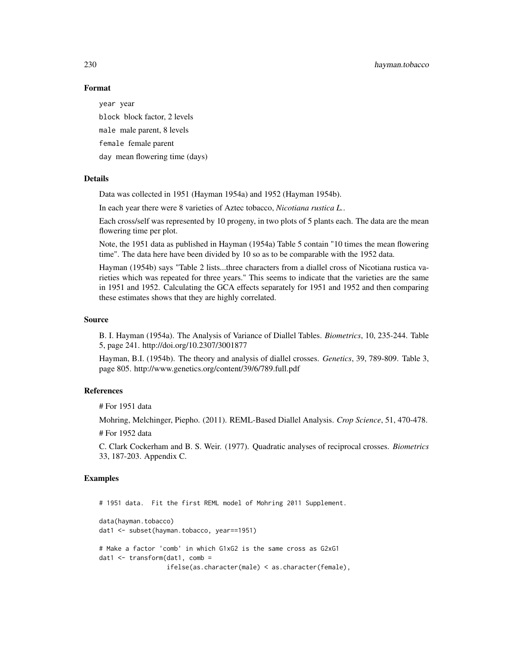230 hayman.tobacco

# Format

year year

block block factor, 2 levels male male parent, 8 levels female female parent day mean flowering time (days)

## Details

Data was collected in 1951 (Hayman 1954a) and 1952 (Hayman 1954b).

In each year there were 8 varieties of Aztec tobacco, *Nicotiana rustica L.*.

Each cross/self was represented by 10 progeny, in two plots of 5 plants each. The data are the mean flowering time per plot.

Note, the 1951 data as published in Hayman (1954a) Table 5 contain "10 times the mean flowering time". The data here have been divided by 10 so as to be comparable with the 1952 data.

Hayman (1954b) says "Table 2 lists...three characters from a diallel cross of Nicotiana rustica varieties which was repeated for three years." This seems to indicate that the varieties are the same in 1951 and 1952. Calculating the GCA effects separately for 1951 and 1952 and then comparing these estimates shows that they are highly correlated.

#### Source

B. I. Hayman (1954a). The Analysis of Variance of Diallel Tables. *Biometrics*, 10, 235-244. Table 5, page 241. http://doi.org/10.2307/3001877

Hayman, B.I. (1954b). The theory and analysis of diallel crosses. *Genetics*, 39, 789-809. Table 3, page 805. http://www.genetics.org/content/39/6/789.full.pdf

# References

# For 1951 data

Mohring, Melchinger, Piepho. (2011). REML-Based Diallel Analysis. *Crop Science*, 51, 470-478.

# For 1952 data

C. Clark Cockerham and B. S. Weir. (1977). Quadratic analyses of reciprocal crosses. *Biometrics* 33, 187-203. Appendix C.

## Examples

# 1951 data. Fit the first REML model of Mohring 2011 Supplement.

```
data(hayman.tobacco)
dat1 <- subset(hayman.tobacco, year==1951)
# Make a factor 'comb' in which G1xG2 is the same cross as G2xG1
dat1 <- transform(dat1, comb =
                  ifelse(as.character(male) < as.character(female),
```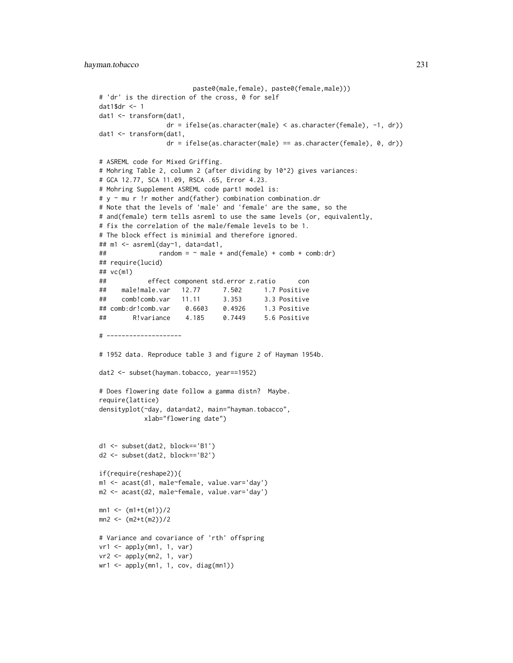```
paste0(male,female), paste0(female,male)))
# 'dr' is the direction of the cross, 0 for self
dat1$dr <- 1
dat1 <- transform(dat1,
                 dr = ifelse(as.character(male) < as.character(female), -1, dr))
dat1 <- transform(dat1,
                 dr = ifelse(as.character(male) == as.character(female), 0, dr)# ASREML code for Mixed Griffing.
# Mohring Table 2, column 2 (after dividing by 10^2) gives variances:
# GCA 12.77, SCA 11.09, RSCA .65, Error 4.23.
# Mohring Supplement ASREML code part1 model is:
# y ~ mu r !r mother and(father) combination combination.dr
# Note that the levels of 'male' and 'female' are the same, so the
# and(female) term tells asreml to use the same levels (or, equivalently,
# fix the correlation of the male/female levels to be 1.
# The block effect is minimial and therefore ignored.
## m1 <- asreml(day~1, data=dat1,
\# random = \sim male + and(female) + comb + comb:dr)
## require(lucid)
## vc(m1)
## effect component std.error z.ratio con
## male!male.var 12.77 7.502 1.7 Positive
## comb!comb.var 11.11 3.353 3.3 Positive
## comb:dr!comb.var 0.6603 0.4926 1.3 Positive
## R!variance 4.185 0.7449 5.6 Positive
# --------------------
# 1952 data. Reproduce table 3 and figure 2 of Hayman 1954b.
dat2 <- subset(hayman.tobacco, year==1952)
# Does flowering date follow a gamma distn? Maybe.
require(lattice)
densityplot(~day, data=dat2, main="hayman.tobacco",
           xlab="flowering date")
d1 <- subset(dat2, block=='B1')
d2 <- subset(dat2, block=='B2')
if(require(reshape2)){
m1 <- acast(d1, male~female, value.var='day')
m2 <- acast(d2, male~female, value.var='day')
mn1 < - (m1+t(m1))/2mn2 < - (m2+t(m2))/2# Variance and covariance of 'rth' offspring
vr1 <- apply(mn1, 1, var)
vr2 <- apply(mn2, 1, var)
wr1 < - apply(mn1, 1, cov, diag(mn1))
```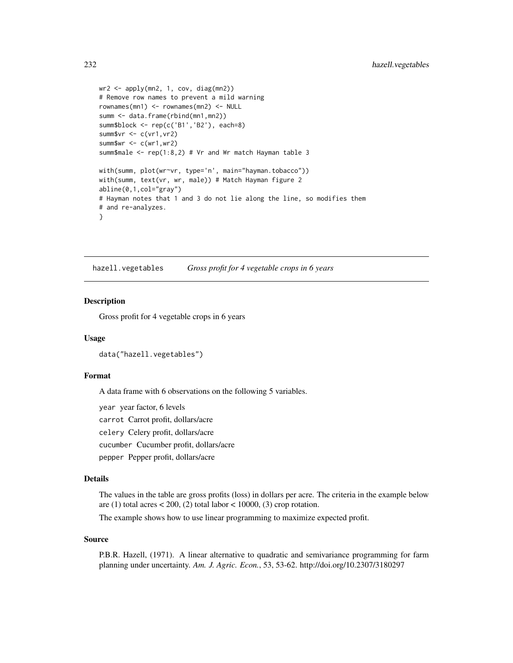```
wr2 < - apply(mn2, 1, cov, diag(mn2))
# Remove row names to prevent a mild warning
rownames(mn1) <- rownames(mn2) <- NULL
summ <- data.frame(rbind(mn1,mn2))
summ$block <- rep(c('B1','B2'), each=8)
summ$vr <- c(vr1,vr2)
summ$wr <-c(wr1, wr2)summ$male <- rep(1:8,2) # Vr and Wr match Hayman table 3
with(summ, plot(wr~vr, type='n', main="hayman.tobacco"))
with(summ, text(vr, wr, male)) # Match Hayman figure 2
abline(0,1,col="gray")
# Hayman notes that 1 and 3 do not lie along the line, so modifies them
# and re-analyzes.
}
```
hazell.vegetables *Gross profit for 4 vegetable crops in 6 years*

#### Description

Gross profit for 4 vegetable crops in 6 years

#### Usage

```
data("hazell.vegetables")
```
## Format

A data frame with 6 observations on the following 5 variables.

year year factor, 6 levels

carrot Carrot profit, dollars/acre

celery Celery profit, dollars/acre

cucumber Cucumber profit, dollars/acre

pepper Pepper profit, dollars/acre

# Details

The values in the table are gross profits (loss) in dollars per acre. The criteria in the example below are (1) total acres  $\lt$  200, (2) total labor  $\lt$  10000, (3) crop rotation.

The example shows how to use linear programming to maximize expected profit.

## Source

P.B.R. Hazell, (1971). A linear alternative to quadratic and semivariance programming for farm planning under uncertainty. *Am. J. Agric. Econ.*, 53, 53-62. http://doi.org/10.2307/3180297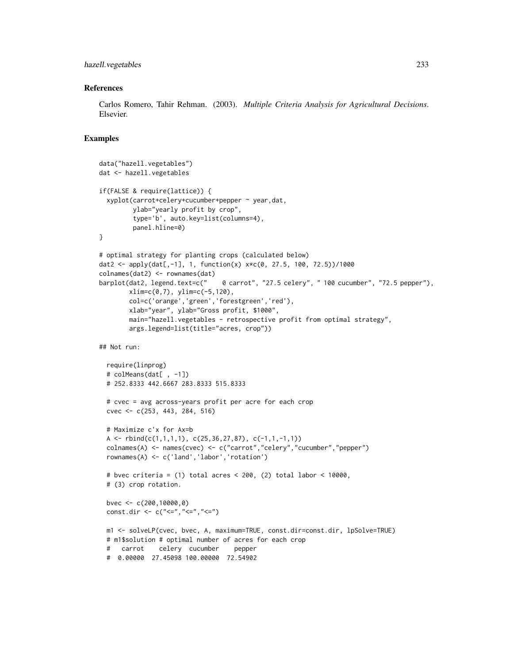# hazell.vegetables 233

## References

Carlos Romero, Tahir Rehman. (2003). *Multiple Criteria Analysis for Agricultural Decisions*. Elsevier.

```
data("hazell.vegetables")
dat <- hazell.vegetables
if(FALSE & require(lattice)) {
 xyplot(carrot+celery+cucumber+pepper ~ year,dat,
        ylab="yearly profit by crop",
        type='b', auto.key=list(columns=4),
        panel.hline=0)
}
# optimal strategy for planting crops (calculated below)
dat2 <- apply(dat[,-1], 1, function(x) x \star c(0, 27.5, 100, 72.5))/1000
colnames(dat2) <- rownames(dat)
barplot(dat2, legend.text=c(" 0 carrot", "27.5 celery", " 100 cucumber", "72.5 pepper"),
       xlim=c(0,7), ylim=c(-5,120),
       col=c('orange','green','forestgreen','red'),
       xlab="year", ylab="Gross profit, $1000",
       main="hazell.vegetables - retrospective profit from optimal strategy",
       args.legend=list(title="acres, crop"))
## Not run:
 require(linprog)
 # colMeans(dat[ , -1])
 # 252.8333 442.6667 283.8333 515.8333
 # cvec = avg across-years profit per acre for each crop
 cvec <- c(253, 443, 284, 516)
 # Maximize c'x for Ax=b
 A <- rbind(c(1,1,1,1), c(25,36,27,87), c(-1,1,-1,1))colnames(A) <- names(cvec) <- c("carrot","celery","cucumber","pepper")
 rownames(A) <- c('land','labor','rotation')
 # bvec criteria = (1) total acres < 200, (2) total labor < 10000,
 # (3) crop rotation.
 bvec <- c(200,10000,0)
 const.dir <- c("<=", "<=", "<=")m1 <- solveLP(cvec, bvec, A, maximum=TRUE, const.dir=const.dir, lpSolve=TRUE)
 # m1$solution # optimal number of acres for each crop
 # carrot celery cucumber pepper
 # 0.00000 27.45098 100.00000 72.54902
```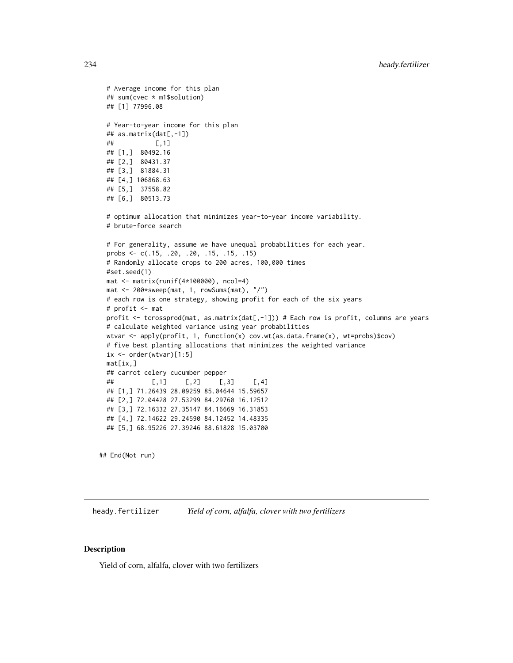```
# Average income for this plan
## sum(cvec * m1$solution)
## [1] 77996.08
# Year-to-year income for this plan
## as.matrix(dat[,-1])
## [,1]
## [1,] 80492.16
## [2,] 80431.37
## [3,] 81884.31
## [4,] 106868.63
## [5,] 37558.82
## [6,] 80513.73
# optimum allocation that minimizes year-to-year income variability.
# brute-force search
# For generality, assume we have unequal probabilities for each year.
probs <- c(.15, .20, .20, .15, .15, .15)
# Randomly allocate crops to 200 acres, 100,000 times
#set.seed(1)
mat <- matrix(runif(4*100000), ncol=4)
mat <- 200*sweep(mat, 1, rowSums(mat), "/")
# each row is one strategy, showing profit for each of the six years
# profit <- mat
profit <- tcrossprod(mat, as.matrix(dat[,-1])) # Each row is profit, columns are years
# calculate weighted variance using year probabilities
wtvar <- apply(profit, 1, function(x) cov.wt(as.data.frame(x), wt=probs)$cov)
# five best planting allocations that minimizes the weighted variance
ix <- order(wtvar)[1:5]
mat[ix,]
## carrot celery cucumber pepper
## [,1] [,2] [,3] [,4]
## [1,] 71.26439 28.09259 85.04644 15.59657
## [2,] 72.04428 27.53299 84.29760 16.12512
## [3,] 72.16332 27.35147 84.16669 16.31853
## [4,] 72.14622 29.24590 84.12452 14.48335
## [5,] 68.95226 27.39246 88.61828 15.03700
```
## End(Not run)

heady.fertilizer *Yield of corn, alfalfa, clover with two fertilizers*

## **Description**

Yield of corn, alfalfa, clover with two fertilizers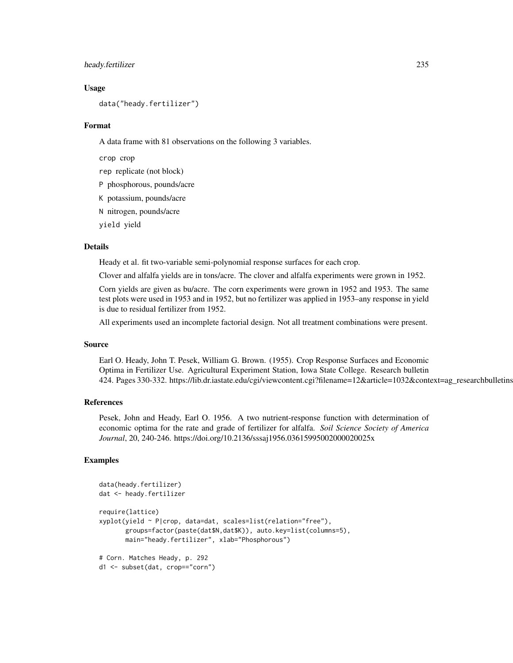## heady.fertilizer 235

## Usage

data("heady.fertilizer")

### Format

A data frame with 81 observations on the following 3 variables.

crop crop

rep replicate (not block)

P phosphorous, pounds/acre

K potassium, pounds/acre

N nitrogen, pounds/acre

yield yield

# Details

Heady et al. fit two-variable semi-polynomial response surfaces for each crop.

Clover and alfalfa yields are in tons/acre. The clover and alfalfa experiments were grown in 1952.

Corn yields are given as bu/acre. The corn experiments were grown in 1952 and 1953. The same test plots were used in 1953 and in 1952, but no fertilizer was applied in 1953–any response in yield is due to residual fertilizer from 1952.

All experiments used an incomplete factorial design. Not all treatment combinations were present.

## Source

Earl O. Heady, John T. Pesek, William G. Brown. (1955). Crop Response Surfaces and Economic Optima in Fertilizer Use. Agricultural Experiment Station, Iowa State College. Research bulletin 424. Pages 330-332. https://lib.dr.iastate.edu/cgi/viewcontent.cgi?filename=12&article=1032&context=ag\_researchbulletins

## References

Pesek, John and Heady, Earl O. 1956. A two nutrient-response function with determination of economic optima for the rate and grade of fertilizer for alfalfa. *Soil Science Society of America Journal*, 20, 240-246. https://doi.org/10.2136/sssaj1956.03615995002000020025x

```
data(heady.fertilizer)
dat <- heady.fertilizer
require(lattice)
xyplot(yield ~ P|crop, data=dat, scales=list(relation="free"),
      groups=factor(paste(dat$N,dat$K)), auto.key=list(columns=5),
      main="heady.fertilizer", xlab="Phosphorous")
# Corn. Matches Heady, p. 292
d1 <- subset(dat, crop=="corn")
```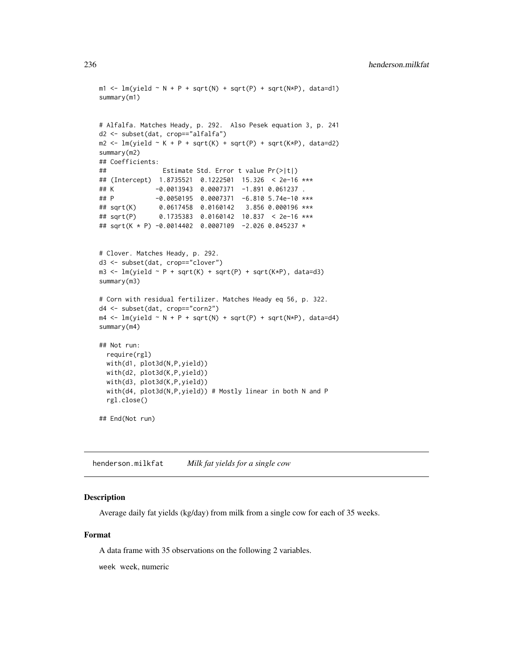```
m1 \leq -\ln(yield \sim N + P + sqrt(N) + sqrt(P) + sqrt(N*P), data=d1)summary(m1)
# Alfalfa. Matches Heady, p. 292. Also Pesek equation 3, p. 241
d2 <- subset(dat, crop=="alfalfa")
m2 \leq Im(yield \sim K + P + sqrt(K) + sqrt(P) + sqrt(K*P), data=d2)summary(m2)
## Coefficients:
## Estimate Std. Error t value Pr(>|t|)
## (Intercept) 1.8735521 0.1222501 15.326 < 2e-16 ***
## K -0.0013943 0.0007371 -1.891 0.061237 .
## P -0.0050195 0.0007371 -6.810 5.74e-10 ***
## sqrt(K) 0.0617458 0.0160142 3.856 0.000196 ***
## sqrt(P) 0.1735383 0.0160142 10.837 < 2e-16 ***
## sqrt(K * P) -0.0014402 0.0007109 -2.026 0.045237 *
# Clover. Matches Heady, p. 292.
d3 <- subset(dat, crop=="clover")
m3 \leq Im(yield \sim P + sqrt(K) + sqrt(P) + sqrt(K*P), data=d3)summary(m3)
# Corn with residual fertilizer. Matches Heady eq 56, p. 322.
d4 <- subset(dat, crop=="corn2")
m4 \leq Im(yield \sim N + P + sqrt(N) + sqrt(P) + sqrt(N*P), data=d4)summary(m4)
## Not run:
 require(rgl)
 with(d1, plot3d(N,P,yield))
 with(d2, plot3d(K,P,yield))
 with(d3, plot3d(K,P,yield))
 with(d4, plot3d(N,P,yield)) # Mostly linear in both N and P
 rgl.close()
## End(Not run)
```
henderson.milkfat *Milk fat yields for a single cow*

# Description

Average daily fat yields (kg/day) from milk from a single cow for each of 35 weeks.

# Format

A data frame with 35 observations on the following 2 variables.

week week, numeric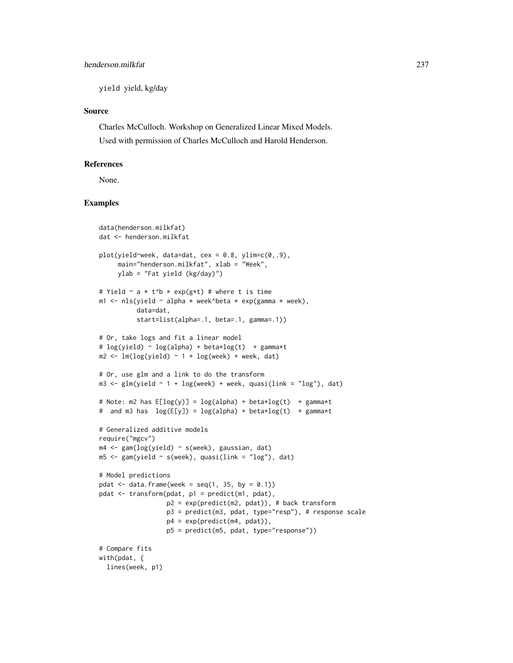yield yield, kg/day

# Source

Charles McCulloch. Workshop on Generalized Linear Mixed Models. Used with permission of Charles McCulloch and Harold Henderson.

# References

None.

```
data(henderson.milkfat)
dat <- henderson.milkfat
plot(yield~week, data=dat, cex = 0.8, ylim=c(0,.9),main="henderson.milkfat", xlab = "Week",
     ylab = "Fat yield (kg/day)")
# Yield \sim a * t^b * exp(g*t) # where t is time
m1 <- nls(yield \sim alpha * week^beta * exp(gamma * week),
          data=dat,
          start=list(alpha=.1, beta=.1, gamma=.1))
# Or, take logs and fit a linear model
# log(yield) \sim log(alpha) + beta * log(t) + gamma * tm2 \leq Im(log(yield) \sim 1 + log(week) + week, dat)# Or, use glm and a link to do the transform
m3 \leq glm(yield \sim 1 + log(week) + week, quasi(link = "log"), dat)# Note: m2 has E[log(y)] = log(alpha) + beta*log(t) + gamma* t# and m3 has log(E[y]) = log(alpha) + beta * log(t) + gamma * t# Generalized additive models
require("mgcv")
m4 <- gam(log(yield) ~ s(week), gaussian, dat)
m5 < - gam(yield \sim s(week), quasi(link = "log"), dat)
# Model predictions
pdat \leq data.frame(week = seq(1, 35, by = 0.1))
pdat <- transform(pdat, p1 = predict(m1, pdat),
                  p2 = exp(predict(m2, pdat)), # back transform
                  p3 = predict(m3, pdat, type="resp"), # response scale
                  p4 = exp(predict(m4, pdat)),p5 = predict(m5, pdat, type="response"))
# Compare fits
with(pdat, {
  lines(week, p1)
```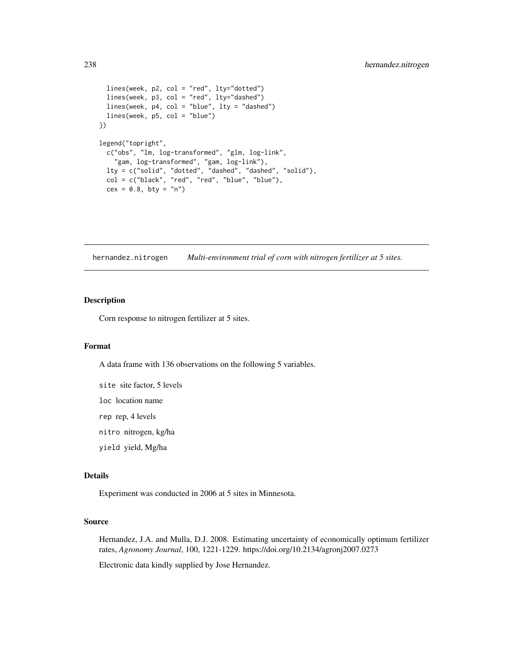```
lines(week, p2, col = "red", lty="dotted")
 lines(week, p3, col = "red", lty="dashed")
 lines(week, p4, col = "blue", lty = "dashed")
 lines(week, p5, col = "blue")
})
legend("topright",
 c("obs", "lm, log-transformed", "glm, log-link",
    "gam, log-transformed", "gam, log-link"),
  lty = c("solid", "dotted", "dashed", "dashed", "solid"),
  col = c("black", "red", "red", "blue", "blue"),
 cex = 0.8, bty = "n")
```
hernandez.nitrogen *Multi-environment trial of corn with nitrogen fertilizer at 5 sites.*

## Description

Corn response to nitrogen fertilizer at 5 sites.

#### Format

A data frame with 136 observations on the following 5 variables.

site site factor, 5 levels

loc location name

rep rep, 4 levels

nitro nitrogen, kg/ha

yield yield, Mg/ha

# Details

Experiment was conducted in 2006 at 5 sites in Minnesota.

#### Source

Hernandez, J.A. and Mulla, D.J. 2008. Estimating uncertainty of economically optimum fertilizer rates, *Agronomy Journal*, 100, 1221-1229. https://doi.org/10.2134/agronj2007.0273

Electronic data kindly supplied by Jose Hernandez.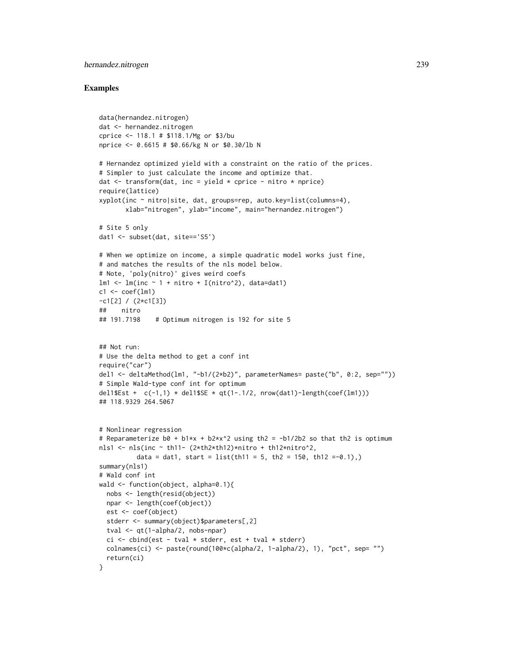# hernandez.nitrogen 239

```
data(hernandez.nitrogen)
dat <- hernandez.nitrogen
cprice <- 118.1 # $118.1/Mg or $3/bu
nprice <- 0.6615 # $0.66/kg N or $0.30/lb N
# Hernandez optimized yield with a constraint on the ratio of the prices.
# Simpler to just calculate the income and optimize that.
dat \le transform(dat, inc = yield \star cprice - nitro \star nprice)
require(lattice)
xyplot(inc ~ nitro|site, dat, groups=rep, auto.key=list(columns=4),
       xlab="nitrogen", ylab="income", main="hernandez.nitrogen")
# Site 5 only
dat1 <- subset(dat, site=='S5')
# When we optimize on income, a simple quadratic model works just fine,
# and matches the results of the nls model below.
# Note, 'poly(nitro)' gives weird coefs
lm1 \leftarrow lm(inc \sim 1 + nitro + I(nitro^2), data=dat1)c1 \leq -\text{coeff}(1m1)-c1[2] / (2*c1[3])
## nitro
## 191.7198 # Optimum nitrogen is 192 for site 5
## Not run:
# Use the delta method to get a conf int
require("car")
del1 <- deltaMethod(lm1, "-b1/(2*b2)", parameterNames= paste("b", 0:2, sep=""))
# Simple Wald-type conf int for optimum
del1$Est + c(-1,1) * del1$SE * qt(1-.1/2, nrow(dat1)-length(coef(lm1)))
## 118.9329 264.5067
# Nonlinear regression
# Reparameterize b0 + b1*x + b2*x^2 using th2 = -b1/2b2 so that th2 is optimum
nls1 <- nls(inc \sim th11- (2*th2*th12)*nitro + th12*nitro^2,
          data = dat1, start = list(th11 = 5, th2 = 150, th12 = -0.1),summary(nls1)
# Wald conf int
wald <- function(object, alpha=0.1){
 nobs <- length(resid(object))
  npar <- length(coef(object))
  est <- coef(object)
  stderr <- summary(object)$parameters[,2]
  tval <- qt(1-alpha/2, nobs-npar)
  ci \le cbind(est - tval * stderr, est + tval * stderr)
  colnames(ci) <- paste(round(100*c(alpha/2, 1-alpha/2), 1), "pct", sep= "")
  return(ci)
}
```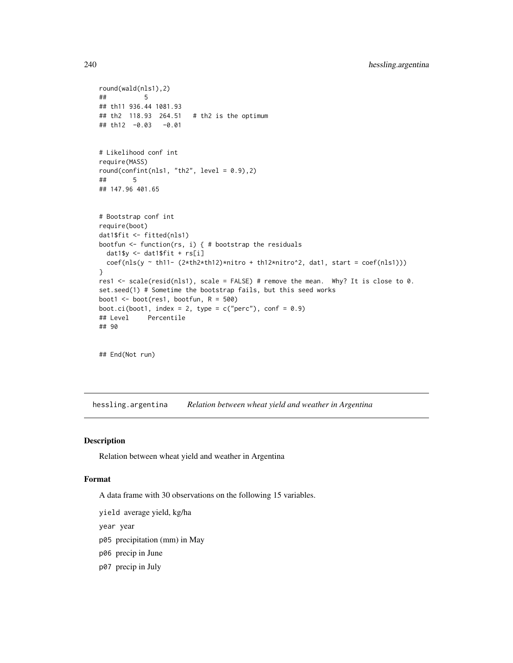```
round(wald(nls1),2)
## 5
## th11 936.44 1081.93
## th2 118.93 264.51 # th2 is the optimum
## th12 -0.03 -0.01
# Likelihood conf int
require(MASS)
round(confint(nls1, "th2", level = (0.9), 2)
## 5
## 147.96 401.65
# Bootstrap conf int
require(boot)
dat1$fit <- fitted(nls1)
bootfun <- function(rs, i) { # bootstrap the residuals
 dat1$y <- dat1$fit + rs[i]
 coef(nls(y ~ th11- (2*th2*th12)*nitro + th12*nitro^2, dat1, start = coef(nls1)))
}
res1 <- scale(resid(nls1), scale = FALSE) # remove the mean. Why? It is close to 0.
set.seed(1) # Sometime the bootstrap fails, but this seed works
boot1 <- boot(res1, bootfun, R = 500)
boot.ci(boot1, index = 2, type = c("perc"), conf = 0.9)
## Level Percentile
## 90
## End(Not run)
```
hessling.argentina *Relation between wheat yield and weather in Argentina*

## Description

Relation between wheat yield and weather in Argentina

#### Format

A data frame with 30 observations on the following 15 variables.

yield average yield, kg/ha

year year

- p05 precipitation (mm) in May
- p06 precip in June
- p07 precip in July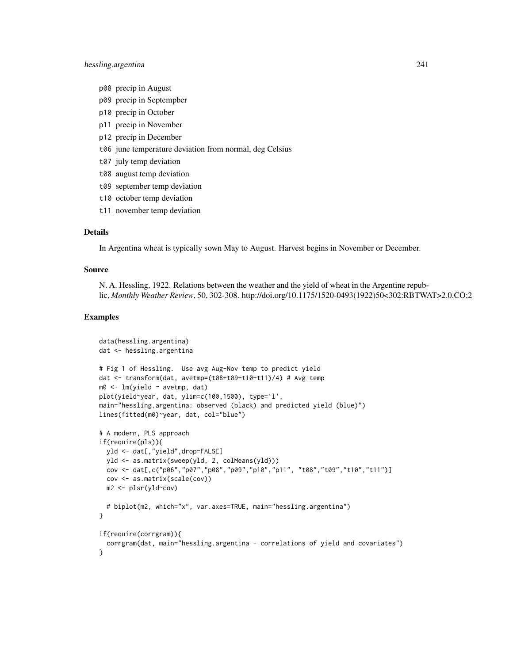- p08 precip in August
- p09 precip in Septempber
- p10 precip in October
- p11 precip in November
- p12 precip in December
- t06 june temperature deviation from normal, deg Celsius
- t07 july temp deviation
- t08 august temp deviation
- t09 september temp deviation
- t10 october temp deviation
- t11 november temp deviation

#### Details

In Argentina wheat is typically sown May to August. Harvest begins in November or December.

#### Source

N. A. Hessling, 1922. Relations between the weather and the yield of wheat in the Argentine republic, *Monthly Weather Review*, 50, 302-308. http://doi.org/10.1175/1520-0493(1922)50<302:RBTWAT>2.0.CO;2

```
data(hessling.argentina)
dat <- hessling.argentina
# Fig 1 of Hessling. Use avg Aug-Nov temp to predict yield
dat <- transform(dat, avetmp=(t08+t09+t10+t11)/4) # Avg temp
m0 <- lm(yield ~ avetmp, dat)
plot(yield~year, dat, ylim=c(100,1500), type='l',
main="hessling.argentina: observed (black) and predicted yield (blue)")
lines(fitted(m0)~year, dat, col="blue")
# A modern, PLS approach
if(require(pls)){
  yld <- dat[,"yield",drop=FALSE]
  yld <- as.matrix(sweep(yld, 2, colMeans(yld)))
 cov <- dat[,c("p06","p07","p08","p09","p10","p11", "t08","t09","t10","t11")]
 cov <- as.matrix(scale(cov))
  m2 <- plsr(yld~cov)
  # biplot(m2, which="x", var.axes=TRUE, main="hessling.argentina")
}
if(require(corrgram)){
  corrgram(dat, main="hessling.argentina - correlations of yield and covariates")
}
```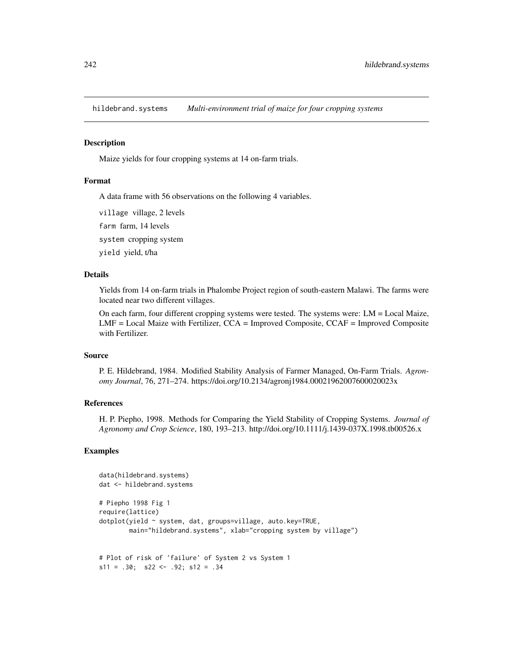hildebrand.systems *Multi-environment trial of maize for four cropping systems*

## Description

Maize yields for four cropping systems at 14 on-farm trials.

### Format

A data frame with 56 observations on the following 4 variables.

village village, 2 levels

farm farm, 14 levels

system cropping system

yield yield, t/ha

# Details

Yields from 14 on-farm trials in Phalombe Project region of south-eastern Malawi. The farms were located near two different villages.

On each farm, four different cropping systems were tested. The systems were: LM = Local Maize, LMF = Local Maize with Fertilizer, CCA = Improved Composite, CCAF = Improved Composite with Fertilizer.

#### Source

P. E. Hildebrand, 1984. Modified Stability Analysis of Farmer Managed, On-Farm Trials. *Agronomy Journal*, 76, 271–274. https://doi.org/10.2134/agronj1984.00021962007600020023x

# References

H. P. Piepho, 1998. Methods for Comparing the Yield Stability of Cropping Systems. *Journal of Agronomy and Crop Science*, 180, 193–213. http://doi.org/10.1111/j.1439-037X.1998.tb00526.x

```
data(hildebrand.systems)
dat <- hildebrand.systems
# Piepho 1998 Fig 1
require(lattice)
dotplot(yield ~ system, dat, groups=village, auto.key=TRUE,
       main="hildebrand.systems", xlab="cropping system by village")
# Plot of risk of 'failure' of System 2 vs System 1
s11 = .30; s22 < - .92; s12 = .34
```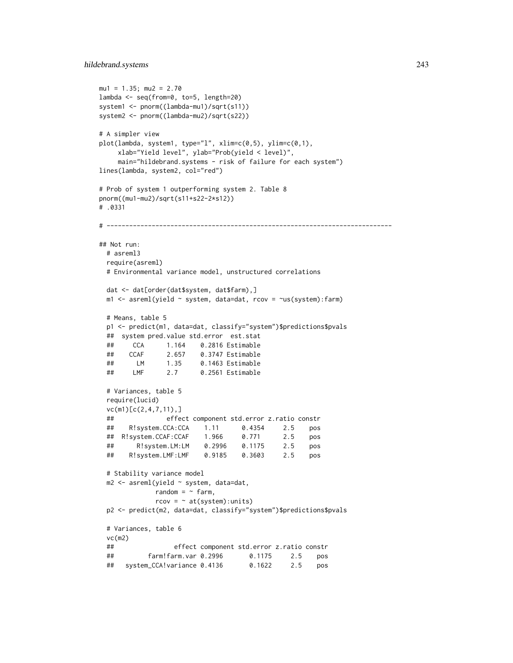```
mu1 = 1.35; mu2 = 2.70lambda <- seq(from=0, to=5, length=20)
system1 <- pnorm((lambda-mu1)/sqrt(s11))
system2 <- pnorm((lambda-mu2)/sqrt(s22))
# A simpler view
plot(lambda, system1, type="l", xlim=c(0,5), ylim=c(0,1),
    xlab="Yield level", ylab="Prob(yield < level)",
    main="hildebrand.systems - risk of failure for each system")
lines(lambda, system2, col="red")
# Prob of system 1 outperforming system 2. Table 8
pnorm((mu1-mu2)/sqrt(s11+s22-2*s12))
# .0331
# ----------------------------------------------------------------------------
## Not run:
 # asreml3
 require(asreml)
 # Environmental variance model, unstructured correlations
 dat <- dat[order(dat$system, dat$farm),]
 m1 <- asreml(yield ~ system, data=dat, rcov = ~us(system):farm)
 # Means, table 5
 p1 <- predict(m1, data=dat, classify="system")$predictions$pvals
 ## system pred.value std.error est.stat
 ## CCA 1.164 0.2816 Estimable
 ## CCAF 2.657 0.3747 Estimable
 ## LM 1.35 0.1463 Estimable
 ## LMF 2.7 0.2561 Estimable
 # Variances, table 5
 require(lucid)
 vc(m1)[c(2,4,7,11),]
 ## effect component std.error z.ratio constr
 ## R!system.CCA:CCA 1.11 0.4354 2.5 pos
 ## R!system.CCAF:CCAF 1.966 0.771 2.5 pos
 ## R!system.LM:LM 0.2996 0.1175 2.5 pos
 ## R!system.LMF:LMF 0.9185 0.3603 2.5 pos
 # Stability variance model
 m2 <- asreml(yield ~ system, data=dat,
             random = \sim farm,
             rcov = ~ at(system): units)p2 <- predict(m2, data=dat, classify="system")$predictions$pvals
 # Variances, table 6
 vc(m2)
 ## effect component std.error z.ratio constr
 ## farm!farm.var 0.2996 0.1175 2.5 pos
 ## system_CCA!variance 0.4136 0.1622 2.5 pos
```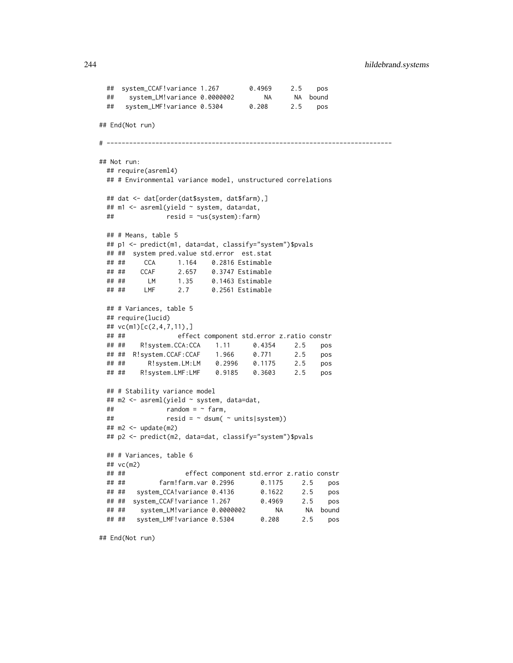```
## system_CCAF!variance 1.267 0.4969 2.5 pos
 ## system_LM!variance 0.0000002 NA NA bound
 ## system_LMF!variance 0.5304 0.208 2.5 pos
## End(Not run)
# ----------------------------------------------------------------------------
## Not run:
 ## require(asreml4)
 ## # Environmental variance model, unstructured correlations
 ## dat <- dat[order(dat$system, dat$farm),]
 ## m1 <- asreml(yield ~ system, data=dat,
 ## resid = ~us(system):farm)
 ## # Means, table 5
 ## p1 <- predict(m1, data=dat, classify="system")$pvals
 ## ## system pred.value std.error est.stat
 ## ## CCA 1.164 0.2816 Estimable
 ## ## CCAF 2.657 0.3747 Estimable
 ## ## LM 1.35 0.1463 Estimable
 ## ## LMF 2.7 0.2561 Estimable
 ## # Variances, table 5
 ## require(lucid)
 ## vc(m1)[c(2,4,7,11),]
 ## ## effect component std.error z.ratio constr
 ## ## R!system.CCA:CCA 1.11 0.4354 2.5 pos
 ## ## R!system.CCAF:CCAF 1.966 0.771 2.5 pos
 ## ## R!system.LM:LM 0.2996 0.1175 2.5 pos
        R!system.LMF:LMF   0.9185   0.3603   2.5   pos
 ## # Stability variance model
 ## m2 <- asreml(yield ~ system, data=dat,
 \# \# random = \sim farm,
 \# \# resid = \sim dsum( \sim units|system))
 ## m2 <- update(m2)
 ## p2 <- predict(m2, data=dat, classify="system")$pvals
 ## # Variances, table 6
 ## vc(m2)
 ## ## effect component std.error z.ratio constr
 ## ## farm!farm.var 0.2996 0.1175 2.5 pos
 ## ## system_CCA!variance 0.4136 0.1622 2.5 pos
 ## ## system_CCAF!variance 1.267 0.4969 2.5 pos
 ## ## system_LM!variance 0.0000002 NA NA bound
 ## ## system_LMF!variance 0.5304 0.208 2.5 pos
```
## End(Not run)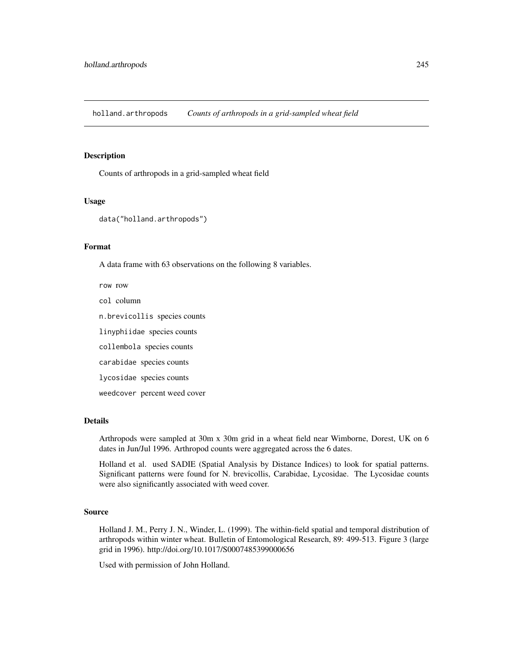holland.arthropods *Counts of arthropods in a grid-sampled wheat field*

# Description

Counts of arthropods in a grid-sampled wheat field

### Usage

data("holland.arthropods")

## Format

A data frame with 63 observations on the following 8 variables.

row row col column

n.brevicollis species counts

linyphiidae species counts

collembola species counts

carabidae species counts

lycosidae species counts

weedcover percent weed cover

# Details

Arthropods were sampled at 30m x 30m grid in a wheat field near Wimborne, Dorest, UK on 6 dates in Jun/Jul 1996. Arthropod counts were aggregated across the 6 dates.

Holland et al. used SADIE (Spatial Analysis by Distance Indices) to look for spatial patterns. Significant patterns were found for N. brevicollis, Carabidae, Lycosidae. The Lycosidae counts were also significantly associated with weed cover.

# Source

Holland J. M., Perry J. N., Winder, L. (1999). The within-field spatial and temporal distribution of arthropods within winter wheat. Bulletin of Entomological Research, 89: 499-513. Figure 3 (large grid in 1996). http://doi.org/10.1017/S0007485399000656

Used with permission of John Holland.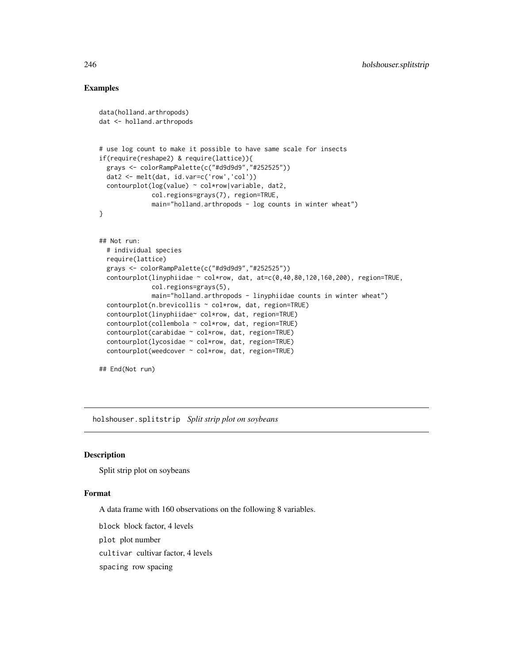# Examples

```
data(holland.arthropods)
dat <- holland.arthropods
# use log count to make it possible to have same scale for insects
if(require(reshape2) & require(lattice)){
 grays <- colorRampPalette(c("#d9d9d9","#252525"))
 dat2 <- melt(dat, id.var=c('row','col'))
 contourplot(log(value) ~ col*row|variable, dat2,
             col.regions=grays(7), region=TRUE,
             main="holland.arthropods - log counts in winter wheat")
}
## Not run:
 # individual species
 require(lattice)
 grays <- colorRampPalette(c("#d9d9d9","#252525"))
 contourplot(linyphiidae ~ col*row, dat, at=c(0,40,80,120,160,200), region=TRUE,
              col.regions=grays(5),
             main="holland.arthropods - linyphiidae counts in winter wheat")
 contourplot(n.brevicollis ~ col*row, dat, region=TRUE)
 contourplot(linyphiidae~ col*row, dat, region=TRUE)
 contourplot(collembola ~ col*row, dat, region=TRUE)
 contourplot(carabidae ~ col*row, dat, region=TRUE)
 contourplot(lycosidae ~ col*row, dat, region=TRUE)
 contourplot(weedcover ~ col*row, dat, region=TRUE)
## End(Not run)
```
holshouser.splitstrip *Split strip plot on soybeans*

# Description

Split strip plot on soybeans

# Format

A data frame with 160 observations on the following 8 variables.

block block factor, 4 levels

plot plot number

cultivar cultivar factor, 4 levels

spacing row spacing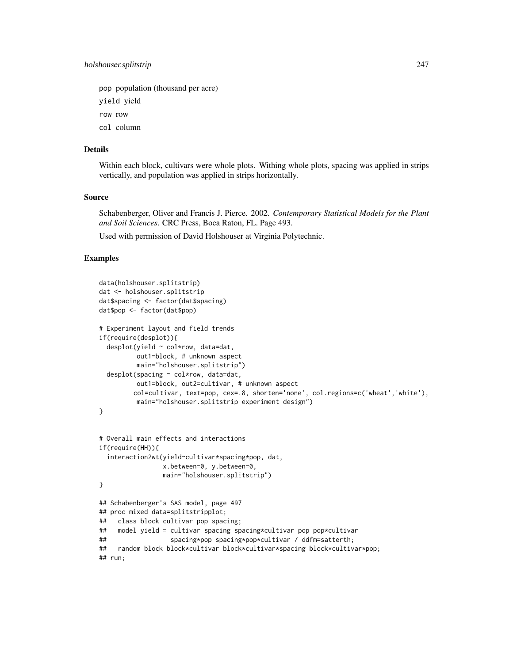pop population (thousand per acre)

yield yield

row row

col column

# Details

Within each block, cultivars were whole plots. Withing whole plots, spacing was applied in strips vertically, and population was applied in strips horizontally.

# Source

Schabenberger, Oliver and Francis J. Pierce. 2002. *Contemporary Statistical Models for the Plant and Soil Sciences*. CRC Press, Boca Raton, FL. Page 493.

Used with permission of David Holshouser at Virginia Polytechnic.

```
data(holshouser.splitstrip)
dat <- holshouser.splitstrip
dat$spacing <- factor(dat$spacing)
dat$pop <- factor(dat$pop)
# Experiment layout and field trends
if(require(desplot)){
 desplot(yield ~ col*row, data=dat,out1=block, # unknown aspect
         main="holshouser.splitstrip")
 desplot(spacing ~ col*row, data=dat,
         out1=block, out2=cultivar, # unknown aspect
         col=cultivar, text=pop, cex=.8, shorten='none', col.regions=c('wheat','white'),
         main="holshouser.splitstrip experiment design")
}
# Overall main effects and interactions
if(require(HH)){
 interaction2wt(yield~cultivar*spacing*pop, dat,
                x.between=0, y.between=0,
                main="holshouser.splitstrip")
}
## Schabenberger's SAS model, page 497
## proc mixed data=splitstripplot;
## class block cultivar pop spacing;
## model yield = cultivar spacing spacing*cultivar pop pop*cultivar
## spacing*pop spacing*pop*cultivar / ddfm=satterth;
## random block block*cultivar block*cultivar*spacing block*cultivar*pop;
## run;
```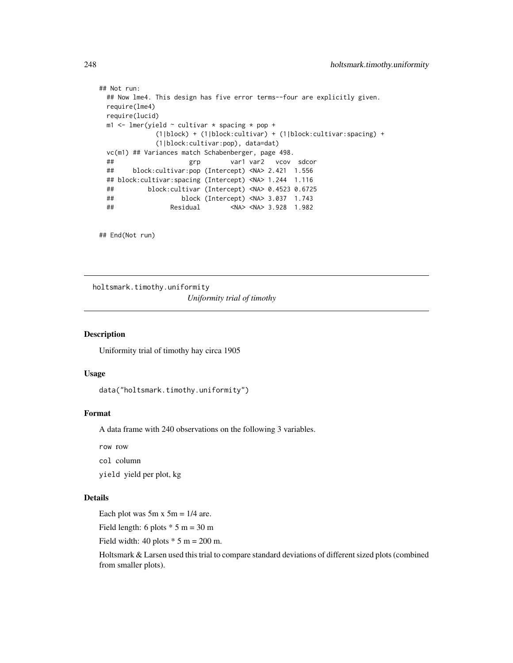```
## Not run:
 ## Now lme4. This design has five error terms--four are explicitly given.
 require(lme4)
 require(lucid)
 m1 <- lmer(yield \sim cultivar * spacing * pop +
             (1|block) + (1|block:cultivar) + (1|block:cultivar:spacing) +
             (1|block:cultivar:pop), data=dat)
 vc(m1) ## Variances match Schabenberger, page 498.
 ## grp var1 var2 vcov sdcor
 ## block:cultivar:pop (Intercept) <NA> 2.421 1.556
 ## block:cultivar:spacing (Intercept) <NA> 1.244 1.116
 ## block:cultivar (Intercept) <NA> 0.4523 0.6725
 ## block (Intercept) <NA> 3.037 1.743
 ## Residual <NA> <NA> 3.928 1.982
```
## End(Not run)

holtsmark.timothy.uniformity *Uniformity trial of timothy*

#### Description

Uniformity trial of timothy hay circa 1905

# Usage

data("holtsmark.timothy.uniformity")

# Format

A data frame with 240 observations on the following 3 variables.

row row

col column

yield yield per plot, kg

# Details

Each plot was  $5m \times 5m = 1/4$  are.

Field length: 6 plots  $* 5 m = 30 m$ 

Field width: 40 plots  $*$  5 m = 200 m.

Holtsmark & Larsen used this trial to compare standard deviations of different sized plots (combined from smaller plots).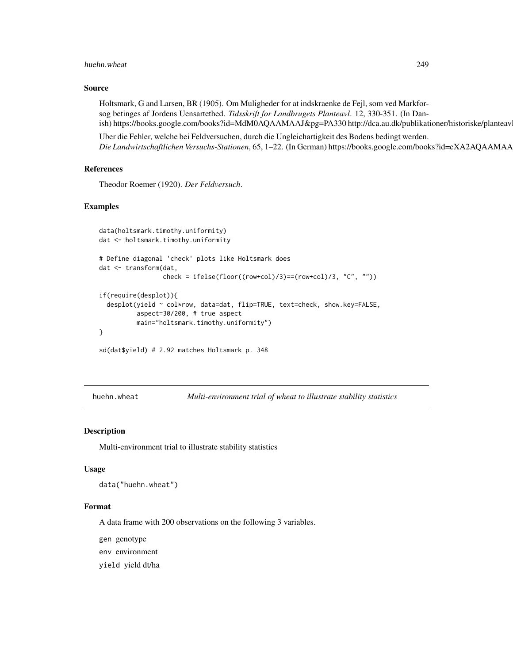#### huehn.wheat 249

## Source

Holtsmark, G and Larsen, BR (1905). Om Muligheder for at indskraenke de Fejl, som ved Markforsog betinges af Jordens Uensartethed. *Tidsskrift for Landbrugets Planteavl*. 12, 330-351. (In Danish) https://books.google.com/books?id=MdM0AQAAMAAJ&pg=PA330 http://dca.au.dk/publikationer/historiske/planteav

Uber die Fehler, welche bei Feldversuchen, durch die Ungleichartigkeit des Bodens bedingt werden. Die Landwirtschaftlichen Versuchs-Stationen, 65, 1-22. (In German) https://books.google.com/books?id=eXA2AQAAMAA

## References

Theodor Roemer (1920). *Der Feldversuch*.

## Examples

```
data(holtsmark.timothy.uniformity)
dat <- holtsmark.timothy.uniformity
# Define diagonal 'check' plots like Holtsmark does
dat <- transform(dat,
                 check = ifelse(floor((row+col)/3)==(row+col)/3, "C", ""))
if(require(desplot)){
 desplot(yield ~ col*row, data=dat, flip=TRUE, text=check, show.key=FALSE,
          aspect=30/200, # true aspect
          main="holtsmark.timothy.uniformity")
}
sd(dat$yield) # 2.92 matches Holtsmark p. 348
```
huehn.wheat *Multi-environment trial of wheat to illustrate stability statistics*

## Description

Multi-environment trial to illustrate stability statistics

#### Usage

data("huehn.wheat")

#### Format

A data frame with 200 observations on the following 3 variables.

gen genotype

env environment

yield yield dt/ha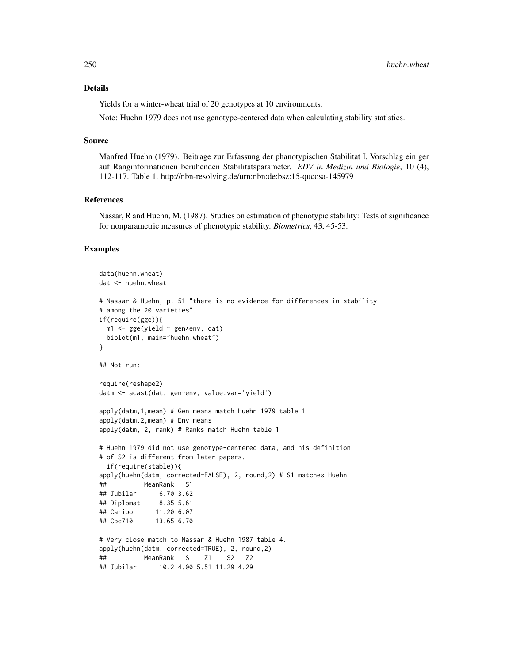# Details

Yields for a winter-wheat trial of 20 genotypes at 10 environments.

Note: Huehn 1979 does not use genotype-centered data when calculating stability statistics.

#### Source

Manfred Huehn (1979). Beitrage zur Erfassung der phanotypischen Stabilitat I. Vorschlag einiger auf Ranginformationen beruhenden Stabilitatsparameter. *EDV in Medizin und Biologie*, 10 (4), 112-117. Table 1. http://nbn-resolving.de/urn:nbn:de:bsz:15-qucosa-145979

## **References**

Nassar, R and Huehn, M. (1987). Studies on estimation of phenotypic stability: Tests of significance for nonparametric measures of phenotypic stability. *Biometrics*, 43, 45-53.

```
data(huehn.wheat)
dat <- huehn.wheat
# Nassar & Huehn, p. 51 "there is no evidence for differences in stability
# among the 20 varieties".
if(require(gge)){
 m1 <- gge(yield ~ gen*env, dat)
 biplot(m1, main="huehn.wheat")
}
## Not run:
require(reshape2)
datm <- acast(dat, gen~env, value.var='yield')
apply(datm,1,mean) # Gen means match Huehn 1979 table 1
apply(datm,2,mean) # Env means
apply(datm, 2, rank) # Ranks match Huehn table 1
# Huehn 1979 did not use genotype-centered data, and his definition
# of S2 is different from later papers.
 if(require(stable)){
apply(huehn(datm, corrected=FALSE), 2, round,2) # S1 matches Huehn
## MeanRank S1
## Jubilar 6.70 3.62
## Diplomat 8.35 5.61
## Caribo 11.20 6.07
## Cbc710 13.65 6.70
# Very close match to Nassar & Huehn 1987 table 4.
apply(huehn(datm, corrected=TRUE), 2, round,2)
## MeanRank S1 Z1 S2 Z2
## Jubilar 10.2 4.00 5.51 11.29 4.29
```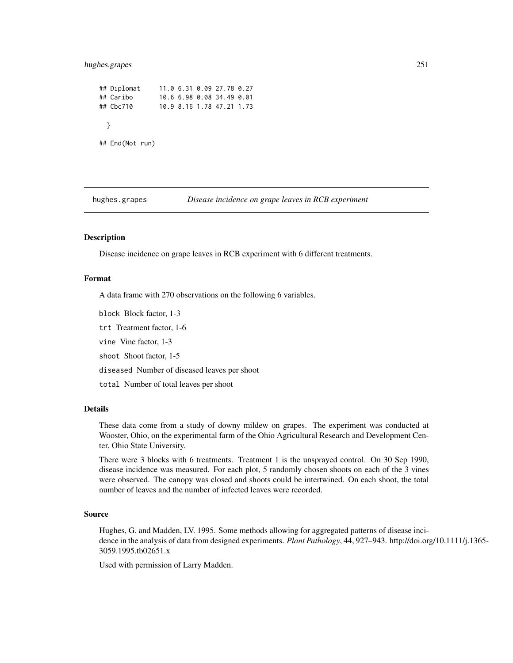# hughes.grapes 251

## Diplomat 11.0 6.31 0.09 27.78 0.27 ## Caribo 10.6 6.98 0.08 34.49 0.01 ## Cbc710 10.9 8.16 1.78 47.21 1.73 } ## End(Not run)

hughes.grapes *Disease incidence on grape leaves in RCB experiment*

# Description

Disease incidence on grape leaves in RCB experiment with 6 different treatments.

#### Format

A data frame with 270 observations on the following 6 variables.

block Block factor, 1-3

trt Treatment factor, 1-6

vine Vine factor, 1-3

shoot Shoot factor, 1-5

diseased Number of diseased leaves per shoot

total Number of total leaves per shoot

# Details

These data come from a study of downy mildew on grapes. The experiment was conducted at Wooster, Ohio, on the experimental farm of the Ohio Agricultural Research and Development Center, Ohio State University.

There were 3 blocks with 6 treatments. Treatment 1 is the unsprayed control. On 30 Sep 1990, disease incidence was measured. For each plot, 5 randomly chosen shoots on each of the 3 vines were observed. The canopy was closed and shoots could be intertwined. On each shoot, the total number of leaves and the number of infected leaves were recorded.

## Source

Hughes, G. and Madden, LV. 1995. Some methods allowing for aggregated patterns of disease incidence in the analysis of data from designed experiments. *Plant Pathology*, 44, 927–943. http://doi.org/10.1111/j.1365- 3059.1995.tb02651.x

Used with permission of Larry Madden.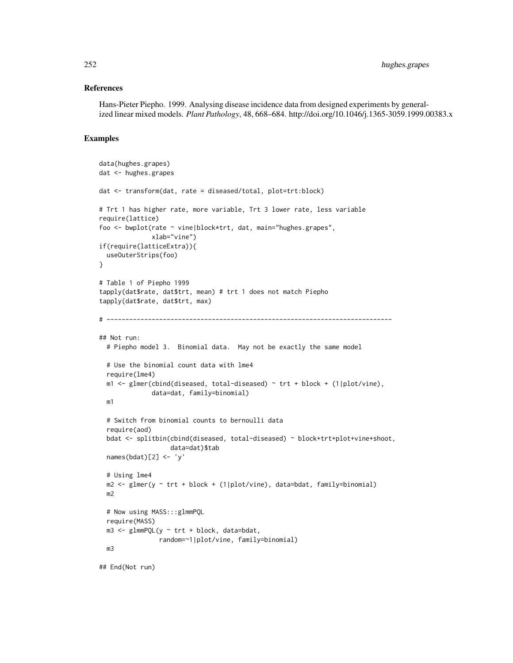# References

Hans-Pieter Piepho. 1999. Analysing disease incidence data from designed experiments by generalized linear mixed models. *Plant Pathology*, 48, 668–684. http://doi.org/10.1046/j.1365-3059.1999.00383.x

```
data(hughes.grapes)
dat <- hughes.grapes
dat <- transform(dat, rate = diseased/total, plot=trt:block)
# Trt 1 has higher rate, more variable, Trt 3 lower rate, less variable
require(lattice)
foo <- bwplot(rate ~ vine|block*trt, dat, main="hughes.grapes",
              xlab="vine")
if(require(latticeExtra)){
  useOuterStrips(foo)
}
# Table 1 of Piepho 1999
tapply(dat$rate, dat$trt, mean) # trt 1 does not match Piepho
tapply(dat$rate, dat$trt, max)
# ----------------------------------------------------------------------------
## Not run:
  # Piepho model 3. Binomial data. May not be exactly the same model
  # Use the binomial count data with lme4
  require(lme4)
  m1 < - glmer(cbind(diseased, total-diseased) ~ trt + block + (1|plot/vine),
              data=dat, family=binomial)
  m1
  # Switch from binomial counts to bernoulli data
  require(aod)
  bdat <- splitbin(cbind(diseased, total-diseased) ~ block+trt+plot+vine+shoot,
                   data=dat)$tab
  names(bdat)[2] <- 'y'
  # Using lme4
  m2 <- glmer(y ~ trt + block + (1|plot/vine), data=bdat, family=binomial)
  m2
  # Now using MASS:::glmmPQL
  require(MASS)
  m3 \leq glmmPQL(y \sim trt + block, data=bdat,
                random=~1|plot/vine, family=binomial)
  m3
```

```
## End(Not run)
```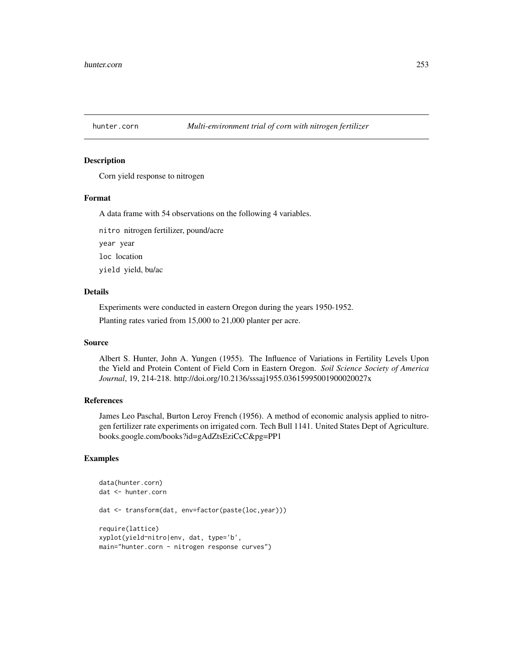## Description

Corn yield response to nitrogen

## Format

A data frame with 54 observations on the following 4 variables.

nitro nitrogen fertilizer, pound/acre

year year

loc location

yield yield, bu/ac

### Details

Experiments were conducted in eastern Oregon during the years 1950-1952.

Planting rates varied from 15,000 to 21,000 planter per acre.

#### Source

Albert S. Hunter, John A. Yungen (1955). The Influence of Variations in Fertility Levels Upon the Yield and Protein Content of Field Corn in Eastern Oregon. *Soil Science Society of America Journal*, 19, 214-218. http://doi.org/10.2136/sssaj1955.03615995001900020027x

# References

James Leo Paschal, Burton Leroy French (1956). A method of economic analysis applied to nitrogen fertilizer rate experiments on irrigated corn. Tech Bull 1141. United States Dept of Agriculture. books.google.com/books?id=gAdZtsEziCcC&pg=PP1

```
data(hunter.corn)
dat <- hunter.corn
dat <- transform(dat, env=factor(paste(loc,year)))
require(lattice)
xyplot(yield~nitro|env, dat, type='b',
main="hunter.corn - nitrogen response curves")
```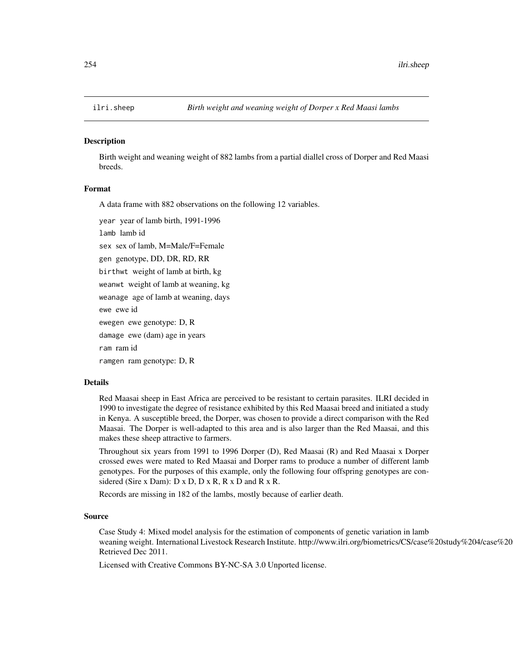#### **Description**

Birth weight and weaning weight of 882 lambs from a partial diallel cross of Dorper and Red Maasi breeds.

## Format

A data frame with 882 observations on the following 12 variables.

year year of lamb birth, 1991-1996 lamb lamb id sex sex of lamb, M=Male/F=Female gen genotype, DD, DR, RD, RR birthwt weight of lamb at birth, kg weanwt weight of lamb at weaning, kg weanage age of lamb at weaning, days ewe ewe id ewegen ewe genotype: D, R damage ewe (dam) age in years ram ram id ramgen ram genotype: D, R

## Details

Red Maasai sheep in East Africa are perceived to be resistant to certain parasites. ILRI decided in 1990 to investigate the degree of resistance exhibited by this Red Maasai breed and initiated a study in Kenya. A susceptible breed, the Dorper, was chosen to provide a direct comparison with the Red Maasai. The Dorper is well-adapted to this area and is also larger than the Red Maasai, and this makes these sheep attractive to farmers.

Throughout six years from 1991 to 1996 Dorper (D), Red Maasai (R) and Red Maasai x Dorper crossed ewes were mated to Red Maasai and Dorper rams to produce a number of different lamb genotypes. For the purposes of this example, only the following four offspring genotypes are considered (Sire x Dam):  $D \times D$ ,  $D \times R$ ,  $R \times D$  and  $R \times R$ .

Records are missing in 182 of the lambs, mostly because of earlier death.

#### Source

Case Study 4: Mixed model analysis for the estimation of components of genetic variation in lamb weaning weight. International Livestock Research Institute. http://www.ilri.org/biometrics/CS/case%20study%204/case%20 Retrieved Dec 2011.

Licensed with Creative Commons BY-NC-SA 3.0 Unported license.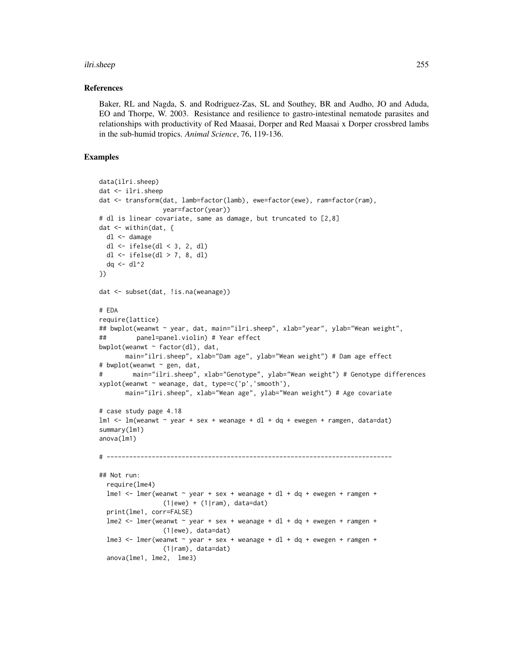#### ilri.sheep 255

#### References

Baker, RL and Nagda, S. and Rodriguez-Zas, SL and Southey, BR and Audho, JO and Aduda, EO and Thorpe, W. 2003. Resistance and resilience to gastro-intestinal nematode parasites and relationships with productivity of Red Maasai, Dorper and Red Maasai x Dorper crossbred lambs in the sub-humid tropics. *Animal Science*, 76, 119-136.

```
data(ilri.sheep)
dat <- ilri.sheep
dat <- transform(dat, lamb=factor(lamb), ewe=factor(ewe), ram=factor(ram),
                 year=factor(year))
# dl is linear covariate, same as damage, but truncated to [2,8]
dat <- within(dat, {
  dl <- damage
  dl <- ifelse(dl < 3, 2, dl)
  dl <- ifelse(dl > 7, 8, dl)
  dq \leftarrow dl^2
})
dat <- subset(dat, !is.na(weanage))
# EDA
require(lattice)
## bwplot(weanwt ~ year, dat, main="ilri.sheep", xlab="year", ylab="Wean weight",
## panel=panel.violin) # Year effect
bwplot(weanwt \sim factor(dl), dat,
       main="ilri.sheep", xlab="Dam age", ylab="Wean weight") # Dam age effect
# bwplot(weanwt ~ gen, dat,
# main="ilri.sheep", xlab="Genotype", ylab="Wean weight") # Genotype differences
xyplot(weanwt ~ weanage, dat, type=c('p','smooth'),
       main="ilri.sheep", xlab="Wean age", ylab="Wean weight") # Age covariate
# case study page 4.18
lm1 \leq -lm(weanwt \sim year + sex + weanage + dl + dq + ewegen + ramgen, data=dat)
summary(lm1)
anova(lm1)
# ----------------------------------------------------------------------------
## Not run:
  require(lme4)
  lme1 \le - lmer(weanwt \sim year + sex + weanage + dl + dq + ewegen + ramgen +
                 (1|ewe) + (1|ram), data=dat)
  print(lme1, corr=FALSE)
  lme2 <- lmer(weanwt ~ year + sex + weanage + dl + dq + ewegen + ramgen +
                 (1|ewe), data=dat)
  lme3 <- lmer(weanwt \sim year + sex + weanage + d1 + dq + ewegen + ramgen +
                 (1|ram), data=dat)
  anova(lme1, lme2, lme3)
```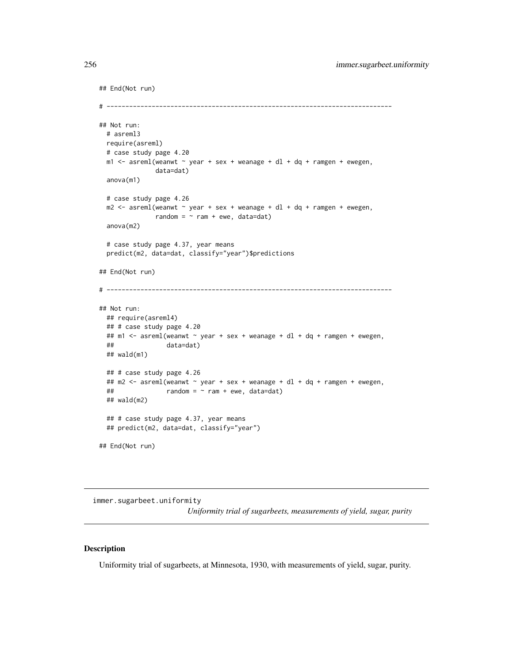```
## End(Not run)
# ----------------------------------------------------------------------------
## Not run:
 # asreml3
 require(asreml)
 # case study page 4.20
 m1 <- asreml(weanwt \sim year + sex + weanage + dl + dq + ramgen + ewegen,
              data=dat)
 anova(m1)
 # case study page 4.26
 m2 < - asreml(weanwt \sim year + sex + weanage + dl + dq + ramgen + ewegen,
              random = \sim ram + ewe, data=dat)
 anova(m2)
 # case study page 4.37, year means
 predict(m2, data=dat, classify="year")$predictions
## End(Not run)
# ----------------------------------------------------------------------------
## Not run:
 ## require(asreml4)
 ## # case study page 4.20
 ## m1 <- asreml(weanwt ~ year + sex + weanage + dl + dq + ramgen + ewegen,
 ## data=dat)
 ## wald(m1)
 ## # case study page 4.26
 ## m2 <- asreml(weanwt ~ year + sex + weanage + dl + dq + ramgen + ewegen,
 \# random = \sim ram + ewe, data=dat)
 ## wald(m2)
 ## # case study page 4.37, year means
 ## predict(m2, data=dat, classify="year")
## End(Not run)
```
immer.sugarbeet.uniformity *Uniformity trial of sugarbeets, measurements of yield, sugar, purity*

## Description

Uniformity trial of sugarbeets, at Minnesota, 1930, with measurements of yield, sugar, purity.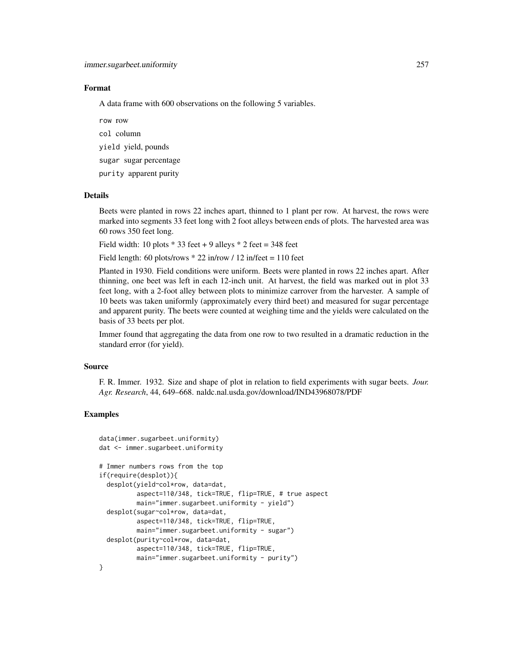#### Format

A data frame with 600 observations on the following 5 variables.

row row

col column

yield yield, pounds

sugar sugar percentage

purity apparent purity

#### Details

Beets were planted in rows 22 inches apart, thinned to 1 plant per row. At harvest, the rows were marked into segments 33 feet long with 2 foot alleys between ends of plots. The harvested area was 60 rows 350 feet long.

Field width: 10 plots  $*$  33 feet + 9 alleys  $*$  2 feet = 348 feet

Field length: 60 plots/rows  $* 22$  in/row / 12 in/feet = 110 feet

Planted in 1930. Field conditions were uniform. Beets were planted in rows 22 inches apart. After thinning, one beet was left in each 12-inch unit. At harvest, the field was marked out in plot 33 feet long, with a 2-foot alley between plots to minimize carrover from the harvester. A sample of 10 beets was taken uniformly (approximately every third beet) and measured for sugar percentage and apparent purity. The beets were counted at weighing time and the yields were calculated on the basis of 33 beets per plot.

Immer found that aggregating the data from one row to two resulted in a dramatic reduction in the standard error (for yield).

#### Source

F. R. Immer. 1932. Size and shape of plot in relation to field experiments with sugar beets. *Jour. Agr. Research*, 44, 649–668. naldc.nal.usda.gov/download/IND43968078/PDF

```
data(immer.sugarbeet.uniformity)
dat <- immer.sugarbeet.uniformity
# Immer numbers rows from the top
if(require(desplot)){
 desplot(yield~col*row, data=dat,
          aspect=110/348, tick=TRUE, flip=TRUE, # true aspect
         main="immer.sugarbeet.uniformity - yield")
 desplot(sugar~col*row, data=dat,
          aspect=110/348, tick=TRUE, flip=TRUE,
         main="immer.sugarbeet.uniformity - sugar")
 desplot(purity~col*row, data=dat,
          aspect=110/348, tick=TRUE, flip=TRUE,
         main="immer.sugarbeet.uniformity - purity")
}
```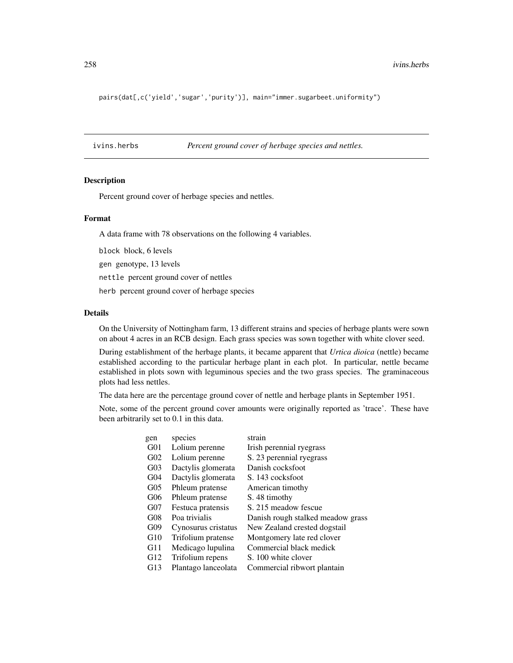pairs(dat[,c('yield','sugar','purity')], main="immer.sugarbeet.uniformity")

ivins.herbs *Percent ground cover of herbage species and nettles.*

#### Description

Percent ground cover of herbage species and nettles.

#### Format

A data frame with 78 observations on the following 4 variables.

block block, 6 levels

gen genotype, 13 levels

nettle percent ground cover of nettles

herb percent ground cover of herbage species

### Details

On the University of Nottingham farm, 13 different strains and species of herbage plants were sown on about 4 acres in an RCB design. Each grass species was sown together with white clover seed.

During establishment of the herbage plants, it became apparent that *Urtica dioica* (nettle) became established according to the particular herbage plant in each plot. In particular, nettle became established in plots sown with leguminous species and the two grass species. The graminaceous plots had less nettles.

The data here are the percentage ground cover of nettle and herbage plants in September 1951.

Note, some of the percent ground cover amounts were originally reported as 'trace'. These have been arbitrarily set to 0.1 in this data.

| gen             | species             | strain                            |
|-----------------|---------------------|-----------------------------------|
| G <sub>01</sub> | Lolium perenne      | Irish perennial ryegrass          |
| G <sub>02</sub> | Lolium perenne      | S. 23 perennial ryegrass          |
| G <sub>03</sub> | Dactylis glomerata  | Danish cocksfoot                  |
| G <sub>04</sub> | Dactylis glomerata  | S. 143 cocksfoot                  |
| $G_{05}$        | Phleum pratense     | American timothy                  |
| G06             | Phleum pratense     | S. 48 timothy                     |
| G07             | Festuca pratensis   | S. 215 meadow fescue              |
| G08             | Poa trivialis       | Danish rough stalked meadow grass |
| G09             | Cynosurus cristatus | New Zealand crested dogstail      |
| G10             | Trifolium pratense  | Montgomery late red clover        |
| G11             | Medicago lupulina   | Commercial black medick           |
| G12             | Trifolium repens    | S. 100 white clover               |
| G13             | Plantago lanceolata | Commercial ribwort plantain       |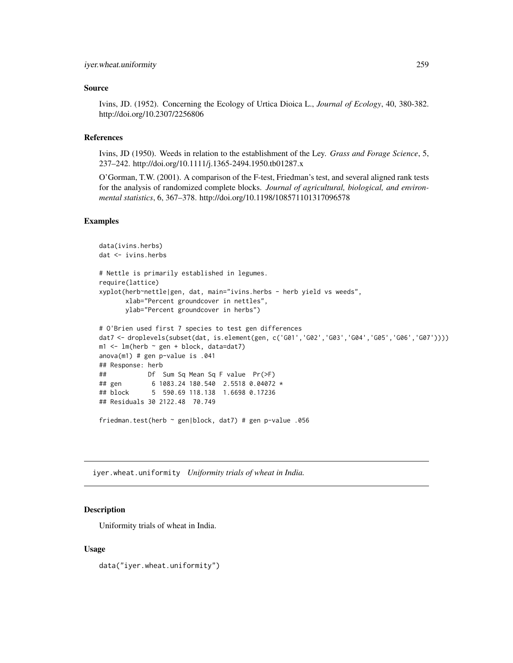#### Source

Ivins, JD. (1952). Concerning the Ecology of Urtica Dioica L., *Journal of Ecology*, 40, 380-382. http://doi.org/10.2307/2256806

## References

Ivins, JD (1950). Weeds in relation to the establishment of the Ley. *Grass and Forage Science*, 5, 237–242. http://doi.org/10.1111/j.1365-2494.1950.tb01287.x

O'Gorman, T.W. (2001). A comparison of the F-test, Friedman's test, and several aligned rank tests for the analysis of randomized complete blocks. *Journal of agricultural, biological, and environmental statistics*, 6, 367–378. http://doi.org/10.1198/108571101317096578

# Examples

```
data(ivins.herbs)
dat <- ivins.herbs
# Nettle is primarily established in legumes.
require(lattice)
xyplot(herb~nettle|gen, dat, main="ivins.herbs - herb yield vs weeds",
       xlab="Percent groundcover in nettles",
       ylab="Percent groundcover in herbs")
# O'Brien used first 7 species to test gen differences
dat7 <- droplevels(subset(dat, is.element(gen, c('G01','G02','G03','G04','G05','G06','G07'))))
m1 \leq - \ln(\text{herb} \sim \text{gen} + \text{block}, \text{data=dat7})anova(m1) # gen p-value is .041
## Response: herb
## Df Sum Sq Mean Sq F value Pr(>F)
## gen 6 1083.24 180.540 2.5518 0.04072 *
## block 5 590.69 118.138 1.6698 0.17236
## Residuals 30 2122.48 70.749
friedman.test(herb ~ gen|block, dat7) # gen p-value .056
```
iyer.wheat.uniformity *Uniformity trials of wheat in India.*

#### Description

Uniformity trials of wheat in India.

#### Usage

data("iyer.wheat.uniformity")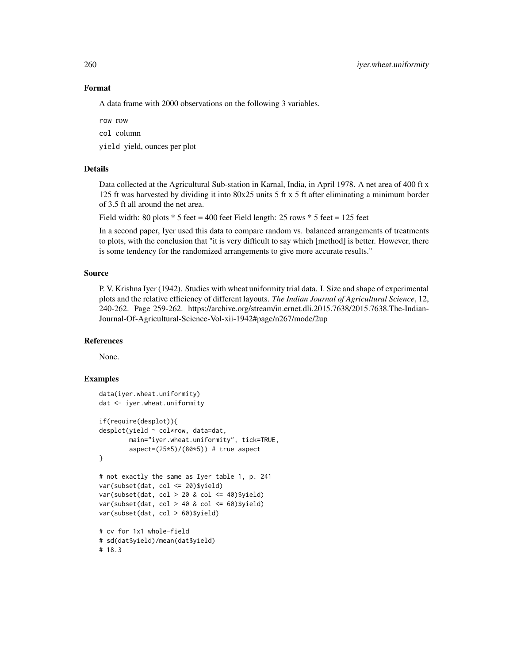## Format

A data frame with 2000 observations on the following 3 variables.

row row

col column

yield yield, ounces per plot

## Details

Data collected at the Agricultural Sub-station in Karnal, India, in April 1978. A net area of 400 ft x 125 ft was harvested by dividing it into 80x25 units 5 ft x 5 ft after eliminating a minimum border of 3.5 ft all around the net area.

Field width: 80 plots \* 5 feet = 400 feet Field length: 25 rows \* 5 feet = 125 feet

In a second paper, Iyer used this data to compare random vs. balanced arrangements of treatments to plots, with the conclusion that "it is very difficult to say which [method] is better. However, there is some tendency for the randomized arrangements to give more accurate results."

# Source

P. V. Krishna Iyer (1942). Studies with wheat uniformity trial data. I. Size and shape of experimental plots and the relative efficiency of different layouts. *The Indian Journal of Agricultural Science*, 12, 240-262. Page 259-262. https://archive.org/stream/in.ernet.dli.2015.7638/2015.7638.The-Indian-Journal-Of-Agricultural-Science-Vol-xii-1942#page/n267/mode/2up

## References

None.

```
data(iyer.wheat.uniformity)
dat <- iyer.wheat.uniformity
if(require(desplot)){
desplot(yield ~ col*row, data=dat,
        main="iyer.wheat.uniformity", tick=TRUE,
        aspect=(25*5)/(80*5)) # true aspect
}
# not exactly the same as Iyer table 1, p. 241
var(subset(dat, col <= 20)$yield)
var(subset(data, col > 20 & col \leq 40)$yield)
var(subset(data, col > 40 & col \le 60)$yield)
var(subset(dat, col > 60)$yield)
# cv for 1x1 whole-field
# sd(dat$yield)/mean(dat$yield)
# 18.3
```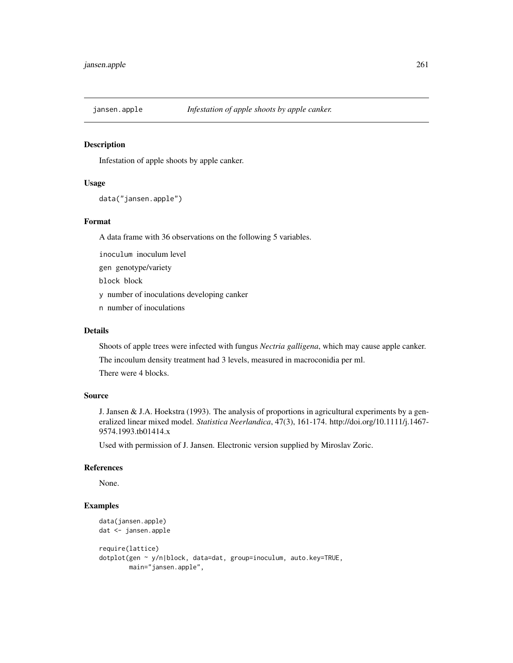#### Description

Infestation of apple shoots by apple canker.

## Usage

```
data("jansen.apple")
```
## Format

A data frame with 36 observations on the following 5 variables.

inoculum inoculum level

gen genotype/variety

block block

y number of inoculations developing canker

n number of inoculations

## Details

Shoots of apple trees were infected with fungus *Nectria galligena*, which may cause apple canker. The incoulum density treatment had 3 levels, measured in macroconidia per ml.

There were 4 blocks.

## Source

J. Jansen & J.A. Hoekstra (1993). The analysis of proportions in agricultural experiments by a generalized linear mixed model. *Statistica Neerlandica*, 47(3), 161-174. http://doi.org/10.1111/j.1467- 9574.1993.tb01414.x

Used with permission of J. Jansen. Electronic version supplied by Miroslav Zoric.

# References

None.

```
data(jansen.apple)
dat <- jansen.apple
require(lattice)
dotplot(gen ~ y/n|block, data=dat, group=inoculum, auto.key=TRUE,
       main="jansen.apple",
```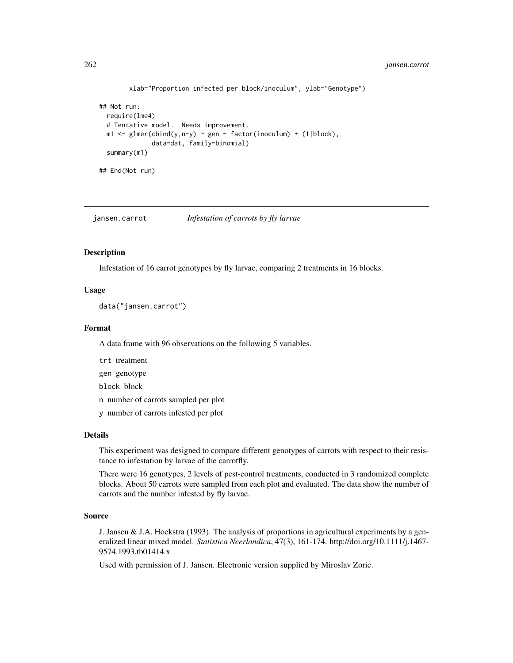```
xlab="Proportion infected per block/inoculum", ylab="Genotype")
## Not run:
 require(lme4)
 # Tentative model. Needs improvement.
 m1 \leq -glmer(cbind(y,n-y) ~ gen + factor(inoculum) + (1|block),
              data=dat, family=binomial)
 summary(m1)
## End(Not run)
```
jansen.carrot *Infestation of carrots by fly larvae*

## **Description**

Infestation of 16 carrot genotypes by fly larvae, comparing 2 treatments in 16 blocks.

# Usage

data("jansen.carrot")

## Format

A data frame with 96 observations on the following 5 variables.

trt treatment

gen genotype

block block

n number of carrots sampled per plot

y number of carrots infested per plot

#### Details

This experiment was designed to compare different genotypes of carrots with respect to their resistance to infestation by larvae of the carrotfly.

There were 16 genotypes, 2 levels of pest-control treatments, conducted in 3 randomized complete blocks. About 50 carrots were sampled from each plot and evaluated. The data show the number of carrots and the number infested by fly larvae.

# Source

J. Jansen & J.A. Hoekstra (1993). The analysis of proportions in agricultural experiments by a generalized linear mixed model. *Statistica Neerlandica*, 47(3), 161-174. http://doi.org/10.1111/j.1467- 9574.1993.tb01414.x

Used with permission of J. Jansen. Electronic version supplied by Miroslav Zoric.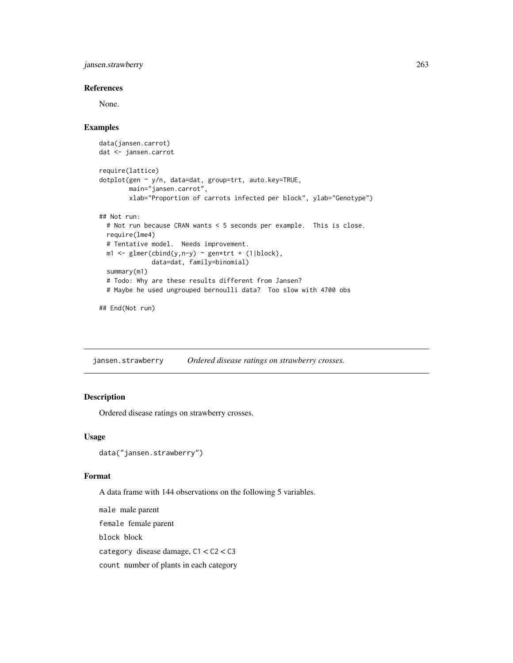jansen.strawberry 263

## References

None.

#### Examples

```
data(jansen.carrot)
dat <- jansen.carrot
require(lattice)
dotplot(gen ~ y/n, data=dat, group=trt, auto.key=TRUE,
       main="jansen.carrot",
        xlab="Proportion of carrots infected per block", ylab="Genotype")
## Not run:
 # Not run because CRAN wants < 5 seconds per example. This is close.
 require(lme4)
 # Tentative model. Needs improvement.
 m1 \leq glmer(clind(y, n-y) \sim gen*trt + (1|block),data=dat, family=binomial)
 summary(m1)
 # Todo: Why are these results different from Jansen?
 # Maybe he used ungrouped bernoulli data? Too slow with 4700 obs
```
## End(Not run)

jansen.strawberry *Ordered disease ratings on strawberry crosses.*

## Description

Ordered disease ratings on strawberry crosses.

#### Usage

```
data("jansen.strawberry")
```
#### Format

A data frame with 144 observations on the following 5 variables.

male male parent female female parent block block category disease damage, C1 < C2 < C3 count number of plants in each category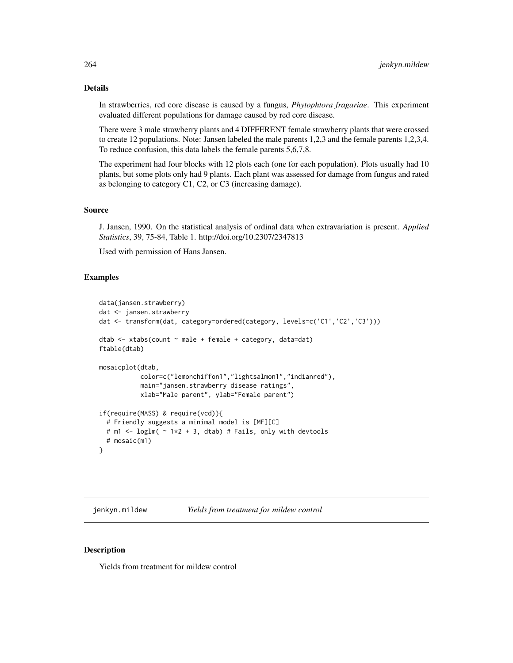## Details

In strawberries, red core disease is caused by a fungus, *Phytophtora fragariae*. This experiment evaluated different populations for damage caused by red core disease.

There were 3 male strawberry plants and 4 DIFFERENT female strawberry plants that were crossed to create 12 populations. Note: Jansen labeled the male parents 1,2,3 and the female parents 1,2,3,4. To reduce confusion, this data labels the female parents 5,6,7,8.

The experiment had four blocks with 12 plots each (one for each population). Plots usually had 10 plants, but some plots only had 9 plants. Each plant was assessed for damage from fungus and rated as belonging to category C1, C2, or C3 (increasing damage).

#### Source

J. Jansen, 1990. On the statistical analysis of ordinal data when extravariation is present. *Applied Statistics*, 39, 75-84, Table 1. http://doi.org/10.2307/2347813

Used with permission of Hans Jansen.

## Examples

```
data(jansen.strawberry)
dat <- jansen.strawberry
dat <- transform(dat, category=ordered(category, levels=c('C1','C2','C3')))
dtab <- xtabs(count ~ male + female + category, data=dat)
ftable(dtab)
mosaicplot(dtab,
           color=c("lemonchiffon1","lightsalmon1","indianred"),
           main="jansen.strawberry disease ratings",
           xlab="Male parent", ylab="Female parent")
if(require(MASS) & require(vcd)){
 # Friendly suggests a minimal model is [MF][C]
 # m1 <- loglm( \sim 1*2 + 3, dtab) # Fails, only with devtools
 # mosaic(m1)
}
```
jenkyn.mildew *Yields from treatment for mildew control*

#### **Description**

Yields from treatment for mildew control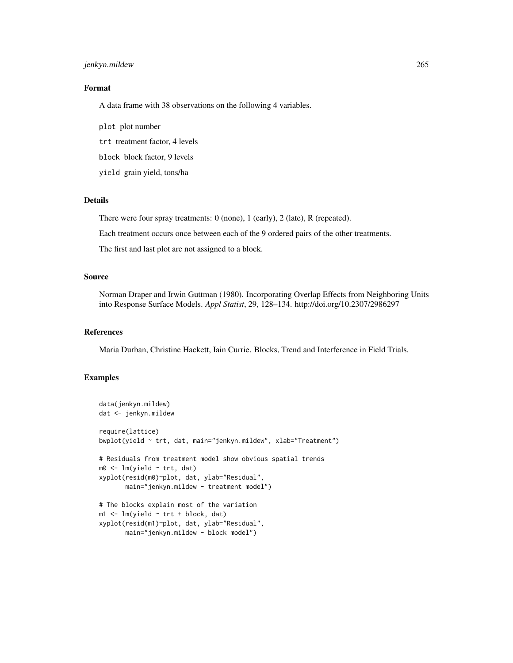## jenkyn.mildew 265

## Format

A data frame with 38 observations on the following 4 variables.

plot plot number

trt treatment factor, 4 levels

block block factor, 9 levels

yield grain yield, tons/ha

## Details

There were four spray treatments: 0 (none), 1 (early), 2 (late), R (repeated).

Each treatment occurs once between each of the 9 ordered pairs of the other treatments.

The first and last plot are not assigned to a block.

# Source

Norman Draper and Irwin Guttman (1980). Incorporating Overlap Effects from Neighboring Units into Response Surface Models. *Appl Statist*, 29, 128–134. http://doi.org/10.2307/2986297

## References

Maria Durban, Christine Hackett, Iain Currie. Blocks, Trend and Interference in Field Trials.

```
data(jenkyn.mildew)
dat <- jenkyn.mildew
require(lattice)
bwplot(yield ~ trt, dat, main="jenkyn.mildew", xlab="Treatment")
# Residuals from treatment model show obvious spatial trends
m0 <- lm(yield ~ trt, dat)
xyplot(resid(m0)~plot, dat, ylab="Residual",
      main="jenkyn.mildew - treatment model")
# The blocks explain most of the variation
m1 < -1m(yield \sim trt + block, dat)xyplot(resid(m1)~plot, dat, ylab="Residual",
      main="jenkyn.mildew - block model")
```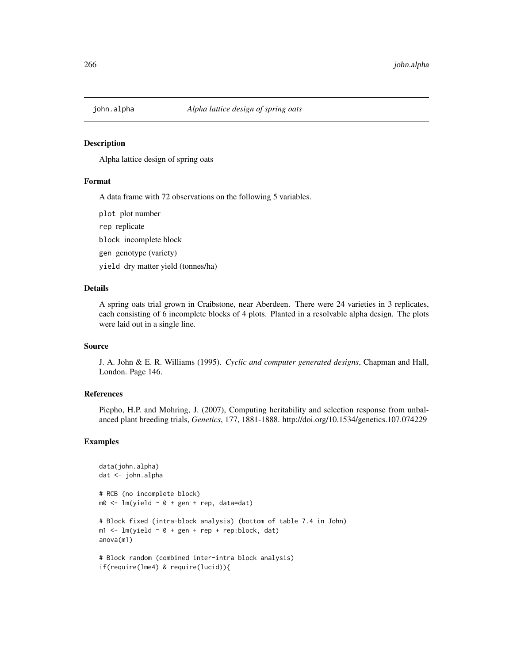#### **Description**

Alpha lattice design of spring oats

#### Format

A data frame with 72 observations on the following 5 variables.

plot plot number

rep replicate

block incomplete block

gen genotype (variety)

yield dry matter yield (tonnes/ha)

## Details

A spring oats trial grown in Craibstone, near Aberdeen. There were 24 varieties in 3 replicates, each consisting of 6 incomplete blocks of 4 plots. Planted in a resolvable alpha design. The plots were laid out in a single line.

#### Source

J. A. John & E. R. Williams (1995). *Cyclic and computer generated designs*, Chapman and Hall, London. Page 146.

# References

Piepho, H.P. and Mohring, J. (2007), Computing heritability and selection response from unbalanced plant breeding trials, *Genetics*, 177, 1881-1888. http://doi.org/10.1534/genetics.107.074229

```
data(john.alpha)
dat <- john.alpha
# RCB (no incomplete block)
m0 \leq -\ln(yield \sim 0 + gen + rep, data=dat)# Block fixed (intra-block analysis) (bottom of table 7.4 in John)
m1 < -1m(yield ~ o + gen + rep + rep:block, dat)anova(m1)
# Block random (combined inter-intra block analysis)
if(require(lme4) & require(lucid)){
```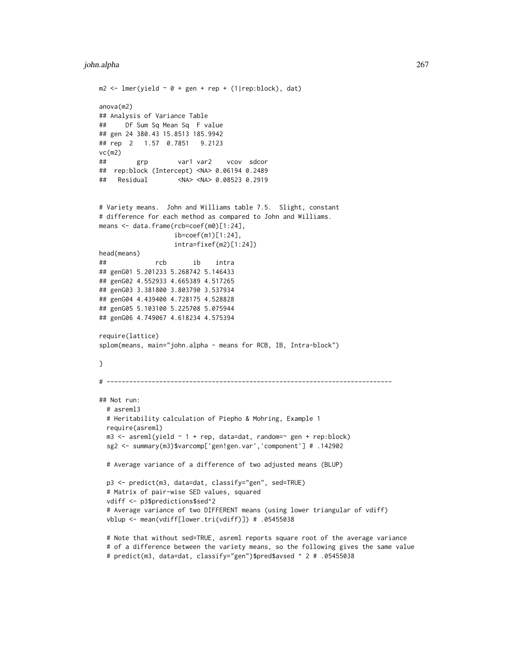#### john.alpha 267

```
m2 \leq -\text{Imer}(yield \sim 0 + gen + rep + (1|rep:block), dat)anova(m2)
## Analysis of Variance Table
## Df Sum Sq Mean Sq F value
## gen 24 380.43 15.8513 185.9942
## rep 2 1.57 0.7851 9.2123
vc(m2)
## grp var1 var2 vcov sdcor
## rep:block (Intercept) <NA> 0.06194 0.2489
## Residual <NA> <NA> 0.08523 0.2919
# Variety means. John and Williams table 7.5. Slight, constant
# difference for each method as compared to John and Williams.
means <- data.frame(rcb=coef(m0)[1:24],
                    ib=coef(m1)[1:24],
                    intra=fixef(m2)[1:24])
head(means)
## rcb ib intra
## genG01 5.201233 5.268742 5.146433
## genG02 4.552933 4.665389 4.517265
## genG03 3.381800 3.803790 3.537934
## genG04 4.439400 4.728175 4.528828
## genG05 5.103100 5.225708 5.075944
## genG06 4.749067 4.618234 4.575394
require(lattice)
splom(means, main="john.alpha - means for RCB, IB, Intra-block")
}
# ----------------------------------------------------------------------------
## Not run:
  # asreml3
  # Heritability calculation of Piepho & Mohring, Example 1
  require(asreml)
  m3 \leq -\text{asreml}(\text{yield} \sim 1 + \text{rep}, \text{ data}= \text{dat}, \text{ random} = \text{rep} \cdot \text{step} \cdot \text{block})sg2 <- summary(m3)$varcomp['gen!gen.var','component'] # .142902
  # Average variance of a difference of two adjusted means (BLUP)
  p3 <- predict(m3, data=dat, classify="gen", sed=TRUE)
  # Matrix of pair-wise SED values, squared
  vdiff <- p3$predictions$sed^2
  # Average variance of two DIFFERENT means (using lower triangular of vdiff)
  vblup <- mean(vdiff[lower.tri(vdiff)]) # .05455038
  # Note that without sed=TRUE, asreml reports square root of the average variance
  # of a difference between the variety means, so the following gives the same value
  # predict(m3, data=dat, classify="gen")$pred$avsed ^ 2 # .05455038
```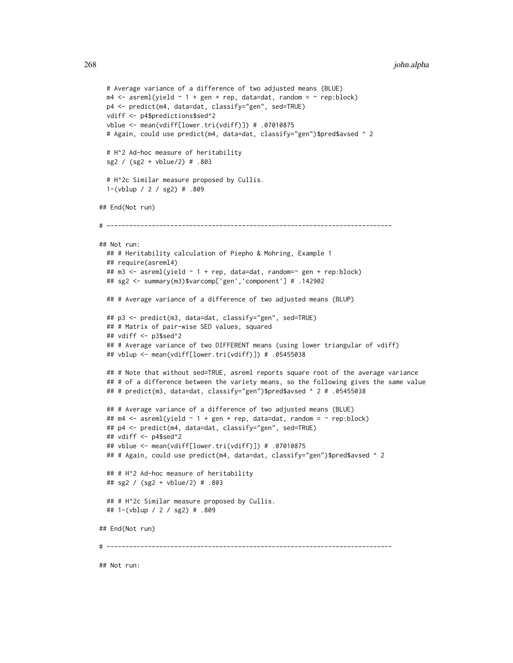```
# Average variance of a difference of two adjusted means (BLUE)
 m4 \leq -\text{asreml}(\text{yield} \sim 1 + \text{gen} + \text{rep}, \text{data=dat}, \text{random} = \sim \text{rep}:\text{block})p4 <- predict(m4, data=dat, classify="gen", sed=TRUE)
 vdiff <- p4$predictions$sed^2
 vblue <- mean(vdiff[lower.tri(vdiff)]) # .07010875
 # Again, could use predict(m4, data=dat, classify="gen")$pred$avsed ^ 2
 # H^2 Ad-hoc measure of heritability
 sg2 / (sg2 + vblue/2) # .803
 # H^2c Similar measure proposed by Cullis.
 1-(vblup / 2 / sg2) # .809
## End(Not run)
# ----------------------------------------------------------------------------
## Not run:
 ## # Heritability calculation of Piepho & Mohring, Example 1
 ## require(asreml4)
 ## m3 <- asreml(yield \sim 1 + rep, data=dat, random=\sim gen + rep:block)
 ## sg2 <- summary(m3)$varcomp['gen','component'] # .142902
 ## # Average variance of a difference of two adjusted means (BLUP)
 ## p3 <- predict(m3, data=dat, classify="gen", sed=TRUE)
 ## # Matrix of pair-wise SED values, squared
 ## vdiff <- p3$sed^2
 ## # Average variance of two DIFFERENT means (using lower triangular of vdiff)
 ## vblup <- mean(vdiff[lower.tri(vdiff)]) # .05455038
 ## # Note that without sed=TRUE, asreml reports square root of the average variance
 ## # of a difference between the variety means, so the following gives the same value
 ## # predict(m3, data=dat, classify="gen")$pred$avsed ^ 2 # .05455038
 ## # Average variance of a difference of two adjusted means (BLUE)
 ## m4 <- asreml(yield \sim 1 + gen + rep, data=dat, random = \sim rep:block)
 ## p4 <- predict(m4, data=dat, classify="gen", sed=TRUE)
 ## vdiff <- p4$sed^2
 ## vblue <- mean(vdiff[lower.tri(vdiff)]) # .07010875
 ## # Again, could use predict(m4, data=dat, classify="gen")$pred$avsed ^ 2
 ## # H^2 Ad-hoc measure of heritability
 ## sg2 / (sg2 + vblue/2) # .803
 ## # H^2c Similar measure proposed by Cullis.
 ## 1-(vblup / 2 / sg2) # .809
## End(Not run)
# ----------------------------------------------------------------------------
```
## Not run: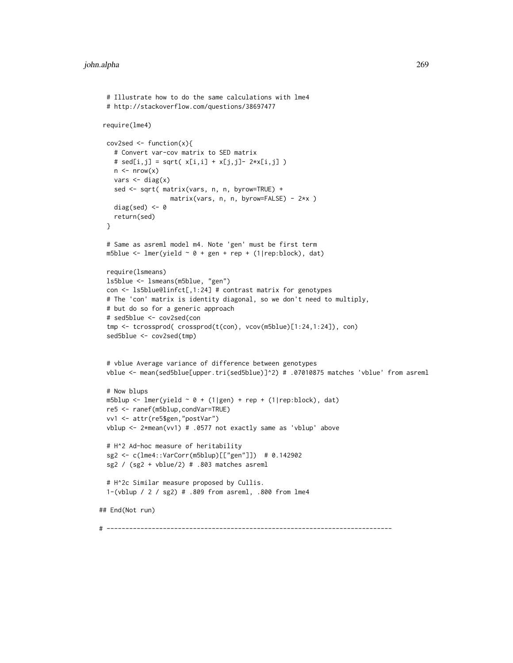```
# Illustrate how to do the same calculations with lme4
 # http://stackoverflow.com/questions/38697477
require(lme4)
 cov2sed \leftarrow function(x){
   # Convert var-cov matrix to SED matrix
   # sed[i,j] = sqrt(x[i,i] + x[j,j] - 2*x[i,j])n \leq -nrow(x)vars < - diag(x)sed <- sqrt( matrix(vars, n, n, byrow=TRUE) +
                  matrix(vars, n, n, byrow=FALSE) - 2*x )
   diag(sed) <-0return(sed)
 }
 # Same as asreml model m4. Note 'gen' must be first term
 m5blue <- lmer(yield \sim 0 + gen + rep + (1|rep:block), dat)
 require(lsmeans)
 ls5blue <- lsmeans(m5blue, "gen")
 con <- ls5blue@linfct[,1:24] # contrast matrix for genotypes
 # The 'con' matrix is identity diagonal, so we don't need to multiply,
 # but do so for a generic approach
 # sed5blue <- cov2sed(con
 tmp <- tcrossprod( crossprod(t(con), vcov(m5blue)[1:24,1:24]), con)
 sed5blue <- cov2sed(tmp)
 # vblue Average variance of difference between genotypes
 vblue <- mean(sed5blue[upper.tri(sed5blue)]^2) # .07010875 matches 'vblue' from asreml
 # Now blups
 m5blup <- lmer(yield \sim 0 + (1|gen) + rep + (1|rep:block), dat)
 re5 <- ranef(m5blup,condVar=TRUE)
 vv1 <- attr(re5$gen,"postVar")
 vblup <- 2*mean(vv1) # .0577 not exactly same as 'vblup' above
 # H^2 Ad-hoc measure of heritability
 sg2 <- c(lme4::VarCorr(m5blup)[["gen"]]) # 0.142902
 sg2 / (sg2 + vblue/2) # .803 matches asreml
 # H^2c Similar measure proposed by Cullis.
 1-(vblup / 2 / sg2) # .809 from asreml, .800 from lme4
## End(Not run)
```
# ----------------------------------------------------------------------------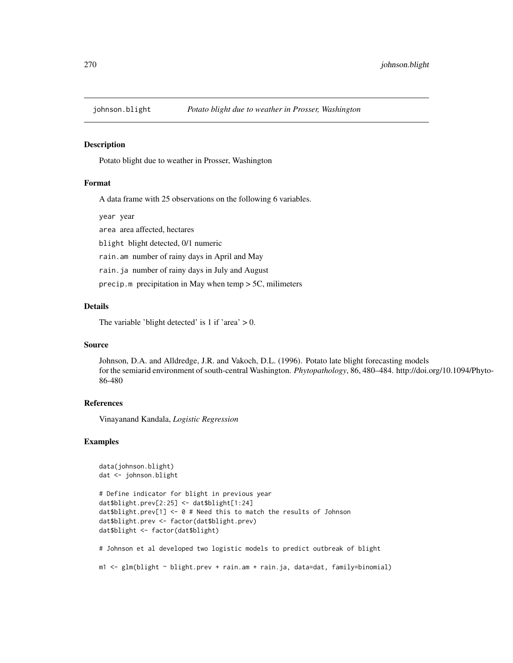#### **Description**

Potato blight due to weather in Prosser, Washington

#### Format

A data frame with 25 observations on the following 6 variables.

year year

area area affected, hectares

blight blight detected, 0/1 numeric

rain.am number of rainy days in April and May

rain.ja number of rainy days in July and August

precip.m precipitation in May when temp > 5C, milimeters

## Details

The variable 'blight detected' is 1 if 'area'  $> 0$ .

## Source

Johnson, D.A. and Alldredge, J.R. and Vakoch, D.L. (1996). Potato late blight forecasting models for the semiarid environment of south-central Washington. *Phytopathology*, 86, 480–484. http://doi.org/10.1094/Phyto-86-480

#### References

Vinayanand Kandala, *Logistic Regression*

#### Examples

```
data(johnson.blight)
dat <- johnson.blight
```

```
# Define indicator for blight in previous year
dat$blight.prev[2:25] <- dat$blight[1:24]
dat$blight.prev[1] <- 0 # Need this to match the results of Johnson
dat$blight.prev <- factor(dat$blight.prev)
dat$blight <- factor(dat$blight)
```
# Johnson et al developed two logistic models to predict outbreak of blight

m1 <- glm(blight ~ blight.prev + rain.am + rain.ja, data=dat, family=binomial)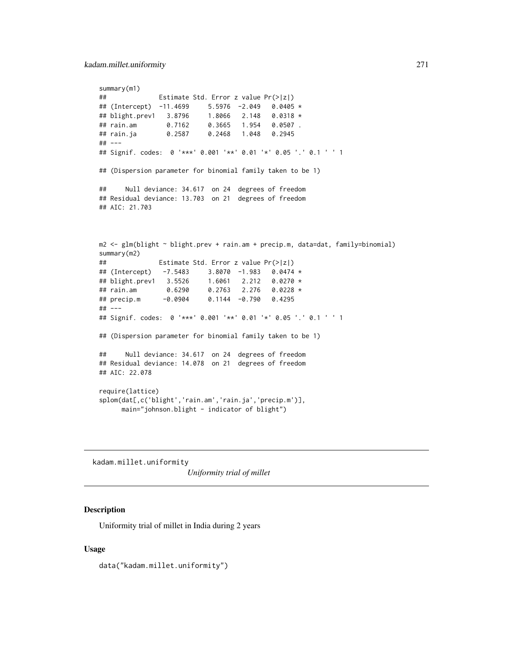```
summary(m1)
## Estimate Std. Error z value Pr(>|z|)
## (Intercept) -11.4699 5.5976 -2.049 0.0405 *
## blight.prev1 3.8796 1.8066 2.148 0.0318 *
## rain.am 0.7162 0.3665 1.954 0.0507 .
## rain.ja 0.2587 0.2468 1.048 0.2945
## ---
## Signif. codes: 0 '***' 0.001 '**' 0.01 '*' 0.05 '.' 0.1 ' ' 1
## (Dispersion parameter for binomial family taken to be 1)
## Null deviance: 34.617 on 24 degrees of freedom
## Residual deviance: 13.703 on 21 degrees of freedom
## AIC: 21.703
m2 <- glm(blight ~ blight.prev + rain.am + precip.m, data=dat, family=binomial)
summary(m2)
## Estimate Std. Error z value Pr(>|z|)
## (Intercept) -7.5483 3.8070 -1.983 0.0474 *
## blight.prev1 3.5526 1.6061 2.212 0.0270 *
## rain.am 0.6290 0.2763 2.276 0.0228 *
## precip.m -0.0904 0.1144 -0.790 0.4295
## ---
## Signif. codes: 0 '***' 0.001 '**' 0.01 '*' 0.05 '.' 0.1 ' ' 1
## (Dispersion parameter for binomial family taken to be 1)
## Null deviance: 34.617 on 24 degrees of freedom
## Residual deviance: 14.078 on 21 degrees of freedom
## AIC: 22.078
require(lattice)
splom(dat[,c('blight','rain.am','rain.ja','precip.m')],
     main="johnson.blight - indicator of blight")
```
kadam.millet.uniformity

*Uniformity trial of millet*

#### Description

Uniformity trial of millet in India during 2 years

#### Usage

data("kadam.millet.uniformity")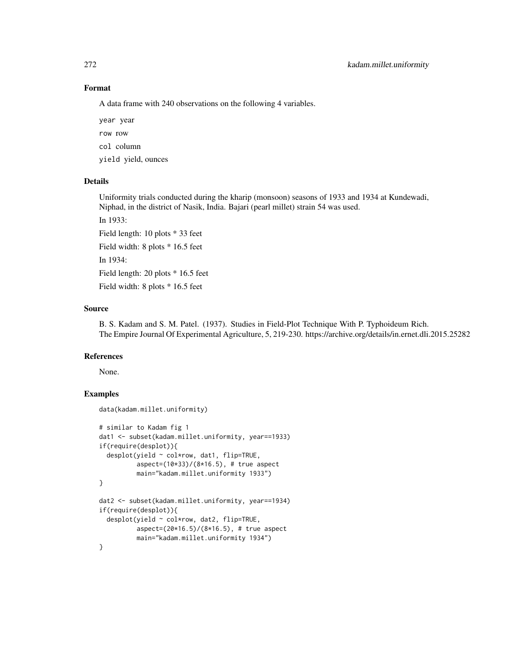## Format

A data frame with 240 observations on the following 4 variables.

year year row row col column yield yield, ounces

#### Details

Uniformity trials conducted during the kharip (monsoon) seasons of 1933 and 1934 at Kundewadi, Niphad, in the district of Nasik, India. Bajari (pearl millet) strain 54 was used.

In 1933:

Field length: 10 plots \* 33 feet Field width: 8 plots \* 16.5 feet In 1934: Field length: 20 plots \* 16.5 feet Field width: 8 plots \* 16.5 feet

data(kadam.millet.uniformity)

#### Source

B. S. Kadam and S. M. Patel. (1937). Studies in Field-Plot Technique With P. Typhoideum Rich. The Empire Journal Of Experimental Agriculture, 5, 219-230. https://archive.org/details/in.ernet.dli.2015.25282

## References

None.

```
# similar to Kadam fig 1
dat1 <- subset(kadam.millet.uniformity, year==1933)
if(require(desplot)){
 desplot(yield ~ col*row, dat1, flip=TRUE,
          aspect=(10*33)/(8*16.5), # true aspect
         main="kadam.millet.uniformity 1933")
}
dat2 <- subset(kadam.millet.uniformity, year==1934)
if(require(desplot)){
 desplot(yield ~ col*row, dat2, flip=TRUE,
          aspect=(20*16.5)/(8*16.5), # true aspect
         main="kadam.millet.uniformity 1934")
}
```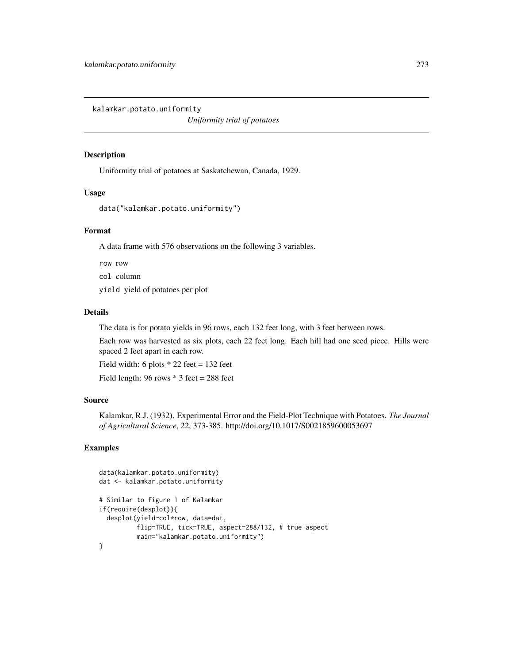kalamkar.potato.uniformity

*Uniformity trial of potatoes*

#### Description

Uniformity trial of potatoes at Saskatchewan, Canada, 1929.

## Usage

```
data("kalamkar.potato.uniformity")
```
## Format

A data frame with 576 observations on the following 3 variables.

row row

col column

yield yield of potatoes per plot

#### Details

The data is for potato yields in 96 rows, each 132 feet long, with 3 feet between rows.

Each row was harvested as six plots, each 22 feet long. Each hill had one seed piece. Hills were spaced 2 feet apart in each row.

Field width: 6 plots  $*$  22 feet = 132 feet

Field length:  $96$  rows  $*$  3 feet = 288 feet

## Source

Kalamkar, R.J. (1932). Experimental Error and the Field-Plot Technique with Potatoes. *The Journal of Agricultural Science*, 22, 373-385. http://doi.org/10.1017/S0021859600053697

```
data(kalamkar.potato.uniformity)
dat <- kalamkar.potato.uniformity
# Similar to figure 1 of Kalamkar
if(require(desplot)){
 desplot(yield~col*row, data=dat,
          flip=TRUE, tick=TRUE, aspect=288/132, # true aspect
          main="kalamkar.potato.uniformity")
}
```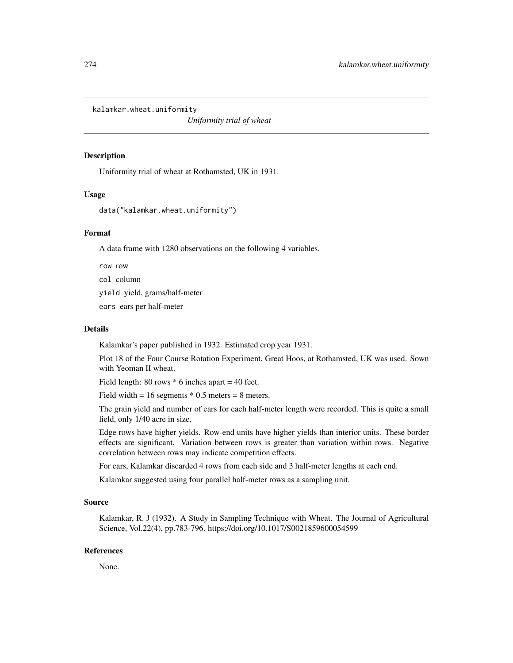kalamkar.wheat.uniformity

*Uniformity trial of wheat*

# Description

Uniformity trial of wheat at Rothamsted, UK in 1931.

#### Usage

```
data("kalamkar.wheat.uniformity")
```
## Format

A data frame with 1280 observations on the following 4 variables.

row row

col column

yield yield, grams/half-meter

ears ears per half-meter

#### Details

Kalamkar's paper published in 1932. Estimated crop year 1931.

Plot 18 of the Four Course Rotation Experiment, Great Hoos, at Rothamsted, UK was used. Sown with Yeoman II wheat.

Field length:  $80$  rows  $*$  6 inches apart = 40 feet.

Field width =  $16$  segments  $*$  0.5 meters = 8 meters.

The grain yield and number of ears for each half-meter length were recorded. This is quite a small field, only 1/40 acre in size.

Edge rows have higher yields. Row-end units have higher yields than interior units. These border effects are significant. Variation between rows is greater than variation within rows. Negative correlation between rows may indicate competition effects.

For ears, Kalamkar discarded 4 rows from each side and 3 half-meter lengths at each end.

Kalamkar suggested using four parallel half-meter rows as a sampling unit.

# Source

Kalamkar, R. J (1932). A Study in Sampling Technique with Wheat. The Journal of Agricultural Science, Vol.22(4), pp.783-796. https://doi.org/10.1017/S0021859600054599

#### References

None.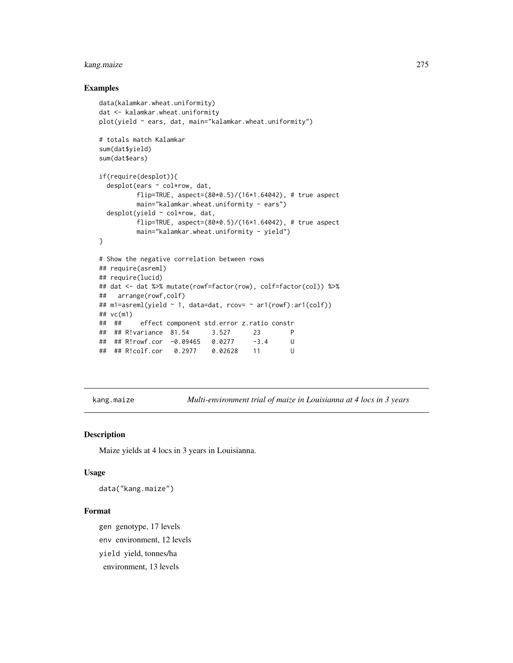# kang.maize 275

## Examples

```
data(kalamkar.wheat.uniformity)
dat <- kalamkar.wheat.uniformity
plot(yield ~ ears, dat, main="kalamkar.wheat.uniformity")
# totals match Kalamkar
sum(dat$yield)
sum(dat$ears)
if(require(desplot)){
 desplot(ears ~ col*row, dat,
         flip=TRUE, aspect=(80*0.5)/(16*1.64042), # true aspect
         main="kalamkar.wheat.uniformity - ears")
 desplot(yield ~ col*row, dat,
         flip=TRUE, aspect=(80*0.5)/(16*1.64042), # true aspect
         main="kalamkar.wheat.uniformity - yield")
}
# Show the negative correlation between rows
## require(asreml)
## require(lucid)
## dat <- dat %>% mutate(rowf=factor(row), colf=factor(col)) %>%
## arrange(rowf,colf)
## m1=asreml(yield ~ 1, data=dat, rcov= ~ ar1(rowf):ar1(colf))
## vc(m1)
## ## effect component std.error z.ratio constr
## ## R!variance 81.54 3.527 23 P
## ## R!rowf.cor -0.09465 0.0277 -3.4 U
## ## R!colf.cor 0.2977 0.02628 11 U
```
kang.maize *Multi-environment trial of maize in Louisianna at 4 locs in 3 years*

#### Description

Maize yields at 4 locs in 3 years in Louisianna.

#### Usage

data("kang.maize")

## Format

gen genotype, 17 levels env environment, 12 levels yield yield, tonnes/ha environment, 13 levels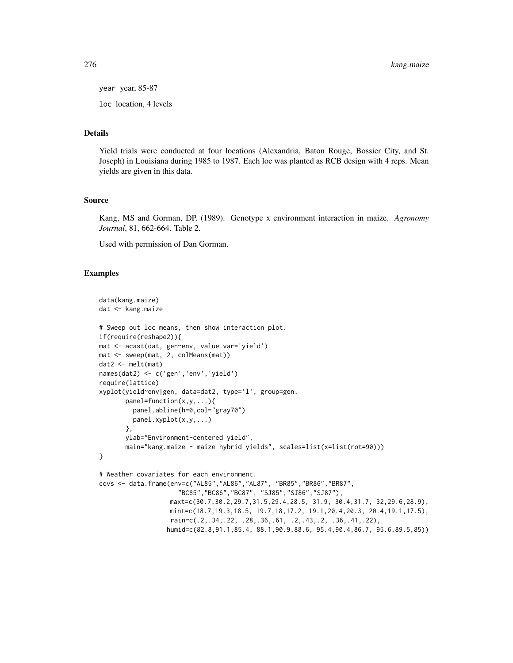276 kang.maize

year year, 85-87

loc location, 4 levels

## Details

Yield trials were conducted at four locations (Alexandria, Baton Rouge, Bossier City, and St. Joseph) in Louisiana during 1985 to 1987. Each loc was planted as RCB design with 4 reps. Mean yields are given in this data.

## Source

Kang, MS and Gorman, DP. (1989). Genotype x environment interaction in maize. *Agronomy Journal*, 81, 662-664. Table 2.

Used with permission of Dan Gorman.

```
data(kang.maize)
dat <- kang.maize
# Sweep out loc means, then show interaction plot.
if(require(reshape2)){
mat <- acast(dat, gen~env, value.var='yield')
mat <- sweep(mat, 2, colMeans(mat))
dat2 <- melt(mat)
names(dat2) <- c('gen','env','yield')
require(lattice)
xyplot(yield~env|gen, data=dat2, type='l', group=gen,
       panel=function(x,y,...){
         panel.abline(h=0,col="gray70")
         panel.xyplot(x,y,...)
       },
       ylab="Environment-centered yield",
       main="kang.maize - maize hybrid yields", scales=list(x=list(rot=90)))
}
# Weather covariates for each environment.
covs <- data.frame(env=c("AL85","AL86","AL87", "BR85","BR86","BR87",
                     "BC85","BC86","BC87", "SJ85","SJ86","SJ87"),
                   maxt=c(30.7,30.2,29.7,31.5,29.4,28.5, 31.9, 30.4,31.7, 32,29.6,28.9),
                   mint=c(18.7,19.3,18.5, 19.7,18,17.2, 19.1,20.4,20.3, 20.4,19.1,17.5),
                   rain=c(.2,.34,.22, .28,.36,.61, .2,.43,.2, .36,.41,.22),
                  humid=c(82.8,91.1,85.4, 88.1,90.9,88.6, 95.4,90.4,86.7, 95.6,89.5,85))
```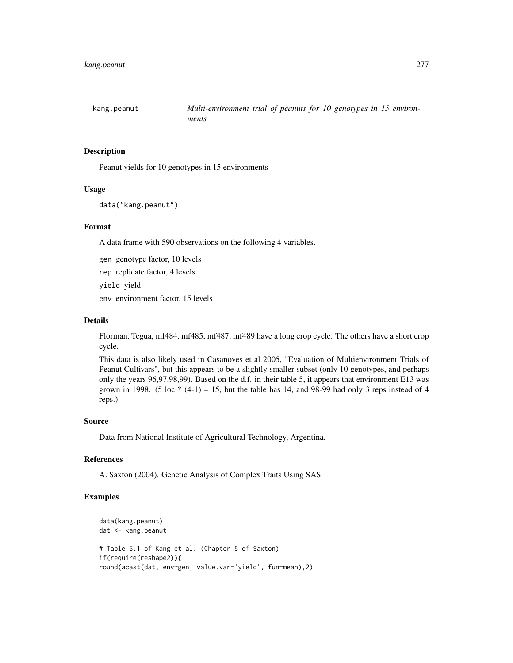# Description

Peanut yields for 10 genotypes in 15 environments

#### Usage

```
data("kang.peanut")
```
## Format

A data frame with 590 observations on the following 4 variables.

gen genotype factor, 10 levels

rep replicate factor, 4 levels

yield yield

env environment factor, 15 levels

#### Details

Florman, Tegua, mf484, mf485, mf487, mf489 have a long crop cycle. The others have a short crop cycle.

This data is also likely used in Casanoves et al 2005, "Evaluation of Multienvironment Trials of Peanut Cultivars", but this appears to be a slightly smaller subset (only 10 genotypes, and perhaps only the years 96,97,98,99). Based on the d.f. in their table 5, it appears that environment E13 was grown in 1998. (5 loc  $*(4-1) = 15$ , but the table has 14, and 98-99 had only 3 reps instead of 4 reps.)

#### Source

Data from National Institute of Agricultural Technology, Argentina.

## References

A. Saxton (2004). Genetic Analysis of Complex Traits Using SAS.

```
data(kang.peanut)
dat <- kang.peanut
# Table 5.1 of Kang et al. (Chapter 5 of Saxton)
if(require(reshape2)){
round(acast(dat, env~gen, value.var='yield', fun=mean),2)
```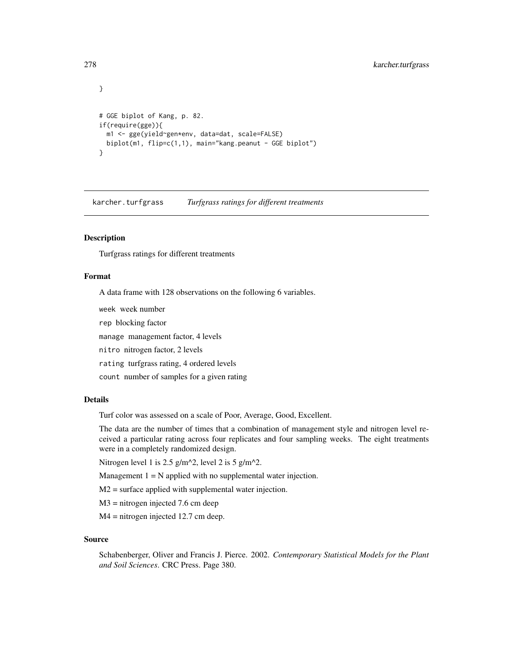```
}
# GGE biplot of Kang, p. 82.
if(require(gge)){
 m1 <- gge(yield~gen*env, data=dat, scale=FALSE)
 biplot(m1, flip=c(1,1), main="kang.peanut - GGE biplot")
}
```
karcher.turfgrass *Turfgrass ratings for different treatments*

## Description

Turfgrass ratings for different treatments

## Format

A data frame with 128 observations on the following 6 variables.

week week number

rep blocking factor

manage management factor, 4 levels

nitro nitrogen factor, 2 levels

rating turfgrass rating, 4 ordered levels

count number of samples for a given rating

#### Details

Turf color was assessed on a scale of Poor, Average, Good, Excellent.

The data are the number of times that a combination of management style and nitrogen level received a particular rating across four replicates and four sampling weeks. The eight treatments were in a completely randomized design.

Nitrogen level 1 is 2.5 g/m^2, level 2 is 5 g/m^2.

Management  $1 = N$  applied with no supplemental water injection.

M2 = surface applied with supplemental water injection.

M3 = nitrogen injected 7.6 cm deep

M4 = nitrogen injected 12.7 cm deep.

#### Source

Schabenberger, Oliver and Francis J. Pierce. 2002. *Contemporary Statistical Models for the Plant and Soil Sciences*. CRC Press. Page 380.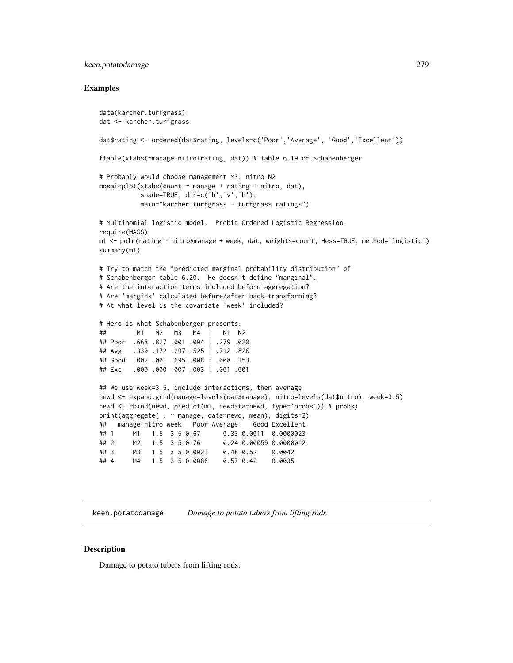## keen.potatodamage 279

#### Examples

```
data(karcher.turfgrass)
dat <- karcher.turfgrass
dat$rating <- ordered(dat$rating, levels=c('Poor','Average', 'Good','Excellent'))
ftable(xtabs(~manage+nitro+rating, dat)) # Table 6.19 of Schabenberger
# Probably would choose management M3, nitro N2
mosaicplot(xtabs(count ~ manage + rating + nitro, dat),
          shade=TRUE, dir=c('h','v','h'),
          main="karcher.turfgrass - turfgrass ratings")
# Multinomial logistic model. Probit Ordered Logistic Regression.
require(MASS)
m1 <- polr(rating ~ nitro*manage + week, dat, weights=count, Hess=TRUE, method='logistic')
summary(m1)
# Try to match the "predicted marginal probability distribution" of
# Schabenberger table 6.20. He doesn't define "marginal".
# Are the interaction terms included before aggregation?
# Are 'margins' calculated before/after back-transforming?
# At what level is the covariate 'week' included?
# Here is what Schabenberger presents:
## M1 M2 M3 M4 | N1 N2
## Poor .668 .827 .001 .004 | .279 .020
## Avg .330 .172 .297 .525 | .712 .826
## Good .002 .001 .695 .008 | .008 .153
## Exc .000 .000 .007 .003 | .001 .001
## We use week=3.5, include interactions, then average
newd <- expand.grid(manage=levels(dat$manage), nitro=levels(dat$nitro), week=3.5)
newd <- cbind(newd, predict(m1, newdata=newd, type='probs')) # probs)
print(aggregate( . ~ manage, data=newd, mean), digits=2)
## manage nitro week Poor Average Good Excellent
## 1 M1 1.5 3.5 0.67 0.33 0.0011 0.0000023
## 2 M2 1.5 3.5 0.76 0.24 0.00059 0.0000012
## 3 M3 1.5 3.5 0.0023 0.48 0.52 0.0042
       M4  1.5  3.5  0.0086  0.57  0.42  0.0035
```
keen.potatodamage *Damage to potato tubers from lifting rods.*

#### **Description**

Damage to potato tubers from lifting rods.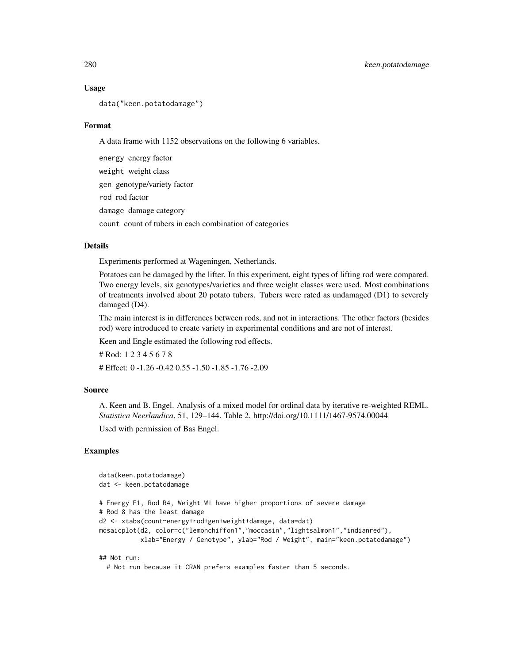#### Usage

data("keen.potatodamage")

#### Format

A data frame with 1152 observations on the following 6 variables.

energy energy factor weight weight class gen genotype/variety factor rod rod factor damage damage category count count of tubers in each combination of categories

#### Details

Experiments performed at Wageningen, Netherlands.

Potatoes can be damaged by the lifter. In this experiment, eight types of lifting rod were compared. Two energy levels, six genotypes/varieties and three weight classes were used. Most combinations of treatments involved about 20 potato tubers. Tubers were rated as undamaged (D1) to severely damaged (D4).

The main interest is in differences between rods, and not in interactions. The other factors (besides rod) were introduced to create variety in experimental conditions and are not of interest.

Keen and Engle estimated the following rod effects.

# Rod: 1 2 3 4 5 6 7 8 # Effect: 0 -1.26 -0.42 0.55 -1.50 -1.85 -1.76 -2.09

## Source

A. Keen and B. Engel. Analysis of a mixed model for ordinal data by iterative re-weighted REML. *Statistica Neerlandica*, 51, 129–144. Table 2. http://doi.org/10.1111/1467-9574.00044

Used with permission of Bas Engel.

## Examples

```
data(keen.potatodamage)
dat <- keen.potatodamage
# Energy E1, Rod R4, Weight W1 have higher proportions of severe damage
# Rod 8 has the least damage
d2 <- xtabs(count~energy+rod+gen+weight+damage, data=dat)
mosaicplot(d2, color=c("lemonchiffon1","moccasin","lightsalmon1","indianred"),
           xlab="Energy / Genotype", ylab="Rod / Weight", main="keen.potatodamage")
## Not run:
```
# Not run because it CRAN prefers examples faster than 5 seconds.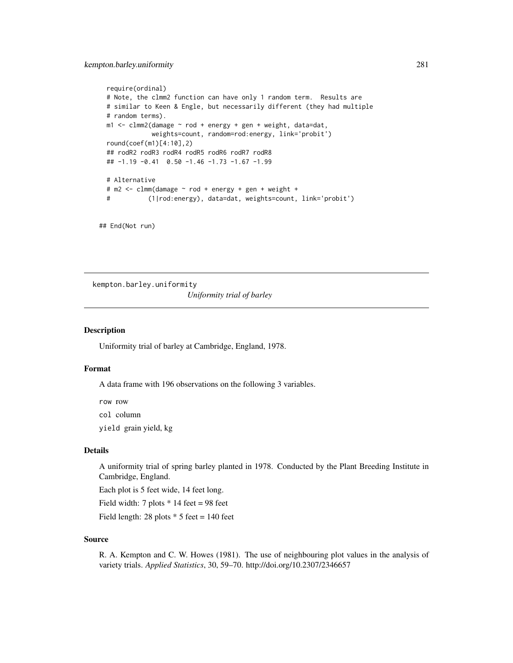```
require(ordinal)
# Note, the clmm2 function can have only 1 random term. Results are
# similar to Keen & Engle, but necessarily different (they had multiple
# random terms).
m1 <- clmm2(damage ~ rod + energy + gen + weight, data=dat,
           weights=count, random=rod:energy, link='probit')
round(coef(m1)[4:10],2)
## rodR2 rodR3 rodR4 rodR5 rodR6 rodR7 rodR8
## -1.19 -0.41 0.50 -1.46 -1.73 -1.67 -1.99
# Alternative
# m2 <- clmm(damage ~ rod + energy + gen + weight +
# (1|rod:energy), data=dat, weights=count, link='probit')
```

```
## End(Not run)
```
kempton.barley.uniformity

*Uniformity trial of barley*

## Description

Uniformity trial of barley at Cambridge, England, 1978.

#### Format

A data frame with 196 observations on the following 3 variables.

row row

col column

yield grain yield, kg

## Details

A uniformity trial of spring barley planted in 1978. Conducted by the Plant Breeding Institute in Cambridge, England.

Each plot is 5 feet wide, 14 feet long.

Field width: 7 plots  $*$  14 feet = 98 feet

Field length: 28 plots  $*$  5 feet = 140 feet

## Source

R. A. Kempton and C. W. Howes (1981). The use of neighbouring plot values in the analysis of variety trials. *Applied Statistics*, 30, 59–70. http://doi.org/10.2307/2346657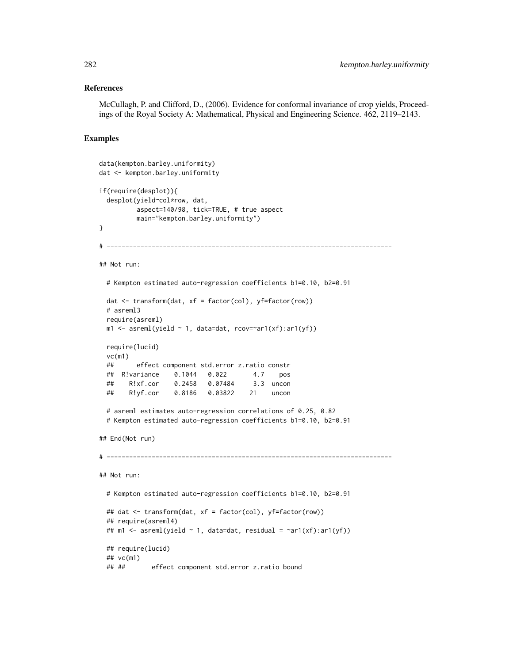#### References

McCullagh, P. and Clifford, D., (2006). Evidence for conformal invariance of crop yields, Proceedings of the Royal Society A: Mathematical, Physical and Engineering Science. 462, 2119–2143.

```
data(kempton.barley.uniformity)
dat <- kempton.barley.uniformity
if(require(desplot)){
 desplot(yield~col*row, dat,
          aspect=140/98, tick=TRUE, # true aspect
         main="kempton.barley.uniformity")
}
# ----------------------------------------------------------------------------
## Not run:
 # Kempton estimated auto-regression coefficients b1=0.10, b2=0.91
 dat \leq transform(dat, xf = factor(col), yf = factor(row))
 # asreml3
 require(asreml)
 m1 \leq -\text{asreml}(\text{yield} \sim 1, \text{ data=dat}, \text{rov=} \text{varl}(\text{xf}) : \text{arl}(\text{yf}))require(lucid)
 vc(m1)## effect component std.error z.ratio constr
 ## R!variance 0.1044 0.022 4.7 pos
 ## R!xf.cor 0.2458 0.07484 3.3 uncon
 ## R!yf.cor 0.8186 0.03822 21 uncon
 # asreml estimates auto-regression correlations of 0.25, 0.82
 # Kempton estimated auto-regression coefficients b1=0.10, b2=0.91
## End(Not run)
# ----------------------------------------------------------------------------
## Not run:
 # Kempton estimated auto-regression coefficients b1=0.10, b2=0.91
 ## dat <- transform(dat, xf = factor(col), yf=factor(row))
 ## require(asreml4)
 ## m1 <- asreml(yield ~ 1, data=dat, residual = ~ar1(xf):ar1(yf))
 ## require(lucid)
 ## vc(m1)
 ## ## effect component std.error z.ratio bound
```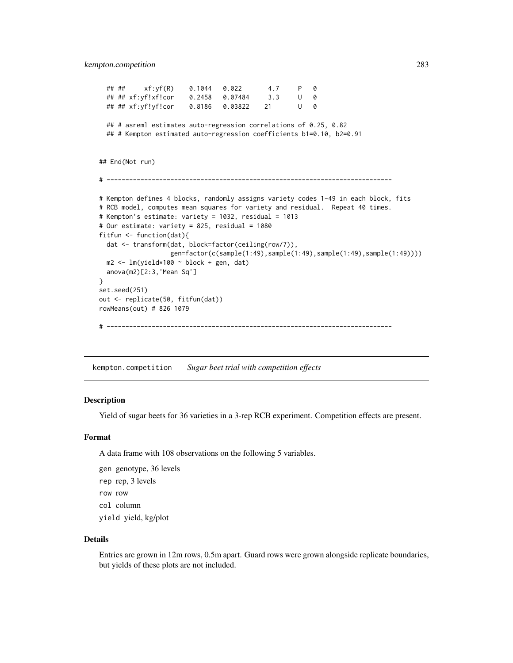```
## ## xf:yf(R) 0.1044 0.022 4.7 P 0
 ## ## xf:yf!xf!cor 0.2458 0.07484 3.3 U 0
 ## ## xf:yf!yf!cor 0.8186 0.03822 21 U 0
 ## # asreml estimates auto-regression correlations of 0.25, 0.82
 ## # Kempton estimated auto-regression coefficients b1=0.10, b2=0.91
## End(Not run)
# ----------------------------------------------------------------------------
# Kempton defines 4 blocks, randomly assigns variety codes 1-49 in each block, fits
# RCB model, computes mean squares for variety and residual. Repeat 40 times.
# Kempton's estimate: variety = 1032, residual = 1013
# Our estimate: variety = 825, residual = 1080
fitfun <- function(dat){
 dat <- transform(dat, block=factor(ceiling(row/7)),
                  gen=factor(c(sample(1:49),sample(1:49),sample(1:49),sample(1:49))))
 m2 <- lm(yield*100 ~ block + gen, dat)
 anova(m2)[2:3,'Mean Sq']
}
set.seed(251)
out <- replicate(50, fitfun(dat))
rowMeans(out) # 826 1079
# ----------------------------------------------------------------------------
```
kempton.competition *Sugar beet trial with competition effects*

#### Description

Yield of sugar beets for 36 varieties in a 3-rep RCB experiment. Competition effects are present.

#### Format

A data frame with 108 observations on the following 5 variables.

gen genotype, 36 levels rep rep, 3 levels row row col column yield yield, kg/plot

## Details

Entries are grown in 12m rows, 0.5m apart. Guard rows were grown alongside replicate boundaries, but yields of these plots are not included.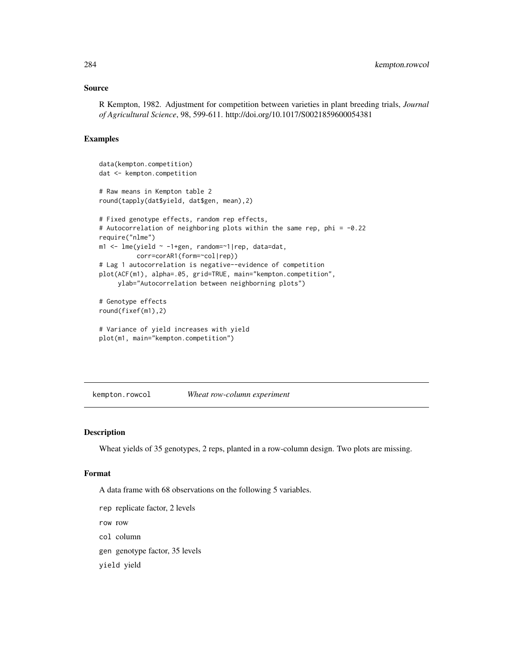## Source

R Kempton, 1982. Adjustment for competition between varieties in plant breeding trials, *Journal of Agricultural Science*, 98, 599-611. http://doi.org/10.1017/S0021859600054381

## Examples

```
data(kempton.competition)
dat <- kempton.competition
# Raw means in Kempton table 2
round(tapply(dat$yield, dat$gen, mean),2)
# Fixed genotype effects, random rep effects,
# Autocorrelation of neighboring plots within the same rep, phi = -0.22
require("nlme")
m1 <- lme(yield ~ -1+gen, random=~1|rep, data=dat,
          corr=corAR1(form=~col|rep))
# Lag 1 autocorrelation is negative--evidence of competition
plot(ACF(m1), alpha=.05, grid=TRUE, main="kempton.competition",
    ylab="Autocorrelation between neighborning plots")
# Genotype effects
round(fixef(m1),2)
```

```
# Variance of yield increases with yield
plot(m1, main="kempton.competition")
```
kempton.rowcol *Wheat row-column experiment*

## Description

Wheat yields of 35 genotypes, 2 reps, planted in a row-column design. Two plots are missing.

#### Format

A data frame with 68 observations on the following 5 variables.

```
rep replicate factor, 2 levels
row row
col column
gen genotype factor, 35 levels
yield yield
```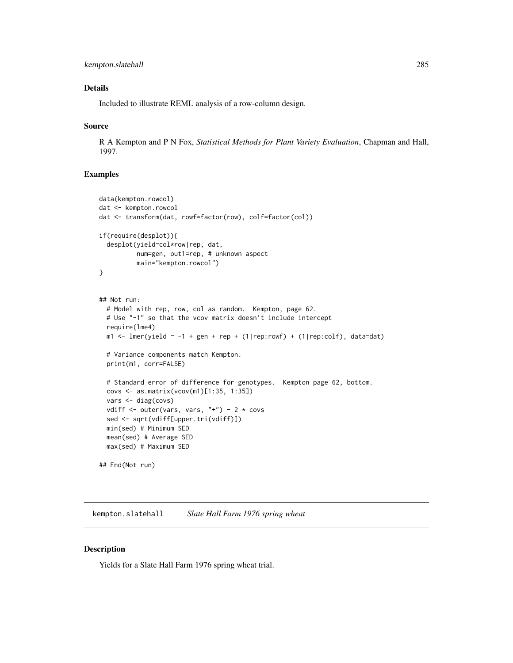## Details

Included to illustrate REML analysis of a row-column design.

#### Source

R A Kempton and P N Fox, *Statistical Methods for Plant Variety Evaluation*, Chapman and Hall, 1997.

## Examples

```
data(kempton.rowcol)
dat <- kempton.rowcol
dat <- transform(dat, rowf=factor(row), colf=factor(col))
if(require(desplot)){
  desplot(yield~col*row|rep, dat,
          num=gen, out1=rep, # unknown aspect
          main="kempton.rowcol")
}
## Not run:
  # Model with rep, row, col as random. Kempton, page 62.
  # Use "-1" so that the vcov matrix doesn't include intercept
  require(lme4)
  m1 <- lmer(yield \sim -1 + gen + rep + (1|rep:rowf) + (1|rep:colf), data=dat)
  # Variance components match Kempton.
  print(m1, corr=FALSE)
  # Standard error of difference for genotypes. Kempton page 62, bottom.
  covs <- as.matrix(vcov(m1)[1:35, 1:35])
  vars <- diag(covs)
  vdiff \le outer(vars, vars, "+") - 2 \star covs
  sed <- sqrt(vdiff[upper.tri(vdiff)])
  min(sed) # Minimum SED
  mean(sed) # Average SED
  max(sed) # Maximum SED
## End(Not run)
```
kempton.slatehall *Slate Hall Farm 1976 spring wheat*

## Description

Yields for a Slate Hall Farm 1976 spring wheat trial.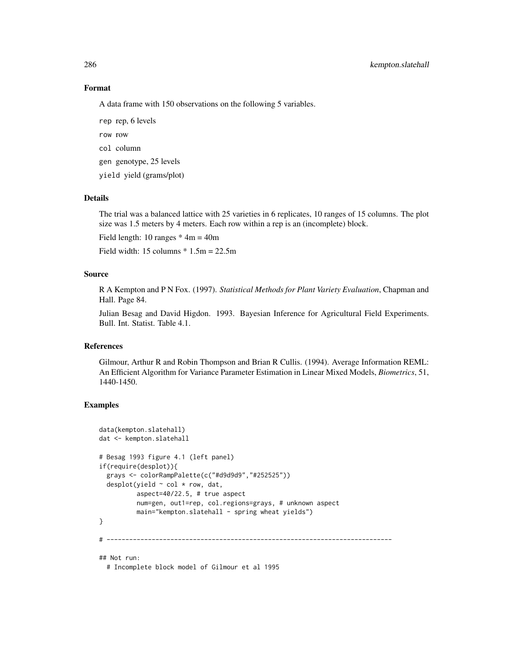## Format

A data frame with 150 observations on the following 5 variables.

rep rep, 6 levels row row col column

gen genotype, 25 levels

yield yield (grams/plot)

## Details

The trial was a balanced lattice with 25 varieties in 6 replicates, 10 ranges of 15 columns. The plot size was 1.5 meters by 4 meters. Each row within a rep is an (incomplete) block.

Field length: 10 ranges  $*$  4m = 40m

Field width:  $15 \text{ columns} * 1.5m = 22.5m$ 

## Source

R A Kempton and P N Fox. (1997). *Statistical Methods for Plant Variety Evaluation*, Chapman and Hall. Page 84.

Julian Besag and David Higdon. 1993. Bayesian Inference for Agricultural Field Experiments. Bull. Int. Statist. Table 4.1.

#### References

Gilmour, Arthur R and Robin Thompson and Brian R Cullis. (1994). Average Information REML: An Efficient Algorithm for Variance Parameter Estimation in Linear Mixed Models, *Biometrics*, 51, 1440-1450.

## Examples

```
data(kempton.slatehall)
dat <- kempton.slatehall
# Besag 1993 figure 4.1 (left panel)
if(require(desplot)){
 grays <- colorRampPalette(c("#d9d9d9","#252525"))
 desplot(yield ~ col * row, dat,
         aspect=40/22.5, # true aspect
         num=gen, out1=rep, col.regions=grays, # unknown aspect
         main="kempton.slatehall - spring wheat yields")
}
# ----------------------------------------------------------------------------
## Not run:
```
# Incomplete block model of Gilmour et al 1995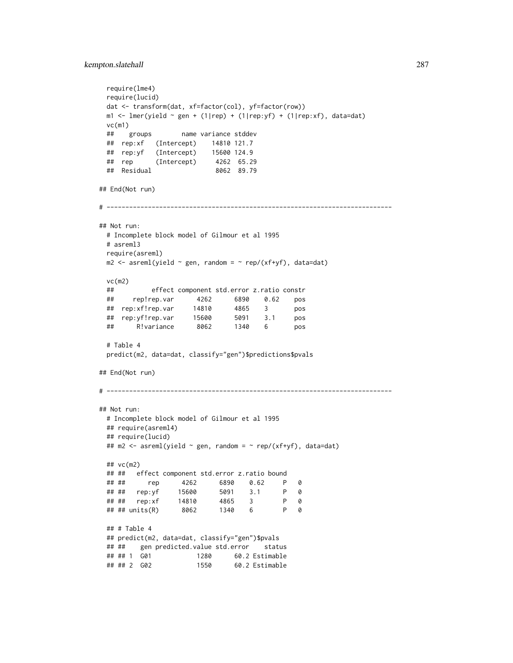```
require(lme4)
 require(lucid)
 dat <- transform(dat, xf=factor(col), yf=factor(row))
 m1 <- lmer(yield \sim gen + (1|rep) + (1|rep:yf) + (1|rep:xf), data=dat)
 vc(m1)
 ## groups name variance stddev
 ## rep:xf (Intercept) 14810 121.7
 ## rep:yf (Intercept) 15600 124.9
 ## rep (Intercept) 4262 65.29
 ## Residual 8062 89.79
## End(Not run)
# ----------------------------------------------------------------------------
## Not run:
 # Incomplete block model of Gilmour et al 1995
 # asreml3
 require(asreml)
 m2 \leq -\text{asreml}(\text{yield} \sim \text{gen}, \text{random} = \sim \text{rep}/(\text{xf+yf}), \text{data}= \text{dat})vc(m2)
 ## effect component std.error z.ratio constr
 ## rep!rep.var 4262 6890 0.62 pos
 ## rep:xf!rep.var 14810 4865 3 pos
  ## rep:yf!rep.var 15600 5091 3.1 pos
  ## R!variance 8062 1340 6 pos
 # Table 4
 predict(m2, data=dat, classify="gen")$predictions$pvals
## End(Not run)
# ----------------------------------------------------------------------------
## Not run:
 # Incomplete block model of Gilmour et al 1995
 ## require(asreml4)
 ## require(lucid)
 ## m2 <- asreml(yield \sim gen, random = \sim rep/(xf+yf), data=dat)
 ## vc(m2)
 ## ## effect component std.error z.ratio bound
 ## ## rep 4262 6890 0.62 P 0
 ## ## rep:yf 15600 5091 3.1 P 0
 ## ## rep:xf 14810
 ## ## units(R) 8062 1340 6 P 0
 ## # Table 4
 ## predict(m2, data=dat, classify="gen")$pvals
 ## ## gen predicted.value std.error status
 ## ## 1 G01 1280 60.2 Estimable
 ## ## 2 G02 1550 60.2 Estimable
```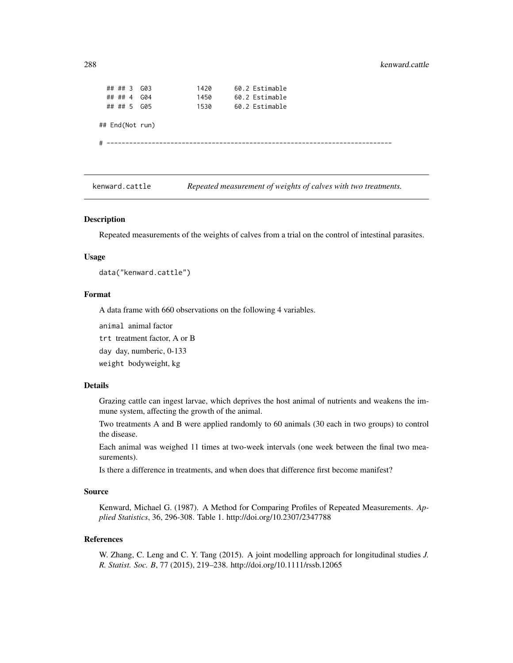## ## 3 G03 1420 60.2 Estimable ## ## 4 G04 1450 60.2 Estimable ## ## 5 G05 1530 60.2 Estimable ## End(Not run) # ----------------------------------------------------------------------------

kenward.cattle *Repeated measurement of weights of calves with two treatments.*

#### Description

Repeated measurements of the weights of calves from a trial on the control of intestinal parasites.

#### Usage

data("kenward.cattle")

## Format

A data frame with 660 observations on the following 4 variables.

animal animal factor

trt treatment factor, A or B

day day, numberic, 0-133

weight bodyweight, kg

## Details

Grazing cattle can ingest larvae, which deprives the host animal of nutrients and weakens the immune system, affecting the growth of the animal.

Two treatments A and B were applied randomly to 60 animals (30 each in two groups) to control the disease.

Each animal was weighed 11 times at two-week intervals (one week between the final two measurements).

Is there a difference in treatments, and when does that difference first become manifest?

#### Source

Kenward, Michael G. (1987). A Method for Comparing Profiles of Repeated Measurements. *Applied Statistics*, 36, 296-308. Table 1. http://doi.org/10.2307/2347788

## References

W. Zhang, C. Leng and C. Y. Tang (2015). A joint modelling approach for longitudinal studies *J. R. Statist. Soc. B*, 77 (2015), 219–238. http://doi.org/10.1111/rssb.12065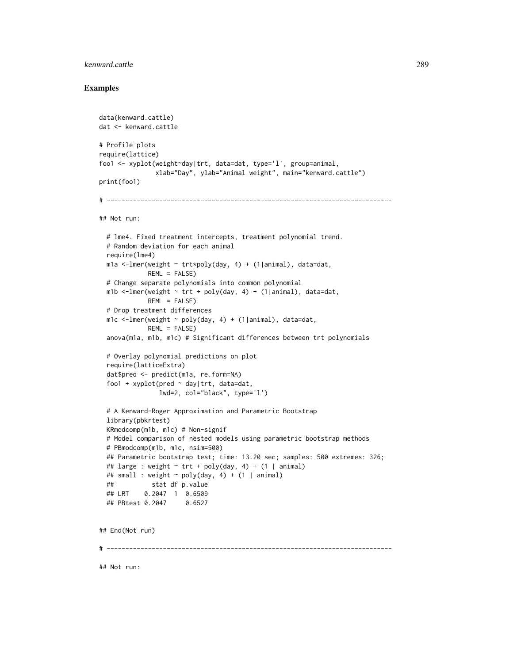## kenward.cattle 289

```
data(kenward.cattle)
dat <- kenward.cattle
# Profile plots
require(lattice)
foo1 <- xyplot(weight~day|trt, data=dat, type='l', group=animal,
              xlab="Day", ylab="Animal weight", main="kenward.cattle")
print(foo1)
# ----------------------------------------------------------------------------
## Not run:
 # lme4. Fixed treatment intercepts, treatment polynomial trend.
 # Random deviation for each animal
 require(lme4)
 m1a <-lmer(weight ~ trt*poly(day, 4) + (1|animal), data=dat,
            REML = FALSE)
 # Change separate polynomials into common polynomial
 m1b <-lmer(weight \sim trt + poly(day, 4) + (1|animal), data=dat,
            REML = FALSE)
 # Drop treatment differences
 m1c <-lmer(weight ~ poly(day, 4) + (1|animal), data=dat,
            REML = FALSE)
 anova(m1a, m1b, m1c) # Significant differences between trt polynomials
 # Overlay polynomial predictions on plot
 require(latticeExtra)
 dat$pred <- predict(m1a, re.form=NA)
 foo1 + xyplot(pred ~ day|trt, data=dat,
               lwd=2, col="black", type='l')
 # A Kenward-Roger Approximation and Parametric Bootstrap
 library(pbkrtest)
 KRmodcomp(m1b, m1c) # Non-signif
 # Model comparison of nested models using parametric bootstrap methods
 # PBmodcomp(m1b, m1c, nsim=500)
 ## Parametric bootstrap test; time: 13.20 sec; samples: 500 extremes: 326;
 ## large : weight \sim trt + poly(day, 4) + (1 | animal)
 ## small : weight ~ poly(day, 4) + (1 | animal)
 ## stat df p.value
 ## LRT 0.2047 1 0.6509
 ## PBtest 0.2047 0.6527
## End(Not run)
# ----------------------------------------------------------------------------
## Not run:
```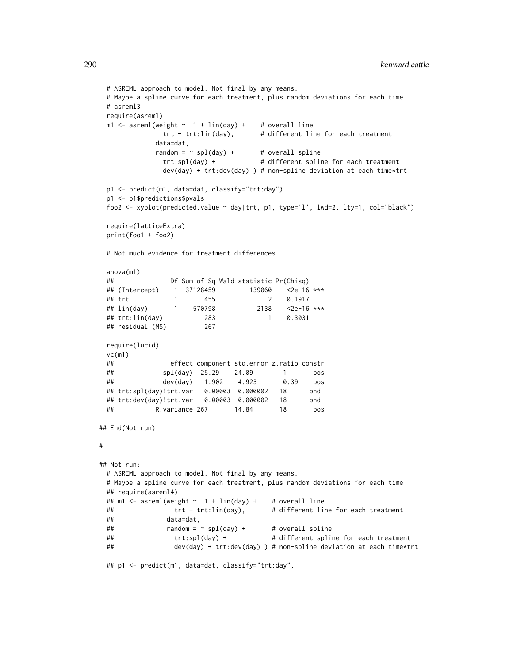```
# ASREML approach to model. Not final by any means.
 # Maybe a spline curve for each treatment, plus random deviations for each time
 # asreml3
 require(asreml)
 m1 <- asreml(weight \sim 1 + lin(day) + # overall line
              trt + trt:lin(day), # different line for each treatment
             data=dat,
            random = \sim spl(day) + # overall spline
              trt:spl(day) + # different spline for each treatment
              dev(day) + trt: dev(day) ) # non-spline deviation at each time*trt
 p1 <- predict(m1, data=dat, classify="trt:day")
 p1 <- p1$predictions$pvals
 foo2 <- xyplot(predicted.value ~ day|trt, p1, type='l', lwd=2, lty=1, col="black")
 require(latticeExtra)
 print(foo1 + foo2)
 # Not much evidence for treatment differences
 anova(m1)
 ## Df Sum of Sq Wald statistic Pr(Chisq)
 ## (Intercept) 1 37128459 139060 <2e-16 ***
 ## trt 1 455 2 0.1917
 ## lin(day) 1 570798 2138 <2e-16 ***
 ## trt:lin(day) 1 283 1 0.3031
 ## residual (MS) 267
 require(lucid)
 vc(m1)## effect component std.error z.ratio constr
 ## spl(day) 25.29 24.09 1 pos
 ## dev(day) 1.902 4.923 0.39 pos
 ## trt:spl(day)!trt.var 0.00003 0.000002 18 bnd
 ## trt:dev(day)!trt.var 0.00003 0.000002 18 bnd
 ## R!variance 267 14.84 18 pos
## End(Not run)
# ----------------------------------------------------------------------------
## Not run:
 # ASREML approach to model. Not final by any means.
 # Maybe a spline curve for each treatment, plus random deviations for each time
 ## require(asreml4)
 ## m1 <- asreml(weight \sim 1 + lin(day) + # overall line
 ## trt + trt:lin(day), # different line for each treatment
 ## data=dat,
 \begin{array}{lll} #\# & \text{random} = \sim \text{spl(day)} + & # \text{ overall spline} \end{array}## trt:spl(day) + # different spline for each treatment
 ## dev(day) + trt:dev(day) ) # non-spline deviation at each time*trt
 ## p1 <- predict(m1, data=dat, classify="trt:day",
```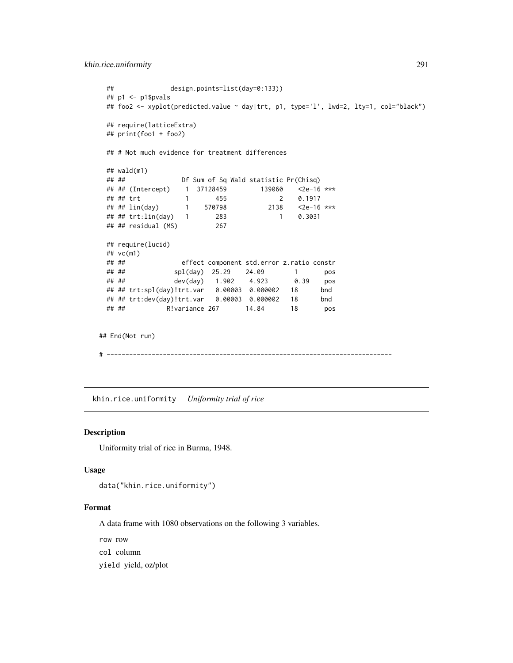```
khin.rice.uniformity 291
```

```
## design.points=list(day=0:133))
 ## p1 <- p1$pvals
 ## foo2 <- xyplot(predicted.value ~ day|trt, p1, type='l', lwd=2, lty=1, col="black")
 ## require(latticeExtra)
 ## print(foo1 + foo2)
 ## # Not much evidence for treatment differences
 \## wald(m1)
 ## ## Df Sum of Sq Wald statistic Pr(Chisq)
 ## ## (Intercept) 1 37128459 139060 <2e-16 ***
 ## ## trt 1 455 2 0.1917
 ## ## lin(day) 1 570798 2138 <2e-16 ***
 ## ## trt:lin(day) 1 283 1 0.3031
 ## ## residual (MS) 267
 ## require(lucid)
 ## vc(m1)
 ## ## effect component std.error z.ratio constr
 ## ## spl(day) 25.29 24.09 1 pos
 ## ## dev(day) 1.902 4.923 0.39 pos
 ## ## trt:spl(day)!trt.var 0.00003 0.000002 18 bnd
 ## ## trt:dev(day)!trt.var 0.00003 0.000002 18 bnd
 ## ## R!variance 267 14.84 18 pos
## End(Not run)
# ----------------------------------------------------------------------------
```
khin.rice.uniformity *Uniformity trial of rice*

## Description

Uniformity trial of rice in Burma, 1948.

#### Usage

```
data("khin.rice.uniformity")
```
#### Format

A data frame with 1080 observations on the following 3 variables.

row row

col column

yield yield, oz/plot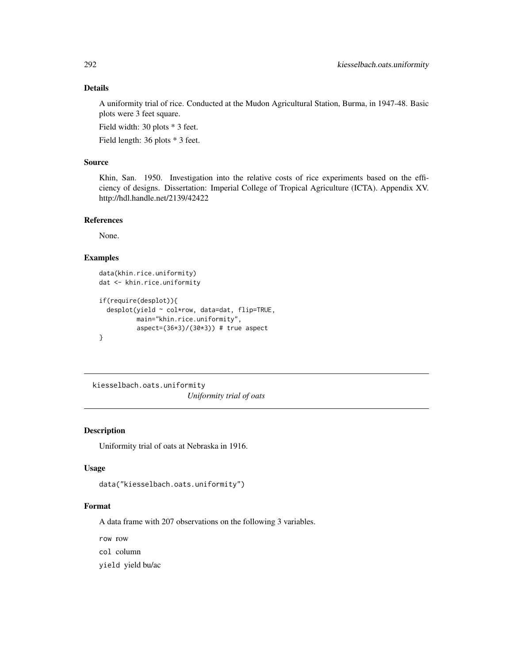# Details

A uniformity trial of rice. Conducted at the Mudon Agricultural Station, Burma, in 1947-48. Basic plots were 3 feet square.

Field width: 30 plots \* 3 feet.

Field length: 36 plots \* 3 feet.

# Source

Khin, San. 1950. Investigation into the relative costs of rice experiments based on the efficiency of designs. Dissertation: Imperial College of Tropical Agriculture (ICTA). Appendix XV. http://hdl.handle.net/2139/42422

# References

None.

# Examples

```
data(khin.rice.uniformity)
dat <- khin.rice.uniformity
if(require(desplot)){
 desplot(yield ~ col*row, data=dat, flip=TRUE,
         main="khin.rice.uniformity",
         aspect=(36*3)/(30*3)) # true aspect
}
```
kiesselbach.oats.uniformity *Uniformity trial of oats*

# Description

Uniformity trial of oats at Nebraska in 1916.

#### Usage

```
data("kiesselbach.oats.uniformity")
```
## Format

A data frame with 207 observations on the following 3 variables.

row row

col column

yield yield bu/ac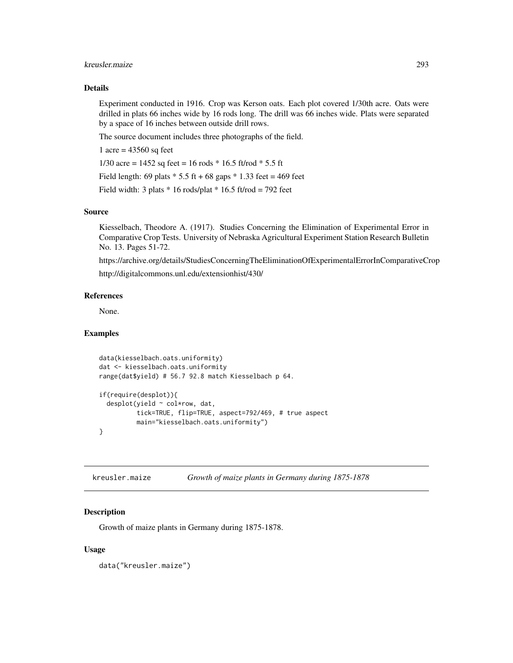## kreusler.maize 293

## Details

Experiment conducted in 1916. Crop was Kerson oats. Each plot covered 1/30th acre. Oats were drilled in plats 66 inches wide by 16 rods long. The drill was 66 inches wide. Plats were separated by a space of 16 inches between outside drill rows.

The source document includes three photographs of the field.

1 acre =  $43560$  sq feet

1/30 acre =  $1452$  sq feet = 16 rods \* 16.5 ft/rod \* 5.5 ft

Field length: 69 plats  $* 5.5$  ft + 68 gaps  $* 1.33$  feet = 469 feet

Field width: 3 plats  $*$  16 rods/plat  $*$  16.5 ft/rod = 792 feet

## Source

Kiesselbach, Theodore A. (1917). Studies Concerning the Elimination of Experimental Error in Comparative Crop Tests. University of Nebraska Agricultural Experiment Station Research Bulletin No. 13. Pages 51-72.

https://archive.org/details/StudiesConcerningTheEliminationOfExperimentalErrorInComparativeCrop http://digitalcommons.unl.edu/extensionhist/430/

#### References

None.

## Examples

```
data(kiesselbach.oats.uniformity)
dat <- kiesselbach.oats.uniformity
range(dat$yield) # 56.7 92.8 match Kiesselbach p 64.
if(require(desplot)){
 desplot(yield ~ col*row, dat,
          tick=TRUE, flip=TRUE, aspect=792/469, # true aspect
         main="kiesselbach.oats.uniformity")
}
```
kreusler.maize *Growth of maize plants in Germany during 1875-1878*

## **Description**

Growth of maize plants in Germany during 1875-1878.

#### Usage

data("kreusler.maize")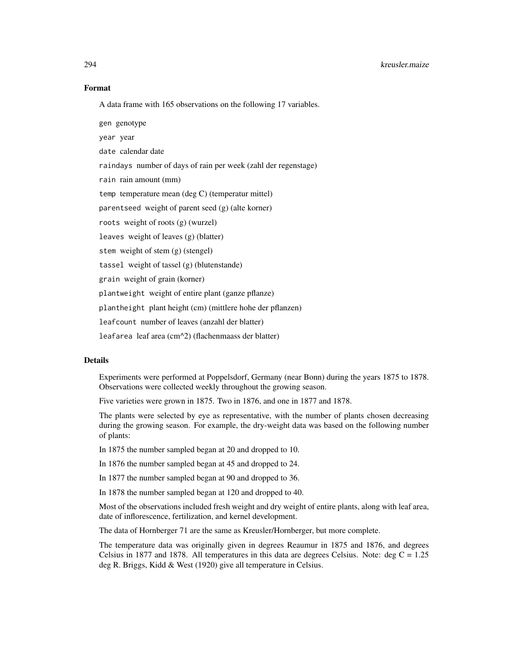#### Format

A data frame with 165 observations on the following 17 variables.

gen genotype

year year

date calendar date

raindays number of days of rain per week (zahl der regenstage)

rain rain amount (mm)

temp temperature mean (deg C) (temperatur mittel)

parentseed weight of parent seed (g) (alte korner)

roots weight of roots (g) (wurzel)

leaves weight of leaves (g) (blatter)

stem weight of stem (g) (stengel)

tassel weight of tassel (g) (blutenstande)

grain weight of grain (korner)

plantweight weight of entire plant (ganze pflanze)

plantheight plant height (cm) (mittlere hohe der pflanzen)

leafcount number of leaves (anzahl der blatter)

leafarea leaf area (cm^2) (flachenmaass der blatter)

## Details

Experiments were performed at Poppelsdorf, Germany (near Bonn) during the years 1875 to 1878. Observations were collected weekly throughout the growing season.

Five varieties were grown in 1875. Two in 1876, and one in 1877 and 1878.

The plants were selected by eye as representative, with the number of plants chosen decreasing during the growing season. For example, the dry-weight data was based on the following number of plants:

In 1875 the number sampled began at 20 and dropped to 10.

In 1876 the number sampled began at 45 and dropped to 24.

In 1877 the number sampled began at 90 and dropped to 36.

In 1878 the number sampled began at 120 and dropped to 40.

Most of the observations included fresh weight and dry weight of entire plants, along with leaf area, date of inflorescence, fertilization, and kernel development.

The data of Hornberger 71 are the same as Kreusler/Hornberger, but more complete.

The temperature data was originally given in degrees Reaumur in 1875 and 1876, and degrees Celsius in 1877 and 1878. All temperatures in this data are degrees Celsius. Note: deg  $C = 1.25$ deg R. Briggs, Kidd & West (1920) give all temperature in Celsius.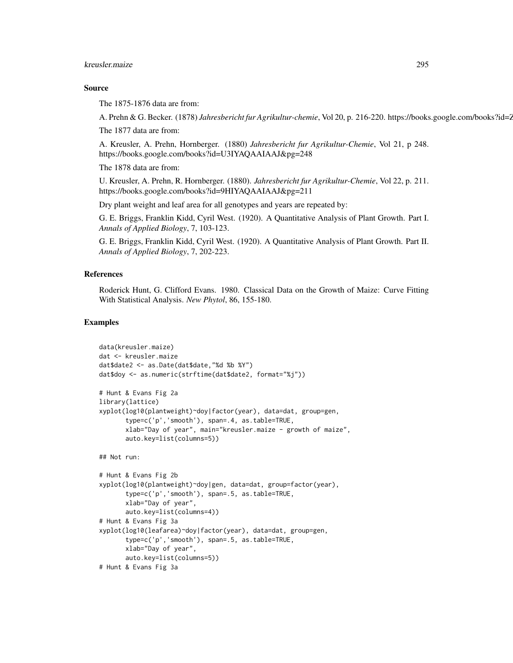## kreusler.maize 295

#### Source

The 1875-1876 data are from:

A. Prehn & G. Becker. (1878) *Jahresbericht fur Agrikultur-chemie*, Vol 20, p. 216-220. https://books.google.com/books?id=2 The 1877 data are from:

A. Kreusler, A. Prehn, Hornberger. (1880) *Jahresbericht fur Agrikultur-Chemie*, Vol 21, p 248. https://books.google.com/books?id=U3IYAQAAIAAJ&pg=248

The 1878 data are from:

U. Kreusler, A. Prehn, R. Hornberger. (1880). *Jahresbericht fur Agrikultur-Chemie*, Vol 22, p. 211. https://books.google.com/books?id=9HIYAQAAIAAJ&pg=211

Dry plant weight and leaf area for all genotypes and years are repeated by:

G. E. Briggs, Franklin Kidd, Cyril West. (1920). A Quantitative Analysis of Plant Growth. Part I. *Annals of Applied Biology*, 7, 103-123.

G. E. Briggs, Franklin Kidd, Cyril West. (1920). A Quantitative Analysis of Plant Growth. Part II. *Annals of Applied Biology*, 7, 202-223.

## References

Roderick Hunt, G. Clifford Evans. 1980. Classical Data on the Growth of Maize: Curve Fitting With Statistical Analysis. *New Phytol*, 86, 155-180.

```
data(kreusler.maize)
dat <- kreusler.maize
dat$date2 <- as.Date(dat$date,"%d %b %Y")
dat$doy <- as.numeric(strftime(dat$date2, format="%j"))
# Hunt & Evans Fig 2a
library(lattice)
xyplot(log10(plantweight)~doy|factor(year), data=dat, group=gen,
      type=c('p','smooth'), span=.4, as.table=TRUE,
      xlab="Day of year", main="kreusler.maize - growth of maize",
      auto.key=list(columns=5))
## Not run:
# Hunt & Evans Fig 2b
xyplot(log10(plantweight)~doy|gen, data=dat, group=factor(year),
      type=c('p','smooth'), span=.5, as.table=TRUE,
      xlab="Day of year",
      auto.key=list(columns=4))
# Hunt & Evans Fig 3a
xyplot(log10(leafarea)~doy|factor(year), data=dat, group=gen,
      type=c('p','smooth'), span=.5, as.table=TRUE,
      xlab="Day of year",
      auto.key=list(columns=5))
# Hunt & Evans Fig 3a
```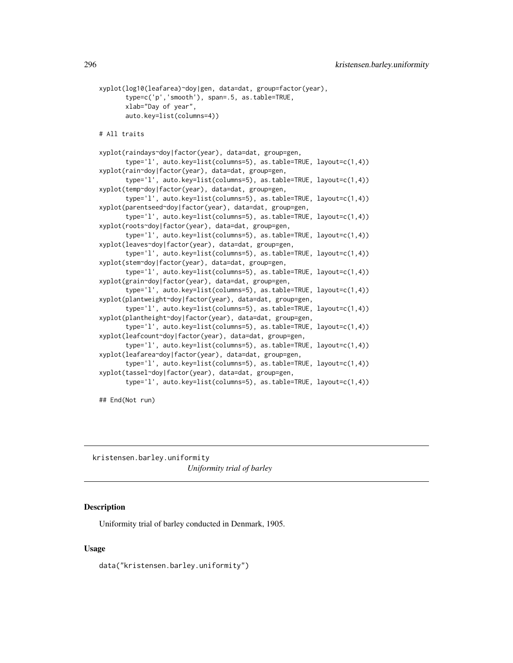```
xyplot(log10(leafarea)~doy|gen, data=dat, group=factor(year),
      type=c('p','smooth'), span=.5, as.table=TRUE,
      xlab="Day of year",
      auto.key=list(columns=4))
# All traits
xyplot(raindays~doy|factor(year), data=dat, group=gen,
       type='l', auto.key=list(columns=5), as.table=TRUE, layout=c(1,4))
xyplot(rain~doy|factor(year), data=dat, group=gen,
       type='l', auto.key=list(columns=5), as.table=TRUE, layout=c(1,4))
xyplot(temp~doy|factor(year), data=dat, group=gen,
       type='l', auto.key=list(columns=5), as.table=TRUE, layout=c(1,4))
xyplot(parentseed~doy|factor(year), data=dat, group=gen,
       type='l', auto.key=list(columns=5), as.table=TRUE, layout=c(1,4))
xyplot(roots~doy|factor(year), data=dat, group=gen,
       type='l', auto.key=list(columns=5), as.table=TRUE, layout=c(1,4))
xyplot(leaves~doy|factor(year), data=dat, group=gen,
       type='l', auto.key=list(columns=5), as.table=TRUE, layout=c(1,4))
xyplot(stem~doy|factor(year), data=dat, group=gen,
      type='l', auto.key=list(columns=5), as.table=TRUE, layout=c(1,4))
xyplot(grain~doy|factor(year), data=dat, group=gen,
      type='l', auto.key=list(columns=5), as.table=TRUE, layout=c(1,4))
xyplot(plantweight~doy|factor(year), data=dat, group=gen,
       type='l', auto.key=list(columns=5), as.table=TRUE, layout=c(1,4))
xyplot(plantheight~doy|factor(year), data=dat, group=gen,
       type='l', auto.key=list(columns=5), as.table=TRUE, layout=c(1,4))
xyplot(leafcount~doy|factor(year), data=dat, group=gen,
      type='l', auto.key=list(columns=5), as.table=TRUE, layout=c(1,4))
xyplot(leafarea~doy|factor(year), data=dat, group=gen,
      type='l', auto.key=list(columns=5), as.table=TRUE, layout=c(1,4))
xyplot(tassel~doy|factor(year), data=dat, group=gen,
      type='l', auto.key=list(columns=5), as.table=TRUE, layout=c(1,4))
```
## End(Not run)

kristensen.barley.uniformity *Uniformity trial of barley*

## **Description**

Uniformity trial of barley conducted in Denmark, 1905.

#### Usage

data("kristensen.barley.uniformity")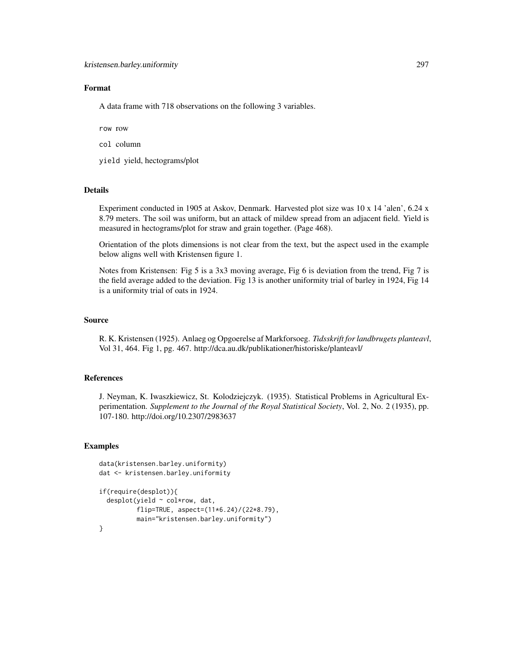## Format

A data frame with 718 observations on the following 3 variables.

row row

col column

yield yield, hectograms/plot

#### Details

Experiment conducted in 1905 at Askov, Denmark. Harvested plot size was 10 x 14 'alen', 6.24 x 8.79 meters. The soil was uniform, but an attack of mildew spread from an adjacent field. Yield is measured in hectograms/plot for straw and grain together. (Page 468).

Orientation of the plots dimensions is not clear from the text, but the aspect used in the example below aligns well with Kristensen figure 1.

Notes from Kristensen: Fig 5 is a 3x3 moving average, Fig 6 is deviation from the trend, Fig 7 is the field average added to the deviation. Fig 13 is another uniformity trial of barley in 1924, Fig 14 is a uniformity trial of oats in 1924.

#### Source

R. K. Kristensen (1925). Anlaeg og Opgoerelse af Markforsoeg. *Tidsskrift for landbrugets planteavl*, Vol 31, 464. Fig 1, pg. 467. http://dca.au.dk/publikationer/historiske/planteavl/

# References

J. Neyman, K. Iwaszkiewicz, St. Kolodziejczyk. (1935). Statistical Problems in Agricultural Experimentation. *Supplement to the Journal of the Royal Statistical Society*, Vol. 2, No. 2 (1935), pp. 107-180. http://doi.org/10.2307/2983637

```
data(kristensen.barley.uniformity)
dat <- kristensen.barley.uniformity
```

```
if(require(desplot)){
 desplot(yield ~ col*row, dat,
          flip=TRUE, aspect=(11*6.24)/(22*8.79),
          main="kristensen.barley.uniformity")
}
```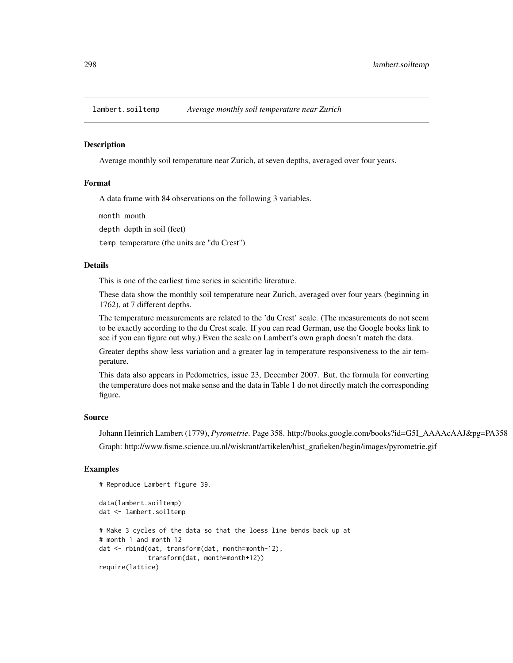#### **Description**

Average monthly soil temperature near Zurich, at seven depths, averaged over four years.

#### Format

A data frame with 84 observations on the following 3 variables.

month month

depth depth in soil (feet)

temp temperature (the units are "du Crest")

## Details

This is one of the earliest time series in scientific literature.

These data show the monthly soil temperature near Zurich, averaged over four years (beginning in 1762), at 7 different depths.

The temperature measurements are related to the 'du Crest' scale. (The measurements do not seem to be exactly according to the du Crest scale. If you can read German, use the Google books link to see if you can figure out why.) Even the scale on Lambert's own graph doesn't match the data.

Greater depths show less variation and a greater lag in temperature responsiveness to the air temperature.

This data also appears in Pedometrics, issue 23, December 2007. But, the formula for converting the temperature does not make sense and the data in Table 1 do not directly match the corresponding figure.

## Source

Johann Heinrich Lambert (1779), *Pyrometrie*. Page 358. http://books.google.com/books?id=G5I\_AAAAcAAJ&pg=PA358 Graph: http://www.fisme.science.uu.nl/wiskrant/artikelen/hist\_grafieken/begin/images/pyrometrie.gif

```
# Reproduce Lambert figure 39.
data(lambert.soiltemp)
dat <- lambert.soiltemp
# Make 3 cycles of the data so that the loess line bends back up at
# month 1 and month 12
dat <- rbind(dat, transform(dat, month=month-12),
             transform(dat, month=month+12))
require(lattice)
```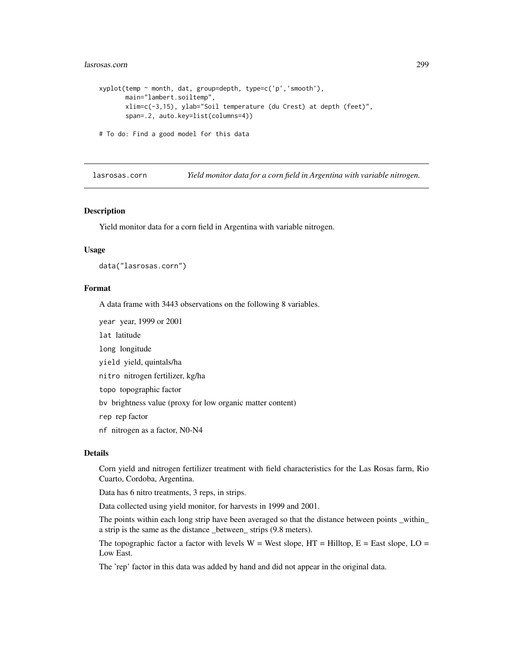#### lasrosas.corn 299

```
xyplot(temp ~ month, dat, group=depth, type=c('p','smooth'),
      main="lambert.soiltemp",
      xlim=c(-3,15), ylab="Soil temperature (du Crest) at depth (feet)",
      span=.2, auto.key=list(columns=4))
# To do: Find a good model for this data
```
lasrosas.corn *Yield monitor data for a corn field in Argentina with variable nitrogen.*

#### Description

Yield monitor data for a corn field in Argentina with variable nitrogen.

#### Usage

data("lasrosas.corn")

#### Format

A data frame with 3443 observations on the following 8 variables.

year year, 1999 or 2001

lat latitude

long longitude

yield yield, quintals/ha

nitro nitrogen fertilizer, kg/ha

topo topographic factor

bv brightness value (proxy for low organic matter content)

rep rep factor

nf nitrogen as a factor, N0-N4

#### Details

Corn yield and nitrogen fertilizer treatment with field characteristics for the Las Rosas farm, Rio Cuarto, Cordoba, Argentina.

Data has 6 nitro treatments, 3 reps, in strips.

Data collected using yield monitor, for harvests in 1999 and 2001.

The points within each long strip have been averaged so that the distance between points \_within\_ a strip is the same as the distance \_between\_ strips (9.8 meters).

The topographic factor a factor with levels  $W = West slope$ ,  $HT = Hilltop$ ,  $E = East slope$ ,  $LO =$ Low East.

The 'rep' factor in this data was added by hand and did not appear in the original data.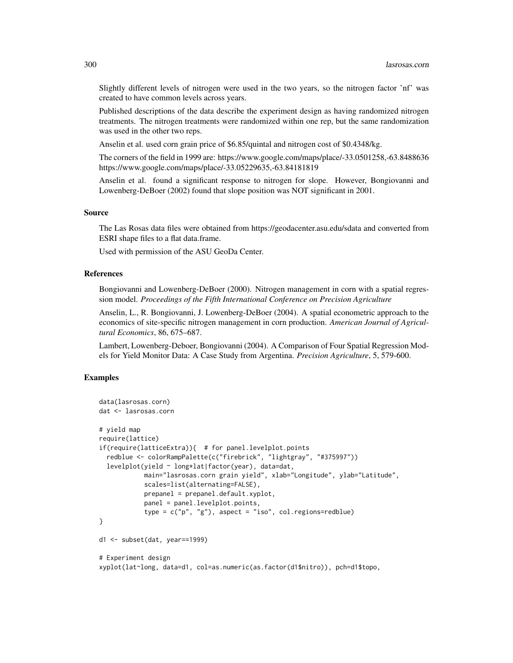Slightly different levels of nitrogen were used in the two years, so the nitrogen factor 'nf' was created to have common levels across years.

Published descriptions of the data describe the experiment design as having randomized nitrogen treatments. The nitrogen treatments were randomized within one rep, but the same randomization was used in the other two reps.

Anselin et al. used corn grain price of \$6.85/quintal and nitrogen cost of \$0.4348/kg.

The corners of the field in 1999 are: https://www.google.com/maps/place/-33.0501258,-63.8488636 https://www.google.com/maps/place/-33.05229635,-63.84181819

Anselin et al. found a significant response to nitrogen for slope. However, Bongiovanni and Lowenberg-DeBoer (2002) found that slope position was NOT significant in 2001.

## Source

The Las Rosas data files were obtained from https://geodacenter.asu.edu/sdata and converted from ESRI shape files to a flat data.frame.

Used with permission of the ASU GeoDa Center.

## References

Bongiovanni and Lowenberg-DeBoer (2000). Nitrogen management in corn with a spatial regression model. *Proceedings of the Fifth International Conference on Precision Agriculture*

Anselin, L., R. Bongiovanni, J. Lowenberg-DeBoer (2004). A spatial econometric approach to the economics of site-specific nitrogen management in corn production. *American Journal of Agricultural Economics*, 86, 675–687.

Lambert, Lowenberg-Deboer, Bongiovanni (2004). A Comparison of Four Spatial Regression Models for Yield Monitor Data: A Case Study from Argentina. *Precision Agriculture*, 5, 579-600.

```
data(lasrosas.corn)
dat <- lasrosas.corn
# yield map
require(lattice)
if(require(latticeExtra)){ # for panel.levelplot.points
 redblue <- colorRampPalette(c("firebrick", "lightgray", "#375997"))
 levelplot(yield ~ long*lat|factor(year), data=dat,
            main="lasrosas.corn grain yield", xlab="Longitude", ylab="Latitude",
            scales=list(alternating=FALSE),
            prepanel = prepanel.default.xyplot,
            panel = panel.levelplot.points,
            type = c("p", "g"), aspect = "iso", col.regions=redblue)
}
d1 <- subset(dat, year==1999)
# Experiment design
xyplot(lat~long, data=d1, col=as.numeric(as.factor(d1$nitro)), pch=d1$topo,
```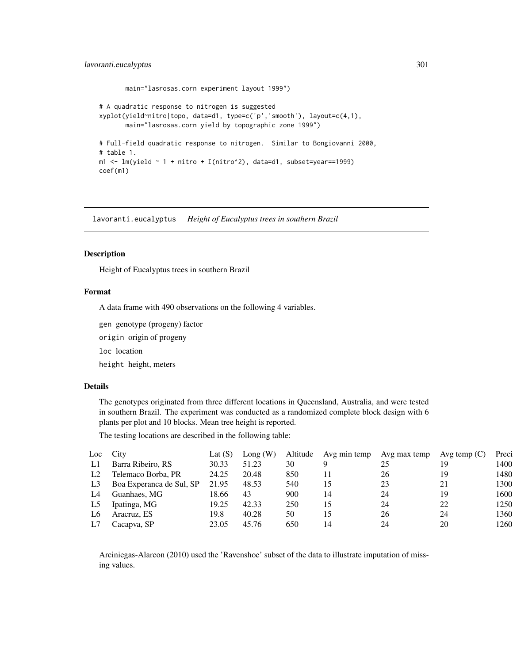# lavoranti.eucalyptus 301

```
main="lasrosas.corn experiment layout 1999")
# A quadratic response to nitrogen is suggested
xyplot(yield~nitro|topo, data=d1, type=c('p','smooth'), layout=c(4,1),
       main="lasrosas.corn yield by topographic zone 1999")
# Full-field quadratic response to nitrogen. Similar to Bongiovanni 2000,
# table 1.
m1 \leq -\ln(yield \sim 1 + nitro + I(nitro^2), data=d1, subset=year=1999)coef(m1)
```
lavoranti.eucalyptus *Height of Eucalyptus trees in southern Brazil*

## Description

Height of Eucalyptus trees in southern Brazil

#### Format

A data frame with 490 observations on the following 4 variables.

gen genotype (progeny) factor

origin origin of progeny

loc location

height height, meters

## Details

The genotypes originated from three different locations in Queensland, Australia, and were tested in southern Brazil. The experiment was conducted as a randomized complete block design with 6 plants per plot and 10 blocks. Mean tree height is reported.

The testing locations are described in the following table:

| Loc City       |                          | Lat $(S)$ | Long(W) |     | Altitude Avg min temp | Avg max temp | Avg temp $(C)$ | Preci |
|----------------|--------------------------|-----------|---------|-----|-----------------------|--------------|----------------|-------|
| L1             | Barra Ribeiro, RS        | 30.33     | 51.23   | 30  |                       | 25           | 19             | 1400  |
| L2             | Telemaco Borba, PR       | 24.25     | 20.48   | 850 |                       | 26           | 19             | 1480  |
| L <sub>3</sub> | Boa Experanca de Sul, SP | 21.95     | 48.53   | 540 | 15                    | 23           | 21             | 1300  |
| L4             | Guanhaes, MG             | 18.66     | 43      | 900 | 14                    | 24           | 19             | 1600  |
| L5             | Ipatinga, MG             | 19.25     | 42.33   | 250 | 15                    | 24           | 22             | 1250  |
| L6             | Aracruz, ES              | 19.8      | 40.28   | 50  | 15                    | 26           | 24             | 1360  |
| L7             | Cacapva, SP              | 23.05     | 45.76   | 650 | 14                    | 24           | 20             | 1260  |

Arciniegas-Alarcon (2010) used the 'Ravenshoe' subset of the data to illustrate imputation of missing values.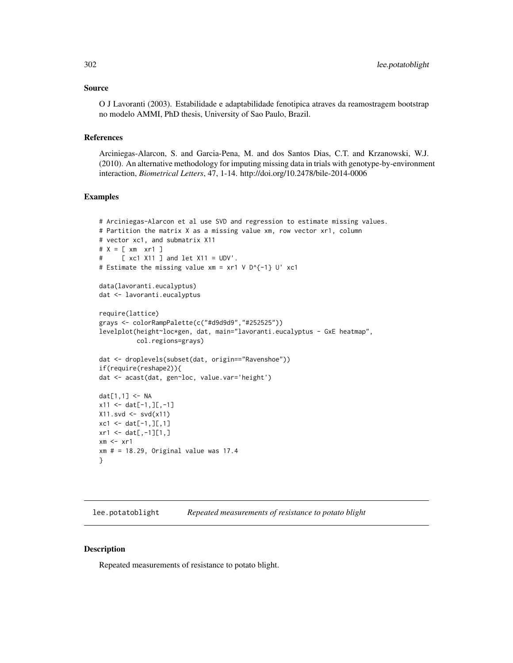## Source

O J Lavoranti (2003). Estabilidade e adaptabilidade fenotipica atraves da reamostragem bootstrap no modelo AMMI, PhD thesis, University of Sao Paulo, Brazil.

## References

Arciniegas-Alarcon, S. and Garcia-Pena, M. and dos Santos Dias, C.T. and Krzanowski, W.J. (2010). An alternative methodology for imputing missing data in trials with genotype-by-environment interaction, *Biometrical Letters*, 47, 1-14. http://doi.org/10.2478/bile-2014-0006

## Examples

```
# Arciniegas-Alarcon et al use SVD and regression to estimate missing values.
# Partition the matrix X as a missing value xm, row vector xr1, column
# vector xc1, and submatrix X11
# X = [ xm xr1 ]
# [ xc1 X11 ] and let X11 = UDV'.
# Estimate the missing value xm = xr1 V D^{-1} U' xc1
data(lavoranti.eucalyptus)
dat <- lavoranti.eucalyptus
require(lattice)
grays <- colorRampPalette(c("#d9d9d9","#252525"))
levelplot(height~loc*gen, dat, main="lavoranti.eucalyptus - GxE heatmap",
          col.regions=grays)
dat <- droplevels(subset(dat, origin=="Ravenshoe"))
if(require(reshape2)){
dat <- acast(dat, gen~loc, value.var='height')
dat[1,1] <- NA
x11 < - dat[-1,][,-1]
X11.svd <- svd(x11)
xc1 \leftarrow dat[-1,]\left[0,1\right]xr1 < - dat[,-1][1,]
xm \leq -xr1xm # = 18.29, Original value was 17.4
}
```
lee.potatoblight *Repeated measurements of resistance to potato blight*

#### Description

Repeated measurements of resistance to potato blight.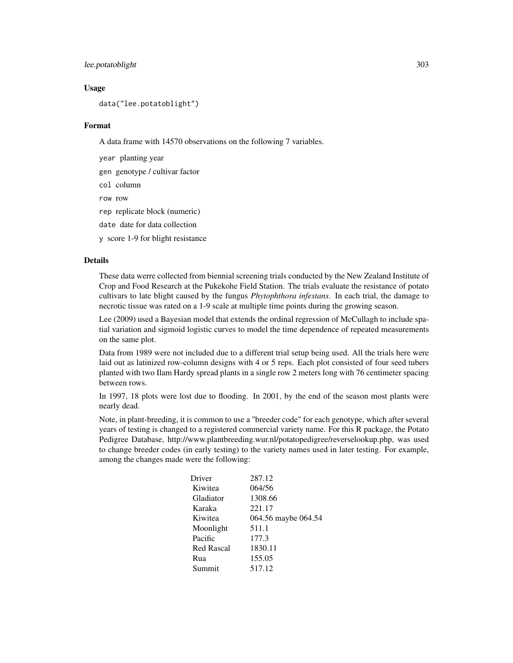# lee.potatoblight 303

#### Usage

data("lee.potatoblight")

#### Format

A data frame with 14570 observations on the following 7 variables.

year planting year

gen genotype / cultivar factor

col column

row row

rep replicate block (numeric)

date date for data collection

y score 1-9 for blight resistance

#### Details

These data werre collected from biennial screening trials conducted by the New Zealand Institute of Crop and Food Research at the Pukekohe Field Station. The trials evaluate the resistance of potato cultivars to late blight caused by the fungus *Phytophthora infestans*. In each trial, the damage to necrotic tissue was rated on a 1-9 scale at multiple time points during the growing season.

Lee (2009) used a Bayesian model that extends the ordinal regression of McCullagh to include spatial variation and sigmoid logistic curves to model the time dependence of repeated measurements on the same plot.

Data from 1989 were not included due to a different trial setup being used. All the trials here were laid out as latinized row-column designs with 4 or 5 reps. Each plot consisted of four seed tubers planted with two Ilam Hardy spread plants in a single row 2 meters long with 76 centimeter spacing between rows.

In 1997, 18 plots were lost due to flooding. In 2001, by the end of the season most plants were nearly dead.

Note, in plant-breeding, it is common to use a "breeder code" for each genotype, which after several years of testing is changed to a registered commercial variety name. For this R package, the Potato Pedigree Database, http://www.plantbreeding.wur.nl/potatopedigree/reverselookup.php, was used to change breeder codes (in early testing) to the variety names used in later testing. For example, among the changes made were the following:

| 287.12              |
|---------------------|
| 064/56              |
| 1308.66             |
| 221.17              |
| 064.56 maybe 064.54 |
| 511.1               |
| 177.3               |
| 1830.11             |
| 155.05              |
| 517.12              |
|                     |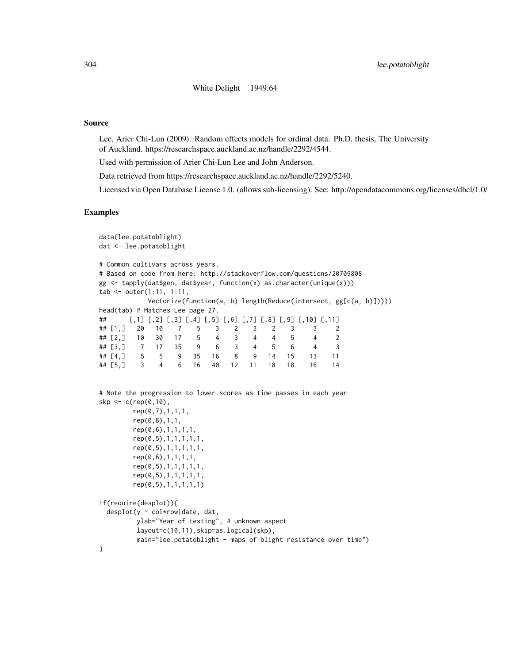## 304 lee.potatoblight

White Delight 1949.64

#### Source

Lee, Arier Chi-Lun (2009). Random effects models for ordinal data. Ph.D. thesis, The University of Auckland. https://researchspace.auckland.ac.nz/handle/2292/4544.

Used with permission of Arier Chi-Lun Lee and John Anderson.

Data retrieved from https://researchspace.auckland.ac.nz/handle/2292/5240.

Licensed via Open Database License 1.0. (allows sub-licensing). See: http://opendatacommons.org/licenses/dbcl/1.0/

```
data(lee.potatoblight)
dat <- lee.potatoblight
# Common cultivars across years.
# Based on code from here: http://stackoverflow.com/questions/20709808
gg \leftarrow tapply(data\gen, dat $year, function(x) as.character(unique(x)))
tab <- outer(1:11, 1:11,
           Vectorize(function(a, b) length(Reduce(intersect, gg[c(a, b)]))))
head(tab) # Matches Lee page 27.
## [,1] [,2] [,3] [,4] [,5] [,6] [,7] [,8] [,9] [,10] [,11]
## [1,] 20 10 7 5 3 2 3 2 3 3 2
## [2,] 10 30 17 5 4 3 4 4 5 4 2
## [3,] 7 17 35 9 6 3 4 5 6 4 3
## [4,] 5 5 9 35 16 8 9 14 15 13 11
## [5,] 3 4 6 16 40 12 11 18 18 16 14
# Note the progression to lower scores as time passes in each year
sky < -c(rep(0,10)),
       rep(0,7),1,1,1,
       rep(0,8),1,1,
       rep(0,6),1,1,1,1,
       rep(0,5),1,1,1,1,1,
       rep(0,5),1,1,1,1,1,
       rep(0,6),1,1,1,1,
       rep(0,5),1,1,1,1,1,
       rep(0,5),1,1,1,1,1,
       rep(0,5),1,1,1,1,1)
if(require(desplot)){
 desplot(y \sim col*row|date, dat,ylab="Year of testing", # unknown aspect
        layout=c(10,11),skip=as.logical(skp),
        main="lee.potatoblight - maps of blight resistance over time")
}
```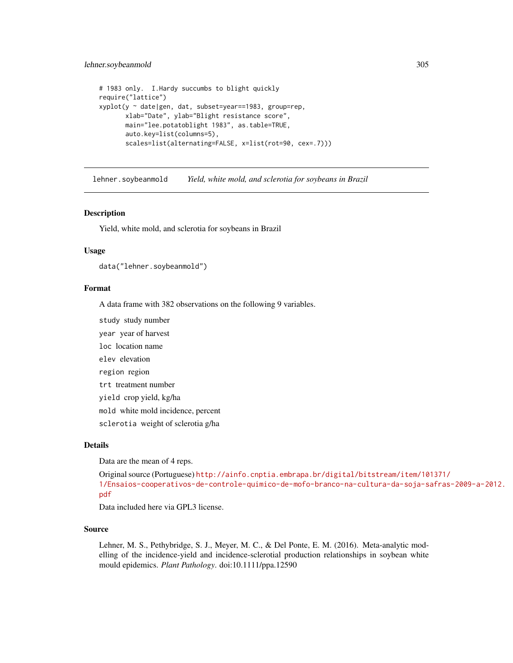## lehner.soybeanmold 305

```
# 1983 only. I.Hardy succumbs to blight quickly
require("lattice")
xyplot(y ~ date|gen, dat, subset=year==1983, group=rep,
      xlab="Date", ylab="Blight resistance score",
      main="lee.potatoblight 1983", as.table=TRUE,
      auto.key=list(columns=5),
      scales=list(alternating=FALSE, x=list(rot=90, cex=.7)))
```
lehner.soybeanmold *Yield, white mold, and sclerotia for soybeans in Brazil*

#### **Description**

Yield, white mold, and sclerotia for soybeans in Brazil

#### Usage

data("lehner.soybeanmold")

#### Format

A data frame with 382 observations on the following 9 variables.

study study number

year year of harvest

loc location name

elev elevation

region region

trt treatment number

yield crop yield, kg/ha

mold white mold incidence, percent

sclerotia weight of sclerotia g/ha

#### Details

Data are the mean of 4 reps.

```
Original source (Portuguese) http://ainfo.cnptia.embrapa.br/digital/bitstream/item/101371/
1/Ensaios-cooperativos-de-controle-quimico-de-mofo-branco-na-cultura-da-soja-safras-2009-a-2012.
pdf
```
Data included here via GPL3 license.

## Source

Lehner, M. S., Pethybridge, S. J., Meyer, M. C., & Del Ponte, E. M. (2016). Meta-analytic modelling of the incidence-yield and incidence-sclerotial production relationships in soybean white mould epidemics. *Plant Pathology*. doi:10.1111/ppa.12590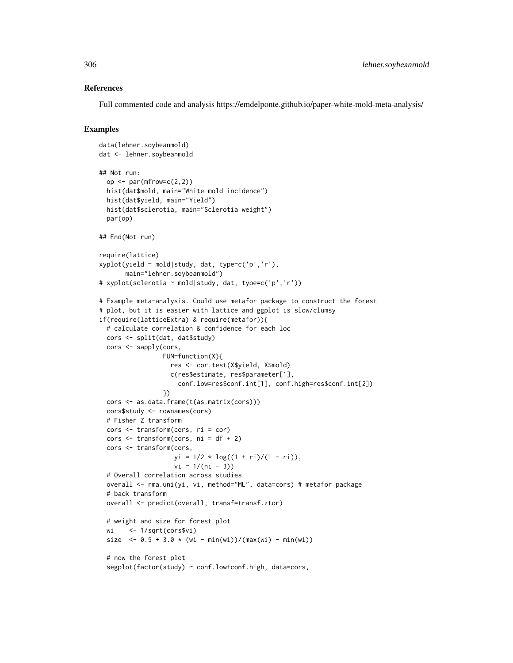## References

Full commented code and analysis https://emdelponte.github.io/paper-white-mold-meta-analysis/

```
data(lehner.soybeanmold)
dat <- lehner.soybeanmold
## Not run:
 op <- par(mfrow=c(2,2))
 hist(dat$mold, main="White mold incidence")
 hist(dat$yield, main="Yield")
 hist(dat$sclerotia, main="Sclerotia weight")
 par(op)
## End(Not run)
require(lattice)
xyplot(yield ~ mold|study, dat, type=c('p','r'),
      main="lehner.soybeanmold")
# xyplot(sclerotia ~ mold|study, dat, type=c('p','r'))
# Example meta-analysis. Could use metafor package to construct the forest
# plot, but it is easier with lattice and ggplot is slow/clumsy
if(require(latticeExtra) & require(metafor)){
 # calculate correlation & confidence for each loc
 cors <- split(dat, dat$study)
 cors <- sapply(cors,
                 FUN=function(X){
                   res <- cor.test(X$yield, X$mold)
                   c(res$estimate, res$parameter[1],
                     conf.low=res$conf.int[1], conf.high=res$conf.int[2])
                 })
 cors <- as.data.frame(t(as.matrix(cors)))
 cors$study <- rownames(cors)
 # Fisher Z transform
 cors <- transform(cors, ri = cor)
 cors \le transform(cors, ni = df + 2)
 cors <- transform(cors,
                    yi = 1/2 * log((1 + ri)/(1 - ri)),vi = 1/(ni - 3)# Overall correlation across studies
 overall <- rma.uni(yi, vi, method="ML", data=cors) # metafor package
 # back transform
 overall <- predict(overall, transf=transf.ztor)
 # weight and size for forest plot
 wi <- 1/sqrt(cors$vi)
 size \le 0.5 + 3.0 \times (wi - min(wi)) / (max(wi) - min(wi))# now the forest plot
 segplot(factor(study) ~ conf.low+conf.high, data=cors,
```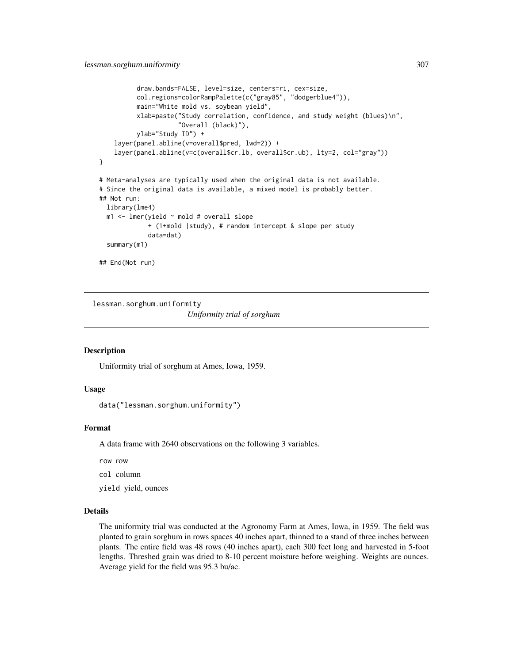```
draw.bands=FALSE, level=size, centers=ri, cex=size,
          col.regions=colorRampPalette(c("gray85", "dodgerblue4")),
          main="White mold vs. soybean yield",
          xlab=paste("Study correlation, confidence, and study weight (blues)\n",
                     "Overall (black)"),
          ylab="Study ID") +
    layer(panel.abline(v=overall$pred, lwd=2)) +
    layer(panel.abline(v=c(overall$cr.lb, overall$cr.ub), lty=2, col="gray"))
}
# Meta-analyses are typically used when the original data is not available.
# Since the original data is available, a mixed model is probably better.
## Not run:
 library(lme4)
 m1 <- lmer(yield ~ mold # overall slope
             + (1+mold |study), # random intercept & slope per study
             data=dat)
 summary(m1)
## End(Not run)
```
lessman.sorghum.uniformity *Uniformity trial of sorghum*

## Description

Uniformity trial of sorghum at Ames, Iowa, 1959.

## Usage

data("lessman.sorghum.uniformity")

# Format

A data frame with 2640 observations on the following 3 variables.

row row

col column

yield yield, ounces

# Details

The uniformity trial was conducted at the Agronomy Farm at Ames, Iowa, in 1959. The field was planted to grain sorghum in rows spaces 40 inches apart, thinned to a stand of three inches between plants. The entire field was 48 rows (40 inches apart), each 300 feet long and harvested in 5-foot lengths. Threshed grain was dried to 8-10 percent moisture before weighing. Weights are ounces. Average yield for the field was 95.3 bu/ac.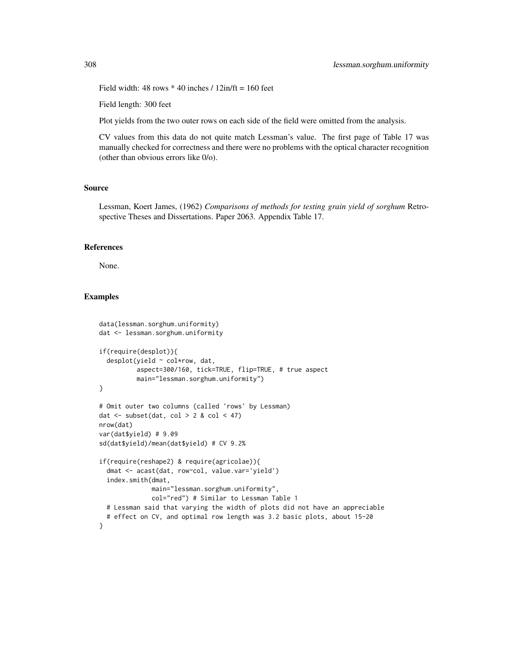Field width:  $48$  rows  $*$  40 inches /  $12$ in/ft = 160 feet

Field length: 300 feet

Plot yields from the two outer rows on each side of the field were omitted from the analysis.

CV values from this data do not quite match Lessman's value. The first page of Table 17 was manually checked for correctness and there were no problems with the optical character recognition (other than obvious errors like 0/o).

## Source

Lessman, Koert James, (1962) *Comparisons of methods for testing grain yield of sorghum* Retrospective Theses and Dissertations. Paper 2063. Appendix Table 17.

## References

None.

```
data(lessman.sorghum.uniformity)
dat <- lessman.sorghum.uniformity
if(require(desplot)){
 desplot(yield ~ col*row, dat,
          aspect=300/160, tick=TRUE, flip=TRUE, # true aspect
         main="lessman.sorghum.uniformity")
}
# Omit outer two columns (called 'rows' by Lessman)
dat \le subset(dat, col > 2 & col \le 47)
nrow(dat)
var(dat$yield) # 9.09
sd(dat$yield)/mean(dat$yield) # CV 9.2%
if(require(reshape2) & require(agricolae)){
 dmat <- acast(dat, row~col, value.var='yield')
 index.smith(dmat,
             main="lessman.sorghum.uniformity",
             col="red") # Similar to Lessman Table 1
 # Lessman said that varying the width of plots did not have an appreciable
  # effect on CV, and optimal row length was 3.2 basic plots, about 15-20
}
```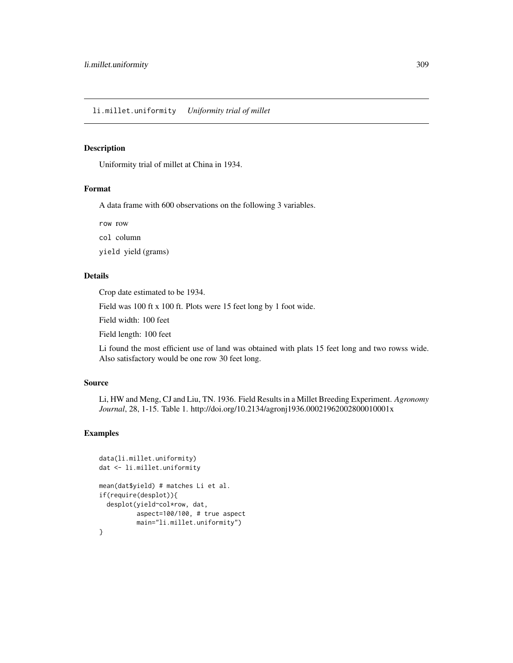## Description

Uniformity trial of millet at China in 1934.

## Format

A data frame with 600 observations on the following 3 variables.

row row

col column

yield yield (grams)

# Details

Crop date estimated to be 1934.

Field was 100 ft x 100 ft. Plots were 15 feet long by 1 foot wide.

Field width: 100 feet

Field length: 100 feet

Li found the most efficient use of land was obtained with plats 15 feet long and two rowss wide. Also satisfactory would be one row 30 feet long.

# Source

Li, HW and Meng, CJ and Liu, TN. 1936. Field Results in a Millet Breeding Experiment. *Agronomy Journal*, 28, 1-15. Table 1. http://doi.org/10.2134/agronj1936.00021962002800010001x

```
data(li.millet.uniformity)
dat <- li.millet.uniformity
mean(dat$yield) # matches Li et al.
if(require(desplot)){
 desplot(yield~col*row, dat,
         aspect=100/100, # true aspect
         main="li.millet.uniformity")
}
```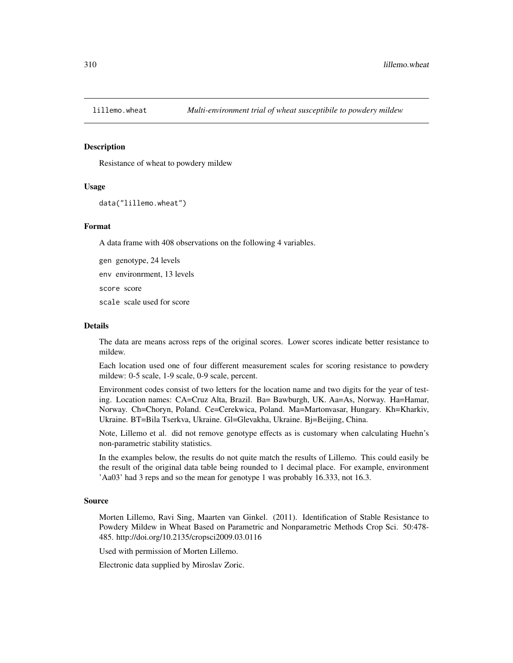# Description

Resistance of wheat to powdery mildew

#### Usage

```
data("lillemo.wheat")
```
## Format

A data frame with 408 observations on the following 4 variables.

gen genotype, 24 levels env environrment, 13 levels score score scale scale used for score

#### Details

The data are means across reps of the original scores. Lower scores indicate better resistance to mildew.

Each location used one of four different measurement scales for scoring resistance to powdery mildew: 0-5 scale, 1-9 scale, 0-9 scale, percent.

Environment codes consist of two letters for the location name and two digits for the year of testing. Location names: CA=Cruz Alta, Brazil. Ba= Bawburgh, UK. Aa=As, Norway. Ha=Hamar, Norway. Ch=Choryn, Poland. Ce=Cerekwica, Poland. Ma=Martonvasar, Hungary. Kh=Kharkiv, Ukraine. BT=Bila Tserkva, Ukraine. Gl=Glevakha, Ukraine. Bj=Beijing, China.

Note, Lillemo et al. did not remove genotype effects as is customary when calculating Huehn's non-parametric stability statistics.

In the examples below, the results do not quite match the results of Lillemo. This could easily be the result of the original data table being rounded to 1 decimal place. For example, environment 'Aa03' had 3 reps and so the mean for genotype 1 was probably 16.333, not 16.3.

## Source

Morten Lillemo, Ravi Sing, Maarten van Ginkel. (2011). Identification of Stable Resistance to Powdery Mildew in Wheat Based on Parametric and Nonparametric Methods Crop Sci. 50:478- 485. http://doi.org/10.2135/cropsci2009.03.0116

Used with permission of Morten Lillemo.

Electronic data supplied by Miroslav Zoric.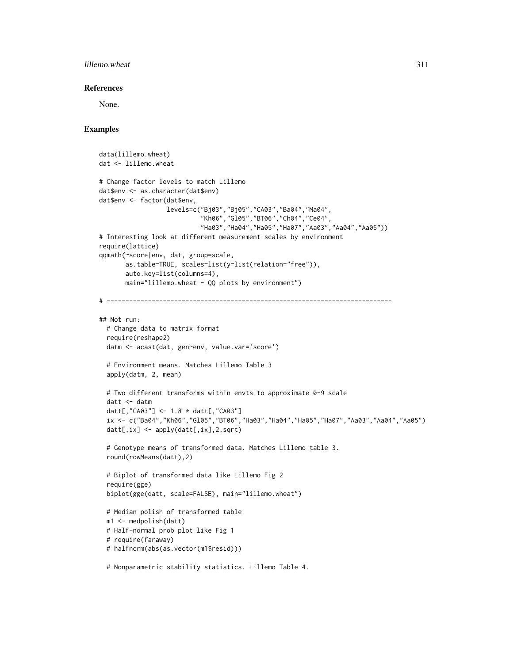## lillemo.wheat 311

## References

None.

```
data(lillemo.wheat)
dat <- lillemo.wheat
# Change factor levels to match Lillemo
dat$env <- as.character(dat$env)
dat$env <- factor(dat$env,
                  levels=c("Bj03","Bj05","CA03","Ba04","Ma04",
                           "Kh06","Gl05","BT06","Ch04","Ce04",
                           "Ha03","Ha04","Ha05","Ha07","Aa03","Aa04","Aa05"))
# Interesting look at different measurement scales by environment
require(lattice)
qqmath(~score|env, dat, group=scale,
      as.table=TRUE, scales=list(y=list(relation="free")),
      auto.key=list(columns=4),
      main="lillemo.wheat - QQ plots by environment")
# ----------------------------------------------------------------------------
## Not run:
 # Change data to matrix format
 require(reshape2)
 datm <- acast(dat, gen~env, value.var='score')
 # Environment means. Matches Lillemo Table 3
 apply(datm, 2, mean)
 # Two different transforms within envts to approximate 0-9 scale
 datt <- datm
 datt[,"CA03"] <- 1.8 * datt[,"CA03"]
 ix <- c("Ba04","Kh06","Gl05","BT06","Ha03","Ha04","Ha05","Ha07","Aa03","Aa04","Aa05")
 datt[,ix] <- apply(datt[,ix],2,sqrt)
 # Genotype means of transformed data. Matches Lillemo table 3.
 round(rowMeans(datt),2)
 # Biplot of transformed data like Lillemo Fig 2
 require(gge)
 biplot(gge(datt, scale=FALSE), main="lillemo.wheat")
 # Median polish of transformed table
 m1 <- medpolish(datt)
 # Half-normal prob plot like Fig 1
 # require(faraway)
 # halfnorm(abs(as.vector(m1$resid)))
 # Nonparametric stability statistics. Lillemo Table 4.
```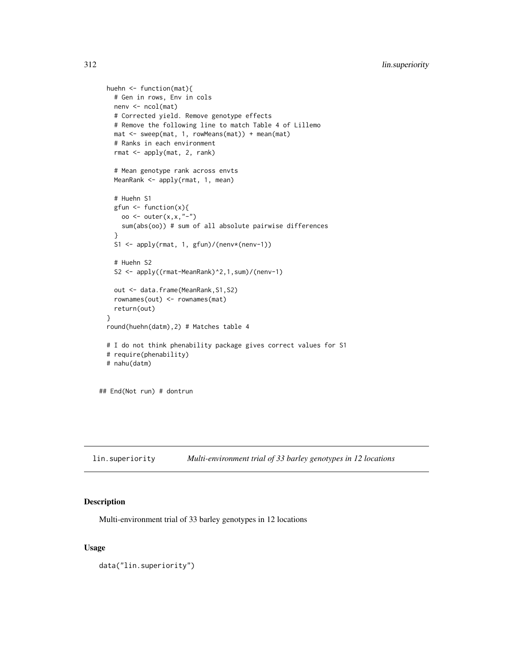```
huehn <- function(mat){
   # Gen in rows, Env in cols
   nenv <- ncol(mat)
   # Corrected yield. Remove genotype effects
   # Remove the following line to match Table 4 of Lillemo
   mat <- sweep(mat, 1, rowMeans(mat)) + mean(mat)
   # Ranks in each environment
   rmat <- apply(mat, 2, rank)
    # Mean genotype rank across envts
   MeanRank <- apply(rmat, 1, mean)
    # Huehn S1
   gfun <- function(x){
     oo <- outer(x,x,"-")
     sum(abs(oo)) # sum of all absolute pairwise differences
    }
   S1 <- apply(rmat, 1, gfun)/(nenv*(nenv-1))
   # Huehn S2
   S2 <- apply((rmat-MeanRank)^2,1,sum)/(nenv-1)
   out <- data.frame(MeanRank, S1, S2)
   rownames(out) <- rownames(mat)
   return(out)
 }
 round(huehn(datm),2) # Matches table 4
 # I do not think phenability package gives correct values for S1
 # require(phenability)
 # nahu(datm)
## End(Not run) # dontrun
```
lin.superiority *Multi-environment trial of 33 barley genotypes in 12 locations*

# Description

Multi-environment trial of 33 barley genotypes in 12 locations

# Usage

data("lin.superiority")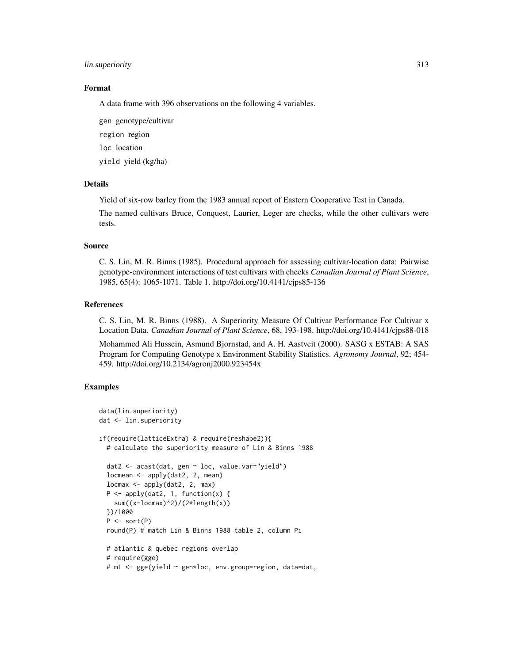## lin.superiority 313

# Format

A data frame with 396 observations on the following 4 variables.

gen genotype/cultivar region region loc location

yield yield (kg/ha)

# Details

Yield of six-row barley from the 1983 annual report of Eastern Cooperative Test in Canada.

The named cultivars Bruce, Conquest, Laurier, Leger are checks, while the other cultivars were tests.

### Source

C. S. Lin, M. R. Binns (1985). Procedural approach for assessing cultivar-location data: Pairwise genotype-environment interactions of test cultivars with checks *Canadian Journal of Plant Science*, 1985, 65(4): 1065-1071. Table 1. http://doi.org/10.4141/cjps85-136

#### References

C. S. Lin, M. R. Binns (1988). A Superiority Measure Of Cultivar Performance For Cultivar x Location Data. *Canadian Journal of Plant Science*, 68, 193-198. http://doi.org/10.4141/cjps88-018

Mohammed Ali Hussein, Asmund Bjornstad, and A. H. Aastveit (2000). SASG x ESTAB: A SAS Program for Computing Genotype x Environment Stability Statistics. *Agronomy Journal*, 92; 454- 459. http://doi.org/10.2134/agronj2000.923454x

```
data(lin.superiority)
dat <- lin.superiority
if(require(latticeExtra) & require(reshape2)){
  # calculate the superiority measure of Lin & Binns 1988
 dat2 <- acast(dat, gen ~ loc, value.var="yield")
 locmean <- apply(dat2, 2, mean)
 locmax <- apply(dat2, 2, max)
 P \leftarrow apply(data, 1, function(x) {
   sum((x-locmax)^2)/(2*length(x))
 })/1000
 P \leftarrow sort(P)round(P) # match Lin & Binns 1988 table 2, column Pi
 # atlantic & quebec regions overlap
 # require(gge)
 # m1 <- gge(yield ~ gen*loc, env.group=region, data=dat,
```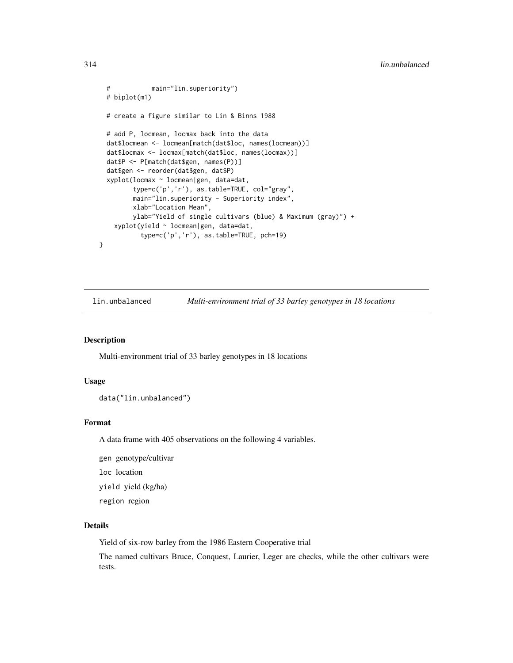```
# main="lin.superiority")
 # biplot(m1)
 # create a figure similar to Lin & Binns 1988
 # add P, locmean, locmax back into the data
 dat$locmean <- locmean[match(dat$loc, names(locmean))]
 dat$locmax <- locmax[match(dat$loc, names(locmax))]
 dat$P <- P[match(dat$gen, names(P))]
 dat$gen <- reorder(dat$gen, dat$P)
 xyplot(locmax ~ locmean|gen, data=dat,
         type=c('p','r'), as.table=TRUE, col="gray",
        main="lin.superiority - Superiority index",
        xlab="Location Mean",
        ylab="Yield of single cultivars (blue) & Maximum (gray)") +
   xyplot(yield ~ locmean|gen, data=dat,
          type=c('p','r'), as.table=TRUE, pch=19)
}
```
lin.unbalanced *Multi-environment trial of 33 barley genotypes in 18 locations*

## Description

Multi-environment trial of 33 barley genotypes in 18 locations

## Usage

```
data("lin.unbalanced")
```
## Format

A data frame with 405 observations on the following 4 variables.

gen genotype/cultivar loc location yield yield (kg/ha)

region region

#### Details

Yield of six-row barley from the 1986 Eastern Cooperative trial

The named cultivars Bruce, Conquest, Laurier, Leger are checks, while the other cultivars were tests.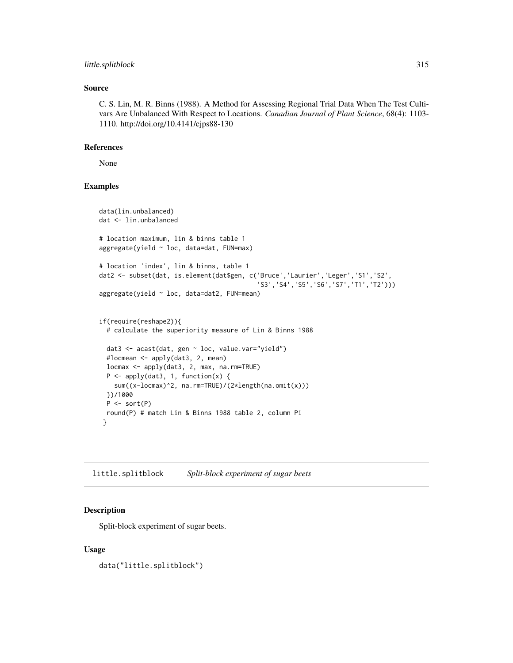## little.splitblock 315

## Source

C. S. Lin, M. R. Binns (1988). A Method for Assessing Regional Trial Data When The Test Cultivars Are Unbalanced With Respect to Locations. *Canadian Journal of Plant Science*, 68(4): 1103- 1110. http://doi.org/10.4141/cjps88-130

## References

None

# Examples

```
data(lin.unbalanced)
dat <- lin.unbalanced
# location maximum, lin & binns table 1
aggregate(yield ~ loc, data=dat, FUN=max)
# location 'index', lin & binns, table 1
dat2 <- subset(dat, is.element(dat$gen, c('Bruce','Laurier','Leger','S1','S2',
                                           'S3','S4','S5','S6','S7','T1','T2')))
aggregate(yield ~ loc, data=dat2, FUN=mean)
if(require(reshape2)){
 # calculate the superiority measure of Lin & Binns 1988
 dat3 <- acast(dat, gen ~ loc, value.var="yield")
 #locmean <- apply(dat3, 2, mean)
 locmax <- apply(dat3, 2, max, na.rm=TRUE)
 P \leftarrow apply(data3, 1, function(x) {
   sum((x-locmax)^2, na.rm=TRUE)/(2*length(na.omit(x)))
 })/1000
 P <- sort(P)
 round(P) # match Lin & Binns 1988 table 2, column Pi
 }
```
little.splitblock *Split-block experiment of sugar beets*

# Description

Split-block experiment of sugar beets.

## Usage

data("little.splitblock")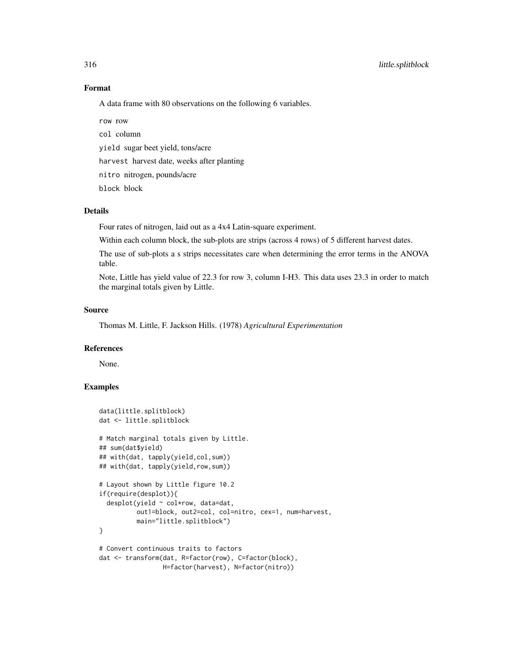# Format

A data frame with 80 observations on the following 6 variables.

row row

col column

yield sugar beet yield, tons/acre

harvest harvest date, weeks after planting

nitro nitrogen, pounds/acre

block block

## Details

Four rates of nitrogen, laid out as a 4x4 Latin-square experiment.

Within each column block, the sub-plots are strips (across 4 rows) of 5 different harvest dates.

The use of sub-plots a s strips necessitates care when determining the error terms in the ANOVA table.

Note, Little has yield value of 22.3 for row 3, column I-H3. This data uses 23.3 in order to match the marginal totals given by Little.

# Source

Thomas M. Little, F. Jackson Hills. (1978) *Agricultural Experimentation*

#### References

None.

```
data(little.splitblock)
dat <- little.splitblock
# Match marginal totals given by Little.
## sum(dat$yield)
## with(dat, tapply(yield,col,sum))
## with(dat, tapply(yield,row,sum))
# Layout shown by Little figure 10.2
if(require(desplot)){
 desplot(yield ~ col*row, data=dat,
         out1=block, out2=col, col=nitro, cex=1, num=harvest,
         main="little.splitblock")
}
# Convert continuous traits to factors
dat <- transform(dat, R=factor(row), C=factor(block),
                 H=factor(harvest), N=factor(nitro))
```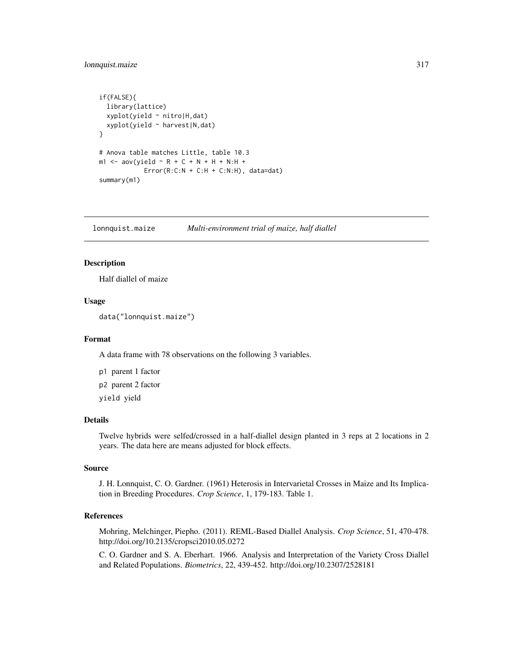# lonnquist.maize 317

```
if(FALSE){
 library(lattice)
 xyplot(yield ~ nitro|H,dat)
 xyplot(yield ~ harvest|N,dat)
}
# Anova table matches Little, table 10.3
m1 <- aov(yield ~ R + C + N + H + N:H +
            Error(R:C:N + C:H + C:N:H), data=dat)summary(m1)
```
lonnquist.maize *Multi-environment trial of maize, half diallel*

# Description

Half diallel of maize

## Usage

data("lonnquist.maize")

## Format

A data frame with 78 observations on the following 3 variables.

p1 parent 1 factor p2 parent 2 factor yield yield

## Details

Twelve hybrids were selfed/crossed in a half-diallel design planted in 3 reps at 2 locations in 2 years. The data here are means adjusted for block effects.

## Source

J. H. Lonnquist, C. O. Gardner. (1961) Heterosis in Intervarietal Crosses in Maize and Its Implication in Breeding Procedures. *Crop Science*, 1, 179-183. Table 1.

# References

Mohring, Melchinger, Piepho. (2011). REML-Based Diallel Analysis. *Crop Science*, 51, 470-478. http://doi.org/10.2135/cropsci2010.05.0272

C. O. Gardner and S. A. Eberhart. 1966. Analysis and Interpretation of the Variety Cross Diallel and Related Populations. *Biometrics*, 22, 439-452. http://doi.org/10.2307/2528181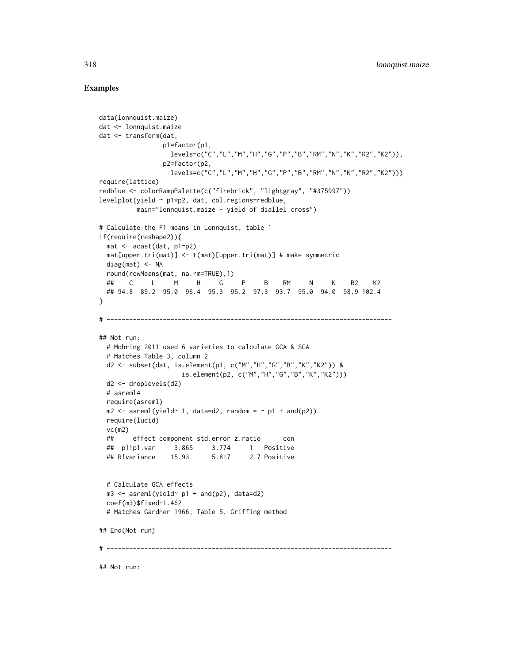## Examples

```
data(lonnquist.maize)
dat <- lonnquist.maize
dat <- transform(dat,
                 p1=factor(p1,
                   {\tt levels=c("C", "L", "M", "H", "G", "P", "B", "RM", "N", "K", "R2", "K2");}),}p2=factor(p2,
                   levels=c("C","L","M","H","G","P","B","RM","N","K","R2","K2")))
require(lattice)
redblue <- colorRampPalette(c("firebrick", "lightgray", "#375997"))
levelplot(yield ~ p1*p2, dat, col.regions=redblue,
          main="lonnquist.maize - yield of diallel cross")
# Calculate the F1 means in Lonnquist, table 1
if(require(reshape2)){
  mat <- acast(dat, p1~p2)
  mat[upper.tri(mat)] <- t(mat)[upper.tri(mat)] # make symmetric
  diag(mat) < -NAround(rowMeans(mat, na.rm=TRUE),1)
  ## C L M H G P B RM N K R2 K2
  ## 94.8 89.2 95.0 96.4 95.3 95.2 97.3 93.7 95.0 94.0 98.9 102.4
}
# ----------------------------------------------------------------------------
## Not run:
  # Mohring 2011 used 6 varieties to calculate GCA & SCA
  # Matches Table 3, column 2
  d2 <- subset(dat, is.element(p1, c("M","H","G","B","K","K2")) &
                      is.element(p2, c("M","H","G","B","K","K2")))
  d2 <- droplevels(d2)
  # asreml4
  require(asreml)
  m2 \leq -\text{asreml}(\text{yield} \sim 1, \text{ data} = d2, \text{ random} = \sim p1 + \text{and}(p2))require(lucid)
  vc(m2)
  ## effect component std.error z.ratio con
  ## p1!p1.var 3.865 3.774 1 Positive
  ## R!variance 15.93 5.817 2.7 Positive
  # Calculate GCA effects
  m3 \leq -\text{asreml}(\text{yield} \sim p1 + \text{and}(p2), \text{ data=d2})coef(m3)$fixed-1.462
  # Matches Gardner 1966, Table 5, Griffing method
## End(Not run)
# ----------------------------------------------------------------------------
```
## Not run: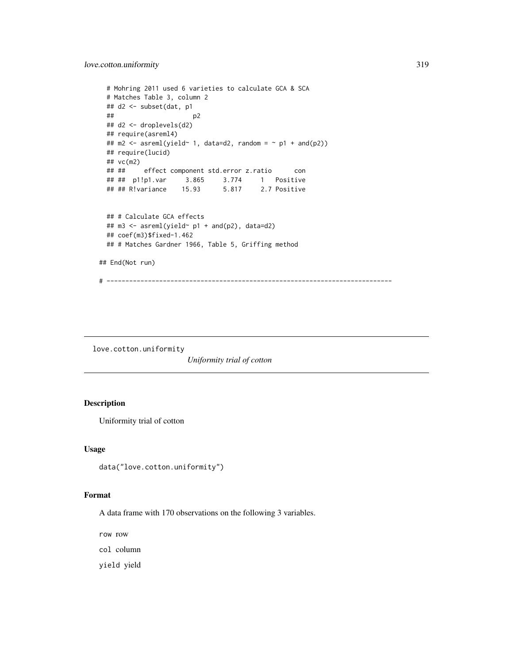```
# Mohring 2011 used 6 varieties to calculate GCA & SCA
 # Matches Table 3, column 2
 ## d2 <- subset(dat, p1
  \##p2
 ## d2 <- droplevels(d2)
 ## require(asreml4)
 ## m2 <- asreml(yield~ 1, data=d2, random = \sim p1 + and(p2))
 ## require(lucid)
 ## vc(m2)
 ## ## effect component std.error z.ratio con
 ## ## p1!p1.var 3.865 3.774 1 Positive
 ## ## R!variance 15.93
 ## # Calculate GCA effects
 ## m3 <- asreml(yield~ p1 + and(p2), data=d2)
 ## coef(m3)$fixed-1.462
 ## # Matches Gardner 1966, Table 5, Griffing method
## End(Not run)
# ----------------------------------------------------------------------------
```
love.cotton.uniformity *Uniformity trial of cotton*

# Description

Uniformity trial of cotton

# Usage

data("love.cotton.uniformity")

#### Format

A data frame with 170 observations on the following 3 variables.

row row

col column

yield yield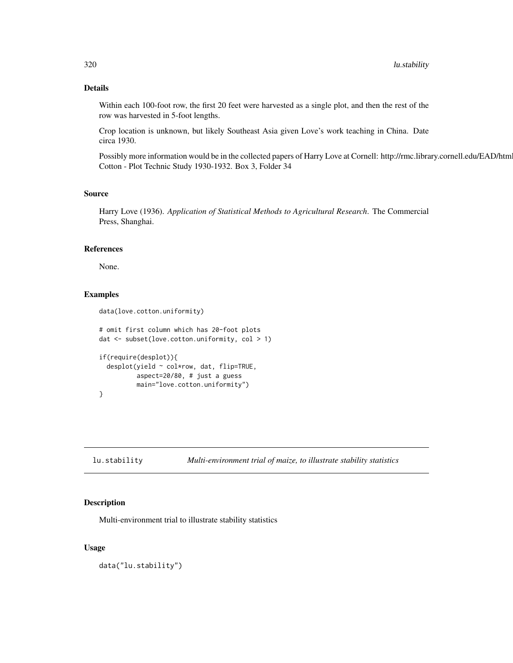# Details

Within each 100-foot row, the first 20 feet were harvested as a single plot, and then the rest of the row was harvested in 5-foot lengths.

Crop location is unknown, but likely Southeast Asia given Love's work teaching in China. Date circa 1930.

Possibly more information would be in the collected papers of Harry Love at Cornell: http://rmc.library.cornell.edu/EAD/htm Cotton - Plot Technic Study 1930-1932. Box 3, Folder 34

#### Source

Harry Love (1936). *Application of Statistical Methods to Agricultural Research*. The Commercial Press, Shanghai.

#### References

None.

# Examples

```
data(love.cotton.uniformity)
```

```
# omit first column which has 20-foot plots
dat <- subset(love.cotton.uniformity, col > 1)
if(require(desplot)){
 desplot(yield ~ col*row, dat, flip=TRUE,
          aspect=20/80, # just a guess
         main="love.cotton.uniformity")
}
```
lu.stability *Multi-environment trial of maize, to illustrate stability statistics*

# Description

Multi-environment trial to illustrate stability statistics

## Usage

data("lu.stability")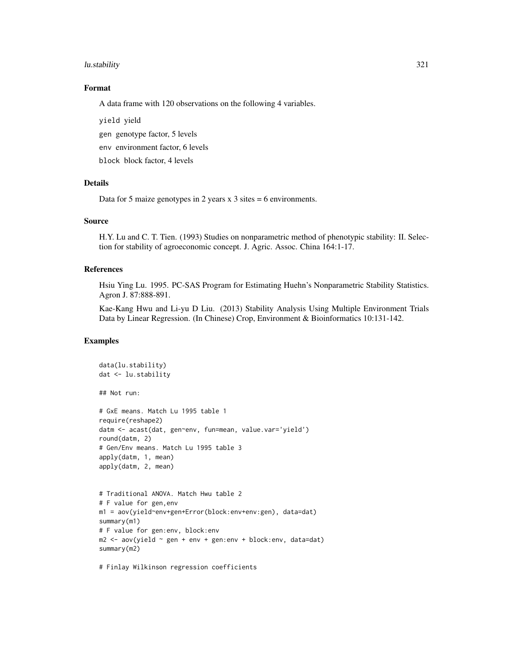#### lu.stability 321

# Format

A data frame with 120 observations on the following 4 variables.

yield yield

gen genotype factor, 5 levels

env environment factor, 6 levels

block block factor, 4 levels

## Details

Data for 5 maize genotypes in 2 years  $x$  3 sites = 6 environments.

# Source

H.Y. Lu and C. T. Tien. (1993) Studies on nonparametric method of phenotypic stability: II. Selection for stability of agroeconomic concept. J. Agric. Assoc. China 164:1-17.

## References

Hsiu Ying Lu. 1995. PC-SAS Program for Estimating Huehn's Nonparametric Stability Statistics. Agron J. 87:888-891.

Kae-Kang Hwu and Li-yu D Liu. (2013) Stability Analysis Using Multiple Environment Trials Data by Linear Regression. (In Chinese) Crop, Environment & Bioinformatics 10:131-142.

## Examples

```
data(lu.stability)
dat <- lu.stability
## Not run:
# GxE means. Match Lu 1995 table 1
require(reshape2)
datm <- acast(dat, gen~env, fun=mean, value.var='yield')
round(datm, 2)
# Gen/Env means. Match Lu 1995 table 3
apply(datm, 1, mean)
apply(datm, 2, mean)
# Traditional ANOVA. Match Hwu table 2
# F value for gen,env
m1 = aov(yield~env+gen+Error(block:env+env:gen), data=dat)
summary(m1)
# F value for gen:env, block:env
m2 \le - aov(yield \sim gen + env + gen:env + block:env, data=dat)
summary(m2)
```
# Finlay Wilkinson regression coefficients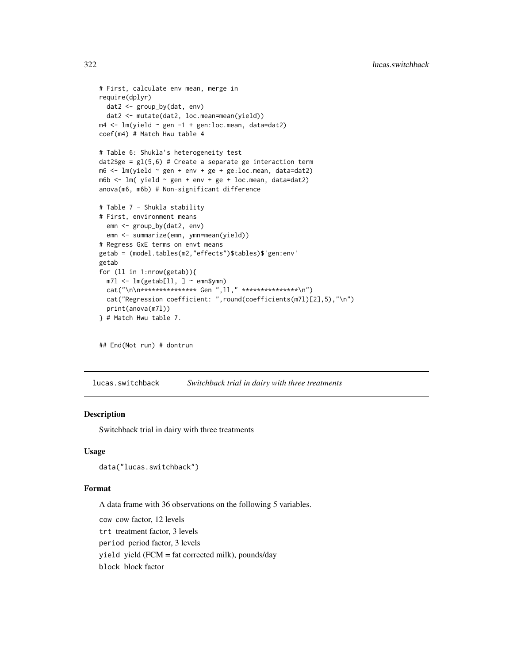```
# First, calculate env mean, merge in
require(dplyr)
  dat2 <- group_by(dat, env)
  dat2 <- mutate(dat2, loc.mean=mean(yield))
m4 \leq \text{lm}(yield \sim gen -1 + gen:loc.mean, data=data2)coef(m4) # Match Hwu table 4
# Table 6: Shukla's heterogeneity test
dat2$ge = gl(5,6) # Create a separate ge interaction term
m6 \leq \text{lm}(\text{yield} \sim \text{gen} + \text{env} + \text{ge} + \text{ge:loc}.\text{mean}, \text{data}=data2)m6b \le lm( yield \sim gen + env + ge + loc.mean, data=dat2)
anova(m6, m6b) # Non-significant difference
# Table 7 - Shukla stability
# First, environment means
  emn <- group_by(dat2, env)
  emn <- summarize(emn, ymn=mean(yield))
# Regress GxE terms on envt means
getab = (model.tables(m2,"effects")$tables)$'gen:env'
getab
for (ll in 1:nrow(getab)){
  m71 < -1m(getab[11, 1 \sim emn$ymn)cat("\n\n*************** Gen ",ll," ***************\n")
  cat("Regression coefficient: ",round(coefficients(m7l)[2],5),"\n")
  print(anova(m7l))
} # Match Hwu table 7.
```
## End(Not run) # dontrun

lucas.switchback *Switchback trial in dairy with three treatments*

# **Description**

Switchback trial in dairy with three treatments

## Usage

data("lucas.switchback")

#### Format

A data frame with 36 observations on the following 5 variables.

cow cow factor, 12 levels trt treatment factor, 3 levels period period factor, 3 levels yield yield (FCM = fat corrected milk), pounds/day block block factor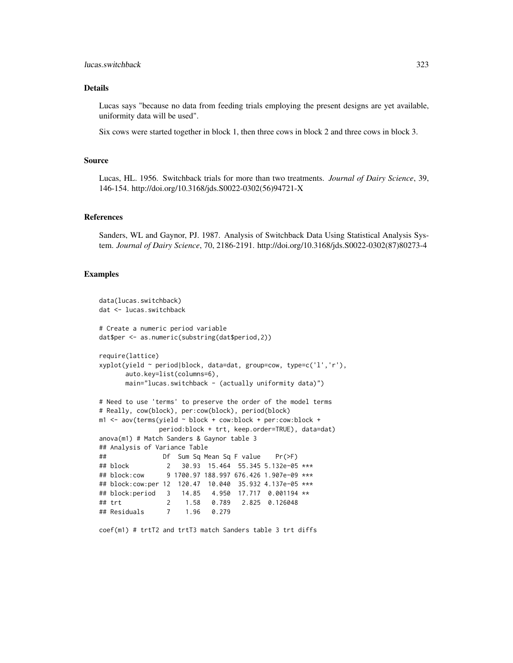## lucas.switchback 323

## Details

Lucas says "because no data from feeding trials employing the present designs are yet available, uniformity data will be used".

Six cows were started together in block 1, then three cows in block 2 and three cows in block 3.

#### Source

Lucas, HL. 1956. Switchback trials for more than two treatments. *Journal of Dairy Science*, 39, 146-154. http://doi.org/10.3168/jds.S0022-0302(56)94721-X

## References

Sanders, WL and Gaynor, PJ. 1987. Analysis of Switchback Data Using Statistical Analysis System. *Journal of Dairy Science*, 70, 2186-2191. http://doi.org/10.3168/jds.S0022-0302(87)80273-4

## Examples

```
data(lucas.switchback)
dat <- lucas.switchback
# Create a numeric period variable
dat$per <- as.numeric(substring(dat$period,2))
require(lattice)
xyplot(yield ~ period|block, data=dat, group=cow, type=c('l','r'),
      auto.key=list(columns=6),
      main="lucas.switchback - (actually uniformity data)")
# Need to use 'terms' to preserve the order of the model terms
# Really, cow(block), per:cow(block), period(block)
m1 <- aov(terms(yield \sim block + cow:block + per:cow:block +
              period:block + trt, keep.order=TRUE), data=dat)
anova(m1) # Match Sanders & Gaynor table 3
## Analysis of Variance Table
## Df Sum Sq Mean Sq F value Pr(>F)
## block 2 30.93 15.464 55.345 5.132e-05 ***
## block:cow 9 1700.97 188.997 676.426 1.907e-09 ***
## block:cow:per 12 120.47 10.040 35.932 4.137e-05 ***
## block:period 3 14.85 4.950 17.717 0.001194 **
## trt 2 1.58 0.789 2.825 0.126048
## Residuals 7 1.96 0.279
```
coef(m1) # trtT2 and trtT3 match Sanders table 3 trt diffs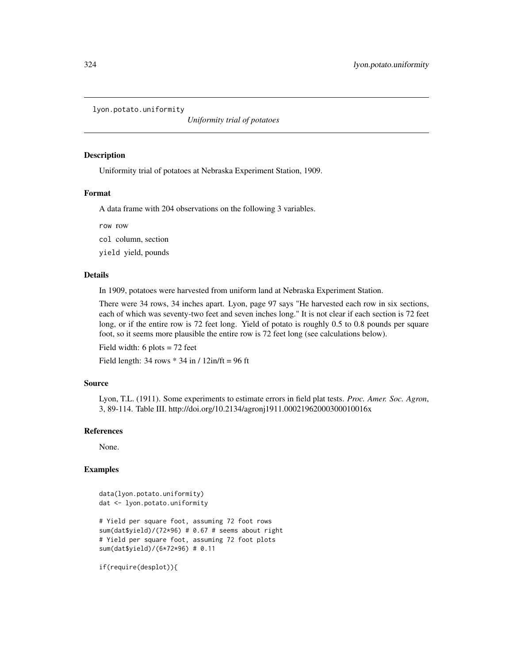lyon.potato.uniformity

*Uniformity trial of potatoes*

## Description

Uniformity trial of potatoes at Nebraska Experiment Station, 1909.

## Format

A data frame with 204 observations on the following 3 variables.

row row

col column, section

yield yield, pounds

## Details

In 1909, potatoes were harvested from uniform land at Nebraska Experiment Station.

There were 34 rows, 34 inches apart. Lyon, page 97 says "He harvested each row in six sections, each of which was seventy-two feet and seven inches long." It is not clear if each section is 72 feet long, or if the entire row is 72 feet long. Yield of potato is roughly 0.5 to 0.8 pounds per square foot, so it seems more plausible the entire row is 72 feet long (see calculations below).

Field width: 6 plots = 72 feet

Field length:  $34$  rows  $*$  34 in /  $12$ in/ft = 96 ft

#### Source

Lyon, T.L. (1911). Some experiments to estimate errors in field plat tests. *Proc. Amer. Soc. Agron*, 3, 89-114. Table III. http://doi.org/10.2134/agronj1911.00021962000300010016x

## References

None.

## Examples

```
data(lyon.potato.uniformity)
dat <- lyon.potato.uniformity
# Yield per square foot, assuming 72 foot rows
sum(dat$yield)/(72*96) # 0.67 # seems about right
# Yield per square foot, assuming 72 foot plots
sum(dat$yield)/(6*72*96) # 0.11
```
if(require(desplot)){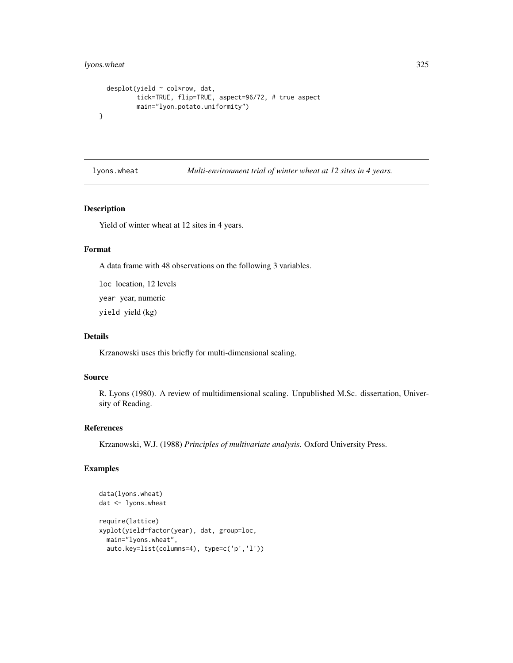# lyons.wheat 325

```
desplot(yield ~ col*row, dat,
         tick=TRUE, flip=TRUE, aspect=96/72, # true aspect
         main="lyon.potato.uniformity")
}
```
lyons.wheat *Multi-environment trial of winter wheat at 12 sites in 4 years.*

## Description

Yield of winter wheat at 12 sites in 4 years.

#### Format

A data frame with 48 observations on the following 3 variables.

loc location, 12 levels year year, numeric yield yield (kg)

# Details

Krzanowski uses this briefly for multi-dimensional scaling.

# Source

R. Lyons (1980). A review of multidimensional scaling. Unpublished M.Sc. dissertation, University of Reading.

# References

Krzanowski, W.J. (1988) *Principles of multivariate analysis*. Oxford University Press.

```
data(lyons.wheat)
dat <- lyons.wheat
require(lattice)
xyplot(yield~factor(year), dat, group=loc,
 main="lyons.wheat",
 auto.key=list(columns=4), type=c('p','l'))
```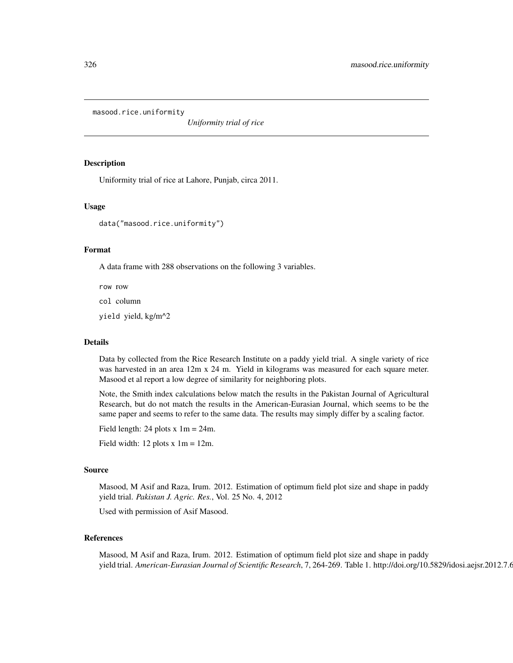masood.rice.uniformity

*Uniformity trial of rice*

#### Description

Uniformity trial of rice at Lahore, Punjab, circa 2011.

## Usage

data("masood.rice.uniformity")

#### Format

A data frame with 288 observations on the following 3 variables.

row row

col column

yield yield, kg/m^2

## Details

Data by collected from the Rice Research Institute on a paddy yield trial. A single variety of rice was harvested in an area 12m x 24 m. Yield in kilograms was measured for each square meter. Masood et al report a low degree of similarity for neighboring plots.

Note, the Smith index calculations below match the results in the Pakistan Journal of Agricultural Research, but do not match the results in the American-Eurasian Journal, which seems to be the same paper and seems to refer to the same data. The results may simply differ by a scaling factor.

Field length: 24 plots  $x \text{ 1m} = 24$ m.

Field width:  $12$  plots x  $1m = 12m$ .

#### Source

Masood, M Asif and Raza, Irum. 2012. Estimation of optimum field plot size and shape in paddy yield trial. *Pakistan J. Agric. Res.*, Vol. 25 No. 4, 2012

Used with permission of Asif Masood.

## References

Masood, M Asif and Raza, Irum. 2012. Estimation of optimum field plot size and shape in paddy yield trial. *American-Eurasian Journal of Scientific Research*, 7, 264-269. Table 1. http://doi.org/10.5829/idosi.aejsr.2012.7.6.1926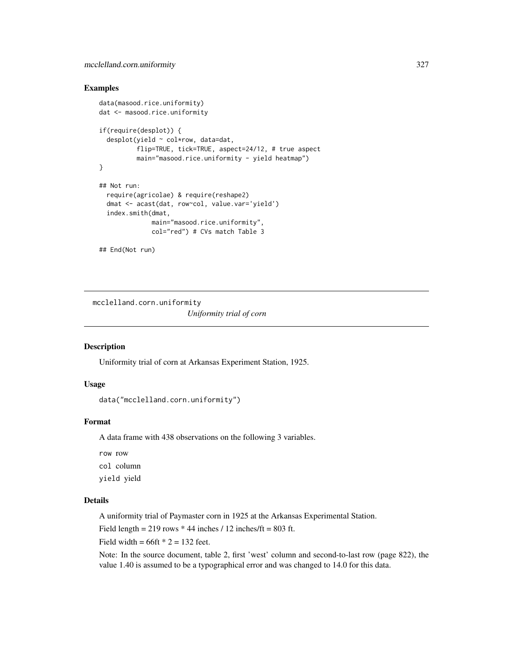## Examples

```
data(masood.rice.uniformity)
dat <- masood.rice.uniformity
if(require(desplot)) {
  desplot(yield ~ col*row, data=dat,
          flip=TRUE, tick=TRUE, aspect=24/12, # true aspect
          main="masood.rice.uniformity - yield heatmap")
}
## Not run:
  require(agricolae) & require(reshape2)
  dmat <- acast(dat, row~col, value.var='yield')
  index.smith(dmat,
              main="masood.rice.uniformity",
              col="red") # CVs match Table 3
## End(Not run)
```
mcclelland.corn.uniformity *Uniformity trial of corn*

## Description

Uniformity trial of corn at Arkansas Experiment Station, 1925.

## Usage

```
data("mcclelland.corn.uniformity")
```
#### Format

A data frame with 438 observations on the following 3 variables.

row row col column

yield yield

# Details

A uniformity trial of Paymaster corn in 1925 at the Arkansas Experimental Station.

Field length =  $219$  rows  $*$  44 inches / 12 inches/ft =  $803$  ft.

Field width =  $66$ ft  $*$  2 = 132 feet.

Note: In the source document, table 2, first 'west' column and second-to-last row (page 822), the value 1.40 is assumed to be a typographical error and was changed to 14.0 for this data.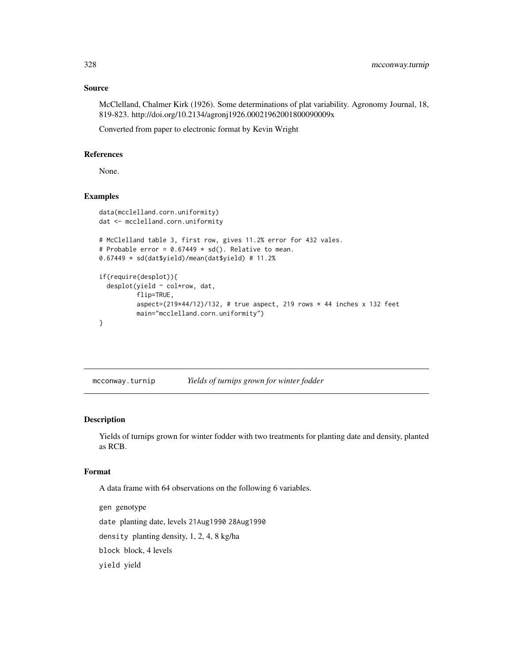## Source

McClelland, Chalmer Kirk (1926). Some determinations of plat variability. Agronomy Journal, 18, 819-823. http://doi.org/10.2134/agronj1926.00021962001800090009x

Converted from paper to electronic format by Kevin Wright

#### References

None.

# Examples

```
data(mcclelland.corn.uniformity)
dat <- mcclelland.corn.uniformity
# McClelland table 3, first row, gives 11.2% error for 432 vales.
# Probable error = 0.67449 * sd(). Relative to mean.
0.67449 * sd(dat$yield)/mean(dat$yield) # 11.2%
if(require(desplot)){
  desplot(yield ~ col*row, dat,
          flip=TRUE,
          aspect=(219*44/12)/132, # true aspect, 219 rows * 44 inches x 132 feet
          main="mcclelland.corn.uniformity")
}
```
mcconway.turnip *Yields of turnips grown for winter fodder*

## Description

Yields of turnips grown for winter fodder with two treatments for planting date and density, planted as RCB.

#### Format

A data frame with 64 observations on the following 6 variables.

gen genotype date planting date, levels 21Aug1990 28Aug1990 density planting density, 1, 2, 4, 8 kg/ha block block, 4 levels yield yield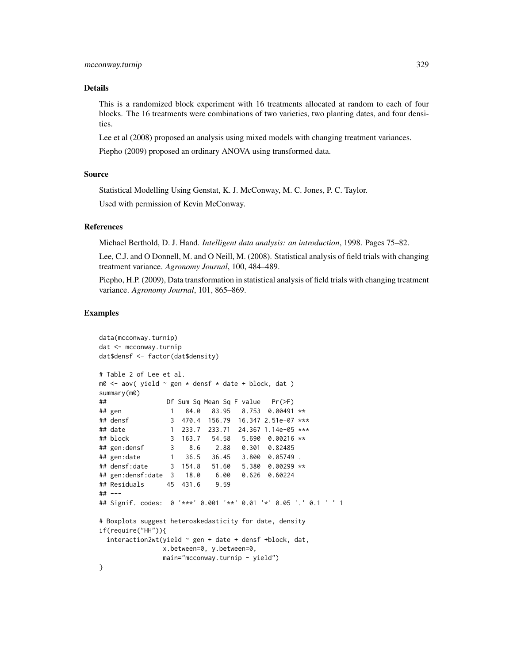#### Details

This is a randomized block experiment with 16 treatments allocated at random to each of four blocks. The 16 treatments were combinations of two varieties, two planting dates, and four densities.

Lee et al (2008) proposed an analysis using mixed models with changing treatment variances.

Piepho (2009) proposed an ordinary ANOVA using transformed data.

### Source

Statistical Modelling Using Genstat, K. J. McConway, M. C. Jones, P. C. Taylor.

Used with permission of Kevin McConway.

#### References

Michael Berthold, D. J. Hand. *Intelligent data analysis: an introduction*, 1998. Pages 75–82.

Lee, C.J. and O Donnell, M. and O Neill, M. (2008). Statistical analysis of field trials with changing treatment variance. *Agronomy Journal*, 100, 484–489.

Piepho, H.P. (2009), Data transformation in statistical analysis of field trials with changing treatment variance. *Agronomy Journal*, 101, 865–869.

```
data(mcconway.turnip)
dat <- mcconway.turnip
dat$densf <- factor(dat$density)
# Table 2 of Lee et al.
m0 \le - aov( yield \sim gen * densf * date + block, dat )
summary(m0)
## Df Sum Sq Mean Sq F value Pr(>F)
## gen 1 84.0 83.95 8.753 0.00491 **
## densf 3 470.4 156.79 16.347 2.51e-07 ***
## date 1 233.7 233.71 24.367 1.14e-05 ***
## block 3 163.7 54.58 5.690 0.00216 **
## gen:densf 3 8.6 2.88 0.301 0.82485
## gen:date 1 36.5 36.45 3.800 0.05749 .
              3 154.8 51.60 5.380 0.00299 **
## gen:densf:date 3 18.0 6.00 0.626 0.60224
## Residuals 45 431.6 9.59
## ---
## Signif. codes: 0 '***' 0.001 '**' 0.01 '*' 0.05 '.' 0.1 ' ' 1
# Boxplots suggest heteroskedasticity for date, density
if(require("HH")){
 interaction2wt(yield ~ gen + date + densf + block, dat,x.between=0, y.between=0,
              main="mcconway.turnip - yield")
}
```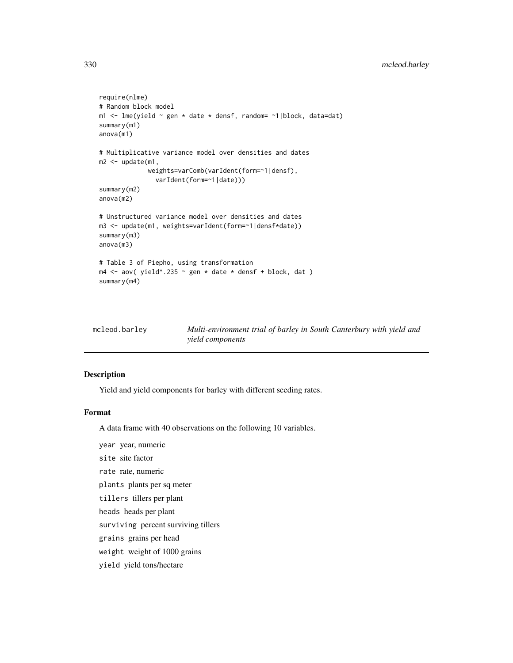```
require(nlme)
# Random block model
m1 <- lme(yield \sim gen \star date \star densf, random= \sim1|block, data=dat)
summary(m1)
anova(m1)
# Multiplicative variance model over densities and dates
m2 < - update(m1,
             weights=varComb(varIdent(form=~1|densf),
               varIdent(form=~1|date)))
summary(m2)
anova(m2)
# Unstructured variance model over densities and dates
m3 <- update(m1, weights=varIdent(form=~1|densf*date))
summary(m3)
anova(m3)
# Table 3 of Piepho, using transformation
m4 \leq aov( yield^.235 \sim gen * date * densf + block, dat )
summary(m4)
```

| mcleod.barley | Multi-environment trial of barley in South Canterbury with yield and |
|---------------|----------------------------------------------------------------------|
|               | <i>yield components</i>                                              |

## Description

Yield and yield components for barley with different seeding rates.

## Format

A data frame with 40 observations on the following 10 variables.

year year, numeric

site site factor

rate rate, numeric

plants plants per sq meter

tillers tillers per plant

heads heads per plant

surviving percent surviving tillers

grains grains per head

weight weight of 1000 grains

yield yield tons/hectare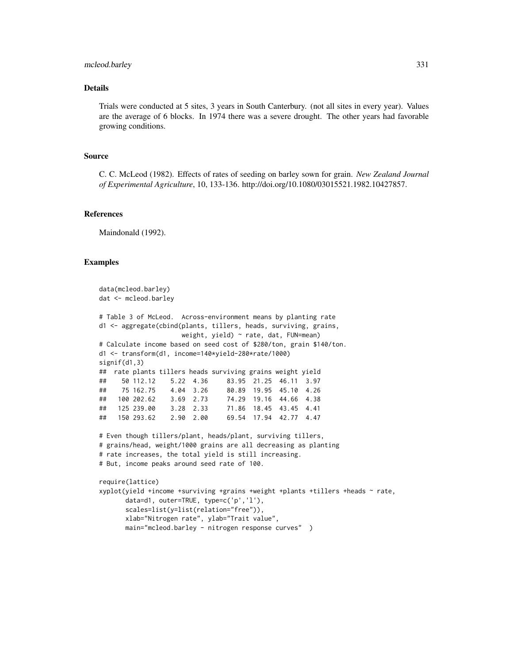## mcleod.barley 331

## Details

Trials were conducted at 5 sites, 3 years in South Canterbury. (not all sites in every year). Values are the average of 6 blocks. In 1974 there was a severe drought. The other years had favorable growing conditions.

#### Source

C. C. McLeod (1982). Effects of rates of seeding on barley sown for grain. *New Zealand Journal of Experimental Agriculture*, 10, 133-136. http://doi.org/10.1080/03015521.1982.10427857.

#### References

Maindonald (1992).

```
data(mcleod.barley)
dat <- mcleod.barley
# Table 3 of McLeod. Across-environment means by planting rate
d1 <- aggregate(cbind(plants, tillers, heads, surviving, grains,
                    weight, yield) ~ rate, dat, FUN=mean)
# Calculate income based on seed cost of $280/ton, grain $140/ton.
d1 <- transform(d1, income=140*yield-280*rate/1000)
signif(d1,3)
## rate plants tillers heads surviving grains weight yield
## 50 112.12 5.22 4.36 83.95 21.25 46.11 3.97
## 75 162.75 4.04 3.26 80.89 19.95 45.10 4.26
## 100 202.62 3.69 2.73 74.29 19.16 44.66 4.38
## 125 239.00 3.28 2.33 71.86 18.45 43.45 4.41
## 150 293.62 2.90 2.00 69.54 17.94 42.77 4.47
# Even though tillers/plant, heads/plant, surviving tillers,
# grains/head, weight/1000 grains are all decreasing as planting
# rate increases, the total yield is still increasing.
# But, income peaks around seed rate of 100.
require(lattice)
xyplot(yield +income +surviving +grains +weight +plants +tillers +heads ~ rate,
      data=d1, outer=TRUE, type=c('p','l'),
      scales=list(y=list(relation="free")),
      xlab="Nitrogen rate", ylab="Trait value",
      main="mcleod.barley - nitrogen response curves" )
```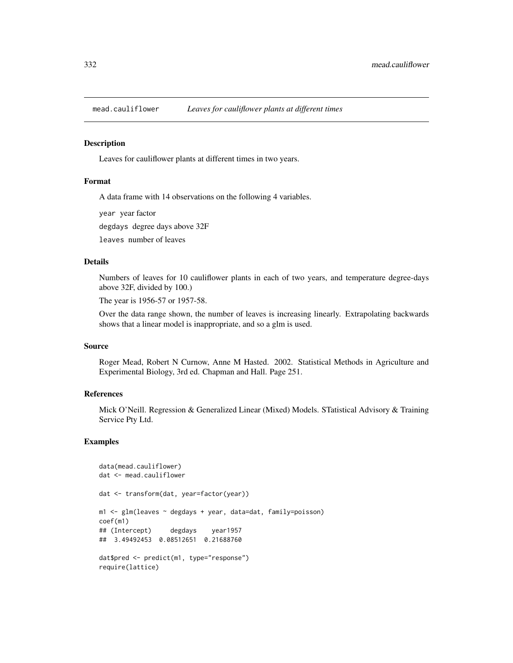#### **Description**

Leaves for cauliflower plants at different times in two years.

#### Format

A data frame with 14 observations on the following 4 variables.

year year factor

degdays degree days above 32F

leaves number of leaves

# Details

Numbers of leaves for 10 cauliflower plants in each of two years, and temperature degree-days above 32F, divided by 100.)

The year is 1956-57 or 1957-58.

Over the data range shown, the number of leaves is increasing linearly. Extrapolating backwards shows that a linear model is inappropriate, and so a glm is used.

#### Source

Roger Mead, Robert N Curnow, Anne M Hasted. 2002. Statistical Methods in Agriculture and Experimental Biology, 3rd ed. Chapman and Hall. Page 251.

# References

Mick O'Neill. Regression & Generalized Linear (Mixed) Models. STatistical Advisory & Training Service Pty Ltd.

```
data(mead.cauliflower)
dat <- mead.cauliflower
dat <- transform(dat, year=factor(year))
m1 <- glm(leaves ~ degdays + year, data=dat, family=poisson)
coef(m1)
## (Intercept) degdays year1957
## 3.49492453 0.08512651 0.21688760
dat$pred <- predict(m1, type="response")
require(lattice)
```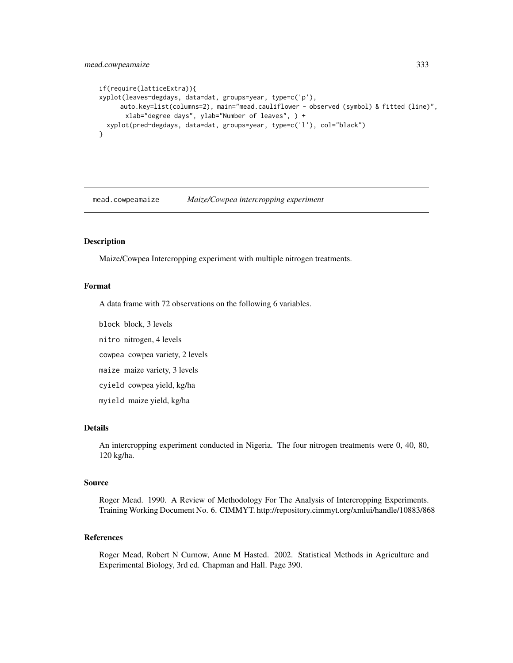# mead.cowpeamaize 333

```
if(require(latticeExtra)){
xyplot(leaves~degdays, data=dat, groups=year, type=c('p'),
     auto.key=list(columns=2), main="mead.cauliflower - observed (symbol) & fitted (line)",
      xlab="degree days", ylab="Number of leaves", ) +
 xyplot(pred~degdays, data=dat, groups=year, type=c('l'), col="black")
}
```
mead.cowpeamaize *Maize/Cowpea intercropping experiment*

## Description

Maize/Cowpea Intercropping experiment with multiple nitrogen treatments.

## Format

A data frame with 72 observations on the following 6 variables.

block block, 3 levels

nitro nitrogen, 4 levels

cowpea cowpea variety, 2 levels

maize maize variety, 3 levels

cyield cowpea yield, kg/ha

myield maize yield, kg/ha

# Details

An intercropping experiment conducted in Nigeria. The four nitrogen treatments were 0, 40, 80, 120 kg/ha.

## Source

Roger Mead. 1990. A Review of Methodology For The Analysis of Intercropping Experiments. Training Working Document No. 6. CIMMYT. http://repository.cimmyt.org/xmlui/handle/10883/868

## References

Roger Mead, Robert N Curnow, Anne M Hasted. 2002. Statistical Methods in Agriculture and Experimental Biology, 3rd ed. Chapman and Hall. Page 390.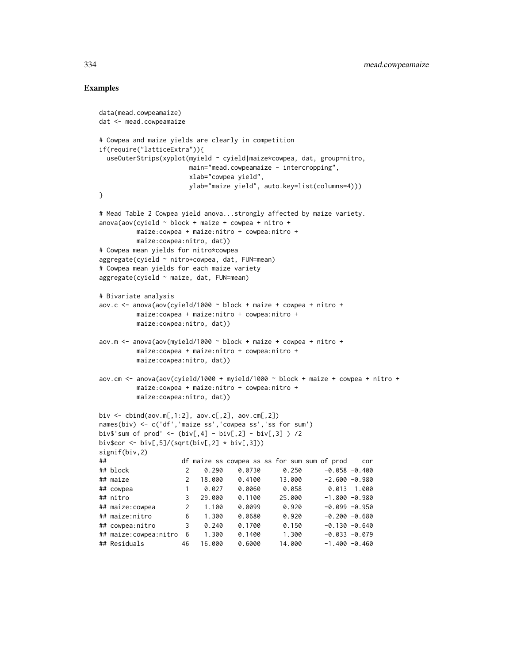```
data(mead.cowpeamaize)
dat <- mead.cowpeamaize
# Cowpea and maize yields are clearly in competition
if(require("latticeExtra")){
 useOuterStrips(xyplot(myield ~ cyield|maize*cowpea, dat, group=nitro,
                     main="mead.cowpeamaize - intercropping",
                     xlab="cowpea yield",
                     ylab="maize yield", auto.key=list(columns=4)))
}
# Mead Table 2 Cowpea yield anova...strongly affected by maize variety.
anova(aov(cvield \sim block + maize + cowpea + nitro +maize:cowpea + maize:nitro + cowpea:nitro +
        maize:cowpea:nitro, dat))
# Cowpea mean yields for nitro*cowpea
aggregate(cyield ~ nitro+cowpea, dat, FUN=mean)
# Cowpea mean yields for each maize variety
aggregate(cyield ~ maize, dat, FUN=mean)
# Bivariate analysis
aov.c \leq -a nova(aov(cyield/1000 \sim block + maize + cowpea + nitro +maize:cowpea + maize:nitro + cowpea:nitro +
        maize:cowpea:nitro, dat))
aov.m <- anova(aov(myield/1000 ~ block + maize + cowpea + nitro +
        maize:cowpea + maize:nitro + cowpea:nitro +
        maize:cowpea:nitro, dat))
aov.cm \le anova(aov(cyield/1000 + myield/1000 \sim block + maize + cowpea + nitro +
        maize:cowpea + maize:nitro + cowpea:nitro +
        maize:cowpea:nitro, dat))
biv <- cbind(aov.m[,1:2], aov.c[,2], aov.cm[,2])
names(biv) <- c('df','maize ss','cowpea ss','ss for sum')
biv$'sum of prod' <- (biv[,4] - biv[,2] - biv[,3] ) /2
biv$cor <- biv[,5]/(sqrt(biv[,2] * biv[,3]))
signif(biv,2)
## df maize ss cowpea ss ss for sum sum of prod cor
## block 2 0.290 0.0730 0.250 -0.058 -0.400
## maize 2 18.000 0.4100 13.000 -2.600 -0.980
## cowpea 1 0.027 0.0060 0.058 0.013 1.000
## nitro 3 29.000 0.1100 25.000 -1.800 -0.980
## maize:cowpea 2 1.100 0.0099 0.920 -0.099 -0.950
## maize:nitro 6 1.300 0.0680 0.920 -0.200 -0.680
## cowpea:nitro 3 0.240 0.1700 0.150 -0.130 -0.640
## maize:cowpea:nitro 6 1.300 0.1400 1.300 -0.033 -0.079
## Residuals 46 16.000 0.6000 14.000 -1.400 -0.460
```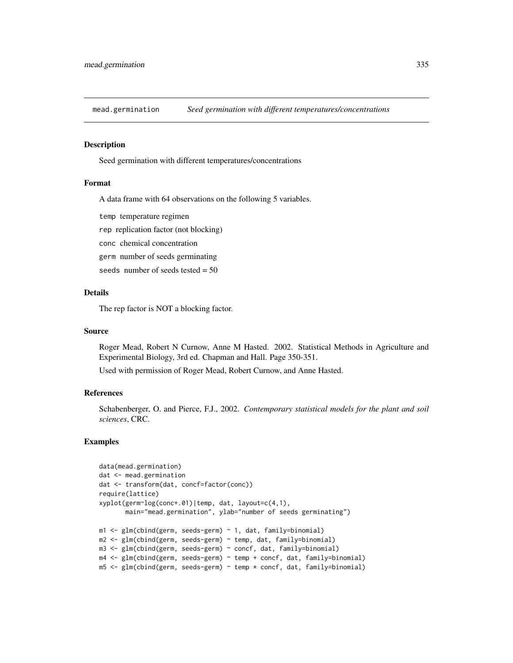#### **Description**

Seed germination with different temperatures/concentrations

#### Format

A data frame with 64 observations on the following 5 variables.

temp temperature regimen

rep replication factor (not blocking)

conc chemical concentration

germ number of seeds germinating

seeds number of seeds tested = 50

## Details

The rep factor is NOT a blocking factor.

#### Source

Roger Mead, Robert N Curnow, Anne M Hasted. 2002. Statistical Methods in Agriculture and Experimental Biology, 3rd ed. Chapman and Hall. Page 350-351.

Used with permission of Roger Mead, Robert Curnow, and Anne Hasted.

## References

Schabenberger, O. and Pierce, F.J., 2002. *Contemporary statistical models for the plant and soil sciences*, CRC.

```
data(mead.germination)
dat <- mead.germination
dat <- transform(dat, concf=factor(conc))
require(lattice)
xyplot(germ~log(conc+.01)|temp, dat, layout=c(4,1),
       main="mead.germination", ylab="number of seeds germinating")
m1 <- glm(cbind(germ, seeds-germ) ~ 1, dat, family=binomial)
m2 <- glm(cbind(germ, seeds-germ) ~ temp, dat, family=binomial)
m3 <- glm(cbind(germ, seeds-germ) ~ concf, dat, family=binomial)
m4 <- glm(cbind(germ, seeds-germ) ~ temp + concf, dat, family=binomial)
m5 <- glm(cbind(germ, seeds-germ) ~ temp * concf, dat, family=binomial)
```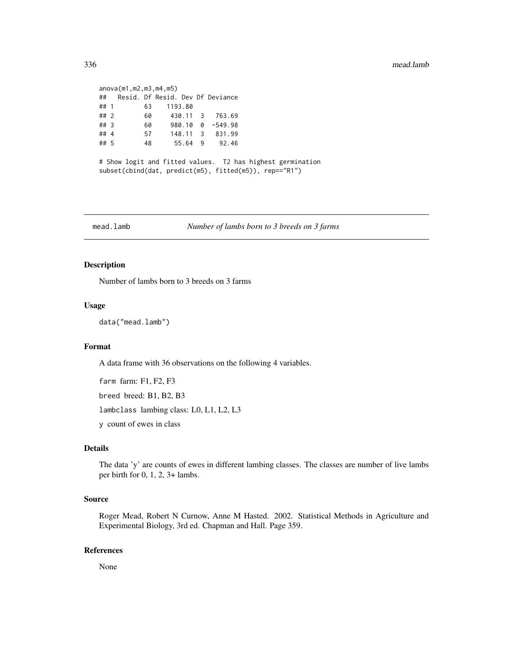|                                                            | anova(m1,m2,m3,m4,m5) |  |  |    |  |          |                                  |                                                            |
|------------------------------------------------------------|-----------------------|--|--|----|--|----------|----------------------------------|------------------------------------------------------------|
|                                                            | ##                    |  |  |    |  |          | Resid. Df Resid. Dev Df Deviance |                                                            |
|                                                            | ## $1$                |  |  | 63 |  | 1193.80  |                                  |                                                            |
|                                                            | ## 2                  |  |  | 60 |  | 430.11 3 | 763.69                           |                                                            |
|                                                            | ## 3                  |  |  | 60 |  |          | $980.10 \quad 0 \quad -549.98$   |                                                            |
|                                                            | ##4                   |  |  | 57 |  |          | 148.11 3 831.99                  |                                                            |
|                                                            | ## 5                  |  |  | 48 |  |          | 55.64 9 92.46                    |                                                            |
|                                                            |                       |  |  |    |  |          |                                  |                                                            |
| # Show logit and fitted values. T2 has highest germination |                       |  |  |    |  |          |                                  |                                                            |
|                                                            |                       |  |  |    |  |          |                                  | $subset(cbind(data, predict(m5), fitted(m5))$ , rep=="R1") |
|                                                            |                       |  |  |    |  |          |                                  |                                                            |

mead.lamb *Number of lambs born to 3 breeds on 3 farms*

## Description

Number of lambs born to 3 breeds on 3 farms

## Usage

```
data("mead.lamb")
```
#### Format

A data frame with 36 observations on the following 4 variables.

farm farm: F1, F2, F3

breed breed: B1, B2, B3

lambclass lambing class: L0, L1, L2, L3

y count of ewes in class

# Details

The data 'y' are counts of ewes in different lambing classes. The classes are number of live lambs per birth for 0, 1, 2, 3+ lambs.

## Source

Roger Mead, Robert N Curnow, Anne M Hasted. 2002. Statistical Methods in Agriculture and Experimental Biology, 3rd ed. Chapman and Hall. Page 359.

## References

None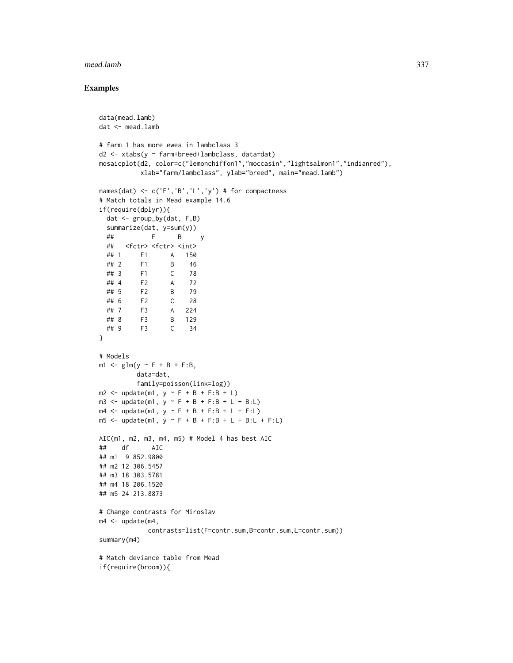#### mead.lamb 337

```
data(mead.lamb)
dat <- mead.lamb
# farm 1 has more ewes in lambclass 3
d2 <- xtabs(y ~ farm+breed+lambclass, data=dat)
mosaicplot(d2, color=c("lemonchiffon1","moccasin","lightsalmon1","indianred"),
          xlab="farm/lambclass", ylab="breed", main="mead.lamb")
names(dat) <- c('F','B','L','y') # for compactness
# Match totals in Mead example 14.6
if(require(dplyr)){
 dat <- group_by(dat, F,B)
 summarize(dat, y=sum(y))
 ## F B y
 ## <fctr> <fctr> <int>
 ## 1 F1 A 150
 ## 2 F1 B 46
 ## 3 F1 C 78
 ## 4 F2 A 72
 ## 5 F2 B 79
 ## 6 F2 C 28
 ## 7 F3 A 224
 ## 8 F3 B 129
 ## 9 F3 C 34
}
# Models
m1 <- glm(y ~ F + B + F:B,
         data=dat,
         family=poisson(link=log))
m2 \le - update(m1, y \sim F + B + F:B + L)
m3 <- update(m1, y ~ F + B + F:B + L + B:L)
m4 <- update(m1, y ~ F + B + F:B + L + F:L)
m5 <- update(m1, y ~ F + B + F:B + L + B:L + F:L)
AIC(m1, m2, m3, m4, m5) # Model 4 has best AIC
## df AIC
## m1 9 852.9800
## m2 12 306.5457
## m3 18 303.5781
## m4 18 206.1520
## m5 24 213.8873
# Change contrasts for Miroslav
m4 < - update(m4,
           contrasts=list(F=contr.sum,B=contr.sum,L=contr.sum))
summary(m4)
# Match deviance table from Mead
if(require(broom)){
```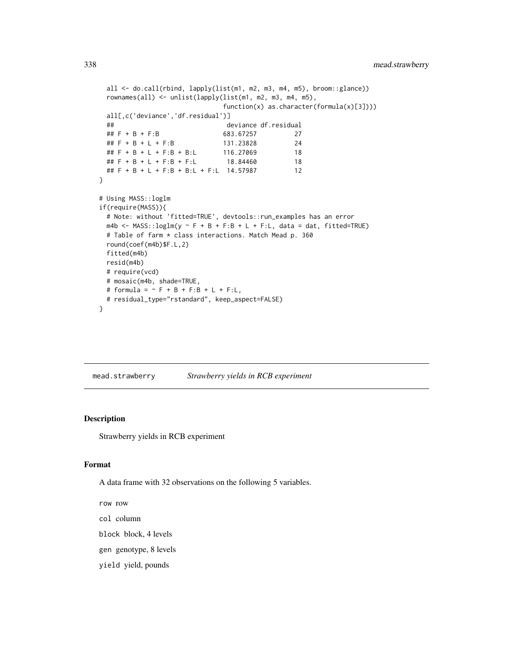```
all <- do.call(rbind, lapply(list(m1, m2, m3, m4, m5), broom::glance))
 rownames(all) <- unlist(lapply(list(m1, m2, m3, m4, m5),
                             function(x) as.character(formula(x)[3])))
 all[,c('deviance','df.residual')]
 ## deviance df.residual
 ## F + B + F:B 683.67257 27
 ## F + B + L + F:B 131.23828 24
 ## F + B + L + F:B + B:L 116.27069 18
 ## F + B + L + F:B + F:L 18.84460 18
 ## F + B + L + F:B + B:L + F:L 14.57987 12
}
# Using MASS::loglm
if(require(MASS)){
 # Note: without 'fitted=TRUE', devtools::run_examples has an error
 m4b <- MASS::loglm(y \sim F + B + F:B + L + F:L, data = dat, fitted=TRUE)
 # Table of farm * class interactions. Match Mead p. 360
 round(coef(m4b)$F.L,2)
 fitted(m4b)
 resid(m4b)
 # require(vcd)
 # mosaic(m4b, shade=TRUE,
 # formula = \sim F + B + F:B + L + F:L,
 # residual_type="rstandard", keep_aspect=FALSE)
}
```
mead.strawberry *Strawberry yields in RCB experiment*

## Description

Strawberry yields in RCB experiment

## Format

A data frame with 32 observations on the following 5 variables.

row row

- col column
- block block, 4 levels
- gen genotype, 8 levels
- yield yield, pounds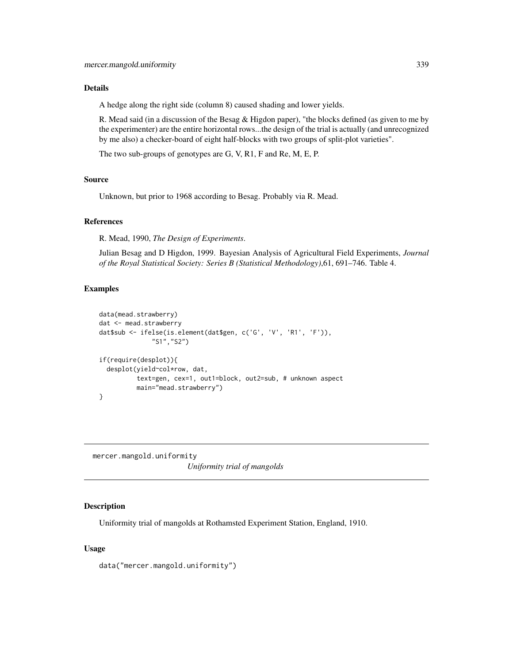#### Details

A hedge along the right side (column 8) caused shading and lower yields.

R. Mead said (in a discussion of the Besag & Higdon paper), "the blocks defined (as given to me by the experimenter) are the entire horizontal rows...the design of the trial is actually (and unrecognized by me also) a checker-board of eight half-blocks with two groups of split-plot varieties".

The two sub-groups of genotypes are G, V, R1, F and Re, M, E, P.

# Source

Unknown, but prior to 1968 according to Besag. Probably via R. Mead.

## References

R. Mead, 1990, *The Design of Experiments*.

Julian Besag and D Higdon, 1999. Bayesian Analysis of Agricultural Field Experiments, *Journal of the Royal Statistical Society: Series B (Statistical Methodology)*,61, 691–746. Table 4.

## Examples

```
data(mead.strawberry)
dat <- mead.strawberry
dat$sub <- ifelse(is.element(dat$gen, c('G', 'V', 'R1', 'F')),
              "S1","S2")
if(require(desplot)){
 desplot(yield~col*row, dat,
         text=gen, cex=1, out1=block, out2=sub, # unknown aspect
         main="mead.strawberry")
}
```
mercer.mangold.uniformity *Uniformity trial of mangolds*

# Description

Uniformity trial of mangolds at Rothamsted Experiment Station, England, 1910.

## Usage

data("mercer.mangold.uniformity")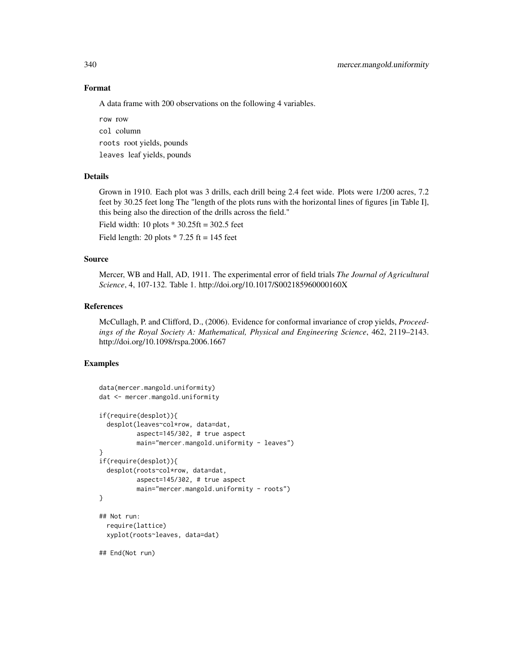## Format

A data frame with 200 observations on the following 4 variables.

row row col column roots root yields, pounds leaves leaf yields, pounds

## Details

Grown in 1910. Each plot was 3 drills, each drill being 2.4 feet wide. Plots were 1/200 acres, 7.2 feet by 30.25 feet long The "length of the plots runs with the horizontal lines of figures [in Table I], this being also the direction of the drills across the field."

Field width: 10 plots  $*$  30.25ft = 302.5 feet

Field length: 20 plots  $* 7.25$  ft = 145 feet

## Source

Mercer, WB and Hall, AD, 1911. The experimental error of field trials *The Journal of Agricultural Science*, 4, 107-132. Table 1. http://doi.org/10.1017/S002185960000160X

## References

McCullagh, P. and Clifford, D., (2006). Evidence for conformal invariance of crop yields, *Proceedings of the Royal Society A: Mathematical, Physical and Engineering Science*, 462, 2119–2143. http://doi.org/10.1098/rspa.2006.1667

```
data(mercer.mangold.uniformity)
dat <- mercer.mangold.uniformity
if(require(desplot)){
 desplot(leaves~col*row, data=dat,
         aspect=145/302, # true aspect
         main="mercer.mangold.uniformity - leaves")
}
if(require(desplot)){
 desplot(roots~col*row, data=dat,
         aspect=145/302, # true aspect
         main="mercer.mangold.uniformity - roots")
}
## Not run:
 require(lattice)
 xyplot(roots~leaves, data=dat)
## End(Not run)
```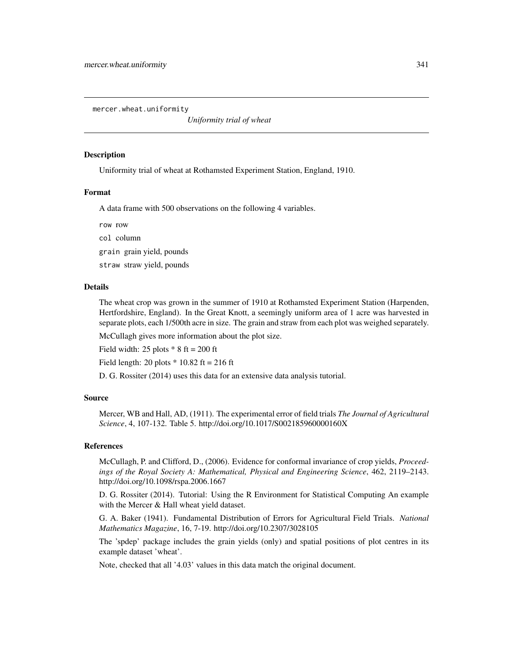mercer.wheat.uniformity

*Uniformity trial of wheat*

## **Description**

Uniformity trial of wheat at Rothamsted Experiment Station, England, 1910.

## Format

A data frame with 500 observations on the following 4 variables.

row row

col column

grain grain yield, pounds

straw straw yield, pounds

#### Details

The wheat crop was grown in the summer of 1910 at Rothamsted Experiment Station (Harpenden, Hertfordshire, England). In the Great Knott, a seemingly uniform area of 1 acre was harvested in separate plots, each 1/500th acre in size. The grain and straw from each plot was weighed separately.

McCullagh gives more information about the plot size.

Field width: 25 plots  $* 8$  ft = 200 ft

Field length: 20 plots  $*$  10.82 ft = 216 ft

D. G. Rossiter (2014) uses this data for an extensive data analysis tutorial.

## Source

Mercer, WB and Hall, AD, (1911). The experimental error of field trials *The Journal of Agricultural Science*, 4, 107-132. Table 5. http://doi.org/10.1017/S002185960000160X

## References

McCullagh, P. and Clifford, D., (2006). Evidence for conformal invariance of crop yields, *Proceedings of the Royal Society A: Mathematical, Physical and Engineering Science*, 462, 2119–2143. http://doi.org/10.1098/rspa.2006.1667

D. G. Rossiter (2014). Tutorial: Using the R Environment for Statistical Computing An example with the Mercer & Hall wheat yield dataset.

G. A. Baker (1941). Fundamental Distribution of Errors for Agricultural Field Trials. *National Mathematics Magazine*, 16, 7-19. http://doi.org/10.2307/3028105

The 'spdep' package includes the grain yields (only) and spatial positions of plot centres in its example dataset 'wheat'.

Note, checked that all '4.03' values in this data match the original document.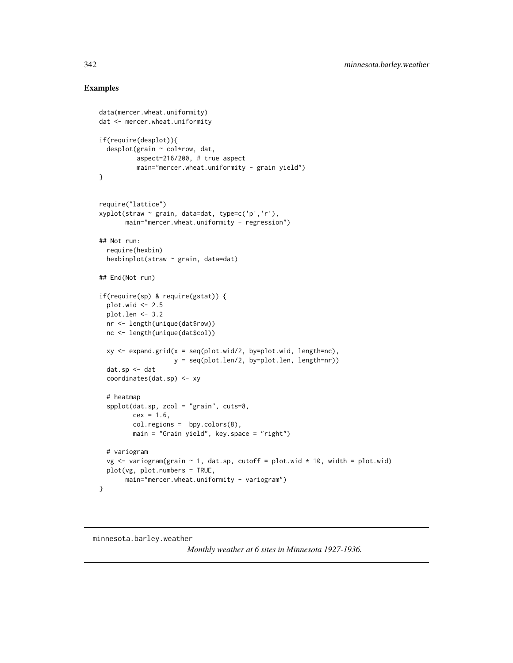## Examples

```
data(mercer.wheat.uniformity)
dat <- mercer.wheat.uniformity
if(require(desplot)){
  desplot(grain ~ col*row, dat,
              aspect=216/200, # true aspect
              main="mercer.wheat.uniformity - grain yield")
}
require("lattice")
xyplot(straw ~ grain, data=dat, type=c('p','r'),
          main="mercer.wheat.uniformity - regression")
## Not run:
  require(hexbin)
  hexbinplot(straw ~ grain, data=dat)
## End(Not run)
if(require(sp) & require(gstat)) {
  plot.wid <- 2.5
  plot.len <- 3.2
  nr <- length(unique(dat$row))
  nc <- length(unique(dat$col))
  xy \leq -\exp(\arctan(x) - \sec(\arctan(x)) - \sec(\arctan(x)) - \sec(\arctan(x)) - \sec(\arctan(x)) - \sec(\arctan(x)) - \sec(\arctan(x)) - \sec(\arctan(x)) - \sec(\arctan(x)) - \sec(\arctan(x)) - \sec(\arctan(x)) - \sec(\arctan(x)) - \sec(\arctan(x)) - \sec(\arctan(x)) - \sec(\arctan(x)) - \sec(\arctan(x)) - \sec(\arctan(x)) - \sec(\arctan(x)) - \sec(\arctan(x)) - \sec(\arctan(x)) - \sec(\arctan(x)) - \sec(\arctan(x)) - \sec(\arctan(x)) - \sec(\arctan(x))y = seq(plot.len/2, by=plot.len, length=nr))
  dat.sp <- dat
  coordinates(dat.sp) <- xy
  # heatmap
  spplot(dat.sp, zcol = "grain", cuts=8,
            cex = 1.6,
            col.regions = bpy.colors(8),
            main = "Grain yield", key.space = "right")
  # variogram
  vg <- variogram(grain ~ 1, dat.sp, cutoff = plot.wid * 10, width = plot.wid)
  plot(vg, plot.numbers = TRUE,
          main="mercer.wheat.uniformity - variogram")
}
```
## minnesota.barley.weather

*Monthly weather at 6 sites in Minnesota 1927-1936.*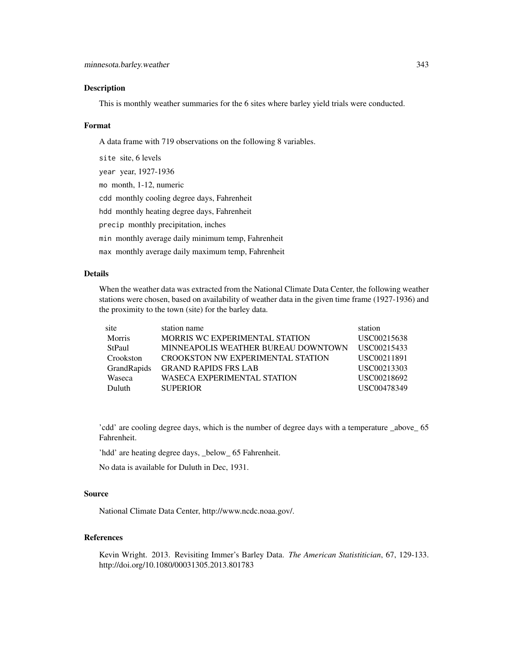## Description

This is monthly weather summaries for the 6 sites where barley yield trials were conducted.

#### Format

A data frame with 719 observations on the following 8 variables.

site site, 6 levels year year, 1927-1936 mo month, 1-12, numeric cdd monthly cooling degree days, Fahrenheit hdd monthly heating degree days, Fahrenheit precip monthly precipitation, inches min monthly average daily minimum temp, Fahrenheit max monthly average daily maximum temp, Fahrenheit

## Details

When the weather data was extracted from the National Climate Data Center, the following weather stations were chosen, based on availability of weather data in the given time frame (1927-1936) and the proximity to the town (site) for the barley data.

| site        | station name                             | station     |
|-------------|------------------------------------------|-------------|
| Morris      | MORRIS WC EXPERIMENTAL STATION           | USC00215638 |
| StPaul      | MINNEAPOLIS WEATHER BUREAU DOWNTOWN      | USC00215433 |
| Crookston   | <b>CROOKSTON NW EXPERIMENTAL STATION</b> | USC00211891 |
| GrandRapids | <b>GRAND RAPIDS FRS LAB</b>              | USC00213303 |
| Waseca      | <b>WASECA EXPERIMENTAL STATION</b>       | USC00218692 |
| Duluth      | <b>SUPERIOR</b>                          | USC00478349 |
|             |                                          |             |

'cdd' are cooling degree days, which is the number of degree days with a temperature \_above\_ 65 Fahrenheit.

'hdd' are heating degree days, \_below\_ 65 Fahrenheit.

No data is available for Duluth in Dec, 1931.

## Source

National Climate Data Center, http://www.ncdc.noaa.gov/.

# References

Kevin Wright. 2013. Revisiting Immer's Barley Data. *The American Statistitician*, 67, 129-133. http://doi.org/10.1080/00031305.2013.801783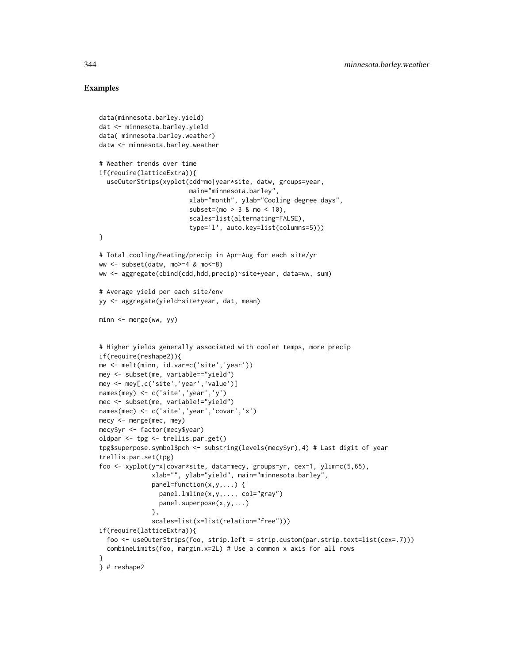```
data(minnesota.barley.yield)
dat <- minnesota.barley.yield
data( minnesota.barley.weather)
datw <- minnesota.barley.weather
# Weather trends over time
if(require(latticeExtra)){
  useOuterStrips(xyplot(cdd~mo|year*site, datw, groups=year,
                        main="minnesota.barley",
                        xlab="month", ylab="Cooling degree days",
                        subset=(mo > 3 & mo < 10),scales=list(alternating=FALSE),
                        type='l', auto.key=list(columns=5)))
}
# Total cooling/heating/precip in Apr-Aug for each site/yr
ww <- subset(datw, mo>=4 & mo<=8)
ww <- aggregate(cbind(cdd,hdd,precip)~site+year, data=ww, sum)
# Average yield per each site/env
yy <- aggregate(yield~site+year, dat, mean)
minn <- merge(ww, yy)
# Higher yields generally associated with cooler temps, more precip
if(require(reshape2)){
me <- melt(minn, id.var=c('site','year'))
mey <- subset(me, variable=="yield")
mey <- mey[,c('site','year','value')]
names(mey) <- c('site','year','y')
mec <- subset(me, variable!="yield")
names(mec) <- c('site','year','covar','x')
mecy <- merge(mec, mey)
mecy$yr <- factor(mecy$year)
oldpar <- tpg <- trellis.par.get()
tpg$superpose.symbol$pch <- substring(levels(mecy$yr),4) # Last digit of year
trellis.par.set(tpg)
foo <- xyplot(y~x|covar*site, data=mecy, groups=yr, cex=1, ylim=c(5,65),
              xlab="", ylab="yield", main="minnesota.barley",
              panel=function(x,y,...) {
                panel.lmline(x,y,..., col="gray")
                panel.superpose(x,y,...)
              },
              scales=list(x=list(relation="free")))
if(require(latticeExtra)){
  foo <- useOuterStrips(foo, strip.left = strip.custom(par.strip.text=list(cex=.7)))
  combineLimits(foo, margin.x=2L) # Use a common x axis for all rows
}
} # reshape2
```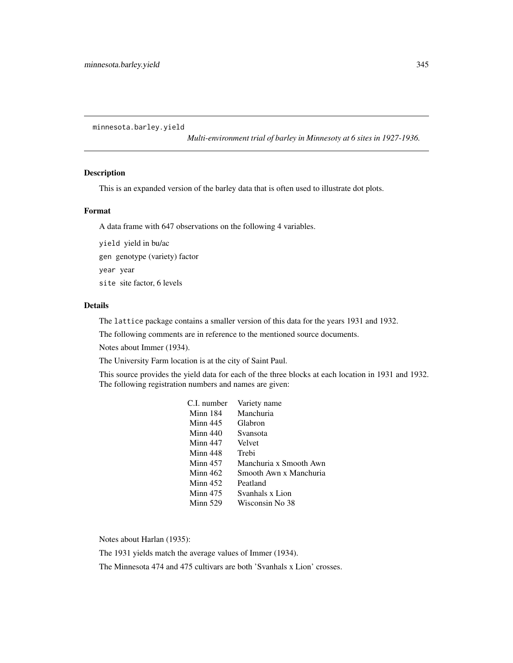minnesota.barley.yield

*Multi-environment trial of barley in Minnesoty at 6 sites in 1927-1936.*

#### Description

This is an expanded version of the barley data that is often used to illustrate dot plots.

## Format

A data frame with 647 observations on the following 4 variables.

yield yield in bu/ac gen genotype (variety) factor

year year

site site factor, 6 levels

## Details

The lattice package contains a smaller version of this data for the years 1931 and 1932.

The following comments are in reference to the mentioned source documents.

Notes about Immer (1934).

The University Farm location is at the city of Saint Paul.

This source provides the yield data for each of the three blocks at each location in 1931 and 1932. The following registration numbers and names are given:

| C.I. number     | Variety name           |
|-----------------|------------------------|
| Minn 184        | Manchuria              |
| $Minn$ 445      | Glabron                |
| Minn $440$      | Svansota               |
| Minn 447        | Velvet                 |
| Minn 448        | Trebi                  |
| Minn $457$      | Manchuria x Smooth Awn |
| Minn $462$      | Smooth Awn x Manchuria |
| Minn $452$      | Peatland               |
| <b>Minn 475</b> | Svanhals x Lion        |
| <b>Minn 529</b> | Wisconsin No 38        |

Notes about Harlan (1935):

The 1931 yields match the average values of Immer (1934).

The Minnesota 474 and 475 cultivars are both 'Svanhals x Lion' crosses.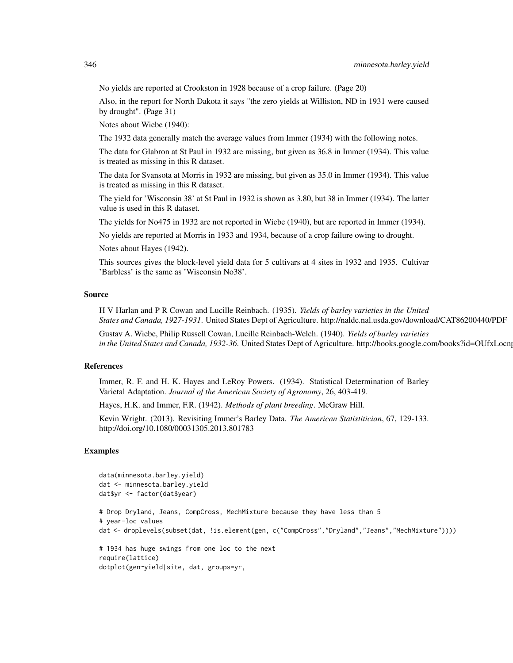No yields are reported at Crookston in 1928 because of a crop failure. (Page 20)

Also, in the report for North Dakota it says "the zero yields at Williston, ND in 1931 were caused by drought". (Page 31)

Notes about Wiebe (1940):

The 1932 data generally match the average values from Immer (1934) with the following notes.

The data for Glabron at St Paul in 1932 are missing, but given as 36.8 in Immer (1934). This value is treated as missing in this R dataset.

The data for Svansota at Morris in 1932 are missing, but given as 35.0 in Immer (1934). This value is treated as missing in this R dataset.

The yield for 'Wisconsin 38' at St Paul in 1932 is shown as 3.80, but 38 in Immer (1934). The latter value is used in this R dataset.

The yields for No475 in 1932 are not reported in Wiebe (1940), but are reported in Immer (1934).

No yields are reported at Morris in 1933 and 1934, because of a crop failure owing to drought.

Notes about Hayes (1942).

This sources gives the block-level yield data for 5 cultivars at 4 sites in 1932 and 1935. Cultivar 'Barbless' is the same as 'Wisconsin No38'.

## Source

H V Harlan and P R Cowan and Lucille Reinbach. (1935). *Yields of barley varieties in the United States and Canada, 1927-1931*. United States Dept of Agriculture. http://naldc.nal.usda.gov/download/CAT86200440/PDF

Gustav A. Wiebe, Philip Russell Cowan, Lucille Reinbach-Welch. (1940). *Yields of barley varieties* in the United States and Canada, 1932-36. United States Dept of Agriculture. http://books.google.com/books?id=OUfxLocn

#### References

Immer, R. F. and H. K. Hayes and LeRoy Powers. (1934). Statistical Determination of Barley Varietal Adaptation. *Journal of the American Society of Agronomy*, 26, 403-419.

Hayes, H.K. and Immer, F.R. (1942). *Methods of plant breeding*. McGraw Hill.

Kevin Wright. (2013). Revisiting Immer's Barley Data. *The American Statistitician*, 67, 129-133. http://doi.org/10.1080/00031305.2013.801783

```
data(minnesota.barley.yield)
dat <- minnesota.barley.yield
dat$yr <- factor(dat$year)
# Drop Dryland, Jeans, CompCross, MechMixture because they have less than 5
# year-loc values
dat <- droplevels(subset(dat, !is.element(gen, c("CompCross","Dryland","Jeans","MechMixture"))))
# 1934 has huge swings from one loc to the next
require(lattice)
dotplot(gen~yield|site, dat, groups=yr,
```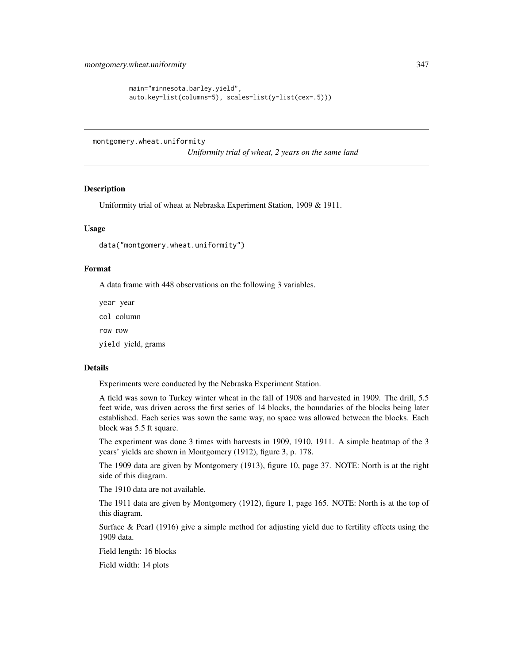```
main="minnesota.barley.yield",
auto.key=list(columns=5), scales=list(y=list(cex=.5)))
```
montgomery.wheat.uniformity

*Uniformity trial of wheat, 2 years on the same land*

## Description

Uniformity trial of wheat at Nebraska Experiment Station, 1909 & 1911.

## Usage

data("montgomery.wheat.uniformity")

## Format

A data frame with 448 observations on the following 3 variables.

year year col column row row

yield yield, grams

## Details

Experiments were conducted by the Nebraska Experiment Station.

A field was sown to Turkey winter wheat in the fall of 1908 and harvested in 1909. The drill, 5.5 feet wide, was driven across the first series of 14 blocks, the boundaries of the blocks being later established. Each series was sown the same way, no space was allowed between the blocks. Each block was 5.5 ft square.

The experiment was done 3 times with harvests in 1909, 1910, 1911. A simple heatmap of the 3 years' yields are shown in Montgomery (1912), figure 3, p. 178.

The 1909 data are given by Montgomery (1913), figure 10, page 37. NOTE: North is at the right side of this diagram.

The 1910 data are not available.

The 1911 data are given by Montgomery (1912), figure 1, page 165. NOTE: North is at the top of this diagram.

Surface  $\&$  Pearl (1916) give a simple method for adjusting yield due to fertility effects using the 1909 data.

Field length: 16 blocks

Field width: 14 plots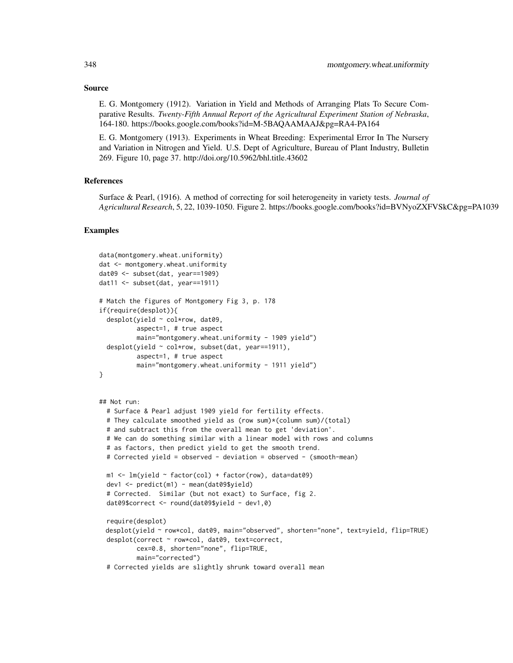#### Source

E. G. Montgomery (1912). Variation in Yield and Methods of Arranging Plats To Secure Comparative Results. *Twenty-Fifth Annual Report of the Agricultural Experiment Station of Nebraska*, 164-180. https://books.google.com/books?id=M-5BAQAAMAAJ&pg=RA4-PA164

E. G. Montgomery (1913). Experiments in Wheat Breeding: Experimental Error In The Nursery and Variation in Nitrogen and Yield. U.S. Dept of Agriculture, Bureau of Plant Industry, Bulletin 269. Figure 10, page 37. http://doi.org/10.5962/bhl.title.43602

## References

Surface & Pearl, (1916). A method of correcting for soil heterogeneity in variety tests. *Journal of Agricultural Research*, 5, 22, 1039-1050. Figure 2. https://books.google.com/books?id=BVNyoZXFVSkC&pg=PA1039

```
data(montgomery.wheat.uniformity)
dat <- montgomery.wheat.uniformity
dat09 <- subset(dat, year==1909)
dat11 \le subset(dat, year==1911)
# Match the figures of Montgomery Fig 3, p. 178
if(require(desplot)){
 desplot(yield ~ col*row, dat09,
          aspect=1, # true aspect
          main="montgomery.wheat.uniformity - 1909 yield")
 desplot(yield \sim col*row, subset(dat, year==1911),
          aspect=1, # true aspect
          main="montgomery.wheat.uniformity - 1911 yield")
}
## Not run:
 # Surface & Pearl adjust 1909 yield for fertility effects.
 # They calculate smoothed yield as (row sum)*(column sum)/(total)
 # and subtract this from the overall mean to get 'deviation'.
 # We can do something similar with a linear model with rows and columns
 # as factors, then predict yield to get the smooth trend.
 # Corrected yield = observed - deviation = observed - (smooth-mean)
 m1 \leq -\ln(\text{yield} \sim \text{factor}(\text{col}) + \text{factor}(\text{row}), \text{ data=data09})dev1 <- predict(m1) - mean(dat09$yield)
 # Corrected. Similar (but not exact) to Surface, fig 2.
 dat09$correct <- round(dat09$yield - dev1,0)
 require(desplot)
 desplot(yield ~ row*col, dat09, main="observed", shorten="none", text=yield, flip=TRUE)
 desplot(correct ~ row*col, dat09, text=correct,
          cex=0.8, shorten="none", flip=TRUE,
          main="corrected")
 # Corrected yields are slightly shrunk toward overall mean
```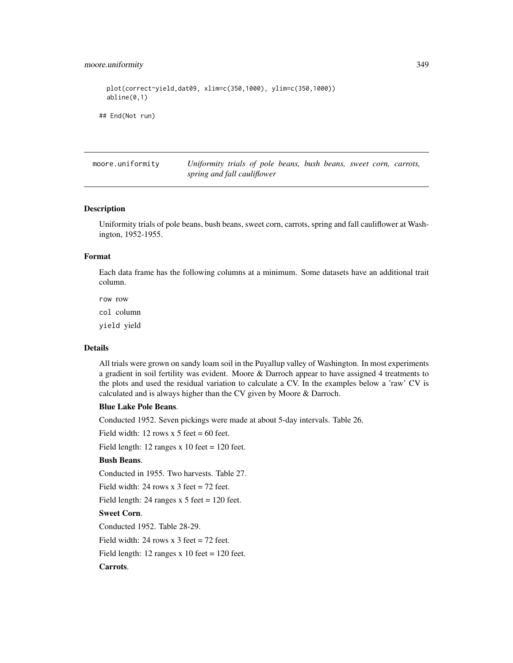## moore.uniformity 349

```
plot(correct~yield,dat09, xlim=c(350,1000), ylim=c(350,1000))
 abline(0,1)
## End(Not run)
```
moore.uniformity *Uniformity trials of pole beans, bush beans, sweet corn, carrots, spring and fall cauliflower*

## Description

Uniformity trials of pole beans, bush beans, sweet corn, carrots, spring and fall cauliflower at Washington, 1952-1955.

#### Format

Each data frame has the following columns at a minimum. Some datasets have an additional trait column.

row row

col column

yield yield

#### Details

All trials were grown on sandy loam soil in the Puyallup valley of Washington. In most experiments a gradient in soil fertility was evident. Moore & Darroch appear to have assigned 4 treatments to the plots and used the residual variation to calculate a CV. In the examples below a 'raw' CV is calculated and is always higher than the CV given by Moore & Darroch.

#### Blue Lake Pole Beans.

Conducted 1952. Seven pickings were made at about 5-day intervals. Table 26.

Field width: 12 rows  $x$  5 feet = 60 feet.

Field length: 12 ranges  $x$  10 feet = 120 feet.

## Bush Beans.

Conducted in 1955. Two harvests. Table 27.

Field width: 24 rows x 3 feet = 72 feet.

Field length: 24 ranges  $x$  5 feet = 120 feet.

## Sweet Corn.

Conducted 1952. Table 28-29.

Field width: 24 rows x 3 feet = 72 feet.

Field length: 12 ranges  $x$  10 feet = 120 feet.

## Carrots.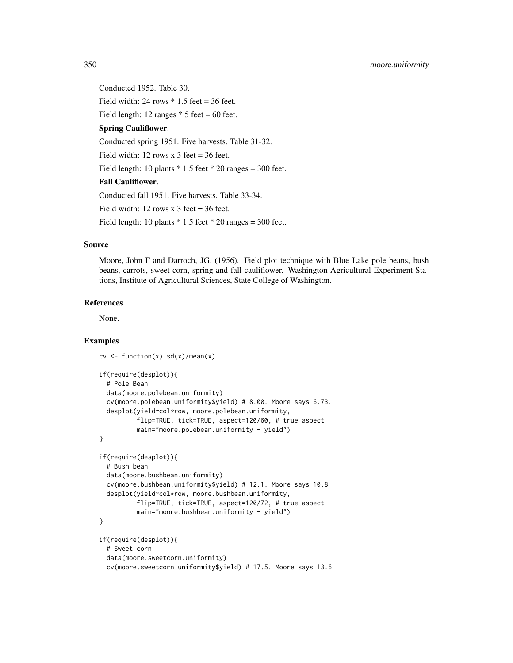Conducted 1952. Table 30. Field width:  $24$  rows  $*$  1.5 feet = 36 feet. Field length: 12 ranges  $*$  5 feet = 60 feet. Spring Cauliflower. Conducted spring 1951. Five harvests. Table 31-32. Field width: 12 rows x  $3$  feet = 36 feet. Field length: 10 plants  $*$  1.5 feet  $*$  20 ranges = 300 feet. Fall Cauliflower. Conducted fall 1951. Five harvests. Table 33-34. Field width: 12 rows x 3 feet =  $36$  feet. Field length: 10 plants  $*$  1.5 feet  $*$  20 ranges = 300 feet.

## Source

Moore, John F and Darroch, JG. (1956). Field plot technique with Blue Lake pole beans, bush beans, carrots, sweet corn, spring and fall cauliflower. Washington Agricultural Experiment Stations, Institute of Agricultural Sciences, State College of Washington.

# References

None.

```
cv \leftarrow function(x) sd(x)/mean(x)if(require(desplot)){
  # Pole Bean
  data(moore.polebean.uniformity)
  cv(moore.polebean.uniformity$yield) # 8.00. Moore says 6.73.
  desplot(yield~col*row, moore.polebean.uniformity,
          flip=TRUE, tick=TRUE, aspect=120/60, # true aspect
          main="moore.polebean.uniformity - yield")
}
if(require(desplot)){
  # Bush bean
  data(moore.bushbean.uniformity)
  cv(moore.bushbean.uniformity$yield) # 12.1. Moore says 10.8
  desplot(yield~col*row, moore.bushbean.uniformity,
          flip=TRUE, tick=TRUE, aspect=120/72, # true aspect
          main="moore.bushbean.uniformity - yield")
}
if(require(desplot)){
  # Sweet corn
  data(moore.sweetcorn.uniformity)
  cv(moore.sweetcorn.uniformity$yield) # 17.5. Moore says 13.6
```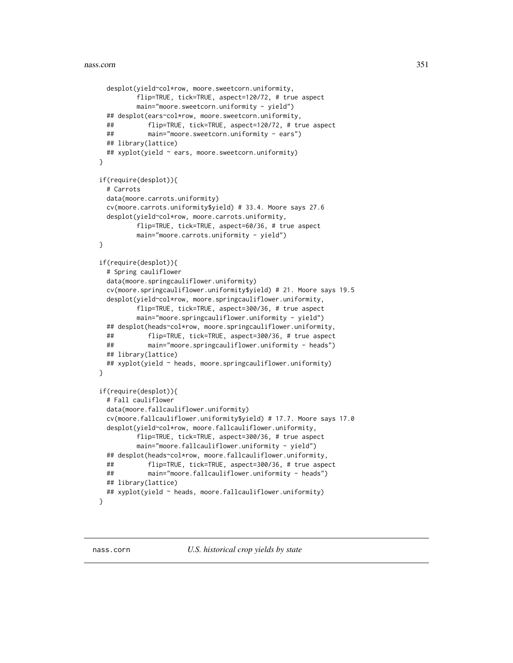```
desplot(yield~col*row, moore.sweetcorn.uniformity,
         flip=TRUE, tick=TRUE, aspect=120/72, # true aspect
         main="moore.sweetcorn.uniformity - yield")
 ## desplot(ears~col*row, moore.sweetcorn.uniformity,
 ## flip=TRUE, tick=TRUE, aspect=120/72, # true aspect
 ## main="moore.sweetcorn.uniformity - ears")
 ## library(lattice)
 ## xyplot(yield ~ ears, moore.sweetcorn.uniformity)
}
if(require(desplot)){
 # Carrots
 data(moore.carrots.uniformity)
 cv(moore.carrots.uniformity$yield) # 33.4. Moore says 27.6
 desplot(yield~col*row, moore.carrots.uniformity,
         flip=TRUE, tick=TRUE, aspect=60/36, # true aspect
         main="moore.carrots.uniformity - yield")
}
if(require(desplot)){
 # Spring cauliflower
 data(moore.springcauliflower.uniformity)
 cv(moore.springcauliflower.uniformity$yield) # 21. Moore says 19.5
 desplot(yield~col*row, moore.springcauliflower.uniformity,
         flip=TRUE, tick=TRUE, aspect=300/36, # true aspect
         main="moore.springcauliflower.uniformity - yield")
 ## desplot(heads~col*row, moore.springcauliflower.uniformity,
 ## flip=TRUE, tick=TRUE, aspect=300/36, # true aspect
 ## main="moore.springcauliflower.uniformity - heads")
 ## library(lattice)
 ## xyplot(yield ~ heads, moore.springcauliflower.uniformity)
}
if(require(desplot)){
 # Fall cauliflower
 data(moore.fallcauliflower.uniformity)
 cv(moore.fallcauliflower.uniformity$yield) # 17.7. Moore says 17.0
 desplot(yield~col*row, moore.fallcauliflower.uniformity,
         flip=TRUE, tick=TRUE, aspect=300/36, # true aspect
         main="moore.fallcauliflower.uniformity - yield")
 ## desplot(heads~col*row, moore.fallcauliflower.uniformity,
 ## flip=TRUE, tick=TRUE, aspect=300/36, # true aspect
 ## main="moore.fallcauliflower.uniformity - heads")
 ## library(lattice)
 ## xyplot(yield ~ heads, moore.fallcauliflower.uniformity)
}
```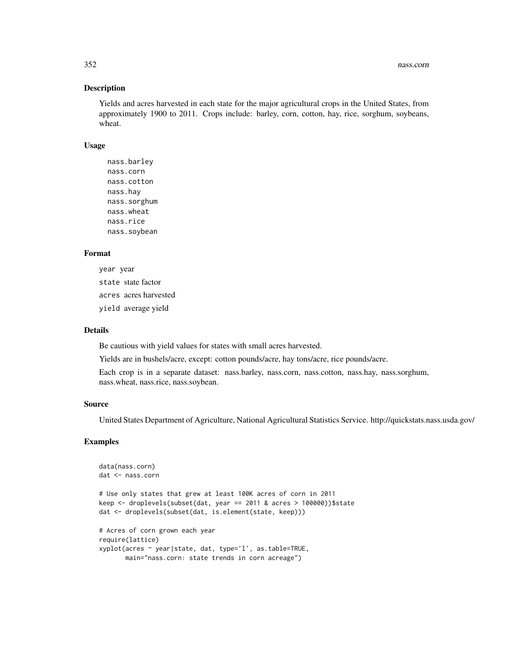## Description

Yields and acres harvested in each state for the major agricultural crops in the United States, from approximately 1900 to 2011. Crops include: barley, corn, cotton, hay, rice, sorghum, soybeans, wheat.

#### Usage

nass.barley nass.corn nass.cotton nass.hay nass.sorghum nass.wheat nass.rice nass.soybean

# Format

year year state state factor acres acres harvested yield average yield

## Details

Be cautious with yield values for states with small acres harvested.

Yields are in bushels/acre, except: cotton pounds/acre, hay tons/acre, rice pounds/acre.

Each crop is in a separate dataset: nass.barley, nass.corn, nass.cotton, nass.hay, nass.sorghum, nass.wheat, nass.rice, nass.soybean.

## Source

United States Department of Agriculture, National Agricultural Statistics Service. http://quickstats.nass.usda.gov/

```
data(nass.corn)
dat <- nass.corn
# Use only states that grew at least 100K acres of corn in 2011
keep <- droplevels(subset(dat, year == 2011 & acres > 100000))$state
dat <- droplevels(subset(dat, is.element(state, keep)))
# Acres of corn grown each year
require(lattice)
xyplot(acres ~ year|state, dat, type='l', as.table=TRUE,
      main="nass.corn: state trends in corn acreage")
```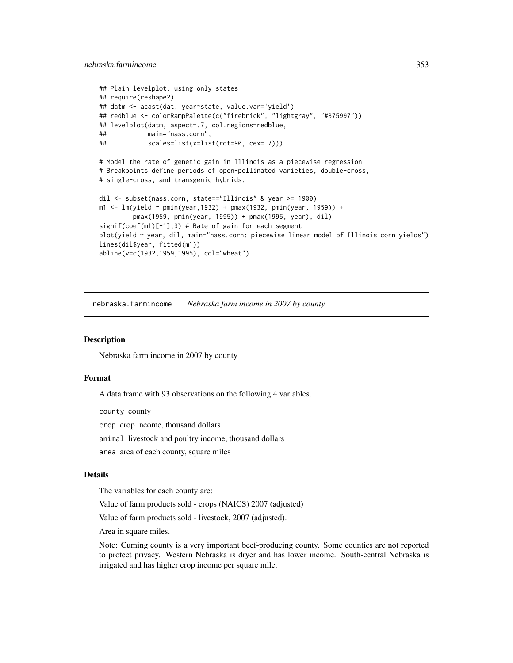```
## Plain levelplot, using only states
## require(reshape2)
## datm <- acast(dat, year~state, value.var='yield')
## redblue <- colorRampPalette(c("firebrick", "lightgray", "#375997"))
## levelplot(datm, aspect=.7, col.regions=redblue,
## main="nass.corn",
## scales=list(x=list(rot=90, cex=.7)))
# Model the rate of genetic gain in Illinois as a piecewise regression
# Breakpoints define periods of open-pollinated varieties, double-cross,
# single-cross, and transgenic hybrids.
dil <- subset(nass.corn, state=="Illinois" & year >= 1900)
m1 <- lm(yield ~ pmin(year, 1932) + pmax(1932, pmin(year, 1959)) +
        pmax(1959, pmin(year, 1995)) + pmax(1995, year), dil)
signif(coef(m1)[-1],3) # Rate of gain for each segment
plot(yield ~ year, dil, main="nass.corn: piecewise linear model of Illinois corn yields")
lines(dil$year, fitted(m1))
abline(v=c(1932,1959,1995), col="wheat")
```
nebraska.farmincome *Nebraska farm income in 2007 by county*

#### **Description**

Nebraska farm income in 2007 by county

## Format

A data frame with 93 observations on the following 4 variables.

county county

crop crop income, thousand dollars

animal livestock and poultry income, thousand dollars

area area of each county, square miles

## Details

The variables for each county are:

Value of farm products sold - crops (NAICS) 2007 (adjusted)

Value of farm products sold - livestock, 2007 (adjusted).

Area in square miles.

Note: Cuming county is a very important beef-producing county. Some counties are not reported to protect privacy. Western Nebraska is dryer and has lower income. South-central Nebraska is irrigated and has higher crop income per square mile.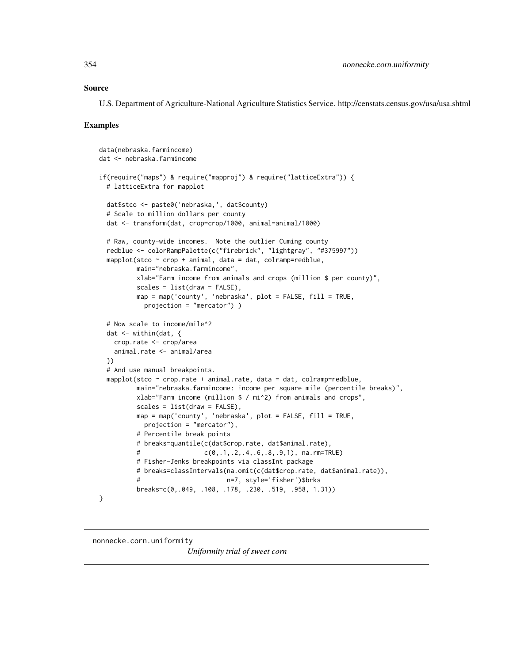## Source

U.S. Department of Agriculture-National Agriculture Statistics Service. http://censtats.census.gov/usa/usa.shtml

#### Examples

```
data(nebraska.farmincome)
dat <- nebraska.farmincome
if(require("maps") & require("mapproj") & require("latticeExtra")) {
 # latticeExtra for mapplot
 dat$stco <- paste0('nebraska,', dat$county)
 # Scale to million dollars per county
 dat <- transform(dat, crop=crop/1000, animal=animal/1000)
 # Raw, county-wide incomes. Note the outlier Cuming county
 redblue <- colorRampPalette(c("firebrick", "lightgray", "#375997"))
 mapplot(stco \sim crop + animal, data = dat, colramp=redblue,
         main="nebraska.farmincome",
         xlab="Farm income from animals and crops (million $ per county)",
         scales = list(draw = FALSE),
         map = map('county', 'nebraska', plot = FALSE, fill = TRUE,
           projection = "mercator") )
 # Now scale to income/mile^2
 dat <- within(dat, {
   crop.rate <- crop/area
   animal.rate <- animal/area
 })
 # And use manual breakpoints.
 mapplot(stco \sim crop.rate + animal.rate, data = dat, colramp=redblue,
         main="nebraska.farmincome: income per square mile (percentile breaks)",
         xlab="Farm income (million $ / mi^2) from animals and crops",
         scales = list(draw = FALSE),
         map = map('county', 'nebraska', plot = FALSE, fill = TRUE,
           projection = "mercator"),
         # Percentile break points
         # breaks=quantile(c(dat$crop.rate, dat$animal.rate),
         # c(0,.1,.2,.4,.6,.8,.9,1), na.rm=TRUE)
         # Fisher-Jenks breakpoints via classInt package
         # breaks=classIntervals(na.omit(c(dat$crop.rate, dat$animal.rate)),
         # n=7, style='fisher')$brks
         breaks=c(0,.049, .108, .178, .230, .519, .958, 1.31))
}
```
nonnecke.corn.uniformity

*Uniformity trial of sweet corn*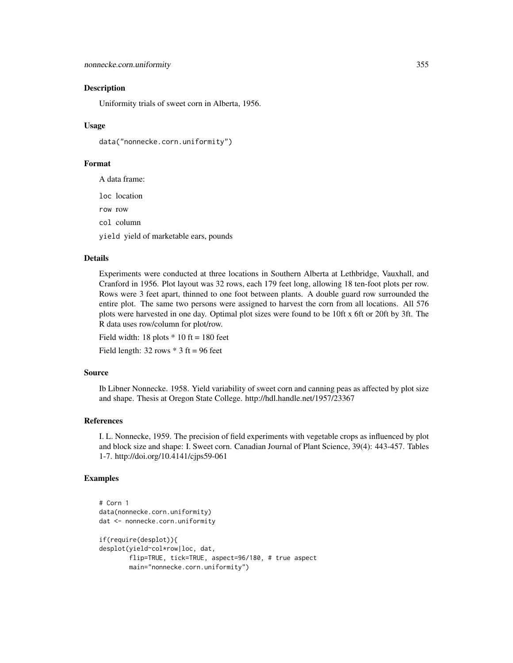## Description

Uniformity trials of sweet corn in Alberta, 1956.

## Usage

```
data("nonnecke.corn.uniformity")
```
## Format

A data frame:

loc location

row row

col column

yield yield of marketable ears, pounds

## Details

Experiments were conducted at three locations in Southern Alberta at Lethbridge, Vauxhall, and Cranford in 1956. Plot layout was 32 rows, each 179 feet long, allowing 18 ten-foot plots per row. Rows were 3 feet apart, thinned to one foot between plants. A double guard row surrounded the entire plot. The same two persons were assigned to harvest the corn from all locations. All 576 plots were harvested in one day. Optimal plot sizes were found to be 10ft x 6ft or 20ft by 3ft. The R data uses row/column for plot/row.

Field width:  $18$  plots  $*$  10 ft = 180 feet

Field length:  $32$  rows  $*$  3 ft = 96 feet

## Source

Ib Libner Nonnecke. 1958. Yield variability of sweet corn and canning peas as affected by plot size and shape. Thesis at Oregon State College. http://hdl.handle.net/1957/23367

#### References

I. L. Nonnecke, 1959. The precision of field experiments with vegetable crops as influenced by plot and block size and shape: I. Sweet corn. Canadian Journal of Plant Science, 39(4): 443-457. Tables 1-7. http://doi.org/10.4141/cjps59-061

```
# Corn 1
data(nonnecke.corn.uniformity)
dat <- nonnecke.corn.uniformity
if(require(desplot)){
desplot(yield~col*row|loc, dat,
        flip=TRUE, tick=TRUE, aspect=96/180, # true aspect
        main="nonnecke.corn.uniformity")
```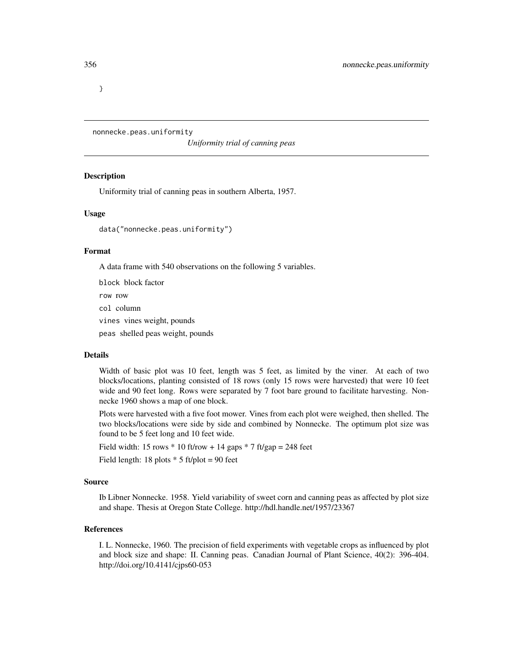}

nonnecke.peas.uniformity

*Uniformity trial of canning peas*

#### Description

Uniformity trial of canning peas in southern Alberta, 1957.

#### Usage

data("nonnecke.peas.uniformity")

#### Format

A data frame with 540 observations on the following 5 variables.

block block factor row row col column vines vines weight, pounds peas shelled peas weight, pounds

## Details

Width of basic plot was 10 feet, length was 5 feet, as limited by the viner. At each of two blocks/locations, planting consisted of 18 rows (only 15 rows were harvested) that were 10 feet wide and 90 feet long. Rows were separated by 7 foot bare ground to facilitate harvesting. Nonnecke 1960 shows a map of one block.

Plots were harvested with a five foot mower. Vines from each plot were weighed, then shelled. The two blocks/locations were side by side and combined by Nonnecke. The optimum plot size was found to be 5 feet long and 10 feet wide.

Field width: 15 rows  $*$  10 ft/row + 14 gaps  $*$  7 ft/gap = 248 feet

Field length: 18 plots  $*$  5 ft/plot = 90 feet

## Source

Ib Libner Nonnecke. 1958. Yield variability of sweet corn and canning peas as affected by plot size and shape. Thesis at Oregon State College. http://hdl.handle.net/1957/23367

## References

I. L. Nonnecke, 1960. The precision of field experiments with vegetable crops as influenced by plot and block size and shape: II. Canning peas. Canadian Journal of Plant Science, 40(2): 396-404. http://doi.org/10.4141/cjps60-053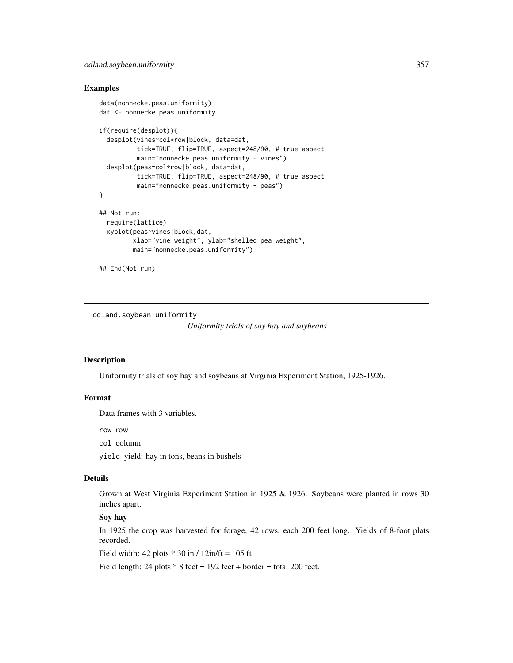## Examples

```
data(nonnecke.peas.uniformity)
dat <- nonnecke.peas.uniformity
if(require(desplot)){
  desplot(vines~col*row|block, data=dat,
          tick=TRUE, flip=TRUE, aspect=248/90, # true aspect
          main="nonnecke.peas.uniformity - vines")
  desplot(peas~col*row|block, data=dat,
          tick=TRUE, flip=TRUE, aspect=248/90, # true aspect
          main="nonnecke.peas.uniformity - peas")
}
## Not run:
  require(lattice)
  xyplot(peas~vines|block,dat,
         xlab="vine weight", ylab="shelled pea weight",
         main="nonnecke.peas.uniformity")
```

```
## End(Not run)
```
odland.soybean.uniformity

*Uniformity trials of soy hay and soybeans*

#### **Description**

Uniformity trials of soy hay and soybeans at Virginia Experiment Station, 1925-1926.

## Format

Data frames with 3 variables.

row row

col column

yield yield: hay in tons, beans in bushels

## Details

Grown at West Virginia Experiment Station in 1925 & 1926. Soybeans were planted in rows 30 inches apart.

# Soy hay

In 1925 the crop was harvested for forage, 42 rows, each 200 feet long. Yields of 8-foot plats recorded.

Field width:  $42$  plots  $*$  30 in /  $12$ in/ft = 105 ft

Field length: 24 plots  $* 8$  feet = 192 feet + border = total 200 feet.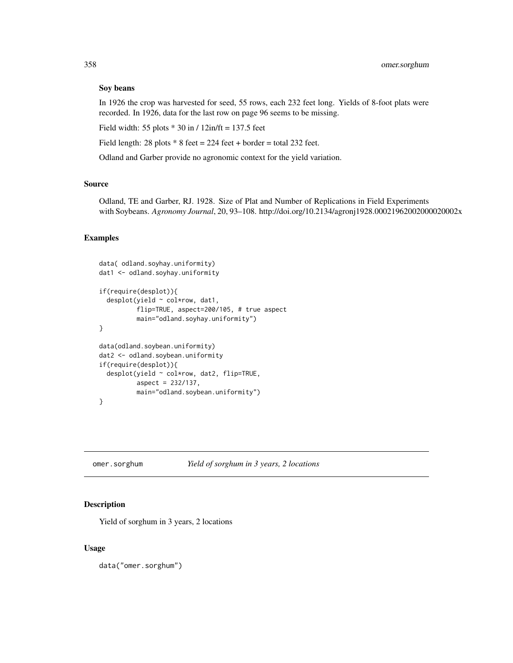## Soy beans

In 1926 the crop was harvested for seed, 55 rows, each 232 feet long. Yields of 8-foot plats were recorded. In 1926, data for the last row on page 96 seems to be missing.

Field width: 55 plots  $*$  30 in / 12in/ft = 137.5 feet

Field length: 28 plots  $* 8$  feet = 224 feet + border = total 232 feet.

Odland and Garber provide no agronomic context for the yield variation.

# Source

Odland, TE and Garber, RJ. 1928. Size of Plat and Number of Replications in Field Experiments with Soybeans. *Agronomy Journal*, 20, 93–108. http://doi.org/10.2134/agronj1928.00021962002000020002x

## Examples

```
data( odland.soyhay.uniformity)
dat1 <- odland.soyhay.uniformity
if(require(desplot)){
 desplot(yield ~ col*row, dat1,
         flip=TRUE, aspect=200/105, # true aspect
         main="odland.soyhay.uniformity")
}
data(odland.soybean.uniformity)
dat2 <- odland.soybean.uniformity
if(require(desplot)){
 desplot(yield ~ col*row, dat2, flip=TRUE,
         aspect = 232/137,
         main="odland.soybean.uniformity")
}
```
omer.sorghum *Yield of sorghum in 3 years, 2 locations*

## Description

Yield of sorghum in 3 years, 2 locations

## Usage

data("omer.sorghum")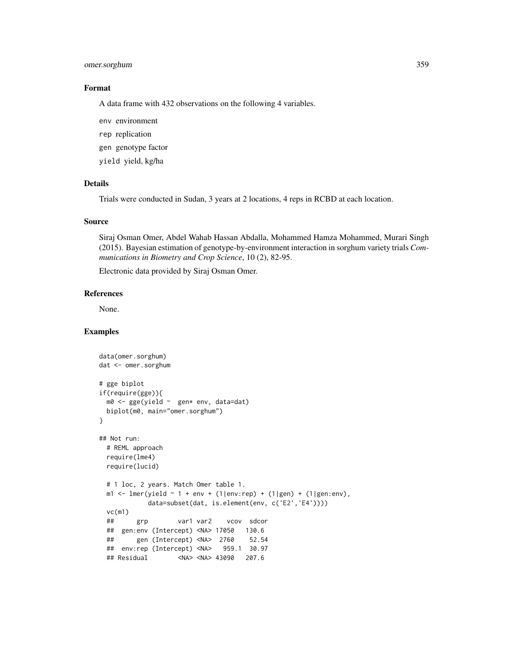# omer.sorghum 359

# Format

A data frame with 432 observations on the following 4 variables.

env environment

rep replication

gen genotype factor

yield yield, kg/ha

# Details

Trials were conducted in Sudan, 3 years at 2 locations, 4 reps in RCBD at each location.

## Source

Siraj Osman Omer, Abdel Wahab Hassan Abdalla, Mohammed Hamza Mohammed, Murari Singh (2015). Bayesian estimation of genotype-by-environment interaction in sorghum variety trials *Communications in Biometry and Crop Science*, 10 (2), 82-95.

Electronic data provided by Siraj Osman Omer.

## References

None.

```
data(omer.sorghum)
dat <- omer.sorghum
# gge biplot
if(require(gge)){
 m0 <- gge(yield ~ gen* env, data=dat)
 biplot(m0, main="omer.sorghum")
}
## Not run:
 # REML approach
 require(lme4)
 require(lucid)
 # 1 loc, 2 years. Match Omer table 1.
 m1 <- lmer(yield \sim 1 + env + (1|env:rep) + (1|gen) + (1|gen:env),
            data=subset(dat, is.element(env, c('E2','E4'))))
 vc(m1)
 ## grp var1 var2 vcov sdcor
 ## gen:env (Intercept) <NA> 17050 130.6
 ## gen (Intercept) <NA> 2760 52.54
 ## env:rep (Intercept) <NA> 959.1 30.97
 ## Residual <NA> <NA> 43090 207.6
```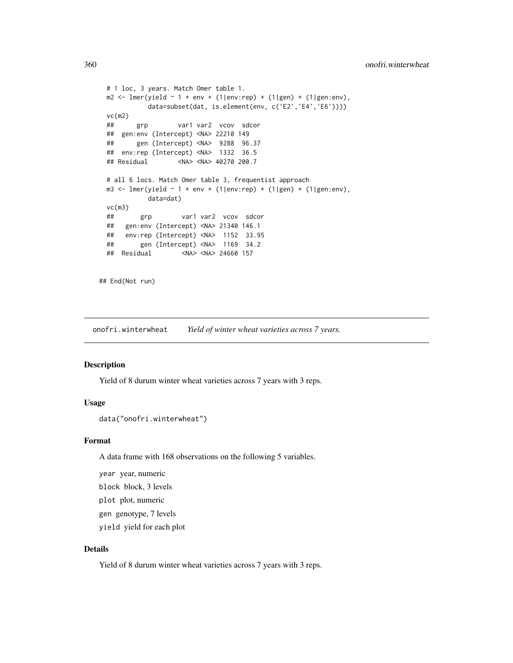```
# 1 loc, 3 years. Match Omer table 1.
 m2 \le - lmer(yield \sim 1 + env + (1|env:rep) + (1|gen) + (1|gen:env),data=subset(dat, is.element(env, c('E2','E4','E6'))))
 vc(m2)
 ## grp var1 var2 vcov sdcor
 ## gen:env (Intercept) <NA> 22210 149
 ## gen (Intercept) <NA> 9288 96.37
 ## env:rep (Intercept) <NA> 1332 36.5
 ## Residual <NA> <NA> 40270 200.7
 # all 6 locs. Match Omer table 3, frequentist approach
 m3 <- lmer(yield \sim 1 + env + (1|env:rep) + (1|gen) + (1|gen:env),
           data=dat)
 vc(m3)
 ## grp var1 var2 vcov sdcor
 ## gen:env (Intercept) <NA> 21340 146.1
 ## env:rep (Intercept) <NA> 1152 33.95
 ## gen (Intercept) <NA> 1169 34.2
 ## Residual <NA> <NA> 24660 157
## End(Not run)
```
onofri.winterwheat *Yield of winter wheat varieties across 7 years.*

#### Description

Yield of 8 durum winter wheat varieties across 7 years with 3 reps.

## Usage

```
data("onofri.winterwheat")
```
## Format

A data frame with 168 observations on the following 5 variables.

year year, numeric

block block, 3 levels

plot plot, numeric

gen genotype, 7 levels

yield yield for each plot

## Details

Yield of 8 durum winter wheat varieties across 7 years with 3 reps.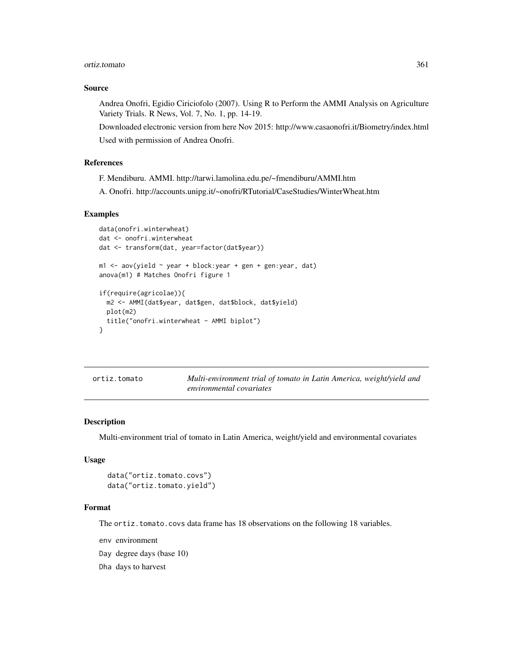#### ortiz.tomato 361

## Source

Andrea Onofri, Egidio Ciriciofolo (2007). Using R to Perform the AMMI Analysis on Agriculture Variety Trials. R News, Vol. 7, No. 1, pp. 14-19.

Downloaded electronic version from here Nov 2015: http://www.casaonofri.it/Biometry/index.html Used with permission of Andrea Onofri.

# References

F. Mendiburu. AMMI. http://tarwi.lamolina.edu.pe/~fmendiburu/AMMI.htm

A. Onofri. http://accounts.unipg.it/~onofri/RTutorial/CaseStudies/WinterWheat.htm

#### Examples

```
data(onofri.winterwheat)
dat <- onofri.winterwheat
dat <- transform(dat, year=factor(dat$year))
m1 <- aov(yield ~ year + block:year + gen + gen:year, dat)
anova(m1) # Matches Onofri figure 1
if(require(agricolae)){
  m2 <- AMMI(dat$year, dat$gen, dat$block, dat$yield)
  plot(m2)
  title("onofri.winterwheat - AMMI biplot")
}
```

| ortiz.tomato | Multi-environment trial of tomato in Latin America, weight/yield and |
|--------------|----------------------------------------------------------------------|
|              | environmental covariates                                             |

### Description

Multi-environment trial of tomato in Latin America, weight/yield and environmental covariates

# Usage

```
data("ortiz.tomato.covs")
data("ortiz.tomato.yield")
```
#### Format

The ortiz.tomato.covs data frame has 18 observations on the following 18 variables.

env environment

- Day degree days (base 10)
- Dha days to harvest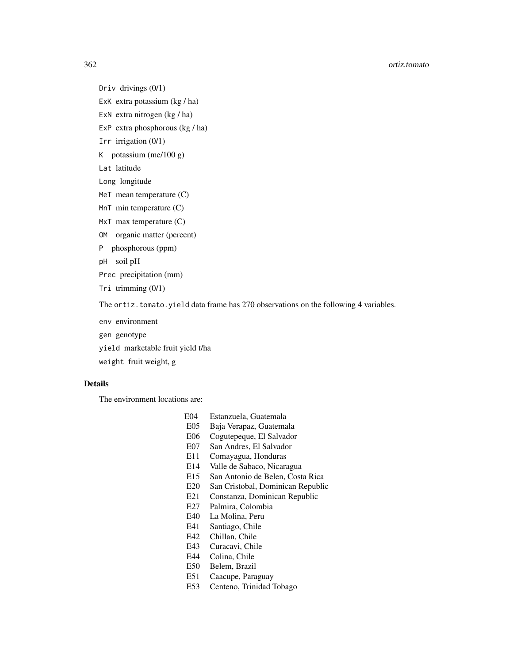#### 362 ortiz.tomato

Driv drivings (0/1)

- ExK extra potassium (kg / ha)
- ExN extra nitrogen (kg / ha)
- ExP extra phosphorous (kg / ha)
- Irr irrigation (0/1)
- K potassium (me/100 g)
- Lat latitude
- Long longitude
- MeT mean temperature (C)
- MnT min temperature (C)
- MxT max temperature (C)
- OM organic matter (percent)
- P phosphorous (ppm)

pH soil pH

- Prec precipitation (mm)
- Tri trimming (0/1)

The ortiz.tomato.yield data frame has 270 observations on the following 4 variables.

env environment

gen genotype

yield marketable fruit yield t/ha

weight fruit weight, g

# Details

The environment locations are:

- E04 Estanzuela, Guatemala
- E05 Baja Verapaz, Guatemala
- E06 Cogutepeque, El Salvador
- E07 San Andres, El Salvador
- E11 Comayagua, Honduras
- E14 Valle de Sabaco, Nicaragua
- E15 San Antonio de Belen, Costa Rica
- E20 San Cristobal, Dominican Republic
- E21 Constanza, Dominican Republic
- E27 Palmira, Colombia
- E40 La Molina, Peru
- E41 Santiago, Chile
- E42 Chillan, Chile
- E43 Curacavi, Chile
- E44 Colina, Chile
- E50 Belem, Brazil
- E51 Caacupe, Paraguay
- E53 Centeno, Trinidad Tobago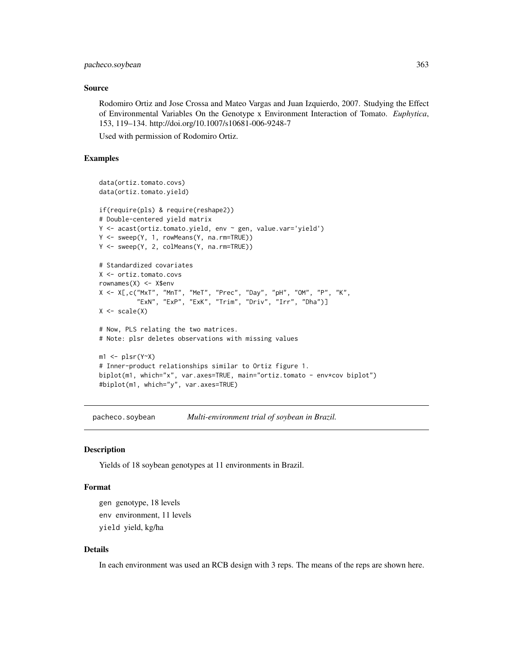# pacheco.soybean 363

### Source

Rodomiro Ortiz and Jose Crossa and Mateo Vargas and Juan Izquierdo, 2007. Studying the Effect of Environmental Variables On the Genotype x Environment Interaction of Tomato. *Euphytica*, 153, 119–134. http://doi.org/10.1007/s10681-006-9248-7

Used with permission of Rodomiro Ortiz.

# Examples

```
data(ortiz.tomato.covs)
data(ortiz.tomato.yield)
if(require(pls) & require(reshape2))
# Double-centered yield matrix
Y <- acast(ortiz.tomato.yield, env ~ gen, value.var='yield')
Y <- sweep(Y, 1, rowMeans(Y, na.rm=TRUE))
Y <- sweep(Y, 2, colMeans(Y, na.rm=TRUE))
# Standardized covariates
X <- ortiz.tomato.covs
rownames(X) <- X$env
X <- X[,c("MxT", "MnT", "MeT", "Prec", "Day", "pH", "OM", "P", "K",
          "ExN", "ExP", "ExK", "Trim", "Driv", "Irr", "Dha")]
X \leftarrow scale(X)# Now, PLS relating the two matrices.
# Note: plsr deletes observations with missing values
ml \leftarrow plsr(Y~X)# Inner-product relationships similar to Ortiz figure 1.
biplot(m1, which="x", var.axes=TRUE, main="ortiz.tomato - env*cov biplot")
#biplot(m1, which="y", var.axes=TRUE)
```
pacheco.soybean *Multi-environment trial of soybean in Brazil.*

### Description

Yields of 18 soybean genotypes at 11 environments in Brazil.

### Format

gen genotype, 18 levels env environment, 11 levels yield yield, kg/ha

# Details

In each environment was used an RCB design with 3 reps. The means of the reps are shown here.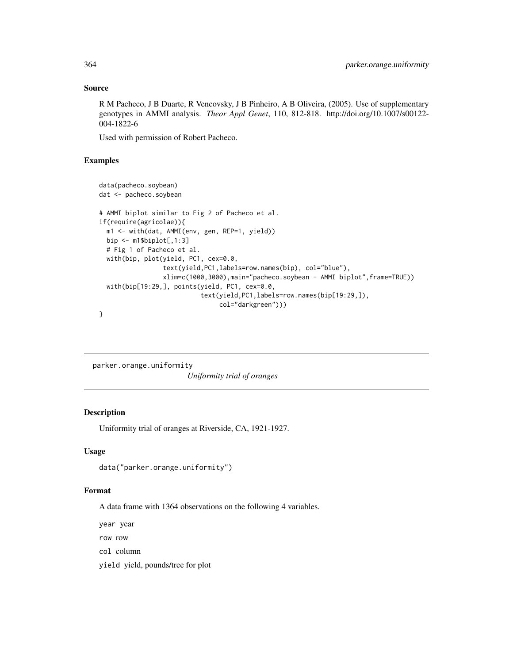# Source

R M Pacheco, J B Duarte, R Vencovsky, J B Pinheiro, A B Oliveira, (2005). Use of supplementary genotypes in AMMI analysis. *Theor Appl Genet*, 110, 812-818. http://doi.org/10.1007/s00122- 004-1822-6

Used with permission of Robert Pacheco.

# Examples

```
data(pacheco.soybean)
dat <- pacheco.soybean
# AMMI biplot similar to Fig 2 of Pacheco et al.
if(require(agricolae)){
 m1 <- with(dat, AMMI(env, gen, REP=1, yield))
 bip \leq m1$biplot[,1:3]
 # Fig 1 of Pacheco et al.
 with(bip, plot(yield, PC1, cex=0.0,
                 text(yield,PC1,labels=row.names(bip), col="blue"),
                 xlim=c(1000,3000),main="pacheco.soybean - AMMI biplot",frame=TRUE))
 with(bip[19:29,], points(yield, PC1, cex=0.0,
                           text(yield,PC1,labels=row.names(bip[19:29,]),
                                col="darkgreen")))
}
```
parker.orange.uniformity *Uniformity trial of oranges*

# Description

Uniformity trial of oranges at Riverside, CA, 1921-1927.

# Usage

```
data("parker.orange.uniformity")
```
## Format

A data frame with 1364 observations on the following 4 variables.

year year row row col column yield yield, pounds/tree for plot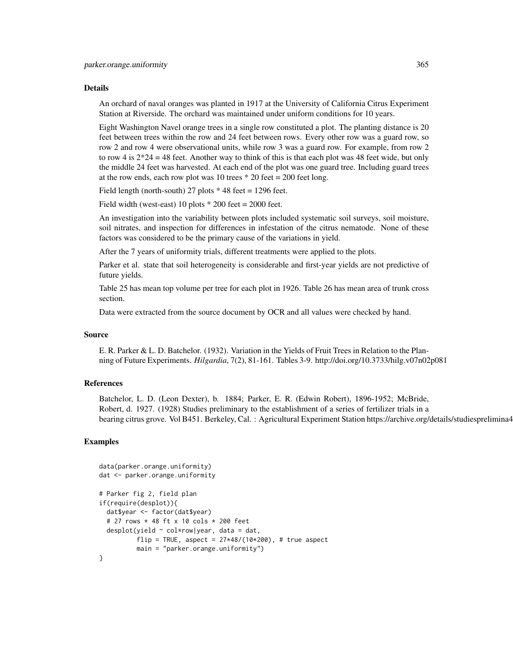#### Details

An orchard of naval oranges was planted in 1917 at the University of California Citrus Experiment Station at Riverside. The orchard was maintained under uniform conditions for 10 years.

Eight Washington Navel orange trees in a single row constituted a plot. The planting distance is 20 feet between trees within the row and 24 feet between rows. Every other row was a guard row, so row 2 and row 4 were observational units, while row 3 was a guard row. For example, from row 2 to row 4 is  $2*24 = 48$  feet. Another way to think of this is that each plot was 48 feet wide, but only the middle 24 feet was harvested. At each end of the plot was one guard tree. Including guard trees at the row ends, each row plot was 10 trees  $*$  20 feet = 200 feet long.

Field length (north-south) 27 plots  $*$  48 feet = 1296 feet.

Field width (west-east) 10 plots  $*$  200 feet = 2000 feet.

An investigation into the variability between plots included systematic soil surveys, soil moisture, soil nitrates, and inspection for differences in infestation of the citrus nematode. None of these factors was considered to be the primary cause of the variations in yield.

After the 7 years of uniformity trials, different treatments were applied to the plots.

Parker et al. state that soil heterogeneity is considerable and first-year yields are not predictive of future yields.

Table 25 has mean top volume per tree for each plot in 1926. Table 26 has mean area of trunk cross section.

Data were extracted from the source document by OCR and all values were checked by hand.

## Source

E. R. Parker & L. D. Batchelor. (1932). Variation in the Yields of Fruit Trees in Relation to the Planning of Future Experiments. *Hilgardia*, 7(2), 81-161. Tables 3-9. http://doi.org/10.3733/hilg.v07n02p081

### References

Batchelor, L. D. (Leon Dexter), b. 1884; Parker, E. R. (Edwin Robert), 1896-1952; McBride, Robert, d. 1927. (1928) Studies preliminary to the establishment of a series of fertilizer trials in a bearing citrus grove. Vol B451. Berkeley, Cal. : Agricultural Experiment Station https://archive.org/details/studiesprelimina4

```
data(parker.orange.uniformity)
dat <- parker.orange.uniformity
# Parker fig 2, field plan
if(require(desplot)){
 dat$year <- factor(dat$year)
 # 27 rows * 48 ft x 10 cols * 200 feet
 desplot(yield \sim col*row|year, data = dat,
         flip = TRUE, aspect = 27*48/(10*200), # true aspect
         main = "parker.orange.uniformity")
}
```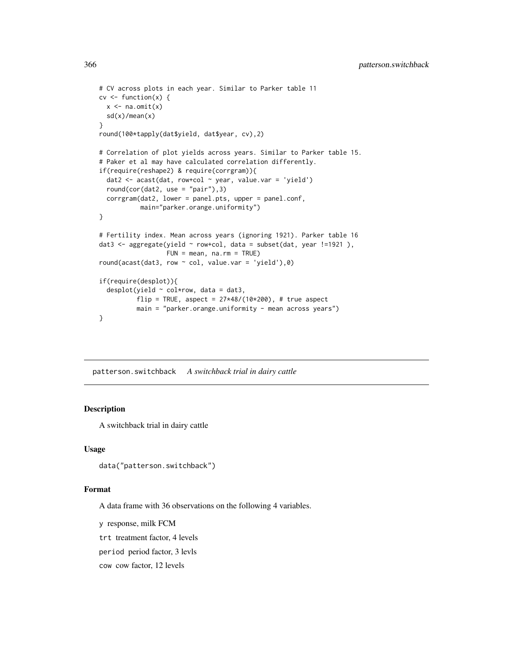```
# CV across plots in each year. Similar to Parker table 11
cv \leftarrow function(x) {
  x \leftarrow na.mit(x)sd(x)/mean(x)}
round(100*tapply(dat$yield, dat$year, cv),2)
# Correlation of plot yields across years. Similar to Parker table 15.
# Paker et al may have calculated correlation differently.
if(require(reshape2) & require(corrgram)){
  dat2 <- acast(dat, row+col ~ year, value.var = 'yield')
  round(cor(dat2, use = "pair"),3)
  corrgram(dat2, lower = panel.pts, upper = panel.conf,
           main="parker.orange.uniformity")
}
# Fertility index. Mean across years (ignoring 1921). Parker table 16
dat3 <- aggregate(yield ~ row+col, data = subset(dat, year !=1921 ),
                  FUN = mean, na.rm = TRUE)
round(acast(dat3, row \sim col, value.var = 'yield'),0)
if(require(desplot)){
  desplot(yield ~ col*row, data = dat3,
          flip = TRUE, aspect = 27*48/(10*200), # true aspect
          main = "parker.orange.uniformity - mean across years")
}
```
patterson.switchback *A switchback trial in dairy cattle*

# Description

A switchback trial in dairy cattle

## Usage

data("patterson.switchback")

## Format

A data frame with 36 observations on the following 4 variables.

y response, milk FCM

trt treatment factor, 4 levels

period period factor, 3 levls

cow cow factor, 12 levels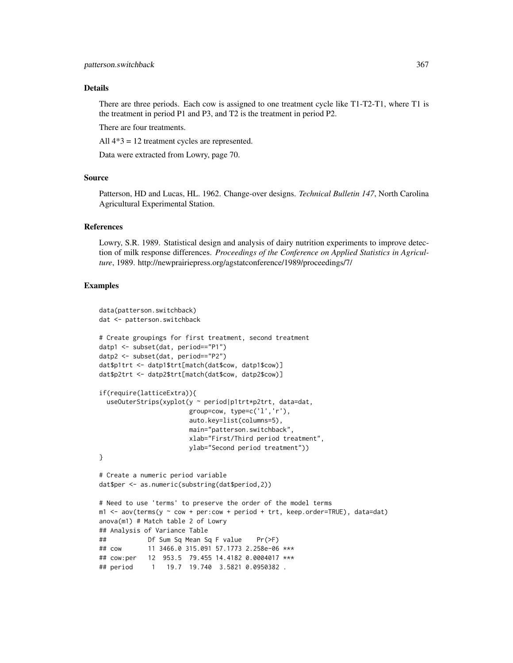### Details

There are three periods. Each cow is assigned to one treatment cycle like T1-T2-T1, where T1 is the treatment in period P1 and P3, and T2 is the treatment in period P2.

There are four treatments.

All 4\*3 = 12 treatment cycles are represented.

Data were extracted from Lowry, page 70.

## Source

Patterson, HD and Lucas, HL. 1962. Change-over designs. *Technical Bulletin 147*, North Carolina Agricultural Experimental Station.

## References

Lowry, S.R. 1989. Statistical design and analysis of dairy nutrition experiments to improve detection of milk response differences. *Proceedings of the Conference on Applied Statistics in Agriculture*, 1989. http://newprairiepress.org/agstatconference/1989/proceedings/7/

```
data(patterson.switchback)
dat <- patterson.switchback
# Create groupings for first treatment, second treatment
datp1 <- subset(dat, period=="P1")
datp2 <- subset(dat, period=="P2")
dat$p1trt <- datp1$trt[match(dat$cow, datp1$cow)]
dat$p2trt <- datp2$trt[match(dat$cow, datp2$cow)]
if(require(latticeExtra)){
 useOuterStrips(xyplot(y ~ period|p1trt*p2trt, data=dat,
                       group=cow, type=c('l','r'),
                       auto.key=list(columns=5),
                       main="patterson.switchback",
                       xlab="First/Third period treatment",
                       ylab="Second period treatment"))
}
# Create a numeric period variable
dat$per <- as.numeric(substring(dat$period,2))
# Need to use 'terms' to preserve the order of the model terms
m1 < -aov(terms(y \sim cow + per:cow + period + trt, keep.order=TRUE), data=dat)
anova(m1) # Match table 2 of Lowry
## Analysis of Variance Table
## Df Sum Sq Mean Sq F value Pr(>F)
## cow 11 3466.0 315.091 57.1773 2.258e-06 ***
## cow:per 12 953.5 79.455 14.4182 0.0004017 ***
## period 1 19.7 19.740 3.5821 0.0950382 .
```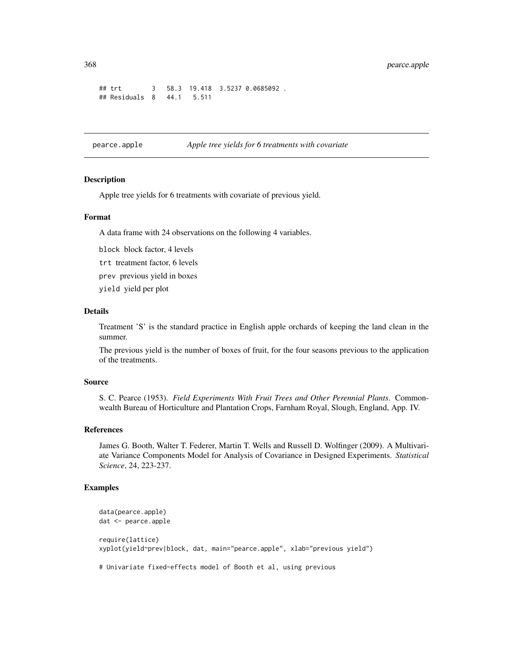```
## trt 3 58.3 19.418 3.5237 0.0685092 .
## Residuals 8 44.1 5.511
```
pearce.apple *Apple tree yields for 6 treatments with covariate*

# Description

Apple tree yields for 6 treatments with covariate of previous yield.

# Format

A data frame with 24 observations on the following 4 variables.

block block factor, 4 levels

trt treatment factor, 6 levels

prev previous yield in boxes

yield yield per plot

#### Details

Treatment 'S' is the standard practice in English apple orchards of keeping the land clean in the summer.

The previous yield is the number of boxes of fruit, for the four seasons previous to the application of the treatments.

### Source

S. C. Pearce (1953). *Field Experiments With Fruit Trees and Other Perennial Plants*. Commonwealth Bureau of Horticulture and Plantation Crops, Farnham Royal, Slough, England, App. IV.

## References

James G. Booth, Walter T. Federer, Martin T. Wells and Russell D. Wolfinger (2009). A Multivariate Variance Components Model for Analysis of Covariance in Designed Experiments. *Statistical Science*, 24, 223-237.

# Examples

```
data(pearce.apple)
dat <- pearce.apple
require(lattice)
xyplot(yield~prev|block, dat, main="pearce.apple", xlab="previous yield")
```
# Univariate fixed-effects model of Booth et al, using previous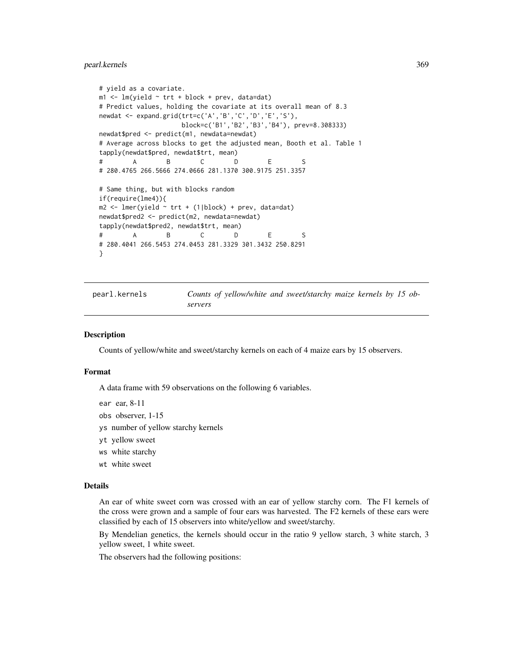## pearl.kernels 369

```
# yield as a covariate.
m1 <- lm(yield \sim trt + block + prev, data=dat)
# Predict values, holding the covariate at its overall mean of 8.3
newdat <- expand.grid(trt=c('A','B','C','D','E','S'),
                    block=c('B1','B2','B3','B4'), prev=8.308333)
newdat$pred <- predict(m1, newdata=newdat)
# Average across blocks to get the adjusted mean, Booth et al. Table 1
tapply(newdat$pred, newdat$trt, mean)
# A B C D E S
# 280.4765 266.5666 274.0666 281.1370 300.9175 251.3357
# Same thing, but with blocks random
if(require(lme4)){
m2 \leq -\text{Imer}(yield \sim trt + (1|block) + prev, data=dat)newdat$pred2 <- predict(m2, newdata=newdat)
tapply(newdat$pred2, newdat$trt, mean)
# A B C D E S
# 280.4041 266.5453 274.0453 281.3329 301.3432 250.8291
}
```
pearl.kernels *Counts of yellow/white and sweet/starchy maize kernels by 15 observers*

## Description

Counts of yellow/white and sweet/starchy kernels on each of 4 maize ears by 15 observers.

# Format

A data frame with 59 observations on the following 6 variables.

ear ear, 8-11

- obs observer, 1-15
- ys number of yellow starchy kernels
- yt yellow sweet
- ws white starchy
- wt white sweet

### Details

An ear of white sweet corn was crossed with an ear of yellow starchy corn. The F1 kernels of the cross were grown and a sample of four ears was harvested. The F2 kernels of these ears were classified by each of 15 observers into white/yellow and sweet/starchy.

By Mendelian genetics, the kernels should occur in the ratio 9 yellow starch, 3 white starch, 3 yellow sweet, 1 white sweet.

The observers had the following positions: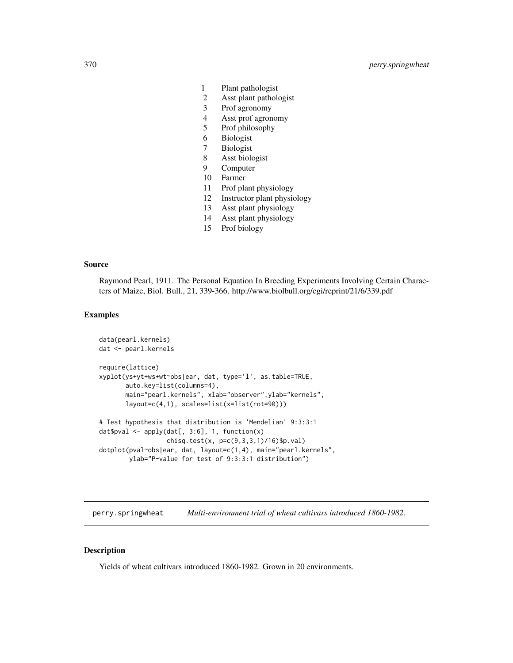- 1 Plant pathologist
- 2 Asst plant pathologist
- 3 Prof agronomy
- 4 Asst prof agronomy
- 5 Prof philosophy
- 6 Biologist
- 7 Biologist
- 8 Asst biologist
- 9 Computer
- 10 Farmer
- 11 Prof plant physiology
- 12 Instructor plant physiology
- 13 Asst plant physiology
- 14 Asst plant physiology
- 15 Prof biology

### Source

Raymond Pearl, 1911. The Personal Equation In Breeding Experiments Involving Certain Characters of Maize, Biol. Bull., 21, 339-366. http://www.biolbull.org/cgi/reprint/21/6/339.pdf

### Examples

```
data(pearl.kernels)
dat <- pearl.kernels
require(lattice)
xyplot(ys+yt+ws+wt~obs|ear, dat, type='l', as.table=TRUE,
      auto.key=list(columns=4),
      main="pearl.kernels", xlab="observer",ylab="kernels",
      layout=c(4,1), scales=list(x=list(rot=90)))
# Test hypothesis that distribution is 'Mendelian' 9:3:3:1
dat$pval <- apply(data[, 3:6], 1, function(x)chisq.test(x, p=c(9,3,3,1)/16)$p.val)
dotplot(pval~obs|ear, dat, layout=c(1,4), main="pearl.kernels",
       ylab="P-value for test of 9:3:3:1 distribution")
```
perry.springwheat *Multi-environment trial of wheat cultivars introduced 1860-1982.*

#### Description

Yields of wheat cultivars introduced 1860-1982. Grown in 20 environments.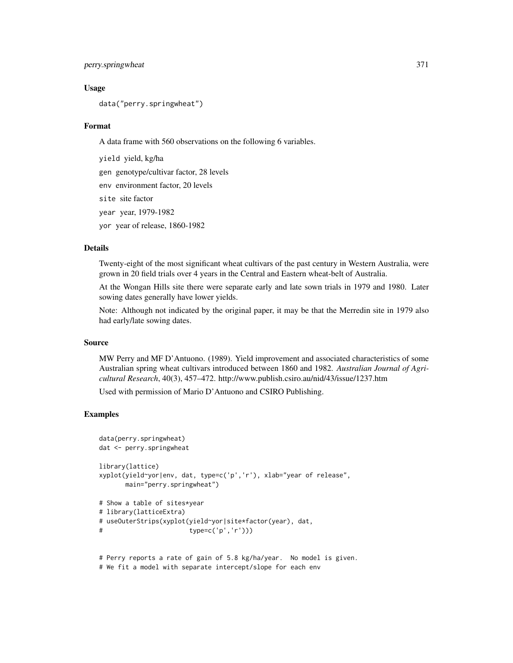# perry.springwheat 371

### Usage

data("perry.springwheat")

#### Format

A data frame with 560 observations on the following 6 variables.

yield yield, kg/ha gen genotype/cultivar factor, 28 levels env environment factor, 20 levels site site factor year year, 1979-1982 yor year of release, 1860-1982

# Details

Twenty-eight of the most significant wheat cultivars of the past century in Western Australia, were grown in 20 field trials over 4 years in the Central and Eastern wheat-belt of Australia.

At the Wongan Hills site there were separate early and late sown trials in 1979 and 1980. Later sowing dates generally have lower yields.

Note: Although not indicated by the original paper, it may be that the Merredin site in 1979 also had early/late sowing dates.

#### Source

MW Perry and MF D'Antuono. (1989). Yield improvement and associated characteristics of some Australian spring wheat cultivars introduced between 1860 and 1982. *Australian Journal of Agricultural Research*, 40(3), 457–472. http://www.publish.csiro.au/nid/43/issue/1237.htm

Used with permission of Mario D'Antuono and CSIRO Publishing.

```
data(perry.springwheat)
dat <- perry.springwheat
library(lattice)
xyplot(yield~yor|env, dat, type=c('p','r'), xlab="year of release",
      main="perry.springwheat")
# Show a table of sites*year
# library(latticeExtra)
# useOuterStrips(xyplot(yield~yor|site*factor(year), dat,
# type=c('p','r')))
# Perry reports a rate of gain of 5.8 kg/ha/year. No model is given.
```

```
# We fit a model with separate intercept/slope for each env
```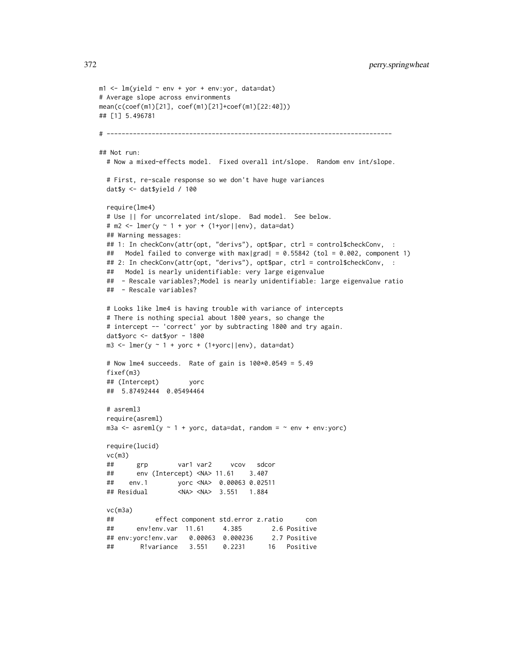```
m1 <- lm(yield ~ env + yor + env:yor, data=dat)
# Average slope across environments
mean(c(coef(m1)[21], coef(m1)[21]+coef(m1)[22:40]))
## [1] 5.496781
# ----------------------------------------------------------------------------
## Not run:
 # Now a mixed-effects model. Fixed overall int/slope. Random env int/slope.
 # First, re-scale response so we don't have huge variances
 dat$y <- dat$yield / 100
 require(lme4)
 # Use || for uncorrelated int/slope. Bad model. See below.
 # m2 <- lmer(y - 1 + yor + (1 + yor ||env), data=dat)## Warning messages:
 ## 1: In checkConv(attr(opt, "derivs"), opt$par, ctrl = control$checkConv, :
 ## Model failed to converge with max|grad| = 0.55842 (tol = 0.002, component 1)
 ## 2: In checkConv(attr(opt, "derivs"), opt$par, ctrl = control$checkConv, :
 ## Model is nearly unidentifiable: very large eigenvalue
 ## - Rescale variables?; Model is nearly unidentifiable: large eigenvalue ratio
 ## - Rescale variables?
 # Looks like lme4 is having trouble with variance of intercepts
 # There is nothing special about 1800 years, so change the
 # intercept -- 'correct' yor by subtracting 1800 and try again.
 dat$yorc <- dat$yor - 1800
 m3 <- lmer(y \sim 1 + yorc + (1+yorc||env), data=dat)# Now lme4 succeeds. Rate of gain is 100*0.0549 = 5.49
 fixef(m3)
 ## (Intercept) yorc
 ## 5.87492444 0.05494464
 # asreml3
 require(asreml)
 m3a \leq asreml(y \sim 1 + yorc, data=dat, random = \sim env + env:yorc)
 require(lucid)
 vc(m3)## grp var1 var2 vcov sdcor
 ## env (Intercept) <NA> 11.61 3.407
 ## env.1 yorc <NA> 0.00063 0.02511
 ## Residual <NA> <NA> 3.551 1.884
 vc(m3a)
 ## effect component std.error z.ratio con
 ## env!env.var 11.61 4.385 2.6 Positive
 ## env:yorc!env.var 0.00063 0.000236 2.7 Positive
 ## R!variance 3.551 0.2231 16 Positive
```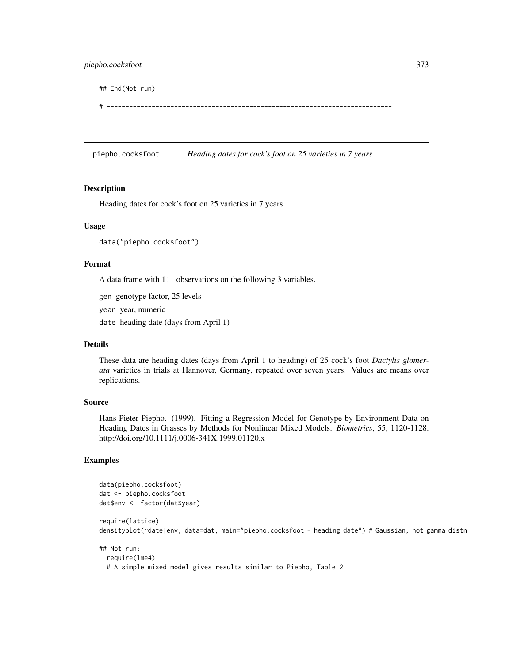## End(Not run)

# ----------------------------------------------------------------------------

piepho.cocksfoot *Heading dates for cock's foot on 25 varieties in 7 years*

## Description

Heading dates for cock's foot on 25 varieties in 7 years

## Usage

data("piepho.cocksfoot")

## Format

A data frame with 111 observations on the following 3 variables.

gen genotype factor, 25 levels

year year, numeric

date heading date (days from April 1)

# Details

These data are heading dates (days from April 1 to heading) of 25 cock's foot *Dactylis glomerata* varieties in trials at Hannover, Germany, repeated over seven years. Values are means over replications.

### Source

Hans-Pieter Piepho. (1999). Fitting a Regression Model for Genotype-by-Environment Data on Heading Dates in Grasses by Methods for Nonlinear Mixed Models. *Biometrics*, 55, 1120-1128. http://doi.org/10.1111/j.0006-341X.1999.01120.x

# Examples

```
data(piepho.cocksfoot)
dat <- piepho.cocksfoot
dat$env <- factor(dat$year)
```
require(lattice) densityplot(~date|env, data=dat, main="piepho.cocksfoot - heading date") # Gaussian, not gamma distn

```
## Not run:
 require(lme4)
 # A simple mixed model gives results similar to Piepho, Table 2.
```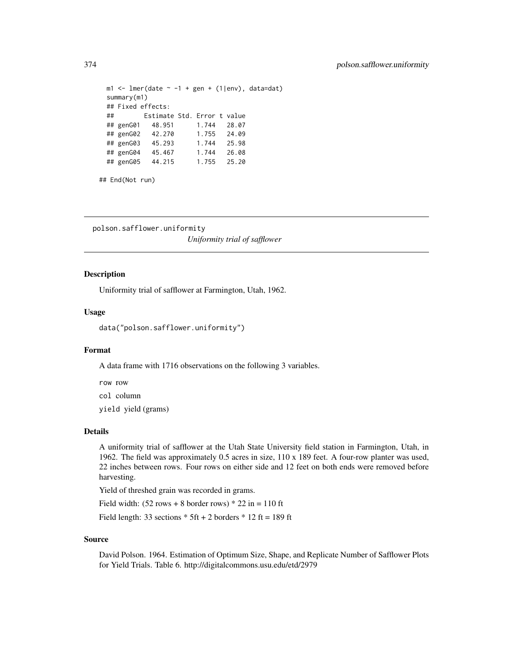```
m1 <- lmer(date \sim -1 + gen + (1|env), data=dat)
summary(m1)
## Fixed effects:
## Estimate Std. Error t value
## genG01 48.951 1.744 28.07
## genG02 42.270
## genG03 45.293 1.744 25.98
## genG04 45.467 1.744 26.08
## genG05 44.215 1.755 25.20
```

```
## End(Not run)
```

```
polson.safflower.uniformity
                         Uniformity trial of safflower
```
## Description

Uniformity trial of safflower at Farmington, Utah, 1962.

# Usage

data("polson.safflower.uniformity")

# Format

A data frame with 1716 observations on the following 3 variables.

row row

col column

yield yield (grams)

### Details

A uniformity trial of safflower at the Utah State University field station in Farmington, Utah, in 1962. The field was approximately 0.5 acres in size, 110 x 189 feet. A four-row planter was used, 22 inches between rows. Four rows on either side and 12 feet on both ends were removed before harvesting.

Yield of threshed grain was recorded in grams.

Field width:  $(52 \text{ rows} + 8 \text{ border rows}) * 22 \text{ in} = 110 \text{ ft}$ 

Field length: 33 sections  $*$  5ft + 2 borders  $*$  12 ft = 189 ft

### Source

David Polson. 1964. Estimation of Optimum Size, Shape, and Replicate Number of Safflower Plots for Yield Trials. Table 6. http://digitalcommons.usu.edu/etd/2979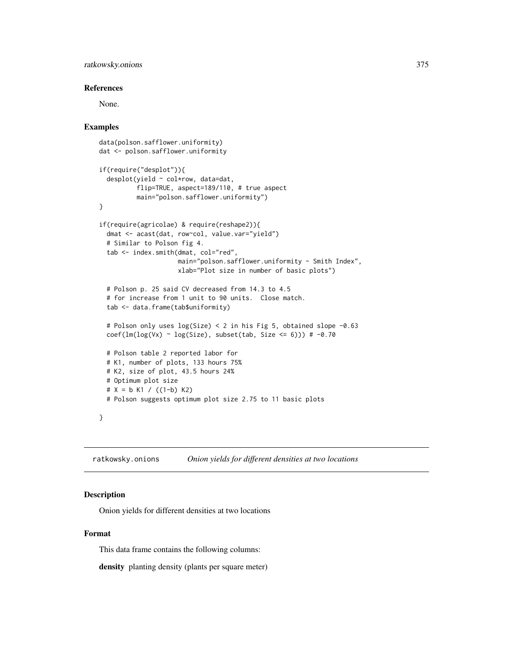# ratkowsky.onions 375

### References

None.

# Examples

```
data(polson.safflower.uniformity)
dat <- polson.safflower.uniformity
if(require("desplot")){
 desplot(yield ~ col*row, data=dat,
          flip=TRUE, aspect=189/110, # true aspect
          main="polson.safflower.uniformity")
}
if(require(agricolae) & require(reshape2)){
 dmat <- acast(dat, row~col, value.var="yield")
 # Similar to Polson fig 4.
 tab <- index.smith(dmat, col="red",
                      main="polson.safflower.uniformity - Smith Index",
                      xlab="Plot size in number of basic plots")
 # Polson p. 25 said CV decreased from 14.3 to 4.5
 # for increase from 1 unit to 90 units. Close match.
 tab <- data.frame(tab$uniformity)
 # Polson only uses log(Size) < 2 in his Fig 5, obtained slope -0.63
 \text{coef}(\text{lm}(\text{log}(Vx) \sim \text{log}(\text{Size}), \text{ subset}(\text{tab}, \text{Size} \leq 6))) \text{ # -0.70}# Polson table 2 reported labor for
 # K1, number of plots, 133 hours 75%
 # K2, size of plot, 43.5 hours 24%
 # Optimum plot size
 # X = b K1 / ((1-b) K2)# Polson suggests optimum plot size 2.75 to 11 basic plots
}
```
ratkowsky.onions *Onion yields for different densities at two locations*

# Description

Onion yields for different densities at two locations

## Format

This data frame contains the following columns:

density planting density (plants per square meter)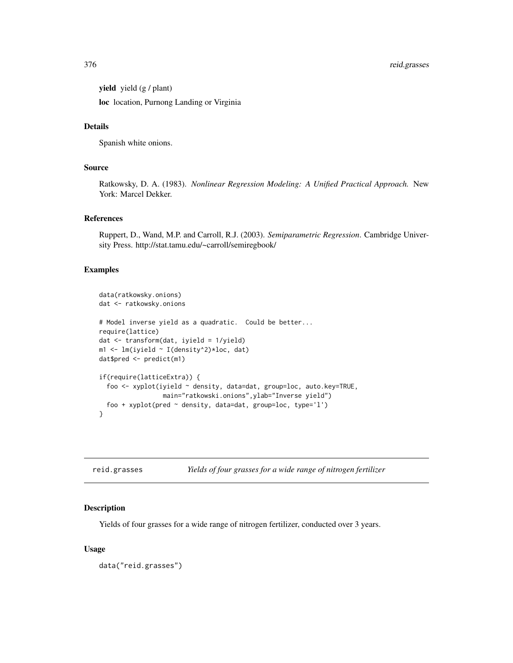yield yield (g / plant)

loc location, Purnong Landing or Virginia

# Details

Spanish white onions.

# Source

Ratkowsky, D. A. (1983). *Nonlinear Regression Modeling: A Unified Practical Approach.* New York: Marcel Dekker.

## References

Ruppert, D., Wand, M.P. and Carroll, R.J. (2003). *Semiparametric Regression*. Cambridge University Press. http://stat.tamu.edu/~carroll/semiregbook/

# Examples

```
data(ratkowsky.onions)
dat <- ratkowsky.onions
# Model inverse yield as a quadratic. Could be better...
require(lattice)
dat <- transform(dat, iyield = 1/yield)
m1 <- lm(iyield ~ I(density^2)*loc, dat)
dat$pred <- predict(m1)
if(require(latticeExtra)) {
  foo <- xyplot(iyield ~ density, data=dat, group=loc, auto.key=TRUE,
                 main="ratkowski.onions",ylab="Inverse yield")
  foo + xyplot(pred ~ density, data=dat, group=loc, type='l')
}
```

| reid.grasses |  |  | Yields of four grasses for a wide range of nitrogen fertilizer |
|--------------|--|--|----------------------------------------------------------------|
|--------------|--|--|----------------------------------------------------------------|

### Description

Yields of four grasses for a wide range of nitrogen fertilizer, conducted over 3 years.

#### Usage

data("reid.grasses")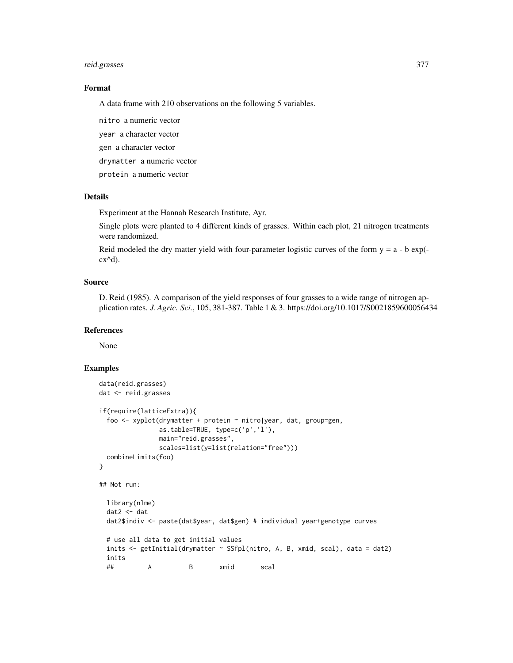# reid.grasses 377

# Format

A data frame with 210 observations on the following 5 variables.

nitro a numeric vector year a character vector gen a character vector drymatter a numeric vector protein a numeric vector

# Details

Experiment at the Hannah Research Institute, Ayr.

Single plots were planted to 4 different kinds of grasses. Within each plot, 21 nitrogen treatments were randomized.

Reid modeled the dry matter yield with four-parameter logistic curves of the form  $y = a - b \exp(-b)$  $cx^{\wedge}d$ ).

# Source

D. Reid (1985). A comparison of the yield responses of four grasses to a wide range of nitrogen application rates. *J. Agric. Sci.*, 105, 381-387. Table 1 & 3. https://doi.org/10.1017/S0021859600056434

### References

None

```
data(reid.grasses)
dat <- reid.grasses
if(require(latticeExtra)){
 foo <- xyplot(drymatter + protein ~ nitro|year, dat, group=gen,
               as.table=TRUE, type=c('p','l'),
               main="reid.grasses",
               scales=list(y=list(relation="free")))
 combineLimits(foo)
}
## Not run:
 library(nlme)
 dat2 <- dat
 dat2$indiv <- paste(dat$year, dat$gen) # individual year+genotype curves
 # use all data to get initial values
 inits <- getInitial(drymatter ~ SSfpl(nitro, A, B, xmid, scal), data = dat2)
 inits
  ## A B xmid scal
```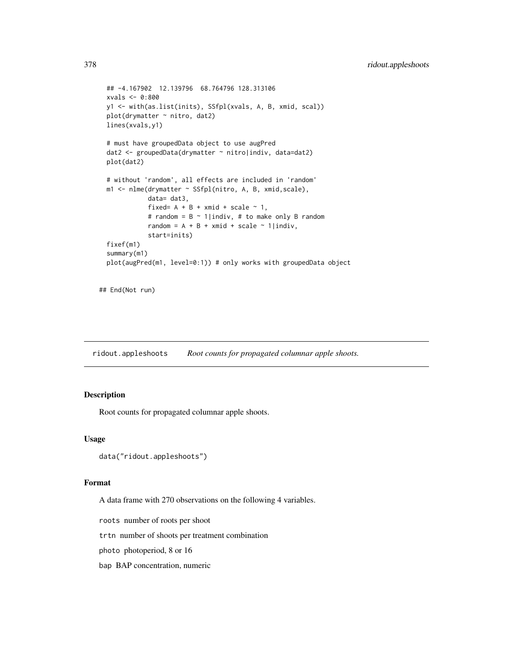```
## -4.167902 12.139796 68.764796 128.313106
xvals <- 0:800
y1 <- with(as.list(inits), SSfpl(xvals, A, B, xmid, scal))
plot(drymatter ~ nitro, dat2)
lines(xvals,y1)
# must have groupedData object to use augPred
dat2 <- groupedData(drymatter ~ nitro|indiv, data=dat2)
plot(dat2)
# without 'random', all effects are included in 'random'
m1 <- nlme(drymatter ~ SSfpl(nitro, A, B, xmid,scale),
           data= dat3,
           fixed= A + B + xmid + scale ~ 1,
           # random = B \sim 1|indiv, # to make only B random
           random = A + B + xmid + scale ~ 1|indiv,
           start=inits)
fixef(m1)
summary(m1)
plot(augPred(m1, level=0:1)) # only works with groupedData object
```

```
## End(Not run)
```
ridout.appleshoots *Root counts for propagated columnar apple shoots.*

# Description

Root counts for propagated columnar apple shoots.

#### Usage

```
data("ridout.appleshoots")
```
# Format

A data frame with 270 observations on the following 4 variables.

roots number of roots per shoot

trtn number of shoots per treatment combination

photo photoperiod, 8 or 16

bap BAP concentration, numeric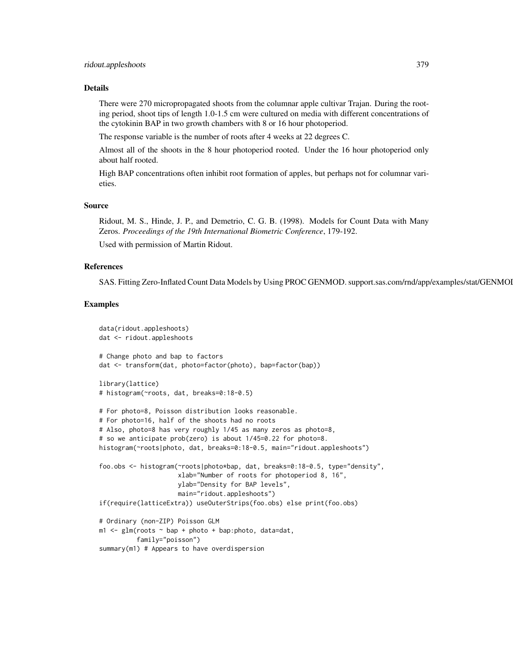### Details

There were 270 micropropagated shoots from the columnar apple cultivar Trajan. During the rooting period, shoot tips of length 1.0-1.5 cm were cultured on media with different concentrations of the cytokinin BAP in two growth chambers with 8 or 16 hour photoperiod.

The response variable is the number of roots after 4 weeks at 22 degrees C.

Almost all of the shoots in the 8 hour photoperiod rooted. Under the 16 hour photoperiod only about half rooted.

High BAP concentrations often inhibit root formation of apples, but perhaps not for columnar varieties.

## Source

Ridout, M. S., Hinde, J. P., and Demetrio, C. G. B. (1998). Models for Count Data with Many Zeros. *Proceedings of the 19th International Biometric Conference*, 179-192.

Used with permission of Martin Ridout.

# References

SAS. Fitting Zero-Inflated Count Data Models by Using PROC GENMOD. support.sas.com/rnd/app/examples/stat/GENMOI

```
data(ridout.appleshoots)
dat <- ridout.appleshoots
# Change photo and bap to factors
dat <- transform(dat, photo=factor(photo), bap=factor(bap))
library(lattice)
# histogram(~roots, dat, breaks=0:18-0.5)
# For photo=8, Poisson distribution looks reasonable.
# For photo=16, half of the shoots had no roots
# Also, photo=8 has very roughly 1/45 as many zeros as photo=8,
# so we anticipate prob(zero) is about 1/45=0.22 for photo=8.
histogram(~roots|photo, dat, breaks=0:18-0.5, main="ridout.appleshoots")
foo.obs <- histogram(~roots|photo*bap, dat, breaks=0:18-0.5, type="density",
                      xlab="Number of roots for photoperiod 8, 16",
                      ylab="Density for BAP levels",
                      main="ridout.appleshoots")
if(require(latticeExtra)) useOuterStrips(foo.obs) else print(foo.obs)
# Ordinary (non-ZIP) Poisson GLM
m1 \leq -g \ln(\text{roots} \leq \text{bap} + \text{photo} + \text{bap:photo}, \text{data=dat},family="poisson")
summary(m1) # Appears to have overdispersion
```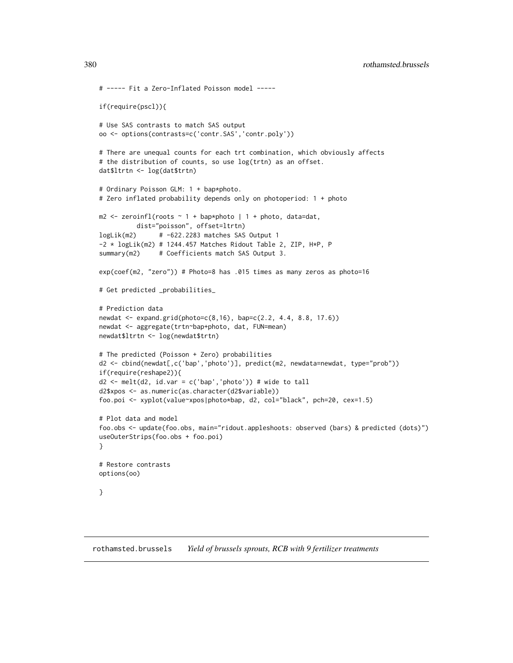```
# ----- Fit a Zero-Inflated Poisson model -----
if(require(pscl)){
# Use SAS contrasts to match SAS output
oo <- options(contrasts=c('contr.SAS','contr.poly'))
# There are unequal counts for each trt combination, which obviously affects
# the distribution of counts, so use log(trtn) as an offset.
dat$ltrtn <- log(dat$trtn)
# Ordinary Poisson GLM: 1 + bap*photo.
# Zero inflated probability depends only on photoperiod: 1 + photo
m2 \le zeroinfl(roots \sim 1 + bap*photo | 1 + photo, data=dat,
          dist="poisson", offset=ltrtn)
logLik(m2) # -622.2283 matches SAS Output 1
-2 * logLik(m2) # 1244.457 Matches Ridout Table 2, ZIP, H*P, P
summary(m2) # Coefficients match SAS Output 3.
exp(coef(m2, "zero")) # Photo=8 has .015 times as many zeros as photo=16
# Get predicted _probabilities_
# Prediction data
newdat <- expand.grid(photo=c(8,16), bap=c(2.2, 4.4, 8.8, 17.6))
newdat <- aggregate(trtn~bap+photo, dat, FUN=mean)
newdat$ltrtn <- log(newdat$trtn)
# The predicted (Poisson + Zero) probabilities
d2 <- cbind(newdat[,c('bap','photo')], predict(m2, newdata=newdat, type="prob"))
if(require(reshape2)){
d2 \le melt(d2, id.var = c('bap','photo')) # wide to tall
d2$xpos <- as.numeric(as.character(d2$variable))
foo.poi <- xyplot(value~xpos|photo*bap, d2, col="black", pch=20, cex=1.5)
# Plot data and model
foo.obs <- update(foo.obs, main="ridout.appleshoots: observed (bars) & predicted (dots)")
useOuterStrips(foo.obs + foo.poi)
}
# Restore contrasts
options(oo)
}
```
rothamsted.brussels *Yield of brussels sprouts, RCB with 9 fertilizer treatments*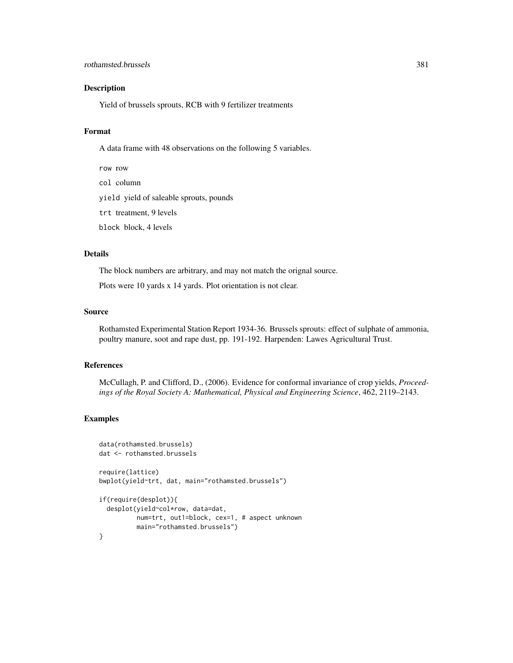# rothamsted.brussels 381

# Description

Yield of brussels sprouts, RCB with 9 fertilizer treatments

# Format

A data frame with 48 observations on the following 5 variables.

row row col column yield yield of saleable sprouts, pounds trt treatment, 9 levels block block, 4 levels

# Details

The block numbers are arbitrary, and may not match the orignal source.

Plots were 10 yards x 14 yards. Plot orientation is not clear.

### Source

Rothamsted Experimental Station Report 1934-36. Brussels sprouts: effect of sulphate of ammonia, poultry manure, soot and rape dust, pp. 191-192. Harpenden: Lawes Agricultural Trust.

# References

McCullagh, P. and Clifford, D., (2006). Evidence for conformal invariance of crop yields, *Proceedings of the Royal Society A: Mathematical, Physical and Engineering Science*, 462, 2119–2143.

```
data(rothamsted.brussels)
dat <- rothamsted.brussels
require(lattice)
bwplot(yield~trt, dat, main="rothamsted.brussels")
if(require(desplot)){
 desplot(yield~col*row, data=dat,
         num=trt, out1=block, cex=1, # aspect unknown
         main="rothamsted.brussels")
}
```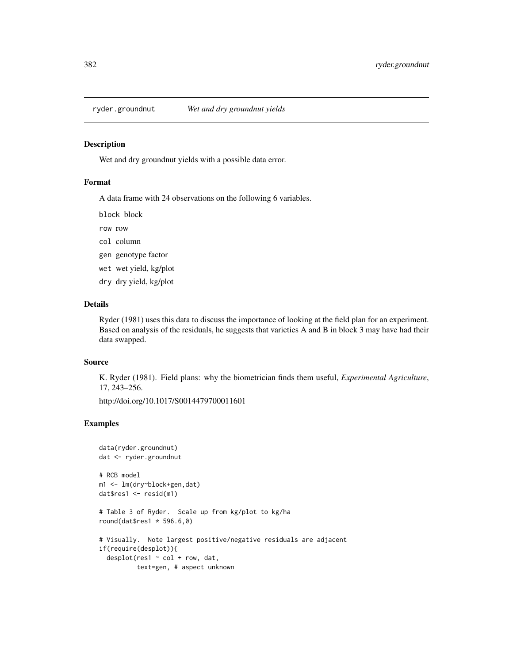### Description

Wet and dry groundnut yields with a possible data error.

# Format

A data frame with 24 observations on the following 6 variables.

block block

row row

col column

- gen genotype factor
- wet wet yield, kg/plot
- dry dry yield, kg/plot

# Details

Ryder (1981) uses this data to discuss the importance of looking at the field plan for an experiment. Based on analysis of the residuals, he suggests that varieties A and B in block 3 may have had their data swapped.

### Source

K. Ryder (1981). Field plans: why the biometrician finds them useful, *Experimental Agriculture*, 17, 243–256.

http://doi.org/10.1017/S0014479700011601

```
data(ryder.groundnut)
dat <- ryder.groundnut
# RCB model
m1 <- lm(dry~block+gen,dat)
dat$res1 <- resid(m1)
# Table 3 of Ryder. Scale up from kg/plot to kg/ha
round(dat$res1 * 596.6,0)
# Visually. Note largest positive/negative residuals are adjacent
if(require(desplot)){
  desplot(res1 ~ ~ col ~ + ~ row, dat,text=gen, # aspect unknown
```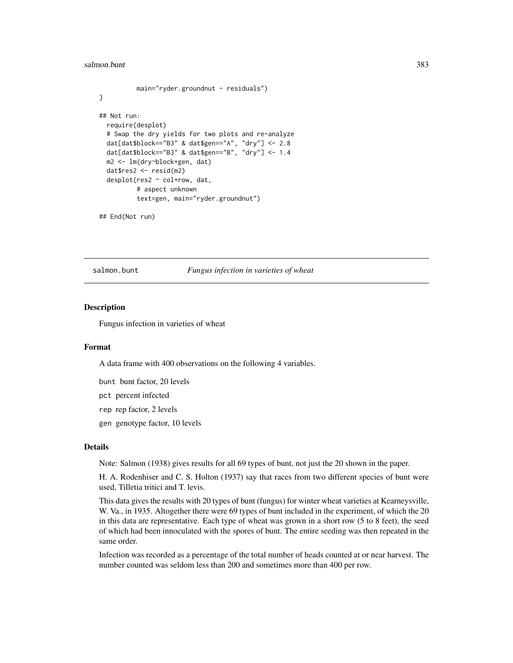#### salmon.bunt 383

```
main="ryder.groundnut - residuals")
}
## Not run:
 require(desplot)
 # Swap the dry yields for two plots and re-analyze
 dat[dat$block=="B3" & dat$gen=="A", "dry"] <- 2.8
 dat[dat$block=="B3" & dat$gen=="B", "dry"] <- 1.4
 m2 <- lm(dry~block+gen, dat)
 dat$res2 <- resid(m2)
 desplot(res2 ~ col+row, dat,
          # aspect unknown
          text=gen, main="ryder.groundnut")
```

```
## End(Not run)
```
salmon.bunt *Fungus infection in varieties of wheat*

### Description

Fungus infection in varieties of wheat

#### Format

A data frame with 400 observations on the following 4 variables.

bunt bunt factor, 20 levels

pct percent infected

rep rep factor, 2 levels

gen genotype factor, 10 levels

# Details

Note: Salmon (1938) gives results for all 69 types of bunt, not just the 20 shown in the paper.

H. A. Rodenhiser and C. S. Holton (1937) say that races from two different species of bunt were used, Tilletia tritici and T. levis.

This data gives the results with 20 types of bunt (fungus) for winter wheat varieties at Kearneysville, W. Va., in 1935. Altogether there were 69 types of bunt included in the experiment, of which the 20 in this data are representative. Each type of wheat was grown in a short row (5 to 8 feet), the seed of which had been innoculated with the spores of bunt. The entire seeding was then repeated in the same order.

Infection was recorded as a percentage of the total number of heads counted at or near harvest. The number counted was seldom less than 200 and sometimes more than 400 per row.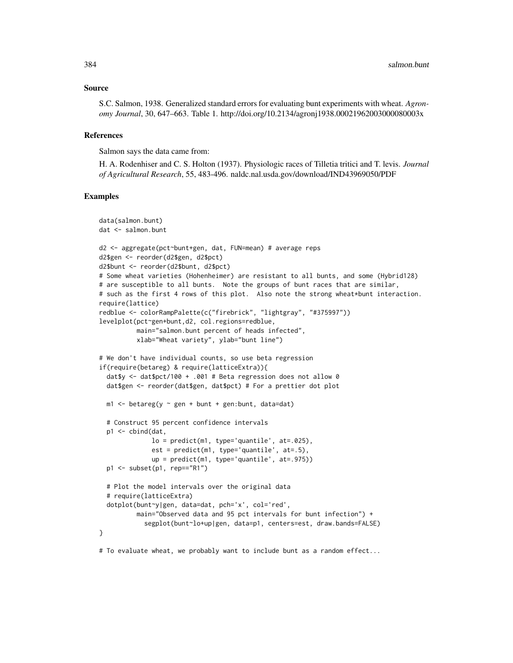## Source

S.C. Salmon, 1938. Generalized standard errors for evaluating bunt experiments with wheat. *Agronomy Journal*, 30, 647–663. Table 1. http://doi.org/10.2134/agronj1938.00021962003000080003x

### References

Salmon says the data came from:

H. A. Rodenhiser and C. S. Holton (1937). Physiologic races of Tilletia tritici and T. levis. *Journal of Agricultural Research*, 55, 483-496. naldc.nal.usda.gov/download/IND43969050/PDF

#### Examples

```
data(salmon.bunt)
dat <- salmon.bunt
d2 <- aggregate(pct~bunt+gen, dat, FUN=mean) # average reps
d2$gen <- reorder(d2$gen, d2$pct)
d2$bunt <- reorder(d2$bunt, d2$pct)
# Some wheat varieties (Hohenheimer) are resistant to all bunts, and some (Hybrid128)
# are susceptible to all bunts. Note the groups of bunt races that are similar,
# such as the first 4 rows of this plot. Also note the strong wheat*bunt interaction.
require(lattice)
redblue <- colorRampPalette(c("firebrick", "lightgray", "#375997"))
levelplot(pct~gen+bunt,d2, col.regions=redblue,
          main="salmon.bunt percent of heads infected",
          xlab="Wheat variety", ylab="bunt line")
# We don't have individual counts, so use beta regression
if(require(betareg) & require(latticeExtra)){
 dat$y <- dat$pct/100 + .001 # Beta regression does not allow 0
 dat$gen <- reorder(dat$gen, dat$pct) # For a prettier dot plot
 m1 <- betareg(y \sim gen + bunt + gen:bunt, data=dat)
 # Construct 95 percent confidence intervals
 p1 <- cbind(dat,
              lo = predict(m1, type='quantile', at=.025),
              est = predict(m1, type='quantile', at=.5),
              up = predict(m1, type='quantile', at=.975))
 p1 <- subset(p1, rep=="R1")
 # Plot the model intervals over the original data
 # require(latticeExtra)
 dotplot(bunt~y|gen, data=dat, pch='x', col='red',
          main="Observed data and 95 pct intervals for bunt infection") +
            segplot(bunt~lo+up|gen, data=p1, centers=est, draw.bands=FALSE)
}
```
# To evaluate wheat, we probably want to include bunt as a random effect...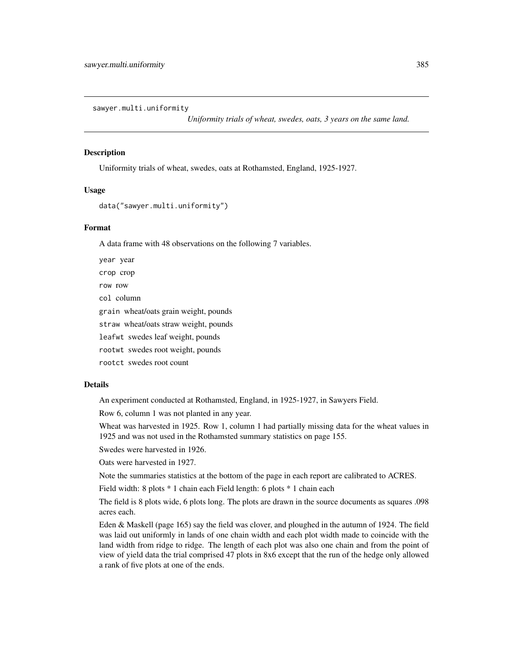sawyer.multi.uniformity

*Uniformity trials of wheat, swedes, oats, 3 years on the same land.*

# Description

Uniformity trials of wheat, swedes, oats at Rothamsted, England, 1925-1927.

# Usage

```
data("sawyer.multi.uniformity")
```
### Format

A data frame with 48 observations on the following 7 variables.

year year crop crop row row col column grain wheat/oats grain weight, pounds straw wheat/oats straw weight, pounds leafwt swedes leaf weight, pounds rootwt swedes root weight, pounds

rootct swedes root count

### Details

An experiment conducted at Rothamsted, England, in 1925-1927, in Sawyers Field.

Row 6, column 1 was not planted in any year.

Wheat was harvested in 1925. Row 1, column 1 had partially missing data for the wheat values in 1925 and was not used in the Rothamsted summary statistics on page 155.

Swedes were harvested in 1926.

Oats were harvested in 1927.

Note the summaries statistics at the bottom of the page in each report are calibrated to ACRES.

Field width: 8 plots \* 1 chain each Field length: 6 plots \* 1 chain each

The field is 8 plots wide, 6 plots long. The plots are drawn in the source documents as squares .098 acres each.

Eden & Maskell (page 165) say the field was clover, and ploughed in the autumn of 1924. The field was laid out uniformly in lands of one chain width and each plot width made to coincide with the land width from ridge to ridge. The length of each plot was also one chain and from the point of view of yield data the trial comprised 47 plots in 8x6 except that the run of the hedge only allowed a rank of five plots at one of the ends.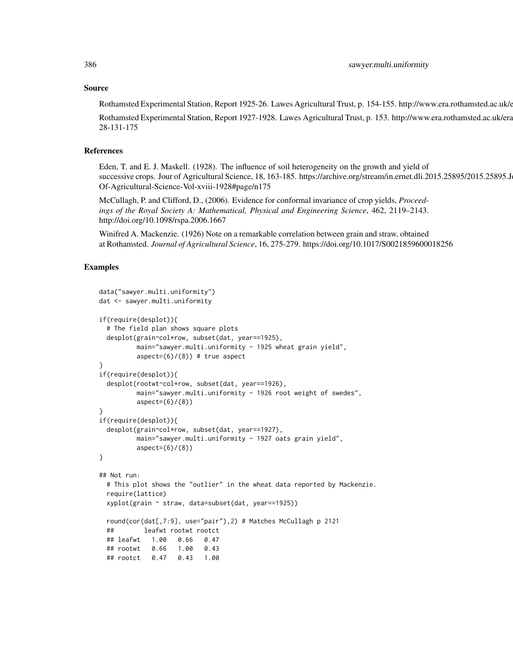#### Source

Rothamsted Experimental Station, Report 1925-26. Lawes Agricultural Trust, p. 154-155. http://www.era.rothamsted.ac.uk/6

Rothamsted Experimental Station, Report 1927-1928. Lawes Agricultural Trust, p. 153. http://www.era.rothamsted.ac.uk/era 28-131-175

# References

Eden, T. and E. J. Maskell. (1928). The influence of soil heterogeneity on the growth and yield of successive crops. Jour of Agricultural Science, 18, 163-185. https://archive.org/stream/in.ernet.dli.2015.25895/2015.25895.J Of-Agricultural-Science-Vol-xviii-1928#page/n175

McCullagh, P. and Clifford, D., (2006). Evidence for conformal invariance of crop yields, *Proceedings of the Royal Society A: Mathematical, Physical and Engineering Science*, 462, 2119–2143. http://doi.org/10.1098/rspa.2006.1667

Winifred A. Mackenzie. (1926) Note on a remarkable correlation between grain and straw, obtained at Rothamsted. *Journal of Agricultural Science*, 16, 275-279. https://doi.org/10.1017/S0021859600018256

```
data("sawyer.multi.uniformity")
dat <- sawyer.multi.uniformity
if(require(desplot)){
 # The field plan shows square plots
 desplot(grain~col*row, subset(dat, year==1925),
         main="sawyer.multi.uniformity - 1925 wheat grain yield",
         aspect=(6)/(8) # true aspect
}
if(require(desplot)){
 desplot(rootwt~col*row, subset(dat, year==1926),
         main="sawyer.multi.uniformity - 1926 root weight of swedes",
         aspect=(6)/(8))
}
if(require(desplot)){
 desplot(grain~col*row, subset(dat, year==1927),
         main="sawyer.multi.uniformity - 1927 oats grain yield",
         aspect=(6)/(8)}
## Not run:
 # This plot shows the "outlier" in the wheat data reported by Mackenzie.
 require(lattice)
 xyplot(grain ~ straw, data=subset(dat, year==1925))
 round(cor(dat[,7:9], use="pair"),2) # Matches McCullagh p 2121
 ## leafwt rootwt rootct
 ## leafwt 1.00 0.66 0.47
 ## rootwt 0.66 1.00 0.43
 ## rootct 0.47 0.43 1.00
```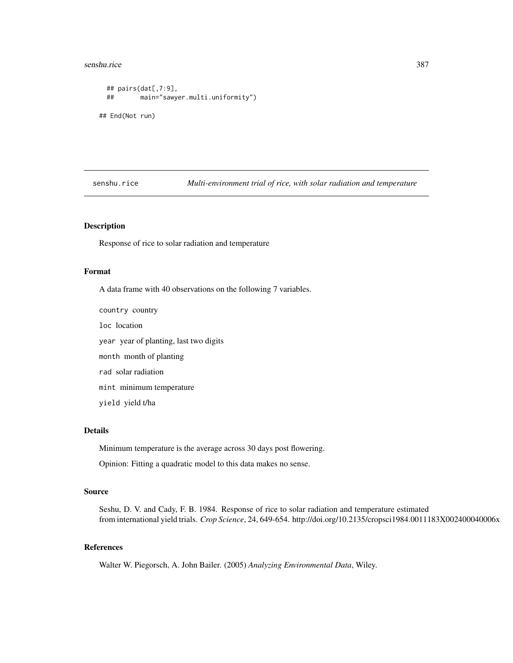#### senshu.rice 387

```
## pairs(dat[,7:9],
 ## main="sawyer.multi.uniformity")
## End(Not run)
```
senshu.rice *Multi-environment trial of rice, with solar radiation and temperature* 

# Description

Response of rice to solar radiation and temperature

## Format

A data frame with 40 observations on the following 7 variables.

country country loc location year year of planting, last two digits month month of planting rad solar radiation mint minimum temperature

yield yield t/ha

# Details

Minimum temperature is the average across 30 days post flowering.

Opinion: Fitting a quadratic model to this data makes no sense.

# Source

Seshu, D. V. and Cady, F. B. 1984. Response of rice to solar radiation and temperature estimated from international yield trials. *Crop Science*, 24, 649-654. http://doi.org/10.2135/cropsci1984.0011183X002400040006x

# References

Walter W. Piegorsch, A. John Bailer. (2005) *Analyzing Environmental Data*, Wiley.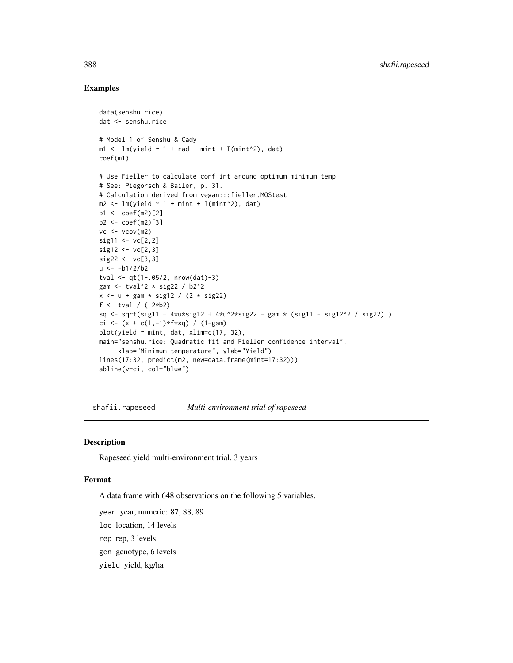# Examples

```
data(senshu.rice)
dat <- senshu.rice
# Model 1 of Senshu & Cady
m1 \leq -\ln(yield \sim 1 + rad + mint + I(mint^2), dat)coef(m1)
# Use Fieller to calculate conf int around optimum minimum temp
# See: Piegorsch & Bailer, p. 31.
# Calculation derived from vegan:::fieller.MOStest
m2 < - \text{lm}(yield \sim 1 + \text{mint} + I(\text{mint}^2), dat)
b1 < - \text{coeff}(m2)[2]b2 \leq coef(m2)[3]
vc < - vcov(m2)sig11 \leftarrow vc[2,2]sig12 \leq vc[2,3]sig22 < -vc[3,3]u < -b1/2/b2tval <- qt(1-.05/2, nrow(data)-3)gam <- tval^2 * sig22 / b2^2
x \le -u + \text{gam} * \text{sig12} / (2 * \text{sig22})f <- tval / (-2*b2)
sq <- sqrt(sig11 + 4*u*sig12 + 4*u^2*sig22 - gam * (sig11 - sig12^2 / sig22) )
ci <- (x + c(1, -1)*f*sq) / (1-gam)plot(yield \sim mint, dat, xlim=c(17, 32),
main="senshu.rice: Quadratic fit and Fieller confidence interval",
     xlab="Minimum temperature", ylab="Yield")
lines(17:32, predict(m2, new=data.frame(mint=17:32)))
abline(v=ci, col="blue")
```
shafii.rapeseed *Multi-environment trial of rapeseed*

## Description

Rapeseed yield multi-environment trial, 3 years

## Format

A data frame with 648 observations on the following 5 variables.

year year, numeric: 87, 88, 89

loc location, 14 levels

rep rep, 3 levels

gen genotype, 6 levels

yield yield, kg/ha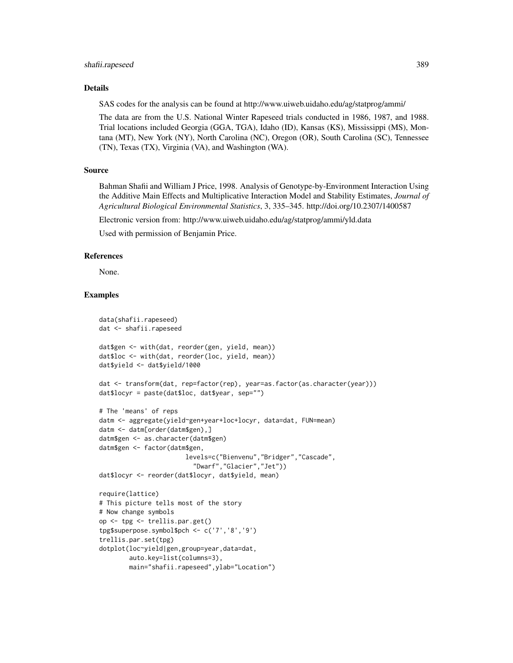#### shafii.rapeseed 389

#### Details

SAS codes for the analysis can be found at http://www.uiweb.uidaho.edu/ag/statprog/ammi/

The data are from the U.S. National Winter Rapeseed trials conducted in 1986, 1987, and 1988. Trial locations included Georgia (GGA, TGA), Idaho (ID), Kansas (KS), Mississippi (MS), Montana (MT), New York (NY), North Carolina (NC), Oregon (OR), South Carolina (SC), Tennessee (TN), Texas (TX), Virginia (VA), and Washington (WA).

# Source

Bahman Shafii and William J Price, 1998. Analysis of Genotype-by-Environment Interaction Using the Additive Main Effects and Multiplicative Interaction Model and Stability Estimates, *Journal of Agricultural Biological Environmental Statistics*, 3, 335–345. http://doi.org/10.2307/1400587

Electronic version from: http://www.uiweb.uidaho.edu/ag/statprog/ammi/yld.data

Used with permission of Benjamin Price.

#### References

None.

```
data(shafii.rapeseed)
dat <- shafii.rapeseed
dat$gen <- with(dat, reorder(gen, yield, mean))
dat$loc <- with(dat, reorder(loc, yield, mean))
dat$yield <- dat$yield/1000
dat <- transform(dat, rep=factor(rep), year=as.factor(as.character(year)))
dat$locyr = paste(dat$loc, dat$year, sep="")
# The 'means' of reps
datm <- aggregate(yield~gen+year+loc+locyr, data=dat, FUN=mean)
datm <- datm[order(datm$gen),]
datm$gen <- as.character(datm$gen)
datm$gen <- factor(datm$gen,
                       levels=c("Bienvenu","Bridger","Cascade",
                         "Dwarf","Glacier","Jet"))
dat$locyr <- reorder(dat$locyr, dat$yield, mean)
require(lattice)
# This picture tells most of the story
# Now change symbols
op <- tpg <- trellis.par.get()
tpg$superpose.symbol$pch <- c('7','8','9')
trellis.par.set(tpg)
dotplot(loc~yield|gen,group=year,data=dat,
       auto.key=list(columns=3),
       main="shafii.rapeseed",ylab="Location")
```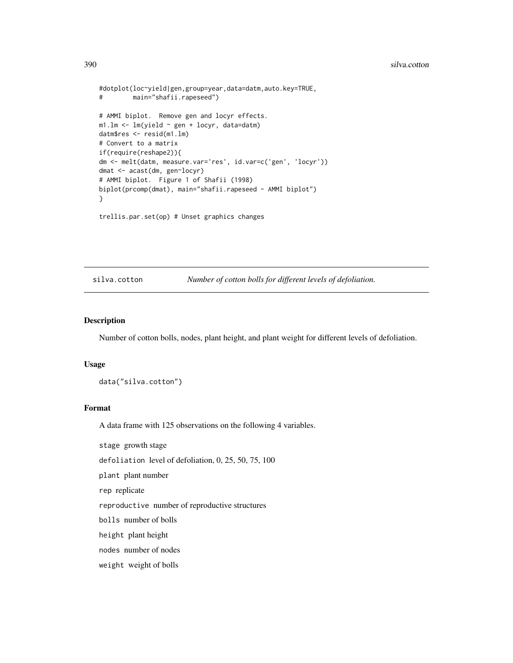```
#dotplot(loc~yield|gen,group=year,data=datm,auto.key=TRUE,
# main="shafii.rapeseed")
# AMMI biplot. Remove gen and locyr effects.
m1.lm <- lm(yield ~ gen + locyr, data=datm)
datm$res <- resid(m1.lm)
# Convert to a matrix
if(require(reshape2)){
dm <- melt(datm, measure.var='res', id.var=c('gen', 'locyr'))
dmat <- acast(dm, gen~locyr)
# AMMI biplot. Figure 1 of Shafii (1998)
biplot(prcomp(dmat), main="shafii.rapeseed - AMMI biplot")
}
```

```
trellis.par.set(op) # Unset graphics changes
```
silva.cotton *Number of cotton bolls for different levels of defoliation.*

## Description

Number of cotton bolls, nodes, plant height, and plant weight for different levels of defoliation.

#### Usage

data("silva.cotton")

# Format

A data frame with 125 observations on the following 4 variables.

stage growth stage

defoliation level of defoliation, 0, 25, 50, 75, 100

plant plant number

rep replicate

reproductive number of reproductive structures

bolls number of bolls

height plant height

nodes number of nodes

weight weight of bolls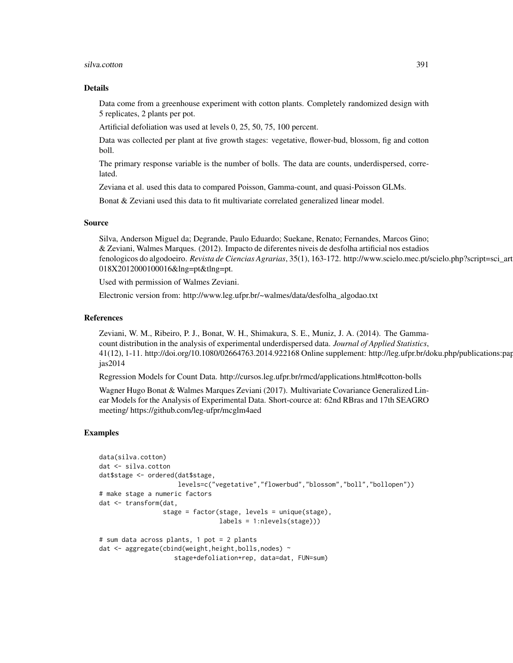#### silva.cotton 391

### Details

Data come from a greenhouse experiment with cotton plants. Completely randomized design with 5 replicates, 2 plants per pot.

Artificial defoliation was used at levels 0, 25, 50, 75, 100 percent.

Data was collected per plant at five growth stages: vegetative, flower-bud, blossom, fig and cotton boll.

The primary response variable is the number of bolls. The data are counts, underdispersed, correlated.

Zeviana et al. used this data to compared Poisson, Gamma-count, and quasi-Poisson GLMs.

Bonat & Zeviani used this data to fit multivariate correlated generalized linear model.

#### Source

Silva, Anderson Miguel da; Degrande, Paulo Eduardo; Suekane, Renato; Fernandes, Marcos Gino; & Zeviani, Walmes Marques. (2012). Impacto de diferentes niveis de desfolha artificial nos estadios fenologicos do algodoeiro. *Revista de Ciencias Agrarias*, 35(1), 163-172. http://www.scielo.mec.pt/scielo.php?script=sci\_art 018X2012000100016&lng=pt&tlng=pt.

Used with permission of Walmes Zeviani.

Electronic version from: http://www.leg.ufpr.br/~walmes/data/desfolha\_algodao.txt

### References

Zeviani, W. M., Ribeiro, P. J., Bonat, W. H., Shimakura, S. E., Muniz, J. A. (2014). The Gammacount distribution in the analysis of experimental underdispersed data. *Journal of Applied Statistics*,  $41(12)$ , 1-11. http://doi.org/10.1080/02664763.2014.922168 Online supplement: http://leg.ufpr.br/doku.php/publications:pap jas2014

Regression Models for Count Data. http://cursos.leg.ufpr.br/rmcd/applications.html#cotton-bolls

Wagner Hugo Bonat & Walmes Marques Zeviani (2017). Multivariate Covariance Generalized Linear Models for the Analysis of Experimental Data. Short-cource at: 62nd RBras and 17th SEAGRO meeting/ https://github.com/leg-ufpr/mcglm4aed

```
data(silva.cotton)
dat <- silva.cotton
dat$stage <- ordered(dat$stage,
                     levels=c("vegetative","flowerbud","blossom","boll","bollopen"))
# make stage a numeric factors
dat <- transform(dat,
                 stage = factor(stage, levels = unique(stage),
                                labels = 1:nlevels(stage)))
# sum data across plants, 1 pot = 2 plants
dat <- aggregate(cbind(weight,height,bolls,nodes) ~
                    stage+defoliation+rep, data=dat, FUN=sum)
```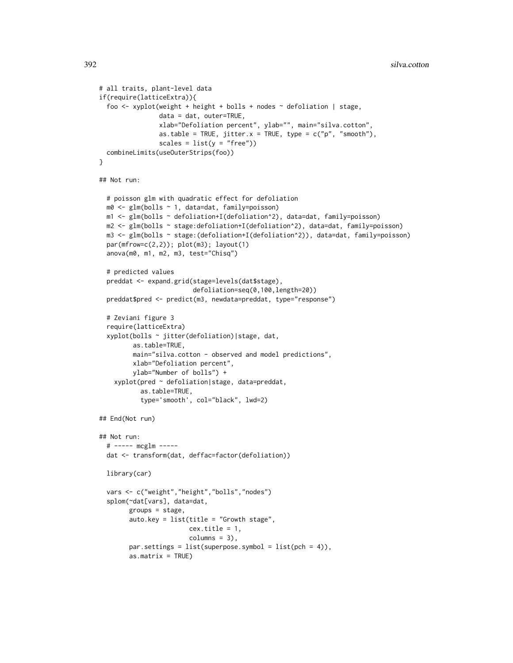```
# all traits, plant-level data
if(require(latticeExtra)){
 foo <- xyplot(weight + height + bolls + nodes ~ defoliation | stage,
                data = dat, outer=TRUE,
                xlab="Defoliation percent", ylab="", main="silva.cotton",
                as.table = TRUE, jitter.x = TRUE, type = c("p", "smooth"),scales = list(y = "free")combineLimits(useOuterStrips(foo))
}
## Not run:
 # poisson glm with quadratic effect for defoliation
 m0 <- glm(bolls ~ 1, data=dat, family=poisson)
 m1 <- glm(bolls ~ defoliation+I(defoliation^2), data=dat, family=poisson)
 m2 <- glm(bolls ~ stage:defoliation+I(defoliation^2), data=dat, family=poisson)
 m3 <- glm(bolls ~ stage:(defoliation+I(defoliation^2)), data=dat, family=poisson)
 par(mfrow=c(2,2)); plot(m3); layout(1)
 anova(m0, m1, m2, m3, test="Chisq")
 # predicted values
 preddat <- expand.grid(stage=levels(dat$stage),
                         defoliation=seq(0,100,length=20))
 preddat$pred <- predict(m3, newdata=preddat, type="response")
 # Zeviani figure 3
 require(latticeExtra)
 xyplot(bolls ~ jitter(defoliation)|stage, dat,
         as.table=TRUE,
        main="silva.cotton - observed and model predictions",
        xlab="Defoliation percent",
        ylab="Number of bolls") +
    xyplot(pred ~ defoliation|stage, data=preddat,
          as.table=TRUE,
           type='smooth', col="black", lwd=2)
## End(Not run)
## Not run:
 # ----- mcglm -----
 dat <- transform(dat, deffac=factor(defoliation))
 library(car)
 vars <- c("weight","height","bolls","nodes")
 splom(~dat[vars], data=dat,
       groups = stage,auto.key = list(title = "Growth stage",
                        cex.title = 1,
                        columns = 3),
       par.settings = list(superpose.symbol = list(pch = 4)),as.matrix = TRUE)
```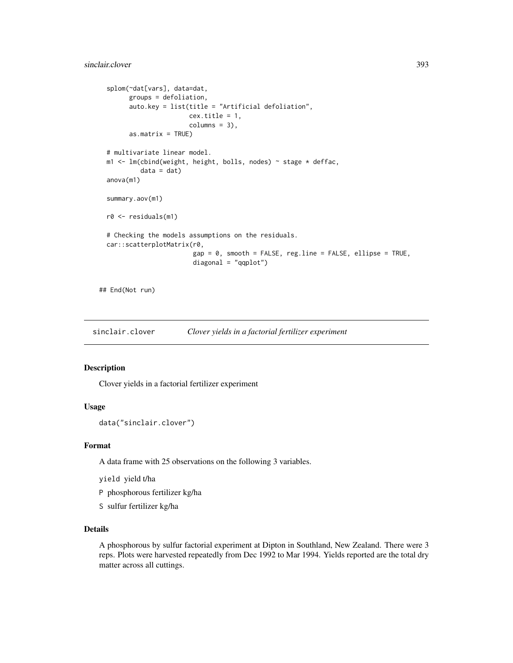```
splom(~dat[vars], data=dat,
      groups = defoliation,
      auto.key = list(title = "Artificial defoliation",
                      cex.title = 1,
                      columns = 3),
      as.matrix = TRUE)
# multivariate linear model.
m1 <- lm(cbind(weight, height, bolls, nodes) ~ stage * deffac,
         data = dat)anova(m1)
summary.aov(m1)
r0 <- residuals(m1)
# Checking the models assumptions on the residuals.
car::scatterplotMatrix(r0,
                       gap = 0, smooth = FALSE, reg.line = FALSE, ellipse = TRUE,
                       diagonal = "qqplot")
```
## End(Not run)

sinclair.clover *Clover yields in a factorial fertilizer experiment*

# Description

Clover yields in a factorial fertilizer experiment

## Usage

```
data("sinclair.clover")
```
### Format

A data frame with 25 observations on the following 3 variables.

yield yield t/ha

P phosphorous fertilizer kg/ha

S sulfur fertilizer kg/ha

# Details

A phosphorous by sulfur factorial experiment at Dipton in Southland, New Zealand. There were 3 reps. Plots were harvested repeatedly from Dec 1992 to Mar 1994. Yields reported are the total dry matter across all cuttings.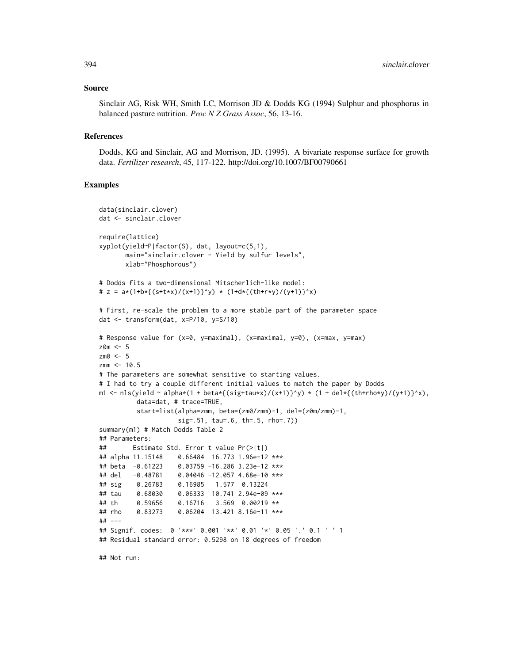#### Source

Sinclair AG, Risk WH, Smith LC, Morrison JD & Dodds KG (1994) Sulphur and phosphorus in balanced pasture nutrition. *Proc N Z Grass Assoc*, 56, 13-16.

### References

Dodds, KG and Sinclair, AG and Morrison, JD. (1995). A bivariate response surface for growth data. *Fertilizer research*, 45, 117-122. http://doi.org/10.1007/BF00790661

### Examples

```
data(sinclair.clover)
dat <- sinclair.clover
require(lattice)
xyplot(yield~P|factor(S), dat, layout=c(5,1),
      main="sinclair.clover - Yield by sulfur levels",
      xlab="Phosphorous")
# Dodds fits a two-dimensional Mitscherlich-like model:
# z = a*(1+b*{(s+t*x)/(x+1)}^y) * (1+d*{(th+r*y)/(y+1)}^x)
# First, re-scale the problem to a more stable part of the parameter space
dat <- transform(dat, x=P/10, y=S/10)
# Response value for (x=0, y=maximal), (x=maximal, y=0), (x=max, y=max)
z0m <- 5
zm\theta <- 5
zmm < -10.5# The parameters are somewhat sensitive to starting values.
# I had to try a couple different initial values to match the paper by Dodds
m1 <- nls(yield ~ alpha*(1 + beta*{(sig+tau*x)/(x+1)}^y) * (1 + del*{(th+rho*y)/(y+1)}^x),
          data=dat, # trace=TRUE,
          start=list(alpha=zmm, beta=(zm0/zmm)-1, del=(z0m/zmm)-1,
                    sig=.51, tau=.6, th=.5, rho=.7))
summary(m1) # Match Dodds Table 2
## Parameters:
## Estimate Std. Error t value Pr(>|t|)
## alpha 11.15148 0.66484 16.773 1.96e-12 ***
## beta -0.61223 0.03759 -16.286 3.23e-12 ***
## del -0.48781 0.04046 -12.057 4.68e-10 ***
## sig 0.26783 0.16985 1.577 0.13224
## tau 0.68030 0.06333 10.741 2.94e-09 ***
## th 0.59656 0.16716 3.569 0.00219 **
## rho 0.83273 0.06204 13.421 8.16e-11 ***
## ---
## Signif. codes: 0 '***' 0.001 '**' 0.01 '*' 0.05 '.' 0.1 ' ' 1
## Residual standard error: 0.5298 on 18 degrees of freedom
```
## Not run: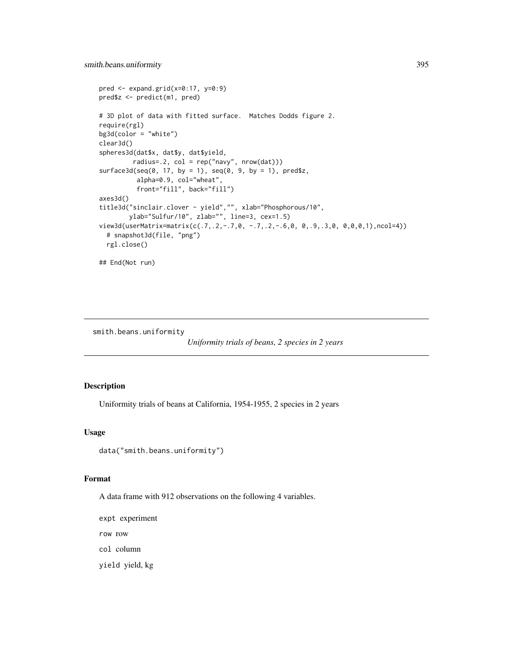```
pred \leq expand.grid(x=0:17, y=0:9)
pred$z <- predict(m1, pred)
# 3D plot of data with fitted surface. Matches Dodds figure 2.
require(rgl)
bg3d(color = "white")
clear3d()
spheres3d(dat$x, dat$y, dat$yield,
         radius=.2, col = rep("navy", nrow(dat)))
surface3d(seq(0, 17, by = 1), seq(0, 9, by = 1), pred$z,alpha=0.9, col="wheat",
          front="fill", back="fill")
axes3d()
title3d("sinclair.clover - yield","", xlab="Phosphorous/10",
        ylab="Sulfur/10", zlab="", line=3, cex=1.5)
view3d(userMatrix=matrix(c(.7,.2,-.7,0, -.7,.2,-.6,0, 0,.9,.3,0, 0,0,0,1),ncol=4))
  # snapshot3d(file, "png")
  rgl.close()
## End(Not run)
```
smith.beans.uniformity

*Uniformity trials of beans, 2 species in 2 years*

# Description

Uniformity trials of beans at California, 1954-1955, 2 species in 2 years

# Usage

```
data("smith.beans.uniformity")
```
### Format

A data frame with 912 observations on the following 4 variables.

expt experiment

row row

col column

yield yield, kg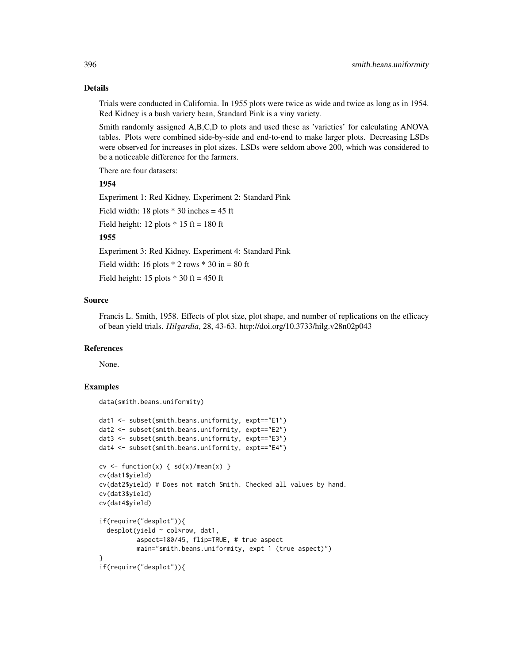# Details

Trials were conducted in California. In 1955 plots were twice as wide and twice as long as in 1954. Red Kidney is a bush variety bean, Standard Pink is a viny variety.

Smith randomly assigned A,B,C,D to plots and used these as 'varieties' for calculating ANOVA tables. Plots were combined side-by-side and end-to-end to make larger plots. Decreasing LSDs were observed for increases in plot sizes. LSDs were seldom above 200, which was considered to be a noticeable difference for the farmers.

There are four datasets:

# 1954

Experiment 1: Red Kidney. Experiment 2: Standard Pink

Field width: 18 plots  $*$  30 inches = 45 ft

Field height: 12 plots  $*$  15 ft = 180 ft

## 1955

Experiment 3: Red Kidney. Experiment 4: Standard Pink

Field width: 16 plots  $*$  2 rows  $*$  30 in = 80 ft

Field height: 15 plots  $*$  30 ft = 450 ft

## Source

Francis L. Smith, 1958. Effects of plot size, plot shape, and number of replications on the efficacy of bean yield trials. *Hilgardia*, 28, 43-63. http://doi.org/10.3733/hilg.v28n02p043

### References

None.

```
data(smith.beans.uniformity)
```

```
dat1 <- subset(smith.beans.uniformity, expt=="E1")
dat2 <- subset(smith.beans.uniformity, expt=="E2")
dat3 <- subset(smith.beans.uniformity, expt=="E3")
dat4 <- subset(smith.beans.uniformity, expt=="E4")
cv \le function(x) { sd(x)/mean(x) }
cv(dat1$yield)
cv(dat2$yield) # Does not match Smith. Checked all values by hand.
cv(dat3$yield)
cv(dat4$yield)
if(require("desplot")){
 desplot(yield ~ col*row, dat1,
         aspect=180/45, flip=TRUE, # true aspect
         main="smith.beans.uniformity, expt 1 (true aspect)")
}
if(require("desplot")){
```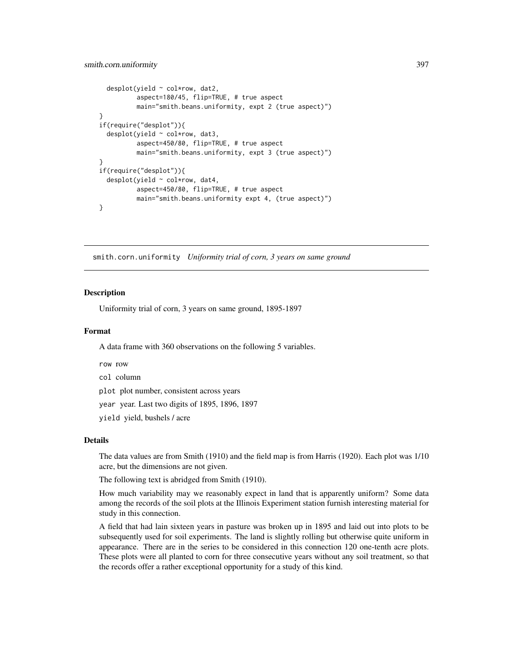```
desplot(yield ~ col*row, dat2,
          aspect=180/45, flip=TRUE, # true aspect
         main="smith.beans.uniformity, expt 2 (true aspect)")
}
if(require("desplot")){
 desplot(yield ~ col*row, dat3,
          aspect=450/80, flip=TRUE, # true aspect
          main="smith.beans.uniformity, expt 3 (true aspect)")
}
if(require("desplot")){
 desplot(yield ~ col*row, dat4,
          aspect=450/80, flip=TRUE, # true aspect
          main="smith.beans.uniformity expt 4, (true aspect)")
}
```
smith.corn.uniformity *Uniformity trial of corn, 3 years on same ground*

## Description

Uniformity trial of corn, 3 years on same ground, 1895-1897

#### Format

A data frame with 360 observations on the following 5 variables.

row row

col column

plot plot number, consistent across years

year year. Last two digits of 1895, 1896, 1897

yield yield, bushels / acre

#### Details

The data values are from Smith (1910) and the field map is from Harris (1920). Each plot was 1/10 acre, but the dimensions are not given.

The following text is abridged from Smith (1910).

How much variability may we reasonably expect in land that is apparently uniform? Some data among the records of the soil plots at the Illinois Experiment station furnish interesting material for study in this connection.

A field that had lain sixteen years in pasture was broken up in 1895 and laid out into plots to be subsequently used for soil experiments. The land is slightly rolling but otherwise quite uniform in appearance. There are in the series to be considered in this connection 120 one-tenth acre plots. These plots were all planted to corn for three consecutive years without any soil treatment, so that the records offer a rather exceptional opportunity for a study of this kind.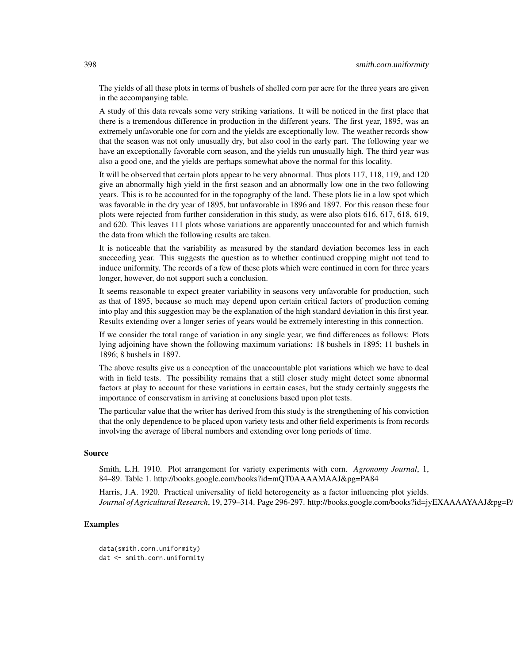The yields of all these plots in terms of bushels of shelled corn per acre for the three years are given in the accompanying table.

A study of this data reveals some very striking variations. It will be noticed in the first place that there is a tremendous difference in production in the different years. The first year, 1895, was an extremely unfavorable one for corn and the yields are exceptionally low. The weather records show that the season was not only unusually dry, but also cool in the early part. The following year we have an exceptionally favorable corn season, and the yields run unusually high. The third year was also a good one, and the yields are perhaps somewhat above the normal for this locality.

It will be observed that certain plots appear to be very abnormal. Thus plots 117, 118, 119, and 120 give an abnormally high yield in the first season and an abnormally low one in the two following years. This is to be accounted for in the topography of the land. These plots lie in a low spot which was favorable in the dry year of 1895, but unfavorable in 1896 and 1897. For this reason these four plots were rejected from further consideration in this study, as were also plots 616, 617, 618, 619, and 620. This leaves 111 plots whose variations are apparently unaccounted for and which furnish the data from which the following results are taken.

It is noticeable that the variability as measured by the standard deviation becomes less in each succeeding year. This suggests the question as to whether continued cropping might not tend to induce uniformity. The records of a few of these plots which were continued in corn for three years longer, however, do not support such a conclusion.

It seems reasonable to expect greater variability in seasons very unfavorable for production, such as that of 1895, because so much may depend upon certain critical factors of production coming into play and this suggestion may be the explanation of the high standard deviation in this first year. Results extending over a longer series of years would be extremely interesting in this connection.

If we consider the total range of variation in any single year, we find differences as follows: Plots lying adjoining have shown the following maximum variations: 18 bushels in 1895; 11 bushels in 1896; 8 bushels in 1897.

The above results give us a conception of the unaccountable plot variations which we have to deal with in field tests. The possibility remains that a still closer study might detect some abnormal factors at play to account for these variations in certain cases, but the study certainly suggests the importance of conservatism in arriving at conclusions based upon plot tests.

The particular value that the writer has derived from this study is the strengthening of his conviction that the only dependence to be placed upon variety tests and other field experiments is from records involving the average of liberal numbers and extending over long periods of time.

#### Source

Smith, L.H. 1910. Plot arrangement for variety experiments with corn. *Agronomy Journal*, 1, 84–89. Table 1. http://books.google.com/books?id=mQT0AAAAMAAJ&pg=PA84

Harris, J.A. 1920. Practical universality of field heterogeneity as a factor influencing plot yields. *Journal of Agricultural Research*, 19, 279–314. Page 296-297. http://books.google.com/books?id=jyEXAAAAYAAJ&pg=P.

## Examples

data(smith.corn.uniformity) dat <- smith.corn.uniformity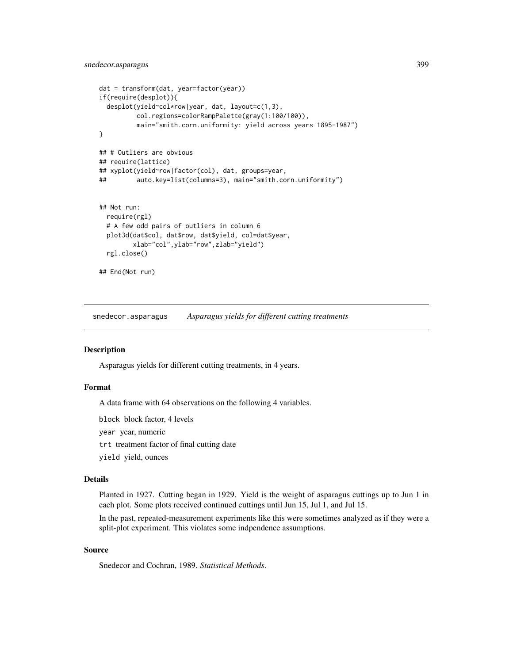```
dat = transform(dat, year=factor(year))
if(require(desplot)){
 desplot(yield~col*row|year, dat, layout=c(1,3),
         col.regions=colorRampPalette(gray(1:100/100)),
         main="smith.corn.uniformity: yield across years 1895-1987")
}
## # Outliers are obvious
## require(lattice)
## xyplot(yield~row|factor(col), dat, groups=year,
## auto.key=list(columns=3), main="smith.corn.uniformity")
## Not run:
 require(rgl)
 # A few odd pairs of outliers in column 6
 plot3d(dat$col, dat$row, dat$yield, col=dat$year,
         xlab="col",ylab="row",zlab="yield")
 rgl.close()
## End(Not run)
```
snedecor.asparagus *Asparagus yields for different cutting treatments*

## Description

Asparagus yields for different cutting treatments, in 4 years.

## Format

A data frame with 64 observations on the following 4 variables.

block block factor, 4 levels

year year, numeric

trt treatment factor of final cutting date

yield yield, ounces

#### Details

Planted in 1927. Cutting began in 1929. Yield is the weight of asparagus cuttings up to Jun 1 in each plot. Some plots received continued cuttings until Jun 15, Jul 1, and Jul 15.

In the past, repeated-measurement experiments like this were sometimes analyzed as if they were a split-plot experiment. This violates some indpendence assumptions.

#### Source

Snedecor and Cochran, 1989. *Statistical Methods*.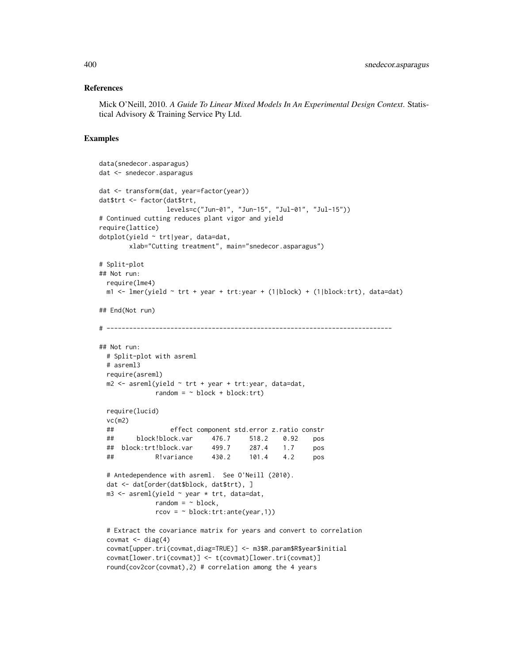## References

Mick O'Neill, 2010. *A Guide To Linear Mixed Models In An Experimental Design Context*. Statistical Advisory & Training Service Pty Ltd.

```
data(snedecor.asparagus)
dat <- snedecor.asparagus
dat <- transform(dat, year=factor(year))
dat$trt <- factor(dat$trt,
                 levels=c("Jun-01", "Jun-15", "Jul-01", "Jul-15"))
# Continued cutting reduces plant vigor and yield
require(lattice)
dotplot(yield ~ trt|year, data=dat,
       xlab="Cutting treatment", main="snedecor.asparagus")
# Split-plot
## Not run:
 require(lme4)
 m1 <- lmer(yield \sim trt + year + trt:year + (1|block) + (1|block:trt), data=dat)
## End(Not run)
# ----------------------------------------------------------------------------
## Not run:
 # Split-plot with asreml
 # asreml3
 require(asreml)
 m2 \leq -\text{asreml}(yield \sim \text{trt} + \text{year} + \text{trt}: year, data=dat,
              random = \sim block + block: trt)
 require(lucid)
 vc(m2)
 ## effect component std.error z.ratio constr
 ## block!block.var 476.7 518.2 0.92 pos
 ## block:trt!block.var 499.7 287.4 1.7 pos
 ## R!variance 430.2 101.4 4.2 pos
 # Antedependence with asreml. See O'Neill (2010).
 dat <- dat[order(dat$block, dat$trt), ]
 m3 \leq asreml(yield \sim year \star trt, data=dat,
              random = \sim block,
              rcov = ~ block: trt:ante(year, 1))# Extract the covariance matrix for years and convert to correlation
 covmat \leq diag(4)
 covmat[upper.tri(covmat,diag=TRUE)] <- m3$R.param$R$year$initial
 covmat[lower.tri(covmat)] <- t(covmat)[lower.tri(covmat)]
 round(cov2cor(covmat),2) # correlation among the 4 years
```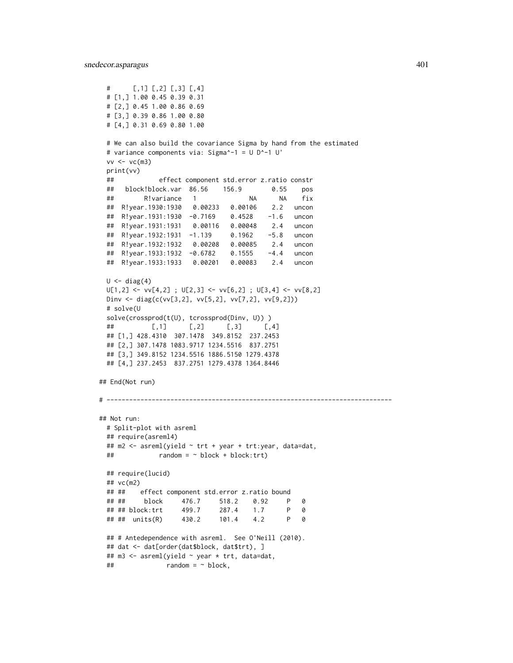```
# [,1] [,2] [,3] [,4]
 # [1,] 1.00 0.45 0.39 0.31
 # [2,] 0.45 1.00 0.86 0.69
 # [3,] 0.39 0.86 1.00 0.80
 # [4,] 0.31 0.69 0.80 1.00
 # We can also build the covariance Sigma by hand from the estimated
 # variance components via: Sigma^-1 = U D^-1 U'
 vv \leftarrow vc(m3)print(vv)
 ## effect component std.error z.ratio constr
 ## block!block.var 86.56 156.9 0.55 pos
 ## R!variance 1 NA NA fix
 ## R!year.1930:1930 0.00233 0.00106 2.2 uncon
 ## R!year.1931:1930 -0.7169 0.4528 -1.6 uncon
 ## R!year.1931:1931 0.00116 0.00048 2.4 uncon
 ## R!year.1932:1931 -1.139 0.1962 -5.8 uncon
 ## R!year.1932:1932 0.00208 0.00085 2.4 uncon
 ## R!year.1933:1932 -0.6782 0.1555 -4.4 uncon
 ## R!year.1933:1933 0.00201 0.00083 2.4 uncon
 U \leftarrow diag(4)U[1,2] \leftarrow \text{vv}[4,2]; U[2,3] \leftarrow \text{vv}[6,2]; U[3,4] \leftarrow \text{vv}[8,2]Dinv <- diag(c(vv[3,2], vv[5,2], vv[7,2], vv[9,2]))
 # solve(U
 solve(crossprod(t(U), tcrossprod(Dinv, U)) )
 ## [,1] [,2] [,3] [,4]
 ## [1,] 428.4310 307.1478 349.8152 237.2453
 ## [2,] 307.1478 1083.9717 1234.5516 837.2751
 ## [3,] 349.8152 1234.5516 1886.5150 1279.4378
 ## [4,] 237.2453 837.2751 1279.4378 1364.8446
## End(Not run)
# ----------------------------------------------------------------------------
## Not run:
 # Split-plot with asreml
 ## require(asreml4)
 ## m2 <- asreml(yield ~ trt + year + trt:year, data=dat,
 \# random = \sim block + block: trt)
 ## require(lucid)
 ## vc(m2)
 ## ## effect component std.error z.ratio bound
 ## ## block 476.7 518.2 0.92 P 0
 ## ## block:trt 499.7 287.4 1.7 P 0
 ## ## units(R) 430.2 101.4 4.2 P 0
 ## # Antedependence with asreml. See O'Neill (2010).
 ## dat <- dat[order(dat$block, dat$trt), ]
 ## m3 <- asreml(yield ~ year * trt, data=dat,
 \# \# random = \sim block,
```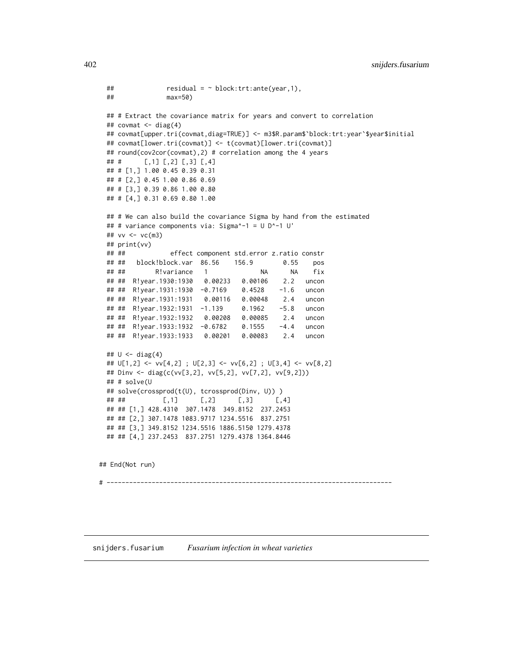```
\# residual = \sim block:trt:ante(year,1),
 ## max=50)
 ## # Extract the covariance matrix for years and convert to correlation
 ## covmat <- diag(4)
 ## covmat[upper.tri(covmat,diag=TRUE)] <- m3$R.param$`block:trt:year`$year$initial
 ## covmat[lower.tri(covmat)] <- t(covmat)[lower.tri(covmat)]
 ## round(cov2cor(covmat),2) # correlation among the 4 years
 ## # [,1] [,2] [,3] [,4]
 ## # [1,] 1.00 0.45 0.39 0.31
 ## # [2,] 0.45 1.00 0.86 0.69
 ## # [3,] 0.39 0.86 1.00 0.80
 ## # [4,] 0.31 0.69 0.80 1.00
 ## # We can also build the covariance Sigma by hand from the estimated
 ## # variance components via: Sigma^-1 = U D^-1 U'
 ## vv <- vc(m3)
 ## print(vv)
 ## ## effect component std.error z.ratio constr
 ## ## block!block.var 86.56 156.9 0.55 pos
 ## ## R!variance 1 NA NA fix
 ## ## R!year.1930:1930 0.00233 0.00106 2.2 uncon
 ## ## R!year.1931:1930 -0.7169 0.4528 -1.6 uncon
 ## ## R!year.1931:1931 0.00116 0.00048 2.4 uncon
 ## ## R!year.1932:1931 -1.139 0.1962 -5.8 uncon
 ## ## R!year.1932:1932 0.00208 0.00085 2.4 uncon
 ## ## R!year.1933:1932 -0.6782 0.1555 -4.4 uncon
 ## ## R!year.1933:1933 0.00201 0.00083 2.4 uncon
 ## U <- diag(4)
 ## U[1,2] <- vv[4,2] ; U[2,3] <- vv[6,2] ; U[3,4] <- vv[8,2]
 ## Dinv <- diag(c(vv[3,2], vv[5,2], vv[7,2], vv[9,2]))
 ## # solve(U
 ## solve(crossprod(t(U), tcrossprod(Dinv, U)) )
 ## ## [,1] [,2] [,3] [,4]
 ## ## [1,] 428.4310 307.1478 349.8152 237.2453
 ## ## [2,] 307.1478 1083.9717 1234.5516 837.2751
 ## ## [3,] 349.8152 1234.5516 1886.5150 1279.4378
 ## ## [4,] 237.2453 837.2751 1279.4378 1364.8446
## End(Not run)
# ----------------------------------------------------------------------------
```
snijders.fusarium *Fusarium infection in wheat varieties*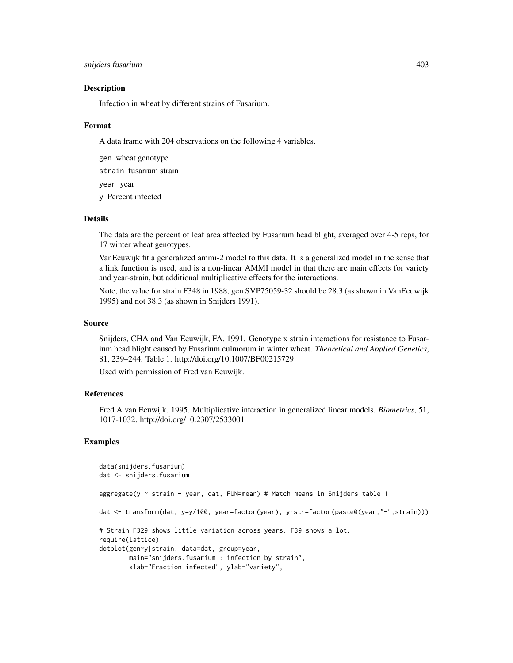## snijders.fusarium 403

#### **Description**

Infection in wheat by different strains of Fusarium.

#### Format

A data frame with 204 observations on the following 4 variables.

gen wheat genotype

strain fusarium strain

year year

y Percent infected

## Details

The data are the percent of leaf area affected by Fusarium head blight, averaged over 4-5 reps, for 17 winter wheat genotypes.

VanEeuwijk fit a generalized ammi-2 model to this data. It is a generalized model in the sense that a link function is used, and is a non-linear AMMI model in that there are main effects for variety and year-strain, but additional multiplicative effects for the interactions.

Note, the value for strain F348 in 1988, gen SVP75059-32 should be 28.3 (as shown in VanEeuwijk 1995) and not 38.3 (as shown in Snijders 1991).

# Source

Snijders, CHA and Van Eeuwijk, FA. 1991. Genotype x strain interactions for resistance to Fusarium head blight caused by Fusarium culmorum in winter wheat. *Theoretical and Applied Genetics*, 81, 239–244. Table 1. http://doi.org/10.1007/BF00215729

Used with permission of Fred van Eeuwijk.

### References

Fred A van Eeuwijk. 1995. Multiplicative interaction in generalized linear models. *Biometrics*, 51, 1017-1032. http://doi.org/10.2307/2533001

```
data(snijders.fusarium)
dat <- snijders.fusarium
aggregate(y ~ strain + year, dat, FUN=mean) # Match means in Snijders table 1
dat <- transform(dat, y=y/100, year=factor(year), yrstr=factor(paste0(year,"-",strain)))
# Strain F329 shows little variation across years. F39 shows a lot.
require(lattice)
dotplot(gen~y|strain, data=dat, group=year,
       main="snijders.fusarium : infection by strain",
       xlab="Fraction infected", ylab="variety",
```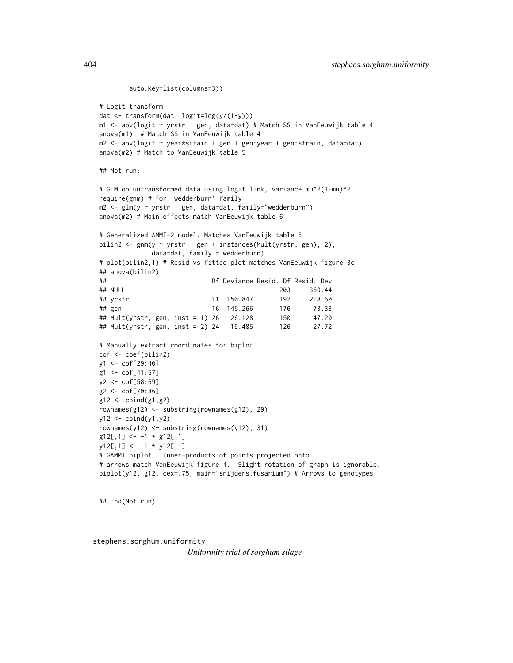```
auto.key=list(columns=3))
# Logit transform
dat <- transform(dat, logit=log(y/(1-y)))
m1 <- aov(logit ~ yrstr + gen, data=dat) # Match SS in VanEeuwijk table 4
anova(m1) # Match SS in VanEeuwijk table 4
m2 <- aov(logit ~ year*strain + gen + gen:year + gen:strain, data=dat)
anova(m2) # Match to VanEeuwijk table 5
## Not run:
# GLM on untransformed data using logit link, variance mu^2(1-mu)^2
require(gnm) # for 'wedderburn' family
m2 <- glm(y ~ yrstr + gen, data=dat, family="wedderburn")
anova(m2) # Main effects match VanEeuwijk table 6
# Generalized AMMI-2 model. Matches VanEeuwijk table 6
bilin2 <- gnm(y ~ yrstr + gen + instances(Mult(yrstr, gen), 2),
             data=dat, family = wedderburn)
# plot(bilin2,1) # Resid vs fitted plot matches VanEeuwijk figure 3c
## anova(bilin2)
## Df Deviance Resid. Df Resid. Dev
## NULL 203 369.44
## yrstr 11 150.847 192 218.60
## gen 16 145.266 176 73.33
## Mult(yrstr, gen, inst = 1) 26 26.128 150 47.20
## Mult(yrstr, gen, inst = 2) 24 19.485 126 27.72
# Manually extract coordinates for biplot
cof <- coef(bilin2)
y1 <- cof[29:40]
g1 <- cof[41:57]
y2 <- cof[58:69]
g2 <- cof[70:86]
g12 \leftarrow \text{cbind}(g1, g2)rownames(g12) <- substring(rownames(g12), 29)
y12 \leftarrow \text{cbind}(y1, y2)rownames(y12) <- substring(rownames(y12), 31)
g12[, 1] <- -1 * g12[, 1]y12[, 1] <- -1 * y12[, 1]# GAMMI biplot. Inner-products of points projected onto
# arrows match VanEeuwijk figure 4. Slight rotation of graph is ignorable.
biplot(y12, g12, cex=.75, main="snijders.fusarium") # Arrows to genotypes.
```
## End(Not run)

stephens.sorghum.uniformity

*Uniformity trial of sorghum silage*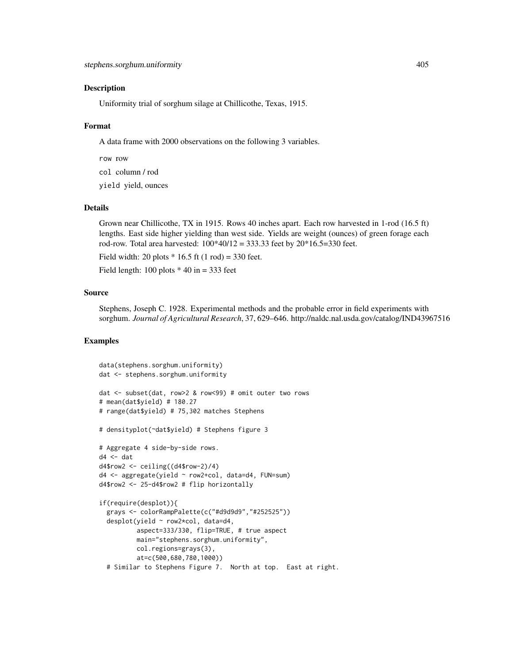## **Description**

Uniformity trial of sorghum silage at Chillicothe, Texas, 1915.

## Format

A data frame with 2000 observations on the following 3 variables.

row row

col column / rod

yield yield, ounces

#### Details

Grown near Chillicothe, TX in 1915. Rows 40 inches apart. Each row harvested in 1-rod (16.5 ft) lengths. East side higher yielding than west side. Yields are weight (ounces) of green forage each rod-row. Total area harvested:  $100*40/12 = 333.33$  feet by  $20*16.5=330$  feet.

Field width: 20 plots  $*$  16.5 ft (1 rod) = 330 feet.

Field length:  $100$  plots  $*$  40 in = 333 feet

#### Source

Stephens, Joseph C. 1928. Experimental methods and the probable error in field experiments with sorghum. *Journal of Agricultural Research*, 37, 629–646. http://naldc.nal.usda.gov/catalog/IND43967516

```
data(stephens.sorghum.uniformity)
dat <- stephens.sorghum.uniformity
dat <- subset(dat, row>2 & row<99) # omit outer two rows
# mean(dat$yield) # 180.27
# range(dat$yield) # 75,302 matches Stephens
# densityplot(~dat$yield) # Stephens figure 3
# Aggregate 4 side-by-side rows.
d4 < - dat
d4$row2 <- ceiling((d4$row-2)/4)
d4 <- aggregate(yield ~ row2+col, data=d4, FUN=sum)
d4$row2 <- 25-d4$row2 # flip horizontally
if(require(desplot)){
 grays <- colorRampPalette(c("#d9d9d9","#252525"))
 desplot(yield ~ row2*col, data=d4,
          aspect=333/330, flip=TRUE, # true aspect
         main="stephens.sorghum.uniformity",
         col.regions=grays(3),
          at=c(500,680,780,1000))
 # Similar to Stephens Figure 7. North at top. East at right.
```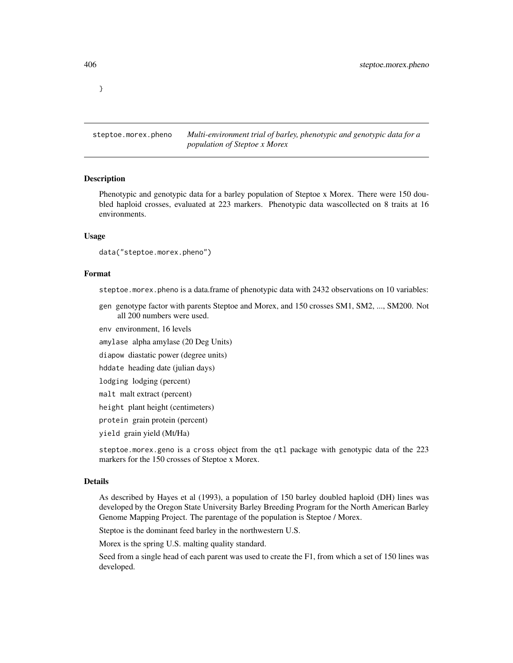}

steptoe.morex.pheno *Multi-environment trial of barley, phenotypic and genotypic data for a population of Steptoe x Morex*

#### Description

Phenotypic and genotypic data for a barley population of Steptoe x Morex. There were 150 doubled haploid crosses, evaluated at 223 markers. Phenotypic data wascollected on 8 traits at 16 environments.

#### Usage

```
data("steptoe.morex.pheno")
```
#### Format

steptoe.morex.pheno is a data.frame of phenotypic data with 2432 observations on 10 variables:

gen genotype factor with parents Steptoe and Morex, and 150 crosses SM1, SM2, ..., SM200. Not all 200 numbers were used.

env environment, 16 levels

amylase alpha amylase (20 Deg Units)

diapow diastatic power (degree units)

hddate heading date (julian days)

lodging lodging (percent)

malt malt extract (percent)

height plant height (centimeters)

protein grain protein (percent)

yield grain yield (Mt/Ha)

steptoe.morex.geno is a cross object from the qtl package with genotypic data of the 223 markers for the 150 crosses of Steptoe x Morex.

#### Details

As described by Hayes et al (1993), a population of 150 barley doubled haploid (DH) lines was developed by the Oregon State University Barley Breeding Program for the North American Barley Genome Mapping Project. The parentage of the population is Steptoe / Morex.

Steptoe is the dominant feed barley in the northwestern U.S.

Morex is the spring U.S. malting quality standard.

Seed from a single head of each parent was used to create the F1, from which a set of 150 lines was developed.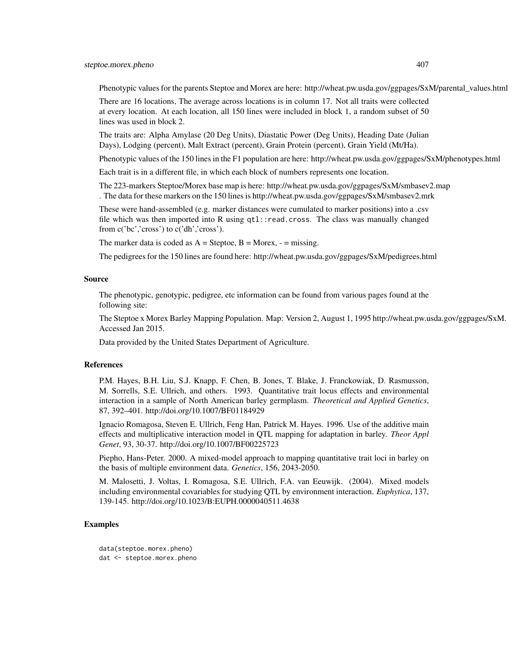## steptoe.morex.pheno 407

Phenotypic values for the parents Steptoe and Morex are here: http://wheat.pw.usda.gov/ggpages/SxM/parental\_values.html

There are 16 locations, The average across locations is in column 17. Not all traits were collected at every location. At each location, all 150 lines were included in block 1, a random subset of 50 lines was used in block 2.

The traits are: Alpha Amylase (20 Deg Units), Diastatic Power (Deg Units), Heading Date (Julian Days), Lodging (percent), Malt Extract (percent), Grain Protein (percent), Grain Yield (Mt/Ha).

Phenotypic values of the 150 lines in the F1 population are here: http://wheat.pw.usda.gov/ggpages/SxM/phenotypes.html

Each trait is in a different file, in which each block of numbers represents one location.

The 223-markers Steptoe/Morex base map is here: http://wheat.pw.usda.gov/ggpages/SxM/smbasev2.map . The data for these markers on the 150 lines is http://wheat.pw.usda.gov/ggpages/SxM/smbasev2.mrk

These were hand-assembled (e.g. marker distances were cumulated to marker positions) into a .csv file which was then imported into R using qtl::read.cross. The class was manually changed from c('bc','cross') to c('dh','cross').

The marker data is coded as  $A =$  Steptoe,  $B =$  Morex,  $-$  = missing.

The pedigrees for the 150 lines are found here: http://wheat.pw.usda.gov/ggpages/SxM/pedigrees.html

## Source

The phenotypic, genotypic, pedigree, etc information can be found from various pages found at the following site:

The Steptoe x Morex Barley Mapping Population. Map: Version 2, August 1, 1995 http://wheat.pw.usda.gov/ggpages/SxM. Accessed Jan 2015.

Data provided by the United States Department of Agriculture.

## References

P.M. Hayes, B.H. Liu, S.J. Knapp, F. Chen, B. Jones, T. Blake, J. Franckowiak, D. Rasmusson, M. Sorrells, S.E. Ullrich, and others. 1993. Quantitative trait locus effects and environmental interaction in a sample of North American barley germplasm. *Theoretical and Applied Genetics*, 87, 392–401. http://doi.org/10.1007/BF01184929

Ignacio Romagosa, Steven E. Ullrich, Feng Han, Patrick M. Hayes. 1996. Use of the additive main effects and multiplicative interaction model in QTL mapping for adaptation in barley. *Theor Appl Genet*, 93, 30-37. http://doi.org/10.1007/BF00225723

Piepho, Hans-Peter. 2000. A mixed-model approach to mapping quantitative trait loci in barley on the basis of multiple environment data. *Genetics*, 156, 2043-2050.

M. Malosetti, J. Voltas, I. Romagosa, S.E. Ullrich, F.A. van Eeuwijk. (2004). Mixed models including environmental covariables for studying QTL by environment interaction. *Euphytica*, 137, 139-145. http://doi.org/10.1023/B:EUPH.0000040511.4638

## Examples

data(steptoe.morex.pheno) dat <- steptoe.morex.pheno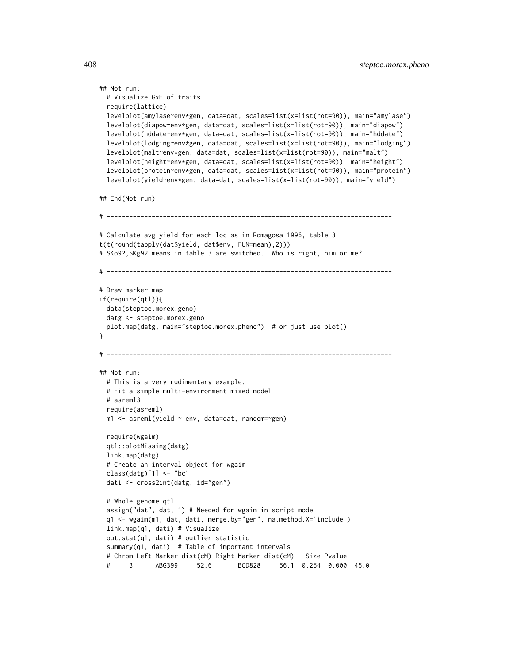```
## Not run:
 # Visualize GxE of traits
 require(lattice)
 levelplot(amylase~env*gen, data=dat, scales=list(x=list(rot=90)), main="amylase")
 levelplot(diapow~env*gen, data=dat, scales=list(x=list(rot=90)), main="diapow")
 levelplot(hddate~env*gen, data=dat, scales=list(x=list(rot=90)), main="hddate")
 levelplot(lodging~env*gen, data=dat, scales=list(x=list(rot=90)), main="lodging")
 levelplot(malt~env*gen, data=dat, scales=list(x=list(rot=90)), main="malt")
 levelplot(height~env*gen, data=dat, scales=list(x=list(rot=90)), main="height")
 levelplot(protein~env*gen, data=dat, scales=list(x=list(rot=90)), main="protein")
 levelplot(yield~env*gen, data=dat, scales=list(x=list(rot=90)), main="yield")
## End(Not run)
# ----------------------------------------------------------------------------
# Calculate avg yield for each loc as in Romagosa 1996, table 3
t(t(round(tapply(dat$yield, dat$env, FUN=mean),2)))
# SKo92,SKg92 means in table 3 are switched. Who is right, him or me?
# ----------------------------------------------------------------------------
# Draw marker map
if(require(qtl)){
 data(steptoe.morex.geno)
 datg <- steptoe.morex.geno
 plot.map(datg, main="steptoe.morex.pheno") # or just use plot()
}
# ----------------------------------------------------------------------------
## Not run:
 # This is a very rudimentary example.
 # Fit a simple multi-environment mixed model
 # asreml3
 require(asreml)
 m1 \leq -\text{asreml}(\text{yield} \sim \text{env}, \text{ data}= \text{dat}, \text{ random}=\text{sgen})require(wgaim)
 qtl::plotMissing(datg)
 link.map(datg)
 # Create an interval object for wgaim
 class(datg)[1] <- "bc"
 dati <- cross2int(datg, id="gen")
 # Whole genome qtl
 assign("dat", dat, 1) # Needed for wgaim in script mode
 q1 <- wgaim(m1, dat, dati, merge.by="gen", na.method.X='include')
 link.map(q1, dati) # Visualize
 out.stat(q1, dati) # outlier statistic
 summary(q1, dati) # Table of important intervals
 # Chrom Left Marker dist(cM) Right Marker dist(cM) Size Pvalue
 # 3 ABG399 52.6 BCD828 56.1 0.254 0.000 45.0
```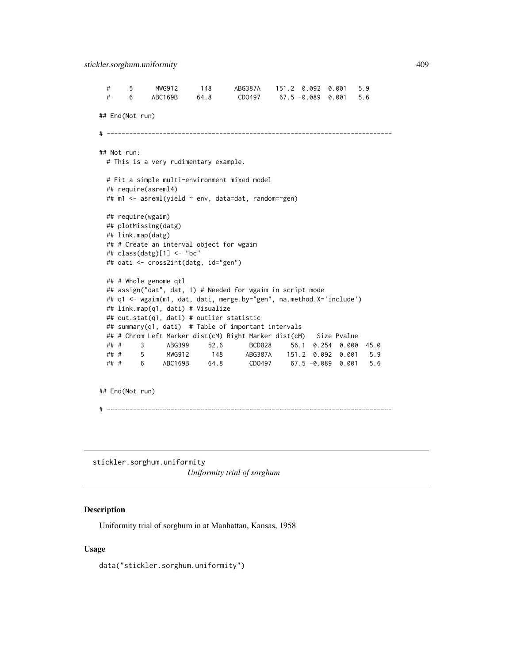```
# 5 MWG912 148 ABG387A 151.2 0.092 0.001 5.9
 # 6 ABC169B 64.8 CDO497 67.5 -0.089 0.001 5.6
## End(Not run)
# ----------------------------------------------------------------------------
## Not run:
 # This is a very rudimentary example.
 # Fit a simple multi-environment mixed model
 ## require(asreml4)
 ## m1 <- asreml(yield ~ env, data=dat, random=~gen)
 ## require(wgaim)
 ## plotMissing(datg)
 ## link.map(datg)
 ## # Create an interval object for wgaim
 ## class(datg)[1] <- "bc"
 ## dati <- cross2int(datg, id="gen")
 ## # Whole genome qtl
 ## assign("dat", dat, 1) # Needed for wgaim in script mode
 ## q1 <- wgaim(m1, dat, dati, merge.by="gen", na.method.X='include')
 ## link.map(q1, dati) # Visualize
 ## out.stat(q1, dati) # outlier statistic
 ## summary(q1, dati) # Table of important intervals
 ## # Chrom Left Marker dist(cM) Right Marker dist(cM) Size Pvalue
 ## # 3 ABG399 52.6 BCD828 56.1 0.254 0.000 45.0
 ## # 5 MWG912 148 ABG387A 151.2 0.092 0.001 5.9
 ## # 6 ABC169B 64.8 CDO497 67.5 -0.089 0.001 5.6
## End(Not run)
# ----------------------------------------------------------------------------
```
stickler.sorghum.uniformity *Uniformity trial of sorghum*

## Description

Uniformity trial of sorghum in at Manhattan, Kansas, 1958

### Usage

data("stickler.sorghum.uniformity")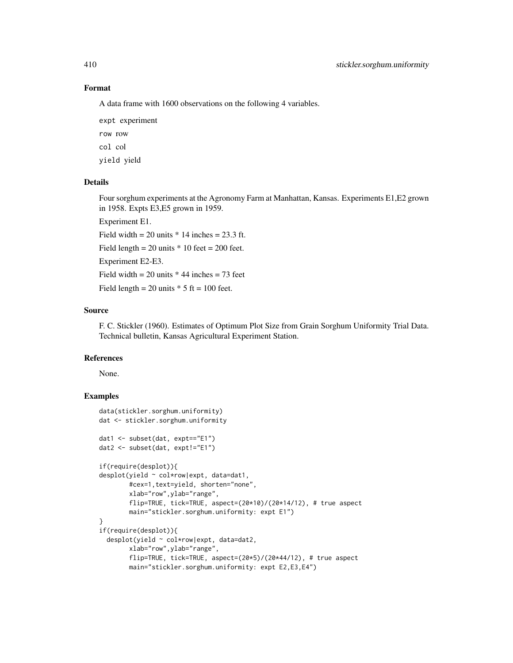## Format

A data frame with 1600 observations on the following 4 variables.

expt experiment row row

col col

yield yield

# Details

Four sorghum experiments at the Agronomy Farm at Manhattan, Kansas. Experiments E1,E2 grown in 1958. Expts E3,E5 grown in 1959.

Experiment E1.

Field width  $= 20$  units  $* 14$  inches  $= 23.3$  ft.

Field length =  $20$  units  $*$  10 feet =  $200$  feet.

Experiment E2-E3.

Field width  $= 20$  units  $* 44$  inches  $= 73$  feet

Field length = 20 units  $*$  5 ft = 100 feet.

#### Source

F. C. Stickler (1960). Estimates of Optimum Plot Size from Grain Sorghum Uniformity Trial Data. Technical bulletin, Kansas Agricultural Experiment Station.

# References

None.

```
data(stickler.sorghum.uniformity)
dat <- stickler.sorghum.uniformity
dat1 <- subset(dat, expt=="E1")
dat2 <- subset(dat, expt!="E1")
if(require(desplot)){
desplot(yield ~ col*row|expt, data=dat1,
       #cex=1,text=yield, shorten="none",
       xlab="row",ylab="range",
       flip=TRUE, tick=TRUE, aspect=(20*10)/(20*14/12), # true aspect
       main="stickler.sorghum.uniformity: expt E1")
}
if(require(desplot)){
 desplot(yield ~ col*row|expt, data=dat2,
       xlab="row",ylab="range",
       flip=TRUE, tick=TRUE, aspect=(20*5)/(20*44/12), # true aspect
       main="stickler.sorghum.uniformity: expt E2,E3,E4")
```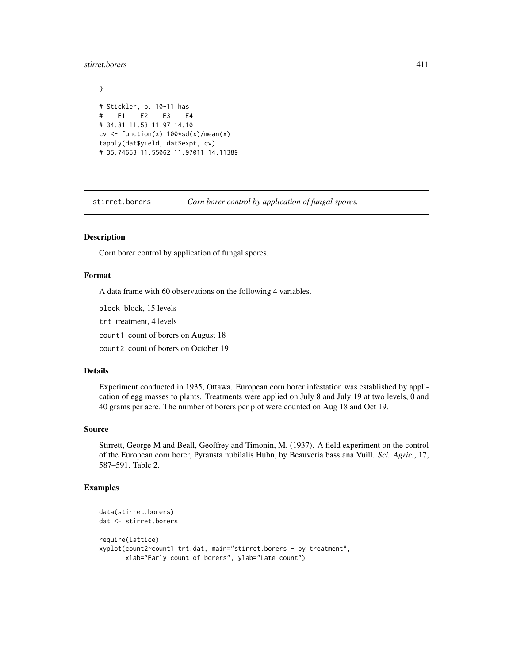#### stirret.borers 411

```
}
# Stickler, p. 10-11 has
# E1 E2 E3 E4
# 34.81 11.53 11.97 14.10
cv <- function(x) 100*sd(x)/mean(x)tapply(dat$yield, dat$expt, cv)
# 35.74653 11.55062 11.97011 14.11389
```
stirret.borers *Corn borer control by application of fungal spores.*

# Description

Corn borer control by application of fungal spores.

## Format

A data frame with 60 observations on the following 4 variables.

block block, 15 levels

trt treatment, 4 levels

count1 count of borers on August 18

count2 count of borers on October 19

## Details

Experiment conducted in 1935, Ottawa. European corn borer infestation was established by application of egg masses to plants. Treatments were applied on July 8 and July 19 at two levels, 0 and 40 grams per acre. The number of borers per plot were counted on Aug 18 and Oct 19.

## Source

Stirrett, George M and Beall, Geoffrey and Timonin, M. (1937). A field experiment on the control of the European corn borer, Pyrausta nubilalis Hubn, by Beauveria bassiana Vuill. *Sci. Agric.*, 17, 587–591. Table 2.

```
data(stirret.borers)
dat <- stirret.borers
require(lattice)
xyplot(count2~count1|trt,dat, main="stirret.borers - by treatment",
      xlab="Early count of borers", ylab="Late count")
```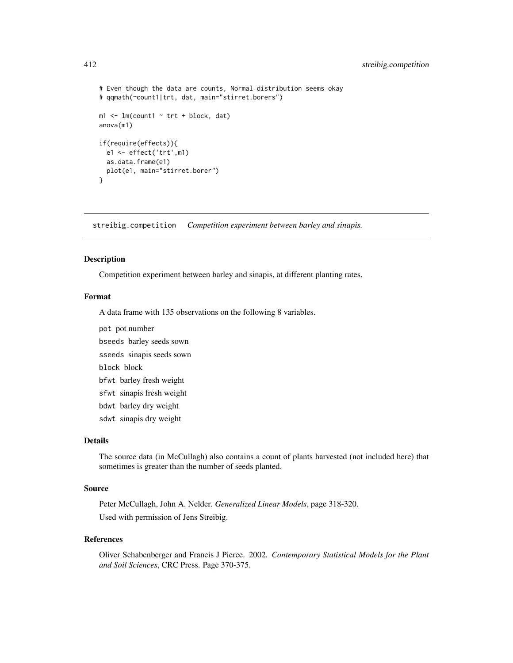```
# Even though the data are counts, Normal distribution seems okay
# qqmath(~count1|trt, dat, main="stirret.borers")
m1 \leq -\ln(\text{count1} \sim \text{trt} + \text{block}, \text{dat})anova(m1)
if(require(effects)){
  e1 <- effect('trt',m1)
  as.data.frame(e1)
  plot(e1, main="stirret.borer")
}
```
streibig.competition *Competition experiment between barley and sinapis.*

#### Description

Competition experiment between barley and sinapis, at different planting rates.

#### Format

A data frame with 135 observations on the following 8 variables.

pot pot number

bseeds barley seeds sown

sseeds sinapis seeds sown

block block

bfwt barley fresh weight

sfwt sinapis fresh weight

bdwt barley dry weight

sdwt sinapis dry weight

## Details

The source data (in McCullagh) also contains a count of plants harvested (not included here) that sometimes is greater than the number of seeds planted.

## Source

Peter McCullagh, John A. Nelder. *Generalized Linear Models*, page 318-320. Used with permission of Jens Streibig.

### References

Oliver Schabenberger and Francis J Pierce. 2002. *Contemporary Statistical Models for the Plant and Soil Sciences*, CRC Press. Page 370-375.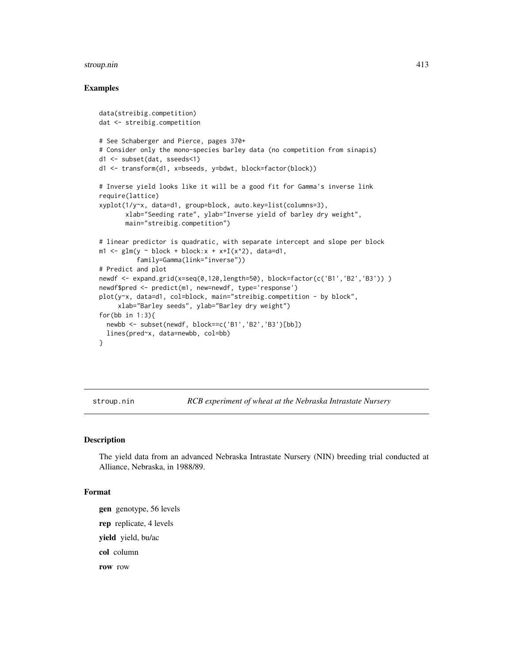#### stroup.nin 413

## Examples

```
data(streibig.competition)
dat <- streibig.competition
# See Schaberger and Pierce, pages 370+
# Consider only the mono-species barley data (no competition from sinapis)
d1 <- subset(dat, sseeds<1)
d1 <- transform(d1, x=bseeds, y=bdwt, block=factor(block))
# Inverse yield looks like it will be a good fit for Gamma's inverse link
require(lattice)
xyplot(1/y~x, data=d1, group=block, auto.key=list(columns=3),
       xlab="Seeding rate", ylab="Inverse yield of barley dry weight",
       main="streibig.competition")
# linear predictor is quadratic, with separate intercept and slope per block
m1 \leq -g \ln(y \sim block + block:x + x+I(x^2)), data=d1,
          family=Gamma(link="inverse"))
# Predict and plot
newdf <- expand.grid(x=seq(0,120,length=50), block=factor(c('B1','B2','B3')) )
newdf$pred <- predict(m1, new=newdf, type='response')
plot(y~x, data=d1, col=block, main="streibig.competition - by block",
     xlab="Barley seeds", ylab="Barley dry weight")
for(bb in 1:3){
  newbb <- subset(newdf, block==c('B1','B2','B3')[bb])
  lines(pred~x, data=newbb, col=bb)
}
```
stroup.nin *RCB experiment of wheat at the Nebraska Intrastate Nursery*

#### Description

The yield data from an advanced Nebraska Intrastate Nursery (NIN) breeding trial conducted at Alliance, Nebraska, in 1988/89.

## Format

gen genotype, 56 levels rep replicate, 4 levels yield yield, bu/ac col column row row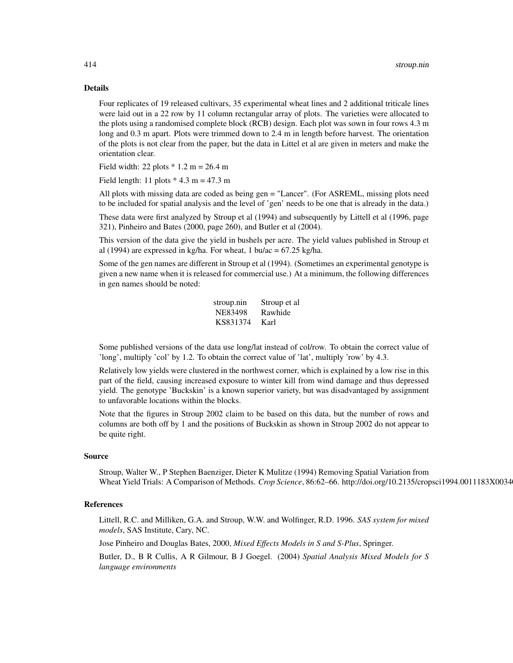#### Details

Four replicates of 19 released cultivars, 35 experimental wheat lines and 2 additional triticale lines were laid out in a 22 row by 11 column rectangular array of plots. The varieties were allocated to the plots using a randomised complete block (RCB) design. Each plot was sown in four rows 4.3 m long and 0.3 m apart. Plots were trimmed down to 2.4 m in length before harvest. The orientation of the plots is not clear from the paper, but the data in Littel et al are given in meters and make the orientation clear.

Field width: 22 plots  $* 1.2 m = 26.4 m$ 

Field length: 11 plots  $*$  4.3 m = 47.3 m

All plots with missing data are coded as being gen = "Lancer". (For ASREML, missing plots need to be included for spatial analysis and the level of 'gen' needs to be one that is already in the data.)

These data were first analyzed by Stroup et al (1994) and subsequently by Littell et al (1996, page 321), Pinheiro and Bates (2000, page 260), and Butler et al (2004).

This version of the data give the yield in bushels per acre. The yield values published in Stroup et al (1994) are expressed in kg/ha. For wheat, 1 bu/ac =  $67.25$  kg/ha.

Some of the gen names are different in Stroup et al (1994). (Sometimes an experimental genotype is given a new name when it is released for commercial use.) At a minimum, the following differences in gen names should be noted:

| stroup.nin | Stroup et al |
|------------|--------------|
| NE83498    | Rawhide      |
| KS831374   | Karl         |

Some published versions of the data use long/lat instead of col/row. To obtain the correct value of 'long', multiply 'col' by 1.2. To obtain the correct value of 'lat', multiply 'row' by 4.3.

Relatively low yields were clustered in the northwest corner, which is explained by a low rise in this part of the field, causing increased exposure to winter kill from wind damage and thus depressed yield. The genotype 'Buckskin' is a known superior variety, but was disadvantaged by assignment to unfavorable locations within the blocks.

Note that the figures in Stroup 2002 claim to be based on this data, but the number of rows and columns are both off by 1 and the positions of Buckskin as shown in Stroup 2002 do not appear to be quite right.

### Source

Stroup, Walter W., P Stephen Baenziger, Dieter K Mulitze (1994) Removing Spatial Variation from Wheat Yield Trials: A Comparison of Methods. *Crop Science*, 86:62-66. http://doi.org/10.2135/cropsci1994.0011183X0034

## **References**

Littell, R.C. and Milliken, G.A. and Stroup, W.W. and Wolfinger, R.D. 1996. *SAS system for mixed models*, SAS Institute, Cary, NC.

Jose Pinheiro and Douglas Bates, 2000, *Mixed Effects Models in S and S-Plus*, Springer.

Butler, D., B R Cullis, A R Gilmour, B J Goegel. (2004) *Spatial Analysis Mixed Models for S language environments*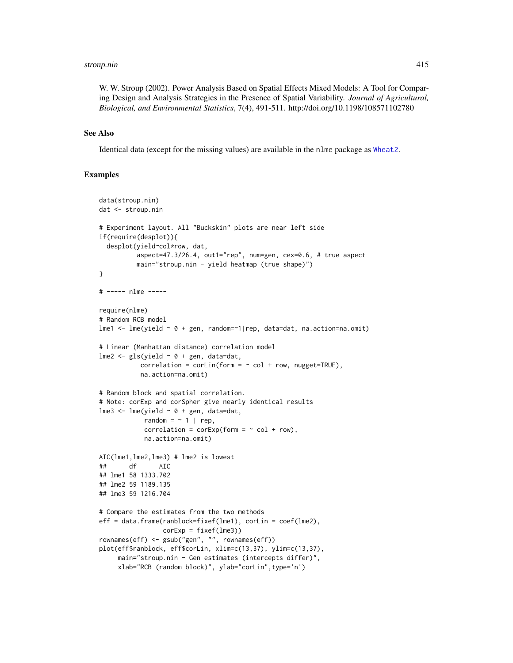#### stroup.nin 415

W. W. Stroup (2002). Power Analysis Based on Spatial Effects Mixed Models: A Tool for Comparing Design and Analysis Strategies in the Presence of Spatial Variability. *Journal of Agricultural, Biological, and Environmental Statistics*, 7(4), 491-511. http://doi.org/10.1198/108571102780

## See Also

Identical data (except for the missing values) are available in the nlme package as [Wheat2](#page-0-0).

```
data(stroup.nin)
dat <- stroup.nin
# Experiment layout. All "Buckskin" plots are near left side
if(require(desplot)){
  desplot(yield~col*row, dat,
          aspect=47.3/26.4, out1="rep", num=gen, cex=0.6, # true aspect
          main="stroup.nin - yield heatmap (true shape)")
}
# ----- nlme -----
require(nlme)
# Random RCB model
lme1 <- lme(yield ~ 0 + gen, random=~1|rep, data=dat, na.action=na.omit)
# Linear (Manhattan distance) correlation model
lme2 \leq gls(yield \sim 0 + gen, data=dat,
           correlation = \text{corLin}(\text{form} = \text{~col} + \text{row}, \text{ nugget} = \text{TRUE}),na.action=na.omit)
# Random block and spatial correlation.
# Note: corExp and corSpher give nearly identical results
lme3 <- lme(yield ~ 0 + gen, data=dat,
            random = \sim 1 | rep,
            correlation = \text{corExp}(\text{form} = \sim \text{col} + \text{row}),na.action=na.omit)
AIC(lme1,lme2,lme3) # lme2 is lowest
## df AIC
## lme1 58 1333.702
## lme2 59 1189.135
## lme3 59 1216.704
# Compare the estimates from the two methods
eff = data.frame(ranblock=fixef(lme1), corLin = coef(lme2),
                  corExp = fixef(lme3))
rownames(eff) <- gsub("gen", "", rownames(eff))
plot(eff$ranblock, eff$corLin, xlim=c(13,37), ylim=c(13,37),
     main="stroup.nin - Gen estimates (intercepts differ)",
     xlab="RCB (random block)", ylab="corLin",type='n')
```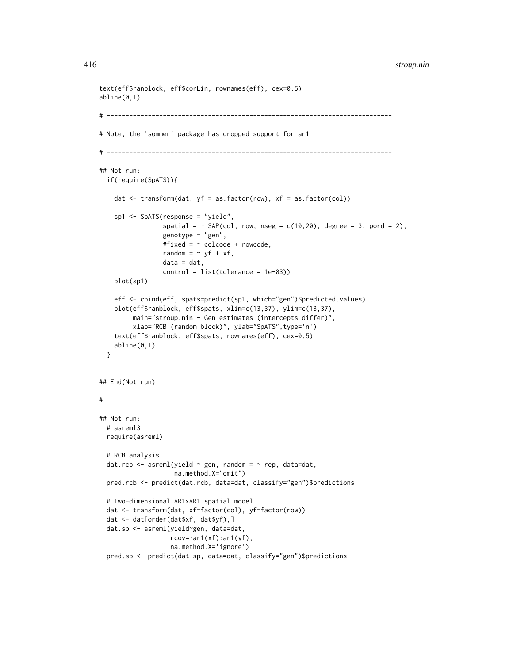#### 416 stroup.nin stroup.nin stroup.nin stroup.nin stroup.nin stroup.nin stroup.nin

```
text(eff$ranblock, eff$corLin, rownames(eff), cex=0.5)
abline(0,1)
# ----------------------------------------------------------------------------
# Note, the 'sommer' package has dropped support for ar1
# ----------------------------------------------------------------------------
## Not run:
 if(require(SpATS)){
    dat \leq transform(dat, yf = as.factor(row), xf = as.factor(col))
    sp1 <- SpATS(response = "yield",
                 spatial = \sim SAP(col, row, nseg = c(10,20), degree = 3, pord = 2),
                 genotype = "gen",
                 #fixed = ~ colcode + rowcode,
                 random = \sim yf + xf,
                 data = dat,control = list(tolerance = 1e-03))
   plot(sp1)
   eff <- cbind(eff, spats=predict(sp1, which="gen")$predicted.values)
   plot(eff$ranblock, eff$spats, xlim=c(13,37), ylim=c(13,37),
         main="stroup.nin - Gen estimates (intercepts differ)",
         xlab="RCB (random block)", ylab="SpATS",type='n')
    text(eff$ranblock, eff$spats, rownames(eff), cex=0.5)
    abline(0,1)
 }
## End(Not run)
# ----------------------------------------------------------------------------
## Not run:
 # asreml3
 require(asreml)
 # RCB analysis
 dat.rcb <- asreml(yield \sim gen, random = \sim rep, data=dat,
                    na.method.X="omit")
 pred.rcb <- predict(dat.rcb, data=dat, classify="gen")$predictions
 # Two-dimensional AR1xAR1 spatial model
 dat <- transform(dat, xf=factor(col), yf=factor(row))
 dat <- dat[order(dat$xf, dat$yf),]
 dat.sp <- asreml(yield~gen, data=dat,
                   rcov=~ar1(xf):ar1(yf),
                   na.method.X='ignore')
 pred.sp <- predict(dat.sp, data=dat, classify="gen")$predictions
```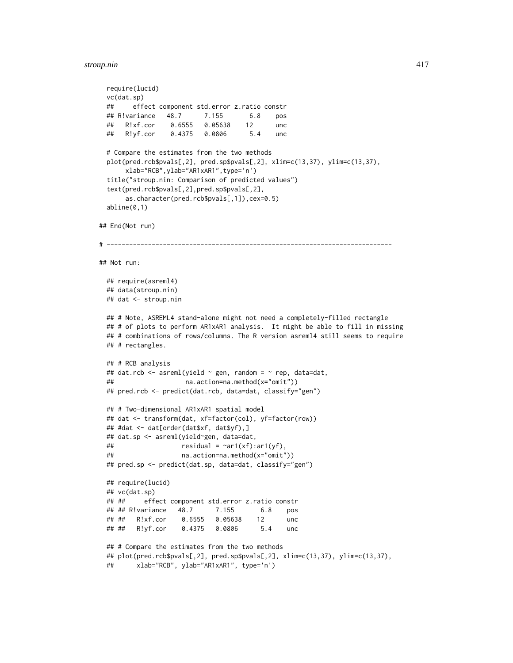#### stroup.nin 417

```
require(lucid)
 vc(dat.sp)
 ## effect component std.error z.ratio constr
 ## R!variance 48.7 7.155 6.8 pos
 ## R!xf.cor 0.6555 0.05638 12 unc
 ## R!yf.cor 0.4375 0.0806 5.4 unc
 # Compare the estimates from the two methods
 plot(pred.rcb$pvals[,2], pred.sp$pvals[,2], xlim=c(13,37), ylim=c(13,37),
      xlab="RCB",ylab="AR1xAR1",type='n')
 title("stroup.nin: Comparison of predicted values")
 text(pred.rcb$pvals[,2],pred.sp$pvals[,2],
      as.character(pred.rcb$pvals[,1]),cex=0.5)
 abline(0,1)
## End(Not run)
# ----------------------------------------------------------------------------
## Not run:
 ## require(asreml4)
 ## data(stroup.nin)
 ## dat <- stroup.nin
 ## # Note, ASREML4 stand-alone might not need a completely-filled rectangle
 ## # of plots to perform AR1xAR1 analysis. It might be able to fill in missing
 ## # combinations of rows/columns. The R version asreml4 still seems to require
 ## # rectangles.
 ## # RCB analysis
 ## dat.rcb <- asreml(yield \sim gen, random = \sim rep, data=dat,
 ## na.action=na.method(x="omit"))
 ## pred.rcb <- predict(dat.rcb, data=dat, classify="gen")
 ## # Two-dimensional AR1xAR1 spatial model
 ## dat <- transform(dat, xf=factor(col), yf=factor(row))
 ## #dat <- dat[order(dat$xf, dat$yf),]
 ## dat.sp <- asreml(yield~gen, data=dat,
 ## residual = \text{var1}(xf):ar1(yf),## na.action=na.method(x="omit"))
 ## pred.sp <- predict(dat.sp, data=dat, classify="gen")
 ## require(lucid)
 ## vc(dat.sp)
 ## ## effect component std.error z.ratio constr
 ## ## R!variance 48.7 7.155 6.8 pos
 ## ## R!xf.cor 0.6555 0.05638 12 unc
 ## ## R!yf.cor 0.4375 0.0806 5.4 unc
 ## # Compare the estimates from the two methods
 ## plot(pred.rcb$pvals[,2], pred.sp$pvals[,2], xlim=c(13,37), ylim=c(13,37),
 ## xlab="RCB", ylab="AR1xAR1", type='n')
```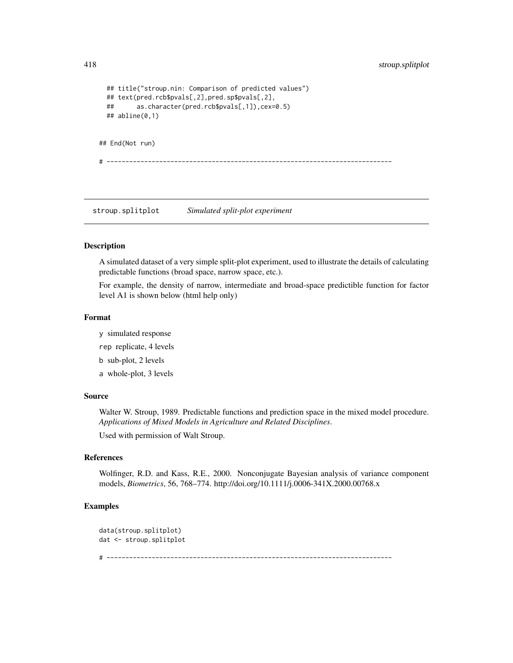```
## title("stroup.nin: Comparison of predicted values")
 ## text(pred.rcb$pvals[,2],pred.sp$pvals[,2],
 ## as.character(pred.rcb$pvals[,1]),cex=0.5)
 ## abline(0,1)
## End(Not run)
# ----------------------------------------------------------------------------
```
stroup.splitplot *Simulated split-plot experiment*

#### Description

A simulated dataset of a very simple split-plot experiment, used to illustrate the details of calculating predictable functions (broad space, narrow space, etc.).

For example, the density of narrow, intermediate and broad-space predictible function for factor level A1 is shown below (html help only)

#### Format

y simulated response

rep replicate, 4 levels

b sub-plot, 2 levels

a whole-plot, 3 levels

## Source

Walter W. Stroup, 1989. Predictable functions and prediction space in the mixed model procedure. *Applications of Mixed Models in Agriculture and Related Disciplines*.

Used with permission of Walt Stroup.

## References

Wolfinger, R.D. and Kass, R.E., 2000. Nonconjugate Bayesian analysis of variance component models, *Biometrics*, 56, 768–774. http://doi.org/10.1111/j.0006-341X.2000.00768.x

```
data(stroup.splitplot)
dat <- stroup.splitplot
# ----------------------------------------------------------------------------
```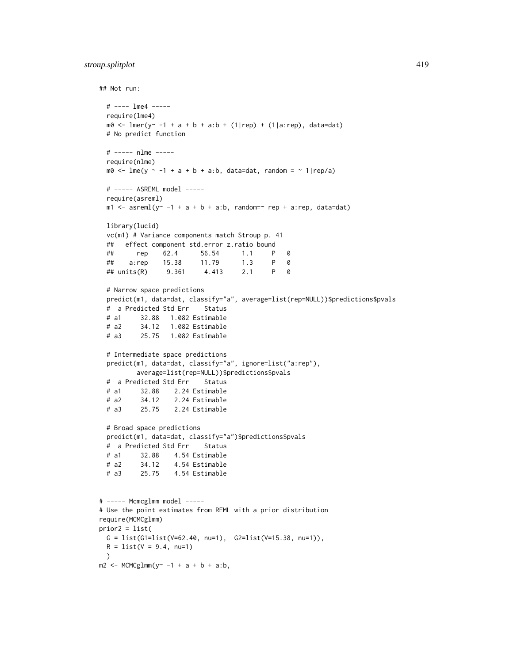# stroup.splitplot 419

```
## Not run:
 # ---- lme4 -----
 require(lme4)
 m0 \leq Imer(y \leq -1 + a + b + a:b + (1|rep) + (1|a:rep), data=dat)# No predict function
 # ----- nlme -----
 require(nlme)
 m\theta <- lme(y ~ -1 + a + b + a:b, data=dat, random = ~ 1|rep/a)
 # ----- ASREML model -----
 require(asreml)
 m1 \leq -\text{asreml}(y^2 - 1 + a + b + a:b, \text{random}^{\text{max}} rep + a:rep, data=dat)
 library(lucid)
 vc(m1) # Variance components match Stroup p. 41
 ## effect component std.error z.ratio bound
 ## rep 62.4 56.54 1.1 P 0
 ## a:rep 15.38 11.79 1.3 P 0
 ## units(R) 9.361 4.413 2.1 P 0
 # Narrow space predictions
 predict(m1, data=dat, classify="a", average=list(rep=NULL))$predictions$pvals
 # a Predicted Std Err Status
 # a1 32.88 1.082 Estimable
 # a2 34.12 1.082 Estimable
 # a3 25.75 1.082 Estimable
 # Intermediate space predictions
 predict(m1, data=dat, classify="a", ignore=list("a:rep"),
         average=list(rep=NULL))$predictions$pvals
 # a Predicted Std Err Status
 # a1 32.88 2.24 Estimable
 # a2 34.12 2.24 Estimable
 # a3 25.75 2.24 Estimable
 # Broad space predictions
 predict(m1, data=dat, classify="a")$predictions$pvals
 # a Predicted Std Err Status
 # a1 32.88 4.54 Estimable
 # a2 34.12 4.54 Estimable
 # a3 25.75 4.54 Estimable
# ----- Mcmcglmm model -----
# Use the point estimates from REML with a prior distribution
require(MCMCglmm)
prior2 = list(
 G = list(G1=list(V=62.40, nu=1), G2=list(V=15.38, nu=1)),R = list(V = 9.4, nu=1))
m2 < -MCMCglmm(y<sup>2</sup> -1 + a + b + a:b,
```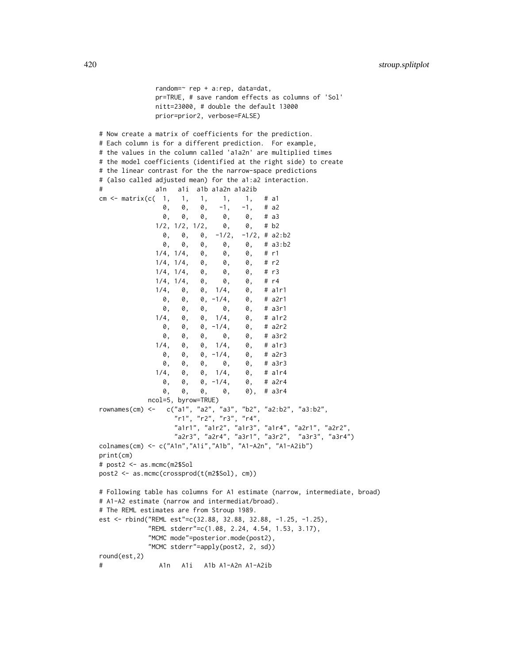420 stroup.splitplot

```
random=~ rep + a:rep, data=dat,
              pr=TRUE, # save random effects as columns of 'Sol'
              nitt=23000, # double the default 13000
              prior=prior2, verbose=FALSE)
# Now create a matrix of coefficients for the prediction.
# Each column is for a different prediction. For example,
# the values in the column called 'a1a2n' are multiplied times
# the model coefficients (identified at the right side) to create
# the linear contrast for the the narrow-space predictions
# (also called adjusted mean) for the a1:a2 interaction.
# a1n a1i a1b a1a2n a1a2ib
cm <- matrix(c( 1, 1, 1, 1, 1, # a1
                0, 0, 0, -1, -1, # a2
                0, 0, 0, 0, 0, # a3
              1/2, 1/2, 1/2, \theta, \theta, \# b2<br>
0. 0. 0, -1/2, -1/2, \# a20, 0, 0, -1/2, -1/2, # a2:b2<br>0. 0. 0, 0, 0, # a3:b2
                0, 0, 0, 0, 0, # a3:b2
              1/4, 1/4, 0, 0, 0, # r1
              1/4, 1/4, 0, 0, 0, \# r2
              1/4, 1/4, 0, 0, 0, \# r3
              1/4, 1/4, 0, 0, 0, 0, \# r4<br>1/4, 0, 0, 1/4, 0, \# a1r1
              1/4, 0, 0, 1/4,0, 0, 0, -1/4, 0, # a2r1<br>0. 0, 0, 0, 0, # a3r1
                0, 0, 0, 0, 0, # a3r1
              1/4, 0, 0, 1/4, 0, # a1r2
                0, 0, 0, -1/4, 0, # a2r2
                0, 0, 0, 0, 0, # a3r2
              1/4, 0, 0, 1/4, 0, # a1r3<br>0, 0, 0, -1/4, 0, # a2r3
                0, 0, 0, -1/4, 0, # a2r3
                0, 0, 0, 0, 0, # a3r3
              1/4, 0, 0, 1/4, 0, # a1r4
                0, 0, 0, -1/4, 0, # a2r4
                0, 0, 0, 0, 0), # a3r4
            ncol=5, byrow=TRUE)
rownames(cm) <- c("a1", "a2", "a3", "b2", "a2:b2", "a3:b2",
                   "r1", "r2", "r3", "r4",
                   "a1r1", "a1r2", "a1r3", "a1r4", "a2r1", "a2r2",
                   "a2r3", "a2r4", "a3r1", "a3r2", "a3r3", "a3r4")
colnames(cm) <- c("A1n","A1i","A1b", "A1-A2n", "A1-A2ib")
print(cm)
# post2 <- as.mcmc(m2$Sol
post2 <- as.mcmc(crossprod(t(m2$Sol), cm))
# Following table has columns for A1 estimate (narrow, intermediate, broad)
# A1-A2 estimate (narrow and intermediat/broad).
# The REML estimates are from Stroup 1989.
est <- rbind("REML est"=c(32.88, 32.88, 32.88, -1.25, -1.25),
            "REML stderr"=c(1.08, 2.24, 4.54, 1.53, 3.17),
            "MCMC mode"=posterior.mode(post2),
            "MCMC stderr"=apply(post2, 2, sd))
round(est,2)
# A1n A1i A1b A1-A2n A1-A2ib
```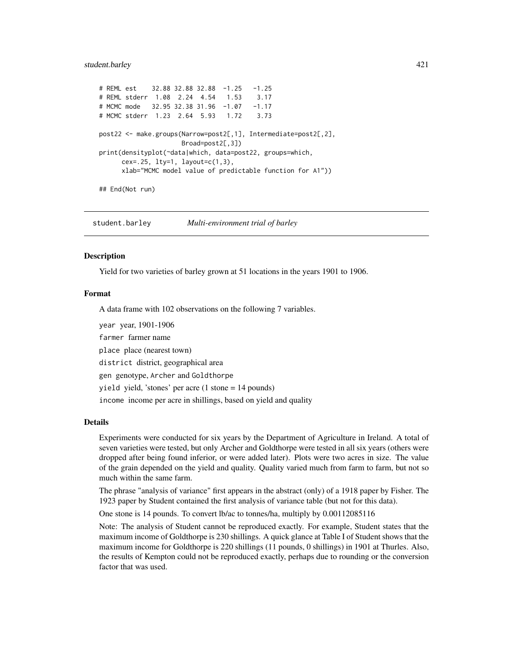#### student.barley 421

```
# REML est 32.88 32.88 32.88 -1.25 -1.25
# REML stderr 1.08 2.24 4.54 1.53 3.17
# MCMC mode 32.95 32.38 31.96 -1.07 -1.17
# MCMC stderr 1.23 2.64 5.93 1.72 3.73
post22 <- make.groups(Narrow=post2[,1], Intermediate=post2[,2],
                    Broad=post2[,3])
print(densityplot(~data|which, data=post22, groups=which,
     cex=.25, lty=1, layout=c(1,3),
     xlab="MCMC model value of predictable function for A1"))
```

```
## End(Not run)
```
student.barley *Multi-environment trial of barley*

#### **Description**

Yield for two varieties of barley grown at 51 locations in the years 1901 to 1906.

#### Format

A data frame with 102 observations on the following 7 variables.

year year, 1901-1906

farmer farmer name

place place (nearest town)

district district, geographical area

gen genotype, Archer and Goldthorpe

yield yield, 'stones' per acre (1 stone = 14 pounds)

income income per acre in shillings, based on yield and quality

#### Details

Experiments were conducted for six years by the Department of Agriculture in Ireland. A total of seven varieties were tested, but only Archer and Goldthorpe were tested in all six years (others were dropped after being found inferior, or were added later). Plots were two acres in size. The value of the grain depended on the yield and quality. Quality varied much from farm to farm, but not so much within the same farm.

The phrase "analysis of variance" first appears in the abstract (only) of a 1918 paper by Fisher. The 1923 paper by Student contained the first analysis of variance table (but not for this data).

One stone is 14 pounds. To convert lb/ac to tonnes/ha, multiply by 0.00112085116

Note: The analysis of Student cannot be reproduced exactly. For example, Student states that the maximum income of Goldthorpe is 230 shillings. A quick glance at Table I of Student shows that the maximum income for Goldthorpe is 220 shillings (11 pounds, 0 shillings) in 1901 at Thurles. Also, the results of Kempton could not be reproduced exactly, perhaps due to rounding or the conversion factor that was used.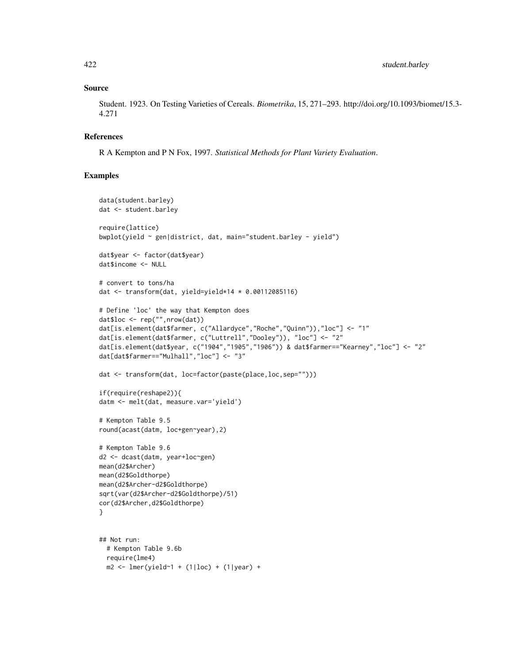## Source

Student. 1923. On Testing Varieties of Cereals. *Biometrika*, 15, 271–293. http://doi.org/10.1093/biomet/15.3- 4.271

## References

R A Kempton and P N Fox, 1997. *Statistical Methods for Plant Variety Evaluation*.

```
data(student.barley)
dat <- student.barley
require(lattice)
bwplot(yield ~ gen|district, dat, main="student.barley - yield")
dat$year <- factor(dat$year)
dat$income <- NULL
# convert to tons/ha
dat <- transform(dat, yield=yield*14 * 0.00112085116)
# Define 'loc' the way that Kempton does
dat$loc <- rep("",nrow(dat))
dat[is.element(dat$farmer, c("Allardyce","Roche","Quinn")),"loc"] <- "1"
dat[is.element(dat$farmer, c("Luttrell","Dooley")), "loc"] <- "2"
dat[is.element(dat$year, c("1904","1905","1906")) & dat$farmer=="Kearney","loc"] <- "2"
dat[dat$farmer=="Mulhall","loc"] <- "3"
dat <- transform(dat, loc=factor(paste(place,loc,sep="")))
if(require(reshape2)){
datm <- melt(dat, measure.var='yield')
# Kempton Table 9.5
round(acast(datm, loc+gen~year),2)
# Kempton Table 9.6
d2 <- dcast(datm, year+loc~gen)
mean(d2$Archer)
mean(d2$Goldthorpe)
mean(d2$Archer-d2$Goldthorpe)
sqrt(var(d2$Archer-d2$Goldthorpe)/51)
cor(d2$Archer,d2$Goldthorpe)
}
## Not run:
  # Kempton Table 9.6b
  require(lme4)
  m2 \le - lmer(yield~1 + (1|loc) + (1|year) +
```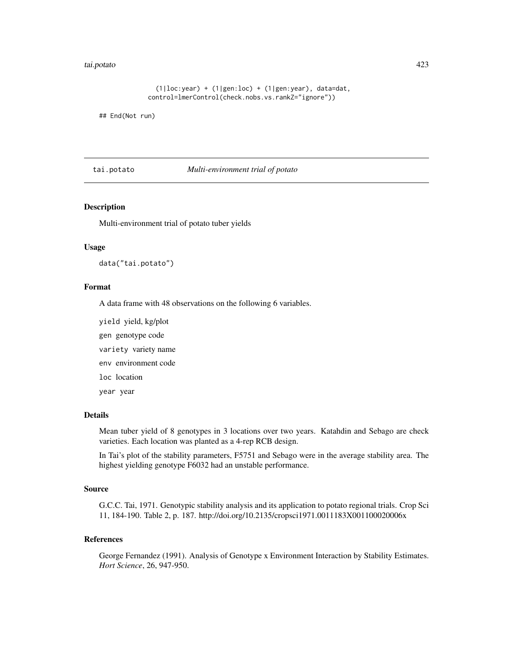#### tai.potato 423

```
(1|loc:year) + (1|gen:loc) + (1|gen:year), data=dat,control=lmerControl(check.nobs.vs.rankZ="ignore"))
```
## End(Not run)

tai.potato *Multi-environment trial of potato*

# Description

Multi-environment trial of potato tuber yields

#### Usage

data("tai.potato")

#### Format

A data frame with 48 observations on the following 6 variables.

yield yield, kg/plot

gen genotype code

variety variety name

env environment code

loc location

year year

## Details

Mean tuber yield of 8 genotypes in 3 locations over two years. Katahdin and Sebago are check varieties. Each location was planted as a 4-rep RCB design.

In Tai's plot of the stability parameters, F5751 and Sebago were in the average stability area. The highest yielding genotype F6032 had an unstable performance.

#### Source

G.C.C. Tai, 1971. Genotypic stability analysis and its application to potato regional trials. Crop Sci 11, 184-190. Table 2, p. 187. http://doi.org/10.2135/cropsci1971.0011183X001100020006x

#### References

George Fernandez (1991). Analysis of Genotype x Environment Interaction by Stability Estimates. *Hort Science*, 26, 947-950.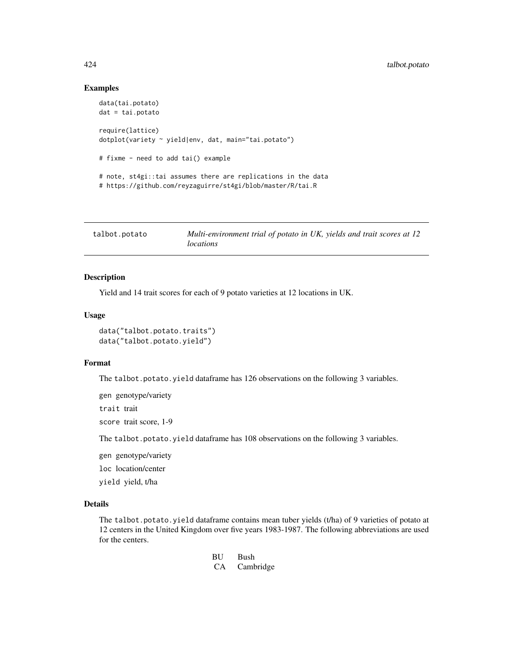## Examples

```
data(tai.potato)
dat = tai.potato
require(lattice)
dotplot(variety ~ yield|env, dat, main="tai.potato")
# fixme - need to add tai() example
# note, st4gi::tai assumes there are replications in the data
# https://github.com/reyzaguirre/st4gi/blob/master/R/tai.R
```

| talbot.potato | Multi-environment trial of potato in UK, yields and trait scores at 12 |
|---------------|------------------------------------------------------------------------|
|               | locations                                                              |

# Description

Yield and 14 trait scores for each of 9 potato varieties at 12 locations in UK.

#### Usage

data("talbot.potato.traits") data("talbot.potato.yield")

#### Format

The talbot.potato.yield dataframe has 126 observations on the following 3 variables.

gen genotype/variety

trait trait

score trait score, 1-9

The talbot.potato.yield dataframe has 108 observations on the following 3 variables.

gen genotype/variety

loc location/center

yield yield, t/ha

#### Details

The talbot.potato.yield dataframe contains mean tuber yields (t/ha) of 9 varieties of potato at 12 centers in the United Kingdom over five years 1983-1987. The following abbreviations are used for the centers.

```
BU Bush
CA Cambridge
```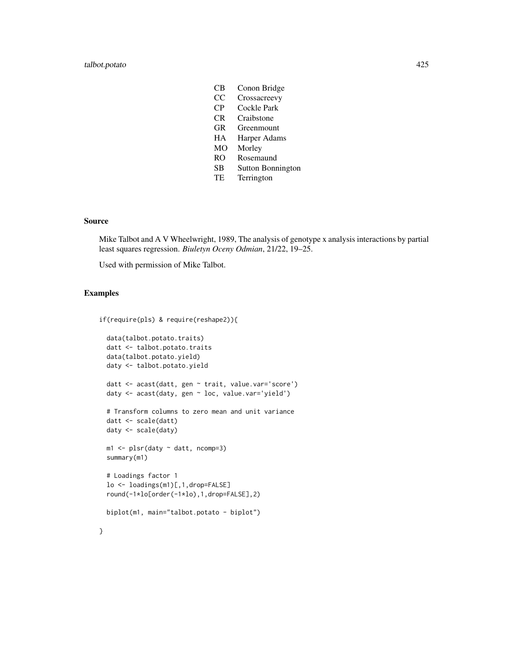- CB Conon Bridge
- CC Crossacreevy
- CP Cockle Park
- CR Craibstone
- GR Greenmount
- HA Harper Adams
- MO Morley
- RO Rosemaund
- SB Sutton Bonnington
- TE Terrington

## Source

Mike Talbot and A V Wheelwright, 1989, The analysis of genotype x analysis interactions by partial least squares regression. *Biuletyn Oceny Odmian*, 21/22, 19–25.

Used with permission of Mike Talbot.

```
if(require(pls) & require(reshape2)){
 data(talbot.potato.traits)
 datt <- talbot.potato.traits
 data(talbot.potato.yield)
 daty <- talbot.potato.yield
 datt <- acast(datt, gen ~ trait, value.var='score')
 daty <- acast(daty, gen ~ loc, value.var='yield')
 # Transform columns to zero mean and unit variance
 datt <- scale(datt)
 daty <- scale(daty)
 m1 <- plsr(daty ~ datt, ncomp=3)
 summary(m1)
 # Loadings factor 1
 lo <- loadings(m1)[,1,drop=FALSE]
 round(-1*lo[order(-1*lo),1,drop=FALSE],2)
 biplot(m1, main="talbot.potato - biplot")
}
```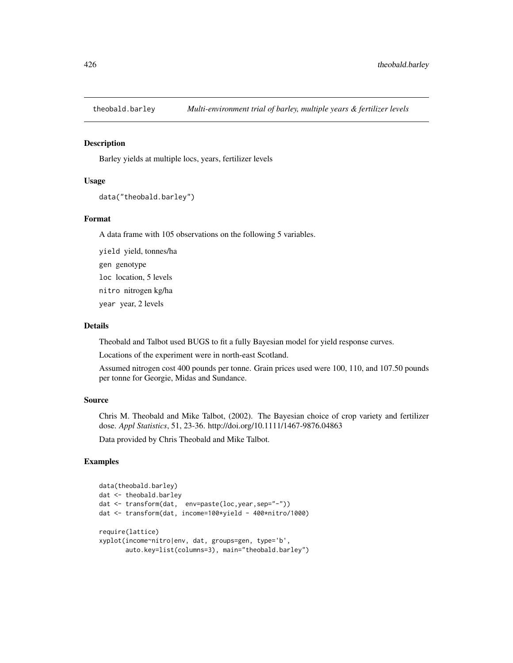#### Description

Barley yields at multiple locs, years, fertilizer levels

### Usage

```
data("theobald.barley")
```
## Format

A data frame with 105 observations on the following 5 variables.

yield yield, tonnes/ha gen genotype loc location, 5 levels nitro nitrogen kg/ha year year, 2 levels

## Details

Theobald and Talbot used BUGS to fit a fully Bayesian model for yield response curves.

Locations of the experiment were in north-east Scotland.

Assumed nitrogen cost 400 pounds per tonne. Grain prices used were 100, 110, and 107.50 pounds per tonne for Georgie, Midas and Sundance.

#### Source

Chris M. Theobald and Mike Talbot, (2002). The Bayesian choice of crop variety and fertilizer dose. *Appl Statistics*, 51, 23-36. http://doi.org/10.1111/1467-9876.04863

Data provided by Chris Theobald and Mike Talbot.

```
data(theobald.barley)
dat <- theobald.barley
dat <- transform(dat, env=paste(loc,year,sep="-"))
dat <- transform(dat, income=100*yield - 400*nitro/1000)
require(lattice)
xyplot(income~nitro|env, dat, groups=gen, type='b',
      auto.key=list(columns=3), main="theobald.barley")
```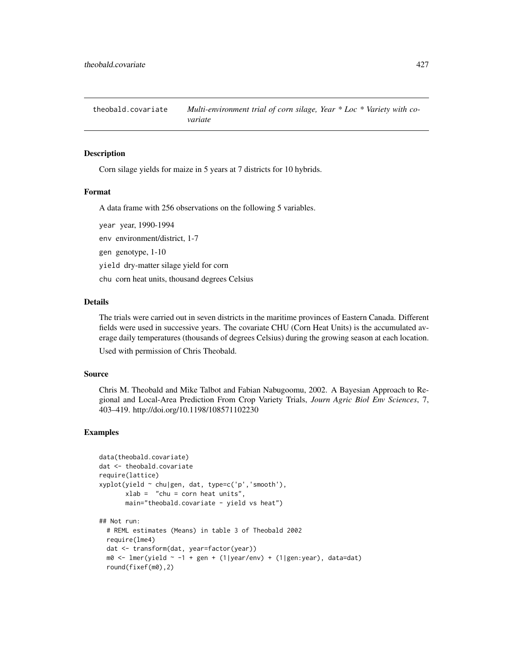theobald.covariate *Multi-environment trial of corn silage, Year \* Loc \* Variety with covariate*

#### **Description**

Corn silage yields for maize in 5 years at 7 districts for 10 hybrids.

#### Format

A data frame with 256 observations on the following 5 variables.

year year, 1990-1994

env environment/district, 1-7

gen genotype, 1-10

yield dry-matter silage yield for corn

chu corn heat units, thousand degrees Celsius

## Details

The trials were carried out in seven districts in the maritime provinces of Eastern Canada. Different fields were used in successive years. The covariate CHU (Corn Heat Units) is the accumulated average daily temperatures (thousands of degrees Celsius) during the growing season at each location.

Used with permission of Chris Theobald.

## Source

Chris M. Theobald and Mike Talbot and Fabian Nabugoomu, 2002. A Bayesian Approach to Regional and Local-Area Prediction From Crop Variety Trials, *Journ Agric Biol Env Sciences*, 7, 403–419. http://doi.org/10.1198/108571102230

```
data(theobald.covariate)
dat <- theobald.covariate
require(lattice)
xyplot(yield ~ chu|gen, dat, type=c('p','smooth'),
       xlab = "chu = corn heat units",
       main="theobald.covariate - yield vs heat")
## Not run:
 # REML estimates (Means) in table 3 of Theobald 2002
 require(lme4)
 dat <- transform(dat, year=factor(year))
 m0 <- lmer(yield \sim -1 + gen + (1|year/env) + (1|gen:year), data=dat)
 round(fixef(m0),2)
```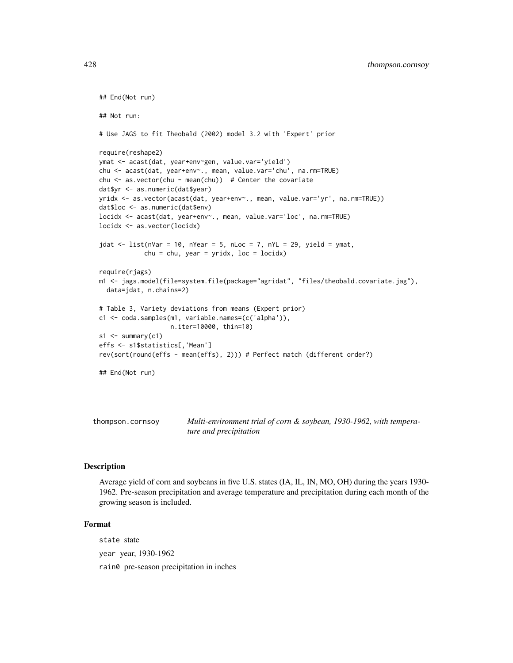```
## End(Not run)
## Not run:
# Use JAGS to fit Theobald (2002) model 3.2 with 'Expert' prior
require(reshape2)
ymat <- acast(dat, year+env~gen, value.var='yield')
chu <- acast(dat, year+env~., mean, value.var='chu', na.rm=TRUE)
chu <- as.vector(chu - mean(chu)) # Center the covariate
dat$yr <- as.numeric(dat$year)
yridx <- as.vector(acast(dat, year+env~., mean, value.var='yr', na.rm=TRUE))
dat$loc <- as.numeric(dat$env)
locidx <- acast(dat, year+env~., mean, value.var='loc', na.rm=TRUE)
locidx <- as.vector(locidx)
jdat <- list(nVar = 10, nYear = 5, nLoc = 7, nYL = 29, yield = ymat,
            chu = chu, year = yridx, loc = locidx)
require(rjags)
m1 <- jags.model(file=system.file(package="agridat", "files/theobald.covariate.jag"),
  data=jdat, n.chains=2)
# Table 3, Variety deviations from means (Expert prior)
c1 <- coda.samples(m1, variable.names=(c('alpha')),
                   n.iter=10000, thin=10)
s1 \leftarrow \text{summary}(c1)effs <- s1$statistics[,'Mean']
rev(sort(round(effs - mean(effs), 2))) # Perfect match (different order?)
## End(Not run)
```
thompson.cornsoy *Multi-environment trial of corn & soybean, 1930-1962, with temperature and precipitation*

#### **Description**

Average yield of corn and soybeans in five U.S. states (IA, IL, IN, MO, OH) during the years 1930- 1962. Pre-season precipitation and average temperature and precipitation during each month of the growing season is included.

## Format

state state

year year, 1930-1962

rain0 pre-season precipitation in inches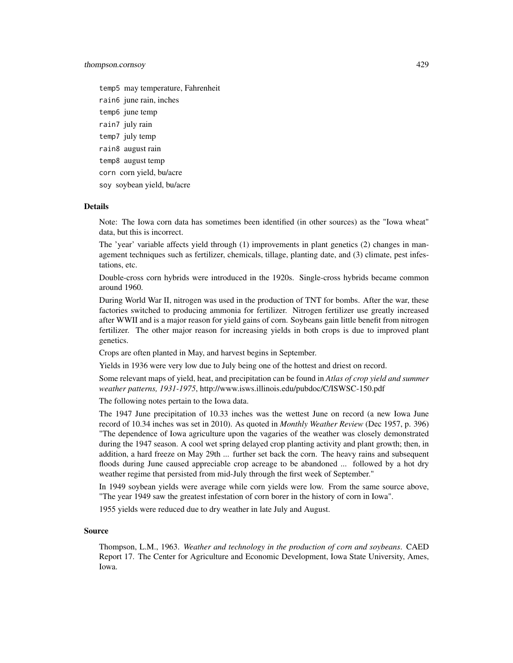#### thompson.cornsoy 429

temp5 may temperature, Fahrenheit rain6 june rain, inches temp6 june temp rain7 july rain temp7 july temp rain8 august rain temp8 august temp corn corn yield, bu/acre soy soybean yield, bu/acre

#### Details

Note: The Iowa corn data has sometimes been identified (in other sources) as the "Iowa wheat" data, but this is incorrect.

The 'year' variable affects yield through (1) improvements in plant genetics (2) changes in management techniques such as fertilizer, chemicals, tillage, planting date, and (3) climate, pest infestations, etc.

Double-cross corn hybrids were introduced in the 1920s. Single-cross hybrids became common around 1960.

During World War II, nitrogen was used in the production of TNT for bombs. After the war, these factories switched to producing ammonia for fertilizer. Nitrogen fertilizer use greatly increased after WWII and is a major reason for yield gains of corn. Soybeans gain little benefit from nitrogen fertilizer. The other major reason for increasing yields in both crops is due to improved plant genetics.

Crops are often planted in May, and harvest begins in September.

Yields in 1936 were very low due to July being one of the hottest and driest on record.

Some relevant maps of yield, heat, and precipitation can be found in *Atlas of crop yield and summer weather patterns, 1931-1975*, http://www.isws.illinois.edu/pubdoc/C/ISWSC-150.pdf

The following notes pertain to the Iowa data.

The 1947 June precipitation of 10.33 inches was the wettest June on record (a new Iowa June record of 10.34 inches was set in 2010). As quoted in *Monthly Weather Review* (Dec 1957, p. 396) "The dependence of Iowa agriculture upon the vagaries of the weather was closely demonstrated during the 1947 season. A cool wet spring delayed crop planting activity and plant growth; then, in addition, a hard freeze on May 29th ... further set back the corn. The heavy rains and subsequent floods during June caused appreciable crop acreage to be abandoned ... followed by a hot dry weather regime that persisted from mid-July through the first week of September."

In 1949 soybean yields were average while corn yields were low. From the same source above, "The year 1949 saw the greatest infestation of corn borer in the history of corn in Iowa".

1955 yields were reduced due to dry weather in late July and August.

#### Source

Thompson, L.M., 1963. *Weather and technology in the production of corn and soybeans*. CAED Report 17. The Center for Agriculture and Economic Development, Iowa State University, Ames, Iowa.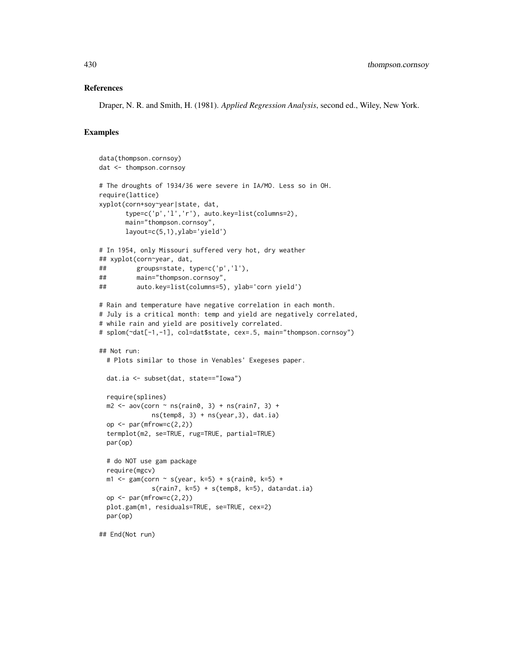#### References

Draper, N. R. and Smith, H. (1981). *Applied Regression Analysis*, second ed., Wiley, New York.

```
data(thompson.cornsoy)
dat <- thompson.cornsoy
# The droughts of 1934/36 were severe in IA/MO. Less so in OH.
require(lattice)
xyplot(corn+soy~year|state, dat,
      type=c('p','l','r'), auto.key=list(columns=2),
      main="thompson.cornsoy",
      layout=c(5,1),ylab='yield')
# In 1954, only Missouri suffered very hot, dry weather
## xyplot(corn~year, dat,
## groups=state, type=c('p','l'),
## main="thompson.cornsoy",
## auto.key=list(columns=5), ylab='corn yield')
# Rain and temperature have negative correlation in each month.
# July is a critical month: temp and yield are negatively correlated,
# while rain and yield are positively correlated.
# splom(~dat[-1,-1], col=dat$state, cex=.5, main="thompson.cornsoy")
## Not run:
 # Plots similar to those in Venables' Exegeses paper.
 dat.ia <- subset(dat, state=="Iowa")
 require(splines)
 m2 \leq -aov(corn \sim ns(rain\theta, 3) + ns(rain7, 3) +ns(temp8, 3) + ns(year, 3), dat.ia)op \leq par(mfrow=c(2,2))
 termplot(m2, se=TRUE, rug=TRUE, partial=TRUE)
 par(op)
 # do NOT use gam package
 require(mgcv)
 m1 <- gam(corn ~ s(year, k=5) + s(rain0, k=5) +
             s(rain7, k=5) + s(temp8, k=5), data=dat.ia)
 op \leq par(mfrow=c(2,2))
 plot.gam(m1, residuals=TRUE, se=TRUE, cex=2)
 par(op)
## End(Not run)
```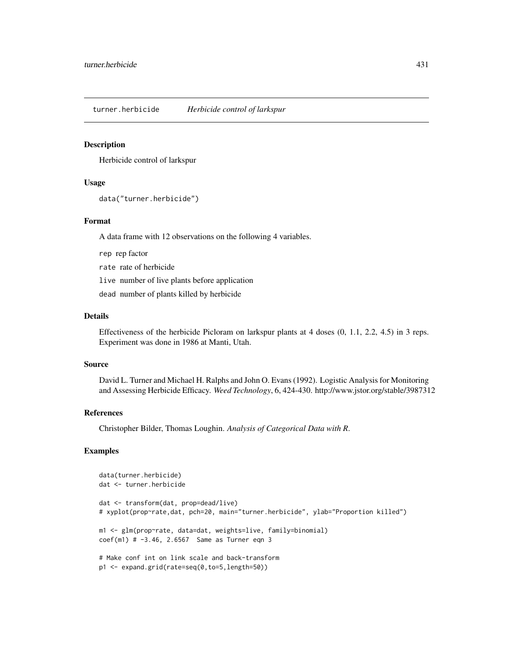turner.herbicide *Herbicide control of larkspur*

#### Description

Herbicide control of larkspur

## Usage

```
data("turner.herbicide")
```
## Format

A data frame with 12 observations on the following 4 variables.

rep rep factor

rate rate of herbicide

live number of live plants before application

dead number of plants killed by herbicide

### Details

Effectiveness of the herbicide Picloram on larkspur plants at 4 doses (0, 1.1, 2.2, 4.5) in 3 reps. Experiment was done in 1986 at Manti, Utah.

## Source

David L. Turner and Michael H. Ralphs and John O. Evans (1992). Logistic Analysis for Monitoring and Assessing Herbicide Efficacy. *Weed Technology*, 6, 424-430. http://www.jstor.org/stable/3987312

#### References

Christopher Bilder, Thomas Loughin. *Analysis of Categorical Data with R*.

```
data(turner.herbicide)
dat <- turner.herbicide
dat <- transform(dat, prop=dead/live)
# xyplot(prop~rate,dat, pch=20, main="turner.herbicide", ylab="Proportion killed")
m1 <- glm(prop~rate, data=dat, weights=live, family=binomial)
coef(m1) # -3.46, 2.6567 Same as Turner eqn 3
# Make conf int on link scale and back-transform
p1 <- expand.grid(rate=seq(0,to=5,length=50))
```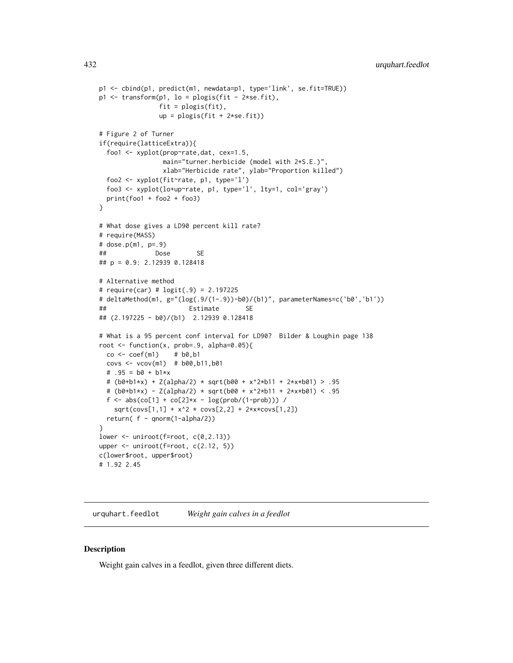```
p1 <- cbind(p1, predict(m1, newdata=p1, type='link', se.fit=TRUE))
p1 \leftarrow transform(p1, lo = plogis(fit - 2*se.fit),
               fit = plogis(fit),
               up = plogis(fit + 2*se.fit))# Figure 2 of Turner
if(require(latticeExtra)){
 foo1 <- xyplot(prop~rate,dat, cex=1.5,
                main="turner.herbicide (model with 2*S.E.)",
                xlab="Herbicide rate", ylab="Proportion killed")
 foo2 <- xyplot(fit~rate, p1, type='l')
 foo3 <- xyplot(lo+up~rate, p1, type='l', lty=1, col='gray')
 print(foo1 + foo2 + foo3)
}
# What dose gives a LD90 percent kill rate?
# require(MASS)
# dose.p(m1, p=.9)
## Dose SE
## p = 0.9: 2.12939 0.128418
# Alternative method
# require(car) # logit(.9) = 2.197225
# deltaMethod(m1, g="(log(.9/(1-.9))-b0)/(b1)", parameterNames=c('b0','b1'))
## Estimate SE
## (2.197225 - b0)/(b1) 2.12939 0.128418
# What is a 95 percent conf interval for LD90? Bilder & Loughin page 138
root <- function(x, prob=.9, alpha=0.05){
 \cos \leftarrow \text{coeff}(m1) # b0, b1covs \le vcov(m1) # b00, b11, b01# .95 = b0 + b1*x
 # (b0+b1*x) + Z(alpha/2) * sqrt(b00 + x^2*b11 + 2*x*b01) > .95
 # (b0+b1*x) - Z(alpha/2) * sqrt(b00 + x^2*b11 + 2*x*b01) < .95
 f <- abs(co[1] + co[2]*x - log(prob/(1-prob))) /
   sqrt(covs[1,1] + x^2 * covs[2,2] + 2*x * covs[1,2])return( f - qnorm(1-alpha/2))
}
lower \leq uniroot(f=root, c(0,2.13))
upper \le uniroot(f=root, c(2.12, 5))
c(lower$root, upper$root)
# 1.92 2.45
```
urquhart.feedlot *Weight gain calves in a feedlot*

### **Description**

Weight gain calves in a feedlot, given three different diets.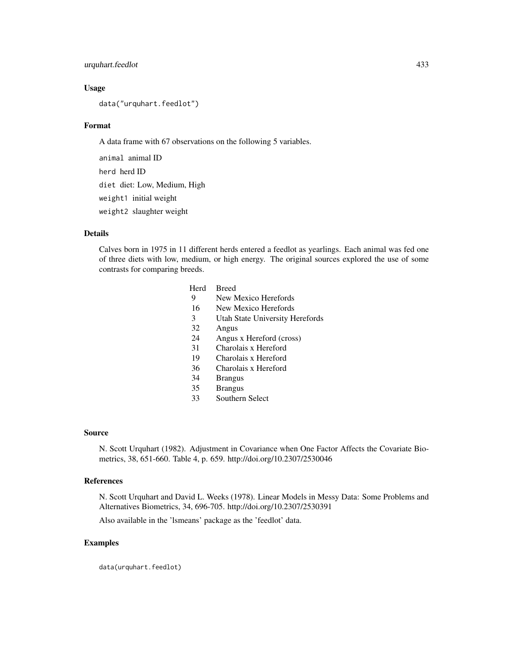# urquhart.feedlot 433

## Usage

data("urquhart.feedlot")

## Format

A data frame with 67 observations on the following 5 variables.

animal animal ID herd herd ID diet diet: Low, Medium, High weight1 initial weight weight2 slaughter weight

# Details

Calves born in 1975 in 11 different herds entered a feedlot as yearlings. Each animal was fed one of three diets with low, medium, or high energy. The original sources explored the use of some contrasts for comparing breeds.

- Herd Breed
- 9 New Mexico Herefords
- 16 New Mexico Herefords
- 3 Utah State University Herefords
- 32 Angus
- 24 Angus x Hereford (cross)<br>31 Charolais x Hereford
- Charolais x Hereford
- 19 Charolais x Hereford
- 36 Charolais x Hereford
- 34 Brangus
- 35 Brangus
- 33 Southern Select

#### Source

N. Scott Urquhart (1982). Adjustment in Covariance when One Factor Affects the Covariate Biometrics, 38, 651-660. Table 4, p. 659. http://doi.org/10.2307/2530046

### References

N. Scott Urquhart and David L. Weeks (1978). Linear Models in Messy Data: Some Problems and Alternatives Biometrics, 34, 696-705. http://doi.org/10.2307/2530391

Also available in the 'lsmeans' package as the 'feedlot' data.

# Examples

data(urquhart.feedlot)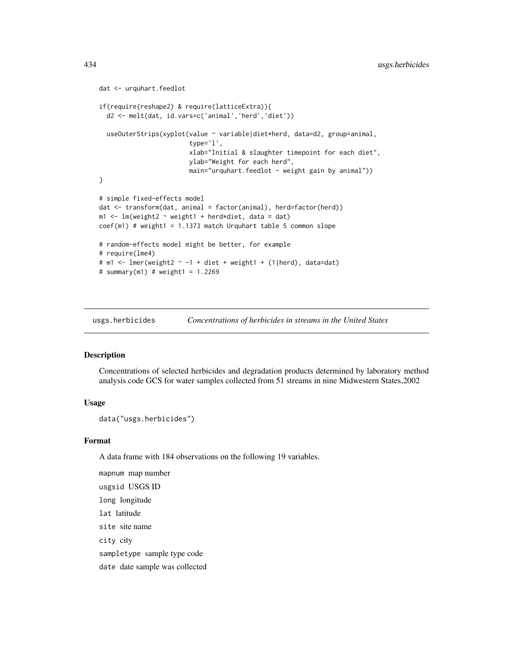```
dat <- urquhart.feedlot
if(require(reshape2) & require(latticeExtra)){
 d2 <- melt(dat, id.vars=c('animal','herd','diet'))
 useOuterStrips(xyplot(value ~ variable|diet*herd, data=d2, group=animal,
                        type='l',
                        xlab="Initial & slaughter timepoint for each diet",
                        ylab="Weight for each herd",
                        main="urquhart.feedlot - weight gain by animal"))
}
# simple fixed-effects model
dat <- transform(dat, animal = factor(animal), herd=factor(herd))
m1 <- lm(weight2 ~ weight1 + herd*diet, data = dat)
coef(m1) # weight1 = 1.1373 match Urquhart table 5 common slope
# random-effects model might be better, for example
# require(lme4)
# m1 <- lmer(weight2 \sim -1 + diet + weight1 + (1|herd), data=dat)
# summary(m1) # weight1 = 1.2269
```
usgs.herbicides *Concentrations of herbicides in streams in the United States*

## Description

Concentrations of selected herbicides and degradation products determined by laboratory method analysis code GCS for water samples collected from 51 streams in nine Midwestern States,2002

#### Usage

```
data("usgs.herbicides")
```
# Format

A data frame with 184 observations on the following 19 variables.

mapnum map number usgsid USGS ID long longitude lat latitude site site name city city sampletype sample type code date date sample was collected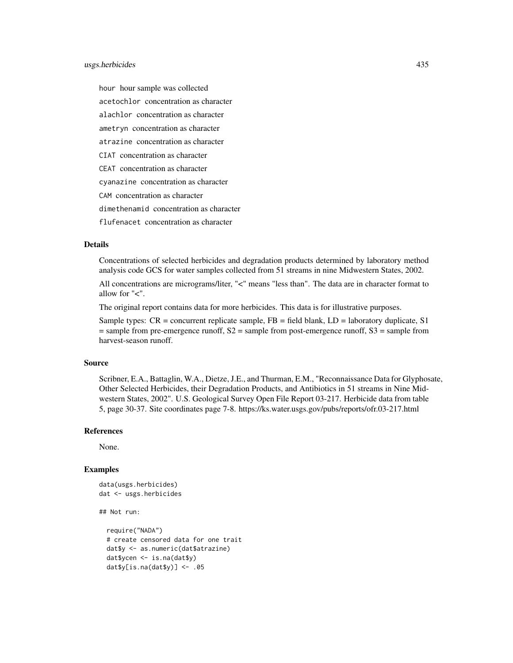# usgs.herbicides 435

hour hour sample was collected acetochlor concentration as character alachlor concentration as character ametryn concentration as character atrazine concentration as character CIAT concentration as character CEAT concentration as character cyanazine concentration as character CAM concentration as character dimethenamid concentration as character flufenacet concentration as character

# Details

Concentrations of selected herbicides and degradation products determined by laboratory method analysis code GCS for water samples collected from 51 streams in nine Midwestern States, 2002.

All concentrations are micrograms/liter, "<" means "less than". The data are in character format to allow for "<".

The original report contains data for more herbicides. This data is for illustrative purposes.

Sample types: CR = concurrent replicate sample, FB = field blank, LD = laboratory duplicate, S1 = sample from pre-emergence runoff, S2 = sample from post-emergence runoff, S3 = sample from harvest-season runoff.

# Source

Scribner, E.A., Battaglin, W.A., Dietze, J.E., and Thurman, E.M., "Reconnaissance Data for Glyphosate, Other Selected Herbicides, their Degradation Products, and Antibiotics in 51 streams in Nine Midwestern States, 2002". U.S. Geological Survey Open File Report 03-217. Herbicide data from table 5, page 30-37. Site coordinates page 7-8. https://ks.water.usgs.gov/pubs/reports/ofr.03-217.html

#### References

None.

## Examples

```
data(usgs.herbicides)
dat <- usgs.herbicides
```
## Not run:

```
require("NADA")
# create censored data for one trait
dat$y <- as.numeric(dat$atrazine)
dat$ycen <- is.na(dat$y)
dat$y[is.na(dat$y)] <- .05
```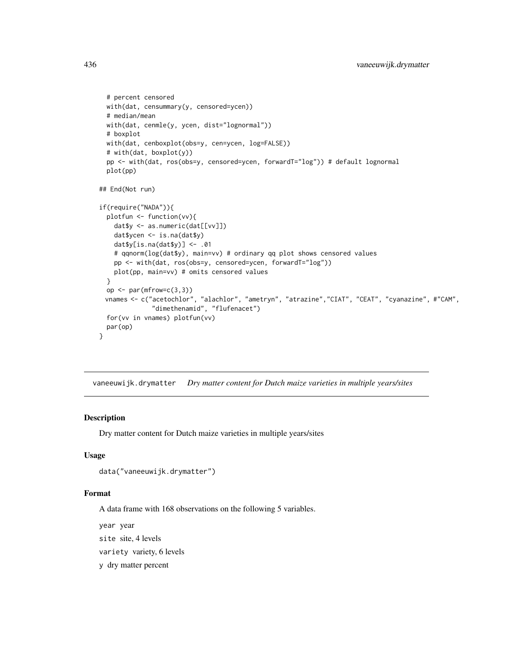```
# percent censored
 with(dat, censummary(y, censored=ycen))
 # median/mean
 with(dat, cenmle(y, ycen, dist="lognormal"))
 # boxplot
 with(dat, cenboxplot(obs=y, cen=ycen, log=FALSE))
 # with(dat, boxplot(y))
 pp <- with(dat, ros(obs=y, censored=ycen, forwardT="log")) # default lognormal
 plot(pp)
## End(Not run)
if(require("NADA")){
 plotfun <- function(vv){
   dat$y <- as.numeric(dat[[vv]])
   dat$ycen <- is.na(dat$y)
   dat$y[is.na(dat$y)] <- .01
   # qqnorm(log(dat$y), main=vv) # ordinary qq plot shows censored values
   pp <- with(dat, ros(obs=y, censored=ycen, forwardT="log"))
   plot(pp, main=vv) # omits censored values
 }
 op <- par(mfrow=c(3,3))
 vnames <- c("acetochlor", "alachlor", "ametryn", "atrazine","CIAT", "CEAT", "cyanazine", #"CAM",
              "dimethenamid", "flufenacet")
 for(vv in vnames) plotfun(vv)
 par(op)
}
```
vaneeuwijk.drymatter *Dry matter content for Dutch maize varieties in multiple years/sites*

# Description

Dry matter content for Dutch maize varieties in multiple years/sites

# Usage

```
data("vaneeuwijk.drymatter")
```
## Format

A data frame with 168 observations on the following 5 variables.

year year site site, 4 levels variety variety, 6 levels y dry matter percent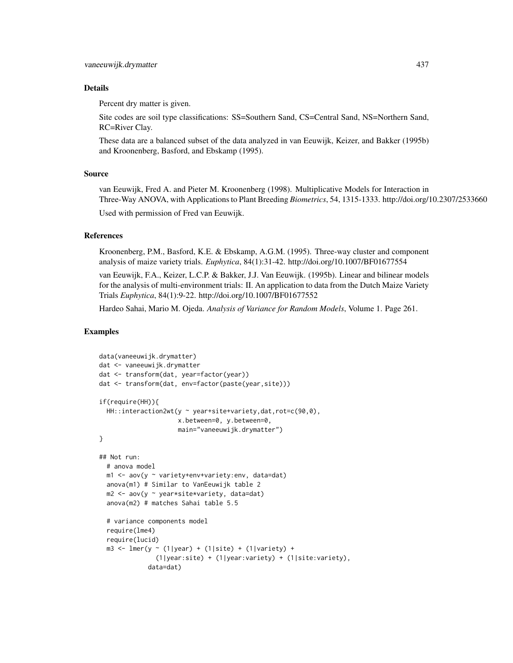## Details

Percent dry matter is given.

Site codes are soil type classifications: SS=Southern Sand, CS=Central Sand, NS=Northern Sand, RC=River Clay.

These data are a balanced subset of the data analyzed in van Eeuwijk, Keizer, and Bakker (1995b) and Kroonenberg, Basford, and Ebskamp (1995).

## Source

van Eeuwijk, Fred A. and Pieter M. Kroonenberg (1998). Multiplicative Models for Interaction in Three-Way ANOVA, with Applications to Plant Breeding *Biometrics*, 54, 1315-1333. http://doi.org/10.2307/2533660

Used with permission of Fred van Eeuwijk.

## References

Kroonenberg, P.M., Basford, K.E. & Ebskamp, A.G.M. (1995). Three-way cluster and component analysis of maize variety trials. *Euphytica*, 84(1):31-42. http://doi.org/10.1007/BF01677554

van Eeuwijk, F.A., Keizer, L.C.P. & Bakker, J.J. Van Eeuwijk. (1995b). Linear and bilinear models for the analysis of multi-environment trials: II. An application to data from the Dutch Maize Variety Trials *Euphytica*, 84(1):9-22. http://doi.org/10.1007/BF01677552

Hardeo Sahai, Mario M. Ojeda. *Analysis of Variance for Random Models*, Volume 1. Page 261.

```
data(vaneeuwijk.drymatter)
dat <- vaneeuwijk.drymatter
dat <- transform(dat, year=factor(year))
dat <- transform(dat, env=factor(paste(year,site)))
if(require(HH)){
  HH::interaction2wt(y ~ year+site+variety,dat,rot=c(90,0),
                     x.between=0, y.between=0,
                     main="vaneeuwijk.drymatter")
}
## Not run:
  # anova model
  m1 \leq -aov(y \sim variety+env+variety:env, data=dat)anova(m1) # Similar to VanEeuwijk table 2
  m2 <- aov(y ~ year*site*variety, data=dat)
  anova(m2) # matches Sahai table 5.5
  # variance components model
  require(lme4)
  require(lucid)
  m3 <- lmer(y ~ (1|year) + (1|site) + (1|variety) +
               (1|year:site) + (1|year:variety) + (1|site:variety),
             data=dat)
```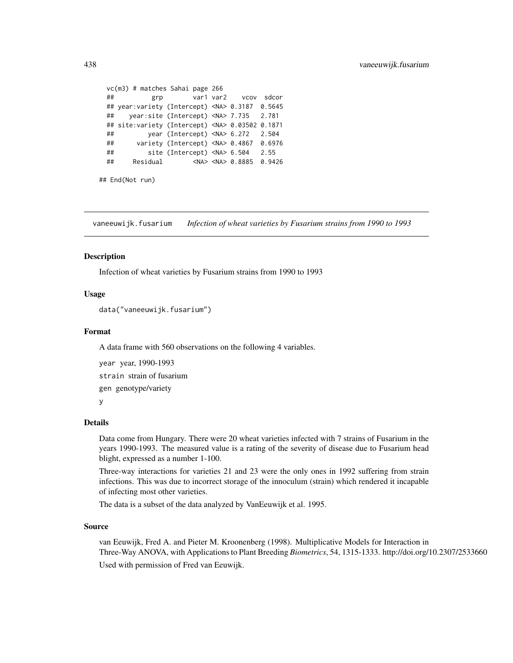```
vc(m3) # matches Sahai page 266
## grp var1 var2 vcov sdcor
## year:variety (Intercept) <NA> 0.3187 0.5645
## year:site (Intercept) <NA> 7.735 2.781
## site:variety (Intercept) <NA> 0.03502 0.1871
## year (Intercept) <NA> 6.272 2.504
## variety (Intercept) <NA> 0.4867 0.6976
## site (Intercept) <NA> 6.504 2.55
## Residual <NA> <NA> 0.8885 0.9426
```

```
## End(Not run)
```
vaneeuwijk.fusarium *Infection of wheat varieties by Fusarium strains from 1990 to 1993*

## Description

Infection of wheat varieties by Fusarium strains from 1990 to 1993

## Usage

```
data("vaneeuwijk.fusarium")
```
## Format

A data frame with 560 observations on the following 4 variables.

```
year year, 1990-1993
strain strain of fusarium
gen genotype/variety
y
```
## Details

Data come from Hungary. There were 20 wheat varieties infected with 7 strains of Fusarium in the years 1990-1993. The measured value is a rating of the severity of disease due to Fusarium head blight, expressed as a number 1-100.

Three-way interactions for varieties 21 and 23 were the only ones in 1992 suffering from strain infections. This was due to incorrect storage of the innoculum (strain) which rendered it incapable of infecting most other varieties.

The data is a subset of the data analyzed by VanEeuwijk et al. 1995.

#### Source

van Eeuwijk, Fred A. and Pieter M. Kroonenberg (1998). Multiplicative Models for Interaction in Three-Way ANOVA, with Applications to Plant Breeding *Biometrics*, 54, 1315-1333. http://doi.org/10.2307/2533660 Used with permission of Fred van Eeuwijk.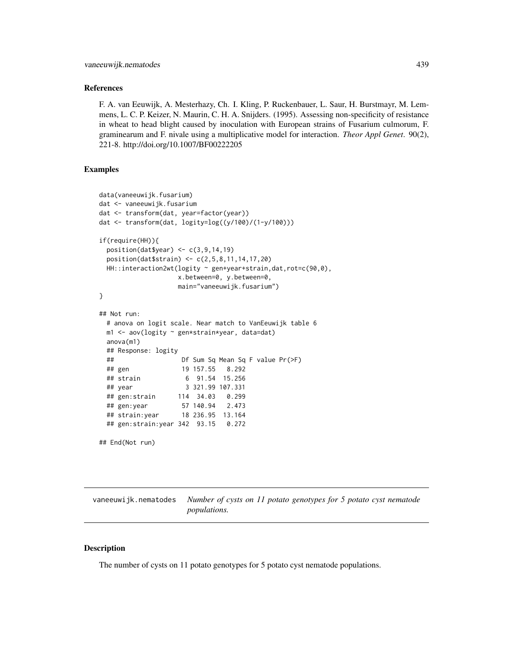## References

F. A. van Eeuwijk, A. Mesterhazy, Ch. I. Kling, P. Ruckenbauer, L. Saur, H. Burstmayr, M. Lemmens, L. C. P. Keizer, N. Maurin, C. H. A. Snijders. (1995). Assessing non-specificity of resistance in wheat to head blight caused by inoculation with European strains of Fusarium culmorum, F. graminearum and F. nivale using a multiplicative model for interaction. *Theor Appl Genet*. 90(2), 221-8. http://doi.org/10.1007/BF00222205

# Examples

```
data(vaneeuwijk.fusarium)
dat <- vaneeuwijk.fusarium
dat <- transform(dat, year=factor(year))
dat <- transform(dat, logity=log((y/100)/(1-y/100)))
if(require(HH)){
 position(dat$year) <- c(3,9,14,19)
 position(dat$strain) <- c(2,5,8,11,14,17,20)
 HH::interaction2wt(logity ~ gen+year+strain,dat,rot=c(90,0),
                   x.between=0, y.between=0,
                   main="vaneeuwijk.fusarium")
}
## Not run:
 # anova on logit scale. Near match to VanEeuwijk table 6
 m1 <- aov(logity ~ gen*strain*year, data=dat)
 anova(m1)
 ## Response: logity
 ## Df Sum Sq Mean Sq F value Pr(>F)
 ## gen 19 157.55 8.292
 ## strain 6 91.54 15.256
 ## year 3 321.99 107.331
 ## gen:strain 114 34.03 0.299
 ## gen:year 57 140.94 2.473
 ## strain:year 18 236.95 13.164
 ## gen:strain:year 342 93.15 0.272
## End(Not run)
```
vaneeuwijk.nematodes *Number of cysts on 11 potato genotypes for 5 potato cyst nematode populations.*

# **Description**

The number of cysts on 11 potato genotypes for 5 potato cyst nematode populations.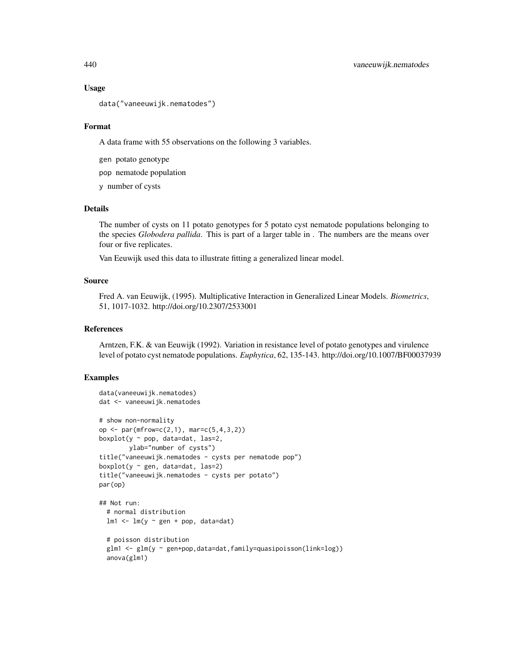## Usage

data("vaneeuwijk.nematodes")

## Format

A data frame with 55 observations on the following 3 variables.

gen potato genotype

pop nematode population

y number of cysts

# Details

The number of cysts on 11 potato genotypes for 5 potato cyst nematode populations belonging to the species *Globodera pallida*. This is part of a larger table in . The numbers are the means over four or five replicates.

Van Eeuwijk used this data to illustrate fitting a generalized linear model.

# Source

Fred A. van Eeuwijk, (1995). Multiplicative Interaction in Generalized Linear Models. *Biometrics*, 51, 1017-1032. http://doi.org/10.2307/2533001

## References

Arntzen, F.K. & van Eeuwijk (1992). Variation in resistance level of potato genotypes and virulence level of potato cyst nematode populations. *Euphytica*, 62, 135-143. http://doi.org/10.1007/BF00037939

```
data(vaneeuwijk.nematodes)
dat <- vaneeuwijk.nematodes
# show non-normality
op <- par(mfrow=c(2,1), mar=c(5,4,3,2))boxplot(y \sim pop, data=dat, las=2,
       ylab="number of cysts")
title("vaneeuwijk.nematodes - cysts per nematode pop")
boxplot(y \sim gen, data=dat, las=2)
title("vaneeuwijk.nematodes - cysts per potato")
par(op)
## Not run:
 # normal distribution
 lm1 < - lm(y \sim gen + pop, data=dat)# poisson distribution
 glm1 <- glm(y ~ gen+pop,data=dat,family=quasipoisson(link=log))
 anova(glm1)
```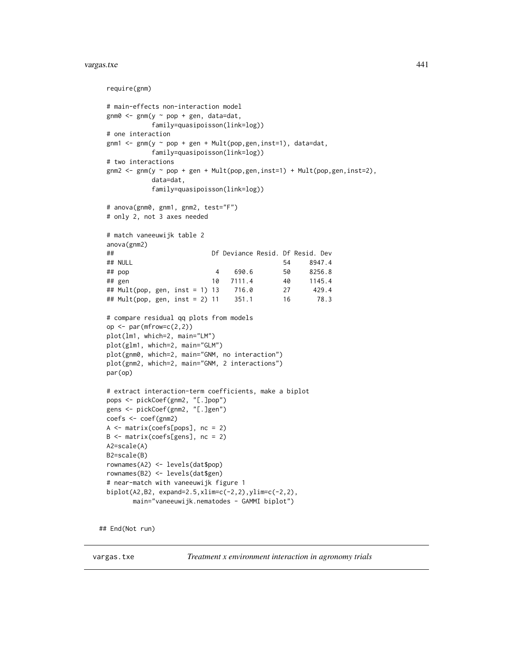#### vargas.txe 441

```
require(gnm)
# main-effects non-interaction model
gnm0 \leq - gnm(y \sim pop + gen, data=dat,
          family=quasipoisson(link=log))
# one interaction
gnm1 <- gnm(y \sim pop + gen + Mult(pop, gen, inst=1), data=dat,family=quasipoisson(link=log))
# two interactions
gnm2 \leq gnm(y \sim pop + gen + Mult(pop,gen,inst=1) + Mult(pop,gen,inst=2),data=dat,
          family=quasipoisson(link=log))
# anova(gnm0, gnm1, gnm2, test="F")
# only 2, not 3 axes needed
# match vaneeuwijk table 2
anova(gnm2)
## Df Deviance Resid. Df Resid. Dev
## NULL 54 8947.4
## pop 4 690.6 50 8256.8
## gen 10 7111.4 40 1145.4
## Mult(pop, gen, inst = 1) 13 716.0 27 429.4
## Mult(pop, gen, inst = 2) 11 351.1 16 78.3
# compare residual qq plots from models
op \leq par(mfrow=c(2,2))
plot(lm1, which=2, main="LM")
plot(glm1, which=2, main="GLM")
plot(gnm0, which=2, main="GNM, no interaction")
plot(gnm2, which=2, main="GNM, 2 interactions")
par(op)
# extract interaction-term coefficients, make a biplot
pops <- pickCoef(gnm2, "[.]pop")
gens <- pickCoef(gnm2, "[.]gen")
coefs <- coef(gnm2)
A <- matrix(coefs[pops], nc = 2)
B <- matrix(coefs[gens], nc = 2)
A2=scale(A)
B2=scale(B)
rownames(A2) <- levels(dat$pop)
rownames(B2) <- levels(dat$gen)
# near-match with vaneeuwijk figure 1
biplot(A2,B2, expand=2.5,xlim=c(-2,2),ylim=c(-2,2),
      main="vaneeuwijk.nematodes - GAMMI biplot")
```
## End(Not run)

vargas.txe *Treatment x environment interaction in agronomy trials*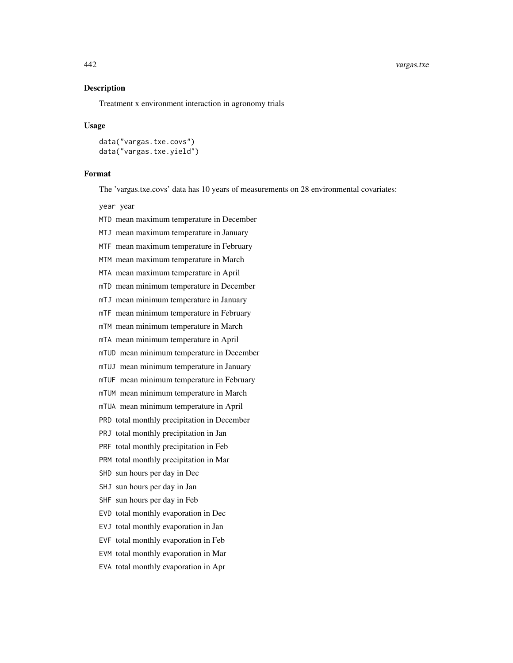#### 442 vargas.txe

## Description

Treatment x environment interaction in agronomy trials

#### Usage

data("vargas.txe.covs") data("vargas.txe.yield")

#### Format

The 'vargas.txe.covs' data has 10 years of measurements on 28 environmental covariates:

year year

- MTD mean maximum temperature in December
- MTJ mean maximum temperature in January
- MTF mean maximum temperature in February
- MTM mean maximum temperature in March
- MTA mean maximum temperature in April
- mTD mean minimum temperature in December
- mTJ mean minimum temperature in January
- mTF mean minimum temperature in February
- mTM mean minimum temperature in March
- mTA mean minimum temperature in April
- mTUD mean minimum temperature in December
- mTUJ mean minimum temperature in January
- mTUF mean minimum temperature in February
- mTUM mean minimum temperature in March
- mTUA mean minimum temperature in April
- PRD total monthly precipitation in December
- PRJ total monthly precipitation in Jan
- PRF total monthly precipitation in Feb
- PRM total monthly precipitation in Mar
- SHD sun hours per day in Dec
- SHJ sun hours per day in Jan
- SHF sun hours per day in Feb
- EVD total monthly evaporation in Dec
- EVJ total monthly evaporation in Jan
- EVF total monthly evaporation in Feb
- EVM total monthly evaporation in Mar
- EVA total monthly evaporation in Apr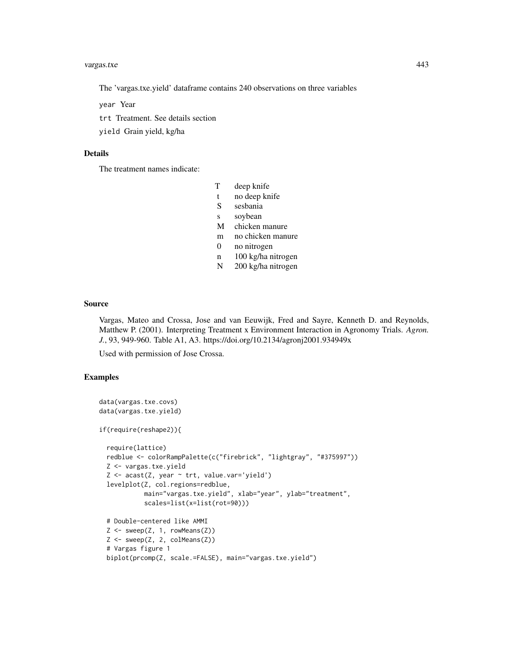#### vargas.txe 443

The 'vargas.txe.yield' dataframe contains 240 observations on three variables

year Year

trt Treatment. See details section

yield Grain yield, kg/ha

# Details

The treatment names indicate:

- T deep knife
- t no deep knife
- S sesbania
- s soybean
- M chicken manure
- m no chicken manure
- 0 no nitrogen
- n 100 kg/ha nitrogen
- N 200 kg/ha nitrogen

# Source

Vargas, Mateo and Crossa, Jose and van Eeuwijk, Fred and Sayre, Kenneth D. and Reynolds, Matthew P. (2001). Interpreting Treatment x Environment Interaction in Agronomy Trials. *Agron. J.*, 93, 949-960. Table A1, A3. https://doi.org/10.2134/agronj2001.934949x

Used with permission of Jose Crossa.

```
data(vargas.txe.covs)
data(vargas.txe.yield)
if(require(reshape2)){
 require(lattice)
 redblue <- colorRampPalette(c("firebrick", "lightgray", "#375997"))
 Z <- vargas.txe.yield
 Z <- acast(Z, year ~ trt, value.var='yield')
 levelplot(Z, col.regions=redblue,
            main="vargas.txe.yield", xlab="year", ylab="treatment",
            scales=list(x=list(rot=90)))
 # Double-centered like AMMI
 Z \leftarrow sweep(Z, 1, rowMeans(Z))
 Z \leftarrow sweep(Z, 2, colMeans(Z))
 # Vargas figure 1
 biplot(prcomp(Z, scale.=FALSE), main="vargas.txe.yield")
```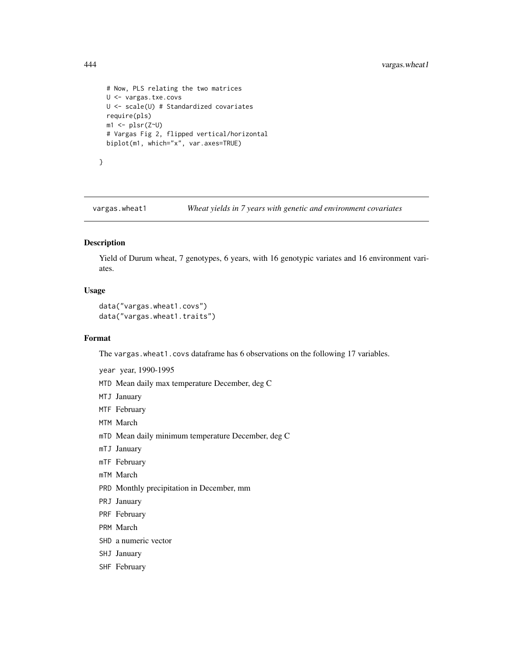```
# Now, PLS relating the two matrices
U <- vargas.txe.covs
U <- scale(U) # Standardized covariates
require(pls)
m1 <- plsr(Z~U)
# Vargas Fig 2, flipped vertical/horizontal
biplot(m1, which="x", var.axes=TRUE)
```
}

vargas.wheat1 *Wheat yields in 7 years with genetic and environment covariates*

## Description

Yield of Durum wheat, 7 genotypes, 6 years, with 16 genotypic variates and 16 environment variates.

# Usage

```
data("vargas.wheat1.covs")
data("vargas.wheat1.traits")
```
## Format

The vargas.wheat1.covs dataframe has 6 observations on the following 17 variables.

- year year, 1990-1995
- MTD Mean daily max temperature December, deg C
- MTJ January
- MTF February
- MTM March
- mTD Mean daily minimum temperature December, deg C
- mTJ January
- mTF February
- mTM March
- PRD Monthly precipitation in December, mm
- PRJ January
- PRF February
- PRM March
- SHD a numeric vector
- SHJ January
- SHF February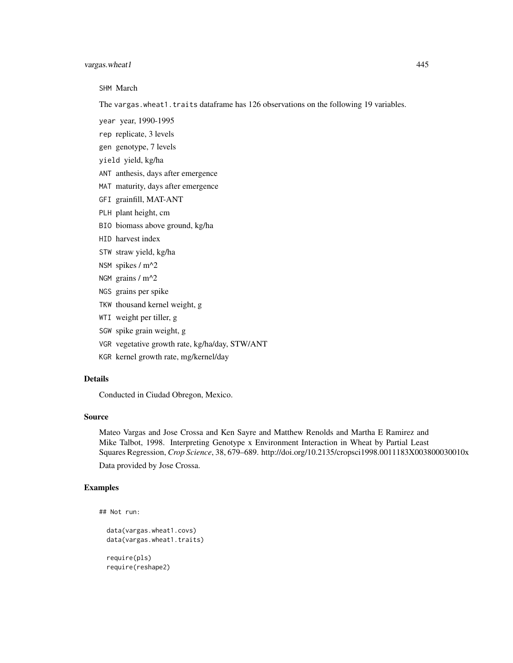# vargas.wheat 1 445

SHM March

The vargas.wheat1.traits dataframe has 126 observations on the following 19 variables.

- year year, 1990-1995
- rep replicate, 3 levels
- gen genotype, 7 levels
- yield yield, kg/ha
- ANT anthesis, days after emergence
- MAT maturity, days after emergence
- GFI grainfill, MAT-ANT
- PLH plant height, cm
- BIO biomass above ground, kg/ha
- HID harvest index
- STW straw yield, kg/ha
- NSM spikes / m^2
- NGM grains / m^2
- NGS grains per spike
- TKW thousand kernel weight, g
- WTI weight per tiller, g
- SGW spike grain weight, g
- VGR vegetative growth rate, kg/ha/day, STW/ANT
- KGR kernel growth rate, mg/kernel/day

# Details

Conducted in Ciudad Obregon, Mexico.

#### Source

Mateo Vargas and Jose Crossa and Ken Sayre and Matthew Renolds and Martha E Ramirez and Mike Talbot, 1998. Interpreting Genotype x Environment Interaction in Wheat by Partial Least Squares Regression, *Crop Science*, 38, 679–689. http://doi.org/10.2135/cropsci1998.0011183X003800030010x

Data provided by Jose Crossa.

```
## Not run:
```

```
data(vargas.wheat1.covs)
data(vargas.wheat1.traits)
require(pls)
require(reshape2)
```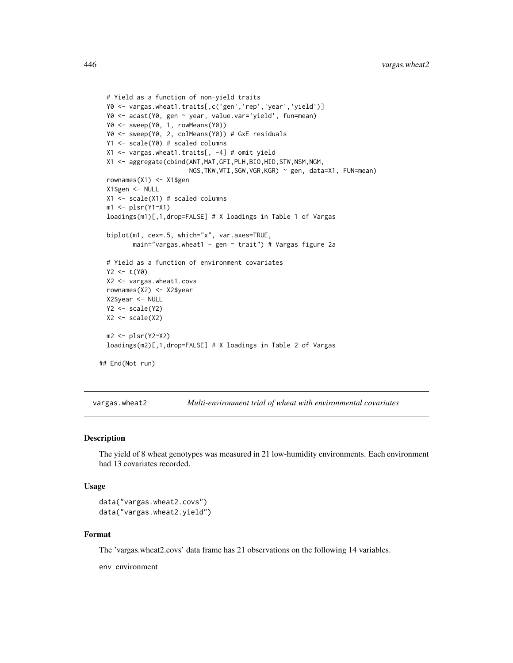```
# Yield as a function of non-yield traits
 Y0 <- vargas.wheat1.traits[,c('gen','rep','year','yield')]
 Y0 <- acast(Y0, gen ~ year, value.var='yield', fun=mean)
 Y0 <- sweep(Y0, 1, rowMeans(Y0))
 Y0 <- sweep(Y0, 2, colMeans(Y0)) # GxE residuals
 Y1 <- scale(Y0) # scaled columns
 X1 <- vargas.wheat1.traits[, -4] # omit yield
 X1 <- aggregate(cbind(ANT,MAT,GFI,PLH,BIO,HID,STW,NSM,NGM,
                        NGS,TKW,WTI,SGW,VGR,KGR) ~ gen, data=X1, FUN=mean)
 rownames(X1) <- X1$gen
 X1$gen <- NULL
 X1 <- scale(X1) # scaled columns
 ml \leftarrow plsr(Y1~X1)loadings(m1)[,1,drop=FALSE] # X loadings in Table 1 of Vargas
 biplot(m1, cex=.5, which="x", var.axes=TRUE,
        main="vargas.wheat1 - gen ~ trait") # Vargas figure 2a
 # Yield as a function of environment covariates
 Y2 < - t(Y0)X2 <- vargas.wheat1.covs
 rownames(X2) <- X2$year
 X2$year <- NULL
 Y2 \leftarrow scale(Y2)X2 \leftarrow scale(X2)m2 <- plsr(Y2~X2)
 loadings(m2)[,1,drop=FALSE] # X loadings in Table 2 of Vargas
## End(Not run)
```
vargas.wheat2 *Multi-environment trial of wheat with environmental covariates*

#### Description

The yield of 8 wheat genotypes was measured in 21 low-humidity environments. Each environment had 13 covariates recorded.

## Usage

```
data("vargas.wheat2.covs")
data("vargas.wheat2.yield")
```
## Format

The 'vargas.wheat2.covs' data frame has 21 observations on the following 14 variables.

env environment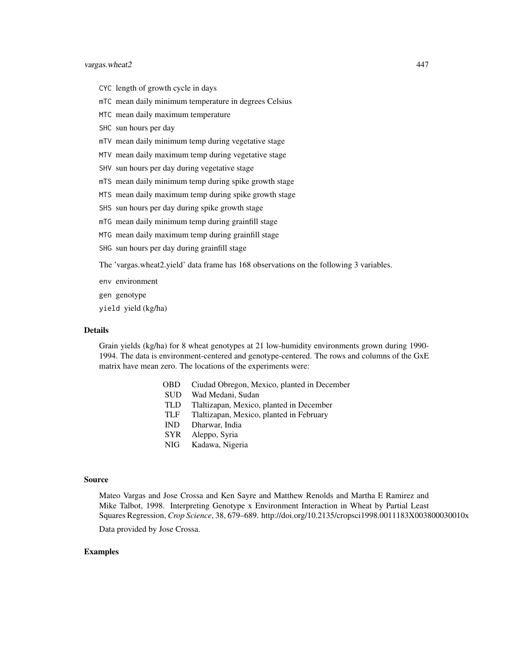## vargas.wheat2 447

- CYC length of growth cycle in days
- mTC mean daily minimum temperature in degrees Celsius
- MTC mean daily maximum temperature
- SHC sun hours per day
- mTV mean daily minimum temp during vegetative stage
- MTV mean daily maximum temp during vegetative stage
- SHV sun hours per day during vegetative stage
- mTS mean daily minimum temp during spike growth stage
- MTS mean daily maximum temp during spike growth stage
- SHS sun hours per day during spike growth stage
- mTG mean daily minimum temp during grainfill stage
- MTG mean daily maximum temp during grainfill stage
- SHG sun hours per day during grainfill stage

The 'vargas.wheat2.yield' data frame has 168 observations on the following 3 variables.

- env environment
- gen genotype
- yield yield (kg/ha)

## Details

Grain yields (kg/ha) for 8 wheat genotypes at 21 low-humidity environments grown during 1990- 1994. The data is environment-centered and genotype-centered. The rows and columns of the GxE matrix have mean zero. The locations of the experiments were:

- OBD Ciudad Obregon, Mexico, planted in December
- SUD Wad Medani, Sudan
- TLD Tlaltizapan, Mexico, planted in December
- TLF Tlaltizapan, Mexico, planted in February
- IND Dharwar, India
- SYR Aleppo, Syria
- NIG Kadawa, Nigeria

#### Source

Mateo Vargas and Jose Crossa and Ken Sayre and Matthew Renolds and Martha E Ramirez and Mike Talbot, 1998. Interpreting Genotype x Environment Interaction in Wheat by Partial Least Squares Regression, *Crop Science*, 38, 679–689. http://doi.org/10.2135/cropsci1998.0011183X003800030010x

Data provided by Jose Crossa.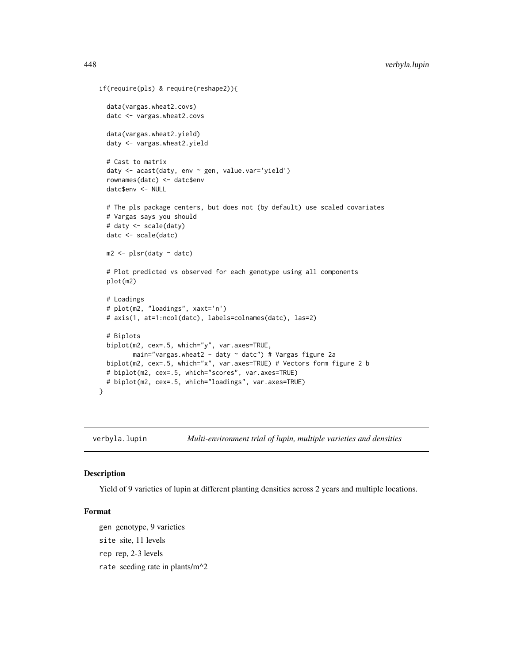```
if(require(pls) & require(reshape2)){
 data(vargas.wheat2.covs)
 datc <- vargas.wheat2.covs
 data(vargas.wheat2.yield)
 daty <- vargas.wheat2.yield
 # Cast to matrix
 daty <- acast(daty, env ~ gen, value.var='yield')
 rownames(datc) <- datc$env
 datc$env <- NULL
 # The pls package centers, but does not (by default) use scaled covariates
 # Vargas says you should
 # daty <- scale(daty)
 datc <- scale(datc)
 m2 \leq plsr(daty \sim datc)
 # Plot predicted vs observed for each genotype using all components
 plot(m2)
 # Loadings
 # plot(m2, "loadings", xaxt='n')
 # axis(1, at=1:ncol(datc), labels=colnames(datc), las=2)
 # Biplots
 biplot(m2, cex=.5, which="y", var.axes=TRUE,
        main="vargas.wheat2 - daty ~ datc") # Vargas figure 2a
 biplot(m2, cex=.5, which="x", var.axes=TRUE) # Vectors form figure 2 b
 # biplot(m2, cex=.5, which="scores", var.axes=TRUE)
 # biplot(m2, cex=.5, which="loadings", var.axes=TRUE)
}
```
verbyla.lupin *Multi-environment trial of lupin, multiple varieties and densities*

# Description

Yield of 9 varieties of lupin at different planting densities across 2 years and multiple locations.

# Format

gen genotype, 9 varieties site site, 11 levels rep rep, 2-3 levels rate seeding rate in plants/m^2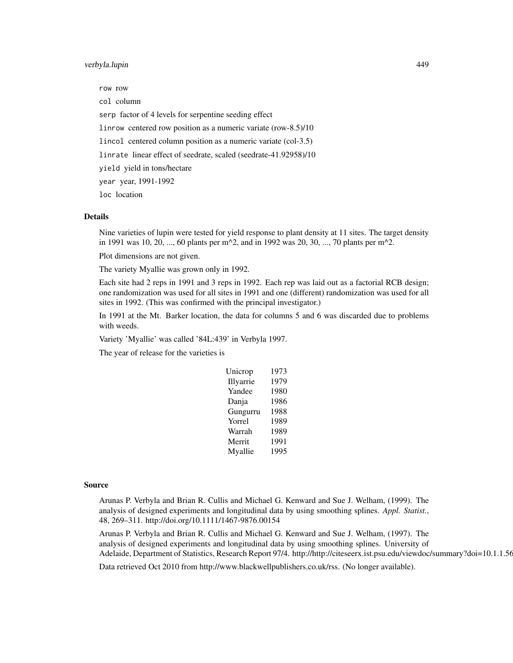# verbyla.lupin 449

row row col column serp factor of 4 levels for serpentine seeding effect linrow centered row position as a numeric variate (row-8.5)/10 lincol centered column position as a numeric variate (col-3.5) linrate linear effect of seedrate, scaled (seedrate-41.92958)/10 yield yield in tons/hectare year year, 1991-1992 loc location

# Details

Nine varieties of lupin were tested for yield response to plant density at 11 sites. The target density in 1991 was 10, 20, ..., 60 plants per m^2, and in 1992 was 20, 30, ..., 70 plants per m^2.

Plot dimensions are not given.

The variety Myallie was grown only in 1992.

Each site had 2 reps in 1991 and 3 reps in 1992. Each rep was laid out as a factorial RCB design; one randomization was used for all sites in 1991 and one (different) randomization was used for all sites in 1992. (This was confirmed with the principal investigator.)

In 1991 at the Mt. Barker location, the data for columns 5 and 6 was discarded due to problems with weeds.

Variety 'Myallie' was called '84L:439' in Verbyla 1997.

The year of release for the varieties is

| 1973 |
|------|
| 1979 |
| 1980 |
| 1986 |
| 1988 |
| 1989 |
| 1989 |
| 1991 |
| 1995 |
|      |

#### Source

Arunas P. Verbyla and Brian R. Cullis and Michael G. Kenward and Sue J. Welham, (1999). The analysis of designed experiments and longitudinal data by using smoothing splines. *Appl. Statist.*, 48, 269–311. http://doi.org/10.1111/1467-9876.00154

Arunas P. Verbyla and Brian R. Cullis and Michael G. Kenward and Sue J. Welham, (1997). The analysis of designed experiments and longitudinal data by using smoothing splines. University of Adelaide, Department of Statistics, Research Report 97/4. http://http://citeseerx.ist.psu.edu/viewdoc/summary?doi=10.1.1.56.808

Data retrieved Oct 2010 from http://www.blackwellpublishers.co.uk/rss. (No longer available).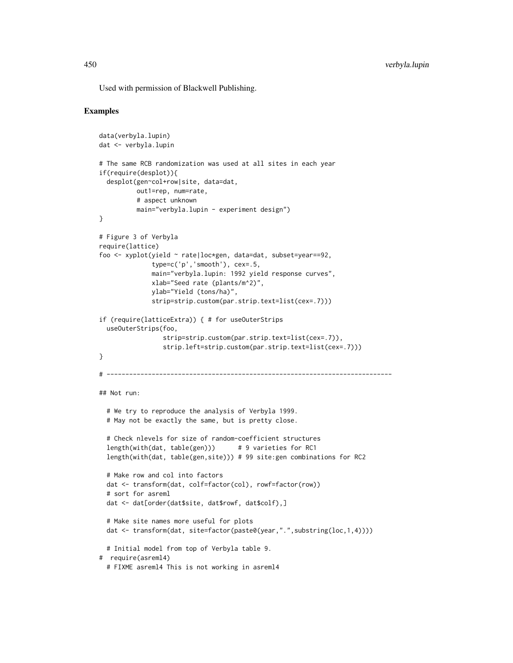Used with permission of Blackwell Publishing.

```
data(verbyla.lupin)
dat <- verbyla.lupin
# The same RCB randomization was used at all sites in each year
if(require(desplot)){
 desplot(gen~col+row|site, data=dat,
         out1=rep, num=rate,
         # aspect unknown
         main="verbyla.lupin - experiment design")
}
# Figure 3 of Verbyla
require(lattice)
foo <- xyplot(yield ~ rate|loc*gen, data=dat, subset=year==92,
              type=c('p','smooth'), cex=.5,
              main="verbyla.lupin: 1992 yield response curves",
             xlab="Seed rate (plants/m^2)",
             ylab="Yield (tons/ha)",
              strip=strip.custom(par.strip.text=list(cex=.7)))
if (require(latticeExtra)) { # for useOuterStrips
 useOuterStrips(foo,
                 strip=strip.custom(par.strip.text=list(cex=.7)),
                 strip.left=strip.custom(par.strip.text=list(cex=.7)))
}
# ----------------------------------------------------------------------------
## Not run:
 # We try to reproduce the analysis of Verbyla 1999.
 # May not be exactly the same, but is pretty close.
 # Check nlevels for size of random-coefficient structures
 length(with(dat, table(gen))) # 9 varieties for RC1
 length(with(dat, table(gen,site))) # 99 site:gen combinations for RC2
 # Make row and col into factors
 dat <- transform(dat, colf=factor(col), rowf=factor(row))
 # sort for asreml
 dat <- dat[order(dat$site, dat$rowf, dat$colf),]
 # Make site names more useful for plots
 dat <- transform(dat, site=factor(paste0(year,".",substring(loc,1,4))))
 # Initial model from top of Verbyla table 9.
# require(asreml4)
 # FIXME asreml4 This is not working in asreml4
```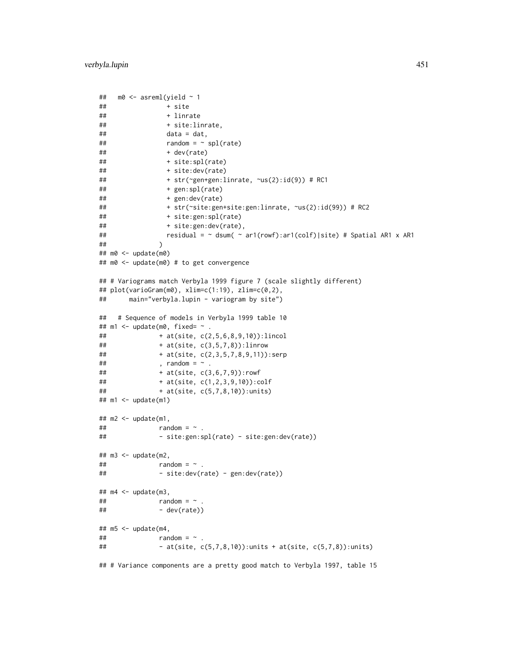```
## m0 \leq -\text{asreml}(\text{yield} \sim 1## + site
## + linrate
## + site:linrate,
\# \# data = dat,
## random = ~ spl(rate)
\# + dev(rate)
## + site:spl(rate)
## + site:dev(rate)
## + str(~gen+gen:linrate, ~us(2):id(9)) # RC1
## + gen:spl(rate)
## + gen:dev(rate)
## + str(~site:gen+site:gen:linrate, ~us(2):id(99)) # RC2
## + site:gen:spl(rate)
## + site:gen:dev(rate),
## residual = ~ dsum( ~ ar1(rowf):ar1(colf)|site) # Spatial AR1 x AR1
## )
## m0 <- update(m0)
## m0 <- update(m0) # to get convergence
## # Variograms match Verbyla 1999 figure 7 (scale slightly different)
## plot(varioGram(m0), xlim=c(1:19), zlim=c(0,2),
## main="verbyla.lupin - variogram by site")
## # Sequence of models in Verbyla 1999 table 10
## m1 \leq update(m0, fixed= \sim .
## + at(site, c(2,5,6,8,9,10)):lincol
## + at(site, c(3,5,7,8)):linrow
## + at(site, c(2,3,5,7,8,9,11)):serp
\# , random = \sim .
## + at(site, c(3,6,7,9)):rowf
## + at(site, c(1,2,3,9,10)):colf
## + at(site, c(5,7,8,10)):units)
## m1 <- update(m1)
## m2 <- update(m1,
\# # \# random = \sim .
## - site:gen:spl(rate) - site:gen:dev(rate))
## m3 <- update(m2,
\# # \# random = \sim .
## - site:dev(rate) - gen:dev(rate))
## m4 <- update(m3,
\# # \# \qquad random = \sim .
# + dev(rate))
## m5 <- update(m4,
\# # \# random = \sim .
## - at(site, c(5,7,8,10)):units + at(site, c(5,7,8)):units)
## # Variance components are a pretty good match to Verbyla 1997, table 15
```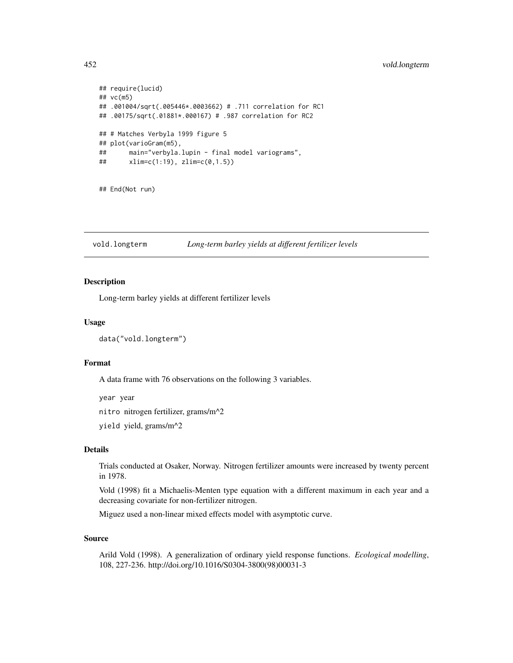# 452 vold.longterm

```
## require(lucid)
## vc(m5)
## .001004/sqrt(.005446*.0003662) # .711 correlation for RC1
## .00175/sqrt(.01881*.000167) # .987 correlation for RC2
## # Matches Verbyla 1999 figure 5
## plot(varioGram(m5),
## main="verbyla.lupin - final model variograms",
## xlim=c(1:19), zlim=c(0,1.5))
## End(Not run)
```
vold.longterm *Long-term barley yields at different fertilizer levels*

# Description

Long-term barley yields at different fertilizer levels

## Usage

```
data("vold.longterm")
```
## Format

A data frame with 76 observations on the following 3 variables.

year year

nitro nitrogen fertilizer, grams/m^2

yield yield, grams/m^2

# Details

Trials conducted at Osaker, Norway. Nitrogen fertilizer amounts were increased by twenty percent in 1978.

Vold (1998) fit a Michaelis-Menten type equation with a different maximum in each year and a decreasing covariate for non-fertilizer nitrogen.

Miguez used a non-linear mixed effects model with asymptotic curve.

# Source

Arild Vold (1998). A generalization of ordinary yield response functions. *Ecological modelling*, 108, 227-236. http://doi.org/10.1016/S0304-3800(98)00031-3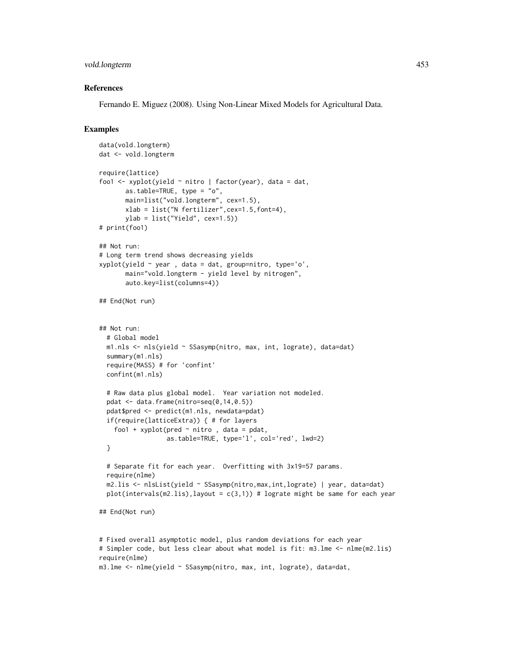# vold.longterm 453

## References

Fernando E. Miguez (2008). Using Non-Linear Mixed Models for Agricultural Data.

# Examples

```
data(vold.longterm)
dat <- vold.longterm
require(lattice)
foo1 <- xyplot(yield ~ nitro | factor(year), data = dat,
      as.table=TRUE, type = "o",
      main=list("vold.longterm", cex=1.5),
      xlab = list("N fertilizer",cex=1.5,font=4),
      ylab = list("Yield", cex=1.5))
# print(foo1)
## Not run:
# Long term trend shows decreasing yields
xyplot(yield \sim year, data = dat, group=nitro, type='o',main="vold.longterm - yield level by nitrogen",
      auto.key=list(columns=4))
## End(Not run)
## Not run:
 # Global model
 m1.nls <- nls(yield ~ SSasymp(nitro, max, int, lograte), data=dat)
 summary(m1.nls)
 require(MASS) # for 'confint'
 confint(m1.nls)
 # Raw data plus global model. Year variation not modeled.
 pdat \leq data.frame(nitro=seq(0,14,0.5))
 pdat$pred <- predict(m1.nls, newdata=pdat)
 if(require(latticeExtra)) { # for layers
    foo1 + xyplot(pred \sim nitro, data = pdat,
                  as.table=TRUE, type='l', col='red', lwd=2)
 }
 # Separate fit for each year. Overfitting with 3x19=57 params.
 require(nlme)
 m2.lis <- nlsList(yield ~ SSasymp(nitro,max,int,lograte) | year, data=dat)
 plot(intervals(m2.lis), layout = c(3,1)) # lograte might be same for each year
## End(Not run)
# Fixed overall asymptotic model, plus random deviations for each year
# Simpler code, but less clear about what model is fit: m3.lme <- nlme(m2.lis)
require(nlme)
```
m3.lme <- nlme(yield ~ SSasymp(nitro, max, int, lograte), data=dat,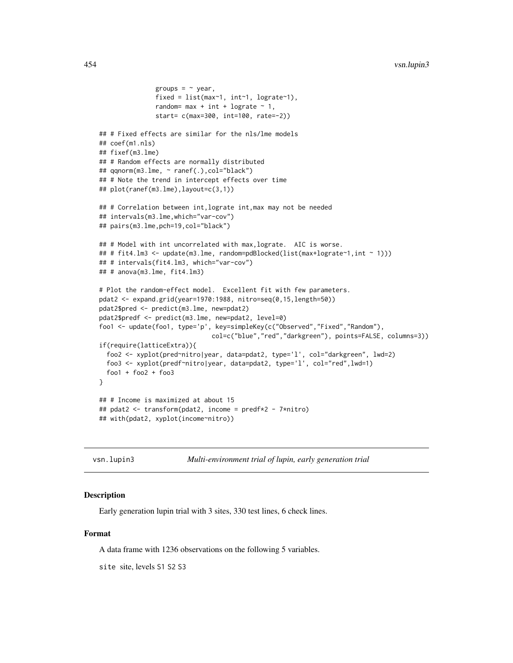```
groups = \sim year,
               fixed = list(max<sup>-1</sup>, int<sup>-1</sup>, lograte<sup>-1</sup>),random= max + int + lograte \sim 1,
               start= c(max=300, int=100, rate=-2))
## # Fixed effects are similar for the nls/lme models
## coef(m1.nls)
## fixef(m3.lme)
## # Random effects are normally distributed
## qqnorm(m3.lme, ~ ranef(.),col="black")
## # Note the trend in intercept effects over time
## plot(ranef(m3.lme),layout=c(3,1))
## # Correlation between int, lograte int, max may not be needed
## intervals(m3.lme,which="var-cov")
## pairs(m3.lme,pch=19,col="black")
## # Model with int uncorrelated with max, lograte. AIC is worse.
## # fit4.lm3 <- update(m3.lme, random=pdBlocked(list(max+lograte~1,int ~ 1)))
## # intervals(fit4.lm3, which="var-cov")
## # anova(m3.lme, fit4.lm3)
# Plot the random-effect model. Excellent fit with few parameters.
pdat2 <- expand.grid(year=1970:1988, nitro=seq(0,15,length=50))
pdat2$pred <- predict(m3.lme, new=pdat2)
pdat2$predf <- predict(m3.lme, new=pdat2, level=0)
foo1 <- update(foo1, type='p', key=simpleKey(c("Observed","Fixed","Random"),
                              col=c("blue","red","darkgreen"), points=FALSE, columns=3))
if(require(latticeExtra)){
 foo2 <- xyplot(pred~nitro|year, data=pdat2, type='l', col="darkgreen", lwd=2)
 foo3 <- xyplot(predf~nitro|year, data=pdat2, type='l', col="red",lwd=1)
 foo1 + foo2 + foo3
}
## # Income is maximized at about 15
## pdat2 <- transform(pdat2, income = predf*2 - 7*nitro)
## with(pdat2, xyplot(income~nitro))
```
vsn.lupin3 *Multi-environment trial of lupin, early generation trial*

## **Description**

Early generation lupin trial with 3 sites, 330 test lines, 6 check lines.

# Format

A data frame with 1236 observations on the following 5 variables.

site site, levels S1 S2 S3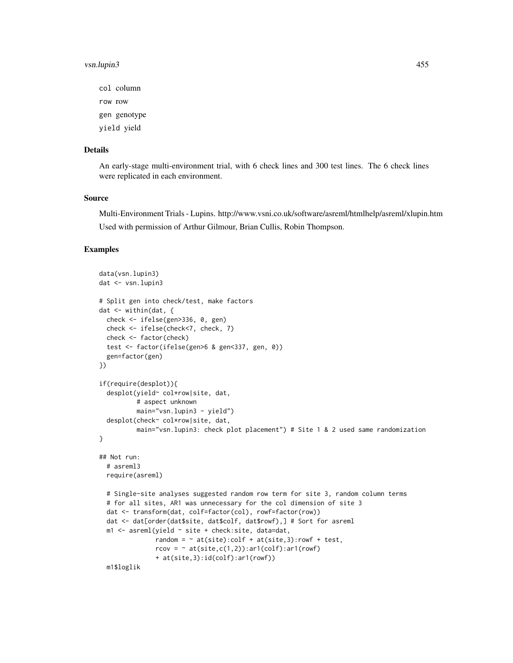#### vsn.lupin3 455

col column row row

gen genotype

yield yield

## Details

An early-stage multi-environment trial, with 6 check lines and 300 test lines. The 6 check lines were replicated in each environment.

## Source

Multi-Environment Trials - Lupins. http://www.vsni.co.uk/software/asreml/htmlhelp/asreml/xlupin.htm Used with permission of Arthur Gilmour, Brian Cullis, Robin Thompson.

```
data(vsn.lupin3)
dat <- vsn.lupin3
# Split gen into check/test, make factors
dat <- within(dat, {
  check <- ifelse(gen>336, 0, gen)
  check <- ifelse(check<7, check, 7)
  check <- factor(check)
  test <- factor(ifelse(gen>6 & gen<337, gen, 0))
  gen=factor(gen)
})
if(require(desplot)){
  desplot(yield~ col*row|site, dat,
          # aspect unknown
          main="vsn.lupin3 - yield")
  desplot(check~ col*row|site, dat,
          main="vsn.lupin3: check plot placement") # Site 1 & 2 used same randomization
}
## Not run:
  # asreml3
  require(asreml)
  # Single-site analyses suggested random row term for site 3, random column terms
  # for all sites, AR1 was unnecessary for the col dimension of site 3
  dat <- transform(dat, colf=factor(col), rowf=factor(row))
  dat <- dat[order(dat$site, dat$colf, dat$rowf),] # Sort for asreml
  m1 <- asreml(yield ~ site + check:site, data=dat,
               random = \sim at(site):colf + at(site,3):rowf + test,
               rcov = \sim at(site, c(1,2)): ar1(colf): ar1(rowf)+ at(site,3):id(colf):ar1(rowf))
  m1$loglik
```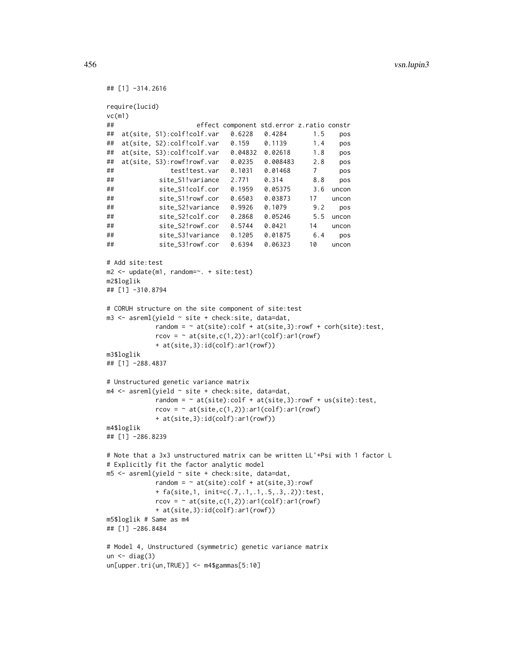```
## [1] -314.2616
require(lucid)
vc(m1)
## effect component std.error z.ratio constr
## at(site, S1):colf!colf.var 0.6228 0.4284 1.5 pos
## at(site, S2):colf!colf.var 0.159 0.1139 1.4 pos
## at(site, S3):colf!colf.var 0.04832 0.02618 1.8 pos
## at(site, S3):rowf!rowf.var 0.0235 0.008483 2.8 pos
## test!test.var 0.1031 0.01468 7 pos
## site_S1!variance 2.771 0.314 8.8 pos
## site_S1!colf.cor 0.1959 0.05375 3.6 uncon
## site_S1!rowf.cor 0.6503 0.03873 17 uncon
## site_S2!variance 0.9926 0.1079 9.2 pos
## site_S2!colf.cor 0.2868 0.05246 5.5 uncon
## site_S2!rowf.cor 0.5744 0.0421 14 uncon
## site_S3!variance 0.1205 0.01875 6.4 pos
## site_S3!rowf.cor 0.6394 0.06323 10 uncon
# Add site:test
m2 <- update(m1, random=~. + site:test)
m2$loglik
## [1] -310.8794
# CORUH structure on the site component of site:test
m3 \leq asreml(yield \sim site + check:site, data=dat,
           random = \sim at(site):\text{colf} + at(site,3):\text{rowf} + \text{corh}(\text{site}):\text{test},
           rcov = ~ a t(site, c(1,2)): ar1(colf): ar1(rowf)+ at(site,3):id(colf):ar1(rowf))
m3$loglik
## [1] -288.4837
# Unstructured genetic variance matrix
m4 \leq asreml(yield \sim site + check:site, data=dat,
           random = \sim at(site):colf + at(site, 3):rowf + us(site):test,
           rcov = ~ at(site, c(1,2)): ar1(colf): ar1(rowf)+ at(site,3):id(colf):ar1(rowf))
m4$loglik
## [1] -286.8239
# Note that a 3x3 unstructured matrix can be written LL'+Psi with 1 factor L
# Explicitly fit the factor analytic model
m5 <- asreml(yield ~ site + check:site, data=dat,
           random = \sim at(site):colf + at(site,3):rowf
           + fa(site,1, init=c(.7,.1,.1,.5,.3,.2)):test,
           rcov = \gamma at(site,c(1,2)):ar1(colf):ar1(rowf)
           + at(site,3):id(colf):ar1(rowf))
m5$loglik # Same as m4
## [1] -286.8484
# Model 4, Unstructured (symmetric) genetic variance matrix
un \leftarrow diag(3)
un[upper.tri(un,TRUE)] <- m4$gammas[5:10]
```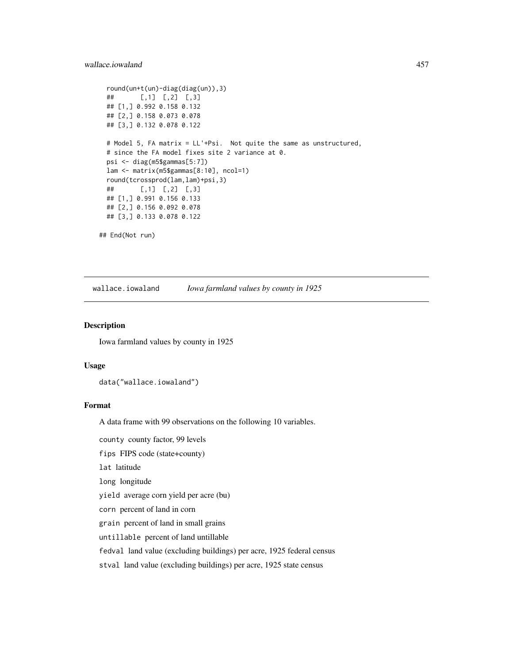# wallace.iowaland 457

```
round(un+t(un)-diag(diag(un)),3)
## [,1] [,2] [,3]
## [1,] 0.992 0.158 0.132
## [2,] 0.158 0.073 0.078
## [3,] 0.132 0.078 0.122
# Model 5, FA matrix = LL'+Psi. Not quite the same as unstructured,
# since the FA model fixes site 2 variance at 0.
psi <- diag(m5$gammas[5:7])
lam <- matrix(m5$gammas[8:10], ncol=1)
round(tcrossprod(lam,lam)+psi,3)
## [,1] [,2] [,3]
## [1,] 0.991 0.156 0.133
## [2,] 0.156 0.092 0.078
## [3,] 0.133 0.078 0.122
```
## End(Not run)

wallace.iowaland *Iowa farmland values by county in 1925*

#### Description

Iowa farmland values by county in 1925

#### Usage

```
data("wallace.iowaland")
```
# Format

A data frame with 99 observations on the following 10 variables.

county county factor, 99 levels

fips FIPS code (state+county)

lat latitude

long longitude

yield average corn yield per acre (bu)

corn percent of land in corn

grain percent of land in small grains

untillable percent of land untillable

fedval land value (excluding buildings) per acre, 1925 federal census

stval land value (excluding buildings) per acre, 1925 state census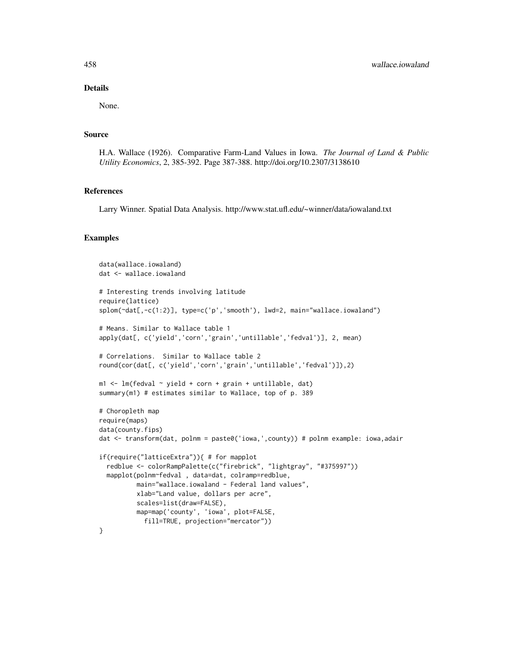## Details

None.

#### Source

H.A. Wallace (1926). Comparative Farm-Land Values in Iowa. *The Journal of Land & Public Utility Economics*, 2, 385-392. Page 387-388. http://doi.org/10.2307/3138610

### References

Larry Winner. Spatial Data Analysis. http://www.stat.ufl.edu/~winner/data/iowaland.txt

```
data(wallace.iowaland)
dat <- wallace.iowaland
# Interesting trends involving latitude
require(lattice)
splom(~dat[,-c(1:2)], type=c('p','smooth'), lwd=2, main="wallace.iowaland")
# Means. Similar to Wallace table 1
apply(dat[, c('yield','corn','grain','untillable','fedval')], 2, mean)
# Correlations. Similar to Wallace table 2
round(cor(dat[, c('yield','corn','grain','untillable','fedval')]),2)
m1 < -1m(fedval \sim yield + corn + grain + untillable, dat)
summary(m1) # estimates similar to Wallace, top of p. 389
# Choropleth map
require(maps)
data(county.fips)
dat <- transform(dat, polnm = paste0('iowa,',county)) # polnm example: iowa,adair
if(require("latticeExtra")){ # for mapplot
 redblue <- colorRampPalette(c("firebrick", "lightgray", "#375997"))
 mapplot(polnm~fedval , data=dat, colramp=redblue,
         main="wallace.iowaland - Federal land values",
         xlab="Land value, dollars per acre",
          scales=list(draw=FALSE),
         map=map('county', 'iowa', plot=FALSE,
            fill=TRUE, projection="mercator"))
}
```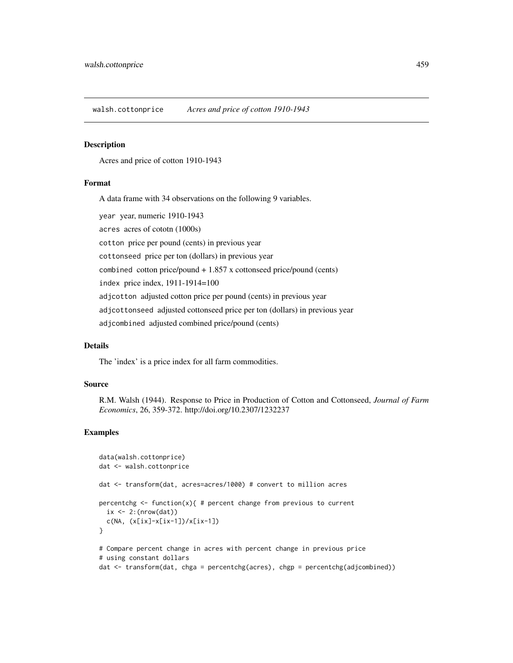walsh.cottonprice *Acres and price of cotton 1910-1943*

## **Description**

Acres and price of cotton 1910-1943

## Format

A data frame with 34 observations on the following 9 variables.

year year, numeric 1910-1943 acres acres of cototn (1000s) cotton price per pound (cents) in previous year cottonseed price per ton (dollars) in previous year combined cotton price/pound + 1.857 x cottonseed price/pound (cents) index price index, 1911-1914=100 adjcotton adjusted cotton price per pound (cents) in previous year adjcottonseed adjusted cottonseed price per ton (dollars) in previous year adjcombined adjusted combined price/pound (cents)

# Details

The 'index' is a price index for all farm commodities.

#### Source

R.M. Walsh (1944). Response to Price in Production of Cotton and Cottonseed, *Journal of Farm Economics*, 26, 359-372. http://doi.org/10.2307/1232237

```
data(walsh.cottonprice)
dat <- walsh.cottonprice
dat <- transform(dat, acres=acres/1000) # convert to million acres
percentchg \leq function(x){ # percent change from previous to current
  ix \leftarrow 2: (nrow(dat))
  c(NA, (x[ix]-x[ix-1])/x[ix-1])
}
# Compare percent change in acres with percent change in previous price
# using constant dollars
dat <- transform(dat, chga = percentchg(acres), chgp = percentchg(adjcombined))
```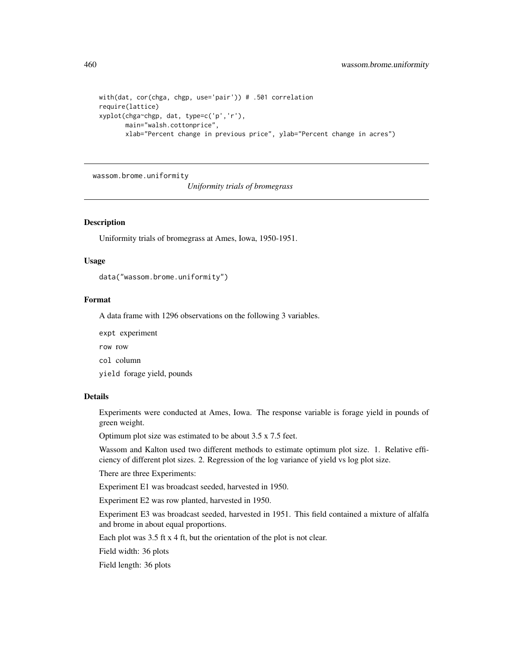```
with(dat, cor(chga, chgp, use='pair')) # .501 correlation
require(lattice)
xyplot(chga~chgp, dat, type=c('p','r'),
      main="walsh.cottonprice",
      xlab="Percent change in previous price", ylab="Percent change in acres")
```
wassom.brome.uniformity

*Uniformity trials of bromegrass*

# Description

Uniformity trials of bromegrass at Ames, Iowa, 1950-1951.

## Usage

data("wassom.brome.uniformity")

#### Format

A data frame with 1296 observations on the following 3 variables.

expt experiment

row row

col column

yield forage yield, pounds

# Details

Experiments were conducted at Ames, Iowa. The response variable is forage yield in pounds of green weight.

Optimum plot size was estimated to be about 3.5 x 7.5 feet.

Wassom and Kalton used two different methods to estimate optimum plot size. 1. Relative efficiency of different plot sizes. 2. Regression of the log variance of yield vs log plot size.

There are three Experiments:

Experiment E1 was broadcast seeded, harvested in 1950.

Experiment E2 was row planted, harvested in 1950.

Experiment E3 was broadcast seeded, harvested in 1951. This field contained a mixture of alfalfa and brome in about equal proportions.

Each plot was 3.5 ft x 4 ft, but the orientation of the plot is not clear.

Field width: 36 plots

Field length: 36 plots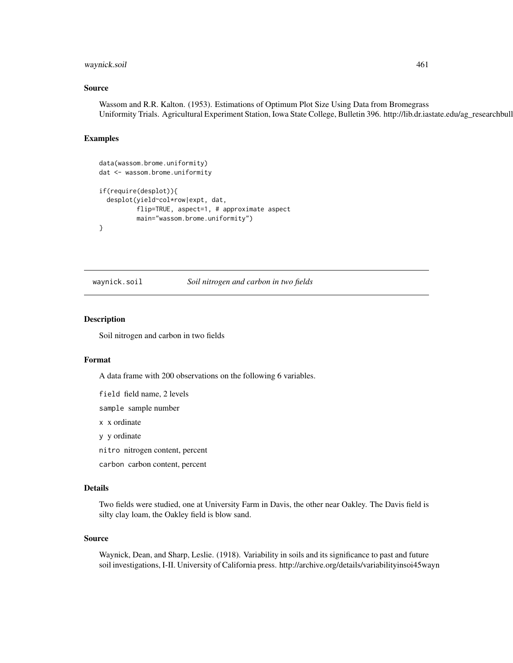# waynick.soil 461

## Source

Wassom and R.R. Kalton. (1953). Estimations of Optimum Plot Size Using Data from Bromegrass Uniformity Trials. Agricultural Experiment Station, Iowa State College, Bulletin 396. http://lib.dr.iastate.edu/ag\_researchbulletins/32/

## Examples

```
data(wassom.brome.uniformity)
dat <- wassom.brome.uniformity
if(require(desplot)){
 desplot(yield~col*row|expt, dat,
          flip=TRUE, aspect=1, # approximate aspect
          main="wassom.brome.uniformity")
}
```
waynick.soil *Soil nitrogen and carbon in two fields*

Description

Soil nitrogen and carbon in two fields

## Format

A data frame with 200 observations on the following 6 variables.

field field name, 2 levels

sample sample number

x x ordinate

y y ordinate

nitro nitrogen content, percent

carbon carbon content, percent

#### Details

Two fields were studied, one at University Farm in Davis, the other near Oakley. The Davis field is silty clay loam, the Oakley field is blow sand.

## Source

Waynick, Dean, and Sharp, Leslie. (1918). Variability in soils and its significance to past and future soil investigations, I-II. University of California press. http://archive.org/details/variabilityinsoi45wayn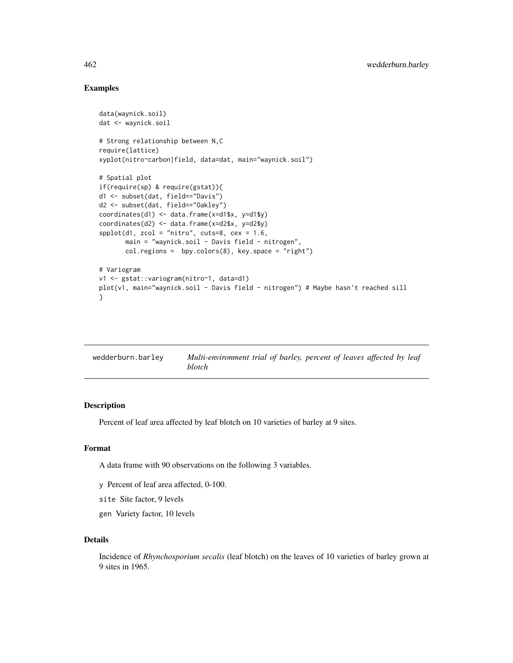# Examples

```
data(waynick.soil)
dat <- waynick.soil
# Strong relationship between N,C
require(lattice)
xyplot(nitro~carbon|field, data=dat, main="waynick.soil")
# Spatial plot
if(require(sp) & require(gstat)){
d1 <- subset(dat, field=="Davis")
d2 <- subset(dat, field=="Oakley")
coordinates(d1) <- data.frame(x=d1$x, y=d1$y)
coordinates(d2) <- data.frame(x=d2$x, y=d2$y)
spplot(d1, zcol = "nitro", cuts=8, cex = 1.6,main = "waynick.soil - Davis field - nitrogen",
       col.regions = bpy.colors(8), key.space = "right")
# Variogram
v1 <- gstat::variogram(nitro~1, data=d1)
plot(v1, main="waynick.soil - Davis field - nitrogen") # Maybe hasn't reached sill
}
```

| wedderburn.barley | Multi-environment trial of barley, percent of leaves affected by leaf |
|-------------------|-----------------------------------------------------------------------|
|                   | <i>blotch</i>                                                         |

# Description

Percent of leaf area affected by leaf blotch on 10 varieties of barley at 9 sites.

# Format

A data frame with 90 observations on the following 3 variables.

- y Percent of leaf area affected, 0-100.
- site Site factor, 9 levels
- gen Variety factor, 10 levels

# Details

Incidence of *Rhynchosporium secalis* (leaf blotch) on the leaves of 10 varieties of barley grown at 9 sites in 1965.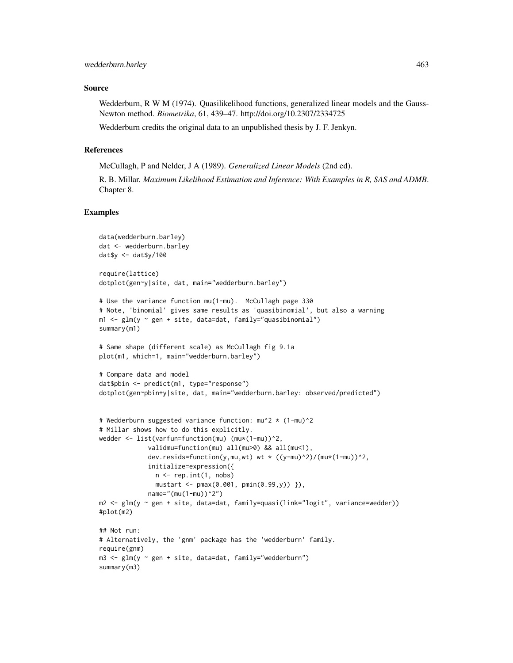## Source

Wedderburn, R W M (1974). Quasilikelihood functions, generalized linear models and the Gauss-Newton method. *Biometrika*, 61, 439–47. http://doi.org/10.2307/2334725

Wedderburn credits the original data to an unpublished thesis by J. F. Jenkyn.

#### References

McCullagh, P and Nelder, J A (1989). *Generalized Linear Models* (2nd ed).

R. B. Millar. *Maximum Likelihood Estimation and Inference: With Examples in R, SAS and ADMB*. Chapter 8.

```
data(wedderburn.barley)
dat <- wedderburn.barley
dat$y <- dat$y/100
require(lattice)
dotplot(gen~y|site, dat, main="wedderburn.barley")
# Use the variance function mu(1-mu). McCullagh page 330
# Note, 'binomial' gives same results as 'quasibinomial', but also a warning
m1 <- glm(y ~ gen + site, data=dat, family="quasibinomial")
summary(m1)
# Same shape (different scale) as McCullagh fig 9.1a
plot(m1, which=1, main="wedderburn.barley")
# Compare data and model
dat$pbin <- predict(m1, type="response")
dotplot(gen~pbin+y|site, dat, main="wedderburn.barley: observed/predicted")
# Wedderburn suggested variance function: mu^2 * (1-mu)^2
# Millar shows how to do this explicitly.
wedder <- list(varfun=function(mu) (mu*(1-mu))^2,
             validmu=function(mu) all(mu>0) && all(mu<1),
             dev.resids=function(y,mu,wt) wt \star ((y-mu)^2)/(mu\star(1-mu))^2,
             initialize=expression({
               n \leq rep.int(1, nobs)mustart <- pmax(0.001, pmin(0.99,y)) }),
             name="(\text{mu}(1-\text{mu}))^2m2 <- glm(y ~ gen + site, data=dat, family=quasi(link="logit", variance=wedder))
#plot(m2)
## Not run:
# Alternatively, the 'gnm' package has the 'wedderburn' family.
require(gnm)
m3 <- glm(y ~ gen + site, data=dat, family="wedderburn")
summary(m3)
```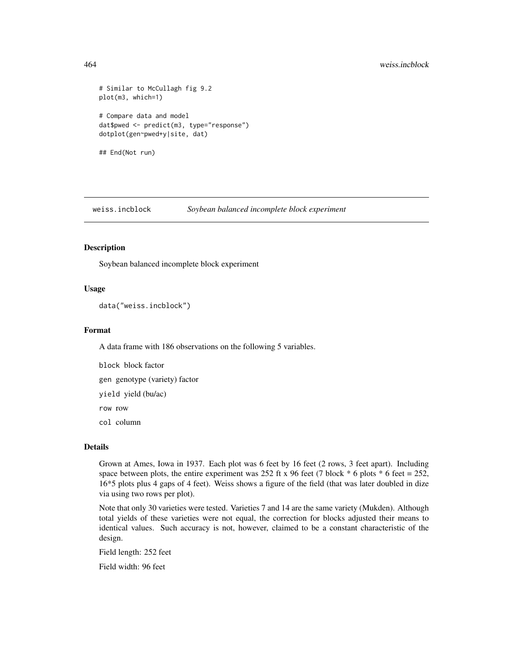# 464 weiss.incblock

```
# Similar to McCullagh fig 9.2
plot(m3, which=1)
# Compare data and model
dat$pwed <- predict(m3, type="response")
dotplot(gen~pwed+y|site, dat)
## End(Not run)
```
weiss.incblock *Soybean balanced incomplete block experiment*

# Description

Soybean balanced incomplete block experiment

## Usage

```
data("weiss.incblock")
```
#### Format

A data frame with 186 observations on the following 5 variables.

block block factor gen genotype (variety) factor yield yield (bu/ac)

row row

col column

# Details

Grown at Ames, Iowa in 1937. Each plot was 6 feet by 16 feet (2 rows, 3 feet apart). Including space between plots, the entire experiment was 252 ft x 96 feet (7 block  $*$  6 plots  $*$  6 feet = 252, 16\*5 plots plus 4 gaps of 4 feet). Weiss shows a figure of the field (that was later doubled in dize via using two rows per plot).

Note that only 30 varieties were tested. Varieties 7 and 14 are the same variety (Mukden). Although total yields of these varieties were not equal, the correction for blocks adjusted their means to identical values. Such accuracy is not, however, claimed to be a constant characteristic of the design.

Field length: 252 feet

Field width: 96 feet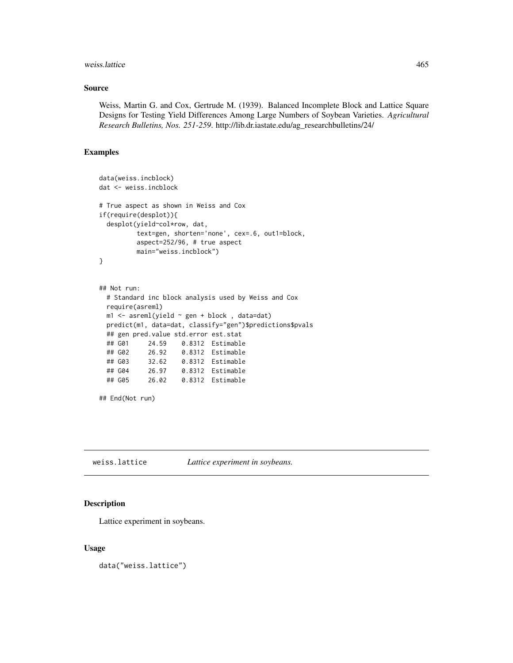#### weiss.lattice 465

## Source

Weiss, Martin G. and Cox, Gertrude M. (1939). Balanced Incomplete Block and Lattice Square Designs for Testing Yield Differences Among Large Numbers of Soybean Varieties. *Agricultural Research Bulletins, Nos. 251-259*. http://lib.dr.iastate.edu/ag\_researchbulletins/24/

# Examples

```
data(weiss.incblock)
dat <- weiss.incblock
# True aspect as shown in Weiss and Cox
if(require(desplot)){
 desplot(yield~col*row, dat,
         text=gen, shorten='none', cex=.6, out1=block,
         aspect=252/96, # true aspect
         main="weiss.incblock")
}
## Not run:
 # Standard inc block analysis used by Weiss and Cox
 require(asreml)
 m1 <- asreml(yield ~ gen + block , data=dat)
 predict(m1, data=dat, classify="gen")$predictions$pvals
 ## gen pred.value std.error est.stat
 ## G01 24.59 0.8312 Estimable
 ## G02 26.92 0.8312 Estimable
 ## G03 32.62 0.8312 Estimable
 ## G04 26.97 0.8312 Estimable
 ## G05 26.02 0.8312 Estimable
## End(Not run)
```
weiss.lattice *Lattice experiment in soybeans.*

## Description

Lattice experiment in soybeans.

## Usage

data("weiss.lattice")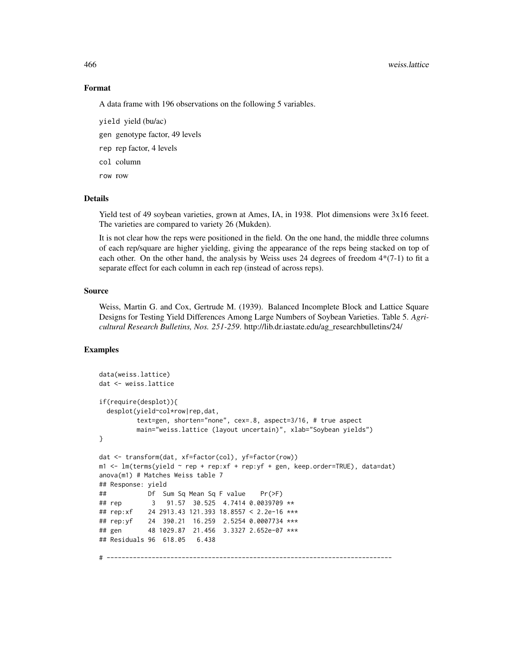#### 466 weiss.lattice

#### Format

A data frame with 196 observations on the following 5 variables.

- yield yield (bu/ac)
- gen genotype factor, 49 levels
- rep rep factor, 4 levels
- col column
- row row

## Details

Yield test of 49 soybean varieties, grown at Ames, IA, in 1938. Plot dimensions were 3x16 feeet. The varieties are compared to variety 26 (Mukden).

It is not clear how the reps were positioned in the field. On the one hand, the middle three columns of each rep/square are higher yielding, giving the appearance of the reps being stacked on top of each other. On the other hand, the analysis by Weiss uses 24 degrees of freedom  $4*(7-1)$  to fit a separate effect for each column in each rep (instead of across reps).

## Source

Weiss, Martin G. and Cox, Gertrude M. (1939). Balanced Incomplete Block and Lattice Square Designs for Testing Yield Differences Among Large Numbers of Soybean Varieties. Table 5. *Agricultural Research Bulletins, Nos. 251-259*. http://lib.dr.iastate.edu/ag\_researchbulletins/24/

```
data(weiss.lattice)
dat <- weiss.lattice
if(require(desplot)){
 desplot(yield~col*row|rep,dat,
          text=gen, shorten="none", cex=.8, aspect=3/16, # true aspect
          main="weiss.lattice (layout uncertain)", xlab="Soybean yields")
}
dat <- transform(dat, xf=factor(col), yf=factor(row))
m1 \le - \ln(\text{terms}(yield \sim rep + rep:xf + rep:yf + gen, keep.order=TRUE), data=dat)anova(m1) # Matches Weiss table 7
## Response: yield
## Df Sum Sq Mean Sq F value Pr(>F)
## rep 3 91.57 30.525 4.7414 0.0039709 **<br>## rep:xf 24 2913.43 121.393 18.8557 < 2.2e-16 **
             24 2913.43 121.393 18.8557 < 2.2e-16 ***
## rep:yf 24 390.21 16.259 2.5254 0.0007734 ***
## gen 48 1029.87 21.456 3.3327 2.652e-07 ***
## Residuals 96 618.05 6.438
# ----------------------------------------------------------------------------
```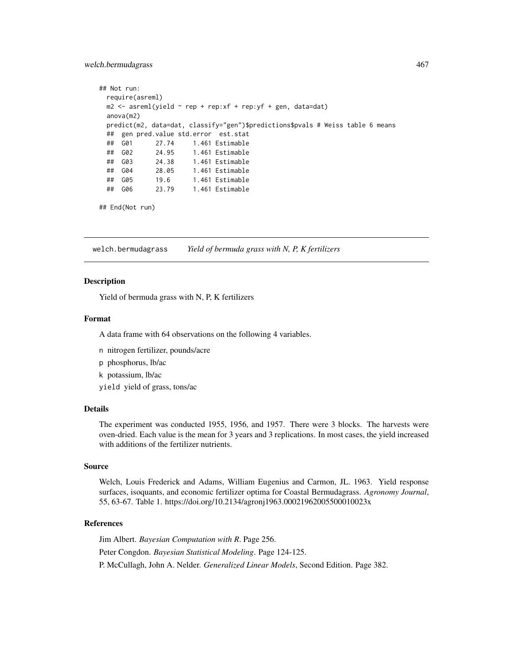### welch.bermudagrass 467

```
## Not run:
 require(asreml)
 m2 \leq -\text{asreml}(\text{yield} \sim \text{rep} + \text{rep}: \text{xf} + \text{rep}: \text{yf} + \text{gen}, \text{ data}= \text{dat})anova(m2)
 predict(m2, data=dat, classify="gen")$predictions$pvals # Weiss table 6 means
 ## gen pred.value std.error est.stat
 ## G01 27.74 1.461 Estimable
 ## G02 24.95 1.461 Estimable
 ## G03 24.38 1.461 Estimable
 ## G04 28.05 1.461 Estimable
 ## G05 19.6 1.461 Estimable
 ## G06 23.79 1.461 Estimable
```

```
## End(Not run)
```
welch.bermudagrass *Yield of bermuda grass with N, P, K fertilizers*

## Description

Yield of bermuda grass with N, P, K fertilizers

# Format

A data frame with 64 observations on the following 4 variables.

- n nitrogen fertilizer, pounds/acre
- p phosphorus, lb/ac
- k potassium, lb/ac

yield yield of grass, tons/ac

# Details

The experiment was conducted 1955, 1956, and 1957. There were 3 blocks. The harvests were oven-dried. Each value is the mean for 3 years and 3 replications. In most cases, the yield increased with additions of the fertilizer nutrients.

#### Source

Welch, Louis Frederick and Adams, William Eugenius and Carmon, JL. 1963. Yield response surfaces, isoquants, and economic fertilizer optima for Coastal Bermudagrass. *Agronomy Journal*, 55, 63-67. Table 1. https://doi.org/10.2134/agronj1963.00021962005500010023x

# References

Jim Albert. *Bayesian Computation with R*. Page 256. Peter Congdon. *Bayesian Statistical Modeling*. Page 124-125. P. McCullagh, John A. Nelder. *Generalized Linear Models*, Second Edition. Page 382.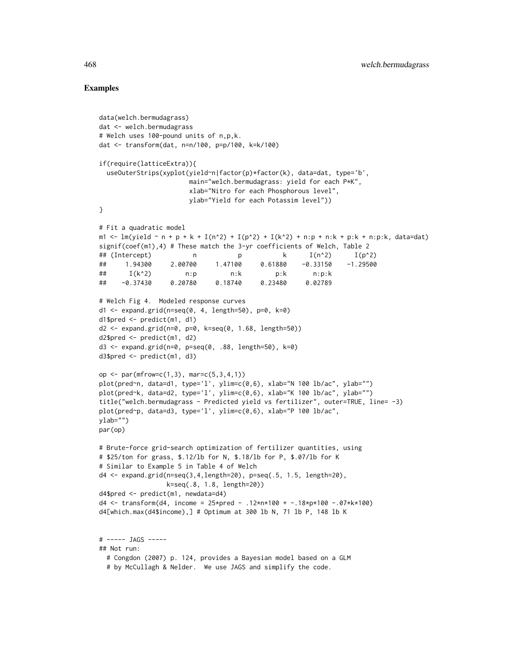```
data(welch.bermudagrass)
dat <- welch.bermudagrass
# Welch uses 100-pound units of n,p,k.
dat <- transform(dat, n=n/100, p=p/100, k=k/100)
if(require(latticeExtra)){
 useOuterStrips(xyplot(yield~n|factor(p)*factor(k), data=dat, type='b',
                      main="welch.bermudagrass: yield for each P*K",
                      xlab="Nitro for each Phosphorous level",
                       ylab="Yield for each Potassim level"))
}
# Fit a quadratic model
m1 <- lm(yield \sim n + p + k + I(n^2) + I(p^2) + I(k^2) + n:p + n:k + p:k + n:p:k, data=dat)
signif(coef(m1),4) # These match the 3-yr coefficients of Welch, Table 2
## (Intercept) n p k I(n^2) I(p^2)
## 1.94300 2.00700 1.47100 0.61880 -0.33150 -1.29500
## I(k^2) n:p n:k p:k n:p:k
## -0.37430 0.20780 0.18740 0.23480 0.02789
# Welch Fig 4. Modeled response curves
d1 <- expand.grid(n=seq(0, 4, length=50), p=0, k=0)d1$pred \leq predict(m1, d1)
d2 <- expand.grid(n=0, p=0, k=seq(0, 1.68, length=50))
d2$pred <- predict(m1, d2)
d3 \leq - expand.grid(n=0, p=seq(0, .88, length=50), k=0)
d3$pred <- predict(m1, d3)
op <- par(mfrow=c(1,3), mar=c(5,3,4,1))
plot(pred~n, data=d1, type='l', ylim=c(0,6), xlab="N 100 lb/ac", ylab="")
plot(pred~k, data=d2, type='l', ylim=c(0,6), xlab="K 100 lb/ac", ylab="")
title("welch.bermudagrass - Predicted yield vs fertilizer", outer=TRUE, line= -3)
plot(pred~p, data=d3, type='l', ylim=c(0,6), xlab="P 100 lb/ac",
ylab="")
par(op)
# Brute-force grid-search optimization of fertilizer quantities, using
# $25/ton for grass, $.12/lb for N, $.18/lb for P, $.07/lb for K
# Similar to Example 5 in Table 4 of Welch
d4 <- expand.grid(n=seq(3,4,length=20), p=seq(.5, 1.5, length=20),
                 k=seq(.8, 1.8, length=20))
d4$pred <- predict(m1, newdata=d4)
d4 <- transform(d4, income = 25\timespred - .12*n*100 + -.18*p*100 -.07*k*100)
d4[which.max(d4$income),] # Optimum at 300 lb N, 71 lb P, 148 lb K
# ----- JAGS -----
## Not run:
 # Congdon (2007) p. 124, provides a Bayesian model based on a GLM
 # by McCullagh & Nelder. We use JAGS and simplify the code.
```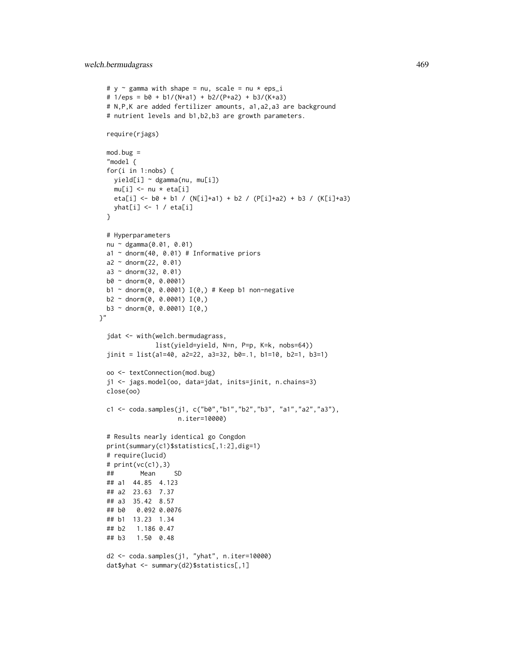```
# y \sim gamma with shape = nu, scale = nu * eps_i
 # 1/eps = b0 + b1/(N+a1) + b2/(P+a2) + b3/(K+a3)
 # N,P,K are added fertilizer amounts, a1,a2,a3 are background
 # nutrient levels and b1,b2,b3 are growth parameters.
 require(rjags)
 mod.bug =
  "model {
 for(i in 1:nobs) {
   yield[i] ~ dgamma(nu, mu[i])
   mu[i] <- nu * eta[i]
   eta[i] <- b0 + b1 / (N[i]+a1) + b2 / (P[i]+a2) + b3 / (K[i]+a3)
   yhat[i] <- 1 / eta[i]
 }
 # Hyperparameters
 nu ~ dgamma(0.01, 0.01)
 a1 \sim dnorm(40, 0.01) # Informative priors
 a2 \sim dnorm(22, 0.01)a3 \sim dnorm(32, 0.01)b0 ~ dnorm(0, 0.0001)
 b1 \sim dnorm(0, 0.0001) I(0,) # Keep b1 non-negative
 b2 \sim \text{dnorm}(0, 0.0001) I(0,)b3 \sim \text{dnorm}(0, 0.0001) I(0,)\gamma"
 jdat <- with(welch.bermudagrass,
               list(yield=yield, N=n, P=p, K=k, nobs=64))
 jinit = list(a1=40, a2=22, a3=32, b0=.1, b1=10, b2=1, b3=1)
 oo <- textConnection(mod.bug)
 j1 <- jags.model(oo, data=jdat, inits=jinit, n.chains=3)
 close(oo)
 c1 <- coda.samples(j1, c("b0","b1","b2","b3", "a1","a2","a3"),
                     n.iter=10000)
 # Results nearly identical go Congdon
 print(summary(c1)$statistics[,1:2],dig=1)
 # require(lucid)
 # print(vc(c1),3)
 ## Mean SD
 ## a1 44.85 4.123
 ## a2 23.63 7.37
 ## a3 35.42 8.57
 ## b0 0.092 0.0076
 ## b1 13.23 1.34
 ## b2 1.186 0.47
 ## b3 1.50 0.48
 d2 <- coda.samples(j1, "yhat", n.iter=10000)
```

```
dat$yhat <- summary(d2)$statistics[,1]
```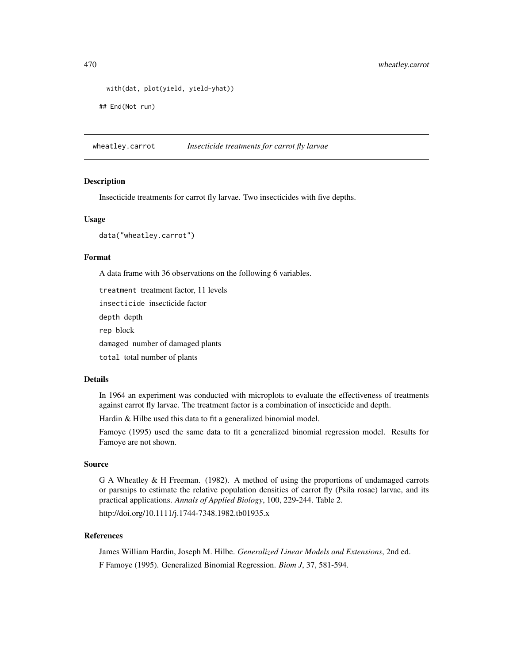```
with(dat, plot(yield, yield-yhat))
```
## End(Not run)

wheatley.carrot *Insecticide treatments for carrot fly larvae*

#### Description

Insecticide treatments for carrot fly larvae. Two insecticides with five depths.

#### Usage

data("wheatley.carrot")

#### Format

A data frame with 36 observations on the following 6 variables.

treatment treatment factor, 11 levels

insecticide insecticide factor

depth depth

rep block

damaged number of damaged plants

total total number of plants

#### Details

In 1964 an experiment was conducted with microplots to evaluate the effectiveness of treatments against carrot fly larvae. The treatment factor is a combination of insecticide and depth.

Hardin & Hilbe used this data to fit a generalized binomial model.

Famoye (1995) used the same data to fit a generalized binomial regression model. Results for Famoye are not shown.

# Source

G A Wheatley & H Freeman. (1982). A method of using the proportions of undamaged carrots or parsnips to estimate the relative population densities of carrot fly (Psila rosae) larvae, and its practical applications. *Annals of Applied Biology*, 100, 229-244. Table 2.

http://doi.org/10.1111/j.1744-7348.1982.tb01935.x

# References

James William Hardin, Joseph M. Hilbe. *Generalized Linear Models and Extensions*, 2nd ed. F Famoye (1995). Generalized Binomial Regression. *Biom J*, 37, 581-594.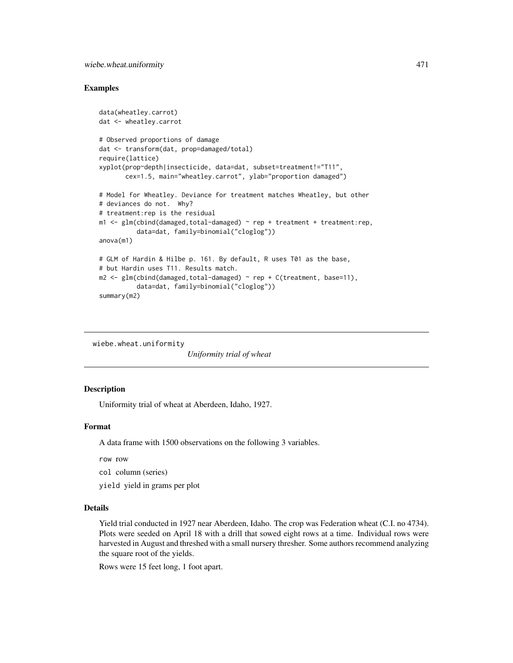# <span id="page-470-0"></span>Examples

```
data(wheatley.carrot)
dat <- wheatley.carrot
# Observed proportions of damage
dat <- transform(dat, prop=damaged/total)
require(lattice)
xyplot(prop~depth|insecticide, data=dat, subset=treatment!="T11",
       cex=1.5, main="wheatley.carrot", ylab="proportion damaged")
# Model for Wheatley. Deviance for treatment matches Wheatley, but other
# deviances do not. Why?
# treatment:rep is the residual
m1 < -g1m(cbind(damaged,total-damaged) \sim rep + treatment + treatment:rep,
          data=dat, family=binomial("cloglog"))
anova(m1)
# GLM of Hardin & Hilbe p. 161. By default, R uses T01 as the base,
# but Hardin uses T11. Results match.
m2 \leq glm(clind(damaged, total-damaged) \sim rep + C(treatment, base=11),data=dat, family=binomial("cloglog"))
summary(m2)
```
wiebe.wheat.uniformity

*Uniformity trial of wheat*

# Description

Uniformity trial of wheat at Aberdeen, Idaho, 1927.

# Format

A data frame with 1500 observations on the following 3 variables.

row row

col column (series)

yield yield in grams per plot

#### Details

Yield trial conducted in 1927 near Aberdeen, Idaho. The crop was Federation wheat (C.I. no 4734). Plots were seeded on April 18 with a drill that sowed eight rows at a time. Individual rows were harvested in August and threshed with a small nursery thresher. Some authors recommend analyzing the square root of the yields.

Rows were 15 feet long, 1 foot apart.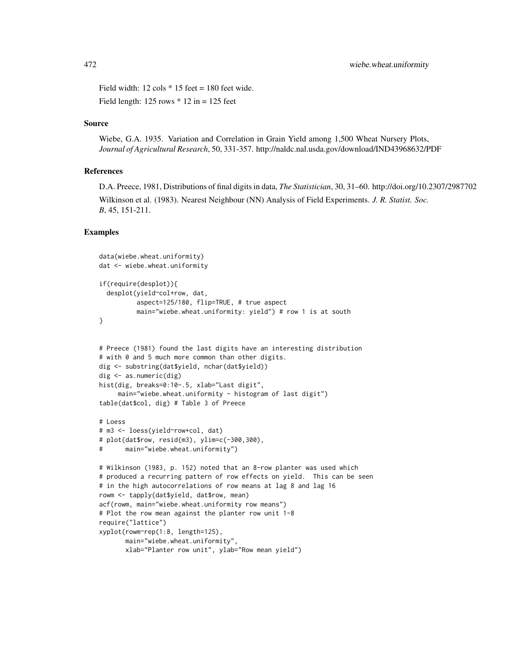Field width:  $12 \text{ coils} * 15 \text{ feet} = 180 \text{ feet wide.}$ Field length:  $125$  rows  $* 12$  in =  $125$  feet

#### Source

Wiebe, G.A. 1935. Variation and Correlation in Grain Yield among 1,500 Wheat Nursery Plots, *Journal of Agricultural Research*, 50, 331-357. http://naldc.nal.usda.gov/download/IND43968632/PDF

# References

D.A. Preece, 1981, Distributions of final digits in data, *The Statistician*, 30, 31–60. http://doi.org/10.2307/2987702 Wilkinson et al. (1983). Nearest Neighbour (NN) Analysis of Field Experiments. *J. R. Statist. Soc. B*, 45, 151-211.

```
data(wiebe.wheat.uniformity)
dat <- wiebe.wheat.uniformity
if(require(desplot)){
  desplot(yield~col+row, dat,
          aspect=125/180, flip=TRUE, # true aspect
          main="wiebe.wheat.uniformity: yield") # row 1 is at south
}
# Preece (1981) found the last digits have an interesting distribution
# with 0 and 5 much more common than other digits.
dig <- substring(dat$yield, nchar(dat$yield))
dig <- as.numeric(dig)
hist(dig, breaks=0:10-.5, xlab="Last digit",
     main="wiebe.wheat.uniformity - histogram of last digit")
table(dat$col, dig) # Table 3 of Preece
# Loess
# m3 <- loess(yield~row+col, dat)
# plot(dat$row, resid(m3), ylim=c(-300,300),
# main="wiebe.wheat.uniformity")
# Wilkinson (1983, p. 152) noted that an 8-row planter was used which
# produced a recurring pattern of row effects on yield. This can be seen
# in the high autocorrelations of row means at lag 8 and lag 16
rowm <- tapply(dat$yield, dat$row, mean)
acf(rowm, main="wiebe.wheat.uniformity row means")
# Plot the row mean against the planter row unit 1-8
require("lattice")
xyplot(rowm~rep(1:8, length=125),
       main="wiebe.wheat.uniformity",
       xlab="Planter row unit", ylab="Row mean yield")
```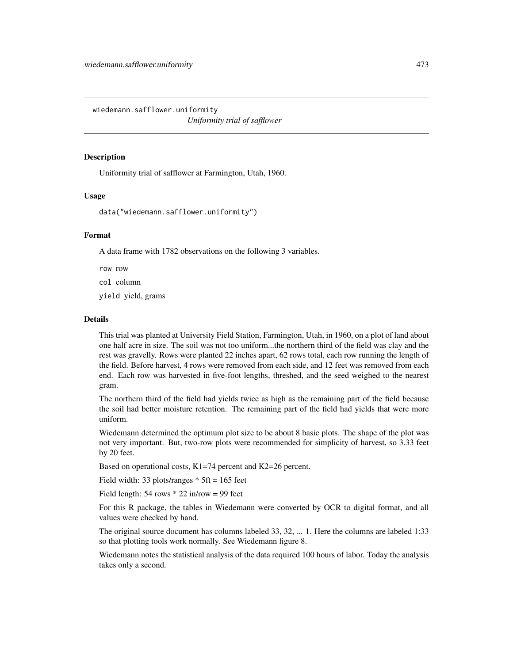<span id="page-472-0"></span>wiedemann.safflower.uniformity *Uniformity trial of safflower*

#### **Description**

Uniformity trial of safflower at Farmington, Utah, 1960.

#### Usage

```
data("wiedemann.safflower.uniformity")
```
# Format

A data frame with 1782 observations on the following 3 variables.

row row

col column

yield yield, grams

# Details

This trial was planted at University Field Station, Farmington, Utah, in 1960, on a plot of land about one half acre in size. The soil was not too uniform...the northern third of the field was clay and the rest was gravelly. Rows were planted 22 inches apart, 62 rows total, each row running the length of the field. Before harvest, 4 rows were removed from each side, and 12 feet was removed from each end. Each row was harvested in five-foot lengths, threshed, and the seed weighed to the nearest gram.

The northern third of the field had yields twice as high as the remaining part of the field because the soil had better moisture retention. The remaining part of the field had yields that were more uniform.

Wiedemann determined the optimum plot size to be about 8 basic plots. The shape of the plot was not very important. But, two-row plots were recommended for simplicity of harvest, so 3.33 feet by 20 feet.

Based on operational costs, K1=74 percent and K2=26 percent.

Field width: 33 plots/ranges  $*$  5ft = 165 feet

Field length:  $54$  rows  $*$  22 in/row = 99 feet

For this R package, the tables in Wiedemann were converted by OCR to digital format, and all values were checked by hand.

The original source document has columns labeled 33, 32, ... 1. Here the columns are labeled 1:33 so that plotting tools work normally. See Wiedemann figure 8.

Wiedemann notes the statistical analysis of the data required 100 hours of labor. Today the analysis takes only a second.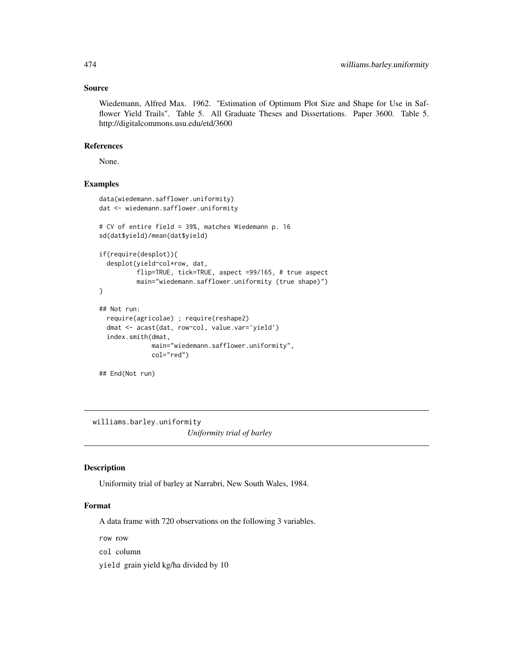#### Source

Wiedemann, Alfred Max. 1962. "Estimation of Optimum Plot Size and Shape for Use in Safflower Yield Trails". Table 5. All Graduate Theses and Dissertations. Paper 3600. Table 5. http://digitalcommons.usu.edu/etd/3600

#### References

None.

# Examples

```
data(wiedemann.safflower.uniformity)
dat <- wiedemann.safflower.uniformity
# CV of entire field = 39%, matches Wiedemann p. 16
sd(dat$yield)/mean(dat$yield)
if(require(desplot)){
 desplot(yield~col*row, dat,
         flip=TRUE, tick=TRUE, aspect =99/165, # true aspect
         main="wiedemann.safflower.uniformity (true shape)")
}
## Not run:
 require(agricolae) ; require(reshape2)
 dmat <- acast(dat, row~col, value.var='yield')
 index.smith(dmat,
             main="wiedemann.safflower.uniformity",
             col="red")
## End(Not run)
```
williams.barley.uniformity *Uniformity trial of barley*

#### Description

Uniformity trial of barley at Narrabri, New South Wales, 1984.

#### Format

A data frame with 720 observations on the following 3 variables.

row row

col column

yield grain yield kg/ha divided by 10

<span id="page-473-0"></span>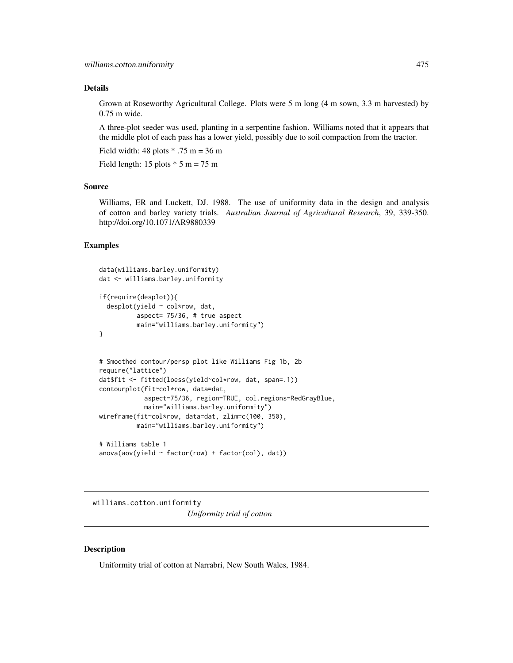# <span id="page-474-0"></span>Details

Grown at Roseworthy Agricultural College. Plots were 5 m long (4 m sown, 3.3 m harvested) by 0.75 m wide.

A three-plot seeder was used, planting in a serpentine fashion. Williams noted that it appears that the middle plot of each pass has a lower yield, possibly due to soil compaction from the tractor.

Field width: 48 plots  $* .75$  m = 36 m

Field length: 15 plots  $*$  5 m = 75 m

# Source

Williams, ER and Luckett, DJ. 1988. The use of uniformity data in the design and analysis of cotton and barley variety trials. *Australian Journal of Agricultural Research*, 39, 339-350. http://doi.org/10.1071/AR9880339

#### Examples

```
data(williams.barley.uniformity)
dat <- williams.barley.uniformity
if(require(desplot)){
 desplot(yield ~ col*row, dat,
          aspect= 75/36, # true aspect
         main="williams.barley.uniformity")
}
# Smoothed contour/persp plot like Williams Fig 1b, 2b
require("lattice")
dat$fit <- fitted(loess(yield~col*row, dat, span=.1))
contourplot(fit~col*row, data=dat,
            aspect=75/36, region=TRUE, col.regions=RedGrayBlue,
            main="williams.barley.uniformity")
wireframe(fit~col*row, data=dat, zlim=c(100, 350),
         main="williams.barley.uniformity")
```

```
# Williams table 1
anova(aov(yield ~ factor(row) + factor(col), dat))
```
williams.cotton.uniformity *Uniformity trial of cotton*

#### **Description**

Uniformity trial of cotton at Narrabri, New South Wales, 1984.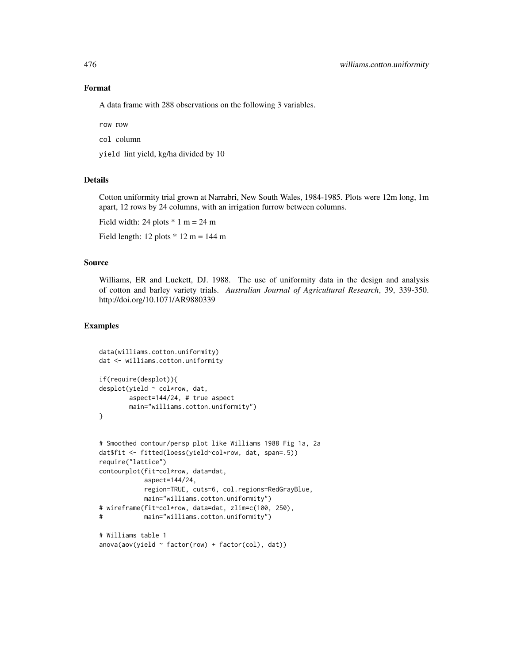# Format

A data frame with 288 observations on the following 3 variables.

row row

col column

yield lint yield, kg/ha divided by 10

# Details

Cotton uniformity trial grown at Narrabri, New South Wales, 1984-1985. Plots were 12m long, 1m apart, 12 rows by 24 columns, with an irrigation furrow between columns.

Field width: 24 plots  $* 1 m = 24 m$ 

Field length: 12 plots  $*$  12 m = 144 m

#### Source

Williams, ER and Luckett, DJ. 1988. The use of uniformity data in the design and analysis of cotton and barley variety trials. *Australian Journal of Agricultural Research*, 39, 339-350. http://doi.org/10.1071/AR9880339

```
data(williams.cotton.uniformity)
dat <- williams.cotton.uniformity
if(require(desplot)){
desplot(yield ~ col*row, dat,
       aspect=144/24, # true aspect
       main="williams.cotton.uniformity")
}
# Smoothed contour/persp plot like Williams 1988 Fig 1a, 2a
dat$fit <- fitted(loess(yield~col*row, dat, span=.5))
require("lattice")
contourplot(fit~col*row, data=dat,
           aspect=144/24,
           region=TRUE, cuts=6, col.regions=RedGrayBlue,
           main="williams.cotton.uniformity")
# wireframe(fit~col*row, data=dat, zlim=c(100, 250),
# main="williams.cotton.uniformity")
# Williams table 1
anova(aov(yield \sim factor(row) + factor(col), dat))
```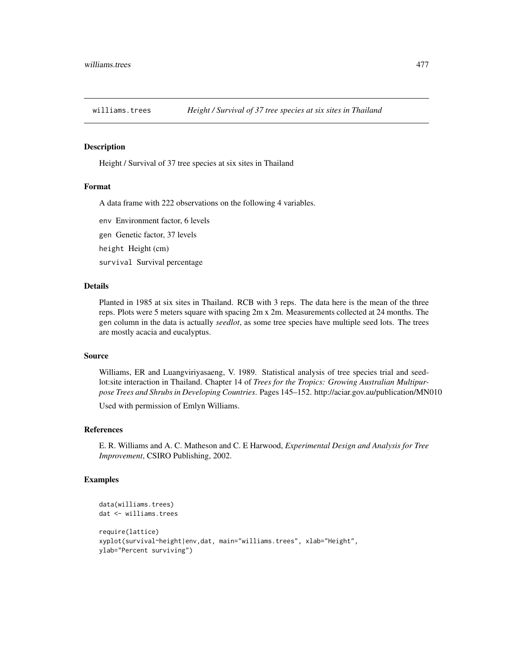<span id="page-476-0"></span>

# **Description**

Height / Survival of 37 tree species at six sites in Thailand

#### Format

A data frame with 222 observations on the following 4 variables.

env Environment factor, 6 levels

gen Genetic factor, 37 levels

height Height (cm)

survival Survival percentage

# Details

Planted in 1985 at six sites in Thailand. RCB with 3 reps. The data here is the mean of the three reps. Plots were 5 meters square with spacing 2m x 2m. Measurements collected at 24 months. The gen column in the data is actually *seedlot*, as some tree species have multiple seed lots. The trees are mostly acacia and eucalyptus.

#### Source

Williams, ER and Luangviriyasaeng, V. 1989. Statistical analysis of tree species trial and seedlot:site interaction in Thailand. Chapter 14 of *Trees for the Tropics: Growing Australian Multipurpose Trees and Shrubs in Developing Countries*. Pages 145–152. http://aciar.gov.au/publication/MN010

Used with permission of Emlyn Williams.

# References

E. R. Williams and A. C. Matheson and C. E Harwood, *Experimental Design and Analysis for Tree Improvement*, CSIRO Publishing, 2002.

```
data(williams.trees)
dat <- williams.trees
require(lattice)
xyplot(survival~height|env,dat, main="williams.trees", xlab="Height",
ylab="Percent surviving")
```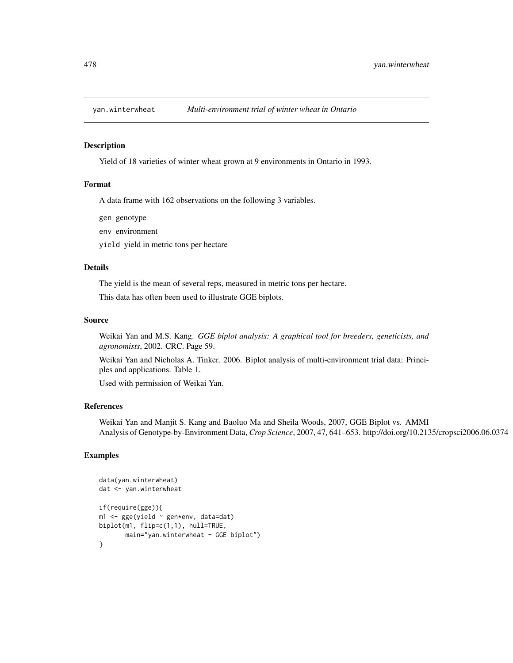<span id="page-477-0"></span>

#### Description

Yield of 18 varieties of winter wheat grown at 9 environments in Ontario in 1993.

# Format

A data frame with 162 observations on the following 3 variables.

gen genotype

env environment

yield yield in metric tons per hectare

# Details

The yield is the mean of several reps, measured in metric tons per hectare.

This data has often been used to illustrate GGE biplots.

#### Source

Weikai Yan and M.S. Kang. *GGE biplot analysis: A graphical tool for breeders, geneticists, and agronomists*, 2002. CRC. Page 59.

Weikai Yan and Nicholas A. Tinker. 2006. Biplot analysis of multi-environment trial data: Principles and applications. Table 1.

Used with permission of Weikai Yan.

#### References

Weikai Yan and Manjit S. Kang and Baoluo Ma and Sheila Woods, 2007, GGE Biplot vs. AMMI Analysis of Genotype-by-Environment Data, *Crop Science*, 2007, 47, 641–653. http://doi.org/10.2135/cropsci2006.06.0374

```
data(yan.winterwheat)
dat <- yan.winterwheat
if(require(gge)){
m1 <- gge(yield ~ gen*env, data=dat)
biplot(m1, flip=c(1,1), hull=TRUE,
       main="yan.winterwheat - GGE biplot")
}
```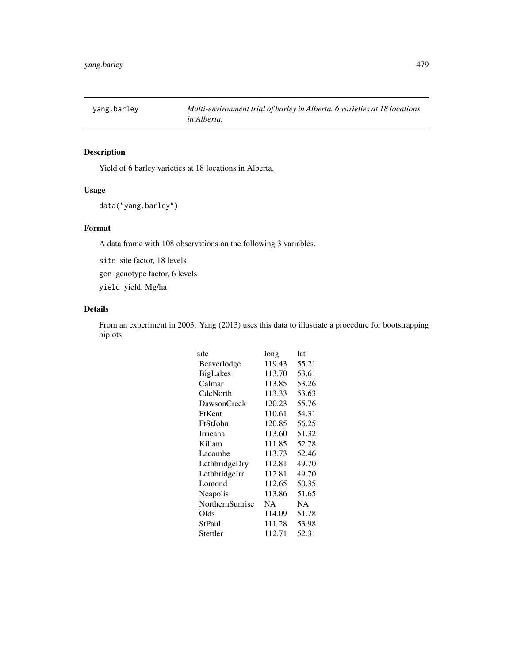<span id="page-478-0"></span>

# Description

Yield of 6 barley varieties at 18 locations in Alberta.

# Usage

```
data("yang.barley")
```
# Format

A data frame with 108 observations on the following 3 variables.

site site factor, 18 levels

gen genotype factor, 6 levels

yield yield, Mg/ha

# Details

From an experiment in 2003. Yang (2013) uses this data to illustrate a procedure for bootstrapping biplots.

| site            | long   | lat   |
|-----------------|--------|-------|
| Beaverlodge     | 119.43 | 55.21 |
| <b>BigLakes</b> | 113.70 | 53.61 |
| Calmar          | 113.85 | 53.26 |
| CdcNorth        | 113.33 | 53.63 |
| DawsonCreek     | 120.23 | 55.76 |
| FtKent          | 110.61 | 54.31 |
| FtStJohn        | 120.85 | 56.25 |
| Irricana        | 113.60 | 51.32 |
| Killam          | 111.85 | 52.78 |
| Lacombe         | 113.73 | 52.46 |
| LethbridgeDry   | 112.81 | 49.70 |
| LethbridgeIrr   | 112.81 | 49.70 |
| Lomond          | 112.65 | 50.35 |
| Neapolis        | 113.86 | 51.65 |
| NorthernSunrise | NA     | NA    |
| Olds            | 114.09 | 51.78 |
| StPaul          | 111.28 | 53.98 |
| Stettler        | 112.71 | 52.31 |
|                 |        |       |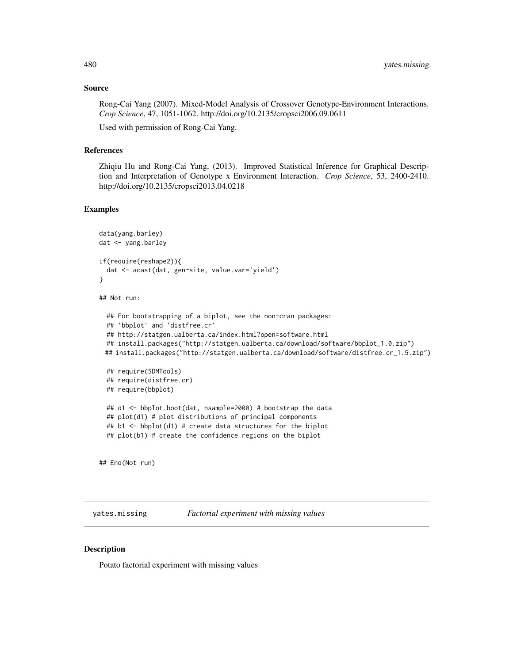#### Source

Rong-Cai Yang (2007). Mixed-Model Analysis of Crossover Genotype-Environment Interactions. *Crop Science*, 47, 1051-1062. http://doi.org/10.2135/cropsci2006.09.0611

Used with permission of Rong-Cai Yang.

# References

Zhiqiu Hu and Rong-Cai Yang, (2013). Improved Statistical Inference for Graphical Description and Interpretation of Genotype x Environment Interaction. *Crop Science*, 53, 2400-2410. http://doi.org/10.2135/cropsci2013.04.0218

#### Examples

```
data(yang.barley)
dat <- yang.barley
if(require(reshape2)){
 dat <- acast(dat, gen~site, value.var='yield')
}
## Not run:
 ## For bootstrapping of a biplot, see the non-cran packages:
 ## 'bbplot' and 'distfree.cr'
 ## http://statgen.ualberta.ca/index.html?open=software.html
 ## install.packages("http://statgen.ualberta.ca/download/software/bbplot_1.0.zip")
 ## install.packages("http://statgen.ualberta.ca/download/software/distfree.cr_1.5.zip")
 ## require(SDMTools)
 ## require(distfree.cr)
 ## require(bbplot)
 ## d1 <- bbplot.boot(dat, nsample=2000) # bootstrap the data
 ## plot(d1) # plot distributions of principal components
 ## b1 <- bbplot(d1) # create data structures for the biplot
 ## plot(b1) # create the confidence regions on the biplot
## End(Not run)
```
yates.missing *Factorial experiment with missing values*

# **Description**

Potato factorial experiment with missing values

<span id="page-479-0"></span>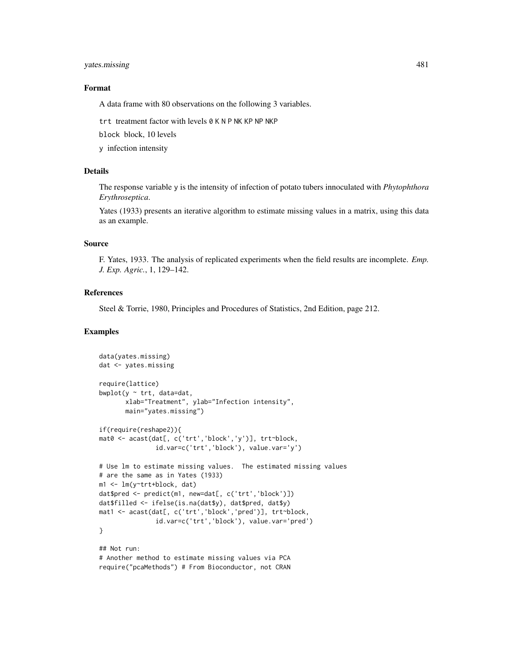# yates.missing 481

#### Format

A data frame with 80 observations on the following 3 variables.

trt treatment factor with levels 0 K N P NK KP NP NKP

block block, 10 levels

y infection intensity

# Details

The response variable y is the intensity of infection of potato tubers innoculated with *Phytophthora Erythroseptica*.

Yates (1933) presents an iterative algorithm to estimate missing values in a matrix, using this data as an example.

# Source

F. Yates, 1933. The analysis of replicated experiments when the field results are incomplete. *Emp. J. Exp. Agric.*, 1, 129–142.

### References

Steel & Torrie, 1980, Principles and Procedures of Statistics, 2nd Edition, page 212.

# Examples

```
data(yates.missing)
dat <- yates.missing
require(lattice)
bwplot(y \sim \text{tr}t, data=dat,
       xlab="Treatment", ylab="Infection intensity",
       main="yates.missing")
if(require(reshape2)){
mat0 <- acast(dat[, c('trt','block','y')], trt~block,
               id.var=c('trt','block'), value.var='y')
# Use lm to estimate missing values. The estimated missing values
# are the same as in Yates (1933)
m1 <- lm(y~trt+block, dat)
dat$pred <- predict(m1, new=dat[, c('trt','block')])
dat$filled <- ifelse(is.na(dat$y), dat$pred, dat$y)
mat1 <- acast(dat[, c('trt','block','pred')], trt~block,
               id.var=c('trt','block'), value.var='pred')
}
## Not run:
# Another method to estimate missing values via PCA
```
require("pcaMethods") # From Bioconductor, not CRAN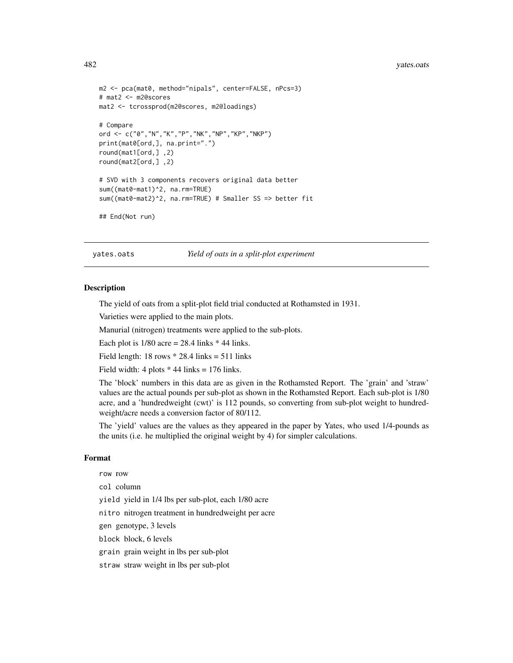#### <span id="page-481-0"></span>482 yates.oats

```
m2 <- pca(mat0, method="nipals", center=FALSE, nPcs=3)
# mat2 <- m2@scores
mat2 <- tcrossprod(m2@scores, m2@loadings)
# Compare
ord <- c("0","N","K","P","NK","NP","KP","NKP")
print(mat0[ord,], na.print=".")
round(mat1[ord,] ,2)
round(mat2[ord,] ,2)
# SVD with 3 components recovers original data better
sum((mat0-mat1)^2, na.rm=TRUE)
sum((mat0-mat2)^2, na.rm=TRUE) # Smaller SS => better fit
## End(Not run)
```
yates.oats *Yield of oats in a split-plot experiment*

#### **Description**

The yield of oats from a split-plot field trial conducted at Rothamsted in 1931.

Varieties were applied to the main plots.

Manurial (nitrogen) treatments were applied to the sub-plots.

Each plot is  $1/80$  acre = 28.4 links  $*$  44 links.

Field length:  $18$  rows  $*$  28.4 links = 511 links

Field width:  $4$  plots  $*$  44 links = 176 links.

The 'block' numbers in this data are as given in the Rothamsted Report. The 'grain' and 'straw' values are the actual pounds per sub-plot as shown in the Rothamsted Report. Each sub-plot is 1/80 acre, and a 'hundredweight (cwt)' is 112 pounds, so converting from sub-plot weight to hundredweight/acre needs a conversion factor of 80/112.

The 'yield' values are the values as they appeared in the paper by Yates, who used 1/4-pounds as the units (i.e. he multiplied the original weight by 4) for simpler calculations.

#### Format

row row col column yield yield in 1/4 lbs per sub-plot, each 1/80 acre nitro nitrogen treatment in hundredweight per acre gen genotype, 3 levels block block, 6 levels grain grain weight in lbs per sub-plot straw straw weight in lbs per sub-plot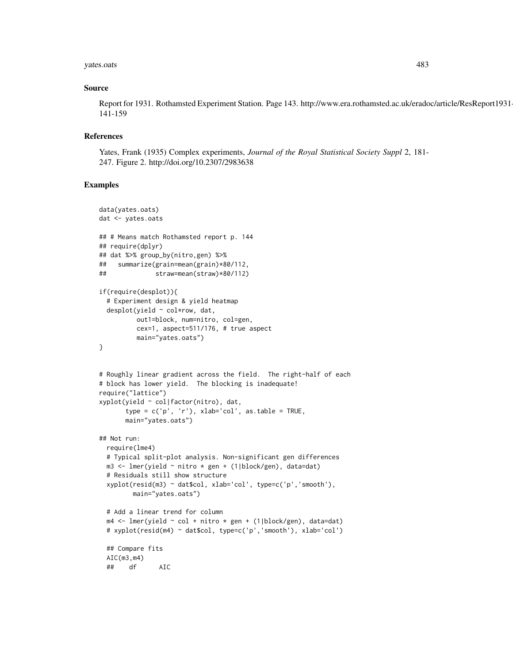#### yates.oats 483

#### Source

Report for 1931. Rothamsted Experiment Station. Page 143. http://www.era.rothamsted.ac.uk/eradoc/article/ResReport1931- 141-159

#### References

Yates, Frank (1935) Complex experiments, *Journal of the Royal Statistical Society Suppl* 2, 181- 247. Figure 2. http://doi.org/10.2307/2983638

```
data(yates.oats)
dat <- yates.oats
## # Means match Rothamsted report p. 144
## require(dplyr)
## dat %>% group_by(nitro,gen) %>%
## summarize(grain=mean(grain)*80/112,
## straw=mean(straw)*80/112)
if(require(desplot)){
 # Experiment design & yield heatmap
 desplot(yield ~ col*row, dat,
         out1=block, num=nitro, col=gen,
         cex=1, aspect=511/176, # true aspect
         main="yates.oats")
}
# Roughly linear gradient across the field. The right-half of each
# block has lower yield. The blocking is inadequate!
require("lattice")
xyplot(yield ~ col|factor(nitro), dat,
       type = c('p', 'r'), xlab='col', as_table = TRUE,main="yates.oats")
## Not run:
 require(lme4)
 # Typical split-plot analysis. Non-significant gen differences
 m3 <- lmer(yield ~ nitro * gen + (1|block/gen), data=dat)
 # Residuals still show structure
 xyplot(resid(m3) ~ dat$col, xlab='col', type=c('p','smooth'),
        main="yates.oats")
 # Add a linear trend for column
 m4 <- lmer(yield ~ col + nitro * gen + (1|block/gen), data=dat)
 # xyplot(resid(m4) ~ dat$col, type=c('p','smooth'), xlab='col')
 ## Compare fits
 AIC(m3,m4)
 ## df AIC
```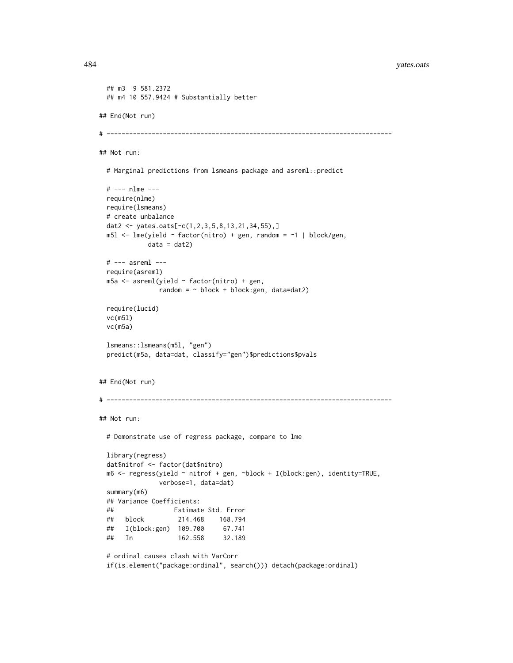```
484 yates.oats
```

```
## m3 9 581.2372
 ## m4 10 557.9424 # Substantially better
## End(Not run)
# ----------------------------------------------------------------------------
## Not run:
 # Marginal predictions from lsmeans package and asreml::predict
 # --- nlme ---
 require(nlme)
 require(lsmeans)
 # create unbalance
 dat2 <- yates.oats[-c(1,2,3,5,8,13,21,34,55),]
 m5l <- lme(yield ~ factor(nitro) + gen, random = ~1 | block/gen,
            data = dat2)# --- asreml ---
 require(asreml)
 m5a <- asreml(yield ~ factor(nitro) + gen,
               random = \sim block + block: gen, data=dat2)
 require(lucid)
 vc(m5l)
 vc(m5a)
 lsmeans::lsmeans(m5l, "gen")
 predict(m5a, data=dat, classify="gen")$predictions$pvals
## End(Not run)
# ----------------------------------------------------------------------------
## Not run:
 # Demonstrate use of regress package, compare to lme
 library(regress)
 dat$nitrof <- factor(dat$nitro)
 m6 <- regress(yield ~ nitrof + gen, ~block + I(block:gen), identity=TRUE,
               verbose=1, data=dat)
 summary(m6)
 ## Variance Coefficients:
 ## Estimate Std. Error
 ## block 214.468 168.794
 ## I(block:gen) 109.700 67.741
 ## In 162.558 32.189
 # ordinal causes clash with VarCorr
```

```
if(is.element("package:ordinal", search())) detach(package:ordinal)
```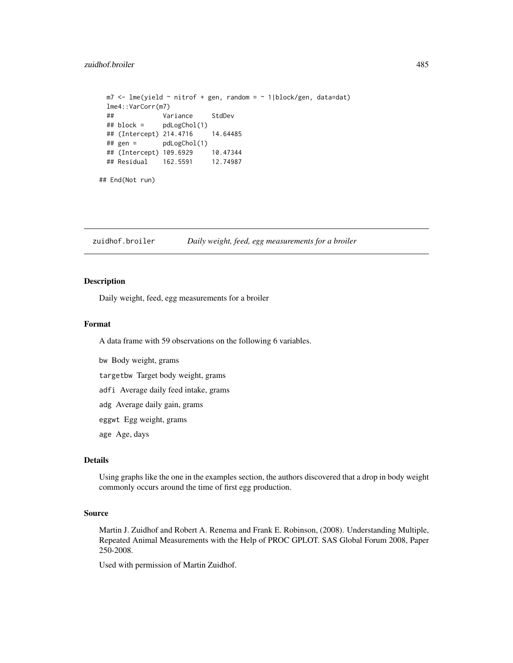```
m7 < -1me(yield \sim nitrof + gen, random = \sim 1|block/gen, data=dat)
 lme4::VarCorr(m7)
 ## Variance StdDev
 ## block = pdLogChol(1)
 ## (Intercept) 214.4716 14.64485
 ## gen = pdLogChol(1)
 ## (Intercept) 109.6929 10.47344
 ## Residual 162.5591 12.74987
## End(Not run)
```
zuidhof.broiler *Daily weight, feed, egg measurements for a broiler*

# Description

Daily weight, feed, egg measurements for a broiler

# Format

A data frame with 59 observations on the following 6 variables.

bw Body weight, grams

targetbw Target body weight, grams

adfi Average daily feed intake, grams

adg Average daily gain, grams

eggwt Egg weight, grams

age Age, days

# Details

Using graphs like the one in the examples section, the authors discovered that a drop in body weight commonly occurs around the time of first egg production.

#### Source

Martin J. Zuidhof and Robert A. Renema and Frank E. Robinson, (2008). Understanding Multiple, Repeated Animal Measurements with the Help of PROC GPLOT. SAS Global Forum 2008, Paper 250-2008.

Used with permission of Martin Zuidhof.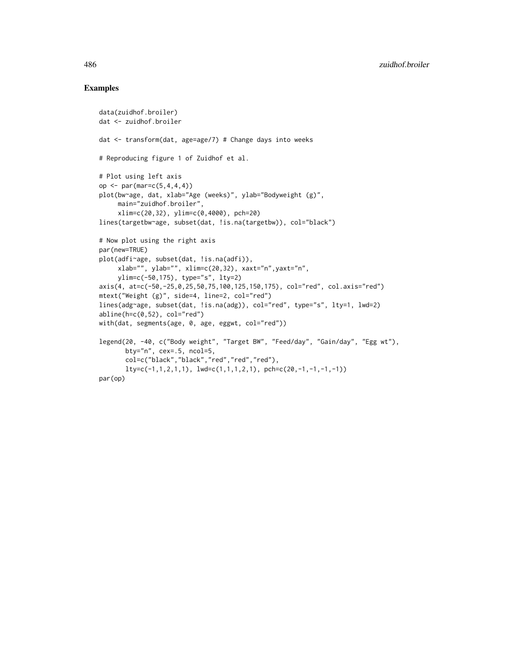```
data(zuidhof.broiler)
dat <- zuidhof.broiler
dat <- transform(dat, age=age/7) # Change days into weeks
# Reproducing figure 1 of Zuidhof et al.
# Plot using left axis
op <- par(mar=c(5,4,4,4))
plot(bw~age, dat, xlab="Age (weeks)", ylab="Bodyweight (g)",
     main="zuidhof.broiler",
     xlim=c(20,32), ylim=c(0,4000), pch=20)
lines(targetbw~age, subset(dat, !is.na(targetbw)), col="black")
# Now plot using the right axis
par(new=TRUE)
plot(adfi~age, subset(dat, !is.na(adfi)),
     xlab="", ylab="", xlim=c(20,32), xaxt="n",yaxt="n",
     ylim=c(-50,175), type="s", lty=2)
axis(4, at=c(-50,-25,0,25,50,75,100,125,150,175), col="red", col.axis="red")
mtext("Weight (g)", side=4, line=2, col="red")
lines(adg~age, subset(dat, !is.na(adg)), col="red", type="s", lty=1, lwd=2)
abline(h=c(0,52), col="red")with(dat, segments(age, 0, age, eggwt, col="red"))
legend(20, -40, c("Body weight", "Target BW", "Feed/day", "Gain/day", "Egg wt"),
       bty="n", cex=.5, ncol=5,
       col=c("black","black","red","red","red"),
       lty=c(-1,1,2,1,1), lwd=c(1,1,1,2,1), pch=c(20,-1,-1,-1,-1))par(op)
```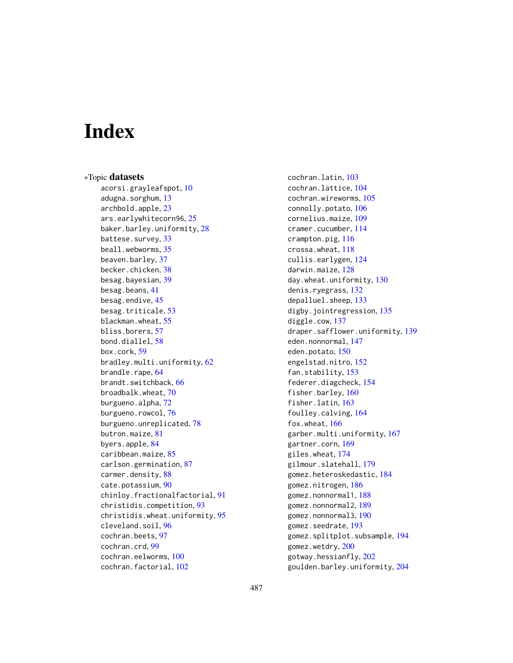# **Index**

∗Topic datasets acorsi.grayleafspot, [10](#page-9-0) adugna.sorghum, [13](#page-12-0) archbold.apple, [23](#page-22-0) ars.earlywhitecorn96, [25](#page-24-0) baker.barley.uniformity, [28](#page-27-0) battese.survey, [33](#page-32-0) beall.webworms, [35](#page-34-0) beaven.barley, [37](#page-36-0) becker.chicken, [38](#page-37-0) besag.bayesian, [39](#page-38-0) besag.beans, [41](#page-40-0) besag.endive, [45](#page-44-0) besag.triticale, [53](#page-52-0) blackman.wheat, [55](#page-54-0) bliss.borers, [57](#page-56-0) bond.diallel, [58](#page-57-0) box.cork, [59](#page-58-0) bradley.multi.uniformity, [62](#page-61-0) brandle.rape, [64](#page-63-0) brandt.switchback, [66](#page-65-0) broadbalk.wheat, [70](#page-69-0) burgueno.alpha, [72](#page-71-0) burgueno.rowcol, [76](#page-75-0) burgueno.unreplicated, [78](#page-77-0) butron.maize, [81](#page-80-0) byers.apple, [84](#page-83-0) caribbean.maize, [85](#page-84-0) carlson.germination, [87](#page-86-0) carmer.density, [88](#page-87-0) cate.potassium, [90](#page-89-0) chinloy.fractionalfactorial, [91](#page-90-0) christidis.competition, [93](#page-92-0) christidis.wheat.uniformity, [95](#page-94-0) cleveland.soil, [96](#page-95-0) cochran.beets, [97](#page-96-0) cochran.crd, [99](#page-98-0) cochran.eelworms, [100](#page-99-0) cochran.factorial, [102](#page-101-0)

cochran.latin, [103](#page-102-0) cochran.lattice, [104](#page-103-0) cochran.wireworms, [105](#page-104-0) connolly.potato, [106](#page-105-0) cornelius.maize, [109](#page-108-0) cramer.cucumber, [114](#page-113-0) crampton.pig, [116](#page-115-0) crossa.wheat, [118](#page-117-0) cullis.earlygen, [124](#page-123-0) darwin.maize, [128](#page-127-0) day.wheat.uniformity, [130](#page-129-0) denis.ryegrass, [132](#page-131-0) depalluel.sheep, [133](#page-132-0) digby.jointregression, [135](#page-134-0) diggle.cow, [137](#page-136-0) draper.safflower.uniformity, [139](#page-138-0) eden.nonnormal, [147](#page-146-0) eden.potato, [150](#page-149-0) engelstad.nitro, [152](#page-151-0) fan.stability, [153](#page-152-0) federer.diagcheck, [154](#page-153-0) fisher.barley, [160](#page-159-0) fisher.latin, [163](#page-162-0) foulley.calving, [164](#page-163-0) fox.wheat, [166](#page-165-0) garber.multi.uniformity, [167](#page-166-0) gartner.corn, [169](#page-168-0) giles.wheat, [174](#page-173-0) gilmour.slatehall, [179](#page-178-0) gomez.heteroskedastic, [184](#page-183-0) gomez.nitrogen, [186](#page-185-0) gomez.nonnormal1, [188](#page-187-0) gomez.nonnormal2, [189](#page-188-0) gomez.nonnormal3, [190](#page-189-0) gomez.seedrate, [193](#page-192-0) gomez.splitplot.subsample, [194](#page-193-0) gomez.wetdry, [200](#page-199-0) gotway.hessianfly, [202](#page-201-0) goulden.barley.uniformity, [204](#page-203-0)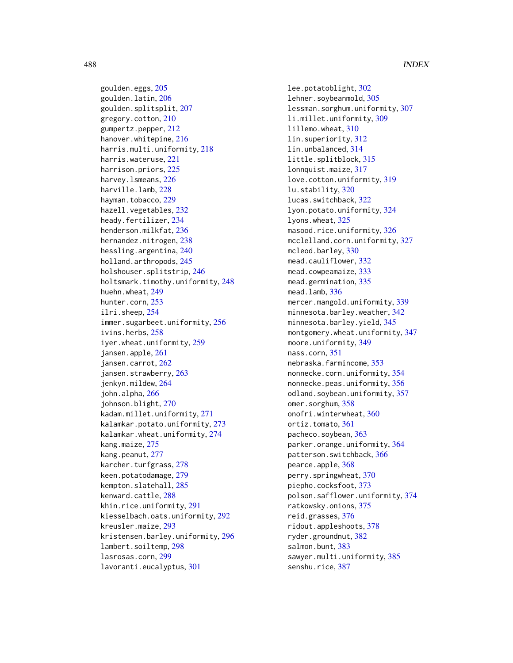goulden.eggs, [205](#page-204-0) goulden.latin, [206](#page-205-0) goulden.splitsplit, [207](#page-206-0) gregory.cotton, [210](#page-209-0) gumpertz.pepper, [212](#page-211-0) hanover.whitepine, [216](#page-215-0) harris.multi.uniformity, [218](#page-217-0) harris.wateruse, [221](#page-220-0) harrison.priors, [225](#page-224-0) harvey.lsmeans, [226](#page-225-0) harville.lamb, [228](#page-227-0) hayman.tobacco, [229](#page-228-0) hazell.vegetables, [232](#page-231-0) heady.fertilizer, [234](#page-233-0) henderson.milkfat, [236](#page-235-0) hernandez.nitrogen, [238](#page-237-0) hessling.argentina, [240](#page-239-0) holland.arthropods, [245](#page-244-0) holshouser.splitstrip, [246](#page-245-0) holtsmark.timothy.uniformity, [248](#page-247-0) huehn.wheat, [249](#page-248-0) hunter.corn, [253](#page-252-0) ilri.sheep, [254](#page-253-0) immer.sugarbeet.uniformity, [256](#page-255-0) ivins.herbs, [258](#page-257-0) iyer.wheat.uniformity, [259](#page-258-0) jansen.apple, [261](#page-260-0) jansen.carrot, [262](#page-261-0) jansen.strawberry, [263](#page-262-0) jenkyn.mildew, [264](#page-263-0) john.alpha, [266](#page-265-0) johnson.blight, [270](#page-269-0) kadam.millet.uniformity, [271](#page-270-0) kalamkar.potato.uniformity, [273](#page-272-0) kalamkar.wheat.uniformity, [274](#page-273-0) kang.maize, [275](#page-274-0) kang.peanut, [277](#page-276-0) karcher.turfgrass, [278](#page-277-0) keen.potatodamage, [279](#page-278-0) kempton.slatehall, [285](#page-284-0) kenward.cattle, [288](#page-287-0) khin.rice.uniformity, [291](#page-290-0) kiesselbach.oats.uniformity, [292](#page-291-0) kreusler.maize, [293](#page-292-0) kristensen.barley.uniformity, [296](#page-295-0) lambert.soiltemp, [298](#page-297-0) lasrosas.corn, [299](#page-298-0) lavoranti.eucalyptus, [301](#page-300-0)

lee.potatoblight, [302](#page-301-0) lehner.soybeanmold, [305](#page-304-0) lessman.sorghum.uniformity, [307](#page-306-0) li.millet.uniformity, [309](#page-308-0) lillemo.wheat, [310](#page-309-0) lin.superiority, [312](#page-311-0) lin.unbalanced, [314](#page-313-0) little.splitblock, [315](#page-314-0) lonnquist.maize, [317](#page-316-0) love.cotton.uniformity, [319](#page-318-0) lu.stability, [320](#page-319-0) lucas.switchback, [322](#page-321-0) lyon.potato.uniformity, [324](#page-323-0) lyons.wheat, [325](#page-324-0) masood.rice.uniformity, [326](#page-325-0) mcclelland.corn.uniformity, [327](#page-326-0) mcleod.barley, [330](#page-329-0) mead.cauliflower, [332](#page-331-0) mead.cowpeamaize, [333](#page-332-0) mead.germination, [335](#page-334-0) mead.lamb, [336](#page-335-0) mercer.mangold.uniformity, [339](#page-338-0) minnesota.barley.weather, [342](#page-341-0) minnesota.barley.yield, [345](#page-344-0) montgomery.wheat.uniformity, [347](#page-346-0) moore.uniformity, [349](#page-348-0) nass.corn, [351](#page-350-0) nebraska.farmincome, [353](#page-352-0) nonnecke.corn.uniformity, [354](#page-353-0) nonnecke.peas.uniformity, [356](#page-355-0) odland.soybean.uniformity, [357](#page-356-0) omer.sorghum, [358](#page-357-0) onofri.winterwheat, [360](#page-359-0) ortiz.tomato, [361](#page-360-0) pacheco.soybean, [363](#page-362-0) parker.orange.uniformity, [364](#page-363-0) patterson.switchback, [366](#page-365-0) pearce.apple, [368](#page-367-0) perry.springwheat, [370](#page-369-0) piepho.cocksfoot, [373](#page-372-0) polson.safflower.uniformity, [374](#page-373-0) ratkowsky.onions, [375](#page-374-0) reid.grasses, [376](#page-375-0) ridout.appleshoots, [378](#page-377-0) ryder.groundnut, [382](#page-381-0) salmon.bunt, [383](#page-382-0) sawyer.multi.uniformity, [385](#page-384-0) senshu.rice, [387](#page-386-0)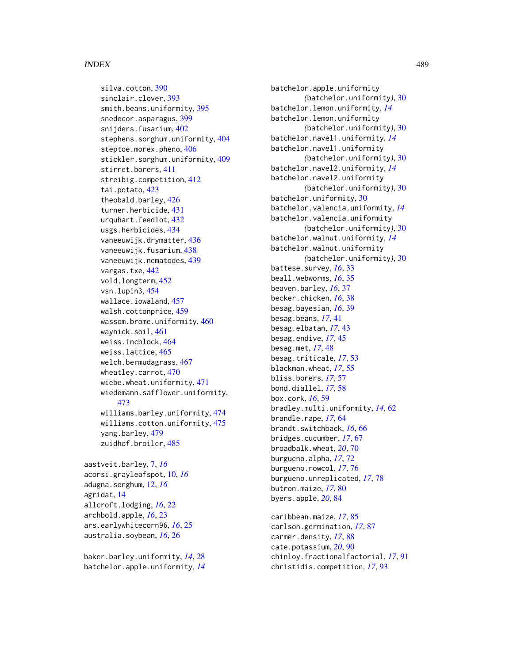#### INDEX 489

silva.cotton, [390](#page-389-0) sinclair.clover, [393](#page-392-0) smith.beans.uniformity, [395](#page-394-0) snedecor.asparagus, [399](#page-398-0) snijders.fusarium, [402](#page-401-0) stephens.sorghum.uniformity, [404](#page-403-0) steptoe.morex.pheno, [406](#page-405-0) stickler.sorghum.uniformity, [409](#page-408-0) stirret.borers, [411](#page-410-0) streibig.competition, [412](#page-411-0) tai.potato, [423](#page-422-0) theobald.barley, [426](#page-425-0) turner.herbicide, [431](#page-430-0) urquhart.feedlot, [432](#page-431-0) usgs.herbicides, [434](#page-433-0) vaneeuwijk.drymatter, [436](#page-435-0) vaneeuwijk.fusarium, [438](#page-437-0) vaneeuwijk.nematodes, [439](#page-438-0) vargas.txe, [442](#page-441-0) vold.longterm, [452](#page-451-0) vsn.lupin3, [454](#page-453-0) wallace.iowaland, [457](#page-456-0) walsh.cottonprice, [459](#page-458-0) wassom.brome.uniformity, [460](#page-459-0) waynick.soil, [461](#page-460-0) weiss.incblock, [464](#page-463-0) weiss.lattice, [465](#page-464-0) welch.bermudagrass, [467](#page-466-0) wheatley.carrot, [470](#page-469-0) wiebe.wheat.uniformity, [471](#page-470-0) wiedemann.safflower.uniformity, [473](#page-472-0) williams.barley.uniformity, [474](#page-473-0) williams.cotton.uniformity, [475](#page-474-0) yang.barley, [479](#page-478-0) zuidhof.broiler, [485](#page-484-0)

aastveit.barley, [7,](#page-6-0) *[16](#page-15-0)* acorsi.grayleafspot, [10,](#page-9-0) *[16](#page-15-0)* adugna.sorghum, [12,](#page-11-0) *[16](#page-15-0)* agridat, [14](#page-13-0) allcroft.lodging, *[16](#page-15-0)*, [22](#page-21-0) archbold.apple, *[16](#page-15-0)*, [23](#page-22-0) ars.earlywhitecorn96, *[16](#page-15-0)*, [25](#page-24-0) australia.soybean, *[16](#page-15-0)*, [26](#page-25-0)

baker.barley.uniformity, *[14](#page-13-0)*, [28](#page-27-0) batchelor.apple.uniformity, *[14](#page-13-0)* batchelor.apple.uniformity *(*batchelor.uniformity*)*, [30](#page-29-0) batchelor.lemon.uniformity, *[14](#page-13-0)* batchelor.lemon.uniformity *(*batchelor.uniformity*)*, [30](#page-29-0) batchelor.navel1.uniformity, *[14](#page-13-0)* batchelor.navel1.uniformity *(*batchelor.uniformity*)*, [30](#page-29-0) batchelor.navel2.uniformity, *[14](#page-13-0)* batchelor.navel2.uniformity *(*batchelor.uniformity*)*, [30](#page-29-0) batchelor.uniformity, [30](#page-29-0) batchelor.valencia.uniformity, *[14](#page-13-0)* batchelor.valencia.uniformity *(*batchelor.uniformity*)*, [30](#page-29-0) batchelor.walnut.uniformity, *[14](#page-13-0)* batchelor.walnut.uniformity *(*batchelor.uniformity*)*, [30](#page-29-0) battese.survey, *[16](#page-15-0)*, [33](#page-32-0) beall.webworms, *[16](#page-15-0)*, [35](#page-34-0) beaven.barley, *[16](#page-15-0)*, [37](#page-36-0) becker.chicken, *[16](#page-15-0)*, [38](#page-37-0) besag.bayesian, *[16](#page-15-0)*, [39](#page-38-0) besag.beans, *[17](#page-16-0)*, [41](#page-40-0) besag.elbatan, *[17](#page-16-0)*, [43](#page-42-0) besag.endive, *[17](#page-16-0)*, [45](#page-44-0) besag.met, *[17](#page-16-0)*, [48](#page-47-0) besag.triticale, *[17](#page-16-0)*, [53](#page-52-0) blackman.wheat, *[17](#page-16-0)*, [55](#page-54-0) bliss.borers, *[17](#page-16-0)*, [57](#page-56-0) bond.diallel, *[17](#page-16-0)*, [58](#page-57-0) box.cork, *[16](#page-15-0)*, [59](#page-58-0) bradley.multi.uniformity, *[14](#page-13-0)*, [62](#page-61-0) brandle.rape, *[17](#page-16-0)*, [64](#page-63-0) brandt.switchback, *[16](#page-15-0)*, [66](#page-65-0) bridges.cucumber, *[17](#page-16-0)*, [67](#page-66-0) broadbalk.wheat, *[20](#page-19-0)*, [70](#page-69-0) burgueno.alpha, *[17](#page-16-0)*, [72](#page-71-0) burgueno.rowcol, *[17](#page-16-0)*, [76](#page-75-0) burgueno.unreplicated, *[17](#page-16-0)*, [78](#page-77-0) butron.maize, *[17](#page-16-0)*, [80](#page-79-0) byers.apple, *[20](#page-19-0)*, [84](#page-83-0) caribbean.maize, *[17](#page-16-0)*, [85](#page-84-0)

carlson.germination, *[17](#page-16-0)*, [87](#page-86-0) carmer.density, *[17](#page-16-0)*, [88](#page-87-0) cate.potassium, *[20](#page-19-0)*, [90](#page-89-0) chinloy.fractionalfactorial, *[17](#page-16-0)*, [91](#page-90-0) christidis.competition, *[17](#page-16-0)*, [93](#page-92-0)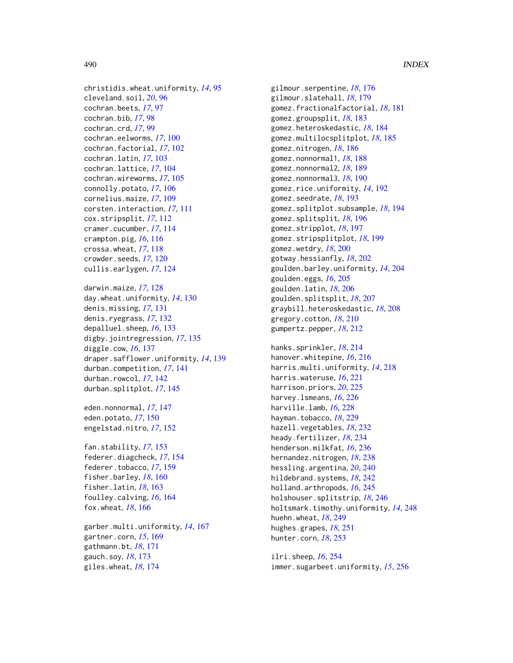christidis.wheat.uniformity, *[14](#page-13-0)*, [95](#page-94-0) cleveland.soil, *[20](#page-19-0)*, [96](#page-95-0) cochran.beets, *[17](#page-16-0)*, [97](#page-96-0) cochran.bib, *[17](#page-16-0)*, [98](#page-97-0) cochran.crd, *[17](#page-16-0)*, [99](#page-98-0) cochran.eelworms, *[17](#page-16-0)*, [100](#page-99-0) cochran.factorial, *[17](#page-16-0)*, [102](#page-101-0) cochran.latin, *[17](#page-16-0)*, [103](#page-102-0) cochran.lattice, *[17](#page-16-0)*, [104](#page-103-0) cochran.wireworms, *[17](#page-16-0)*, [105](#page-104-0) connolly.potato, *[17](#page-16-0)*, [106](#page-105-0) cornelius.maize, *[17](#page-16-0)*, [109](#page-108-0) corsten.interaction, *[17](#page-16-0)*, [111](#page-110-0) cox.stripsplit, *[17](#page-16-0)*, [112](#page-111-0) cramer.cucumber, *[17](#page-16-0)*, [114](#page-113-0) crampton.pig, *[16](#page-15-0)*, [116](#page-115-0) crossa.wheat, *[17](#page-16-0)*, [118](#page-117-0) crowder.seeds, *[17](#page-16-0)*, [120](#page-119-0) cullis.earlygen, *[17](#page-16-0)*, [124](#page-123-0)

darwin.maize, *[17](#page-16-0)*, [128](#page-127-0) day.wheat.uniformity, *[14](#page-13-0)*, [130](#page-129-0) denis.missing, *[17](#page-16-0)*, [131](#page-130-0) denis.ryegrass, *[17](#page-16-0)*, [132](#page-131-0) depalluel.sheep, *[16](#page-15-0)*, [133](#page-132-0) digby.jointregression, *[17](#page-16-0)*, [135](#page-134-0) diggle.cow, *[16](#page-15-0)*, [137](#page-136-0) draper.safflower.uniformity, *[14](#page-13-0)*, [139](#page-138-0) durban.competition, *[17](#page-16-0)*, [141](#page-140-0) durban.rowcol, *[17](#page-16-0)*, [142](#page-141-0) durban.splitplot, *[17](#page-16-0)*, [145](#page-144-0)

eden.nonnormal, *[17](#page-16-0)*, [147](#page-146-0) eden.potato, *[17](#page-16-0)*, [150](#page-149-0) engelstad.nitro, *[17](#page-16-0)*, [152](#page-151-0)

fan.stability, *[17](#page-16-0)*, [153](#page-152-0) federer.diagcheck, *[17](#page-16-0)*, [154](#page-153-0) federer.tobacco, *[17](#page-16-0)*, [159](#page-158-0) fisher.barley, *[18](#page-17-0)*, [160](#page-159-0) fisher.latin, *[18](#page-17-0)*, [163](#page-162-0) foulley.calving, *[16](#page-15-0)*, [164](#page-163-0) fox.wheat, *[18](#page-17-0)*, [166](#page-165-0)

garber.multi.uniformity, *[14](#page-13-0)*, [167](#page-166-0) gartner.corn, *[15](#page-14-0)*, [169](#page-168-0) gathmann.bt, *[18](#page-17-0)*, [171](#page-170-0) gauch.soy, *[18](#page-17-0)*, [173](#page-172-0) giles.wheat, *[18](#page-17-0)*, [174](#page-173-0)

gilmour.serpentine, *[18](#page-17-0)*, [176](#page-175-0) gilmour.slatehall, *[18](#page-17-0)*, [179](#page-178-0) gomez.fractionalfactorial, *[18](#page-17-0)*, [181](#page-180-0) gomez.groupsplit, *[18](#page-17-0)*, [183](#page-182-0) gomez.heteroskedastic, *[18](#page-17-0)*, [184](#page-183-0) gomez.multilocsplitplot, *[18](#page-17-0)*, [185](#page-184-0) gomez.nitrogen, *[18](#page-17-0)*, [186](#page-185-0) gomez.nonnormal1, *[18](#page-17-0)*, [188](#page-187-0) gomez.nonnormal2, *[18](#page-17-0)*, [189](#page-188-0) gomez.nonnormal3, *[18](#page-17-0)*, [190](#page-189-0) gomez.rice.uniformity, *[14](#page-13-0)*, [192](#page-191-0) gomez.seedrate, *[18](#page-17-0)*, [193](#page-192-0) gomez.splitplot.subsample, *[18](#page-17-0)*, [194](#page-193-0) gomez.splitsplit, *[18](#page-17-0)*, [196](#page-195-0) gomez.stripplot, *[18](#page-17-0)*, [197](#page-196-0) gomez.stripsplitplot, *[18](#page-17-0)*, [199](#page-198-0) gomez.wetdry, *[18](#page-17-0)*, [200](#page-199-0) gotway.hessianfly, *[18](#page-17-0)*, [202](#page-201-0) goulden.barley.uniformity, *[14](#page-13-0)*, [204](#page-203-0) goulden.eggs, *[16](#page-15-0)*, [205](#page-204-0) goulden.latin, *[18](#page-17-0)*, [206](#page-205-0) goulden.splitsplit, *[18](#page-17-0)*, [207](#page-206-0) graybill.heteroskedastic, *[18](#page-17-0)*, [208](#page-207-0) gregory.cotton, *[18](#page-17-0)*, [210](#page-209-0) gumpertz.pepper, *[18](#page-17-0)*, [212](#page-211-0) hanks.sprinkler, *[18](#page-17-0)*, [214](#page-213-0) hanover.whitepine, *[16](#page-15-0)*, [216](#page-215-0) harris.multi.uniformity, *[14](#page-13-0)*, [218](#page-217-0) harris.wateruse, *[16](#page-15-0)*, [221](#page-220-0) harrison.priors, *[20](#page-19-0)*, [225](#page-224-0)

harvey.lsmeans, *[16](#page-15-0)*, [226](#page-225-0) harville.lamb, *[16](#page-15-0)*, [228](#page-227-0) hayman.tobacco, *[18](#page-17-0)*, [229](#page-228-0) hazell.vegetables, *[18](#page-17-0)*, [232](#page-231-0) heady.fertilizer, *[18](#page-17-0)*, [234](#page-233-0) henderson.milkfat, *[16](#page-15-0)*, [236](#page-235-0) hernandez.nitrogen, *[18](#page-17-0)*, [238](#page-237-0) hessling.argentina, *[20](#page-19-0)*, [240](#page-239-0) hildebrand.systems, *[18](#page-17-0)*, [242](#page-241-0) holland.arthropods, *[16](#page-15-0)*, [245](#page-244-0) holshouser.splitstrip, *[18](#page-17-0)*, [246](#page-245-0) holtsmark.timothy.uniformity, *[14](#page-13-0)*, [248](#page-247-0) huehn.wheat, *[18](#page-17-0)*, [249](#page-248-0) hughes.grapes, *[18](#page-17-0)*, [251](#page-250-0) hunter.corn, *[18](#page-17-0)*, [253](#page-252-0)

ilri.sheep, *[16](#page-15-0)*, [254](#page-253-0) immer.sugarbeet.uniformity, *[15](#page-14-0)*, [256](#page-255-0)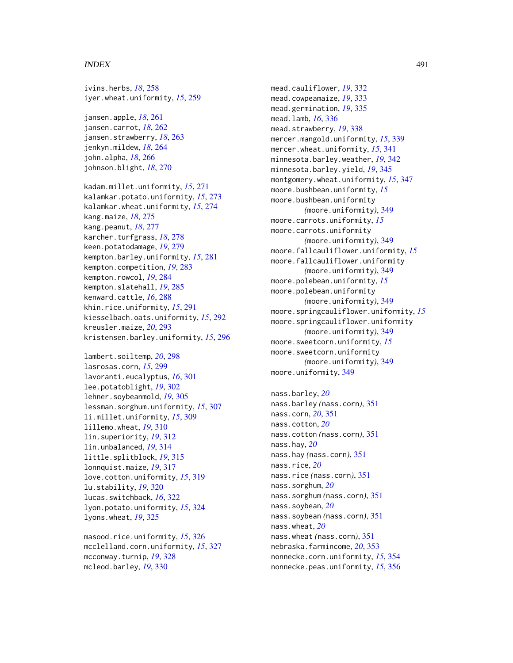#### INDEX  $491$

ivins.herbs, *[18](#page-17-0)*, [258](#page-257-0) iyer.wheat.uniformity, *[15](#page-14-0)*, [259](#page-258-0)

jansen.apple, *[18](#page-17-0)*, [261](#page-260-0) jansen.carrot, *[18](#page-17-0)*, [262](#page-261-0) jansen.strawberry, *[18](#page-17-0)*, [263](#page-262-0) jenkyn.mildew, *[18](#page-17-0)*, [264](#page-263-0) john.alpha, *[18](#page-17-0)*, [266](#page-265-0) johnson.blight, *[18](#page-17-0)*, [270](#page-269-0)

kadam.millet.uniformity, *[15](#page-14-0)*, [271](#page-270-0) kalamkar.potato.uniformity, *[15](#page-14-0)*, [273](#page-272-0) kalamkar.wheat.uniformity, *[15](#page-14-0)*, [274](#page-273-0) kang.maize, *[18](#page-17-0)*, [275](#page-274-0) kang.peanut, *[18](#page-17-0)*, [277](#page-276-0) karcher.turfgrass, *[18](#page-17-0)*, [278](#page-277-0) keen.potatodamage, *[19](#page-18-0)*, [279](#page-278-0) kempton.barley.uniformity, *[15](#page-14-0)*, [281](#page-280-0) kempton.competition, *[19](#page-18-0)*, [283](#page-282-0) kempton.rowcol, *[19](#page-18-0)*, [284](#page-283-0) kempton.slatehall, *[19](#page-18-0)*, [285](#page-284-0) kenward.cattle, *[16](#page-15-0)*, [288](#page-287-0) khin.rice.uniformity, *[15](#page-14-0)*, [291](#page-290-0) kiesselbach.oats.uniformity, *[15](#page-14-0)*, [292](#page-291-0) kreusler.maize, *[20](#page-19-0)*, [293](#page-292-0) kristensen.barley.uniformity, *[15](#page-14-0)*, [296](#page-295-0)

lambert.soiltemp, *[20](#page-19-0)*, [298](#page-297-0) lasrosas.corn, *[15](#page-14-0)*, [299](#page-298-0) lavoranti.eucalyptus, *[16](#page-15-0)*, [301](#page-300-0) lee.potatoblight, *[19](#page-18-0)*, [302](#page-301-0) lehner.soybeanmold, *[19](#page-18-0)*, [305](#page-304-0) lessman.sorghum.uniformity, *[15](#page-14-0)*, [307](#page-306-0) li.millet.uniformity, *[15](#page-14-0)*, [309](#page-308-0) lillemo.wheat, *[19](#page-18-0)*, [310](#page-309-0) lin.superiority, *[19](#page-18-0)*, [312](#page-311-0) lin.unbalanced, *[19](#page-18-0)*, [314](#page-313-0) little.splitblock, *[19](#page-18-0)*, [315](#page-314-0) lonnquist.maize, *[19](#page-18-0)*, [317](#page-316-0) love.cotton.uniformity, *[15](#page-14-0)*, [319](#page-318-0) lu.stability, *[19](#page-18-0)*, [320](#page-319-0) lucas.switchback, *[16](#page-15-0)*, [322](#page-321-0) lyon.potato.uniformity, *[15](#page-14-0)*, [324](#page-323-0) lyons.wheat, *[19](#page-18-0)*, [325](#page-324-0)

masood.rice.uniformity, *[15](#page-14-0)*, [326](#page-325-0) mcclelland.corn.uniformity, *[15](#page-14-0)*, [327](#page-326-0) mcconway.turnip, *[19](#page-18-0)*, [328](#page-327-0) mcleod.barley, *[19](#page-18-0)*, [330](#page-329-0)

mead.cauliflower, *[19](#page-18-0)*, [332](#page-331-0) mead.cowpeamaize, *[19](#page-18-0)*, [333](#page-332-0) mead.germination, *[19](#page-18-0)*, [335](#page-334-0) mead.lamb, *[16](#page-15-0)*, [336](#page-335-0) mead.strawberry, *[19](#page-18-0)*, [338](#page-337-0) mercer.mangold.uniformity, *[15](#page-14-0)*, [339](#page-338-0) mercer.wheat.uniformity, *[15](#page-14-0)*, [341](#page-340-0) minnesota.barley.weather, *[19](#page-18-0)*, [342](#page-341-0) minnesota.barley.yield, *[19](#page-18-0)*, [345](#page-344-0) montgomery.wheat.uniformity, *[15](#page-14-0)*, [347](#page-346-0) moore.bushbean.uniformity, *[15](#page-14-0)* moore.bushbean.uniformity *(*moore.uniformity*)*, [349](#page-348-0) moore.carrots.uniformity, *[15](#page-14-0)* moore.carrots.uniformity *(*moore.uniformity*)*, [349](#page-348-0) moore.fallcauliflower.uniformity, *[15](#page-14-0)* moore.fallcauliflower.uniformity *(*moore.uniformity*)*, [349](#page-348-0) moore.polebean.uniformity, *[15](#page-14-0)* moore.polebean.uniformity *(*moore.uniformity*)*, [349](#page-348-0) moore.springcauliflower.uniformity, *[15](#page-14-0)* moore.springcauliflower.uniformity *(*moore.uniformity*)*, [349](#page-348-0) moore.sweetcorn.uniformity, *[15](#page-14-0)* moore.sweetcorn.uniformity *(*moore.uniformity*)*, [349](#page-348-0) moore.uniformity, [349](#page-348-0)

nass.barley, *[20](#page-19-0)* nass.barley *(*nass.corn*)*, [351](#page-350-0) nass.corn, *[20](#page-19-0)*, [351](#page-350-0) nass.cotton, *[20](#page-19-0)* nass.cotton *(*nass.corn*)*, [351](#page-350-0) nass.hay, *[20](#page-19-0)* nass.hay *(*nass.corn*)*, [351](#page-350-0) nass.rice, *[20](#page-19-0)* nass.rice *(*nass.corn*)*, [351](#page-350-0) nass.sorghum, *[20](#page-19-0)* nass.sorghum *(*nass.corn*)*, [351](#page-350-0) nass.soybean, *[20](#page-19-0)* nass.soybean *(*nass.corn*)*, [351](#page-350-0) nass.wheat, *[20](#page-19-0)* nass.wheat *(*nass.corn*)*, [351](#page-350-0) nebraska.farmincome, *[20](#page-19-0)*, [353](#page-352-0) nonnecke.corn.uniformity, *[15](#page-14-0)*, [354](#page-353-0) nonnecke.peas.uniformity, *[15](#page-14-0)*, [356](#page-355-0)